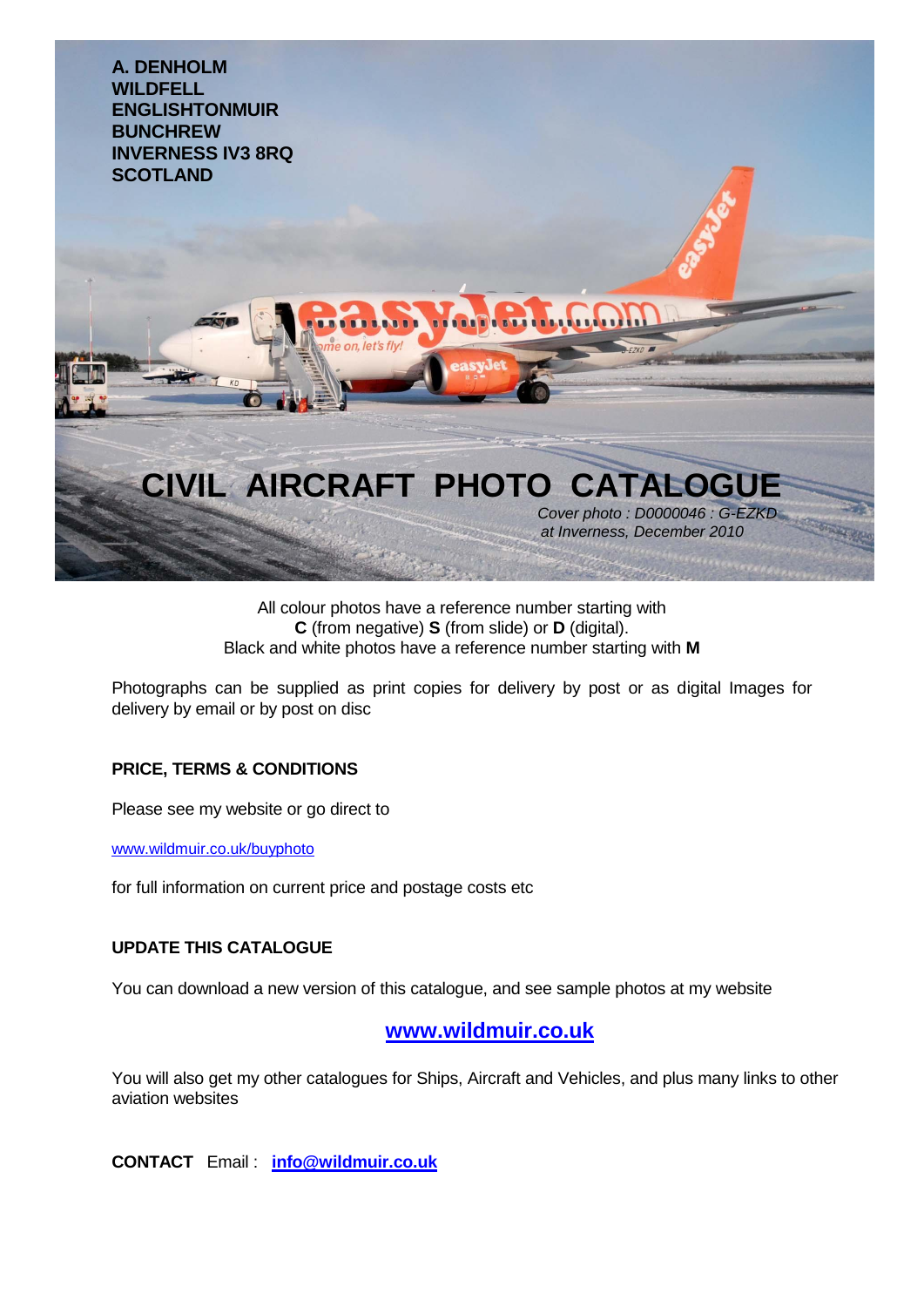

## All colour photos have a reference number starting with **C** (from negative) **S** (from slide) or **D** (digital). Black and white photos have a reference number starting with **M**

Photographs can be supplied as print copies for delivery by post or as digital Images for delivery by email or by post on disc

## **PRICE, TERMS & CONDITIONS**

Please see my website or go direct to

www.wildmuir.co.uk/buyphoto

for full information on current price and postage costs etc

## **UPDATE THIS CATALOGUE**

You can download a new version of this catalogue, and see sample photos at my website

## **[www.wildmuir.co.uk](http://www.wildmuir.co.uk/)**

You will also get my other catalogues for Ships, Aircraft and Vehicles, and plus many links to other aviation websites

**CONTACT** Email : **[info@wildmuir.co.uk](mailto:info@wildmuir.co.uk)**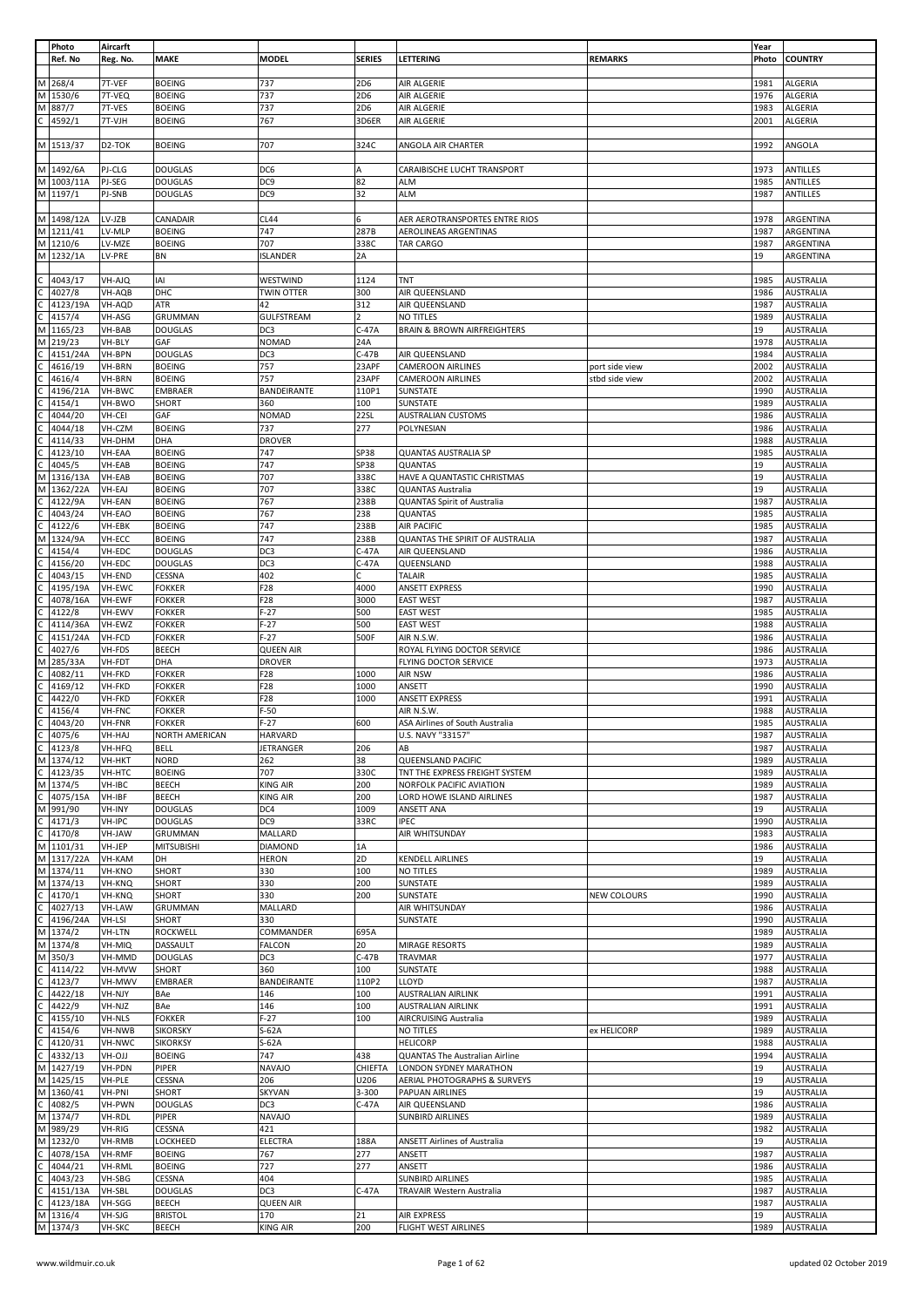|              | Photo     | Aircarft            |                   |                   |                 |                                        |                | Year  |                  |
|--------------|-----------|---------------------|-------------------|-------------------|-----------------|----------------------------------------|----------------|-------|------------------|
|              | Ref. No   | Reg. No.            | <b>MAKE</b>       | <b>MODEL</b>      | <b>SERIES</b>   | LETTERING                              | <b>REMARKS</b> | Photo | <b>COUNTRY</b>   |
|              |           |                     |                   |                   |                 |                                        |                |       |                  |
| M            | 268/4     | 7T-VEF              | <b>BOEING</b>     | 737               | 2D6             | AIR ALGERIE                            |                | 1981  | ALGERIA          |
| M            | 1530/6    | 7T-VEQ              | <b>BOEING</b>     | 737               | 2D <sub>6</sub> | AIR ALGERIE                            |                | 1976  | <b>ALGERIA</b>   |
| M            | 887/7     | 7T-VES              | <b>BOEING</b>     | 737               | 2D6             | AIR ALGERIE                            |                | 1983  | <b>ALGERIA</b>   |
| C            | 4592/1    | 7T-VJH              | <b>BOEING</b>     | 767               | 3D6ER           | AIR ALGERIE                            |                | 2001  | <b>ALGERIA</b>   |
|              |           |                     |                   |                   |                 |                                        |                |       |                  |
|              | M 1513/37 | D <sub>2</sub> -TOK | <b>BOEING</b>     | 707               | 324C            | ANGOLA AIR CHARTER                     |                | 1992  | ANGOLA           |
|              |           |                     |                   |                   |                 |                                        |                |       |                  |
| M I          | 1492/6A   | PJ-CLG              | <b>DOUGLAS</b>    | DC6               | A               | CARAIBISCHE LUCHT TRANSPORT            |                | 1973  | ANTILLES         |
| M            | 1003/11A  | PJ-SEG              | <b>DOUGLAS</b>    | DC <sub>9</sub>   | 82              | <b>ALM</b>                             |                | 1985  | <b>ANTILLES</b>  |
|              | M 1197/1  | PJ-SNB              | <b>DOUGLAS</b>    | DC <sub>9</sub>   | 32              | <b>ALM</b>                             |                | 1987  | ANTILLES         |
|              |           |                     |                   |                   |                 |                                        |                |       |                  |
| M            | 1498/12A  | LV-JZB              | CANADAIR          | <b>CL44</b>       | 6               | AER AEROTRANSPORTES ENTRE RIOS         |                | 1978  | ARGENTINA        |
|              | M 1211/41 | LV-MLP              | <b>BOEING</b>     | 747               | 287B            | AEROLINEAS ARGENTINAS                  |                | 1987  | ARGENTINA        |
| M            | 1210/6    | LV-MZE              | <b>BOEING</b>     | 707               | 338C            | TAR CARGO                              |                | 1987  | ARGENTINA        |
| M            | 1232/1A   | LV-PRE              | ΒN                | <b>ISLANDER</b>   | 2A              |                                        |                | 19    | ARGENTINA        |
|              |           |                     |                   |                   |                 |                                        |                |       |                  |
| C            | 4043/17   | VH-AJQ              | IAI               | WESTWIND          | 1124            | TNT                                    |                | 1985  | <b>AUSTRALIA</b> |
|              | 4027/8    | VH-AQB              | DHC               | <b>TWIN OTTER</b> | 300             | AIR QUEENSLAND                         |                | 1986  | <b>AUSTRALIA</b> |
| C            | 4123/19A  | VH-AQD              | ATR               | 42                | 312             | AIR QUEENSLAND                         |                | 1987  | <b>AUSTRALIA</b> |
| C            | 4157/4    | VH-ASG              | GRUMMAN           | <b>GULFSTREAM</b> | $\overline{2}$  | NO TITLES                              |                | 1989  | <b>AUSTRALIA</b> |
| M            | 1165/23   | VH-BAB              | <b>DOUGLAS</b>    | DC3               | $C-47A$         | <b>BRAIN &amp; BROWN AIRFREIGHTERS</b> |                | 19    | <b>AUSTRALIA</b> |
| M            | 219/23    | VH-BLY              | GAF               | <b>NOMAD</b>      | 24A             |                                        |                | 1978  | <b>AUSTRALIA</b> |
|              | 4151/24A  | VH-BPN              | <b>DOUGLAS</b>    | DC3               | $C-47B$         | AIR QUEENSLAND                         |                | 1984  | <b>AUSTRALIA</b> |
|              | 4616/19   | VH-BRN              | <b>BOEING</b>     | 757               | 23APF           | <b>CAMEROON AIRLINES</b>               | port side view | 2002  | <b>AUSTRALIA</b> |
|              | 4616/4    | VH-BRN              | <b>BOEING</b>     | 757               | 23APF           | <b>CAMEROON AIRLINES</b>               | stbd side view | 2002  | <b>AUSTRALIA</b> |
|              | 4196/21A  | VH-BWC              | <b>EMBRAER</b>    | BANDEIRANTE       | 110P1           | SUNSTATE                               |                | 1990  | <b>AUSTRALIA</b> |
|              | 4154/1    | VH-BWO              | SHORT             | 360               | 100             | SUNSTATE                               |                | 1989  | <b>AUSTRALIA</b> |
|              | 4044/20   | VH-CEI              | GAF               | <b>NOMAD</b>      | 22SL            | <b>AUSTRALIAN CUSTOMS</b>              |                | 1986  | <b>AUSTRALIA</b> |
|              | 4044/18   | VH-CZM              | <b>BOEING</b>     | 737               | 277             | POLYNESIAN                             |                | 1986  | <b>AUSTRALIA</b> |
|              | 4114/33   | VH-DHM              | DHA               | <b>DROVER</b>     |                 |                                        |                | 1988  | <b>AUSTRALIA</b> |
|              | 4123/10   | VH-EAA              | <b>BOEING</b>     | 747               | SP38            | QUANTAS AUSTRALIA SP                   |                | 1985  | <b>AUSTRALIA</b> |
|              | 4045/5    | VH-EAB              | <b>BOEING</b>     | 747               | SP38            | QUANTAS                                |                | 19    | <b>AUSTRALIA</b> |
| М            | 1316/13A  | VH-EAB              | <b>BOEING</b>     | 707               | 338C            | HAVE A QUANTASTIC CHRISTMAS            |                | 19    | <b>AUSTRALIA</b> |
| М            | 1362/22A  | VH-EAJ              | <b>BOEING</b>     | 707               | 338C            | QUANTAS Australia                      |                | 19    | <b>AUSTRALIA</b> |
|              | 4122/9A   | VH-EAN              | <b>BOEING</b>     | 767               | 238B            | <b>QUANTAS Spirit of Australia</b>     |                | 1987  | <b>AUSTRALIA</b> |
|              | 4043/24   | VH-EAO              | <b>BOEING</b>     | 767               | 238             | QUANTAS                                |                | 1985  | <b>AUSTRALIA</b> |
|              | 4122/6    | VH-EBK              | <b>BOEING</b>     | 747               | 238B            | AIR PACIFIC                            |                | 1985  | <b>AUSTRALIA</b> |
| M            | 1324/9A   | VH-ECC              | <b>BOEING</b>     | 747               | 238B            | QUANTAS THE SPIRIT OF AUSTRALIA        |                | 1987  | <b>AUSTRALIA</b> |
|              | 4154/4    | VH-EDC              | <b>DOUGLAS</b>    | DC3               | $C-47A$         | AIR QUEENSLAND                         |                | 1986  | <b>AUSTRALIA</b> |
|              | 4156/20   | VH-EDC              | <b>DOUGLAS</b>    | DC3               | $C-47A$         | QUEENSLAND                             |                | 1988  | <b>AUSTRALIA</b> |
|              | 4043/15   | VH-END              | CESSNA            | 402               | C               | <b>TALAIR</b>                          |                | 1985  | <b>AUSTRALIA</b> |
|              | 4195/19A  | VH-EWC              | <b>FOKKER</b>     | F28               | 4000            | ANSETT EXPRESS                         |                | 1990  | <b>AUSTRALIA</b> |
|              | 4078/16A  | VH-EWF              | <b>FOKKER</b>     | F28               | 3000            | <b>EAST WEST</b>                       |                | 1987  | <b>AUSTRALIA</b> |
|              | 4122/8    | VH-EWV              | <b>FOKKER</b>     | $F-27$            | 500             | <b>EAST WEST</b>                       |                | 1985  | <b>AUSTRALIA</b> |
|              | 4114/36A  | VH-EWZ              | <b>FOKKER</b>     | $F-27$            | 500             | <b>EAST WEST</b>                       |                | 1988  | <b>AUSTRALIA</b> |
|              | 4151/24A  | VH-FCD              | <b>FOKKER</b>     | $F-27$            | 500F            | AIR N.S.W.                             |                | 1986  | <b>AUSTRALIA</b> |
|              | 4027/6    | VH-FDS              | <b>BEECH</b>      | <b>QUEEN AIR</b>  |                 | ROYAL FLYING DOCTOR SERVICE            |                | 1986  | <b>AUSTRALIA</b> |
| M            | 285/33A   | VH-FDT              | DHA               | <b>DROVER</b>     |                 | FLYING DOCTOR SERVICE                  |                | 1973  | <b>AUSTRALIA</b> |
|              | 4082/11   | VH-FKD              | <b>FOKKER</b>     | F28               | 1000            | AIR NSW                                |                | 1986  | <b>AUSTRALIA</b> |
|              | 4169/12   | VH-FKD              | <b>FOKKER</b>     | F28               | 1000            | ANSETT                                 |                | 1990  | <b>AUSTRALIA</b> |
|              | 4422/0    | VH-FKD              | <b>FOKKER</b>     | F28               | 1000            | <b>ANSETT EXPRESS</b>                  |                | 1991  | <b>AUSTRALIA</b> |
|              | 4156/4    | VH-FNC              | <b>FOKKER</b>     | $F-50$            |                 | AIR N.S.W.                             |                | 1988  | <b>AUSTRALIA</b> |
|              | 4043/20   | VH-FNR              | <b>FOKKER</b>     | $F-27$            | 600             | ASA Airlines of South Australia        |                | 1985  | <b>AUSTRALIA</b> |
| $\mathsf{C}$ | 4075/6    | VH-HAJ              | NORTH AMERICAN    | <b>HARVARD</b>    |                 | U.S. NAVY "33157"                      |                | 1987  | AUSTRALIA        |
| c            | 4123/8    | VH-HFQ              | <b>BELL</b>       | <b>JETRANGER</b>  | 206             | AB                                     |                | 1987  | <b>AUSTRALIA</b> |
| M            | 1374/12   | VH-HKT              | <b>NORD</b>       | 262               | 38              | QUEENSLAND PACIFIC                     |                | 1989  | <b>AUSTRALIA</b> |
| C            | 4123/35   | VH-HTC              | <b>BOEING</b>     | 707               | 330C            | TNT THE EXPRESS FREIGHT SYSTEM         |                | 1989  | <b>AUSTRALIA</b> |
| M            | 1374/5    | VH-IBC              | <b>BEECH</b>      | <b>KING AIR</b>   | 200             | NORFOLK PACIFIC AVIATION               |                | 1989  | <b>AUSTRALIA</b> |
| C            | 4075/15A  | VH-IBF              | <b>BEECH</b>      | <b>KING AIR</b>   | 200             | LORD HOWE ISLAND AIRLINES              |                | 1987  | <b>AUSTRALIA</b> |
| M            | 991/90    | VH-INY              | <b>DOUGLAS</b>    | DC4               | 1009            | ANSETT ANA                             |                | 19    | <b>AUSTRALIA</b> |
| C            | 4171/3    | VH-IPC              | <b>DOUGLAS</b>    | DC <sub>9</sub>   | 33RC            | <b>IPEC</b>                            |                | 1990  | <b>AUSTRALIA</b> |
|              | 4170/8    | VH-JAW              | <b>GRUMMAN</b>    | MALLARD           |                 | AIR WHITSUNDAY                         |                | 1983  | <b>AUSTRALIA</b> |
| M            | 1101/31   | VH-JEP              | <b>MITSUBISHI</b> | <b>DIAMOND</b>    | 1A              |                                        |                | 1986  | <b>AUSTRALIA</b> |
| M            | 1317/22A  | VH-KAM              | DH                | <b>HERON</b>      | 2D              | KENDELL AIRLINES                       |                | 19    | <b>AUSTRALIA</b> |
| М            | 1374/11   | VH-KNO              | SHORT             | 330               | 100             | NO TITLES                              |                | 1989  | <b>AUSTRALIA</b> |
| M            | 1374/13   | VH-KNQ              | SHORT             | 330               | 200             | SUNSTATE                               |                | 1989  | <b>AUSTRALIA</b> |
|              | 4170/1    | VH-KNQ              | <b>SHORT</b>      | 330               | 200             | SUNSTATE                               | NEW COLOURS    | 1990  | <b>AUSTRALIA</b> |
|              | 4027/13   | VH-LAW              | <b>GRUMMAN</b>    | MALLARD           |                 | AIR WHITSUNDAY                         |                | 1986  | <b>AUSTRALIA</b> |
| C            | 4196/24A  | VH-LSI              | SHORT             | 330               |                 | SUNSTATE                               |                | 1990  | <b>AUSTRALIA</b> |
| М            | 1374/2    | VH-LTN              | <b>ROCKWELL</b>   | COMMANDER         | 695A            |                                        |                | 1989  | <b>AUSTRALIA</b> |
| M            | 1374/8    | VH-MIQ              | DASSAULT          | <b>FALCON</b>     | 20              | MIRAGE RESORTS                         |                | 1989  | <b>AUSTRALIA</b> |
| M            | 350/3     | VH-MMD              | <b>DOUGLAS</b>    | DC3               | $C-47B$         | <b>TRAVMAR</b>                         |                | 1977  | <b>AUSTRALIA</b> |
| C            | 4114/22   | VH-MVW              | SHORT             | 360               | 100             | SUNSTATE                               |                | 1988  | <b>AUSTRALIA</b> |
|              | 4123/7    | VH-MWV              | <b>EMBRAER</b>    | BANDEIRANTE       | 110P2           | LLOYD                                  |                | 1987  | <b>AUSTRALIA</b> |
| C            | 4422/18   | VH-NJY              | BAe               | 146               | 100             | AUSTRALIAN AIRLINK                     |                | 1991  | <b>AUSTRALIA</b> |
|              | 4422/9    | VH-NJZ              | BAe               | 146               | 100             | AUSTRALIAN AIRLINK                     |                | 1991  | <b>AUSTRALIA</b> |
|              | 4155/10   | VH-NLS              | <b>FOKKER</b>     | $F-27$            | 100             | AIRCRUISING Australia                  |                | 1989  | <b>AUSTRALIA</b> |
|              | 4154/6    | VH-NWB              | <b>SIKORSKY</b>   | $S-62A$           |                 | NO TITLES                              | ex HELICORP    | 1989  | <b>AUSTRALIA</b> |
|              | 4120/31   | VH-NWC              | <b>SIKORKSY</b>   | $S-62A$           |                 | <b>HELICORP</b>                        |                | 1988  | <b>AUSTRALIA</b> |
| C            | 4332/13   | <b>VH-OJJ</b>       | <b>BOEING</b>     | 747               | 438             | QUANTAS The Australian Airline         |                | 1994  | <b>AUSTRALIA</b> |
| M            | 1427/19   | VH-PDN              | PIPER             | <b>NAVAJO</b>     | <b>CHIEFTA</b>  | LONDON SYDNEY MARATHON                 |                | 19    | <b>AUSTRALIA</b> |
| M            | 1425/15   | VH-PLE              | CESSNA            | 206               | U206            | AERIAL PHOTOGRAPHS & SURVEYS           |                | 19    | <b>AUSTRALIA</b> |
| M            | 1360/41   | VH-PNI              | SHORT             | <b>SKYVAN</b>     | 3-300           | PAPUAN AIRLINES                        |                | 19    | <b>AUSTRALIA</b> |
| C            | 4082/5    | VH-PWN              | <b>DOUGLAS</b>    | DC3               | $C-47A$         | AIR QUEENSLAND                         |                | 1986  | <b>AUSTRALIA</b> |
| M            | 1374/7    | VH-RDL              | PIPER             | <b>NAVAJO</b>     |                 | SUNBIRD AIRLINES                       |                | 1989  | <b>AUSTRALIA</b> |
| M            | 989/29    | VH-RIG              | CESSNA            | 421               |                 |                                        |                | 1982  | <b>AUSTRALIA</b> |
| M            | 1232/0    | VH-RMB              | LOCKHEED          | <b>ELECTRA</b>    | 188A            | ANSETT Airlines of Australia           |                | 19    | <b>AUSTRALIA</b> |
|              | 4078/15A  | VH-RMF              | <b>BOEING</b>     | 767               | 277             | ANSETT                                 |                | 1987  | <b>AUSTRALIA</b> |
| С            | 4044/21   | VH-RML              | <b>BOEING</b>     | 727               | 277             | ANSETT                                 |                | 1986  | <b>AUSTRALIA</b> |
|              | 4043/23   | VH-SBG              | CESSNA            | 404               |                 | <b>SUNBIRD AIRLINES</b>                |                | 1985  | <b>AUSTRALIA</b> |
|              | 4151/13A  | VH-SBL              | <b>DOUGLAS</b>    | DC3               | $C-47A$         | TRAVAIR Western Australia              |                | 1987  | <b>AUSTRALIA</b> |
|              | 4123/18A  | VH-SGG              | <b>BEECH</b>      | <b>QUEEN AIR</b>  |                 |                                        |                | 1987  | <b>AUSTRALIA</b> |
| М            | 1316/4    | VH-SJG              | <b>BRISTOL</b>    | 170               | 21              | AIR EXPRESS                            |                | 19    | <b>AUSTRALIA</b> |
|              | M 1374/3  | VH-SKC              | <b>BEECH</b>      | <b>KING AIR</b>   | 200             | FLIGHT WEST AIRLINES                   |                | 1989  | <b>AUSTRALIA</b> |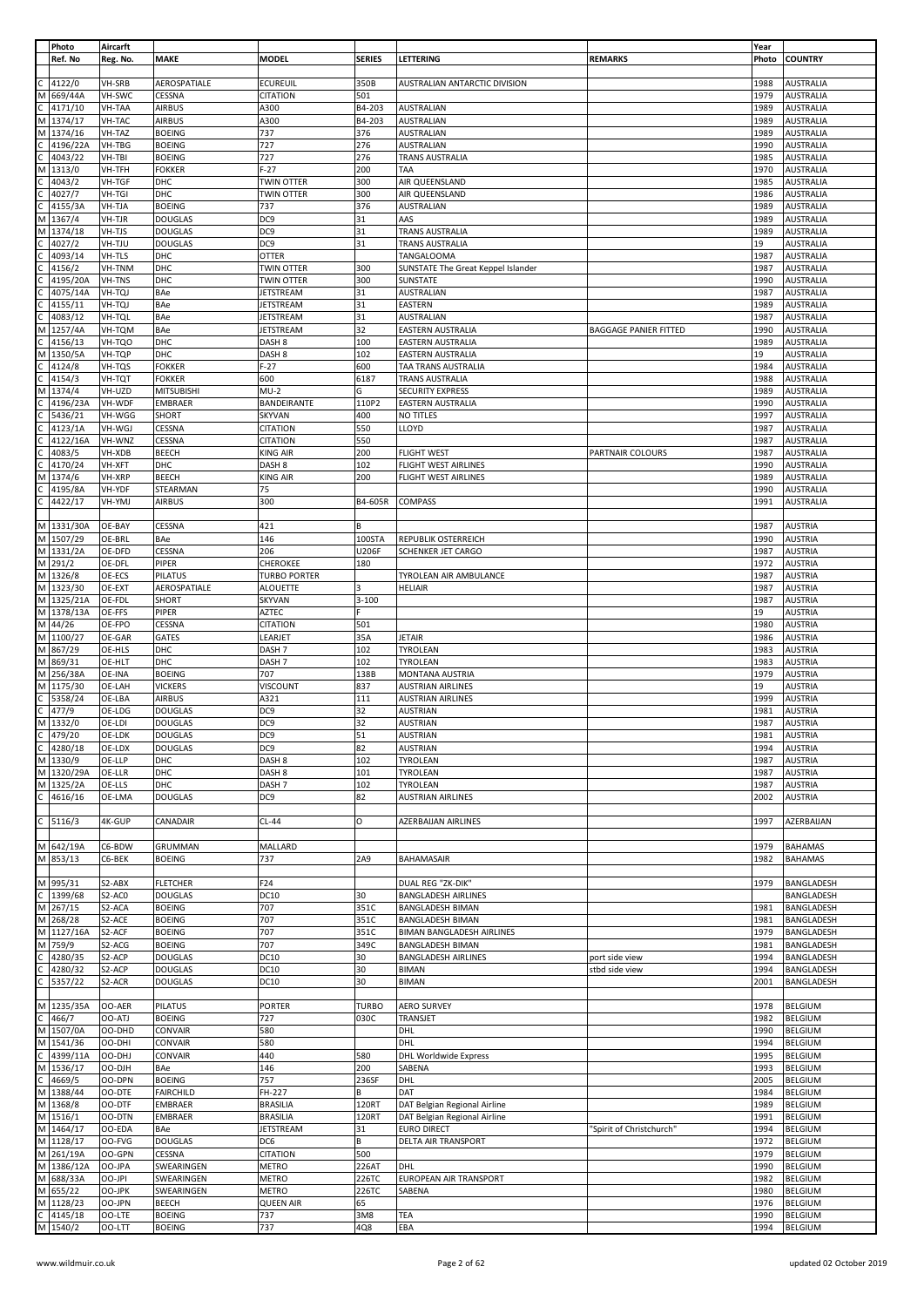|              | Photo<br>Ref. No    | Aircarft<br>Reg. No. | <b>MAKE</b>                     | <b>MODEL</b>                           | <b>SERIES</b>  | LETTERING                                                   | <b>REMARKS</b>               | Year<br>Photo | <b>COUNTRY</b>                       |
|--------------|---------------------|----------------------|---------------------------------|----------------------------------------|----------------|-------------------------------------------------------------|------------------------------|---------------|--------------------------------------|
|              | 4122/0              | VH-SRB               | AEROSPATIALE                    | <b>ECUREUIL</b>                        | 350B           | AUSTRALIAN ANTARCTIC DIVISION                               |                              | 1988          | <b>AUSTRALIA</b>                     |
|              | 669/44A             | VH-SWC               | CESSNA                          | <b>CITATION</b>                        | 501            |                                                             |                              | 1979          | <b>AUSTRALIA</b>                     |
|              | 4171/10             | VH-TAA               | <b>AIRBUS</b>                   | A300                                   | B4-203         | <b>AUSTRALIAN</b>                                           |                              | 1989          | <b>AUSTRALIA</b>                     |
| М            | 1374/17             | VH-TAC               | <b>AIRBUS</b>                   | A300                                   | B4-203         | <b>AUSTRALIAN</b>                                           |                              | 1989          | <b>AUSTRALIA</b>                     |
| M            | 1374/16             | VH-TAZ               | <b>BOEING</b>                   | 737                                    | 376            | <b>AUSTRALIAN</b>                                           |                              | 1989          | <b>AUSTRALIA</b>                     |
|              | 4196/22A            | VH-TBG               | <b>BOEING</b>                   | 727                                    | 276            | <b>AUSTRALIAN</b>                                           |                              | 1990          | <b>AUSTRALIA</b>                     |
|              | 4043/22             | VH-TBI               | <b>BOEING</b>                   | 727                                    | 276            | TRANS AUSTRALIA                                             |                              | 1985          | <b>AUSTRALIA</b>                     |
|              | 1313/0              | VH-TFH               | <b>FOKKER</b>                   | $F-27$                                 | 200            | TAA                                                         |                              | 1970          | <b>AUSTRALIA</b>                     |
|              | 4043/2              | VH-TGF               | DHC                             | <b>TWIN OTTER</b><br><b>TWIN OTTER</b> | 300            | AIR QUEENSLAND                                              |                              | 1985          | <b>AUSTRALIA</b>                     |
|              | 4027/7<br>4155/3A   | VH-TGI<br>VH-TJA     | DHC<br><b>BOEING</b>            | 737                                    | 300<br>376     | AIR QUEENSLAND<br>AUSTRALIAN                                |                              | 1986<br>1989  | <b>AUSTRALIA</b><br><b>AUSTRALIA</b> |
| М            | 1367/4              | VH-TJR               | <b>DOUGLAS</b>                  | DC <sub>9</sub>                        | 31             | AAS                                                         |                              | 1989          | <b>AUSTRALIA</b>                     |
| м            | 1374/18             | VH-TJS               | <b>DOUGLAS</b>                  | DC <sub>9</sub>                        | 31             | TRANS AUSTRALIA                                             |                              | 1989          | <b>AUSTRALIA</b>                     |
|              | 4027/2              | VH-TJU               | <b>DOUGLAS</b>                  | DC <sub>9</sub>                        | 31             | TRANS AUSTRALIA                                             |                              | 19            | <b>AUSTRALIA</b>                     |
|              | 4093/14             | VH-TLS               | DHC                             | <b>OTTER</b>                           |                | <b>TANGALOOMA</b>                                           |                              | 1987          | <b>AUSTRALIA</b>                     |
|              | 4156/2              | VH-TNM               | DHC                             | TWIN OTTER                             | 300            | SUNSTATE The Great Keppel Islander                          |                              | 1987          | <b>AUSTRALIA</b>                     |
|              | 4195/20A            | VH-TNS               | DHC                             | <b>TWIN OTTER</b>                      | 300            | SUNSTATE                                                    |                              | 1990          | <b>AUSTRALIA</b>                     |
|              | 4075/14A            | VH-TQJ               | BAe                             | <b>JETSTREAM</b>                       | 31             | AUSTRALIAN                                                  |                              | 1987          | <b>AUSTRALIA</b>                     |
|              | 4155/11             | VH-TQJ               | BAe                             | <b>JETSTREAM</b>                       | 31             | EASTERN                                                     |                              | 1989          | <b>AUSTRALIA</b>                     |
|              | 4083/12             | VH-TQL               | <b>BAe</b>                      | <b>JETSTREAM</b>                       | 31<br>32       | AUSTRALIAN                                                  |                              | 1987          | <b>AUSTRALIA</b>                     |
| м            | 1257/4A<br>4156/13  | VH-TQM<br>VH-TQO     | BAe<br>DHC                      | <b>JETSTREAM</b><br>DASH <sub>8</sub>  | 100            | EASTERN AUSTRALIA<br>EASTERN AUSTRALIA                      | <b>BAGGAGE PANIER FITTED</b> | 1990<br>1989  | <b>AUSTRALIA</b><br><b>AUSTRALIA</b> |
| М            | 1350/5A             | VH-TQP               | DHC                             | DASH <sub>8</sub>                      | 102            | <b>EASTERN AUSTRALIA</b>                                    |                              | 19            | <b>AUSTRALIA</b>                     |
|              | 4124/8              | VH-TQS               | <b>FOKKER</b>                   | $F-27$                                 | 600            | TAA TRANS AUSTRALIA                                         |                              | 1984          | <b>AUSTRALIA</b>                     |
|              | 4154/3              | VH-TQT               | <b>FOKKER</b>                   | 600                                    | 6187           | TRANS AUSTRALIA                                             |                              | 1988          | <b>AUSTRALIA</b>                     |
|              | 1374/4              | VH-UZD               | <b>MITSUBISHI</b>               | MU-2                                   | G              | <b>SECURITY EXPRESS</b>                                     |                              | 1989          | <b>AUSTRALIA</b>                     |
|              | 4196/23A            | VH-WDF               | <b>EMBRAER</b>                  | BANDEIRANTE                            | 110P2          | <b>EASTERN AUSTRALIA</b>                                    |                              | 1990          | <b>AUSTRALIA</b>                     |
|              | 5436/21             | VH-WGG               | SHORT                           | <b>SKYVAN</b>                          | 400            | NO TITLES                                                   |                              | 1997          | <b>AUSTRALIA</b>                     |
|              | 4123/1A             | VH-WGJ               | CESSNA                          | <b>CITATION</b>                        | 550            | LLOYD                                                       |                              | 1987          | <b>AUSTRALIA</b>                     |
|              | 4122/16A<br>4083/5  | VH-WNZ<br>VH-XDB     | CESSNA<br><b>BEECH</b>          | <b>CITATION</b><br><b>KING AIR</b>     | 550<br>200     | <b>FLIGHT WEST</b>                                          | <b>PARTNAIR COLOURS</b>      | 1987<br>1987  | <b>AUSTRALIA</b><br><b>AUSTRALIA</b> |
|              | 4170/24             | VH-XFT               | DHC                             | DASH <sub>8</sub>                      | 102            | FLIGHT WEST AIRLINES                                        |                              | 1990          | <b>AUSTRALIA</b>                     |
|              | 1374/6              | VH-XRP               | <b>BEECH</b>                    | <b>KING AIR</b>                        | 200            | FLIGHT WEST AIRLINES                                        |                              | 1989          | <b>AUSTRALIA</b>                     |
|              | 4195/8A             | VH-YDF               | STEARMAN                        | 75                                     |                |                                                             |                              | 1990          | <b>AUSTRALIA</b>                     |
|              | 4422/17             | VH-YMJ               | <b>AIRBUS</b>                   | 300                                    | B4-605R        | COMPASS                                                     |                              | 1991          | <b>AUSTRALIA</b>                     |
|              |                     |                      |                                 |                                        |                |                                                             |                              |               |                                      |
|              | M 1331/30A          | OE-BAY               | CESSNA                          | 421                                    | В              |                                                             |                              | 1987          | <b>AUSTRIA</b>                       |
| M            | 1507/29             | OE-BRL               | BAe                             | 146                                    | 100STA         | REPUBLIK OSTERREICH                                         |                              | 1990          | <b>AUSTRIA</b>                       |
| M            | 1331/2A             | OE-DFD               | CESSNA                          | 206                                    | U206F          | SCHENKER JET CARGO                                          |                              | 1987          | <b>AUSTRIA</b>                       |
| M<br>M       | 291/2               | OE-DFL<br>OE-ECS     | PIPER<br>PILATUS                | <b>CHEROKEE</b><br><b>TURBO PORTER</b> | 180            | TYROLEAN AIR AMBULANCE                                      |                              | 1972<br>1987  | <b>AUSTRIA</b><br><b>AUSTRIA</b>     |
| M            | 1326/8<br>1323/30   | OE-EXT               | AEROSPATIALE                    | <b>ALOUETTE</b>                        | 3              | <b>HELIAIR</b>                                              |                              | 1987          | <b>AUSTRIA</b>                       |
| M            | 1325/21A            | OE-FDL               | SHORT                           | <b>SKYVAN</b>                          | 3-100          |                                                             |                              | 1987          | <b>AUSTRIA</b>                       |
| M            | 1378/13A            | OE-FFS               | PIPER                           | <b>AZTEC</b>                           |                |                                                             |                              | 19            | <b>AUSTRIA</b>                       |
| M            | 44/26               | OE-FPO               | CESSNA                          | <b>CITATION</b>                        | 501            |                                                             |                              | 1980          | <b>AUSTRIA</b>                       |
| M            | 1100/27             | OE-GAR               | GATES                           | LEARJET                                | 35A            | <b>JETAIR</b>                                               |                              | 1986          | <b>AUSTRIA</b>                       |
| M            | 867/29              | OE-HLS               | DHC                             | DASH <sub>7</sub>                      | 102            | TYROLEAN                                                    |                              | 1983          | <b>AUSTRIA</b>                       |
| M            | 869/31              | OE-HLT               | <b>DHC</b>                      | DASH <sub>7</sub>                      | 102            | TYROLEAN                                                    |                              | 1983          | <b>AUSTRIA</b>                       |
| М            | 256/38A             | OE-INA               | <b>BOEING</b>                   | 707                                    | 138B           | MONTANA AUSTRIA                                             |                              | 1979          | <b>AUSTRIA</b>                       |
| M            | 1175/30             | OE-LAH               | <b>VICKERS</b>                  | VISCOUNT                               | 837            | <b>AUSTRIAN AIRLINES</b>                                    |                              | 19            | <b>AUSTRIA</b>                       |
|              | 5358/24<br>477/9    | OE-LBA<br>OE-LDG     | <b>AIRBUS</b><br><b>DOUGLAS</b> | A321<br>DC <sub>9</sub>                | 111<br>32      | <b>AUSTRIAN AIRLINES</b><br><b>AUSTRIAN</b>                 |                              | 1999<br>1981  | <b>AUSTRIA</b><br><b>AUSTRIA</b>     |
| M            | 1332/0              | OE-LDI               | <b>DOUGLAS</b>                  | DC <sub>9</sub>                        | 32             | <b>AUSTRIAN</b>                                             |                              | 1987          | <b>AUSTRIA</b>                       |
| C            | 479/20              | OE-LDK               | <b>DOUGLAS</b>                  | DC <sub>9</sub>                        | 51             | <b>AUSTRIAN</b>                                             |                              | 1981          | <b>AUSTRIA</b>                       |
|              | 4280/18             | OE-LDX               | <b>DOUGLAS</b>                  | DC <sub>9</sub>                        | 82             | <b>AUSTRIAN</b>                                             |                              | 1994          | <b>AUSTRIA</b>                       |
|              | M 1330/9            | OE-LLP               | DHC                             | DASH <sub>8</sub>                      | 102            | TYROLEAN                                                    |                              | 1987          | <b>AUSTRIA</b>                       |
| M            | 1320/29A            | OE-LLR               | DHC                             | DASH <sub>8</sub>                      | 101            | TYROLEAN                                                    |                              | 1987          | <b>AUSTRIA</b>                       |
| M            | 1325/2A             | OE-LLS               | DHC                             | DASH <sub>7</sub>                      | 102            | TYROLEAN                                                    |                              | 1987          | <b>AUSTRIA</b>                       |
| $\mathsf{C}$ | 4616/16             | OE-LMA               | <b>DOUGLAS</b>                  | DC <sub>9</sub>                        | 82             | <b>AUSTRIAN AIRLINES</b>                                    |                              | 2002          | <b>AUSTRIA</b>                       |
| C            | 5116/3              | 4K-GUP               |                                 | $CL-44$                                | О              | <b>AZERBAIJAN AIRLINES</b>                                  |                              |               | AZERBAIJAN                           |
|              |                     |                      | CANADAIR                        |                                        |                |                                                             |                              | 1997          |                                      |
|              | M 642/19A           | C6-BDW               | <b>GRUMMAN</b>                  | MALLARD                                |                |                                                             |                              | 1979          | <b>BAHAMAS</b>                       |
| M            | 853/13              | C6-BEK               | <b>BOEING</b>                   | 737                                    | 2A9            | BAHAMASAIR                                                  |                              | 1982          | <b>BAHAMAS</b>                       |
|              |                     |                      |                                 |                                        |                |                                                             |                              |               |                                      |
|              | M 995/31            | S2-ABX               | <b>FLETCHER</b>                 | F24                                    |                | DUAL REG "ZK-DIK"                                           |                              | 1979          | BANGLADESH                           |
| C            | 1399/68             | S2-AC0               | <b>DOUGLAS</b>                  | <b>DC10</b>                            | 30             | <b>BANGLADESH AIRLINES</b>                                  |                              |               | BANGLADESH                           |
|              | M 267/15            | S2-ACA               | <b>BOEING</b>                   | 707                                    | 351C           | <b>BANGLADESH BIMAN</b>                                     |                              | 1981          | BANGLADESH                           |
| M<br>M       | 268/28              | S2-ACE               | <b>BOEING</b>                   | 707                                    | 351C           | <b>BANGLADESH BIMAN</b>                                     |                              | 1981          | BANGLADESH<br>BANGLADESH             |
| М            | 1127/16A<br>759/9   | S2-ACF<br>S2-ACG     | <b>BOEING</b><br><b>BOEING</b>  | 707<br>707                             | 351C<br>349C   | <b>BIMAN BANGLADESH AIRLINES</b><br><b>BANGLADESH BIMAN</b> |                              | 1979<br>1981  | BANGLADESH                           |
|              | 4280/35             | S2-ACP               | <b>DOUGLAS</b>                  | <b>DC10</b>                            | 30             | <b>BANGLADESH AIRLINES</b>                                  | port side view               | 1994          | BANGLADESH                           |
|              | 4280/32             | S2-ACP               | <b>DOUGLAS</b>                  | <b>DC10</b>                            | 30             | <b>BIMAN</b>                                                | stbd side view               | 1994          | BANGLADESH                           |
|              | 5357/22             | S2-ACR               | <b>DOUGLAS</b>                  | <b>DC10</b>                            | 30             | <b>BIMAN</b>                                                |                              | 2001          | BANGLADESH                           |
|              |                     |                      |                                 |                                        |                |                                                             |                              |               |                                      |
|              | M 1235/35A          | OO-AER               | <b>PILATUS</b>                  | <b>PORTER</b>                          | <b>TURBO</b>   | <b>AERO SURVEY</b>                                          |                              | 1978          | <b>BELGIUM</b>                       |
|              | 466/7               | OO-ATJ               | <b>BOEING</b>                   | 727                                    | 030C           | TRANSJET                                                    |                              | 1982          | <b>BELGIUM</b>                       |
| М            | 1507/0A             | OO-DHD               | CONVAIR                         | 580                                    |                | DHL                                                         |                              | 1990          | <b>BELGIUM</b>                       |
| M            | 1541/36             | OO-DHI               | CONVAIR                         | 580                                    |                | DHL                                                         |                              | 1994          | <b>BELGIUM</b>                       |
| M            | 4399/11A<br>1536/17 | OO-DHJ<br>OO-DJH     | CONVAIR<br>BAe                  | 440<br>146                             | 580<br>200     | <b>DHL Worldwide Express</b><br>SABENA                      |                              | 1995<br>1993  | <b>BELGIUM</b><br><b>BELGIUM</b>     |
| C            | 4669/5              | OO-DPN               | <b>BOEING</b>                   | 757                                    | 236SF          | DHL                                                         |                              | 2005          | <b>BELGIUM</b>                       |
| M            | 1388/44             | OO-DTE               | <b>FAIRCHILD</b>                | FH-227                                 | B              | DAT                                                         |                              | 1984          | <b>BELGIUM</b>                       |
|              | M 1368/8            | OO-DTF               | <b>EMBRAER</b>                  | <b>BRASILIA</b>                        | 120RT          | DAT Belgian Regional Airline                                |                              | 1989          | <b>BELGIUM</b>                       |
|              | M 1516/1            | OO-DTN               | <b>EMBRAER</b>                  | <b>BRASILIA</b>                        | 120RT          | DAT Belgian Regional Airline                                |                              | 1991          | <b>BELGIUM</b>                       |
| M            | 1464/17             | OO-EDA               | BAe                             | <b>JETSTREAM</b>                       | 31             | <b>EURO DIRECT</b>                                          | 'Spirit of Christchurch'     | 1994          | <b>BELGIUM</b>                       |
|              | M 1128/17           | OO-FVG               | <b>DOUGLAS</b>                  | DC6                                    | В              | <b>DELTA AIR TRANSPORT</b>                                  |                              | 1972          | <b>BELGIUM</b>                       |
|              | M 261/19A           | OO-GPN               | CESSNA                          | <b>CITATION</b>                        | 500            |                                                             |                              | 1979          | <b>BELGIUM</b>                       |
| M            | 1386/12A            | OO-JPA               | SWEARINGEN                      | <b>METRO</b>                           | 226AT          | DHL                                                         |                              | 1990          | <b>BELGIUM</b>                       |
| M            | M 688/33A<br>655/22 | OO-JPI<br>OO-JPK     | SWEARINGEN<br>SWEARINGEN        | <b>METRO</b><br><b>METRO</b>           | 226TC<br>226TC | EUROPEAN AIR TRANSPORT<br>SABENA                            |                              | 1982<br>1980  | <b>BELGIUM</b><br><b>BELGIUM</b>     |
| M            | 1128/23             | OO-JPN               | <b>BEECH</b>                    | <b>QUEEN AIR</b>                       | 65             |                                                             |                              | 1976          | <b>BELGIUM</b>                       |
| C            | 4145/18             | OO-LTE               | <b>BOEING</b>                   | 737                                    | 3M8            | TEA                                                         |                              | 1990          | <b>BELGIUM</b>                       |
|              | M 1540/2            | OO-LTT               | <b>BOEING</b>                   | 737                                    | 4Q8            | EBA                                                         |                              | 1994          | <b>BELGIUM</b>                       |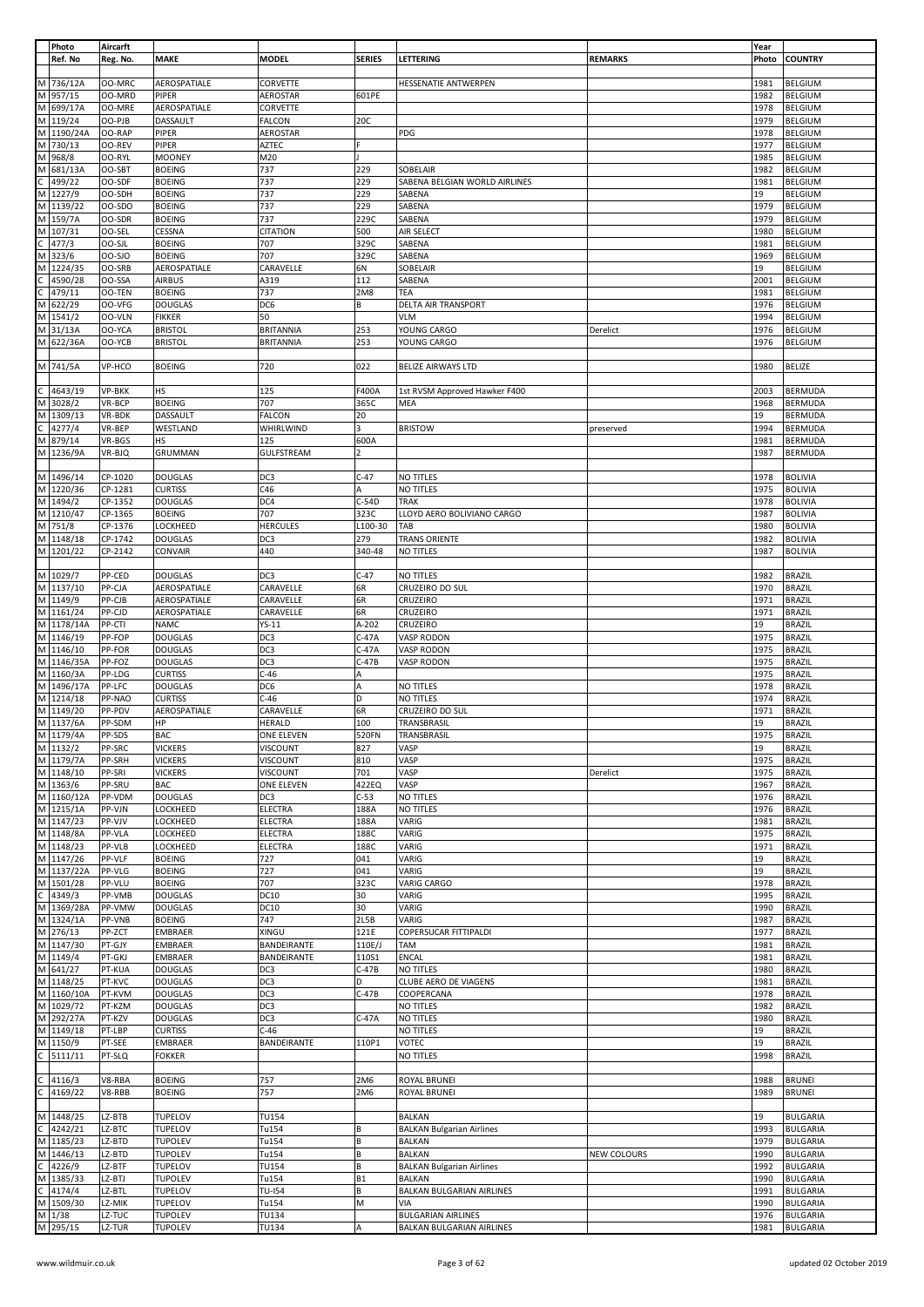|              | Photo                 | Aircarft |                                  |                  |                |                                  |                    | Year       |                 |
|--------------|-----------------------|----------|----------------------------------|------------------|----------------|----------------------------------|--------------------|------------|-----------------|
|              | Ref. No               | Reg. No. | <b>MAKE</b>                      | <b>MODEL</b>     | <b>SERIES</b>  | <b>LETTERING</b>                 | <b>REMARKS</b>     | Photo      | <b>COUNTRY</b>  |
|              |                       |          |                                  |                  |                |                                  |                    |            |                 |
|              | M 736/12A             | OO-MRC   | AEROSPATIALE                     | CORVETTE         |                | <b>HESSENATIE ANTWERPEN</b>      |                    | 1981       | <b>BELGIUM</b>  |
| M            | 957/15                | OO-MRD   | PIPER                            | <b>AEROSTAR</b>  | 601PE          |                                  |                    | 1982       | <b>BELGIUM</b>  |
| M            | 699/17A               | OO-MRE   | AEROSPATIALE                     | CORVETTE         |                |                                  |                    | 1978       | <b>BELGIUM</b>  |
|              | M 119/24              | OO-PJB   | DASSAULT                         | FALCON           | 20C            |                                  |                    | 1979       | <b>BELGIUM</b>  |
| M            | 1190/24A              | OO-RAP   | PIPER                            | AEROSTAR         |                | PDG                              |                    | 1978       | <b>BELGIUM</b>  |
| M            | 730/13                | OO-REV   | <b>PIPER</b>                     | AZTEC            |                |                                  |                    | 1977       | <b>BELGIUM</b>  |
| M            | 968/8                 | OO-RYL   | <b>MOONEY</b>                    | M20              |                |                                  |                    | 1985       | <b>BELGIUM</b>  |
| M            | 681/13A               | OO-SBT   | <b>BOEING</b>                    | 737              | 229            | SOBELAIR                         |                    | 1982       | <b>BELGIUM</b>  |
|              | 499/22                | OO-SDF   | <b>BOEING</b>                    | 737              | 229            | SABENA BELGIAN WORLD AIRLINES    |                    | 1981       | <b>BELGIUM</b>  |
|              |                       |          |                                  |                  |                |                                  |                    |            |                 |
| M            | 1227/9                | OO-SDH   | <b>BOEING</b>                    | 737              | 229            | SABENA                           |                    | 19         | <b>BELGIUM</b>  |
|              | M 1139/22             | OO-SDO   | <b>BOEING</b>                    | 737              | 229            | SABENA                           |                    | 1979       | <b>BELGIUM</b>  |
|              | M 159/7A              | OO-SDR   | <b>BOEING</b>                    | 737              | 229C           | SABENA                           |                    | 1979       | <b>BELGIUM</b>  |
| M            | 107/31                | OO-SEL   | CESSNA                           | <b>CITATION</b>  | 500            | AIR SELECT                       |                    | 1980       | <b>BELGIUM</b>  |
| C            | 477/3                 | OO-SJL   | <b>BOEING</b>                    | 707              | 329C           | SABENA                           |                    | 1981       | <b>BELGIUM</b>  |
| М            | 323/6                 | 00-SJO   | <b>BOEING</b>                    | 707              | 329C           | SABENA                           |                    | 1969       | <b>BELGIUM</b>  |
| M            | 1224/35               | OO-SRB   | AEROSPATIALE                     | CARAVELLE        | 6N             | SOBELAIR                         |                    | 19         | <b>BELGIUM</b>  |
|              | 4590/28               | OO-SSA   | <b>AIRBUS</b>                    | A319             | 112            | SABENA                           |                    | 2001       | <b>BELGIUM</b>  |
|              | 479/11                | OO-TEN   | <b>BOEING</b>                    | 737              | 2M8            | TEA                              |                    | 1981       | <b>BELGIUM</b>  |
| M            | 622/29                | OO-VFG   | <b>DOUGLAS</b>                   | DC6              | В              | <b>DELTA AIR TRANSPORT</b>       |                    | 1976       | <b>BELGIUM</b>  |
|              |                       |          |                                  |                  |                |                                  |                    |            |                 |
| М            | 1541/2                | OO-VLN   | <b>FIKKER</b>                    | 50               |                | <b>VLM</b>                       |                    | 1994       | <b>BELGIUM</b>  |
| M            | 31/13A                | OO-YCA   | <b>BRISTOL</b>                   | <b>BRITANNIA</b> | 253            | YOUNG CARGO                      | Derelict           | 1976       | <b>BELGIUM</b>  |
|              | M 622/36A             | OO-YCB   | <b>BRISTOL</b>                   | <b>BRITANNIA</b> | 253            | YOUNG CARGO                      |                    | 1976       | <b>BELGIUM</b>  |
|              |                       |          |                                  |                  |                |                                  |                    |            |                 |
|              | M 741/5A              | VP-HCO   | <b>BOEING</b>                    | 720              | 022            | <b>BELIZE AIRWAYS LTD</b>        |                    | 1980       | <b>BELIZE</b>   |
|              |                       |          |                                  |                  |                |                                  |                    |            |                 |
|              | 4643/19               | VP-BKK   | <b>HS</b>                        | 125              | F400A          | 1st RVSM Approved Hawker F400    |                    | 2003       | <b>BERMUDA</b>  |
| M            | 3028/2                | VR-BCP   | <b>BOEING</b>                    | 707              | 365C           | MEA                              |                    | 1968       | <b>BERMUDA</b>  |
|              | M 1309/13             | VR-BDK   | DASSAULT                         | <b>FALCON</b>    | 20             |                                  |                    | 19         | BERMUDA         |
|              | 4277/4                | VR-BEP   | WESTLAND                         | WHIRLWIND        | 3              | <b>BRISTOW</b>                   | preserved          | 1994       | <b>BERMUDA</b>  |
| M            | 879/14                | VR-BGS   | HS                               | 125              | 600A           |                                  |                    | 1981       | <b>BERMUDA</b>  |
|              |                       |          |                                  | GULFSTREAM       | $\overline{2}$ |                                  |                    |            | <b>BERMUDA</b>  |
|              | M 1236/9A             | VR-BJQ   | GRUMMAN                          |                  |                |                                  |                    | 1987       |                 |
|              |                       |          |                                  |                  |                |                                  |                    |            |                 |
|              | M 1496/14             | CP-1020  | <b>DOUGLAS</b>                   | DC3              | $C-47$         | NO TITLES                        |                    | 1978       | <b>BOLIVIA</b>  |
|              | M 1220/36             | CP-1281  | <b>CURTISS</b>                   | C46              | А              | NO TITLES                        |                    | 1975       | <b>BOLIVIA</b>  |
|              | M 1494/2              | CP-1352  | <b>DOUGLAS</b>                   | DC4              | $C-54D$        | <b>TRAK</b>                      |                    | 1978       | <b>BOLIVIA</b>  |
|              | M 1210/47             | CP-1365  | <b>BOEING</b>                    | 707              | 323C           | LLOYD AERO BOLIVIANO CARGO       |                    | 1987       | <b>BOLIVIA</b>  |
|              | M 751/8               | CP-1376  | LOCKHEED                         | <b>HERCULES</b>  | L100-30        | TAB                              |                    | 1980       | <b>BOLIVIA</b>  |
|              | M 1148/18             | CP-1742  | <b>DOUGLAS</b>                   | DC3              | 279            | <b>TRANS ORIENTE</b>             |                    | 1982       | <b>BOLIVIA</b>  |
|              | M 1201/22             | CP-2142  | CONVAIR                          | 440              | 340-48         | NO TITLES                        |                    | 1987       | <b>BOLIVIA</b>  |
|              |                       |          |                                  |                  |                |                                  |                    |            |                 |
|              | M 1029/7              | PP-CED   | <b>DOUGLAS</b>                   | DC3              | $C-47$         | NO TITLES                        |                    | 1982       | <b>BRAZIL</b>   |
|              | M 1137/10             | PP-CJA   | AEROSPATIALE                     | CARAVELLE        | 6R             |                                  |                    | 1970       | <b>BRAZIL</b>   |
|              |                       |          |                                  |                  |                | CRUZEIRO DO SUL                  |                    |            |                 |
|              | M 1149/9              | PP-CJB   | AEROSPATIALE                     | CARAVELLE        | 6R             | CRUZEIRO                         |                    | 1971       | <b>BRAZIL</b>   |
|              | M 1161/24             | PP-CJD   | AEROSPATIALE                     | CARAVELLE        | 6R             | CRUZEIRO                         |                    | 1971       | <b>BRAZIL</b>   |
|              | M 1178/14A            | PP-CTI   | <b>NAMC</b>                      | YS-11            | A-202          | CRUZEIRO                         |                    | 19         | <b>BRAZIL</b>   |
|              | M 1146/19             | PP-FOP   | <b>DOUGLAS</b>                   | DC3              | $C-47A$        | VASP RODON                       |                    | 1975       | <b>BRAZIL</b>   |
|              | M 1146/10             | PP-FOR   | <b>DOUGLAS</b>                   | DC3              | $C-47A$        | VASP RODON                       |                    | 1975       | <b>BRAZIL</b>   |
|              | M 1146/35A            | PP-FOZ   | <b>DOUGLAS</b>                   | DC3              | $C-47B$        | VASP RODON                       |                    | 1975       | <b>BRAZIL</b>   |
|              | M 1160/3A             | PP-LDG   | <b>CURTISS</b>                   | $C-46$           | А              |                                  |                    | 1975       | <b>BRAZIL</b>   |
|              | M 1496/17A            | PP-LFC   | <b>DOUGLAS</b>                   | DC <sub>6</sub>  | Α              | NO TITLES                        |                    | 1978       | <b>BRAZIL</b>   |
|              | M 1214/18             | PP-NAO   | <b>CURTISS</b>                   | $C-46$           | D              | NO TITLES                        |                    | 1974       | <b>BRAZIL</b>   |
|              | M 1149/20             | PP-PDV   | AEROSPATIALE                     | CARAVELLE        | 6R             | CRUZEIRO DO SUL                  |                    | 1971       | <b>BRAZIL</b>   |
|              | M 1137/6A             | PP-SDM   | HP                               | <b>HERALD</b>    | 100            | TRANSBRASIL                      |                    | 19         | <b>BRAZIL</b>   |
|              | M 1179/4A             | PP-SDS   | BAC                              | ONE ELEVEN       | 520FN          | TRANSBRASIL                      |                    | 1975       | <b>BRAZIL</b>   |
|              |                       |          |                                  |                  |                |                                  |                    |            |                 |
|              | M 1132/2<br>M 1179/7A | PP-SRC   | <b>VICKERS</b><br><b>VICKERS</b> | VISCOUNT         | 827<br>810     | VASP                             |                    | 19<br>1975 | <b>BRAZIL</b>   |
|              |                       | PP-SRH   |                                  | VISCOUNT         |                | VASP                             |                    |            | <b>BRAZIL</b>   |
|              |                       |          |                                  |                  |                |                                  |                    |            |                 |
|              | M 1148/10             | PP-SRI   | <b>VICKERS</b>                   | VISCOUNT         | 701            | VASP                             | Derelict           | 1975       | <b>BRAZIL</b>   |
|              | M 1363/6              | PP-SRU   | <b>BAC</b>                       | ONE ELEVEN       | 422EQ          | VASP                             |                    | 1967       | <b>BRAZIL</b>   |
|              | M 1160/12A            | PP-VDM   | <b>DOUGLAS</b>                   | DC3              | $C-53$         | <b>NO TITLES</b>                 |                    | 1976       | <b>BRAZIL</b>   |
|              | M 1215/1A             | PP-VJN   | LOCKHEED                         | <b>ELECTRA</b>   | 188A           | <b>NO TITLES</b>                 |                    | 1976       | <b>BRAZIL</b>   |
|              | M 1147/23             | PP-VJV   | LOCKHEED                         | ELECTRA          | 188A           | VARIG                            |                    | 1981       | <b>BRAZIL</b>   |
|              | M 1148/8A             | PP-VLA   | LOCKHEED                         | <b>ELECTRA</b>   | 188C           | VARIG                            |                    | 1975       | <b>BRAZIL</b>   |
|              | M 1148/23             | PP-VLB   | LOCKHEED                         | <b>ELECTRA</b>   | 188C           | VARIG                            |                    | 1971       | <b>BRAZIL</b>   |
|              | M 1147/26             | PP-VLF   | <b>BOEING</b>                    | 727              | 041            | VARIG                            |                    | 19         | <b>BRAZIL</b>   |
|              | M 1137/22A            | PP-VLG   | <b>BOEING</b>                    | 727              | 041            | VARIG                            |                    | 19         | <b>BRAZIL</b>   |
|              | M 1501/28             | PP-VLU   | <b>BOEING</b>                    | 707              | 323C           | VARIG CARGO                      |                    | 1978       | <b>BRAZIL</b>   |
| $\mathsf{C}$ |                       |          |                                  | <b>DC10</b>      |                |                                  |                    |            |                 |
|              | 4349/3                | PP-VMB   | <b>DOUGLAS</b>                   |                  | 30             | VARIG                            |                    | 1995       | <b>BRAZIL</b>   |
|              | M 1369/28A            | PP-VMW   | <b>DOUGLAS</b>                   | DC10             | 30             | VARIG                            |                    | 1990       | <b>BRAZIL</b>   |
|              | M 1324/1A             | PP-VNB   | <b>BOEING</b>                    | 747              | 2L5B           | VARIG                            |                    | 1987       | <b>BRAZIL</b>   |
|              | M 276/13              | PP-ZCT   | <b>EMBRAER</b>                   | XINGU            | 121E           | COPERSUCAR FITTIPALDI            |                    | 1977       | <b>BRAZIL</b>   |
|              | M 1147/30             | PT-GJY   | <b>EMBRAER</b>                   | BANDEIRANTE      | 110E/J         | TAM                              |                    | 1981       | <b>BRAZIL</b>   |
|              | M 1149/4              | PT-GKJ   | <b>EMBRAER</b>                   | BANDEIRANTE      | 110S1          | <b>ENCAL</b>                     |                    | 1981       | <b>BRAZIL</b>   |
|              | M 641/27              | PT-KUA   | <b>DOUGLAS</b>                   | DC3              | $C-47B$        | NO TITLES                        |                    | 1980       | <b>BRAZIL</b>   |
|              | M 1148/25             | PT-KVC   | <b>DOUGLAS</b>                   | DC3              | D              | CLUBE AERO DE VIAGENS            |                    | 1981       | <b>BRAZIL</b>   |
|              | M 1160/10A            | PT-KVM   | <b>DOUGLAS</b>                   | DC3              | $C-47B$        | COOPERCANA                       |                    | 1978       | <b>BRAZIL</b>   |
|              | M 1029/72             | PT-KZM   | <b>DOUGLAS</b>                   | DC3              |                | NO TITLES                        |                    | 1982       | <b>BRAZIL</b>   |
| M            | 292/27A               | PT-KZV   | <b>DOUGLAS</b>                   | DC3              | $C-47A$        | NO TITLES                        |                    | 1980       | <b>BRAZIL</b>   |
|              | M 1149/18             | PT-LBP   | <b>CURTISS</b>                   | $C-46$           |                | NO TITLES                        |                    | 19         | <b>BRAZIL</b>   |
|              | M 1150/9              | PT-SEE   | <b>EMBRAER</b>                   | BANDEIRANTE      | 110P1          | VOTEC                            |                    | 19         | <b>BRAZIL</b>   |
|              | 5111/11               | PT-SLQ   | <b>FOKKER</b>                    |                  |                | NO TITLES                        |                    | 1998       | <b>BRAZIL</b>   |
|              |                       |          |                                  |                  |                |                                  |                    |            |                 |
|              |                       |          |                                  |                  |                |                                  |                    |            |                 |
|              | 4116/3                | V8-RBA   | <b>BOEING</b>                    | 757              | 2M6            | ROYAL BRUNEI                     |                    | 1988       | <b>BRUNEI</b>   |
|              | 4169/22               | V8-RBB   | <b>BOEING</b>                    | 757              | 2M6            | <b>ROYAL BRUNEI</b>              |                    | 1989       | <b>BRUNEI</b>   |
|              |                       |          |                                  |                  |                |                                  |                    |            |                 |
|              | M 1448/25             | LZ-BTB   | <b>TUPELOV</b>                   | <b>TU154</b>     |                | <b>BALKAN</b>                    |                    | 19         | <b>BULGARIA</b> |
| <sub>C</sub> | 4242/21               | LZ-BTC   | <b>TUPELOV</b>                   | Tu154            | B              | <b>BALKAN Bulgarian Airlines</b> |                    | 1993       | <b>BULGARIA</b> |
|              | M 1185/23             | LZ-BTD   | <b>TUPOLEV</b>                   | Tu154            | B              | <b>BALKAN</b>                    |                    | 1979       | <b>BULGARIA</b> |
| M            | 1446/13               | LZ-BTD   | <b>TUPOLEV</b>                   | Tu154            | B              | <b>BALKAN</b>                    | <b>NEW COLOURS</b> | 1990       | <b>BULGARIA</b> |
| $\mathsf{C}$ | 4226/9                | LZ-BTF   | <b>TUPELOV</b>                   | TU154            | B              | <b>BALKAN Bulgarian Airlines</b> |                    | 1992       | <b>BULGARIA</b> |
|              | M 1385/33             | LZ-BTJ   | <b>TUPOLEV</b>                   | Tu154            | <b>B1</b>      | <b>BALKAN</b>                    |                    | 1990       | <b>BULGARIA</b> |
| C            | 4174/4                | LZ-BTL   | TUPELOV                          | <b>TU-154</b>    | B              | <b>BALKAN BULGARIAN AIRLINES</b> |                    | 1991       | <b>BULGARIA</b> |
|              | M 1509/30             | LZ-MIK   | <b>TUPELOV</b>                   | Tu154            | М              | VIA                              |                    | 1990       | <b>BULGARIA</b> |
|              | M 1/38                | LZ-TUC   | <b>TUPOLEV</b>                   | TU134            |                | <b>BULGARIAN AIRLINES</b>        |                    | 1976       | <b>BULGARIA</b> |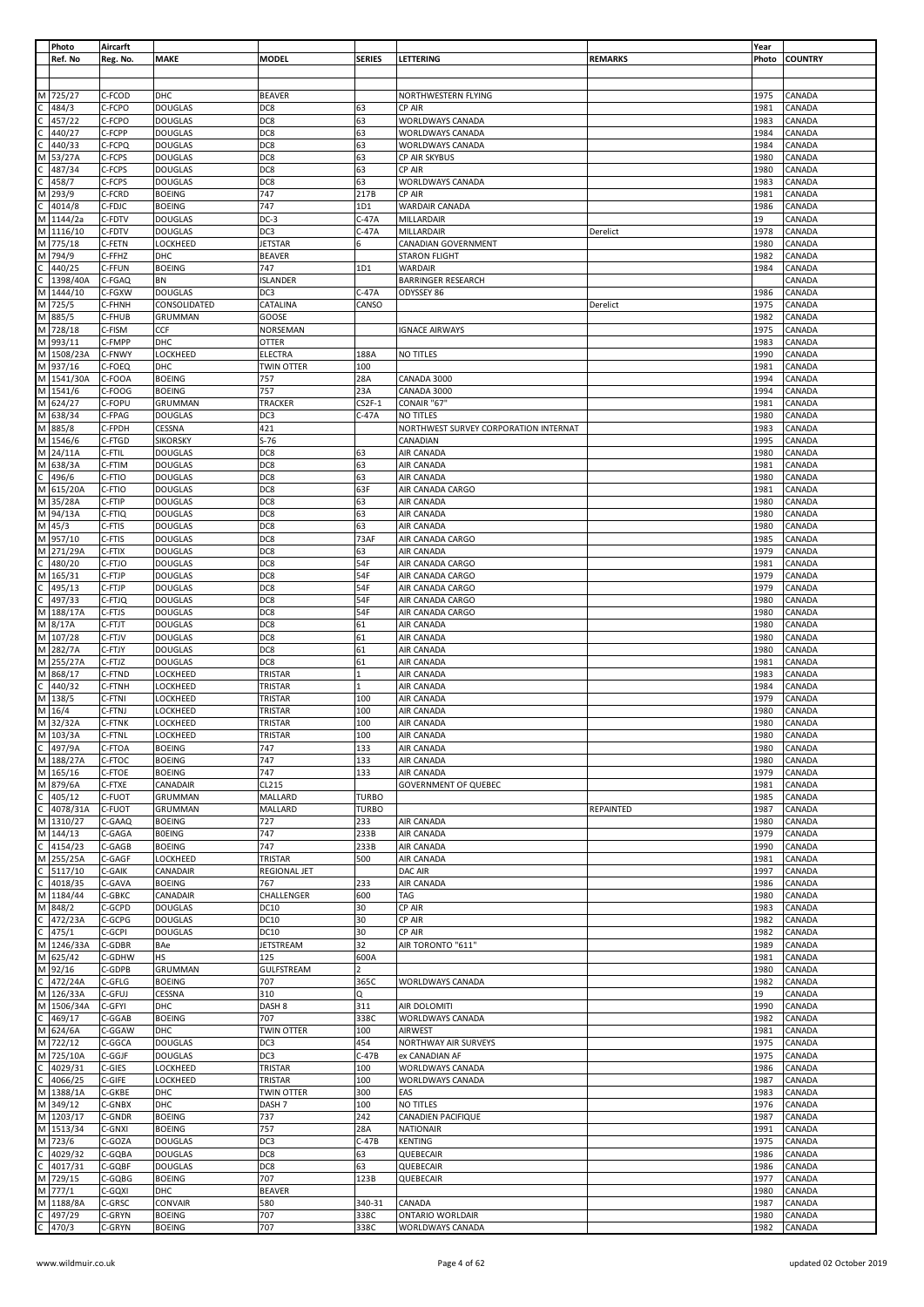|    | Photo           | Aircarft         |                                |                     |                |                                             |                  | Year         |                  |
|----|-----------------|------------------|--------------------------------|---------------------|----------------|---------------------------------------------|------------------|--------------|------------------|
|    | Ref. No         | Reg. No.         | <b>MAKE</b>                    | <b>MODEL</b>        | SERIES         | LETTERING                                   | <b>REMARKS</b>   | Photo        | <b>COUNTRY</b>   |
|    |                 |                  |                                |                     |                |                                             |                  |              |                  |
|    |                 |                  |                                |                     |                |                                             |                  |              |                  |
|    | M 725/27        | C-FCOD           | DHC                            | <b>BEAVER</b>       |                | NORTHWESTERN FLYING                         |                  | 1975         | CANADA           |
|    |                 |                  |                                |                     |                |                                             |                  |              |                  |
|    | 484/3           | C-FCPO           | <b>DOUGLAS</b>                 | DC8                 | 63             | CP AIR                                      |                  | 1981         | CANADA           |
|    | 457/22          | C-FCPO           | <b>DOUGLAS</b>                 | DC8                 | 63             | WORLDWAYS CANADA                            |                  | 1983         | CANADA           |
|    | 440/27          | C-FCPP           | <b>DOUGLAS</b>                 | DC8                 | 63             | WORLDWAYS CANADA                            |                  | 1984         | CANADA           |
|    | 440/33          | C-FCPQ           | <b>DOUGLAS</b>                 | DC8                 | 63             | WORLDWAYS CANADA                            |                  | 1984         | CANADA           |
|    | 53/27A          | C-FCPS           | <b>DOUGLAS</b>                 | DC8                 | 63             | CP AIR SKYBUS                               |                  | 1980         | CANADA           |
|    |                 |                  |                                |                     |                | CP AIR                                      |                  | 1980         |                  |
|    | 487/34          | C-FCPS           | <b>DOUGLAS</b>                 | DC8                 | 63             |                                             |                  |              | CANADA           |
|    | 458/7           | C-FCPS           | <b>DOUGLAS</b>                 | DC8                 | 63             | WORLDWAYS CANADA                            |                  | 1983         | CANADA           |
| M  | 293/9           | C-FCRD           | <b>BOEING</b>                  | 747                 | 217B           | CP AIR                                      |                  | 1981         | CANADA           |
|    | 4014/8          | C-FDJC           | <b>BOEING</b>                  | 747                 | 1D1            | WARDAIR CANADA                              |                  | 1986         | CANADA           |
| М  | 1144/2a         | C-FDTV           | <b>DOUGLAS</b>                 | $DC-3$              | C-47A          | MILLARDAIR                                  |                  | 19           | CANADA           |
| M  | 1116/10         | C-FDTV           | <b>DOUGLAS</b>                 | DC3                 | C-47A          | MILLARDAIR                                  | Derelict         | 1978         | CANADA           |
|    |                 |                  |                                |                     |                |                                             |                  |              |                  |
| M  | 775/18          | C-FETN           | <b>LOCKHEED</b>                | <b>JETSTAR</b>      | 6              | CANADIAN GOVERNMENT                         |                  | 1980         | CANADA           |
| М  | 794/9           | C-FFHZ           | DHC                            | <b>BEAVER</b>       |                | <b>STARON FLIGHT</b>                        |                  | 1982         | CANADA           |
|    | 440/25          | C-FFUN           | <b>BOEING</b>                  | 747                 | 1D1            | WARDAIR                                     |                  | 1984         | CANADA           |
|    | 1398/40A        | C-FGAQ           | <b>BN</b>                      | <b>ISLANDER</b>     |                | <b>BARRINGER RESEARCH</b>                   |                  |              | CANADA           |
| M  | 1444/10         | C-FGXW           | <b>DOUGLAS</b>                 | DC3                 | $C-47A$        | ODYSSEY 86                                  |                  | 1986         | CANADA           |
| M  |                 |                  |                                |                     |                |                                             |                  |              |                  |
|    | 725/5           | C-FHNH           | CONSOLIDATED                   | CATALINA            | CANSO          |                                             | Derelict         | 1975         | CANADA           |
| M  | 885/5           | C-FHUB           | GRUMMAN                        | GOOSE               |                |                                             |                  | 1982         | CANADA           |
| M  | 728/18          | C-FISM           | CCF                            | NORSEMAN            |                | <b>IGNACE AIRWAYS</b>                       |                  | 1975         | CANADA           |
| M  | 993/11          | C-FMPP           | DHC                            | <b>OTTER</b>        |                |                                             |                  | 1983         | CANADA           |
|    | M 1508/23A      | C-FNWY           | LOCKHEED                       | <b>ELECTRA</b>      | 188A           | NO TITLES                                   |                  | 1990         | CANADA           |
| M  | 937/16          | C-FOEQ           | DHC                            | <b>TWIN OTTER</b>   | 100            |                                             |                  | 1981         | CANADA           |
|    |                 |                  |                                |                     |                |                                             |                  |              |                  |
|    | M 1541/30A      | C-FOOA           | <b>BOEING</b>                  | 757                 | 28A            | CANADA 3000                                 |                  | 1994         | CANADA           |
|    | M 1541/6        | C-FOOG           | <b>BOEING</b>                  | 757                 | 23A            | CANADA 3000                                 |                  | 1994         | CANADA           |
| M  | 624/27          | C-FOPU           | GRUMMAN                        | <b>TRACKER</b>      | $C$ S2F-1      | CONAIR "67"                                 |                  | 1981         | CANADA           |
| M  | 638/34          | C-FPAG           | <b>DOUGLAS</b>                 | DC3                 | C-47A          | NO TITLES                                   |                  | 1980         | CANADA           |
| M  | 885/8           | C-FPDH           | CESSNA                         | 421                 |                | NORTHWEST SURVEY CORPORATION INTERNAT       |                  | 1983         | CANADA           |
|    |                 |                  |                                |                     |                |                                             |                  |              |                  |
| M  | 1546/6          | C-FTGD           | <b>SIKORSKY</b>                | $S-76$              |                | CANADIAN                                    |                  | 1995         | CANADA           |
| M  | 24/11A          | C-FTIL           | <b>DOUGLAS</b>                 | DC8                 | 63             | AIR CANADA                                  |                  | 1980         | CANADA           |
| M  | 638/3A          | C-FTIM           | <b>DOUGLAS</b>                 | DC8                 | 63             | AIR CANADA                                  |                  | 1981         | CANADA           |
|    | 496/6           | C-FTIO           | <b>DOUGLAS</b>                 | DC8                 | 63             | AIR CANADA                                  |                  | 1980         | CANADA           |
|    |                 |                  |                                |                     |                |                                             |                  |              |                  |
| м  | 615/20A         | C-FTIO           | <b>DOUGLAS</b>                 | DC8                 | 63F            | AIR CANADA CARGO                            |                  | 1981         | CANADA           |
| M  | 35/28A          | C-FTIP           | <b>DOUGLAS</b>                 | DC8                 | 63             | AIR CANADA                                  |                  | 1980         | CANADA           |
| M  | 94/13A          | C-FTIQ           | <b>DOUGLAS</b>                 | DC8                 | 63             | AIR CANADA                                  |                  | 1980         | CANADA           |
| М  | 45/3            | C-FTIS           | <b>DOUGLAS</b>                 | DC8                 | 63             | AIR CANADA                                  |                  | 1980         | CANADA           |
| M  | 957/10          | C-FTIS           | <b>DOUGLAS</b>                 | DC8                 | 73AF           | AIR CANADA CARGO                            |                  | 1985         | CANADA           |
|    |                 |                  |                                |                     |                |                                             |                  |              |                  |
| M  | 271/29A         | C-FTIX           | <b>DOUGLAS</b>                 | DC8                 | 63             | AIR CANADA                                  |                  | 1979         | CANADA           |
|    | 480/20          | C-FTJO           | <b>DOUGLAS</b>                 | DC8                 | 54F            | AIR CANADA CARGO                            |                  | 1981         | CANADA           |
| M  | 165/31          | C-FTJP           | <b>DOUGLAS</b>                 | DC8                 | 54F            | AIR CANADA CARGO                            |                  | 1979         | CANADA           |
|    | 495/13          | C-FTJP           | <b>DOUGLAS</b>                 | DC8                 | 54F            | AIR CANADA CARGO                            |                  | 1979         | CANADA           |
|    | 497/33          | C-FTJQ           | <b>DOUGLAS</b>                 | DC8                 | 54F            | AIR CANADA CARGO                            |                  | 1980         | CANADA           |
|    |                 |                  |                                |                     |                |                                             |                  |              |                  |
| M  | 188/17A         | C-FTJS           | <b>DOUGLAS</b>                 | DC8                 | 54F            | AIR CANADA CARGO                            |                  | 1980         | CANADA           |
| M  | 8/17A           | C-FTJT           | <b>DOUGLAS</b>                 | DC8                 | 61             | AIR CANADA                                  |                  | 1980         | CANADA           |
| M  | 107/28          | C-FTJV           | <b>DOUGLAS</b>                 | DC8                 | 61             | AIR CANADA                                  |                  | 1980         | CANADA           |
| M  | 282/7A          | C-FTJY           | <b>DOUGLAS</b>                 | DC8                 | 61             | AIR CANADA                                  |                  | 1980         | CANADA           |
|    |                 |                  |                                |                     |                |                                             |                  |              |                  |
| M  | 255/27A         | C-FTJZ           | <b>DOUGLAS</b>                 | DC8                 | 61             | AIR CANADA                                  |                  | 1981         | CANADA           |
| M  | 868/17          | C-FTND           | LOCKHEED                       | <b>TRISTAR</b>      |                | AIR CANADA                                  |                  | 1983         | CANADA           |
| C  | 440/32          | C-FTNH           | LOCKHEED                       | <b>TRISTAR</b>      | 1              | AIR CANADA                                  |                  | 1984         | CANADA           |
|    | M 138/5         | C-FTNI           | LOCKHEED                       | TRISTAR             | 100            | AIR CANADA                                  |                  | 1979         | CANADA           |
| M  | 16/4            | C-FTNJ           | LOCKHEED                       | TRISTAR             | 100            | AIR CANADA                                  |                  | 1980         | CANADA           |
|    |                 |                  |                                |                     |                |                                             |                  |              |                  |
|    | M 32/32A        | C-FTNK           | <b>LOCKHEED</b>                | <b>TRISTAR</b>      | 100            | AIR CANADA                                  |                  | 1980         | CANADA           |
|    | M 103/3A        | C-FTNL           | LOCKHEED                       | TRISTAR             | 100            | AIR CANADA                                  |                  | 1980         | CANADA           |
| C  | 497/9A          | C-FTOA           | <b>BOEING</b>                  | 747                 | 133            | AIR CANADA                                  |                  | 1980         | CANADA           |
|    | M 188/27A       | C-FTOC           | <b>BOEING</b>                  | 747                 | 133            | AIR CANADA                                  |                  | 1980         | CANADA           |
| M  | 165/16          | C-FTOE           | <b>BOEING</b>                  | 747                 | 133            | AIR CANADA                                  |                  | 1979         | CANADA           |
|    |                 |                  |                                |                     |                |                                             |                  |              |                  |
| M  | 879/6A          | C-FTXE           | CANADAIR                       | CL215               |                | <b>GOVERNMENT OF QUEBEC</b>                 |                  | 1981         | CANADA           |
|    | 405/12          | C-FUOT           | GRUMMAN                        | MALLARD             | <b>TURBO</b>   |                                             |                  | 1985         | CANADA           |
|    | 4078/31A        | C-FUOT           | <b>GRUMMAN</b>                 | MALLARD             | <b>TURBO</b>   |                                             | <b>REPAINTED</b> | 1987         | CANADA           |
| M  | 1310/27         | C-GAAQ           | <b>BOEING</b>                  | 727                 | 233            | AIR CANADA                                  |                  | 1980         | CANADA           |
| М  | 144/13          | C-GAGA           | <b>BOEING</b>                  | 747                 | 233B           | <b>AIR CANADA</b>                           |                  | 1979         | CANADA           |
|    | 4154/23         | C-GAGB           | <b>BOEING</b>                  | 747                 | 233B           | AIR CANADA                                  |                  | 1990         | CANADA           |
|    |                 |                  |                                |                     |                |                                             |                  |              |                  |
| М  | 255/25A         | C-GAGF           | <b>LOCKHEED</b>                | TRISTAR             | 500            | AIR CANADA                                  |                  | 1981         | CANADA           |
|    | 5117/10         | C-GAIK           | CANADAIR                       | <b>REGIONAL JET</b> |                | DAC AIR                                     |                  | 1997         | CANADA           |
|    | 4018/35         | C-GAVA           | <b>BOEING</b>                  | 767                 | 233            | AIR CANADA                                  |                  | 1986         | CANADA           |
| М  | 1184/44         | C-GBKC           | CANADAIR                       | CHALLENGER          | 600            | TAG                                         |                  | 1980         | CANADA           |
| M  | 848/2           | C-GCPD           | <b>DOUGLAS</b>                 | <b>DC10</b>         | 30             | CP AIR                                      |                  | 1983         | CANADA           |
|    |                 |                  |                                |                     |                |                                             |                  |              |                  |
|    | 472/23A         | C-GCPG           | <b>DOUGLAS</b>                 | DC10                | 30             | CP AIR                                      |                  | 1982         | CANADA           |
|    | 475/1           | C-GCPI           | <b>DOUGLAS</b>                 | <b>DC10</b>         | 30             | CP AIR                                      |                  | 1982         | CANADA           |
| М  | 1246/33A        | C-GDBR           | BAe                            | <b>JETSTREAM</b>    | 32             | AIR TORONTO "611"                           |                  | 1989         | CANADA           |
| M  | 625/42          | C-GDHW           | <b>HS</b>                      | 125                 | 600A           |                                             |                  | 1981         | CANADA           |
| M  | 92/16           | C-GDPB           | GRUMMAN                        | <b>GULFSTREAM</b>   | $\overline{2}$ |                                             |                  | 1980         | CANADA           |
|    |                 |                  |                                |                     |                |                                             |                  |              |                  |
|    | 472/24A         | C-GFLG           | <b>BOEING</b>                  | 707                 | 365C           | WORLDWAYS CANADA                            |                  | 1982         | CANADA           |
|    | M 126/33A       | C-GFUJ           | CESSNA                         | 310                 | Q              |                                             |                  | 19           | CANADA           |
| M  |                 |                  |                                |                     |                |                                             |                  |              |                  |
|    | 1506/34A        | C-GFYI           | DHC                            | DASH <sub>8</sub>   | 311            | AIR DOLOMITI                                |                  | 1990         | CANADA           |
|    | 469/17          | C-GGAB           | <b>BOEING</b>                  | 707                 | 338C           | WORLDWAYS CANADA                            |                  | 1982         | CANADA           |
|    |                 |                  |                                |                     |                |                                             |                  |              |                  |
|    | M 624/6A        | C-GGAW           | DHC                            | <b>TWIN OTTER</b>   | 100            | <b>AIRWEST</b>                              |                  | 1981         | CANADA           |
|    | M 722/12        | C-GGCA           | <b>DOUGLAS</b>                 | DC <sub>3</sub>     | 454            | NORTHWAY AIR SURVEYS                        |                  | 1975         | CANADA           |
| M  | 725/10A         | C-GGJF           | <b>DOUGLAS</b>                 | DC3                 | $C-47B$        | ex CANADIAN AF                              |                  | 1975         | CANADA           |
| C  | 4029/31         | C-GIES           | <b>LOCKHEED</b>                | TRISTAR             | 100            | WORLDWAYS CANADA                            |                  | 1986         | CANADA           |
|    |                 |                  |                                | TRISTAR             | 100            |                                             |                  | 1987         |                  |
|    | 4066/25         | C-GIFE           | LOCKHEED                       |                     |                | WORLDWAYS CANADA                            |                  |              | CANADA           |
| М  | 1388/1A         | C-GKBE           | DHC                            | <b>TWIN OTTER</b>   | 300            | EAS                                         |                  | 1983         | CANADA           |
| M  | 349/12          | C-GNBX           | DHC                            | DASH <sub>7</sub>   | 100            | NO TITLES                                   |                  | 1976         | CANADA           |
| M  | 1203/17         | C-GNDR           | <b>BOEING</b>                  | 737                 | 242            | CANADIEN PACIFIQUE                          |                  | 1987         | CANADA           |
|    | M 1513/34       | C-GNXI           | <b>BOEING</b>                  | 757                 | 28A            | <b>NATIONAIR</b>                            |                  | 1991         | CANADA           |
|    |                 |                  |                                |                     |                |                                             |                  |              |                  |
| М  | 723/6           | C-GOZA           | <b>DOUGLAS</b>                 | DC3                 | $C-47B$        | <b>KENTING</b>                              |                  | 1975         | CANADA           |
|    | 4029/32         | C-GQBA           | <b>DOUGLAS</b>                 | DC8                 | 63             | QUEBECAIR                                   |                  | 1986         | CANADA           |
| C. | 4017/31         | C-GQBF           | <b>DOUGLAS</b>                 | DC8                 | 63             | QUEBECAIR                                   |                  | 1986         | CANADA           |
| М  | 729/15          | C-GQBG           | <b>BOEING</b>                  | 707                 | 123B           | QUEBECAIR                                   |                  | 1977         | CANADA           |
|    |                 |                  |                                |                     |                |                                             |                  |              |                  |
| M  | 777/1           | C-GQXI           | DHC                            | <b>BEAVER</b>       |                |                                             |                  | 1980         | CANADA           |
|    | M 1188/8A       | C-GRSC           | CONVAIR                        | 580                 | 340-31         | CANADA                                      |                  | 1987         | CANADA           |
|    | 497/29<br>470/3 | C-GRYN<br>C-GRYN | <b>BOEING</b><br><b>BOEING</b> | 707<br>707          | 338C<br>338C   | <b>ONTARIO WORLDAIR</b><br>WORLDWAYS CANADA |                  | 1980<br>1982 | CANADA<br>CANADA |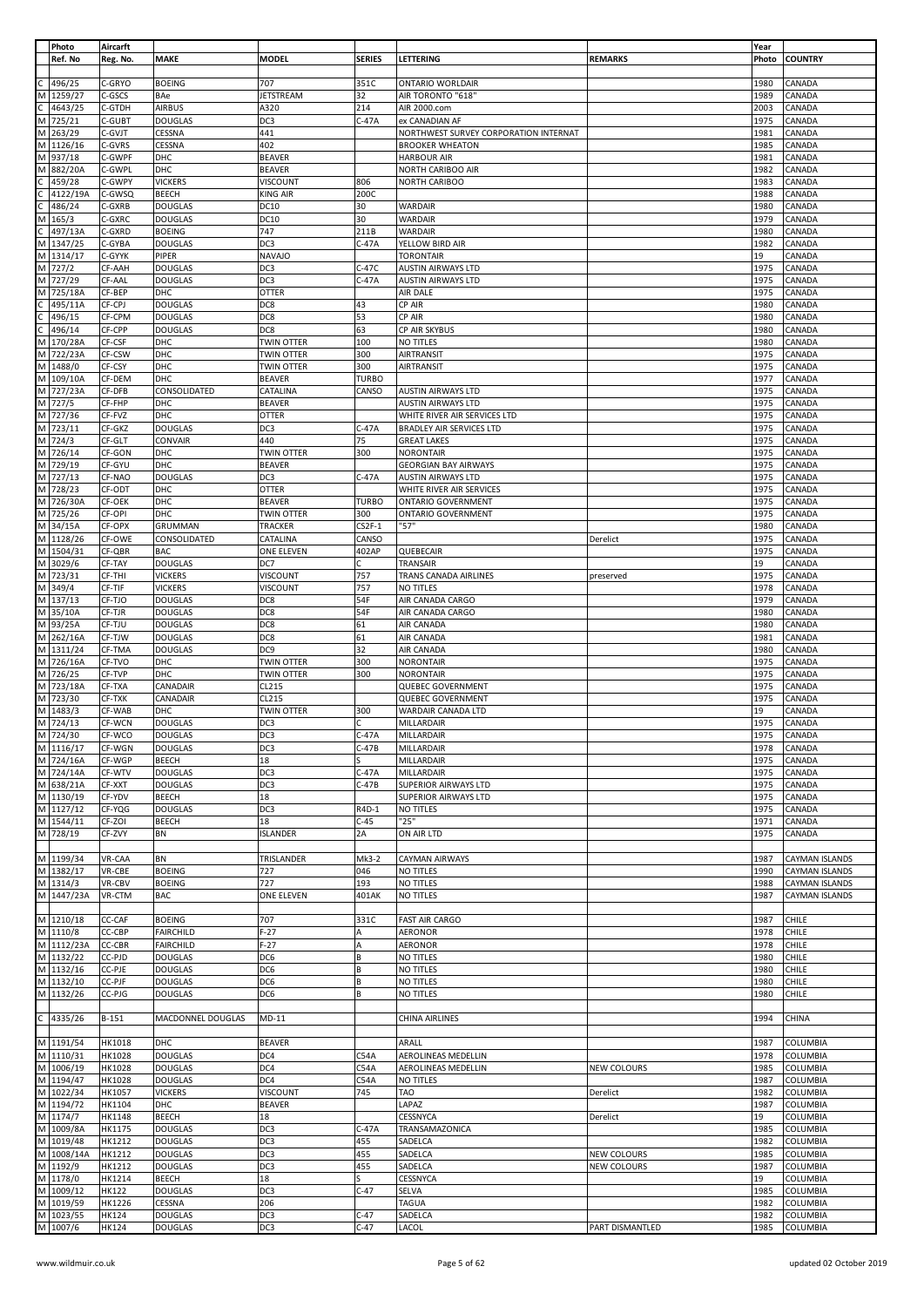|        | Photo                  | Aircarft                |                                  |                           |               |                                                                 |                    | Year         |                       |
|--------|------------------------|-------------------------|----------------------------------|---------------------------|---------------|-----------------------------------------------------------------|--------------------|--------------|-----------------------|
|        | Ref. No                | Reg. No.                | MAKE                             | <b>MODEL</b>              | <b>SERIES</b> | LETTERING                                                       | <b>REMARKS</b>     | Photo        | <b>COUNTRY</b>        |
|        | 496/25                 | C-GRYO                  | <b>BOEING</b>                    | 707                       | 351C          | <b>ONTARIO WORLDAIR</b>                                         |                    | 1980         | CANADA                |
| M      | 1259/27                | C-GSCS                  | BAe                              | JETSTREAM                 | 32            | AIR TORONTO "618"                                               |                    | 1989         | CANADA                |
|        | 4643/25                | C-GTDH                  | <b>AIRBUS</b>                    | A320                      | 214           | AIR 2000.com                                                    |                    | 2003         | CANADA                |
| М      | 725/21                 | C-GUBT                  | <b>DOUGLAS</b>                   | DC3                       | $C-47A$       | ex CANADIAN AF                                                  |                    | 1975         | CANADA                |
| M      | 263/29                 | C-GVJT                  | CESSNA                           | 441                       |               | NORTHWEST SURVEY CORPORATION INTERNAT                           |                    | 1981         | CANADA                |
|        | M 1126/16              | C-GVRS                  | CESSNA                           | 402                       |               | <b>BROOKER WHEATON</b>                                          |                    | 1985         | CANADA                |
|        | M 937/18               | C-GWPF                  | DHC                              | <b>BEAVER</b>             |               | <b>HARBOUR AIR</b>                                              |                    | 1981         | CANADA                |
| M      | 882/20A                | C-GWPL                  | DHC                              | <b>BEAVER</b>             |               | NORTH CARIBOO AIR                                               |                    | 1982         | CANADA                |
|        | 459/28                 | C-GWPY                  | <b>VICKERS</b>                   | VISCOUNT                  | 806           | <b>NORTH CARIBOO</b>                                            |                    | 1983         | CANADA                |
|        | 4122/19A               | C-GWSQ                  | <b>BEECH</b>                     | <b>KING AIR</b>           | 200C          |                                                                 |                    | 1988         | CANADA                |
|        | 486/24                 | C-GXRB                  | <b>DOUGLAS</b>                   | <b>DC10</b>               | 30            | WARDAIR                                                         |                    | 1980         | CANADA                |
| М      | 165/3                  | C-GXRC                  | <b>DOUGLAS</b>                   | DC10                      | 30            | <b>WARDAIR</b>                                                  |                    | 1979         | CANADA                |
|        | 497/13A                | C-GXRD                  | <b>BOEING</b>                    | 747                       | 211B          | <b>WARDAIR</b><br>YELLOW BIRD AIR                               |                    | 1980         | CANADA                |
| M<br>M | 1347/25<br>1314/17     | C-GYBA<br>C-GYYK        | <b>DOUGLAS</b><br>PIPER          | DC3<br><b>NAVAJO</b>      | $C-47A$       | <b>TORONTAIR</b>                                                |                    | 1982<br>19   | CANADA<br>CANADA      |
| M      | 727/2                  | CF-AAH                  | <b>DOUGLAS</b>                   | DC3                       | $C-47C$       | <b>AUSTIN AIRWAYS LTD</b>                                       |                    | 1975         | CANADA                |
|        | M 727/29               | CF-AAL                  | <b>DOUGLAS</b>                   | DC3                       | $C-47A$       | AUSTIN AIRWAYS LTD                                              |                    | 1975         | CANADA                |
| М      | 725/18A                | CF-BEP                  | DHC                              | <b>OTTER</b>              |               | AIR DALE                                                        |                    | 1975         | CANADA                |
|        | 495/11A                | CF-CPJ                  | <b>DOUGLAS</b>                   | DC8                       | 43            | CP AIR                                                          |                    | 1980         | CANADA                |
|        | 496/15                 | CF-CPM                  | <b>DOUGLAS</b>                   | DC8                       | 53            | CP AIR                                                          |                    | 1980         | CANADA                |
|        | 496/14                 | CF-CPP                  | <b>DOUGLAS</b>                   | DC8                       | 63            | CP AIR SKYBUS                                                   |                    | 1980         | CANADA                |
| M      | 170/28A                | CF-CSF                  | DHC                              | <b>TWIN OTTER</b>         | 100           | NO TITLES                                                       |                    | 1980         | CANADA                |
|        | M 722/23A              | CF-CSW                  | DHC                              | <b>TWIN OTTER</b>         | 300           | <b>AIRTRANSIT</b>                                               |                    | 1975         | CANADA                |
| M      | 1488/0                 | CF-CSY                  | DHC                              | TWIN OTTER                | 300           | <b>AIRTRANSIT</b>                                               |                    | 1975         | CANADA                |
| M      | 109/10A                | CF-DEM                  | DHC                              | <b>BEAVER</b>             | <b>TURBO</b>  |                                                                 |                    | 1977         | CANADA                |
| M      | 727/23A                | CF-DFB                  | CONSOLIDATED                     | CATALINA                  | CANSO         | <b>AUSTIN AIRWAYS LTD</b>                                       |                    | 1975         | CANADA                |
|        | M 727/5<br>M 727/36    | CF-FHP                  | DHC                              | <b>BEAVER</b>             |               | AUSTIN AIRWAYS LTD                                              |                    | 1975<br>1975 | CANADA                |
|        | M 723/11               | CF-FVZ<br>CF-GKZ        | DHC<br><b>DOUGLAS</b>            | <b>OTTER</b><br>DC3       | $C-47A$       | WHITE RIVER AIR SERVICES LTD<br><b>BRADLEY AIR SERVICES LTD</b> |                    | 1975         | CANADA<br>CANADA      |
|        | M 724/3                | CF-GLT                  | CONVAIR                          | 440                       | 75            | <b>GREAT LAKES</b>                                              |                    | 1975         | CANADA                |
|        | M 726/14               | CF-GON                  | DHC                              | <b>TWIN OTTER</b>         | 300           | <b>NORONTAIR</b>                                                |                    | 1975         | CANADA                |
|        | M 729/19               | CF-GYU                  | DHC                              | <b>BEAVER</b>             |               | <b>GEORGIAN BAY AIRWAYS</b>                                     |                    | 1975         | CANADA                |
|        | M 727/13               | CF-NAO                  | <b>DOUGLAS</b>                   | DC3                       | $C-47A$       | <b>AUSTIN AIRWAYS LTD</b>                                       |                    | 1975         | CANADA                |
|        | M 728/23               | CF-ODT                  | DHC                              | OTTER                     |               | WHITE RIVER AIR SERVICES                                        |                    | 1975         | CANADA                |
|        | M 726/30A              | CF-OEK                  | DHC                              | <b>BEAVER</b>             | <b>TURBO</b>  | <b>ONTARIO GOVERNMENT</b>                                       |                    | 1975         | CANADA                |
| M      | 725/26                 | CF-OPI                  | DHC                              | TWIN OTTER                | 300           | <b>ONTARIO GOVERNMENT</b>                                       |                    | 1975         | CANADA                |
|        | M 34/15A               | CF-OPX                  | GRUMMAN                          | TRACKER                   | $CS2F-1$      | "57"                                                            |                    | 1980         | CANADA                |
|        | M 1128/26              | CF-OWE                  | CONSOLIDATED                     | CATALINA                  | CANSO         |                                                                 | Derelict           | 1975         | CANADA                |
| M      | 1504/31                | CF-QBR                  | <b>BAC</b>                       | ONE ELEVEN                | 402AP         | QUEBECAIR                                                       |                    | 1975         | CANADA                |
| M      | 3029/6                 | CF-TAY                  | <b>DOUGLAS</b>                   | DC7                       | C             | TRANSAIR                                                        |                    | 19           | CANADA                |
| M<br>M | 723/31                 | CF-THI                  | <b>VICKERS</b>                   | <b>VISCOUNT</b>           | 757           | TRANS CANADA AIRLINES                                           | preserved          | 1975         | CANADA                |
|        | 349/4<br>M 137/13      | CF-TIF<br>CF-TJO        | <b>VICKERS</b><br><b>DOUGLAS</b> | VISCOUNT<br>DC8           | 757<br>54F    | NO TITLES<br>AIR CANADA CARGO                                   |                    | 1978<br>1979 | CANADA<br>CANADA      |
| M      | 35/10A                 | CF-TJR                  | <b>DOUGLAS</b>                   | DC8                       | 54F           | AIR CANADA CARGO                                                |                    | 1980         | CANADA                |
|        | M 93/25A               | CF-TJU                  | <b>DOUGLAS</b>                   | DC8                       | 61            | AIR CANADA                                                      |                    | 1980         | CANADA                |
|        | M 262/16A              | CF-TJW                  | <b>DOUGLAS</b>                   | DC8                       | 61            | AIR CANADA                                                      |                    | 1981         | CANADA                |
| M      | 1311/24                | CF-TMA                  | <b>DOUGLAS</b>                   | DC <sub>9</sub>           | 32            | AIR CANADA                                                      |                    | 1980         | CANADA                |
|        | M 726/16A              | CF-TVO                  | DHC                              | <b>TWIN OTTER</b>         | 300           | <b>NORONTAIR</b>                                                |                    | 1975         | CANADA                |
|        | M 726/25               | CF-TVP                  | DHC                              | TWIN OTTER                | 300           | <b>NORONTAIR</b>                                                |                    | 1975         | CANADA                |
| M      | 723/18A                | CF-TXA                  | CANADAIR                         | CL215                     |               | <b>QUEBEC GOVERNMENT</b>                                        |                    | 1975         | CANADA                |
|        | M 723/30               | CF-TXK                  | CANADAIR                         | CL215                     |               | QUEBEC GOVERNMENT                                               |                    | 1975         | CANADA                |
| M      | 1483/3                 | CF-WAB                  | DHC                              | TWIN OTTER                | 300           | WARDAIR CANADA LTD                                              |                    | 19           | CANADA                |
|        | M 724/13               | CF-WCN                  | <b>DOUGLAS</b>                   | DC3                       | C             | MILLARDAIR                                                      |                    | 1975         | CANADA                |
|        | M 724/30               | CF-WCO                  | <b>DOUGLAS</b>                   | DC3                       | $C-47A$       | <b>MILLARDAIR</b>                                               |                    | 1975         | CANADA                |
|        | M 1116/17<br>M 724/16A | CF-WGN                  | <b>DOUGLAS</b>                   | DC3<br>18                 | $C-47B$<br>ς  | MILLARDAIR                                                      |                    | 1978<br>1975 | CANADA                |
|        | M 724/14A              | CF-WGP<br>CF-WTV        | <b>BEECH</b><br><b>DOUGLAS</b>   | DC3                       | $C-47A$       | MILLARDAIR<br>MILLARDAIR                                        |                    | 1975         | CANADA<br>CANADA      |
|        | M 638/21A              | CF-XXT                  | <b>DOUGLAS</b>                   | DC3                       | C-47B         | SUPERIOR AIRWAYS LTD                                            |                    | 1975         | CANADA                |
|        | M 1130/19              | CF-YDV                  | <b>BEECH</b>                     | 18                        |               | <b>SUPERIOR AIRWAYS LTD</b>                                     |                    | 1975         | CANADA                |
|        | M 1127/12              | CF-YQG                  | <b>DOUGLAS</b>                   | DC3                       | R4D-1         | NO TITLES                                                       |                    | 1975         | CANADA                |
|        | M 1544/11              | CF-ZOI                  | <b>BEECH</b>                     | 18                        | $C-45$        | "25"                                                            |                    | 1971         | CANADA                |
|        | M 728/19               | CF-ZVY                  | <b>BN</b>                        | <b>ISLANDER</b>           | 2A            | ON AIR LTD                                                      |                    | 1975         | CANADA                |
|        |                        |                         |                                  |                           |               |                                                                 |                    |              |                       |
|        | M 1199/34              | VR-CAA                  | BN                               | TRISLANDER                | Mk3-2         | <b>CAYMAN AIRWAYS</b>                                           |                    | 1987         | <b>CAYMAN ISLANDS</b> |
|        | M 1382/17              | VR-CBE                  | <b>BOEING</b>                    | 727                       | 046           | NO TITLES                                                       |                    | 1990         | CAYMAN ISLANDS        |
|        | M 1314/3               | VR-CBV                  | <b>BOEING</b>                    | 727                       | 193           | NO TITLES                                                       |                    | 1988         | CAYMAN ISLANDS        |
|        | M 1447/23A             | VR-CTM                  | <b>BAC</b>                       | <b>ONE ELEVEN</b>         | 401AK         | NO TITLES                                                       |                    | 1987         | <b>CAYMAN ISLANDS</b> |
|        | M 1210/18              |                         | <b>BOEING</b>                    | 707                       |               | <b>FAST AIR CARGO</b>                                           |                    |              |                       |
|        | M 1110/8               | <b>CC-CAF</b><br>CC-CBP | <b>FAIRCHILD</b>                 | $F-27$                    | 331C<br>Α     | AERONOR                                                         |                    | 1987<br>1978 | CHILE<br>CHILE        |
|        | M 1112/23A             | CC-CBR                  | <b>FAIRCHILD</b>                 | $F-27$                    | A             | AERONOR                                                         |                    | 1978         | CHILE                 |
|        | M 1132/22              | CC-PJD                  | <b>DOUGLAS</b>                   | DC6                       | B             | NO TITLES                                                       |                    | 1980         | CHILE                 |
|        | M 1132/16              | CC-PJE                  | <b>DOUGLAS</b>                   | DC6                       | В             | NO TITLES                                                       |                    | 1980         | CHILE                 |
|        | M 1132/10              | CC-PJF                  | <b>DOUGLAS</b>                   | DC6                       | В             | NO TITLES                                                       |                    | 1980         | CHILE                 |
|        | M 1132/26              | CC-PJG                  | <b>DOUGLAS</b>                   | DC6                       | B             | NO TITLES                                                       |                    | 1980         | CHILE                 |
|        |                        |                         |                                  |                           |               |                                                                 |                    |              |                       |
| C      | 4335/26                | B-151                   | MACDONNEL DOUGLAS                | $MD-11$                   |               | <b>CHINA AIRLINES</b>                                           |                    | 1994         | CHINA                 |
|        |                        |                         |                                  |                           |               |                                                                 |                    |              |                       |
|        | M 1191/54              | HK1018                  | DHC                              | <b>BEAVER</b>             |               | ARALL                                                           |                    | 1987         | COLUMBIA              |
|        | M 1110/31              | HK1028                  | <b>DOUGLAS</b>                   | DC4                       | <b>C54A</b>   | AEROLINEAS MEDELLIN                                             |                    | 1978         | COLUMBIA              |
|        | M 1006/19              | HK1028                  | <b>DOUGLAS</b>                   | DC4                       | <b>C54A</b>   | AEROLINEAS MEDELLIN                                             | NEW COLOURS        | 1985         | COLUMBIA              |
|        | M 1194/47<br>M 1022/34 | HK1028                  | <b>DOUGLAS</b>                   | DC4                       | C54A          | NO TITLES                                                       |                    | 1987         | COLUMBIA              |
|        | M 1194/72              | HK1057<br>HK1104        | <b>VICKERS</b><br>DHC            | VISCOUNT<br><b>BEAVER</b> | 745           | <b>TAO</b><br>LAPAZ                                             | Derelict           | 1982<br>1987 | COLUMBIA<br>COLUMBIA  |
|        | M 1174/7               | HK1148                  | <b>BEECH</b>                     | 18                        |               | CESSNYCA                                                        | Derelict           | 19           | COLUMBIA              |
|        | M 1009/8A              | HK1175                  | <b>DOUGLAS</b>                   | DC3                       | $C-47A$       | TRANSAMAZONICA                                                  |                    | 1985         | COLUMBIA              |
|        | M 1019/48              | HK1212                  | <b>DOUGLAS</b>                   | DC3                       | 455           | SADELCA                                                         |                    | 1982         | COLUMBIA              |
|        | M 1008/14A             | HK1212                  | <b>DOUGLAS</b>                   | DC3                       | 455           | SADELCA                                                         | <b>NEW COLOURS</b> | 1985         | COLUMBIA              |
|        | M 1192/9               | HK1212                  | <b>DOUGLAS</b>                   | DC3                       | 455           | SADELCA                                                         | <b>NEW COLOURS</b> | 1987         | COLUMBIA              |
|        | M 1178/0               | HK1214                  | <b>BEECH</b>                     | 18                        | s             | CESSNYCA                                                        |                    | 19           | COLUMBIA              |
|        | M 1009/12              | <b>HK122</b>            | <b>DOUGLAS</b>                   | DC3                       | $C-47$        | <b>SELVA</b>                                                    |                    | 1985         | COLUMBIA              |
|        | M 1019/59              | <b>HK1226</b>           | CESSNA                           | 206                       |               | <b>TAGUA</b>                                                    |                    | 1982         | COLUMBIA              |
|        | M 1023/55              | <b>HK124</b>            | <b>DOUGLAS</b>                   | DC3                       | C-47          | SADELCA                                                         |                    | 1982         | <b>COLUMBIA</b>       |
|        | M 1007/6               | <b>HK124</b>            | <b>DOUGLAS</b>                   | DC3                       | $C-47$        | LACOL                                                           | PART DISMANTLED    | 1985         | COLUMBIA              |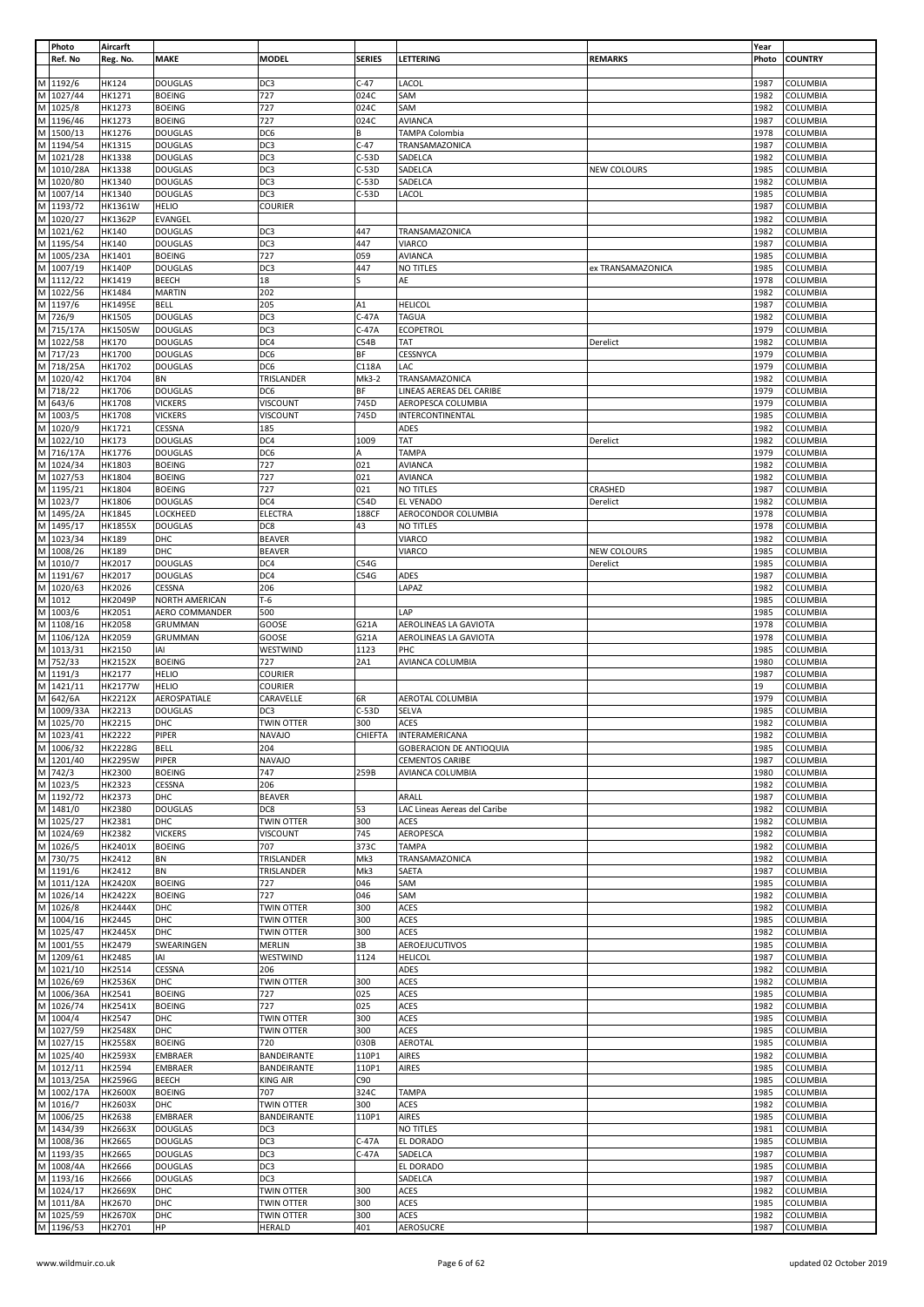|                                                                                                            | Photo      | Aircarft       |                |                   |               |                                |                   | Year  |                 |
|------------------------------------------------------------------------------------------------------------|------------|----------------|----------------|-------------------|---------------|--------------------------------|-------------------|-------|-----------------|
|                                                                                                            | Ref. No    | Reg. No.       | MAKE           | <b>MODEL</b>      | <b>SERIES</b> | LETTERING                      | <b>REMARKS</b>    | Photo | <b>COUNTRY</b>  |
|                                                                                                            |            |                |                |                   |               |                                |                   |       |                 |
|                                                                                                            | M 1192/6   | HK124          | <b>DOUGLAS</b> | DC3               | $C-47$        | LACOL                          |                   | 1987  | COLUMBIA        |
| M                                                                                                          | 1027/44    | HK1271         | <b>BOEING</b>  | 727               | 024C          | SAM                            |                   | 1982  | COLUMBIA        |
| M                                                                                                          |            |                |                |                   |               |                                |                   |       |                 |
|                                                                                                            | 1025/8     | HK1273         | <b>BOEING</b>  | 727               | 024C          | SAM                            |                   | 1982  | COLUMBIA        |
|                                                                                                            | M 1196/46  | HK1273         | <b>BOEING</b>  | 727               | 024C          | <b>AVIANCA</b>                 |                   | 1987  | COLUMBIA        |
| M                                                                                                          | 1500/13    | HK1276         | <b>DOUGLAS</b> | DC6               | B             | TAMPA Colombia                 |                   | 1978  | <b>COLUMBIA</b> |
|                                                                                                            | M 1194/54  | HK1315         | <b>DOUGLAS</b> | DC3               | $C-47$        | TRANSAMAZONICA                 |                   | 1987  | COLUMBIA        |
|                                                                                                            | M 1021/28  | HK1338         | <b>DOUGLAS</b> | DC3               | $C-53D$       | SADELCA                        |                   | 1982  | COLUMBIA        |
|                                                                                                            | M 1010/28A | HK1338         | <b>DOUGLAS</b> | DC3               | $C-53D$       | SADELCA                        | NEW COLOURS       | 1985  | COLUMBIA        |
|                                                                                                            |            |                |                |                   |               |                                |                   |       |                 |
| M                                                                                                          | 1020/80    | HK1340         | <b>DOUGLAS</b> | DC3               | $C-53D$       | SADELCA                        |                   | 1982  | COLUMBIA        |
| M                                                                                                          | 1007/14    | HK1340         | <b>DOUGLAS</b> | DC3               | $C-53D$       | LACOL                          |                   | 1985  | COLUMBIA        |
|                                                                                                            | M 1193/72  | HK1361W        | <b>HELIO</b>   | <b>COURIER</b>    |               |                                |                   | 1987  | COLUMBIA        |
| M                                                                                                          | 1020/27    | <b>HK1362P</b> | EVANGEL        |                   |               |                                |                   | 1982  | COLUMBIA        |
|                                                                                                            |            |                |                |                   |               |                                |                   |       |                 |
| $\mathsf{M}% _{T}=\mathsf{M}_{T}\!\left( a,b\right) ,\ \mathsf{M}_{T}=\mathsf{M}_{T}\!\left( a,b\right) ,$ | 1021/62    | HK140          | <b>DOUGLAS</b> | DC3               | 447           | TRANSAMAZONICA                 |                   | 1982  | COLUMBIA        |
|                                                                                                            | M 1195/54  | HK140          | <b>DOUGLAS</b> | DC3               | 447           | VIARCO                         |                   | 1987  | <b>COLUMBIA</b> |
|                                                                                                            | M 1005/23A | HK1401         | <b>BOEING</b>  | 727               | 059           | <b>AVIANCA</b>                 |                   | 1985  | COLUMBIA        |
| M                                                                                                          | 1007/19    | <b>HK140P</b>  | <b>DOUGLAS</b> | DC3               | 447           | NO TITLES                      | ex TRANSAMAZONICA | 1985  | COLUMBIA        |
|                                                                                                            | M 1112/22  | HK1419         | BEECH          | 18                | S             | AE                             |                   | 1978  | COLUMBIA        |
|                                                                                                            | M 1022/56  |                |                |                   |               |                                |                   |       |                 |
|                                                                                                            |            | HK1484         | <b>MARTIN</b>  | 202               |               |                                |                   | 1982  | COLUMBIA        |
|                                                                                                            | M 1197/6   | <b>HK1495E</b> | <b>BELL</b>    | 205               | A1            | <b>HELICOL</b>                 |                   | 1987  | COLUMBIA        |
|                                                                                                            | M 726/9    | HK1505         | <b>DOUGLAS</b> | DC3               | $C-47A$       | <b>TAGUA</b>                   |                   | 1982  | COLUMBIA        |
|                                                                                                            | M 715/17A  | <b>HK1505W</b> | <b>DOUGLAS</b> | DC3               | $C-47A$       | ECOPETROL                      |                   | 1979  | COLUMBIA        |
|                                                                                                            | M 1022/58  | HK170          | <b>DOUGLAS</b> | DC4               | C54B          | TAT                            | Derelict          | 1982  | COLUMBIA        |
|                                                                                                            |            |                |                |                   |               |                                |                   |       |                 |
|                                                                                                            | M 717/23   | HK1700         | <b>DOUGLAS</b> | DC6               | BF            | CESSNYCA                       |                   | 1979  | COLUMBIA        |
|                                                                                                            | M 718/25A  | HK1702         | <b>DOUGLAS</b> | DC6               | C118A         | LAC                            |                   | 1979  | COLUMBIA        |
|                                                                                                            | M 1020/42  | HK1704         | BN             | TRISLANDER        | Mk3-2         | TRANSAMAZONICA                 |                   | 1982  | COLUMBIA        |
|                                                                                                            | M 718/22   | HK1706         | <b>DOUGLAS</b> | DC6               | BF            | LINEAS AEREAS DEL CARIBE       |                   | 1979  | COLUMBIA        |
|                                                                                                            | M 643/6    | HK1708         | <b>VICKERS</b> | VISCOUNT          | 745D          | AEROPESCA COLUMBIA             |                   | 1979  | COLUMBIA        |
|                                                                                                            |            |                |                |                   |               |                                |                   |       |                 |
|                                                                                                            | M 1003/5   | HK1708         | <b>VICKERS</b> | VISCOUNT          | 745D          | INTERCONTINENTAL               |                   | 1985  | COLUMBIA        |
|                                                                                                            | M 1020/9   | HK1721         | CESSNA         | 185               |               | ADES                           |                   | 1982  | COLUMBIA        |
| M                                                                                                          | 1022/10    | HK173          | <b>DOUGLAS</b> | DC4               | 1009          | TAT                            | Derelict          | 1982  | COLUMBIA        |
|                                                                                                            | M 716/17A  | HK1776         | <b>DOUGLAS</b> | DC6               | Α             | TAMPA                          |                   | 1979  | COLUMBIA        |
|                                                                                                            | M 1024/34  |                |                |                   | 021           |                                |                   |       |                 |
|                                                                                                            |            | HK1803         | <b>BOEING</b>  | 727               |               | <b>AVIANCA</b>                 |                   | 1982  | COLUMBIA        |
|                                                                                                            | M 1027/53  | HK1804         | <b>BOEING</b>  | 727               | 021           | <b>AVIANCA</b>                 |                   | 1982  | COLUMBIA        |
|                                                                                                            | M 1195/21  | HK1804         | <b>BOEING</b>  | 727               | 021           | NO TITLES                      | CRASHED           | 1987  | COLUMBIA        |
|                                                                                                            | M 1023/7   | HK1806         | <b>DOUGLAS</b> | DC4               | C54D          | EL VENADO                      | Derelict          | 1982  | COLUMBIA        |
|                                                                                                            | M 1495/2A  | HK1845         | LOCKHEED       | <b>ELECTRA</b>    | 188CF         | AEROCONDOR COLUMBIA            |                   | 1978  | COLUMBIA        |
|                                                                                                            |            |                |                |                   |               |                                |                   |       |                 |
| M                                                                                                          | 1495/17    | HK1855X        | <b>DOUGLAS</b> | DC8               | 43            | NO TITLES                      |                   | 1978  | COLUMBIA        |
| Σ                                                                                                          | 1023/34    | HK189          | DHC            | <b>BEAVER</b>     |               | VIARCO                         |                   | 1982  | COLUMBIA        |
|                                                                                                            | M 1008/26  | HK189          | DHC            | <b>BEAVER</b>     |               | VIARCO                         | NEW COLOURS       | 1985  | COLUMBIA        |
|                                                                                                            | M 1010/7   | HK2017         | <b>DOUGLAS</b> | DC4               | C54G          |                                | Derelict          | 1985  | COLUMBIA        |
|                                                                                                            | M 1191/67  | HK2017         | <b>DOUGLAS</b> | DC4               | C54G          | <b>ADES</b>                    |                   | 1987  | COLUMBIA        |
|                                                                                                            |            |                |                |                   |               |                                |                   |       |                 |
|                                                                                                            | M 1020/63  | HK2026         | CESSNA         | 206               |               | LAPAZ                          |                   | 1982  | COLUMBIA        |
|                                                                                                            | M 1012     | <b>HK2049P</b> | NORTH AMERICAN | $T-6$             |               |                                |                   | 1985  | COLUMBIA        |
| M                                                                                                          | 1003/6     | HK2051         | AERO COMMANDER | 500               |               | LAP                            |                   | 1985  | COLUMBIA        |
|                                                                                                            | M 1108/16  | HK2058         | GRUMMAN        | GOOSE             | G21A          | AEROLINEAS LA GAVIOTA          |                   | 1978  | COLUMBIA        |
| $\mathsf{M}% _{T}=\mathsf{M}_{T}\!\left( a,b\right) ,\ \mathsf{M}_{T}=\mathsf{M}_{T}\!\left( a,b\right) ,$ |            |                |                |                   |               |                                |                   |       |                 |
|                                                                                                            | 1106/12A   | HK2059         | GRUMMAN        | GOOSE             | G21A          | AEROLINEAS LA GAVIOTA          |                   | 1978  | COLUMBIA        |
|                                                                                                            | M 1013/31  | HK2150         | IAI            | WESTWIND          | 1123          | PHC                            |                   | 1985  | COLUMBIA        |
| M                                                                                                          | 752/33     | <b>HK2152X</b> | <b>BOEING</b>  | 727               | 2A1           | AVIANCA COLUMBIA               |                   | 1980  | COLUMBIA        |
| M                                                                                                          | 1191/3     | HK2177         | <b>HELIO</b>   | <b>COURIER</b>    |               |                                |                   | 1987  | COLUMBIA        |
|                                                                                                            | M 1421/11  | <b>HK2177W</b> | <b>HELIO</b>   | <b>COURIER</b>    |               |                                |                   | 19    | COLUMBIA        |
|                                                                                                            |            |                |                |                   |               |                                |                   |       |                 |
| M                                                                                                          | 642/6A     | HK2212X        | AEROSPATIALE   | CARAVELLE         | 6R            | AEROTAL COLUMBIA               |                   | 1979  | COLUMBIA        |
| ${\sf M}$                                                                                                  | 1009/33A   | HK2213         | DOUGLAS        | DC3               | $C-53D$       | <b>SELVA</b>                   |                   | 1985  | COLUMBIA        |
|                                                                                                            | M 1025/70  | HK2215         | DHC            | <b>TWIN OTTER</b> | 300           | <b>ACES</b>                    |                   | 1982  | <b>COLUMBIA</b> |
|                                                                                                            | M 1023/41  | HK2222         | PIPER          | <b>NAVAJO</b>     |               | CHIEFTA   INTERAMERICANA       |                   | 1982  | <b>COLUMBIA</b> |
|                                                                                                            | M 1006/32  | HK2228G        | <b>BELL</b>    | 204               |               | <b>GOBERACION DE ANTIOQUIA</b> |                   | 1985  | <b>COLUMBIA</b> |
|                                                                                                            |            |                |                |                   |               |                                |                   |       |                 |
|                                                                                                            | M 1201/40  | <b>HK2295W</b> | PIPER          | <b>NAVAJO</b>     |               | <b>CEMENTOS CARIBE</b>         |                   | 1987  | COLUMBIA        |
|                                                                                                            | M 742/3    | HK2300         | <b>BOEING</b>  | 747               | 259B          | AVIANCA COLUMBIA               |                   | 1980  | COLUMBIA        |
|                                                                                                            | M 1023/5   | HK2323         | CESSNA         | 206               |               |                                |                   | 1982  | COLUMBIA        |
|                                                                                                            | M 1192/72  | HK2373         | DHC            | <b>BEAVER</b>     |               | ARALL                          |                   | 1987  | COLUMBIA        |
|                                                                                                            | M 1481/0   | HK2380         | <b>DOUGLAS</b> | DC8               | 53            | LAC Lineas Aereas del Caribe   |                   | 1982  | COLUMBIA        |
|                                                                                                            |            |                |                |                   |               |                                |                   |       |                 |
|                                                                                                            | M 1025/27  | HK2381         | DHC            | <b>TWIN OTTER</b> | 300           | <b>ACES</b>                    |                   | 1982  | COLUMBIA        |
|                                                                                                            | M 1024/69  | HK2382         | <b>VICKERS</b> | VISCOUNT          | 745           | AEROPESCA                      |                   | 1982  | COLUMBIA        |
| M                                                                                                          | 1026/5     | HK2401X        | <b>BOEING</b>  | 707               | 373C          | <b>TAMPA</b>                   |                   | 1982  | COLUMBIA        |
|                                                                                                            | M 730/75   | HK2412         | BN             | TRISLANDER        | Mk3           | TRANSAMAZONICA                 |                   | 1982  | COLUMBIA        |
|                                                                                                            | M 1191/6   | HK2412         | ΒN             | TRISLANDER        | Mk3           | SAETA                          |                   | 1987  | COLUMBIA        |
|                                                                                                            | M 1011/12A |                |                |                   |               |                                |                   |       |                 |
|                                                                                                            |            | <b>HK2420X</b> | <b>BOEING</b>  | 727               | 046           | SAM                            |                   | 1985  | <b>COLUMBIA</b> |
|                                                                                                            | M 1026/14  | <b>HK2422X</b> | <b>BOEING</b>  | 727               | 046           | SAM                            |                   | 1982  | COLUMBIA        |
|                                                                                                            | M 1026/8   | <b>HK2444X</b> | DHC            | <b>TWIN OTTER</b> | 300           | <b>ACES</b>                    |                   | 1982  | COLUMBIA        |
|                                                                                                            | M 1004/16  | HK2445         | DHC            | <b>TWIN OTTER</b> | 300           | <b>ACES</b>                    |                   | 1985  | COLUMBIA        |
|                                                                                                            | M 1025/47  | <b>HK2445X</b> | DHC            | TWIN OTTER        | 300           | <b>ACES</b>                    |                   | 1982  | <b>COLUMBIA</b> |
|                                                                                                            | M 1001/55  | HK2479         | SWEARINGEN     | MERLIN            | 3B            | AEROEJUCUTIVOS                 |                   | 1985  | COLUMBIA        |
|                                                                                                            |            |                |                |                   |               |                                |                   |       |                 |
|                                                                                                            | M 1209/61  | HK2485         | IAI            | WESTWIND          | 1124          | <b>HELICOL</b>                 |                   | 1987  | COLUMBIA        |
|                                                                                                            | M 1021/10  | HK2514         | CESSNA         | 206               |               | ADES                           |                   | 1982  | <b>COLUMBIA</b> |
| $\mathsf{M}% _{T}=\mathsf{M}_{T}\!\left( a,b\right) ,\ \mathsf{M}_{T}=\mathsf{M}_{T}\!\left( a,b\right) ,$ | 1026/69    | <b>HK2536X</b> | DHC            | <b>TWIN OTTER</b> | 300           | <b>ACES</b>                    |                   | 1982  | COLUMBIA        |
|                                                                                                            | M 1006/36A | HK2541         | <b>BOEING</b>  | 727               | 025           | <b>ACES</b>                    |                   | 1985  | COLUMBIA        |
|                                                                                                            | M 1026/74  | HK2541X        |                | 727               | 025           | <b>ACES</b>                    |                   | 1982  | COLUMBIA        |
|                                                                                                            |            |                | <b>BOEING</b>  |                   |               |                                |                   |       |                 |
| M                                                                                                          | 1004/4     | HK2547         | DHC            | <b>TWIN OTTER</b> | 300           | <b>ACES</b>                    |                   | 1985  | COLUMBIA        |
|                                                                                                            | M 1027/59  | HK2548X        | DHC            | <b>TWIN OTTER</b> | 300           | <b>ACES</b>                    |                   | 1985  | COLUMBIA        |
|                                                                                                            | M 1027/15  | <b>HK2558X</b> | <b>BOEING</b>  | 720               | 030B          | AEROTAL                        |                   | 1985  | COLUMBIA        |
| M                                                                                                          | 1025/40    | <b>HK2593X</b> | EMBRAER        | BANDEIRANTE       | 110P1         | <b>AIRES</b>                   |                   | 1982  | <b>COLUMBIA</b> |
|                                                                                                            |            |                |                |                   |               |                                |                   |       |                 |
|                                                                                                            | M 1012/11  | HK2594         | <b>EMBRAER</b> | BANDEIRANTE       | 110P1         | <b>AIRES</b>                   |                   | 1985  | COLUMBIA        |
|                                                                                                            | M 1013/25A | <b>HK2596G</b> | BEECH          | <b>KING AIR</b>   | C90           |                                |                   | 1985  | COLUMBIA        |
|                                                                                                            | M 1002/17A | <b>HK2600X</b> | <b>BOEING</b>  | 707               | 324C          | <b>TAMPA</b>                   |                   | 1985  | COLUMBIA        |
|                                                                                                            | M 1016/7   | HK2603X        | DHC            | TWIN OTTER        | 300           | <b>ACES</b>                    |                   | 1982  | COLUMBIA        |
|                                                                                                            | M 1006/25  | HK2638         | <b>EMBRAER</b> | BANDEIRANTE       | 110P1         | <b>AIRES</b>                   |                   | 1985  | COLUMBIA        |
|                                                                                                            |            |                |                |                   |               |                                |                   |       |                 |
|                                                                                                            | M 1434/39  | <b>HK2663X</b> | <b>DOUGLAS</b> | DC3               |               | NO TITLES                      |                   | 1981  | COLUMBIA        |
|                                                                                                            | M 1008/36  | HK2665         | <b>DOUGLAS</b> | DC3               | $C-47A$       | EL DORADO                      |                   | 1985  | COLUMBIA        |
|                                                                                                            | M 1193/35  | HK2665         | <b>DOUGLAS</b> | DC3               | $C-47A$       | SADELCA                        |                   | 1987  | <b>COLUMBIA</b> |
|                                                                                                            | M 1008/4A  | HK2666         | <b>DOUGLAS</b> | DC3               |               | EL DORADO                      |                   | 1985  | COLUMBIA        |
|                                                                                                            | M 1193/16  | HK2666         |                | DC3               |               | SADELCA                        |                   | 1987  | COLUMBIA        |
|                                                                                                            |            |                | <b>DOUGLAS</b> |                   |               |                                |                   |       |                 |
|                                                                                                            | M 1024/17  | <b>HK2669X</b> | DHC            | TWIN OTTER        | 300           | ACES                           |                   | 1982  | <b>COLUMBIA</b> |
|                                                                                                            | M 1011/8A  | HK2670         | DHC            | <b>TWIN OTTER</b> | 300           | <b>ACES</b>                    |                   | 1985  | <b>COLUMBIA</b> |
|                                                                                                            | M 1025/59  | <b>HK2670X</b> | DHC            | <b>TWIN OTTER</b> | 300           | <b>ACES</b>                    |                   | 1982  | <b>COLUMBIA</b> |
|                                                                                                            | M 1196/53  | HK2701         | HP             | <b>HERALD</b>     | 401           | <b>AEROSUCRE</b>               |                   | 1987  | <b>COLUMBIA</b> |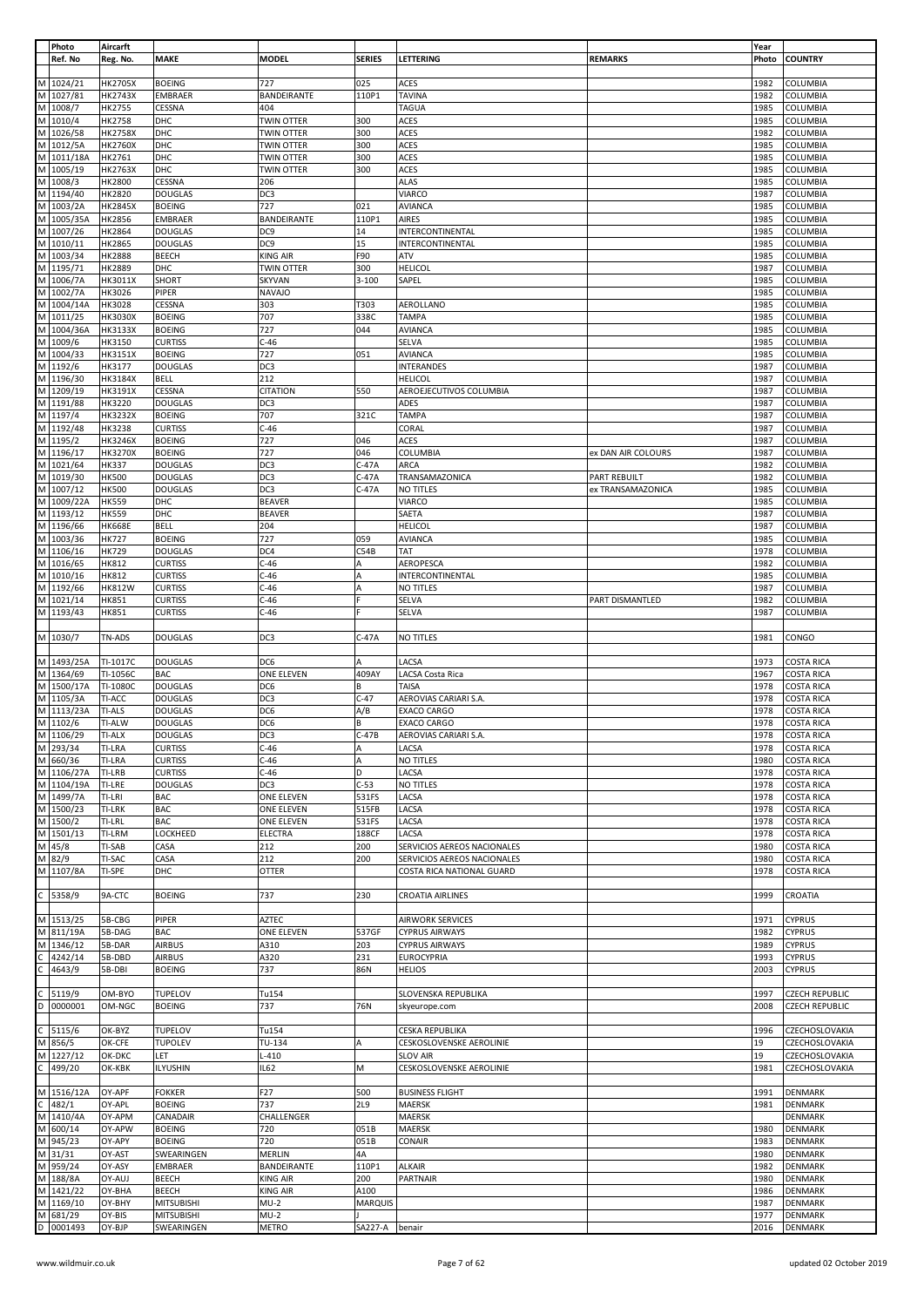|                                                                                                            | Photo<br>Ref. No       | Aircarft<br>Reg. No.          | MAKE                             | <b>MODEL</b>                | <b>SERIES</b>    | LETTERING                                   | <b>REMARKS</b>         | Year<br>Photo | <b>COUNTRY</b>                         |
|------------------------------------------------------------------------------------------------------------|------------------------|-------------------------------|----------------------------------|-----------------------------|------------------|---------------------------------------------|------------------------|---------------|----------------------------------------|
|                                                                                                            |                        |                               |                                  |                             |                  |                                             |                        |               |                                        |
| M                                                                                                          | 1024/21                | <b>HK2705X</b>                | <b>BOEING</b>                    | 727                         | 025              | <b>ACES</b>                                 |                        | 1982          | COLUMBIA                               |
| $\mathsf{M}% _{T}=\mathsf{M}_{T}\!\left( a,b\right) ,\ \mathsf{M}_{T}=\mathsf{M}_{T}\!\left( a,b\right) ,$ | 1027/81<br>M 1008/7    | HK2743X                       | EMBRAER                          | BANDEIRANTE<br>404          | 110P1            | <b>TAVINA</b>                               |                        | 1982<br>1985  | COLUMBIA                               |
|                                                                                                            | M 1010/4               | HK2755<br>HK2758              | CESSNA<br>DHC                    | <b>TWIN OTTER</b>           | 300              | <b>TAGUA</b><br><b>ACES</b>                 |                        | 1985          | COLUMBIA<br><b>COLUMBIA</b>            |
| $\mathsf{M}% _{T}=\mathsf{M}_{T}\!\left( a,b\right) ,\ \mathsf{M}_{T}=\mathsf{M}_{T}$                      | 1026/58                | <b>HK2758X</b>                | DHC                              | <b>TWIN OTTER</b>           | 300              | ACES                                        |                        | 1982          | COLUMBIA                               |
|                                                                                                            | M 1012/5A              | <b>HK2760X</b>                | DHC                              | <b>TWIN OTTER</b>           | 300              | ACES                                        |                        | 1985          | COLUMBIA                               |
|                                                                                                            | M 1011/18A             | HK2761                        | DHC                              | <b>TWIN OTTER</b>           | 300              | ACES                                        |                        | 1985          | COLUMBIA                               |
| M                                                                                                          | 1005/19                | HK2763X                       | DHC                              | <b>TWIN OTTER</b>           | 300              | ACES                                        |                        | 1985          | COLUMBIA                               |
|                                                                                                            | M 1008/3               | HK2800                        | CESSNA                           | 206                         |                  | <b>ALAS</b>                                 |                        | 1985          | COLUMBIA                               |
| M                                                                                                          | M 1194/40<br>1003/2A   | HK2820<br>HK2845X             | <b>DOUGLAS</b><br><b>BOEING</b>  | DC <sub>3</sub><br>727      | 021              | VIARCO<br><b>AVIANCA</b>                    |                        | 1987<br>1985  | COLUMBIA<br>COLUMBIA                   |
|                                                                                                            | M 1005/35A             | HK2856                        | <b>EMBRAER</b>                   | BANDEIRANTE                 | 110P1            | AIRES                                       |                        | 1985          | COLUMBIA                               |
| M                                                                                                          | 1007/26                | HK2864                        | <b>DOUGLAS</b>                   | DC9                         | 14               | INTERCONTINENTAL                            |                        | 1985          | COLUMBIA                               |
|                                                                                                            | M 1010/11              | <b>HK2865</b>                 | <b>DOUGLAS</b>                   | DC9                         | 15               | INTERCONTINENTAL                            |                        | 1985          | COLUMBIA                               |
|                                                                                                            | M 1003/34              | <b>HK2888</b>                 | <b>BEECH</b>                     | <b>KING AIR</b>             | F90              | ATV                                         |                        | 1985          | COLUMBIA                               |
|                                                                                                            | M 1195/71<br>M 1006/7A | HK2889<br>HK3011X             | DHC<br>SHORT                     | TWIN OTTER<br><b>SKYVAN</b> | 300<br>$3 - 100$ | <b>HELICOL</b><br>SAPEL                     |                        | 1987<br>1985  | COLUMBIA<br>COLUMBIA                   |
|                                                                                                            | M 1002/7A              | HK3026                        | PIPER                            | <b>NAVAJO</b>               |                  |                                             |                        | 1985          | COLUMBIA                               |
| $\mathsf{M}% _{T}=\mathsf{M}_{T}\!\left( a,b\right) ,\ \mathsf{M}_{T}=\mathsf{M}_{T}\!\left( a,b\right) ,$ | 1004/14A               | HK3028                        | CESSNA                           | 303                         | T303             | AEROLLANO                                   |                        | 1985          | COLUMBIA                               |
|                                                                                                            | M 1011/25              | <b>HK3030X</b>                | <b>BOEING</b>                    | 707                         | 338C             | <b>TAMPA</b>                                |                        | 1985          | COLUMBIA                               |
|                                                                                                            | M 1004/36A             | HK3133X                       | <b>BOEING</b>                    | 727                         | 044              | <b>AVIANCA</b>                              |                        | 1985          | COLUMBIA                               |
| M                                                                                                          | 1009/6                 | HK3150                        | <b>CURTISS</b>                   | $C-46$                      |                  | <b>SELVA</b>                                |                        | 1985          | COLUMBIA                               |
|                                                                                                            | M 1004/33<br>M 1192/6  | HK3151X<br>HK3177             | <b>BOEING</b><br><b>DOUGLAS</b>  | 727<br>DC3                  | 051              | <b>AVIANCA</b><br><b>INTERANDES</b>         |                        | 1985<br>1987  | COLUMBIA<br>COLUMBIA                   |
|                                                                                                            | M 1196/30              | HK3184X                       | <b>BELL</b>                      | 212                         |                  | <b>HELICOL</b>                              |                        | 1987          | COLUMBIA                               |
|                                                                                                            | M 1209/19              | HK3191X                       | CESSNA                           | <b>CITATION</b>             | 550              | AEROEJECUTIVOS COLUMBIA                     |                        | 1987          | COLUMBIA                               |
|                                                                                                            | M 1191/88              | HK3220                        | <b>DOUGLAS</b>                   | DC3                         |                  | ADES                                        |                        | 1987          | COLUMBIA                               |
|                                                                                                            | M 1197/4               | <b>HK3232X</b>                | <b>BOEING</b>                    | 707                         | 321C             | <b>TAMPA</b>                                |                        | 1987          | <b>COLUMBIA</b>                        |
|                                                                                                            | M 1192/48<br>M 1195/2  | HK3238                        | <b>CURTISS</b>                   | $C-46$<br>727               |                  | CORAL<br>ACES                               |                        | 1987          | COLUMBIA                               |
|                                                                                                            | M 1196/17              | HK3246X<br>HK3270X            | <b>BOEING</b><br><b>BOEING</b>   | 727                         | 046<br>046       | COLUMBIA                                    | ex DAN AIR COLOURS     | 1987<br>1987  | COLUMBIA<br>COLUMBIA                   |
|                                                                                                            | M 1021/64              | <b>HK337</b>                  | <b>DOUGLAS</b>                   | DC3                         | $C-47A$          | ARCA                                        |                        | 1982          | COLUMBIA                               |
| M                                                                                                          | 1019/30                | <b>HK500</b>                  | <b>DOUGLAS</b>                   | DC3                         | $C-47A$          | TRANSAMAZONICA                              | <b>PART REBUILT</b>    | 1982          | <b>COLUMBIA</b>                        |
|                                                                                                            | M 1007/12              | <b>HK500</b>                  | <b>DOUGLAS</b>                   | DC3                         | $C-47A$          | NO TITLES                                   | ex TRANSAMAZONICA      | 1985          | COLUMBIA                               |
|                                                                                                            | M 1009/22A             | <b>HK559</b>                  | DHC                              | <b>BEAVER</b>               |                  | VIARCO                                      |                        | 1985          | COLUMBIA                               |
| M                                                                                                          | 1193/12<br>M 1196/66   | <b>HK559</b><br><b>HK668E</b> | DHC<br><b>BELL</b>               | <b>BEAVER</b><br>204        |                  | SAETA<br><b>HELICOL</b>                     |                        | 1987<br>1987  | COLUMBIA<br>COLUMBIA                   |
|                                                                                                            | M 1003/36              | <b>HK727</b>                  | <b>BOEING</b>                    | 727                         | 059              | <b>AVIANCA</b>                              |                        | 1985          | COLUMBIA                               |
|                                                                                                            | M 1106/16              | HK729                         | <b>DOUGLAS</b>                   | DC4                         | C54B             | <b>TAT</b>                                  |                        | 1978          | COLUMBIA                               |
|                                                                                                            | M 1016/65              | HK812                         | <b>CURTISS</b>                   | $C-46$                      | Α                | AEROPESCA                                   |                        | 1982          | COLUMBIA                               |
| $\mathsf{M}% _{T}=\mathsf{M}_{T}\!\left( a,b\right) ,\ \mathsf{M}_{T}=\mathsf{M}_{T}\!\left( a,b\right) ,$ | 1010/16                | <b>HK812</b>                  | <b>CURTISS</b>                   | $C-46$                      | A                | INTERCONTINENTAL                            |                        | 1985          | COLUMBIA                               |
|                                                                                                            | M 1192/66              | <b>HK812W</b>                 | <b>CURTISS</b>                   | $C-46$                      | A                | NO TITLES                                   |                        | 1987          | COLUMBIA                               |
|                                                                                                            | M 1021/14<br>M 1193/43 | <b>HK851</b><br>HK851         | <b>CURTISS</b><br><b>CURTISS</b> | $C-46$<br>$C-46$            |                  | SELVA<br><b>SELVA</b>                       | <b>PART DISMANTLED</b> | 1982<br>1987  | COLUMBIA<br>COLUMBIA                   |
|                                                                                                            |                        |                               |                                  |                             |                  |                                             |                        |               |                                        |
|                                                                                                            | M 1030/7               | TN-ADS                        | <b>DOUGLAS</b>                   | DC3                         | $C-47A$          | NO TITLES                                   |                        | 1981          | CONGO                                  |
|                                                                                                            |                        |                               |                                  |                             |                  |                                             |                        |               |                                        |
|                                                                                                            | M 1493/25A             | TI-1017C                      | <b>DOUGLAS</b>                   | DC <sub>6</sub>             | A                | LACSA                                       |                        | 1973          | <b>COSTA RICA</b>                      |
| M                                                                                                          | M 1364/69<br>1500/17A  | TI-1056C<br>TI-1080C          | BAC<br><b>DOUGLAS</b>            | ONE ELEVEN<br>DC6           | 409AY<br>B       | LACSA Costa Rica<br>TAISA                   |                        | 1967<br>1978  | <b>COSTA RICA</b><br><b>COSTA RICA</b> |
|                                                                                                            | M 1105/3A              | TI-ACC                        | <b>DOUGLAS</b>                   | DC3                         | $C-47$           | AEROVIAS CARIARI S.A.                       |                        | 1978          | <b>COSTA RICA</b>                      |
|                                                                                                            | M 1113/23A             | TI-ALS                        | <b>DOUGLAS</b>                   | DC6                         | A/B              | EXACO CARGO                                 |                        | 1978          | <b>COSTA RICA</b>                      |
|                                                                                                            | M 1102/6               | TI-ALW                        | <b>DOUGLAS</b>                   | DC6                         | B                | <b>EXACO CARGO</b>                          |                        | 1978          | <b>COSTA RICA</b>                      |
|                                                                                                            | M 1106/29              | TI-ALX                        | <b>DOUGLAS</b>                   | DC3                         | $C-47B$          | AEROVIAS CARIARI S.A.                       |                        | 1978          | <b>COSTA RICA</b>                      |
|                                                                                                            | M 293/34<br>M 660/36   | TI-LRA<br>TI-LRA              | <b>CURTISS</b><br><b>CURTISS</b> | $C-46$<br>$C-46$            | A<br>l A         | LACSA<br>NO TITLES                          |                        | 1978<br>1980  | <b>COSTA RICA</b><br><b>COSTA RICA</b> |
|                                                                                                            | M 1106/27A             | TI-LRB                        | <b>CURTISS</b>                   | $C-46$                      | D                | LACSA                                       |                        | 1978          | <b>COSTA RICA</b>                      |
|                                                                                                            | M 1104/19A             | TI-LRE                        | <b>DOUGLAS</b>                   | DC3                         | $C-53$           | NO TITLES                                   |                        | 1978          | <b>COSTA RICA</b>                      |
|                                                                                                            | M 1499/7A              | TI-LRI                        | BAC                              | <b>ONE ELEVEN</b>           | 531FS            | LACSA                                       |                        | 1978          | <b>COSTA RICA</b>                      |
|                                                                                                            | M 1500/23              | TI-LRK                        | BAC                              | <b>ONE ELEVEN</b>           | 515FB            | LACSA                                       |                        | 1978          | <b>COSTA RICA</b>                      |
|                                                                                                            | M 1500/2               | TI-LRL                        | <b>BAC</b>                       | ONE ELEVEN                  | 531FS            | LACSA                                       |                        | 1978          | <b>COSTA RICA</b>                      |
|                                                                                                            | M 1501/13<br>M 45/8    | TI-LRM<br>TI-SAB              | LOCKHEED<br>CASA                 | <b>ELECTRA</b><br>212       | 188CF<br>200     | LACSA<br>SERVICIOS AEREOS NACIONALES        |                        | 1978<br>1980  | <b>COSTA RICA</b><br><b>COSTA RICA</b> |
|                                                                                                            | M 82/9                 | TI-SAC                        | CASA                             | 212                         | 200              | SERVICIOS AEREOS NACIONALES                 |                        | 1980          | <b>COSTA RICA</b>                      |
|                                                                                                            | M 1107/8A              | TI-SPE                        | DHC                              | <b>OTTER</b>                |                  | COSTA RICA NATIONAL GUARD                   |                        | 1978          | <b>COSTA RICA</b>                      |
|                                                                                                            |                        |                               |                                  |                             |                  |                                             |                        |               |                                        |
| $\mathsf{C}$                                                                                               | 5358/9                 | 9A-CTC                        | <b>BOEING</b>                    | 737                         | 230              | <b>CROATIA AIRLINES</b>                     |                        | 1999          | <b>CROATIA</b>                         |
|                                                                                                            | M 1513/25              | 5B-CBG                        | PIPER                            | AZTEC                       |                  | AIRWORK SERVICES                            |                        | 1971          | <b>CYPRUS</b>                          |
|                                                                                                            | M 811/19A              | 5B-DAG                        | BAC                              | <b>ONE ELEVEN</b>           | 537GF            | <b>CYPRUS AIRWAYS</b>                       |                        | 1982          | <b>CYPRUS</b>                          |
|                                                                                                            | M 1346/12              | 5B-DAR                        | <b>AIRBUS</b>                    | A310                        | 203              | <b>CYPRUS AIRWAYS</b>                       |                        | 1989          | <b>CYPRUS</b>                          |
| $\mathsf{C}$                                                                                               | 4242/14                | 5B-DBD                        | <b>AIRBUS</b>                    | A320                        | 231              | <b>EUROCYPRIA</b>                           |                        | 1993          | <b>CYPRUS</b>                          |
| $\mathsf{C}$                                                                                               | 4643/9                 | 5B-DBI                        | <b>BOEING</b>                    | 737                         | 86N              | <b>HELIOS</b>                               |                        | 2003          | <b>CYPRUS</b>                          |
|                                                                                                            | 5119/9                 | OM-BYO                        | <b>TUPELOV</b>                   | Tu154                       |                  | SLOVENSKA REPUBLIKA                         |                        | 1997          | <b>CZECH REPUBLIC</b>                  |
| $\frac{C}{D}$                                                                                              | 0000001                | OM-NGC                        | <b>BOEING</b>                    | 737                         | 76N              | skyeurope.com                               |                        | 2008          | <b>CZECH REPUBLIC</b>                  |
|                                                                                                            |                        |                               |                                  |                             |                  |                                             |                        |               |                                        |
| $\mathsf{C}$                                                                                               | 5115/6                 | OK-BYZ                        | <b>TUPELOV</b>                   | Tu154                       |                  | CESKA REPUBLIKA                             |                        | 1996          | CZECHOSLOVAKIA                         |
|                                                                                                            | M 856/5                | OK-CFE                        | <b>TUPOLEV</b>                   | TU-134                      | A                | CESKOSLOVENSKE AEROLINIE                    |                        | 19            | CZECHOSLOVAKIA                         |
| $\mathsf{C}$                                                                                               | M 1227/12<br>499/20    | OK-DKC<br>OK-KBK              | LET<br><b>ILYUSHIN</b>           | $L - 410$<br>IL62           | M                | <b>SLOV AIR</b><br>CESKOSLOVENSKE AEROLINIE |                        | 19<br>1981    | CZECHOSLOVAKIA<br>CZECHOSLOVAKIA       |
|                                                                                                            |                        |                               |                                  |                             |                  |                                             |                        |               |                                        |
|                                                                                                            | M 1516/12A             | OY-APF                        | <b>FOKKER</b>                    | F <sub>27</sub>             | 500              | <b>BUSINESS FLIGHT</b>                      |                        | 1991          | <b>DENMARK</b>                         |
| $\overline{c}$                                                                                             | 482/1                  | OY-APL                        | <b>BOEING</b>                    | 737                         | <b>2L9</b>       | <b>MAERSK</b>                               |                        | 1981          | <b>DENMARK</b>                         |
|                                                                                                            | M 1410/4A              | OY-APM                        | CANADAIR                         | CHALLENGER                  |                  | <b>MAERSK</b>                               |                        |               | <b>DENMARK</b>                         |
| M                                                                                                          | 600/14<br>M 945/23     | OY-APW<br>OY-APY              | <b>BOEING</b>                    | 720<br>720                  | 051B<br>051B     | <b>MAERSK</b><br>CONAIR                     |                        | 1980<br>1983  | <b>DENMARK</b>                         |
|                                                                                                            | M 31/31                | OY-AST                        | <b>BOEING</b><br>SWEARINGEN      | MERLIN                      | 4A               |                                             |                        | 1980          | <b>DENMARK</b><br><b>DENMARK</b>       |
|                                                                                                            | M 959/24               | OY-ASY                        | EMBRAER                          | BANDEIRANTE                 | 110P1            | <b>ALKAIR</b>                               |                        | 1982          | <b>DENMARK</b>                         |
|                                                                                                            | M 188/8A               | OY-AUJ                        | <b>BEECH</b>                     | <b>KING AIR</b>             | 200              | <b>PARTNAIR</b>                             |                        | 1980          | <b>DENMARK</b>                         |
|                                                                                                            | M 1421/22              | OY-BHA                        | BEECH                            | <b>KING AIR</b>             | A100             |                                             |                        | 1986          | <b>DENMARK</b>                         |
|                                                                                                            | M 1169/10<br>M 681/29  | OY-BHY                        | <b>MITSUBISHI</b>                | $MU-2$                      | <b>MARQUIS</b>   |                                             |                        | 1987          | <b>DENMARK</b>                         |
|                                                                                                            | $D$ 0001493            | OY-BIS<br>OY-BJP              | <b>MITSUBISHI</b><br>SWEARINGEN  | $MU-2$<br><b>METRO</b>      | SA227-A benair   |                                             |                        | 1977<br>2016  | <b>DENMARK</b><br><b>DENMARK</b>       |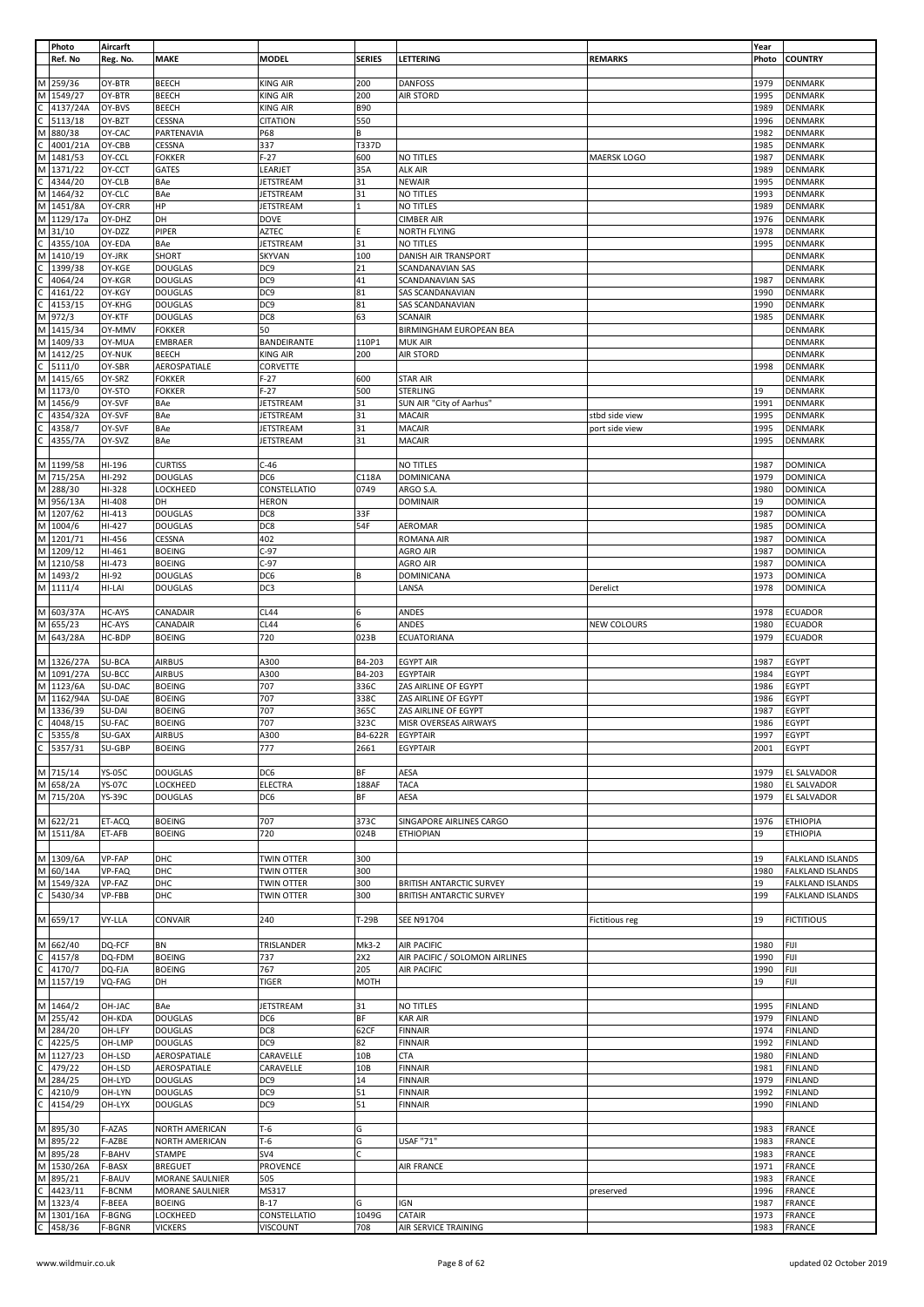|                | Photo      | Aircarft      |                 |                   |                 |                                 |                       | Year  |                         |
|----------------|------------|---------------|-----------------|-------------------|-----------------|---------------------------------|-----------------------|-------|-------------------------|
|                | Ref. No    | Reg. No.      | <b>MAKE</b>     | <b>MODEL</b>      | <b>SERIES</b>   | LETTERING                       | <b>REMARKS</b>        | Photo | <b>COUNTRY</b>          |
|                |            |               |                 |                   |                 |                                 |                       |       |                         |
|                | M 259/36   | OY-BTR        | <b>BEECH</b>    | <b>KING AIR</b>   | 200             | <b>DANFOSS</b>                  |                       | 1979  | <b>DENMARK</b>          |
| M              | 1549/27    | OY-BTR        | <b>BEECH</b>    | KING AIR          | 200             | <b>AIR STORD</b>                |                       | 1995  | <b>DENMARK</b>          |
|                |            |               |                 |                   |                 |                                 |                       |       |                         |
| С              | 4137/24A   | OY-BVS        | <b>BEECH</b>    | <b>KING AIR</b>   | <b>B90</b>      |                                 |                       | 1989  | <b>DENMARK</b>          |
|                | 5113/18    | OY-BZT        | CESSNA          | <b>CITATION</b>   | 550             |                                 |                       | 1996  | <b>DENMARK</b>          |
| M              | 880/38     | OY-CAC        | PARTENAVIA      | P68               | B               |                                 |                       | 1982  | <b>DENMARK</b>          |
| C              | 4001/21A   | OY-CBB        | CESSNA          | 337               | T337D           |                                 |                       | 1985  | <b>DENMARK</b>          |
| M              | 1481/53    | OY-CCL        | <b>FOKKER</b>   | F-27              | 600             | NO TITLES                       | MAERSK LOGO           | 1987  | <b>DENMARK</b>          |
| M              | 1371/22    | OY-CCT        | GATES           | LEARJET           | 35A             | <b>ALK AIR</b>                  |                       | 1989  | <b>DENMARK</b>          |
| С              |            |               |                 |                   |                 |                                 |                       |       |                         |
|                | 4344/20    | OY-CLB        | <b>BAe</b>      | <b>JETSTREAM</b>  | 31              | <b>NEWAIR</b>                   |                       | 1995  | <b>DENMARK</b>          |
| M              | 1464/32    | OY-CLC        | BAe             | JETSTREAM         | 31              | NO TITLES                       |                       | 1993  | DENMARK                 |
| M              | 1451/8A    | OY-CRR        | HP              | JETSTREAM         | $\mathbf{1}$    | NO TITLES                       |                       | 1989  | <b>DENMARK</b>          |
| М              | 1129/17a   | OY-DHZ        | DH              | DOVE              |                 | <b>CIMBER AIR</b>               |                       | 1976  | <b>DENMARK</b>          |
| M              | 31/10      | OY-DZZ        | PIPER           | AZTEC             |                 | NORTH FLYING                    |                       | 1978  | <b>DENMARK</b>          |
| Ċ              | 4355/10A   | OY-EDA        | BAe             | JETSTREAM         | 31              | NO TITLES                       |                       | 1995  | <b>DENMARK</b>          |
|                |            |               |                 |                   |                 |                                 |                       |       |                         |
| М              | 1410/19    | OY-JRK        | SHORT           | <b>SKYVAN</b>     | 100             | DANISH AIR TRANSPORT            |                       |       | DENMARK                 |
|                | 1399/38    | OY-KGE        | <b>DOUGLAS</b>  | DC <sub>9</sub>   | 21              | SCANDANAVIAN SAS                |                       |       | <b>DENMARK</b>          |
|                | 4064/24    | OY-KGR        | <b>DOUGLAS</b>  | DC <sub>9</sub>   | 41              | SCANDANAVIAN SAS                |                       | 1987  | <b>DENMARK</b>          |
|                | 4161/22    | OY-KGY        | <b>DOUGLAS</b>  | DC <sub>9</sub>   | 81              | SAS SCANDANAVIAN                |                       | 1990  | <b>DENMARK</b>          |
|                | 4153/15    | OY-KHG        | <b>DOUGLAS</b>  | DC9               | 81              | SAS SCANDANAVIAN                |                       | 1990  | <b>DENMARK</b>          |
| М              | 972/3      | OY-KTF        | <b>DOUGLAS</b>  | DC8               | 63              | <b>SCANAIR</b>                  |                       | 1985  | <b>DENMARK</b>          |
|                |            |               |                 |                   |                 |                                 |                       |       |                         |
| М              | 1415/34    | OY-MMV        | <b>FOKKER</b>   | 50                |                 | BIRMINGHAM EUROPEAN BEA         |                       |       | DENMARK                 |
| M              | 1409/33    | OY-MUA        | EMBRAER         | BANDEIRANTE       | 110P1           | <b>MUK AIR</b>                  |                       |       | <b>DENMARK</b>          |
| M              | 1412/25    | OY-NUK        | <b>BEECH</b>    | <b>KING AIR</b>   | 200             | <b>AIR STORD</b>                |                       |       | <b>DENMARK</b>          |
|                | 5111/0     | OY-SBR        | AEROSPATIALE    | CORVETTE          |                 |                                 |                       | 1998  | <b>DENMARK</b>          |
|                | M 1415/65  | OY-SRZ        | <b>FOKKER</b>   | $F-27$            | 600             | <b>STAR AIR</b>                 |                       |       | <b>DENMARK</b>          |
|                | M 1173/0   | OY-STO        | <b>FOKKER</b>   | $F-27$            | 500             | <b>STERLING</b>                 |                       | 19    | <b>DENMARK</b>          |
|                |            |               |                 |                   |                 |                                 |                       |       |                         |
| M              | 1456/9     | OY-SVF        | BAe             | JETSTREAM         | 31              | SUN AIR "City of Aarhus"        |                       | 1991  | <b>DENMARK</b>          |
| C              | 4354/32A   | OY-SVF        | BAe             | JETSTREAM         | 31              | <b>MACAIR</b>                   | stbd side view        | 1995  | <b>DENMARK</b>          |
|                | 4358/7     | OY-SVF        | BAe             | JETSTREAM         | 31              | <b>MACAIR</b>                   | port side view        | 1995  | <b>DENMARK</b>          |
|                | 4355/7A    | OY-SVZ        | BAe             | JETSTREAM         | 31              | <b>MACAIR</b>                   |                       | 1995  | <b>DENMARK</b>          |
|                |            |               |                 |                   |                 |                                 |                       |       |                         |
|                |            |               |                 |                   |                 |                                 |                       |       |                         |
|                | M 1199/58  | HI-196        | <b>CURTISS</b>  | $C-46$            |                 | NO TITLES                       |                       | 1987  | <b>DOMINICA</b>         |
| M              | 715/25A    | HI-292        | <b>DOUGLAS</b>  | DC6               | C118A           | <b>DOMINICANA</b>               |                       | 1979  | <b>DOMINICA</b>         |
| M              | 288/30     | HI-328        | LOCKHEED        | CONSTELLATIO      | 0749            | ARGO S.A.                       |                       | 1980  | <b>DOMINICA</b>         |
| M              | 956/13A    | HI-408        | DH              | <b>HERON</b>      |                 | <b>DOMINAIR</b>                 |                       | 19    | <b>DOMINICA</b>         |
|                |            |               |                 |                   |                 |                                 |                       |       |                         |
| M              | 1207/62    | HI-413        | <b>DOUGLAS</b>  | DC8               | 33F             |                                 |                       | 1987  | <b>DOMINICA</b>         |
| M              | 1004/6     | HI-427        | <b>DOUGLAS</b>  | DC8               | 54F             | AEROMAR                         |                       | 1985  | <b>DOMINICA</b>         |
| M              | 1201/71    | HI-456        | CESSNA          | 402               |                 | ROMANA AIR                      |                       | 1987  | <b>DOMINICA</b>         |
|                | M 1209/12  | HI-461        | <b>BOEING</b>   | $C-97$            |                 | AGRO AIR                        |                       | 1987  | <b>DOMINICA</b>         |
|                | M 1210/58  | HI-473        | <b>BOEING</b>   | $C-97$            |                 | AGRO AIR                        |                       | 1987  | <b>DOMINICA</b>         |
|                |            |               |                 |                   |                 |                                 |                       |       |                         |
|                | M 1493/2   | HI-92         | <b>DOUGLAS</b>  | DC6               | B               | DOMINICANA                      |                       | 1973  | <b>DOMINICA</b>         |
|                | M 1111/4   | HI-LAI        | <b>DOUGLAS</b>  | DC3               |                 | LANSA                           | Derelict              | 1978  | <b>DOMINICA</b>         |
|                |            |               |                 |                   |                 |                                 |                       |       |                         |
|                | M 603/37A  | HC-AYS        | CANADAIR        | CL44              | 6               | ANDES                           |                       | 1978  | <b>ECUADOR</b>          |
|                | M 655/23   | HC-AYS        | CANADAIR        | <b>CL44</b>       | 6               | ANDES                           | <b>NEW COLOURS</b>    | 1980  | <b>ECUADOR</b>          |
|                |            |               |                 |                   |                 |                                 |                       |       |                         |
|                | M 643/28A  | HC-BDP        | <b>BOEING</b>   | 720               | 023B            | ECUATORIANA                     |                       | 1979  | ECUADOR                 |
|                |            |               |                 |                   |                 |                                 |                       |       |                         |
|                | M 1326/27A | SU-BCA        | <b>AIRBUS</b>   | A300              | B4-203          | <b>EGYPT AIR</b>                |                       | 1987  | <b>EGYPT</b>            |
| M              | 1091/27A   | SU-BCC        | <b>AIRBUS</b>   | A300              | B4-203          | <b>EGYPTAIR</b>                 |                       | 1984  | EGYPT                   |
|                | M 1123/6A  | SU-DAC        | <b>BOEING</b>   | 707               | 336C            |                                 |                       | 1986  | EGYPT                   |
|                |            |               |                 |                   |                 | ZAS AIRLINE OF EGYPT            |                       |       |                         |
|                | M 1162/94A | SU-DAE        | <b>BOEING</b>   | 707               | 338C            | ZAS AIRLINE OF EGYPT            |                       | 1986  | <b>EGYPT</b>            |
| M              | 1336/39    | SU-DAI        | <b>BOEING</b>   | 707               | 365C            | ZAS AIRLINE OF EGYPT            |                       | 1987  | EGYPT                   |
| $\mathsf{C}$   | 4048/15    | SU-FAC        | <b>BOEING</b>   | 707               | 323C            | MISR OVERSEAS AIRWAYS           |                       | 1986  | EGYPT                   |
| $\overline{C}$ | 5355/8     | SU-GAX        | <b>AIRBUS</b>   | A300              |                 | B4-622R EGYPTAIR                |                       | 1997  | <b>EGYPT</b>            |
| C              | 5357/31    | SU-GBP        | <b>BOEING</b>   | 777               | 2661            | <b>EGYPTAIR</b>                 |                       | 2001  | <b>EGYPT</b>            |
|                |            |               |                 |                   |                 |                                 |                       |       |                         |
|                |            |               |                 |                   |                 |                                 |                       |       |                         |
|                | M 715/14   |               |                 |                   |                 |                                 |                       |       |                         |
|                |            | <b>YS-05C</b> | <b>DOUGLAS</b>  | DC6               | ВF              | AESA                            |                       | 1979  | EL SALVADOR             |
| M              | 658/2A     | <b>YS-07C</b> | LOCKHEED        | <b>ELECTRA</b>    | 188AF           | <b>TACA</b>                     |                       | 1980  | EL SALVADOR             |
|                | M 715/20A  | <b>YS-39C</b> | <b>DOUGLAS</b>  | DC <sub>6</sub>   | ΒF              | AESA                            |                       | 1979  | <b>EL SALVADOR</b>      |
|                |            |               |                 |                   |                 |                                 |                       |       |                         |
|                |            |               |                 |                   |                 |                                 |                       |       |                         |
|                | M 622/21   | ET-ACQ        | <b>BOEING</b>   | 707               | 373C            | SINGAPORE AIRLINES CARGO        |                       | 1976  | <b>ETHIOPIA</b>         |
|                | M 1511/8A  | ET-AFB        | <b>BOEING</b>   | 720               | 024B            | <b>ETHIOPIAN</b>                |                       | 19    | <b>ETHIOPIA</b>         |
|                |            |               |                 |                   |                 |                                 |                       |       |                         |
|                | M 1309/6A  | VP-FAP        | DHC             | <b>TWIN OTTER</b> | 300             |                                 |                       | 19    | FALKLAND ISLANDS        |
|                | M 60/14A   | VP-FAQ        | DHC             | TWIN OTTER        | 300             |                                 |                       | 1980  | FALKLAND ISLANDS        |
| M              |            |               | DHC             | TWIN OTTER        | 300             | <b>BRITISH ANTARCTIC SURVEY</b> |                       | 19    |                         |
|                | 1549/32A   | VP-FAZ        |                 |                   |                 |                                 |                       |       | FALKLAND ISLANDS        |
| C              | 5430/34    | VP-FBB        | DHC             | TWIN OTTER        | 300             | <b>BRITISH ANTARCTIC SURVEY</b> |                       | 199   | <b>FALKLAND ISLANDS</b> |
|                |            |               |                 |                   |                 |                                 |                       |       |                         |
|                | M 659/17   | VY-LLA        | CONVAIR         | 240               | T-29B           | <b>SEE N91704</b>               | <b>Fictitious reg</b> | 19    | <b>FICTITIOUS</b>       |
|                |            |               |                 |                   |                 |                                 |                       |       |                         |
|                | M 662/40   | DQ-FCF        | BN              | TRISLANDER        | Mk3-2           | <b>AIR PACIFIC</b>              |                       | 1980  | FIJI                    |
|                |            |               |                 |                   |                 |                                 |                       |       |                         |
|                | 4157/8     | DQ-FDM        | <b>BOEING</b>   | 737               | 2X2             | AIR PACIFIC / SOLOMON AIRLINES  |                       | 1990  | FIJI                    |
|                | 4170/7     | DQ-FJA        | <b>BOEING</b>   | 767               | 205             | <b>AIR PACIFIC</b>              |                       | 1990  | FIJI                    |
|                | M 1157/19  | VQ-FAG        | DH              | TIGER             | MOTH            |                                 |                       | 19    | FIJI                    |
|                |            |               |                 |                   |                 |                                 |                       |       |                         |
|                |            |               |                 |                   |                 |                                 |                       | 1995  |                         |
|                | M 1464/2   | OH-JAC        | BAe             | <b>JETSTREAM</b>  | 31              | NO TITLES                       |                       |       | <b>FINLAND</b>          |
|                | M 255/42   | OH-KDA        | <b>DOUGLAS</b>  | DC6               | ΒF              | <b>KAR AIR</b>                  |                       | 1979  | <b>FINLAND</b>          |
|                | M 284/20   | OH-LFY        | <b>DOUGLAS</b>  | DC8               | 62CF            | <b>FINNAIR</b>                  |                       | 1974  | <b>FINLAND</b>          |
|                | 4225/5     | OH-LMP        | <b>DOUGLAS</b>  | DC <sub>9</sub>   | 82              | <b>FINNAIR</b>                  |                       | 1992  | <b>FINLAND</b>          |
| М              | 1127/23    | OH-LSD        | AEROSPATIALE    | CARAVELLE         | 10 <sub>B</sub> | <b>CTA</b>                      |                       | 1980  | <b>FINLAND</b>          |
|                |            |               |                 |                   |                 |                                 |                       |       |                         |
| C              | 479/22     | OH-LSD        | AEROSPATIALE    | CARAVELLE         | 10 <sub>B</sub> | <b>FINNAIR</b>                  |                       | 1981  | <b>FINLAND</b>          |
|                | M 284/25   | OH-LYD        | <b>DOUGLAS</b>  | DC9               | 14              | <b>FINNAIR</b>                  |                       | 1979  | <b>FINLAND</b>          |
|                | 4210/9     | OH-LYN        | <b>DOUGLAS</b>  | DC <sub>9</sub>   | 51              | <b>FINNAIR</b>                  |                       | 1992  | <b>FINLAND</b>          |
| C              | 4154/29    | OH-LYX        | <b>DOUGLAS</b>  | DC <sub>9</sub>   | 51              | <b>FINNAIR</b>                  |                       | 1990  | <b>FINLAND</b>          |
|                |            |               |                 |                   |                 |                                 |                       |       |                         |
|                |            |               |                 |                   |                 |                                 |                       |       |                         |
| M              | 895/30     | F-AZAS        | NORTH AMERICAN  | $T-6$             | G               |                                 |                       | 1983  | <b>FRANCE</b>           |
|                | M 895/22   | F-AZBE        | NORTH AMERICAN  | $T-6$             | G               | <b>USAF "71"</b>                |                       | 1983  | <b>FRANCE</b>           |
|                | M 895/28   | F-BAHV        | <b>STAMPE</b>   | SV4               | Ċ               |                                 |                       | 1983  | FRANCE                  |
| M              | 1530/26A   | F-BASX        | <b>BREGUET</b>  | PROVENCE          |                 | <b>AIR FRANCE</b>               |                       | 1971  | <b>FRANCE</b>           |
|                |            |               |                 |                   |                 |                                 |                       |       |                         |
| M              | 895/21     | F-BAUV        | MORANE SAULNIER | 505               |                 |                                 |                       | 1983  | <b>FRANCE</b>           |
|                | 4423/11    | F-BCNM        | MORANE SAULNIER | MS317             |                 |                                 | preserved             | 1996  | FRANCE                  |
|                | M 1323/4   | F-BEEA        | <b>BOEING</b>   | $B-17$            | G               | <b>IGN</b>                      |                       | 1987  | FRANCE                  |
|                | M 1301/16A | F-BGNG        | LOCKHEED        | CONSTELLATIO      | 1049G           | CATAIR                          |                       | 1973  | <b>FRANCE</b>           |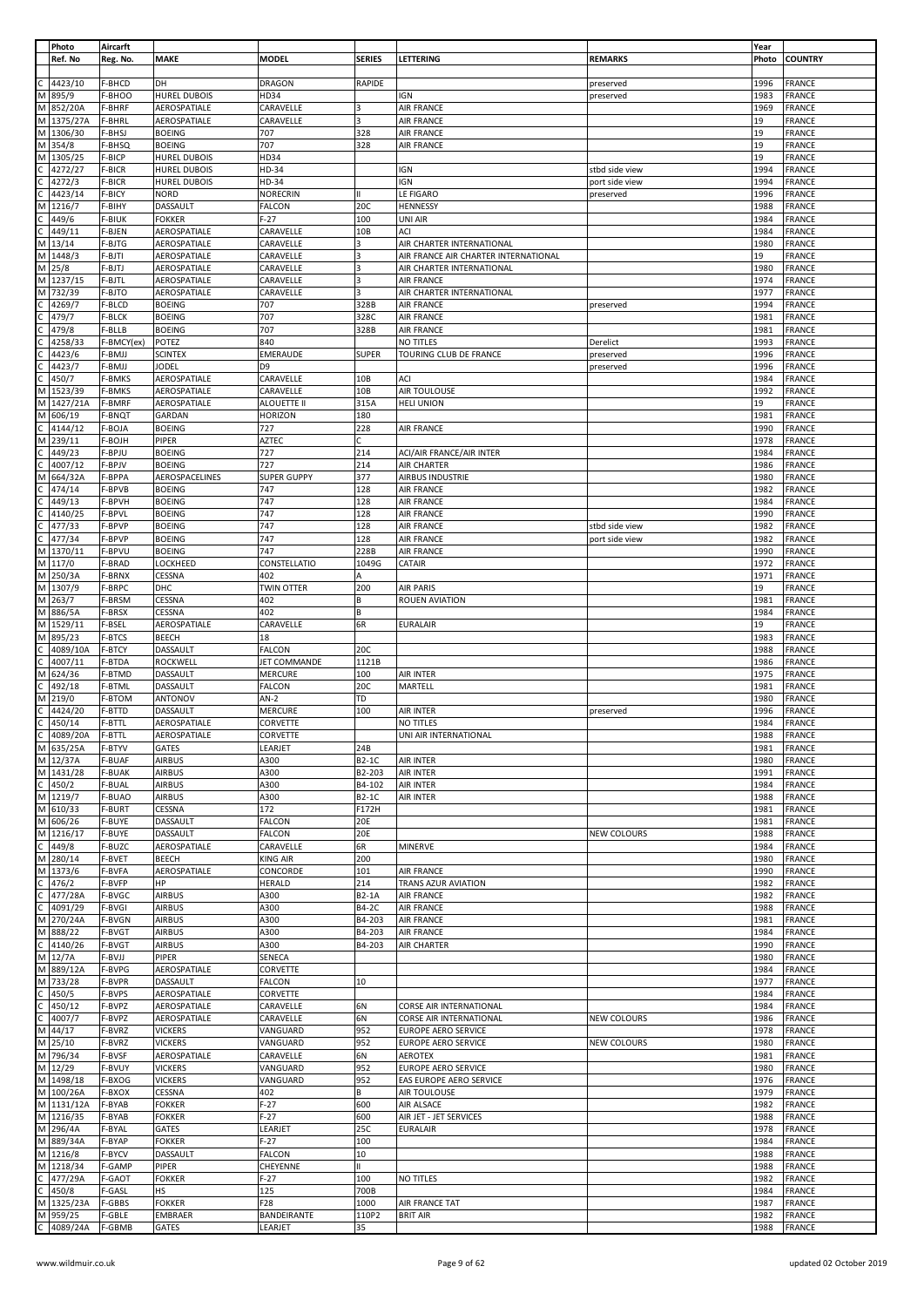|              | Photo             | Aircarft         |                                |                           |                  |                                      |                        | Year         |                                |
|--------------|-------------------|------------------|--------------------------------|---------------------------|------------------|--------------------------------------|------------------------|--------------|--------------------------------|
|              | Ref. No           | Reg. No.         | <b>MAKE</b>                    | <b>MODEL</b>              | <b>SERIES</b>    | LETTERING                            | <b>REMARKS</b>         | Photo        | <b>COUNTRY</b>                 |
|              |                   | F-BHCD           | DH                             |                           | RAPIDE           |                                      |                        | 1996         |                                |
| M            | 4423/10<br>895/9  | F-BHOO           | <b>HUREL DUBOIS</b>            | <b>DRAGON</b><br>HD34     |                  | <b>IGN</b>                           | preserved<br>preserved | 1983         | <b>FRANCE</b><br><b>FRANCE</b> |
| M            | 852/20A           | F-BHRF           | AEROSPATIALE                   | CARAVELLE                 | 3                | <b>AIR FRANCE</b>                    |                        | 1969         | <b>FRANCE</b>                  |
| М            | 1375/27A          | F-BHRL           | AEROSPATIALE                   | CARAVELLE                 |                  | <b>AIR FRANCE</b>                    |                        | 19           | <b>FRANCE</b>                  |
| М            | 1306/30           | F-BHSJ           | <b>BOEING</b>                  | 707                       | 328              | <b>AIR FRANCE</b>                    |                        | 19           | <b>FRANCE</b>                  |
| M            | 354/8             | F-BHSQ           | <b>BOEING</b>                  | 707                       | 328              | <b>AIR FRANCE</b>                    |                        | 19           | <b>FRANCE</b>                  |
| М            | 1305/25           | F-BICP           | <b>HUREL DUBOIS</b>            | HD34                      |                  |                                      |                        | 19           | <b>FRANCE</b>                  |
|              | 4272/27           | F-BICR           | <b>HUREL DUBOIS</b>            | HD-34                     |                  | <b>IGN</b>                           | stbd side view         | 1994         | <b>FRANCE</b>                  |
| С            | 4272/3            | F-BICR           | <b>HUREL DUBOIS</b>            | HD-34                     |                  | <b>IGN</b>                           | port side view         | 1994         | <b>FRANCE</b>                  |
|              | 4423/14           | F-BICY           | <b>NORD</b>                    | <b>NORECRIN</b>           | Ш                | LE FIGARO                            | preserved              | 1996         | <b>FRANCE</b>                  |
| M            | 1216/7            | F-BIHY           | DASSAULT                       | <b>FALCON</b>             | 20C              | HENNESSY                             |                        | 1988         | <b>FRANCE</b>                  |
| C            | 449/6             | F-BIUK           | <b>FOKKER</b>                  | F-27                      | 100              | UNI AIR                              |                        | 1984         | <b>FRANCE</b>                  |
|              | 449/11            | F-BJEN           | AEROSPATIALE                   | CARAVELLE                 | 10B              | ACI                                  |                        | 1984         | FRANCE                         |
| M            | 13/14             | F-BJTG           | AEROSPATIALE                   | CARAVELLE                 | 3                | AIR CHARTER INTERNATIONAL            |                        | 1980         | <b>FRANCE</b>                  |
| M            | 1448/3            | F-BJTI           | AEROSPATIALE                   | CARAVELLE                 |                  | AIR FRANCE AIR CHARTER INTERNATIONAL |                        | 19           | <b>FRANCE</b>                  |
| M            | 25/8              | F-BJTJ           | AEROSPATIALE                   | CARAVELLE                 |                  | AIR CHARTER INTERNATIONAL            |                        | 1980         | <b>FRANCE</b>                  |
| M            | 1237/15           | F-BJTL           | AEROSPATIALE                   | CARAVELLE                 | 3                | <b>AIR FRANCE</b>                    |                        | 1974         | <b>FRANCE</b>                  |
| M            | 732/39            | F-BJTO           | AEROSPATIALE                   | CARAVELLE                 | 3                | AIR CHARTER INTERNATIONAL            |                        | 1977         | <b>FRANCE</b>                  |
|              | 4269/7            | F-BLCD           | <b>BOEING</b>                  | 707                       | 328B             | <b>AIR FRANCE</b>                    | preserved              | 1994         | <b>FRANCE</b>                  |
|              | 479/7             | F-BLCK           | <b>BOEING</b>                  | 707                       | 328C             | <b>AIR FRANCE</b>                    |                        | 1981         | <b>FRANCE</b>                  |
|              | 479/8             | F-BLLB           | <b>BOEING</b>                  | 707                       | 328B             | <b>AIR FRANCE</b>                    |                        | 1981         | <b>FRANCE</b>                  |
|              | 4258/33           | F-BMCY(ex)       | POTEZ                          | 840                       |                  | NO TITLES                            | Derelict               | 1993         | <b>FRANCE</b>                  |
|              | 4423/6            | F-BMJJ           | <b>SCINTEX</b>                 | EMERAUDE                  | <b>SUPER</b>     | TOURING CLUB DE FRANCE               | preserved              | 1996         | <b>FRANCE</b>                  |
|              | 4423/7            | F-BMJJ           | <b>JODEL</b>                   | D <sub>9</sub>            |                  |                                      | preserved              | 1996         | FRANCE                         |
|              | 450/7             | F-BMKS           | AEROSPATIALE                   | CARAVELLE                 | 10B              | <b>ACI</b>                           |                        | 1984         | <b>FRANCE</b>                  |
| М            | 1523/39           | F-BMKS           | AEROSPATIALE                   | CARAVELLE                 | 10B              | AIR TOULOUSE                         |                        | 1992         | <b>FRANCE</b>                  |
| М            | 1427/21A          | F-BMRF           | AEROSPATIALE                   | ALOUETTE II               | 315A             | <b>HELI UNION</b>                    |                        | 19           | FRANCE                         |
| M            | 606/19            | F-BNQT           | GARDAN                         | <b>HORIZON</b>            | 180              |                                      |                        | 1981         | <b>FRANCE</b>                  |
|              | 4144/12           | F-BOJA           | <b>BOEING</b>                  | 727                       | 228              | <b>AIR FRANCE</b>                    |                        | 1990         | <b>FRANCE</b>                  |
| М            | 239/11            | F-BOJH           | PIPER                          | <b>AZTEC</b>              |                  |                                      |                        | 1978         | <b>FRANCE</b>                  |
|              | 449/23            | F-BPJU           | <b>BOEING</b>                  | 727                       | 214              | ACI/AIR FRANCE/AIR INTER             |                        | 1984         | <b>FRANCE</b>                  |
|              | 4007/12           | F-BPJV           | <b>BOEING</b>                  | 727                       | 214              | AIR CHARTER                          |                        | 1986         | <b>FRANCE</b>                  |
| M            | 664/32A           | F-BPPA           | AEROSPACELINES                 | <b>SUPER GUPPY</b>        | 377              | <b>AIRBUS INDUSTRIE</b>              |                        | 1980         | <b>FRANCE</b>                  |
|              | 474/14            | F-BPVB           | <b>BOEING</b>                  | 747                       | 128              | <b>AIR FRANCE</b>                    |                        | 1982         | <b>FRANCE</b>                  |
|              | 449/13            | F-BPVH           | <b>BOEING</b>                  | 747                       | 128              | <b>AIR FRANCE</b>                    |                        | 1984         | <b>FRANCE</b>                  |
|              | 4140/25           | F-BPVL           | <b>BOEING</b>                  | 747                       | 128              | <b>AIR FRANCE</b>                    |                        | 1990         | <b>FRANCE</b>                  |
|              | 477/33            | F-BPVP           | <b>BOEING</b>                  | 747                       | 128              | <b>AIR FRANCE</b>                    | stbd side view         | 1982         | <b>FRANCE</b>                  |
|              | 477/34            | F-BPVP           | <b>BOEING</b>                  | 747                       | 128              | <b>AIR FRANCE</b>                    | port side view         | 1982         | FRANCE                         |
| M            | 1370/11           | F-BPVU           | <b>BOEING</b>                  | 747                       | 228B             | <b>AIR FRANCE</b>                    |                        | 1990         | <b>FRANCE</b>                  |
| M            | 117/0             | F-BRAD           | LOCKHEED                       | CONSTELLATIO              | 1049G            | CATAIR                               |                        | 1972         | <b>FRANCE</b>                  |
| M            | 250/3A            | F-BRNX           | CESSNA                         | 402                       | A                |                                      |                        | 1971         | <b>FRANCE</b>                  |
| M            | 1307/9            | F-BRPC           | DHC                            | <b>TWIN OTTER</b>         | 200              | <b>AIR PARIS</b>                     |                        | 19           | <b>FRANCE</b>                  |
| M            | 263/7             | F-BRSM           | CESSNA                         | 402                       | В                | <b>ROUEN AVIATION</b>                |                        | 1981         | <b>FRANCE</b>                  |
| M            | 886/5A            | F-BRSX           | CESSNA                         | 402                       | B                |                                      |                        | 1984         | <b>FRANCE</b>                  |
| M            | 1529/11           | F-BSEL           | AEROSPATIALE                   | CARAVELLE                 | 6R               | <b>EURALAIR</b>                      |                        | 19           | FRANCE                         |
| M            | 895/23            | F-BTCS           | BEECH                          | 18                        |                  |                                      |                        | 1983         | <b>FRANCE</b>                  |
|              | 4089/10A          | F-BTCY           | DASSAULT                       | <b>FALCON</b>             | 20C              |                                      |                        | 1988         | <b>FRANCE</b>                  |
|              | 4007/11           | F-BTDA           | ROCKWELL                       | JET COMMANDE              | 1121B            |                                      |                        | 1986         | <b>FRANCE</b>                  |
| М            | 624/36            | F-BTMD           | DASSAULT                       | <b>MERCURE</b>            | 100              | <b>AIR INTER</b>                     |                        | 1975         | FRANCE                         |
|              | 492/18            | F-BTML           | DASSAULT                       | <b>FALCON</b>             | 20C              | MARTELL                              |                        | 1981         | <b>FRANCE</b>                  |
| M            | 219/0             | F-BTOM           | ANTONOV                        | $AN-2$                    | TD               |                                      |                        | 1980         | <b>FRANCE</b>                  |
|              | 4424/20           | F-BTTD           | DASSAULT                       | MERCURE                   | 100              | AIR INTER                            | preserved              | 1996         | FRANCE                         |
| C            | 450/14            | F-BTTL           | AEROSPATIALE                   | CORVETTE                  |                  | NO TITLES                            |                        | 1984         | <b>FRANCE</b>                  |
| $\mathsf{C}$ | 4089/20A          | F-BTTL           | AEROSPATIALE                   | CORVETTE                  |                  | UNI AIR INTERNATIONAL                |                        | 1988         | <b>FRANCE</b>                  |
| M            | 635/25A           | F-BTYV           | <b>GATES</b>                   | LEARJET                   | 24B              |                                      |                        | 1981         | <b>FRANCE</b>                  |
|              | M 12/37A          | F-BUAF           | <b>AIRBUS</b>                  | A300                      | B2-1C            | AIR INTER                            |                        | 1980         | <b>FRANCE</b>                  |
|              | M 1431/28         | F-BUAK           | <b>AIRBUS</b>                  | A300                      | B2-203           | <b>AIR INTER</b>                     |                        | 1991         | <b>FRANCE</b>                  |
| C            | 450/2             | F-BUAL           | <b>AIRBUS</b>                  | A300                      | B4-102           | <b>AIR INTER</b>                     |                        | 1984         | <b>FRANCE</b>                  |
|              | M 1219/7          | F-BUAO           | <b>AIRBUS</b>                  | A300                      | B2-1C            | <b>AIR INTER</b>                     |                        | 1988         | <b>FRANCE</b>                  |
|              | M 610/33          | F-BURT           | CESSNA                         | 172                       | F172H            |                                      |                        | 1981         | FRANCE                         |
| M            | 606/26            | F-BUYE           | DASSAULT                       | <b>FALCON</b>             | 20E              |                                      |                        | 1981         | <b>FRANCE</b>                  |
| M            | 1216/17           | F-BUYE           | DASSAULT                       | <b>FALCON</b>             | 20E              |                                      | <b>NEW COLOURS</b>     | 1988         | <b>FRANCE</b>                  |
| C            | 449/8             | F-BUZC           | AEROSPATIALE                   | CARAVELLE                 | 6R               | <b>MINERVE</b>                       |                        | 1984         | <b>FRANCE</b>                  |
| M            | 280/14            | F-BVET           | BEECH                          | KING AIR                  | 200              |                                      |                        | 1980         | <b>FRANCE</b>                  |
| M            | 1373/6            | F-BVFA           | AEROSPATIALE                   | CONCORDE                  | 101              | <b>AIR FRANCE</b>                    |                        | 1990         | <b>FRANCE</b>                  |
|              | 476/2             | F-BVFP           | HP                             | HERALD                    | 214              | <b>TRANS AZUR AVIATION</b>           |                        | 1982         | <b>FRANCE</b>                  |
| C            | 477/28A           | F-BVGC           | <b>AIRBUS</b>                  | A300                      | <b>B2-1A</b>     | <b>AIR FRANCE</b>                    |                        | 1982         | <b>FRANCE</b>                  |
| C            | 4091/29           | F-BVGI           | <b>AIRBUS</b>                  | A300                      | <b>B4-2C</b>     | <b>AIR FRANCE</b>                    |                        | 1988         | <b>FRANCE</b>                  |
| M            | 270/24A           | F-BVGN           | <b>AIRBUS</b>                  | A300                      | B4-203           | <b>AIR FRANCE</b>                    |                        | 1981         | <b>FRANCE</b>                  |
| M<br>С       | 888/22<br>4140/26 | F-BVGT<br>F-BVGT | <b>AIRBUS</b><br><b>AIRBUS</b> | A300<br>A300              | B4-203<br>B4-203 | <b>AIR FRANCE</b><br>AIR CHARTER     |                        | 1984<br>1990 | <b>FRANCE</b><br><b>FRANCE</b> |
| M            | 12/7A             | F-BVJJ           | PIPER                          | SENECA                    |                  |                                      |                        | 1980         | <b>FRANCE</b>                  |
|              |                   |                  |                                |                           |                  |                                      |                        |              |                                |
| M            | 889/12A<br>733/28 | F-BVPG<br>F-BVPR | AEROSPATIALE<br>DASSAULT       | CORVETTE<br><b>FALCON</b> | 10               |                                      |                        | 1984<br>1977 | <b>FRANCE</b><br>FRANCE        |
| M            | 450/5             | F-BVPS           | AEROSPATIALE                   | CORVETTE                  |                  |                                      |                        | 1984         | <b>FRANCE</b>                  |
| С            | 450/12            | F-BVPZ           | AEROSPATIALE                   | CARAVELLE                 | 6N               | CORSE AIR INTERNATIONAL              |                        | 1984         | <b>FRANCE</b>                  |
|              | 4007/7            | F-BVPZ           | AEROSPATIALE                   | CARAVELLE                 | 6N               | CORSE AIR INTERNATIONAL              | <b>NEW COLOURS</b>     | 1986         | FRANCE                         |
| M            | 44/17             | F-BVRZ           | <b>VICKERS</b>                 | VANGUARD                  | 952              | <b>EUROPE AERO SERVICE</b>           |                        | 1978         | <b>FRANCE</b>                  |
| M            | 25/10             | F-BVRZ           | <b>VICKERS</b>                 | VANGUARD                  | 952              | <b>EUROPE AERO SERVICE</b>           | <b>NEW COLOURS</b>     | 1980         | <b>FRANCE</b>                  |
| M            | 796/34            | F-BVSF           | AEROSPATIALE                   | CARAVELLE                 | 6N               | <b>AEROTEX</b>                       |                        | 1981         | FRANCE                         |
|              | M 12/29           | F-BVUY           | <b>VICKERS</b>                 | VANGUARD                  | 952              | <b>EUROPE AERO SERVICE</b>           |                        | 1980         | <b>FRANCE</b>                  |
| M            | 1498/18           | F-BXOG           | <b>VICKERS</b>                 | VANGUARD                  | 952              | EAS EUROPE AERO SERVICE              |                        | 1976         | <b>FRANCE</b>                  |
| M            | 100/26A           | F-BXOX           | CESSNA                         | 402                       | B                | AIR TOULOUSE                         |                        | 1979         | <b>FRANCE</b>                  |
|              | M 1131/12A        | F-BYAB           | <b>FOKKER</b>                  | $F-27$                    | 600              | AIR ALSACE                           |                        | 1982         | <b>FRANCE</b>                  |
|              | M 1216/35         | F-BYAB           | <b>FOKKER</b>                  | $F-27$                    | 600              | AIR JET - JET SERVICES               |                        | 1988         | <b>FRANCE</b>                  |
| M            | 296/4A            | F-BYAL           | GATES                          | LEARJET                   | 25C              | <b>EURALAIR</b>                      |                        | 1978         | <b>FRANCE</b>                  |
| M            | 889/34A           | F-BYAP           | <b>FOKKER</b>                  | $F-27$                    | 100              |                                      |                        | 1984         | FRANCE                         |
|              | M 1216/8          | F-BYCV           | DASSAULT                       | <b>FALCON</b>             | 10               |                                      |                        | 1988         | FRANCE                         |
|              | M 1218/34         | F-GAMP           | PIPER                          | CHEYENNE                  | Ш                |                                      |                        | 1988         | <b>FRANCE</b>                  |
| C            | 477/29A           | F-GAOT           | <b>FOKKER</b>                  | $F-27$                    | 100              | <b>NO TITLES</b>                     |                        | 1982         | <b>FRANCE</b>                  |
|              | 450/8             | F-GASL           | HS                             | 125                       | 700B             |                                      |                        | 1984         | FRANCE                         |
| M            | 1325/23A          | F-GBBS           | <b>FOKKER</b>                  | F28                       | 1000             | AIR FRANCE TAT                       |                        | 1987         | FRANCE                         |
| М            | 959/25            | F-GBLE           | <b>EMBRAER</b>                 | BANDEIRANTE               | 110P2            | <b>BRIT AIR</b>                      |                        | 1982         | <b>FRANCE</b>                  |
|              | 4089/24A          | F-GBMB           | GATES                          | LEARJET                   | 35               |                                      |                        | 1988         | <b>FRANCE</b>                  |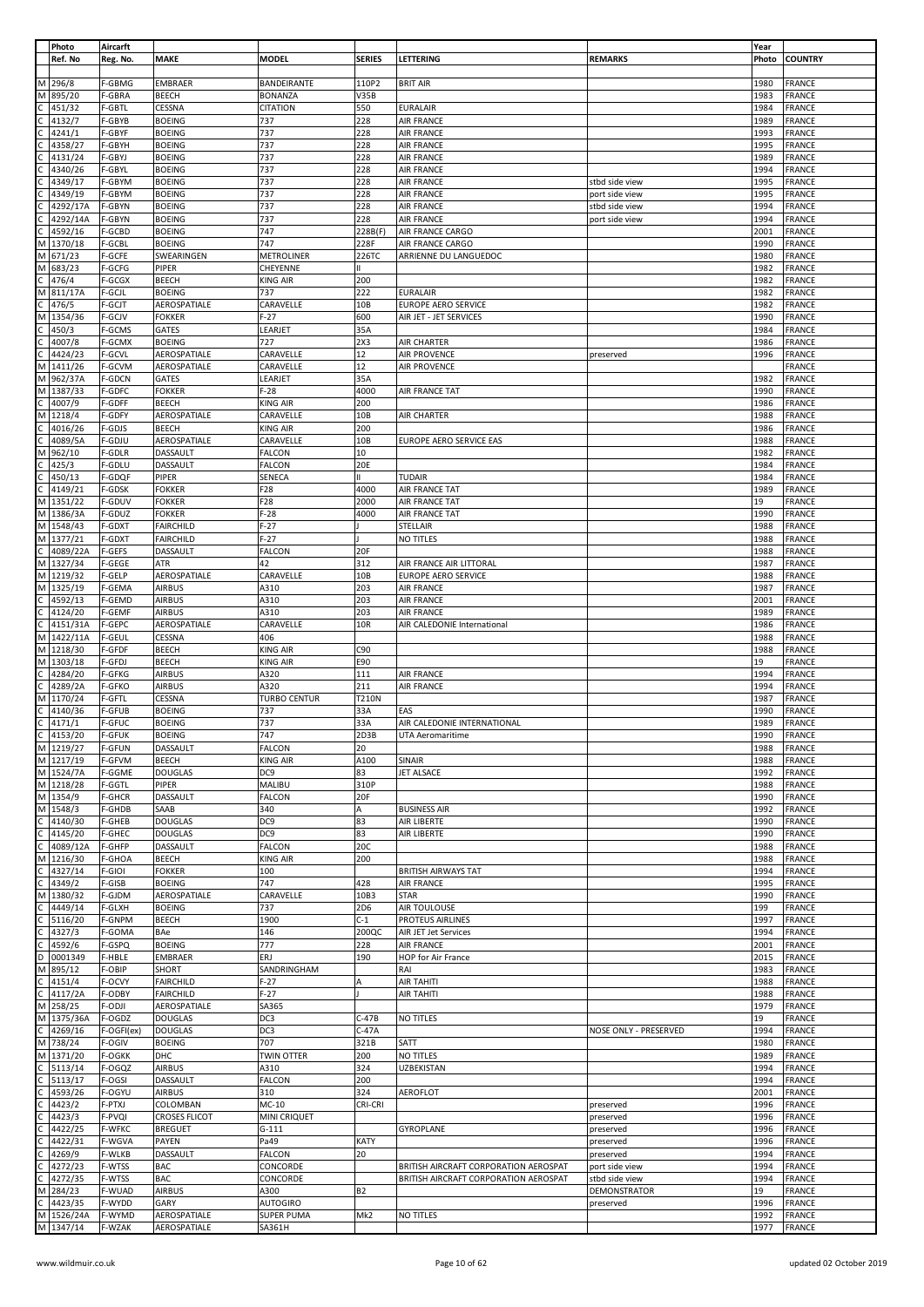|   | Photo     | Aircarft      |                      |                     |                 |                                       |                       | Year  |                |
|---|-----------|---------------|----------------------|---------------------|-----------------|---------------------------------------|-----------------------|-------|----------------|
|   | Ref. No   | Reg. No.      | <b>MAKE</b>          | <b>MODEL</b>        | <b>SERIES</b>   | LETTERING                             | <b>REMARKS</b>        | Photo | <b>COUNTRY</b> |
|   |           |               |                      |                     |                 |                                       |                       |       |                |
| M | 296/8     | F-GBMG        | EMBRAER              | BANDEIRANTE         | 110P2           | <b>BRIT AIR</b>                       |                       | 1980  | <b>FRANCE</b>  |
| M | 895/20    | F-GBRA        | <b>BEECH</b>         | <b>BONANZA</b>      | <b>V35B</b>     |                                       |                       | 1983  | <b>FRANCE</b>  |
|   |           | F-GBTL        |                      | <b>CITATION</b>     | 550             |                                       |                       | 1984  | <b>FRANCE</b>  |
|   | 451/32    |               | CESSNA               |                     |                 | <b>EURALAIR</b>                       |                       |       |                |
|   | 4132/7    | F-GBYB        | <b>BOEING</b>        | 737                 | 228             | <b>AIR FRANCE</b>                     |                       | 1989  | <b>FRANCE</b>  |
|   | 4241/1    | F-GBYF        | <b>BOEING</b>        | 737                 | 228             | <b>AIR FRANCE</b>                     |                       | 1993  | <b>FRANCE</b>  |
|   | 4358/27   | F-GBYH        | <b>BOEING</b>        | 737                 | 228             | AIR FRANCE                            |                       | 1995  | <b>FRANCE</b>  |
|   | 4131/24   | F-GBYJ        | <b>BOEING</b>        | 737                 | 228             | <b>AIR FRANCE</b>                     |                       | 1989  | <b>FRANCE</b>  |
|   | 4340/26   | F-GBYL        | <b>BOEING</b>        | 737                 | 228             | AIR FRANCE                            |                       | 1994  | <b>FRANCE</b>  |
|   | 4349/17   | F-GBYM        | <b>BOEING</b>        | 737                 | 228             | AIR FRANCE                            | stbd side view        | 1995  | FRANCE         |
|   | 4349/19   | F-GBYM        | <b>BOEING</b>        | 737                 | 228             | <b>AIR FRANCE</b>                     | port side view        | 1995  | FRANCE         |
|   |           |               |                      |                     |                 |                                       |                       |       |                |
|   | 4292/17A  | F-GBYN        | <b>BOEING</b>        | 737                 | 228             | <b>AIR FRANCE</b>                     | stbd side view        | 1994  | <b>FRANCE</b>  |
|   | 4292/14A  | F-GBYN        | <b>BOEING</b>        | 737                 | 228             | <b>AIR FRANCE</b>                     | port side view        | 1994  | <b>FRANCE</b>  |
|   | 4592/16   | F-GCBD        | <b>BOEING</b>        | 747                 | 228B(F)         | AIR FRANCE CARGO                      |                       | 2001  | FRANCE         |
| м | 1370/18   | F-GCBL        | <b>BOEING</b>        | 747                 | 228F            | AIR FRANCE CARGO                      |                       | 1990  | <b>FRANCE</b>  |
| М | 671/23    | F-GCFE        | SWEARINGEN           | <b>METROLINER</b>   | 226TC           | ARRIENNE DU LANGUEDOC                 |                       | 1980  | <b>FRANCE</b>  |
|   | 683/23    | F-GCFG        | PIPER                | CHEYENNE            |                 |                                       |                       | 1982  | <b>FRANCE</b>  |
|   | 476/4     | F-GCGX        | <b>BEECH</b>         | <b>KING AIR</b>     | 200             |                                       |                       | 1982  |                |
|   |           |               |                      |                     |                 |                                       |                       |       | FRANCE         |
|   | 811/17A   | F-GCJL        | <b>BOEING</b>        | 737                 | 222             | <b>EURALAIR</b>                       |                       | 1982  | FRANCE         |
|   | 476/5     | F-GCJT        | AEROSPATIALE         | CARAVELLE           | 10 <sub>B</sub> | <b>EUROPE AERO SERVICE</b>            |                       | 1982  | <b>FRANCE</b>  |
| М | 1354/36   | F-GCJV        | <b>FOKKER</b>        | $F-27$              | 600             | AIR JET - JET SERVICES                |                       | 1990  | <b>FRANCE</b>  |
|   | 450/3     | F-GCMS        | GATES                | LEARJET             | 35A             |                                       |                       | 1984  | FRANCE         |
|   | 4007/8    | F-GCMX        | <b>BOEING</b>        | 727                 | 2X3             | AIR CHARTER                           |                       | 1986  | FRANCE         |
|   | 4424/23   | F-GCVL        | AEROSPATIALE         | CARAVELLE           | 12              | <b>AIR PROVENCE</b>                   | preserved             | 1996  | FRANCE         |
|   |           |               |                      |                     |                 |                                       |                       |       |                |
|   | 1411/26   | F-GCVM        | AEROSPATIALE         | CARAVELLE           | 12              | AIR PROVENCE                          |                       |       | FRANCE         |
| M | 962/37A   | F-GDCN        | GATES                | LEARJET             | 35A             |                                       |                       | 1982  | <b>FRANCE</b>  |
| М | 1387/33   | F-GDFC        | <b>FOKKER</b>        | F-28                | 4000            | AIR FRANCE TAT                        |                       | 1990  | <b>FRANCE</b>  |
|   | 4007/9    | F-GDFF        | <b>BEECH</b>         | KING AIR            | 200             |                                       |                       | 1986  | <b>FRANCE</b>  |
| М | 1218/4    | F-GDFY        | AEROSPATIALE         | CARAVELLE           | 10B             | AIR CHARTER                           |                       | 1988  | <b>FRANCE</b>  |
|   | 4016/26   | F-GDJS        | <b>BEECH</b>         | KING AIR            | 200             |                                       |                       | 1986  | <b>FRANCE</b>  |
|   |           | F-GDJU        |                      |                     |                 |                                       |                       |       |                |
|   | 4089/5A   |               | AEROSPATIALE         | CARAVELLE           | 10 <sub>B</sub> | EUROPE AERO SERVICE EAS               |                       | 1988  | FRANCE         |
| М | 962/10    | F-GDLR        | DASSAULT             | <b>FALCON</b>       | 10              |                                       |                       | 1982  | <b>FRANCE</b>  |
|   | 425/3     | F-GDLU        | DASSAULT             | <b>FALCON</b>       | 20E             |                                       |                       | 1984  | FRANCE         |
|   | 450/13    | F-GDQF        | PIPER                | SENECA              |                 | <b>TUDAIR</b>                         |                       | 1984  | <b>FRANCE</b>  |
|   | 4149/21   | F-GDSK        | <b>FOKKER</b>        | F28                 | 4000            | AIR FRANCE TAT                        |                       | 1989  | FRANCE         |
| M | 1351/22   | F-GDUV        | <b>FOKKER</b>        | F28                 | 2000            | AIR FRANCE TAT                        |                       | 19    | FRANCE         |
| M | 1386/3A   | F-GDUZ        | <b>FOKKER</b>        | $F-28$              | 4000            | AIR FRANCE TAT                        |                       | 1990  | <b>FRANCE</b>  |
|   |           |               |                      |                     |                 |                                       |                       |       |                |
| M | 1548/43   | F-GDXT        | <b>FAIRCHILD</b>     | $F-27$              |                 | STELLAIR                              |                       | 1988  | <b>FRANCE</b>  |
| M | 1377/21   | F-GDXT        | <b>FAIRCHILD</b>     | $F-27$              |                 | NO TITLES                             |                       | 1988  | <b>FRANCE</b>  |
| Ċ | 4089/22A  | F-GEFS        | DASSAULT             | FALCON              | 20F             |                                       |                       | 1988  | <b>FRANCE</b>  |
| M | 1327/34   | F-GEGE        | ATR                  | 42                  | 312             | AIR FRANCE AIR LITTORAL               |                       | 1987  | <b>FRANCE</b>  |
| М | 1219/32   | F-GELP        | AEROSPATIALE         | CARAVELLE           | 10B             | <b>EUROPE AERO SERVICE</b>            |                       | 1988  | <b>FRANCE</b>  |
|   | M 1325/19 |               |                      |                     |                 |                                       |                       |       |                |
|   |           | F-GEMA        | <b>AIRBUS</b>        | A310                | 203             | <b>AIR FRANCE</b>                     |                       | 1987  | <b>FRANCE</b>  |
|   | 4592/13   | F-GEMD        | <b>AIRBUS</b>        | A310                | 203             | <b>AIR FRANCE</b>                     |                       | 2001  | <b>FRANCE</b>  |
|   | 4124/20   | F-GEMF        | <b>AIRBUS</b>        | A310                | 203             | <b>AIR FRANCE</b>                     |                       | 1989  | <b>FRANCE</b>  |
|   | 4151/31A  | F-GEPC        | AEROSPATIALE         | CARAVELLE           | 10R             | AIR CALEDONIE International           |                       | 1986  | FRANCE         |
| М | 1422/11A  | F-GEUL        | CESSNA               | 406                 |                 |                                       |                       | 1988  | <b>FRANCE</b>  |
| M | 1218/30   | F-GFDF        | <b>BEECH</b>         | <b>KING AIR</b>     | C90             |                                       |                       | 1988  | <b>FRANCE</b>  |
| M |           |               |                      |                     |                 |                                       |                       | 19    |                |
|   | 1303/18   | F-GFDJ        | <b>BEECH</b>         | <b>KING AIR</b>     | E90             |                                       |                       |       | FRANCE         |
|   | 4284/20   | F-GFKG        | <b>AIRBUS</b>        | A320                | 111             | <b>AIR FRANCE</b>                     |                       | 1994  | FRANCE         |
|   | 4289/2A   | F-GFKO        | <b>AIRBUS</b>        | A320                | 211             | <b>AIR FRANCE</b>                     |                       | 1994  | FRANCE         |
| м | 1170/24   | F-GFTL        | CESSNA               | <b>TURBO CENTUR</b> | T210N           |                                       |                       | 1987  | <b>FRANCE</b>  |
|   | 4140/36   | F-GFUB        | <b>BOEING</b>        | 737                 | 33A             | EAS                                   |                       | 1990  | <b>FRANCE</b>  |
|   | 4171/1    | F-GFUC        | <b>BOEING</b>        | 737                 | 33A             | AIR CALEDONIE INTERNATIONAL           |                       | 1989  | <b>FRANCE</b>  |
|   |           |               |                      |                     |                 |                                       |                       |       |                |
| C | 4153/20   | F-GFUK        | <b>BOEING</b>        | 747                 | 2D3B            | UTA Aeromaritime                      |                       | 1990  | <b>FRANCE</b>  |
|   | M 1219/27 | <b>F-GFUN</b> | DASSAULT             | <b>FALCON</b>       | 20              |                                       |                       | 1988  | <b>FRANCE</b>  |
|   | M 1217/19 | F-GFVM        | <b>BEECH</b>         | <b>KING AIR</b>     | A100            | <b>SINAIR</b>                         |                       | 1988  | <b>FRANCE</b>  |
|   | M 1524/7A | F-GGME        | <b>DOUGLAS</b>       | DC9                 | 83              | JET ALSACE                            |                       | 1992  | <b>FRANCE</b>  |
| M | 1218/28   | F-GGTL        | PIPER                | MALIBU              | 310P            |                                       |                       | 1988  | <b>FRANCE</b>  |
|   | M 1354/9  | F-GHCR        | DASSAULT             | <b>FALCON</b>       | 20F             |                                       |                       | 1990  | <b>FRANCE</b>  |
|   | M 1548/3  | F-GHDB        | SAAB                 | 340                 | A               | <b>BUSINESS AIR</b>                   |                       | 1992  | FRANCE         |
|   |           |               |                      |                     |                 |                                       |                       |       |                |
|   | 4140/30   | F-GHEB        | <b>DOUGLAS</b>       | DC9                 | 83              | AIR LIBERTE                           |                       | 1990  | <b>FRANCE</b>  |
|   | 4145/20   | F-GHEC        | <b>DOUGLAS</b>       | DC9                 | 83              | AIR LIBERTE                           |                       | 1990  | <b>FRANCE</b>  |
|   | 4089/12A  | F-GHFP        | <b>DASSAULT</b>      | <b>FALCON</b>       | 20C             |                                       |                       | 1988  | <b>FRANCE</b>  |
| м | 1216/30   | F-GHOA        | <b>BEECH</b>         | <b>KING AIR</b>     | 200             |                                       |                       | 1988  | <b>FRANCE</b>  |
|   | 4327/14   | F-GIOI        | <b>FOKKER</b>        | 100                 |                 | <b>BRITISH AIRWAYS TAT</b>            |                       | 1994  | <b>FRANCE</b>  |
|   | 4349/2    | F-GISB        | <b>BOEING</b>        | 747                 | 428             | <b>AIR FRANCE</b>                     |                       | 1995  | <b>FRANCE</b>  |
| М | 1380/32   | F-GJDM        | AEROSPATIALE         | CARAVELLE           | 10B3            | <b>STAR</b>                           |                       | 1990  | <b>FRANCE</b>  |
|   | 4449/14   | F-GLXH        | <b>BOEING</b>        | 737                 | 2D6             | AIR TOULOUSE                          |                       | 199   | FRANCE         |
|   |           |               |                      |                     |                 |                                       |                       |       |                |
|   | 5116/20   | F-GNPM        | <b>BEECH</b>         | 1900                | $C-1$           | <b>PROTEUS AIRLINES</b>               |                       | 1997  | <b>FRANCE</b>  |
|   | 4327/3    | F-GOMA        | BAe                  | 146                 | 200QC           | AIR JET Jet Services                  |                       | 1994  | <b>FRANCE</b>  |
|   | 4592/6    | F-GSPQ        | <b>BOEING</b>        | 777                 | 228             | AIR FRANCE                            |                       | 2001  | <b>FRANCE</b>  |
|   | 0001349   | F-HBLE        | <b>EMBRAER</b>       | ERJ                 | 190             | HOP for Air France                    |                       | 2015  | FRANCE         |
| М | 895/12    | F-OBIP        | <b>SHORT</b>         | SANDRINGHAM         |                 | RAI                                   |                       | 1983  | <b>FRANCE</b>  |
|   | 4151/4    | F-OCVY        | <b>FAIRCHILD</b>     | $F-27$              | А               | AIR TAHITI                            |                       | 1988  | FRANCE         |
|   |           |               |                      |                     |                 |                                       |                       |       |                |
|   | 4117/2A   | F-ODBY        | <b>FAIRCHILD</b>     | $F-27$              |                 | AIR TAHITI                            |                       | 1988  | <b>FRANCE</b>  |
| м | 258/25    | F-ODJI        | AEROSPATIALE         | SA365               |                 |                                       |                       | 1979  | FRANCE         |
| M | 1375/36A  | F-OGDZ        | <b>DOUGLAS</b>       | DC3                 | $C-47B$         | NO TITLES                             |                       | 19    | <b>FRANCE</b>  |
|   | 4269/16   | F-OGFI(ex)    | <b>DOUGLAS</b>       | DC3                 | $C-47A$         |                                       | NOSE ONLY - PRESERVED | 1994  | <b>FRANCE</b>  |
| Μ | 738/24    | F-OGIV        | <b>BOEING</b>        | 707                 | 321B            | SATT                                  |                       | 1980  | <b>FRANCE</b>  |
| M | 1371/20   | F-OGKK        | DHC                  | TWIN OTTER          | 200             | NO TITLES                             |                       | 1989  | <b>FRANCE</b>  |
|   |           |               |                      |                     |                 |                                       |                       |       |                |
|   | 5113/14   | F-OGQZ        | <b>AIRBUS</b>        | A310                | 324             | <b>UZBEKISTAN</b>                     |                       | 1994  | FRANCE         |
|   | 5113/17   | F-OGSI        | DASSAULT             | <b>FALCON</b>       | 200             |                                       |                       | 1994  | FRANCE         |
|   | 4593/26   | F-OGYU        | <b>AIRBUS</b>        | 310                 | 324             | AEROFLOT                              |                       | 2001  | FRANCE         |
|   | 4423/2    | F-PTXJ        | COLOMBAN             | MC-10               | CRI-CRI         |                                       | preserved             | 1996  | <b>FRANCE</b>  |
|   | 4423/3    | F-PVQI        | <b>CROSES FLICOT</b> | MINI CRIQUET        |                 |                                       | preserved             | 1996  | <b>FRANCE</b>  |
|   | 4422/25   | F-WFKC        | <b>BREGUET</b>       | $G-111$             |                 | GYROPLANE                             | preserved             | 1996  | FRANCE         |
|   |           |               |                      |                     |                 |                                       |                       |       |                |
|   | 4422/31   | F-WGVA        | PAYEN                | Pa49                | <b>KATY</b>     |                                       | preserved             | 1996  | <b>FRANCE</b>  |
|   | 4269/9    | F-WLKB        | DASSAULT             | FALCON              | 20              |                                       | preserved             | 1994  | FRANCE         |
|   | 4272/23   | F-WTSS        | <b>BAC</b>           | CONCORDE            |                 | BRITISH AIRCRAFT CORPORATION AEROSPAT | port side view        | 1994  | FRANCE         |
|   | 4272/35   | F-WTSS        | <b>BAC</b>           | CONCORDE            |                 | BRITISH AIRCRAFT CORPORATION AEROSPAT | stbd side view        | 1994  | <b>FRANCE</b>  |
| М | 284/23    | F-WUAD        | <b>AIRBUS</b>        | A300                | <b>B2</b>       |                                       | DEMONSTRATOR          | 19    | <b>FRANCE</b>  |
|   |           |               |                      |                     |                 |                                       |                       |       |                |
|   | 4423/35   | F-WYDD        | GARY                 | <b>AUTOGIRO</b>     |                 |                                       | preserved             | 1996  | <b>FRANCE</b>  |
| M | 1526/24A  | F-WYMD        | AEROSPATIALE         | <b>SUPER PUMA</b>   | Mk2             | NO TITLES                             |                       | 1992  | <b>FRANCE</b>  |
|   | M 1347/14 | F-WZAK        | AEROSPATIALE         | SA361H              |                 |                                       |                       | 1977  | FRANCE         |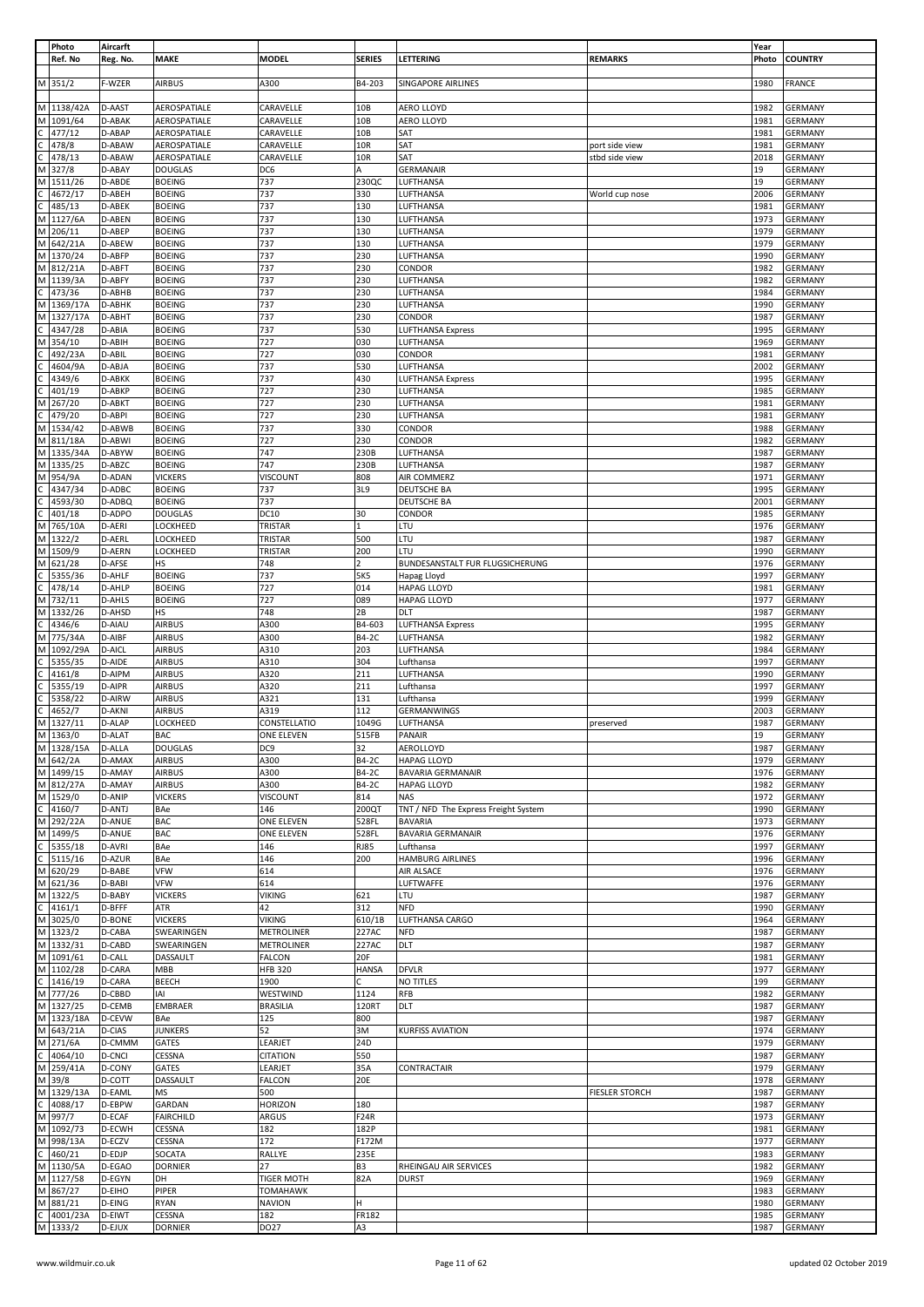|              | Photo      | Aircarft      |                  |                   |                 |                                      |                       | Year  |                |
|--------------|------------|---------------|------------------|-------------------|-----------------|--------------------------------------|-----------------------|-------|----------------|
|              | Ref. No    | Reg. No.      | <b>MAKE</b>      | MODEL             | <b>SERIES</b>   | LETTERING                            | <b>REMARKS</b>        | Photo | <b>COUNTRY</b> |
|              |            |               |                  |                   |                 |                                      |                       |       |                |
|              | M 351/2    | F-WZER        | <b>AIRBUS</b>    | A300              | B4-203          | <b>SINGAPORE AIRLINES</b>            |                       | 1980  | <b>FRANCE</b>  |
|              |            |               |                  |                   |                 |                                      |                       |       |                |
|              | M 1138/42A | D-AAST        | AEROSPATIALE     | CARAVELLE         | 10 <sub>B</sub> | AERO LLOYD                           |                       | 1982  | <b>GERMANY</b> |
|              |            |               |                  |                   |                 |                                      |                       |       |                |
|              | M 1091/64  | D-ABAK        | AEROSPATIALE     | CARAVELLE         | 10B             | AERO LLOYD                           |                       | 1981  | <b>GERMANY</b> |
|              | 477/12     | D-ABAP        | AEROSPATIALE     | CARAVELLE         | 10B             | SAT                                  |                       | 1981  | <b>GERMANY</b> |
| с            | 478/8      | D-ABAW        | AEROSPATIALE     | CARAVELLE         | 10R             | SAT                                  | port side view        | 1981  | GERMANY        |
|              | 478/13     | D-ABAW        | AEROSPATIALE     | CARAVELLE         | 10R             | SAT                                  | stbd side view        | 2018  | GERMANY        |
|              | M 327/8    | D-ABAY        | <b>DOUGLAS</b>   | DC6               | A               | GERMANAIR                            |                       | 19    | GERMANY        |
|              |            |               |                  |                   |                 |                                      |                       |       |                |
|              | M 1511/26  | D-ABDE        | <b>BOEING</b>    | 737               | 230QC           | LUFTHANSA                            |                       | 19    | <b>GERMANY</b> |
| C            | 4672/17    | D-ABEH        | <b>BOEING</b>    | 737               | 330             | LUFTHANSA                            | World cup nose        | 2006  | <b>GERMANY</b> |
| C            | 485/13     | D-ABEK        | <b>BOEING</b>    | 737               | 130             | LUFTHANSA                            |                       | 1981  | <b>GERMANY</b> |
|              | M 1127/6A  | D-ABEN        | <b>BOEING</b>    | 737               | 130             | LUFTHANSA                            |                       | 1973  | GERMANY        |
| M            | 206/11     | D-ABEP        | <b>BOEING</b>    | 737               | 130             | LUFTHANSA                            |                       | 1979  | <b>GERMANY</b> |
|              | M 642/21A  | D-ABEW        | <b>BOEING</b>    | 737               | 130             | LUFTHANSA                            |                       | 1979  | GERMANY        |
|              |            |               |                  |                   |                 |                                      |                       |       |                |
|              | M 1370/24  | D-ABFP        | <b>BOEING</b>    | 737               | 230             | LUFTHANSA                            |                       | 1990  | <b>GERMANY</b> |
|              | M 812/21A  | D-ABFT        | <b>BOEING</b>    | 737               | 230             | CONDOR                               |                       | 1982  | <b>GERMANY</b> |
|              | M 1139/3A  | D-ABFY        | <b>BOEING</b>    | 737               | 230             | LUFTHANSA                            |                       | 1982  | <b>GERMANY</b> |
|              | 473/36     | D-ABHB        | <b>BOEING</b>    | 737               | 230             | LUFTHANSA                            |                       | 1984  | GERMANY        |
| M            | 1369/17A   | D-ABHK        | <b>BOEING</b>    | 737               | 230             | LUFTHANSA                            |                       | 1990  | <b>GERMANY</b> |
|              |            |               |                  |                   |                 |                                      |                       | 1987  |                |
|              | M 1327/17A | D-ABHT        | <b>BOEING</b>    | 737               | 230             | CONDOR                               |                       |       | <b>GERMANY</b> |
|              | 4347/28    | D-ABIA        | <b>BOEING</b>    | 737               | 530             | LUFTHANSA Express                    |                       | 1995  | <b>GERMANY</b> |
|              | M 354/10   | D-ABIH        | <b>BOEING</b>    | 727               | 030             | LUFTHANSA                            |                       | 1969  | GERMANY        |
|              | 492/23A    | D-ABIL        | <b>BOEING</b>    | 727               | 030             | CONDOR                               |                       | 1981  | <b>GERMANY</b> |
|              | 4604/9A    | D-ABJA        | <b>BOEING</b>    | 737               | 530             | LUFTHANSA                            |                       | 2002  | <b>GERMANY</b> |
| С            | 4349/6     | D-ABKK        | <b>BOEING</b>    | 737               | 430             | LUFTHANSA Express                    |                       | 1995  | GERMANY        |
|              |            |               |                  |                   |                 | LUFTHANSA                            |                       |       |                |
| C            | 401/19     | D-ABKP        | <b>BOEING</b>    | 727               | 230             |                                      |                       | 1985  | <b>GERMANY</b> |
| М            | 267/20     | D-ABKT        | <b>BOEING</b>    | 727               | 230             | LUFTHANSA                            |                       | 1981  | GERMANY        |
| С            | 479/20     | D-ABPI        | <b>BOEING</b>    | 727               | 230             | LUFTHANSA                            |                       | 1981  | GERMANY        |
|              | M 1534/42  | D-ABWB        | <b>BOEING</b>    | 737               | 330             | CONDOR                               |                       | 1988  | GERMANY        |
|              | M 811/18A  | D-ABWI        | <b>BOEING</b>    | 727               | 230             | CONDOR                               |                       | 1982  | GERMANY        |
|              |            |               |                  |                   |                 |                                      |                       |       |                |
|              | M 1335/34A | D-ABYW        | <b>BOEING</b>    | 747               | 230B            | LUFTHANSA                            |                       | 1987  | <b>GERMANY</b> |
|              | M 1335/25  | D-ABZC        | <b>BOEING</b>    | 747               | 230B            | LUFTHANSA                            |                       | 1987  | <b>GERMANY</b> |
|              | M 954/9A   | D-ADAN        | <b>VICKERS</b>   | VISCOUNT          | 808             | AIR COMMERZ                          |                       | 1971  | <b>GERMANY</b> |
| С            | 4347/34    | D-ADBC        | <b>BOEING</b>    | 737               | 3L9             | <b>DEUTSCHE BA</b>                   |                       | 1995  | <b>GERMANY</b> |
|              |            |               |                  |                   |                 |                                      |                       |       |                |
|              | 4593/30    | D-ADBQ        | <b>BOEING</b>    | 737               |                 | DEUTSCHE BA                          |                       | 2001  | <b>GERMANY</b> |
| С            | 401/18     | D-ADPO        | <b>DOUGLAS</b>   | <b>DC10</b>       | 30              | CONDOR                               |                       | 1985  | GERMANY        |
|              | M 765/10A  | D-AERI        | LOCKHEED         | TRISTAR           |                 | LTU                                  |                       | 1976  | GERMANY        |
|              | M 1322/2   | D-AERL        | LOCKHEED         | TRISTAR           | 500             | LTU                                  |                       | 1987  | <b>GERMANY</b> |
|              | M 1509/9   | D-AERN        | LOCKHEED         | TRISTAR           | 200             | LTU                                  |                       | 1990  | GERMANY        |
|              |            |               |                  |                   |                 |                                      |                       |       |                |
|              | M 621/28   | D-AFSE        | <b>HS</b>        | 748               | $\overline{2}$  | BUNDESANSTALT FUR FLUGSICHERUNG      |                       | 1976  | <b>GERMANY</b> |
| С            | 5355/36    | D-AHLF        | <b>BOEING</b>    | 737               | 5K5             | Hapag Lloyd                          |                       | 1997  | <b>GERMANY</b> |
| C            | 478/14     | D-AHLP        | <b>BOEING</b>    | 727               | 014             | <b>HAPAG LLOYD</b>                   |                       | 1981  | GERMANY        |
|              | M 732/11   | D-AHLS        | <b>BOEING</b>    | 727               | 089             | <b>HAPAG LLOYD</b>                   |                       | 1977  | <b>GERMANY</b> |
|              |            |               |                  |                   |                 |                                      |                       |       |                |
|              | M 1332/26  | D-AHSD        | HS               | 748               | 2B              | DLT                                  |                       | 1987  | <b>GERMANY</b> |
|              | 4346/6     | D-AIAU        | <b>AIRBUS</b>    | A300              | B4-603          | LUFTHANSA Express                    |                       | 1995  | GERMANY        |
|              | M 775/34A  | D-AIBF        | <b>AIRBUS</b>    | A300              | <b>B4-2C</b>    | LUFTHANSA                            |                       | 1982  | <b>GERMANY</b> |
|              | M 1092/29A | D-AICL        | <b>AIRBUS</b>    | A310              | 203             | LUFTHANSA                            |                       | 1984  | <b>GERMANY</b> |
|              | 5355/35    | D-AIDE        | <b>AIRBUS</b>    | A310              | 304             | Lufthansa                            |                       | 1997  | <b>GERMANY</b> |
|              | 4161/8     | D-AIPM        | <b>AIRBUS</b>    | A320              | 211             | LUFTHANSA                            |                       | 1990  | <b>GERMANY</b> |
|              |            |               |                  |                   |                 |                                      |                       |       |                |
|              |            |               |                  |                   |                 |                                      |                       |       |                |
| с            | 5355/19    | D-AIPR        | <b>AIRBUS</b>    | A320              | 211             | Lufthansa                            |                       | 1997  | GERMANY        |
|              | 5358/22    | D-AIRW        | <b>AIRBUS</b>    | A321              | 131             | Lufthansa                            |                       | 1999  | GERMANY        |
|              | 4652/7     | D-AKNI        | <b>AIRBUS</b>    | A319              | 112             | GERMANWINGS                          |                       | 2003  | <b>GERMANY</b> |
| M            |            | D-ALAP        |                  |                   |                 |                                      | preserved             | 1987  |                |
|              | 1327/11    |               | LOCKHEED         | CONSTELLATIO      | 1049G           | LUFTHANSA                            |                       |       | <b>GERMANY</b> |
|              | M 1363/0   | D-ALAT        | <b>BAC</b>       | ONE ELEVEN        | 515FB           | PANAIR                               |                       | 19    | <b>GERMANY</b> |
|              | M 1328/15A | D-ALLA        | <b>DOUGLAS</b>   | DC9               | 32              | AEROLLOYD                            |                       | 1987  | <b>GERMANY</b> |
|              | M 642/2A   | D-AMAX        | <b>AIRBUS</b>    | A300              | B4-2C           | <b>HAPAG LLOYD</b>                   |                       | 1979  | <b>GERMANY</b> |
|              | M 1499/15  | D-AMAY        | <b>AIRBUS</b>    | A300              | <b>B4-2C</b>    | <b>BAVARIA GERMANAIR</b>             |                       | 1976  | <b>GERMANY</b> |
|              |            |               |                  |                   |                 |                                      |                       |       |                |
|              | M 812/27A  | D-AMAY        | <b>AIRBUS</b>    | A300              | B4-2C           | <b>HAPAG LLOYD</b>                   |                       | 1982  | <b>GERMANY</b> |
|              | M 1529/0   | D-ANIP        | <b>VICKERS</b>   | <b>VISCOUNT</b>   | 814             | <b>NAS</b>                           |                       | 1972  | <b>GERMANY</b> |
| $\mathsf C$  | 4160/7     | D-ANTJ        | BAe              | 146               | 200QT           | TNT / NFD The Express Freight System |                       | 1990  | <b>GERMANY</b> |
|              | M 292/22A  | <b>D-ANUE</b> | <b>BAC</b>       | <b>ONE ELEVEN</b> | 528FL           | <b>BAVARIA</b>                       |                       | 1973  | <b>GERMANY</b> |
|              | M 1499/5   | <b>D-ANUE</b> | <b>BAC</b>       | ONE ELEVEN        | 528FL           | <b>BAVARIA GERMANAIR</b>             |                       | 1976  | <b>GERMANY</b> |
| $\mathsf C$  | 5355/18    | D-AVRI        | BAe              | 146               | <b>RJ85</b>     | Lufthansa                            |                       | 1997  | <b>GERMANY</b> |
| C            |            | D-AZUR        | BAe              | 146               | 200             | <b>HAMBURG AIRLINES</b>              |                       | 1996  | GERMANY        |
|              | 5115/16    |               |                  |                   |                 |                                      |                       |       |                |
|              | M 620/29   | D-BABE        | VFW              | 614               |                 | AIR ALSACE                           |                       | 1976  | <b>GERMANY</b> |
|              | M 621/36   | D-BABI        | VFW              | 614               |                 | LUFTWAFFE                            |                       | 1976  | GERMANY        |
|              | M 1322/5   | D-BABY        | <b>VICKERS</b>   | <b>VIKING</b>     | 621             | LTU                                  |                       | 1987  | <b>GERMANY</b> |
| C            | 4161/1     | D-BFFF        | ATR              | 42                | 312             | <b>NFD</b>                           |                       | 1990  | <b>GERMANY</b> |
|              | M 3025/0   | D-BONE        | <b>VICKERS</b>   | <b>VIKING</b>     | 610/1B          | LUFTHANSA CARGO                      |                       | 1964  | <b>GERMANY</b> |
|              |            |               |                  |                   |                 |                                      |                       |       |                |
|              | M 1323/2   | D-CABA        | SWEARINGEN       | <b>METROLINER</b> | 227AC           | <b>NFD</b>                           |                       | 1987  | <b>GERMANY</b> |
|              | M 1332/31  | D-CABD        | SWEARINGEN       | <b>METROLINER</b> | 227AC           | DLT                                  |                       | 1987  | <b>GERMANY</b> |
|              | M 1091/61  | D-CALL        | DASSAULT         | <b>FALCON</b>     | 20F             |                                      |                       | 1981  | <b>GERMANY</b> |
|              | M 1102/28  | D-CARA        | <b>MBB</b>       | <b>HFB 320</b>    | <b>HANSA</b>    | <b>DFVLR</b>                         |                       | 1977  | <b>GERMANY</b> |
| $\mathsf{C}$ | 1416/19    | D-CARA        | <b>BEECH</b>     | 1900              |                 | NO TITLES                            |                       | 199   | <b>GERMANY</b> |
|              |            |               |                  |                   |                 |                                      |                       |       |                |
|              | M 777/26   | D-CBBD        | IAI              | WESTWIND          | 1124            | RFB                                  |                       | 1982  | <b>GERMANY</b> |
|              | M 1327/25  | D-CEMB        | EMBRAER          | <b>BRASILIA</b>   | 120RT           | DLT                                  |                       | 1987  | <b>GERMANY</b> |
|              | M 1323/18A | D-CEVW        | BAe              | 125               | 800             |                                      |                       | 1987  | <b>GERMANY</b> |
|              | M 643/21A  | D-CIAS        | <b>JUNKERS</b>   | 52                | 3M              | <b>KURFISS AVIATION</b>              |                       | 1974  | GERMANY        |
|              | M 271/6A   | D-CMMM        | <b>GATES</b>     | LEARJET           | 24D             |                                      |                       | 1979  | <b>GERMANY</b> |
|              |            |               |                  |                   |                 |                                      |                       |       |                |
| C            | 4064/10    | D-CNCI        | <b>CESSNA</b>    | <b>CITATION</b>   | 550             |                                      |                       | 1987  | <b>GERMANY</b> |
|              | M 259/41A  | D-CONY        | GATES            | LEARJET           | 35A             | CONTRACTAIR                          |                       | 1979  | GERMANY        |
|              | M 39/8     | D-COTT        | DASSAULT         | <b>FALCON</b>     | 20E             |                                      |                       | 1978  | GERMANY        |
|              | M 1329/13A | D-EAML        | <b>MS</b>        | 500               |                 |                                      | <b>FIESLER STORCH</b> | 1987  | <b>GERMANY</b> |
| $\mathsf C$  | 4088/17    | D-EBPW        | GARDAN           | <b>HORIZON</b>    | 180             |                                      |                       | 1987  | <b>GERMANY</b> |
|              |            |               |                  |                   |                 |                                      |                       |       |                |
|              | M 997/7    | D-ECAF        | <b>FAIRCHILD</b> | ARGUS             | F24R            |                                      |                       | 1973  | <b>GERMANY</b> |
|              | M 1092/73  | D-ECWH        | <b>CESSNA</b>    | 182               | 182P            |                                      |                       | 1981  | <b>GERMANY</b> |
|              | M 998/13A  | D-ECZV        | CESSNA           | 172               | F172M           |                                      |                       | 1977  | <b>GERMANY</b> |
| $\mathsf{C}$ | 460/21     | D-EDJP        | SOCATA           | RALLYE            | 235E            |                                      |                       | 1983  | <b>GERMANY</b> |
|              |            |               |                  |                   |                 |                                      |                       |       |                |
|              | M 1130/5A  | D-EGAO        | <b>DORNIER</b>   | 27                | B3              | RHEINGAU AIR SERVICES                |                       | 1982  | <b>GERMANY</b> |
|              | M 1127/58  | D-EGYN        | DH               | <b>TIGER MOTH</b> | 82A             | <b>DURST</b>                         |                       | 1969  | <b>GERMANY</b> |
|              | M 867/27   | D-EIHO        | PIPER            | <b>TOMAHAWK</b>   |                 |                                      |                       | 1983  | <b>GERMANY</b> |
|              | M 881/21   | D-EING        | <b>RYAN</b>      | <b>NAVION</b>     | н.              |                                      |                       | 1980  | <b>GERMANY</b> |
| C            | 4001/23A   | D-EIWT        | CESSNA           | 182               | FR182           |                                      |                       | 1985  | <b>GERMANY</b> |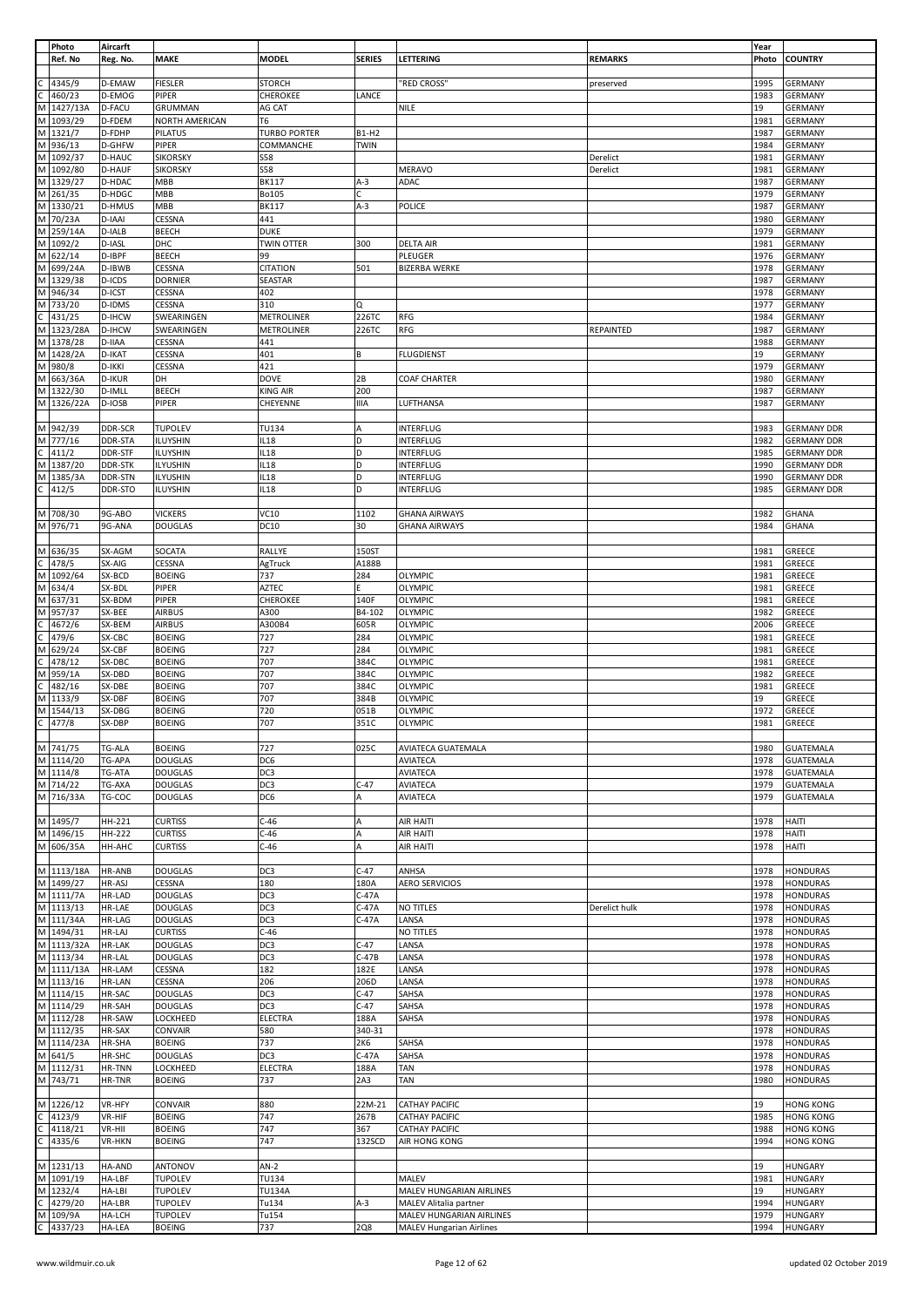|   | Photo      | Aircarft      |                       |                     |               |                           |                | Year  |                    |
|---|------------|---------------|-----------------------|---------------------|---------------|---------------------------|----------------|-------|--------------------|
|   | Ref. No    | Reg. No.      | <b>MAKE</b>           | <b>MODEL</b>        | <b>SERIES</b> | LETTERING                 | <b>REMARKS</b> | Photo | <b>COUNTRY</b>     |
|   |            |               |                       |                     |               |                           |                |       |                    |
|   | 4345/9     | D-EMAW        | <b>FIESLER</b>        | <b>STORCH</b>       |               | "RED CROSS"               | preserved      | 1995  | GERMANY            |
|   |            |               |                       |                     |               |                           |                |       |                    |
|   | 460/23     | D-EMOG        | PIPER                 | CHEROKEE            | LANCE         |                           |                | 1983  | <b>GERMANY</b>     |
| M | 1427/13A   | D-FACU        | GRUMMAN               | AG CAT              |               | NILE                      |                | 19    | <b>GERMANY</b>     |
| M | 1093/29    | D-FDEM        | <b>NORTH AMERICAN</b> | T6                  |               |                           |                | 1981  | GERMANY            |
| M | 1321/7     | D-FDHP        | <b>PILATUS</b>        | <b>TURBO PORTER</b> | B1-H2         |                           |                | 1987  | <b>GERMANY</b>     |
| M | 936/13     | D-GHFW        | PIPER                 | COMMANCHE           | TWIN          |                           |                | 1984  | <b>GERMANY</b>     |
| M |            |               |                       |                     |               |                           |                |       |                    |
|   | 1092/37    | D-HAUC        | <b>SIKORSKY</b>       | <b>S58</b>          |               |                           | Derelict       | 1981  | GERMANY            |
|   | M 1092/80  | <b>D-HAUF</b> | <b>SIKORSKY</b>       | <b>S58</b>          |               | <b>MERAVO</b>             | Derelict       | 1981  | <b>GERMANY</b>     |
|   | M 1329/27  | D-HDAC        | <b>MBB</b>            | <b>BK117</b>        | $A-3$         | ADAC                      |                | 1987  | <b>GERMANY</b>     |
| M | 261/35     | D-HDGC        | MBB                   | <b>Bo105</b>        | Ċ             |                           |                | 1979  | <b>GERMANY</b>     |
|   | M 1330/21  | <b>D-HMUS</b> | MBB                   | <b>BK117</b>        | $A-3$         | POLICE                    |                | 1987  | GERMANY            |
|   |            | D-IAAI        | CESSNA                | 441                 |               |                           |                | 1980  | <b>GERMANY</b>     |
|   | M 70/23A   |               |                       |                     |               |                           |                |       |                    |
| M | 259/14A    | D-IALB        | <b>BEECH</b>          | <b>DUKE</b>         |               |                           |                | 1979  | <b>GERMANY</b>     |
|   | M 1092/2   | D-IASL        | DHC                   | <b>TWIN OTTER</b>   | 300           | <b>DELTA AIR</b>          |                | 1981  | <b>GERMANY</b>     |
| M | 622/14     | D-IBPF        | <b>BEECH</b>          | 99                  |               | PLEUGER                   |                | 1976  | GERMANY            |
| M | 699/24A    | D-IBWB        | CESSNA                | <b>CITATION</b>     | 501           | <b>BIZERBA WERKE</b>      |                | 1978  | <b>GERMANY</b>     |
| M | 1329/38    | D-ICDS        | <b>DORNIER</b>        | <b>SEASTAR</b>      |               |                           |                | 1987  | <b>GERMANY</b>     |
|   |            |               |                       |                     |               |                           |                |       |                    |
| M | 946/34     | D-ICST        | CESSNA                | 402                 |               |                           |                | 1978  | <b>GERMANY</b>     |
| M | 733/20     | D-IDMS        | CESSNA                | 310                 | Q             |                           |                | 1977  | <b>GERMANY</b>     |
| C | 431/25     | D-IHCW        | SWEARINGEN            | METROLINER          | 226TC         | RFG                       |                | 1984  | GERMANY            |
| M | 1323/28A   | D-IHCW        | SWEARINGEN            | METROLINER          | 226TC         | RFG                       | REPAINTED      | 1987  | GERMANY            |
|   | M 1378/28  | D-IIAA        | CESSNA                | 441                 |               |                           |                | 1988  | <b>GERMANY</b>     |
|   | M 1428/2A  | D-IKAT        | CESSNA                | 401                 |               | <b>FLUGDIENST</b>         |                | 19    | <b>GERMANY</b>     |
|   |            |               |                       |                     | В             |                           |                |       |                    |
| M | 980/8      | D-IKKI        | CESSNA                | 421                 |               |                           |                | 1979  | <b>GERMANY</b>     |
| M | 663/36A    | <b>D-IKUR</b> | DH                    | <b>DOVE</b>         | 2B            | <b>COAF CHARTER</b>       |                | 1980  | GERMANY            |
|   | M 1322/30  | D-IMLL        | <b>BEECH</b>          | <b>KING AIR</b>     | 200           |                           |                | 1987  | <b>GERMANY</b>     |
| M | 1326/22A   | D-IOSB        | PIPER                 | CHEYENNE            | IIIA          | LUFTHANSA                 |                | 1987  | <b>GERMANY</b>     |
|   |            |               |                       |                     |               |                           |                |       |                    |
|   |            |               |                       |                     |               |                           |                |       |                    |
|   | M 942/39   | DDR-SCR       | <b>TUPOLEV</b>        | TU134               | А             | <b>INTERFLUG</b>          |                | 1983  | <b>GERMANY DDR</b> |
|   | M 777/16   | DDR-STA       | ILUYSHIN              | IL18                | D             | INTERFLUG                 |                | 1982  | <b>GERMANY DDR</b> |
| С | 411/2      | DDR-STF       | ILUYSHIN              | IL18                | D             | INTERFLUG                 |                | 1985  | <b>GERMANY DDR</b> |
| M | 1387/20    | DDR-STK       | <b>ILYUSHIN</b>       | IL18                | D             | INTERFLUG                 |                | 1990  | <b>GERMANY DDR</b> |
| м | 1385/3A    | DDR-STN       | ILYUSHIN              | IL18                | D             | <b>INTERFLUG</b>          |                | 1990  | <b>GERMANY DDR</b> |
|   |            |               |                       |                     |               |                           |                |       |                    |
| C | 412/5      | DDR-STO       | <b>ILUYSHIN</b>       | IL18                | D             | INTERFLUG                 |                | 1985  | <b>GERMANY DDR</b> |
|   |            |               |                       |                     |               |                           |                |       |                    |
| M | 708/30     | 9G-ABO        | <b>VICKERS</b>        | VC10                | 1102          | <b>GHANA AIRWAYS</b>      |                | 1982  | <b>GHANA</b>       |
|   | M 976/71   | 9G-ANA        | <b>DOUGLAS</b>        | DC10                | 30            | <b>GHANA AIRWAYS</b>      |                | 1984  | <b>GHANA</b>       |
|   |            |               |                       |                     |               |                           |                |       |                    |
|   | M 636/35   | SX-AGM        | SOCATA                | RALLYE              | 150ST         |                           |                | 1981  | GREECE             |
| C | 478/5      | SX-AIG        | CESSNA                | AgTruck             | A188B         |                           |                | 1981  | GREECE             |
| M | 1092/64    | SX-BCD        | <b>BOEING</b>         | 737                 | 284           | OLYMPIC                   |                | 1981  | GREECE             |
|   |            |               |                       |                     |               |                           |                |       |                    |
| M | 634/4      | SX-BDL        | PIPER                 | AZTEC               | Ė.            | OLYMPIC                   |                | 1981  | GREECE             |
| M | 637/31     | SX-BDM        | PIPER                 | CHEROKEE            | 140F          | OLYMPIC                   |                | 1981  | GREECE             |
| M | 957/37     | SX-BEE        | <b>AIRBUS</b>         | A300                | B4-102        | OLYMPIC                   |                | 1982  | GREECE             |
|   | 4672/6     | SX-BEM        | <b>AIRBUS</b>         | A300B4              | 605R          | <b>OLYMPIC</b>            |                | 2006  | <b>GREECE</b>      |
|   | 479/6      | SX-CBC        | <b>BOEING</b>         | 727                 | 284           | OLYMPIC                   |                | 1981  | GREECE             |
| М | 629/24     | SX-CBF        | <b>BOEING</b>         | 727                 | 284           | OLYMPIC                   |                | 1981  | GREECE             |
|   |            |               |                       |                     |               |                           |                |       |                    |
|   | 478/12     | SX-DBC        | <b>BOEING</b>         | 707                 | 384C          | <b>OLYMPIC</b>            |                | 1981  | GREECE             |
| M | 959/1A     | SX-DBD        | <b>BOEING</b>         | 707                 | 384C          | OLYMPIC                   |                | 1982  | GREECE             |
| C | 482/16     | SX-DBE        | <b>BOEING</b>         | 707                 | 384C          | OLYMPIC                   |                | 1981  | GREECE             |
|   | M 1133/9   | SX-DBF        | <b>BOEING</b>         | 707                 | 384B          | OLYMPIC                   |                | 19    | GREECE             |
| M | 1544/13    | SX-DBG        | <b>BOEING</b>         | 720                 | 051B          | OLYMPIC                   |                | 1972  | GREECE             |
| C |            | SX-DBP        | <b>BOEING</b>         | 707                 | 351C          | OLYMPIC                   |                | 1981  | GREECE             |
|   | 477/8      |               |                       |                     |               |                           |                |       |                    |
|   |            |               |                       |                     |               |                           |                |       |                    |
|   | M 741/75   | <b>TG-ALA</b> | <b>BOEING</b>         | 727                 | 025C          | <b>AVIATECA GUATEMALA</b> |                | 1980  | <b>GUATEMALA</b>   |
|   | M 1114/20  | TG-APA        | <b>DOUGLAS</b>        | DC6                 |               | AVIATECA                  |                | 1978  | <b>GUATEMALA</b>   |
|   | M 1114/8   | TG-ATA        | <b>DOUGLAS</b>        | DC3                 |               | <b>AVIATECA</b>           |                | 1978  | <b>GUATEMALA</b>   |
|   | M 714/22   | TG-AXA        | <b>DOUGLAS</b>        | DC3                 | $C-47$        | <b>AVIATECA</b>           |                | 1979  | <b>GUATEMALA</b>   |
|   | M 716/33A  | TG-COC        | <b>DOUGLAS</b>        | DC6                 | А             | AVIATECA                  |                | 1979  | <b>GUATEMALA</b>   |
|   |            |               |                       |                     |               |                           |                |       |                    |
|   | M 1495/7   | HH-221        | <b>CURTISS</b>        | $C-46$              | А             | AIR HAITI                 |                | 1978  | <b>HAITI</b>       |
|   | M 1496/15  | HH-222        | <b>CURTISS</b>        | $C-46$              |               | AIR HAITI                 |                | 1978  | HAITI              |
|   |            |               |                       |                     | А             |                           |                |       |                    |
|   | M 606/35A  | HH-AHC        | <b>CURTISS</b>        | $C-46$              | A             | AIR HAITI                 |                | 1978  | <b>HAITI</b>       |
|   |            |               |                       |                     |               |                           |                |       |                    |
|   | M 1113/18A | <b>HR-ANB</b> | <b>DOUGLAS</b>        | DC3                 | $C-47$        | ANHSA                     |                | 1978  | <b>HONDURAS</b>    |
|   | M 1499/27  | HR-ASJ        | CESSNA                | 180                 | 180A          | <b>AERO SERVICIOS</b>     |                | 1978  | <b>HONDURAS</b>    |
|   | M 1111/7A  | HR-LAD        | <b>DOUGLAS</b>        | DC3                 | $C-47A$       |                           |                |       | <b>HONDURAS</b>    |
|   | M 1113/13  | HR-LAE        |                       |                     |               |                           |                | 1978  |                    |
|   |            |               | <b>DOUGLAS</b>        | DC3                 | $C-47A$       | <b>NO TITLES</b>          | Derelict hulk  | 1978  | <b>HONDURAS</b>    |
|   | M 111/34A  | HR-LAG        | <b>DOUGLAS</b>        | DC3                 | $C-47A$       | LANSA                     |                | 1978  | <b>HONDURAS</b>    |
|   |            |               |                       |                     |               |                           |                |       |                    |
|   | M 1494/31  | HR-LAJ        | <b>CURTISS</b>        | $C-46$              |               | NO TITLES                 |                | 1978  | <b>HONDURAS</b>    |
|   | M 1113/32A | HR-LAK        | <b>DOUGLAS</b>        | DC3                 | $C-47$        | LANSA                     |                | 1978  | <b>HONDURAS</b>    |
|   | M 1113/34  | <b>HR-LAL</b> | <b>DOUGLAS</b>        | DC3                 | $C-47B$       | LANSA                     |                | 1978  | <b>HONDURAS</b>    |
|   | M 1111/13A | HR-LAM        | CESSNA                | 182                 | 182E          | LANSA                     |                | 1978  | <b>HONDURAS</b>    |
|   | M 1113/16  | HR-LAN        | CESSNA                | 206                 | 206D          | LANSA                     |                | 1978  | <b>HONDURAS</b>    |
|   | M 1114/15  | HR-SAC        | <b>DOUGLAS</b>        | DC3                 | $C-47$        | SAHSA                     |                | 1978  | <b>HONDURAS</b>    |
|   | M 1114/29  | HR-SAH        | <b>DOUGLAS</b>        | DC3                 | $C-47$        | SAHSA                     |                | 1978  | <b>HONDURAS</b>    |
|   |            |               |                       |                     |               |                           |                |       |                    |
|   | M 1112/28  | HR-SAW        | LOCKHEED              | <b>ELECTRA</b>      | 188A          | SAHSA                     |                | 1978  | <b>HONDURAS</b>    |
|   | M 1112/35  | HR-SAX        | CONVAIR               | 580                 | 340-31        |                           |                | 1978  | <b>HONDURAS</b>    |
|   | M 1114/23A | HR-SHA        | <b>BOEING</b>         | 737                 | 2K6           | SAHSA                     |                | 1978  | <b>HONDURAS</b>    |
|   | M 641/5    | HR-SHC        | <b>DOUGLAS</b>        | DC3                 | $C-47A$       | SAHSA                     |                | 1978  | <b>HONDURAS</b>    |
|   | M 1112/31  | HR-TNN        | LOCKHEED              | <b>ELECTRA</b>      | 188A          | TAN                       |                | 1978  | <b>HONDURAS</b>    |
|   | M 743/71   | HR-TNR        | <b>BOEING</b>         | 737                 | 2A3           | TAN                       |                | 1980  | <b>HONDURAS</b>    |
|   |            |               |                       |                     |               |                           |                |       |                    |
|   | M 1226/12  | VR-HFY        | CONVAIR               | 880                 | 22M-21        | CATHAY PACIFIC            |                | 19    | <b>HONG KONG</b>   |
|   |            | VR-HIF        |                       | 747                 |               | <b>CATHAY PACIFIC</b>     |                |       | <b>HONG KONG</b>   |
|   | 4123/9     |               | <b>BOEING</b>         |                     | 267B          |                           |                | 1985  |                    |
| C | 4118/21    | VR-HII        | <b>BOEING</b>         | 747                 | 367           | <b>CATHAY PACIFIC</b>     |                | 1988  | <b>HONG KONG</b>   |
| С | 4335/6     | VR-HKN        | <b>BOEING</b>         | 747                 | 132SCD        | AIR HONG KONG             |                | 1994  | <b>HONG KONG</b>   |
|   |            |               |                       |                     |               |                           |                |       |                    |
|   | M 1231/13  | <b>HA-AND</b> | <b>ANTONOV</b>        | $AN-2$              |               |                           |                | 19    | <b>HUNGARY</b>     |
|   | M 1091/19  | HA-LBF        | <b>TUPOLEV</b>        | TU134               |               | MALEV                     |                | 1981  | <b>HUNGARY</b>     |
|   | M 1232/4   | HA-LBI        | <b>TUPOLEV</b>        | <b>TU134A</b>       |               | MALEV HUNGARIAN AIRLINES  |                | 19    | <b>HUNGARY</b>     |
| C | 4279/20    | <b>HA-LBR</b> | <b>TUPOLEV</b>        | Tu134               | A-3           | MALEV Alitalia partner    |                | 1994  | <b>HUNGARY</b>     |
|   | M 109/9A   | HA-LCH        | <b>TUPOLEV</b>        | Tu154               |               | MALEV HUNGARIAN AIRLINES  |                | 1979  | <b>HUNGARY</b>     |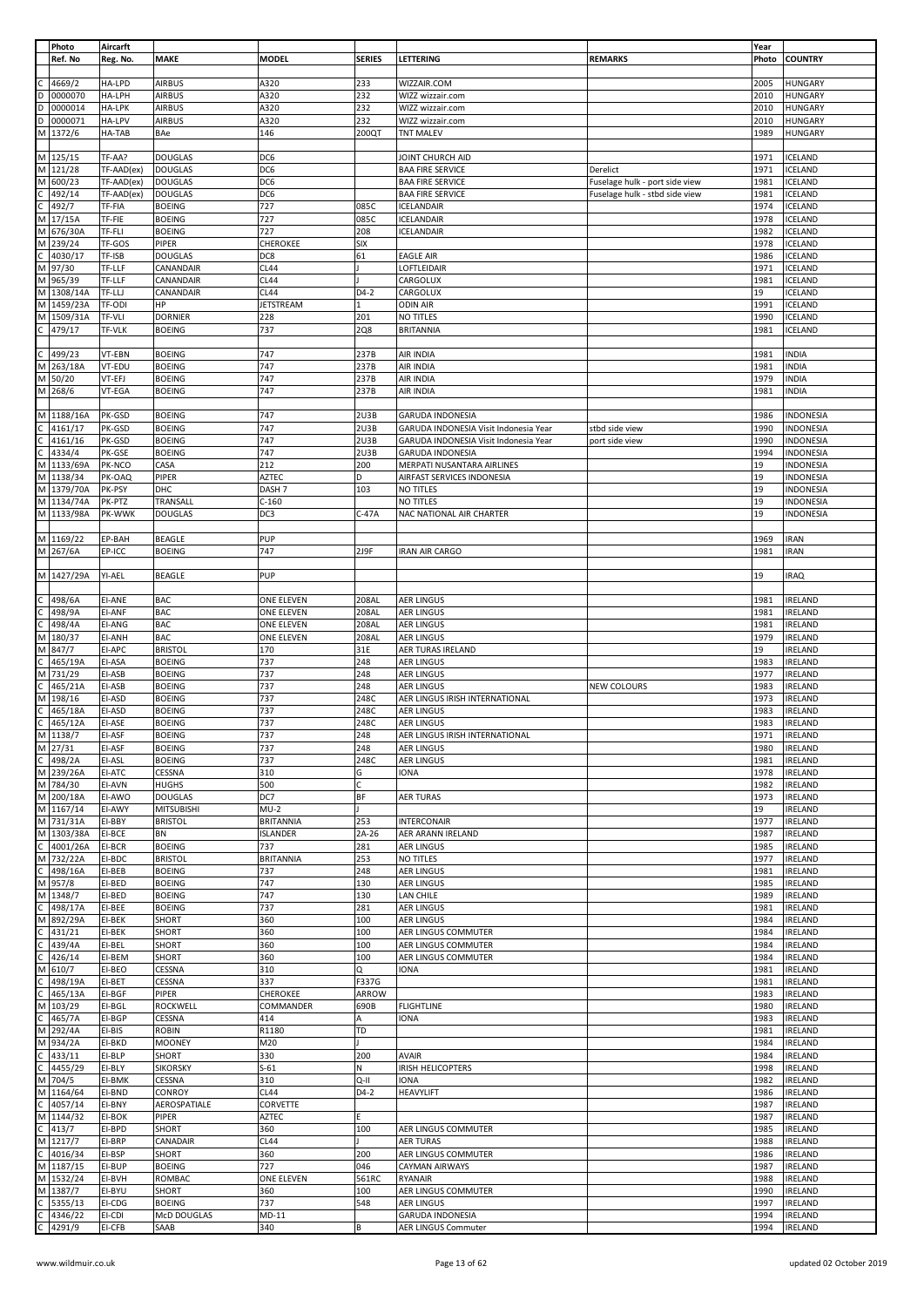|   | Photo      | Aircarft      |                    |                   |               |                                       |                                | Year  |                  |
|---|------------|---------------|--------------------|-------------------|---------------|---------------------------------------|--------------------------------|-------|------------------|
|   | Ref. No    | Reg. No.      | <b>MAKE</b>        | <b>MODEL</b>      | <b>SERIES</b> | LETTERING                             | <b>REMARKS</b>                 | Photo | <b>COUNTRY</b>   |
|   |            |               |                    |                   |               |                                       |                                |       |                  |
|   | 4669/2     | HA-LPD        | <b>AIRBUS</b>      | A320              | 233           | WIZZAIR.COM                           |                                | 2005  | <b>HUNGARY</b>   |
|   |            |               |                    |                   |               |                                       |                                |       |                  |
| D | 0000070    | HA-LPH        | <b>AIRBUS</b>      | A320              | 232           | WIZZ wizzair.com                      |                                | 2010  | <b>HUNGARY</b>   |
| D | 0000014    | <b>HA-LPK</b> | <b>AIRBUS</b>      | A320              | 232           | WIZZ wizzair.com                      |                                | 2010  | <b>HUNGARY</b>   |
| D | 0000071    | HA-LPV        | <b>AIRBUS</b>      | A320              | 232           | WIZZ wizzair.com                      |                                | 2010  | <b>HUNGARY</b>   |
| M | 1372/6     | HA-TAB        | BAe                | 146               | 200QT         | <b>TNT MALEV</b>                      |                                | 1989  | <b>HUNGARY</b>   |
|   |            |               |                    |                   |               |                                       |                                |       |                  |
|   | M 125/15   | TF-AA?        | <b>DOUGLAS</b>     | DC6               |               | JOINT CHURCH AID                      |                                | 1971  | ICELAND          |
|   |            |               |                    |                   |               |                                       |                                |       |                  |
|   | M 121/28   | TF-AAD(ex)    | <b>DOUGLAS</b>     | DC6               |               | <b>BAA FIRE SERVICE</b>               | Derelict                       | 1971  | ICELAND          |
| М | 600/23     | TF-AAD(ex)    | <b>DOUGLAS</b>     | DC6               |               | <b>BAA FIRE SERVICE</b>               | Fuselage hulk - port side view | 1981  | ICELAND          |
|   | 492/14     | TF-AAD(ex)    | <b>DOUGLAS</b>     | DC6               |               | <b>BAA FIRE SERVICE</b>               | Fuselage hulk - stbd side view | 1981  | ICELAND          |
|   | 492/7      | TF-FIA        | <b>BOEING</b>      | 727               | 085C          | <b>ICELANDAIR</b>                     |                                | 1974  | ICELAND          |
|   |            |               |                    |                   |               |                                       |                                |       |                  |
| М | 17/15A     | TF-FIE        | <b>BOEING</b>      | 727               | 085C          | <b>ICELANDAIR</b>                     |                                | 1978  | ICELAND          |
| M | 676/30A    | TF-FLI        | <b>BOEING</b>      | 727               | 208           | <b>ICELANDAIR</b>                     |                                | 1982  | ICELAND          |
| М | 239/24     | TF-GOS        | PIPER              | CHEROKEE          | <b>SIX</b>    |                                       |                                | 1978  | ICELAND          |
|   | 4030/17    | TF-ISB        | <b>DOUGLAS</b>     | DC8               | 61            | <b>EAGLE AIR</b>                      |                                | 1986  | ICELAND          |
| M | 97/30      | TF-LLF        | CANANDAIR          | <b>CL44</b>       |               | LOFTLEIDAIR                           |                                | 1971  | ICELAND          |
|   |            |               |                    |                   |               |                                       |                                |       |                  |
| M | 965/39     | TF-LLF        | CANANDAIR          | <b>CL44</b>       |               | CARGOLUX                              |                                | 1981  | ICELAND          |
| M | 1308/14A   | TF-LLJ        | CANANDAIR          | <b>CL44</b>       | $D4-2$        | CARGOLUX                              |                                | 19    | <b>ICELAND</b>   |
| M | 1459/23A   | TF-ODI        | HP                 | JETSTREAM         | 1             | <b>ODIN AIR</b>                       |                                | 1991  | ICELAND          |
| М | 1509/31A   | TF-VLI        | <b>DORNIER</b>     | 228               | 201           | NO TITLES                             |                                | 1990  | ICELAND          |
|   | 479/17     | <b>TF-VLK</b> | <b>BOEING</b>      | 737               | 2Q8           | <b>BRITANNIA</b>                      |                                | 1981  | ICELAND          |
|   |            |               |                    |                   |               |                                       |                                |       |                  |
|   |            |               |                    |                   |               |                                       |                                |       |                  |
|   | 499/23     | VT-EBN        | <b>BOEING</b>      | 747               | 237B          | AIR INDIA                             |                                | 1981  | <b>INDIA</b>     |
| M | 263/18A    | VT-EDU        | <b>BOEING</b>      | 747               | 237B          | AIR INDIA                             |                                | 1981  | <b>INDIA</b>     |
| М | 50/20      | VT-EFJ        | <b>BOEING</b>      | 747               | 237B          | AIR INDIA                             |                                | 1979  | <b>INDIA</b>     |
| M | 268/6      | VT-EGA        | <b>BOEING</b>      | 747               | 237B          | AIR INDIA                             |                                | 1981  | <b>INDIA</b>     |
|   |            |               |                    |                   |               |                                       |                                |       |                  |
|   |            |               |                    |                   |               |                                       |                                |       |                  |
|   | M 1188/16A | PK-GSD        | <b>BOEING</b>      | 747               | 2U3B          | <b>GARUDA INDONESIA</b>               |                                | 1986  | <b>INDONESIA</b> |
|   | 4161/17    | PK-GSD        | <b>BOEING</b>      | 747               | 2U3B          | GARUDA INDONESIA Visit Indonesia Year | stbd side view                 | 1990  | INDONESIA        |
|   | 4161/16    | PK-GSD        | <b>BOEING</b>      | 747               | 2U3B          | GARUDA INDONESIA Visit Indonesia Year | port side view                 | 1990  | INDONESIA        |
|   | 4334/4     |               | <b>BOEING</b>      | 747               | 2U3B          | <b>GARUDA INDONESIA</b>               |                                | 1994  | <b>INDONESIA</b> |
|   |            | PK-GSE        |                    |                   |               |                                       |                                |       |                  |
| М | 1133/69A   | PK-NCO        | CASA               | 212               | 200           | MERPATI NUSANTARA AIRLINES            |                                | 19    | INDONESIA        |
|   | M 1138/34  | PK-OAQ        | PIPER              | <b>AZTEC</b>      | D             | AIRFAST SERVICES INDONESIA            |                                | 19    | <b>INDONESIA</b> |
| М | 1379/70A   | PK-PSY        | DHC                | DASH <sub>7</sub> | 103           | NO TITLES                             |                                | 19    | INDONESIA        |
|   | M 1134/74A | PK-PTZ        | TRANSALL           | $C-160$           |               | NO TITLES                             |                                | 19    | INDONESIA        |
|   | M 1133/98A |               |                    |                   |               |                                       |                                | 19    |                  |
|   |            | PK-WWK        | <b>DOUGLAS</b>     | DC3               | $C-47A$       | NAC NATIONAL AIR CHARTER              |                                |       | INDONESIA        |
|   |            |               |                    |                   |               |                                       |                                |       |                  |
|   | M 1169/22  | EP-BAH        | <b>BEAGLE</b>      | PUP               |               |                                       |                                | 1969  | <b>IRAN</b>      |
|   | M 267/6A   | EP-ICC        | <b>BOEING</b>      | 747               | 2J9F          | <b>IRAN AIR CARGO</b>                 |                                | 1981  | <b>IRAN</b>      |
|   |            |               |                    |                   |               |                                       |                                |       |                  |
|   | M 1427/29A | YI-AEL        | BEAGLE             | PUP               |               |                                       |                                | 19    | <b>IRAQ</b>      |
|   |            |               |                    |                   |               |                                       |                                |       |                  |
|   |            |               |                    |                   |               |                                       |                                |       |                  |
|   | 498/6A     | EI-ANE        | <b>BAC</b>         | ONE ELEVEN        | 208AL         | <b>AER LINGUS</b>                     |                                | 1981  | <b>IRELAND</b>   |
|   | 498/9A     | EI-ANF        | <b>BAC</b>         | <b>ONE ELEVEN</b> | 208AL         | <b>AER LINGUS</b>                     |                                | 1981  | <b>IRELAND</b>   |
|   | 498/4A     | EI-ANG        | <b>BAC</b>         | ONE ELEVEN        | 208AL         | <b>AER LINGUS</b>                     |                                | 1981  | <b>IRELAND</b>   |
| М | 180/37     | EI-ANH        | <b>BAC</b>         | ONE ELEVEN        | 208AL         | AER LINGUS                            |                                | 1979  | <b>IRELAND</b>   |
| M | 847/7      | EI-APC        | <b>BRISTOL</b>     | 170               | 31E           | AER TURAS IRELAND                     |                                | 19    | IRELAND          |
|   |            |               |                    |                   |               |                                       |                                |       |                  |
|   | 465/19A    | EI-ASA        | <b>BOEING</b>      | 737               | 248           | <b>AER LINGUS</b>                     |                                | 1983  | <b>IRELAND</b>   |
| M | 731/29     | EI-ASB        | <b>BOEING</b>      | 737               | 248           | <b>AER LINGUS</b>                     |                                | 1977  | <b>IRELAND</b>   |
| C | 465/21A    | EI-ASB        | <b>BOEING</b>      | 737               | 248           | <b>AER LINGUS</b>                     | NEW COLOURS                    | 1983  | IRELAND          |
| М | 198/16     | EI-ASD        | <b>BOEING</b>      | 737               | 248C          | AER LINGUS IRISH INTERNATIONAL        |                                | 1973  | <b>IRELAND</b>   |
|   | 465/18A    | EI-ASD        | <b>BOEING</b>      | 737               | 248C          | <b>AER LINGUS</b>                     |                                | 1983  | <b>IRELAND</b>   |
|   |            |               |                    |                   |               |                                       |                                |       |                  |
| C | 465/12A    | EI-ASE        | <b>BOEING</b>      | 737               | 248C          | <b>AER LINGUS</b>                     |                                | 1983  | <b>IRELAND</b>   |
| M | 1138/7     | EI-ASF        | <b>BOEING</b>      | 737               | 248           | AER LINGUS IRISH INTERNATIONAL        |                                | 1971  | <b>IRELAND</b>   |
|   | M 27/31    | EI-ASF        | <b>BOEING</b>      | 737               | 248           | <b>AER LINGUS</b>                     |                                | 1980  | <b>IRELAND</b>   |
| C | 498/2A     | EI-ASL        | <b>BOEING</b>      | 737               | 248C          | <b>AER LINGUS</b>                     |                                | 1981  | <b>IRELAND</b>   |
|   | M 239/26A  | EI-ATC        | CESSNA             | 310               | G             | <b>IONA</b>                           |                                | 1978  | <b>IRELAND</b>   |
|   |            |               |                    |                   |               |                                       |                                |       |                  |
| M | 784/30     | EI-AVN        | <b>HUGHS</b>       | 500               | c             |                                       |                                | 1982  | <b>IRELAND</b>   |
|   | M 200/18A  | EI-AWO        | <b>DOUGLAS</b>     | DC7               | ΒF            | AER TURAS                             |                                | 1973  | <b>IRELAND</b>   |
|   | M 1167/14  | EI-AWY        | <b>MITSUBISHI</b>  | $MU-2$            |               |                                       |                                | 19    | <b>IRELAND</b>   |
|   | M 731/31A  | EI-BBY        | <b>BRISTOL</b>     | <b>BRITANNIA</b>  | 253           | <b>INTERCONAIR</b>                    |                                | 1977  | <b>IRELAND</b>   |
|   | M 1303/38A | EI-BCE        | <b>BN</b>          | <b>ISLANDER</b>   | 2A-26         | AER ARANN IRELAND                     |                                | 1987  | <b>IRELAND</b>   |
| C | 4001/26A   | EI-BCR        | <b>BOEING</b>      | 737               | 281           | <b>AER LINGUS</b>                     |                                | 1985  | <b>IRELAND</b>   |
|   |            |               |                    |                   |               |                                       |                                | 1977  |                  |
|   | M 732/22A  | EI-BDC        | <b>BRISTOL</b>     | <b>BRITANNIA</b>  | 253           | NO TITLES                             |                                |       | <b>IRELAND</b>   |
| C | 498/16A    | EI-BEB        | <b>BOEING</b>      | 737               | 248           | <b>AER LINGUS</b>                     |                                | 1981  | <b>IRELAND</b>   |
| M | 957/8      | EI-BED        | <b>BOEING</b>      | 747               | 130           | <b>AER LINGUS</b>                     |                                | 1985  | <b>IRELAND</b>   |
| M | 1348/7     | EI-BED        | <b>BOEING</b>      | 747               | 130           | LAN CHILE                             |                                | 1989  | <b>IRELAND</b>   |
|   | 498/17A    | EI-BEE        | <b>BOEING</b>      | 737               | 281           | <b>AER LINGUS</b>                     |                                | 1981  | <b>IRELAND</b>   |
| M | 892/29A    | EI-BEK        | SHORT              | 360               | 100           | <b>AER LINGUS</b>                     |                                | 1984  | <b>IRELAND</b>   |
|   |            |               |                    |                   |               |                                       |                                |       |                  |
|   | 431/21     | EI-BEK        | <b>SHORT</b>       | 360               | 100           | AER LINGUS COMMUTER                   |                                | 1984  | <b>IRELAND</b>   |
|   | 439/4A     | EI-BEL        | SHORT              | 360               | 100           | AER LINGUS COMMUTER                   |                                | 1984  | <b>IRELAND</b>   |
|   | 426/14     | EI-BEM        | SHORT              | 360               | 100           | AER LINGUS COMMUTER                   |                                | 1984  | <b>IRELAND</b>   |
| м | 610/7      | EI-BEO        | CESSNA             | 310               | Q             | <b>IONA</b>                           |                                | 1981  | <b>IRELAND</b>   |
|   | 498/19A    | EI-BET        | CESSNA             | 337               | F337G         |                                       |                                | 1981  | <b>IRELAND</b>   |
|   | 465/13A    |               |                    | CHEROKEE          | ARROW         |                                       |                                | 1983  | <b>IRELAND</b>   |
| M |            |               |                    |                   |               |                                       |                                |       |                  |
|   |            | EI-BGF        | PIPER              |                   |               |                                       |                                |       |                  |
|   | 103/29     | EI-BGL        | <b>ROCKWELL</b>    | COMMANDER         | 690B          | <b>FLIGHTLINE</b>                     |                                | 1980  | <b>IRELAND</b>   |
| M | 465/7A     | EI-BGP        | CESSNA             | 414               | A             | <b>IONA</b>                           |                                | 1983  | <b>IRELAND</b>   |
|   | 292/4A     | EI-BIS        | <b>ROBIN</b>       | R1180             | TD            |                                       |                                | 1981  | <b>IRELAND</b>   |
| M | 934/2A     | EI-BKD        | <b>MOONEY</b>      | M20               |               |                                       |                                | 1984  | <b>IRELAND</b>   |
|   | 433/11     | EI-BLP        | <b>SHORT</b>       | 330               | 200           | <b>AVAIR</b>                          |                                | 1984  | <b>IRELAND</b>   |
| C | 4455/29    | EI-BLY        | <b>SIKORSKY</b>    | $S-61$            | N             | IRISH HELICOPTERS                     |                                | 1998  | <b>IRELAND</b>   |
| M |            |               |                    | 310               |               | <b>IONA</b>                           |                                | 1982  |                  |
|   | 704/5      | EI-BMK        | CESSNA             |                   | Q-II          |                                       |                                |       | IRELAND          |
| М | 1164/64    | EI-BND        | CONROY             | <b>CL44</b>       | D4-2          | HEAVYLIFT                             |                                | 1986  | <b>IRELAND</b>   |
| С | 4057/14    | EI-BNY        | AEROSPATIALE       | CORVETTE          |               |                                       |                                | 1987  | <b>IRELAND</b>   |
| M | 1144/32    | EI-BOK        | PIPER              | <b>AZTEC</b>      | Ė.            |                                       |                                | 1987  | <b>IRELAND</b>   |
| C | 413/7      | EI-BPD        | SHORT              | 360               | 100           | AER LINGUS COMMUTER                   |                                | 1985  | <b>IRELAND</b>   |
|   | M 1217/7   | EI-BRP        | CANADAIR           | <b>CL44</b>       |               | <b>AER TURAS</b>                      |                                | 1988  | <b>IRELAND</b>   |
|   |            | EI-BSP        | SHORT              | 360               | 200           |                                       |                                | 1986  | <b>IRELAND</b>   |
|   | 4016/34    |               |                    |                   |               | AER LINGUS COMMUTER                   |                                |       |                  |
|   | M 1187/15  | EI-BUP        | <b>BOEING</b>      | 727               | 046           | <b>CAYMAN AIRWAYS</b>                 |                                | 1987  | <b>IRELAND</b>   |
|   | M 1532/24  | EI-BVH        | ROMBAC             | ONE ELEVEN        | 561RC         | <b>RYANAIR</b>                        |                                | 1988  | <b>IRELAND</b>   |
| M | 1387/7     | EI-BYU        | SHORT              | 360               | 100           | AER LINGUS COMMUTER                   |                                | 1990  | <b>IRELAND</b>   |
|   | 5355/13    | EI-CDG        | <b>BOEING</b>      | 737               | 548           | <b>AER LINGUS</b>                     |                                | 1997  | <b>IRELAND</b>   |
|   | 4346/22    | EI-CDI        | <b>McD DOUGLAS</b> | $MD-11$           |               | <b>GARUDA INDONESIA</b>               |                                | 1994  | <b>IRELAND</b>   |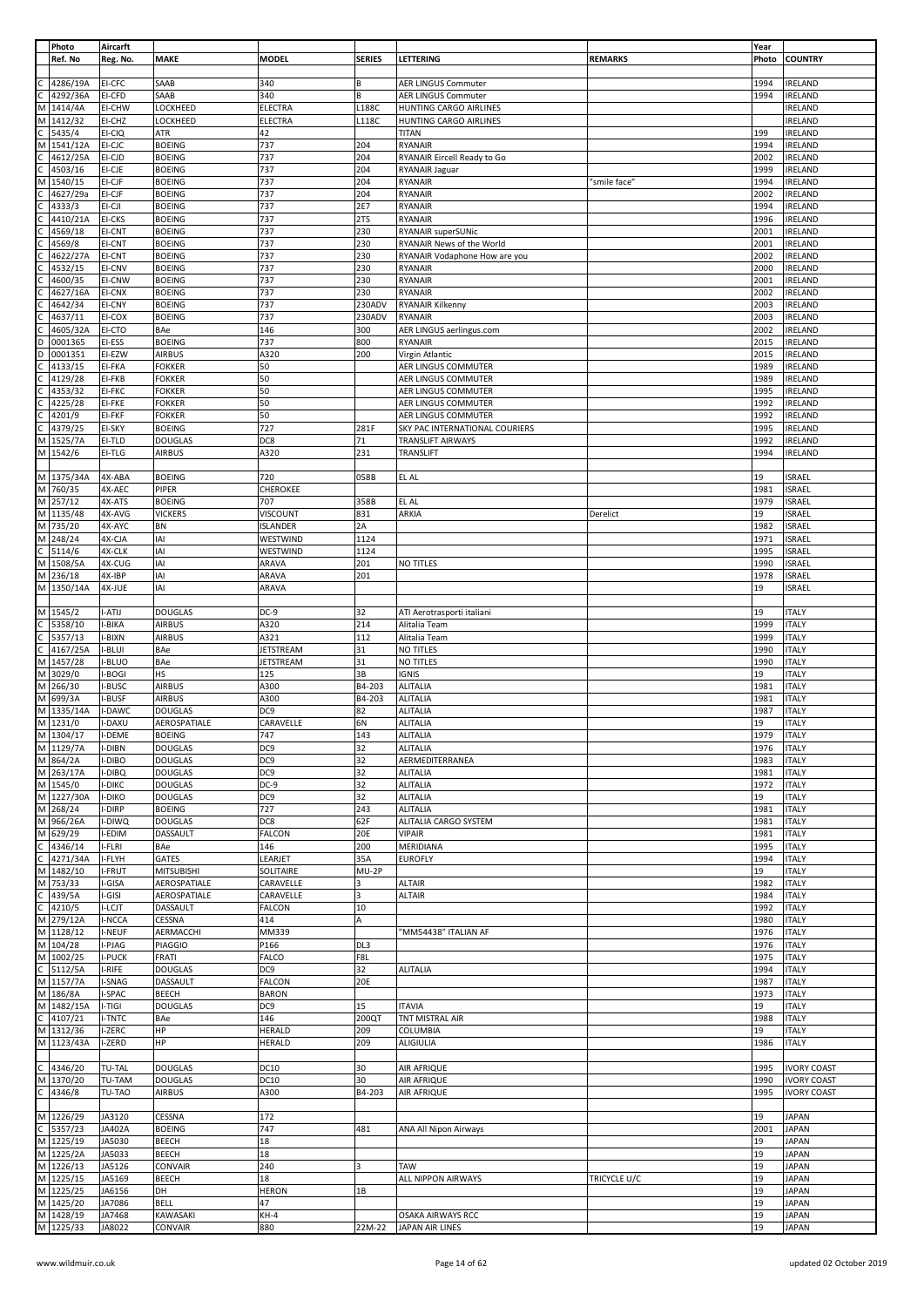|              | Photo      | Aircarft      |                   |                  |               |                                |                | Year  |                    |
|--------------|------------|---------------|-------------------|------------------|---------------|--------------------------------|----------------|-------|--------------------|
|              | Ref. No    | Reg. No.      | MAKE              | <b>MODEL</b>     | <b>SERIES</b> | LETTERING                      | <b>REMARKS</b> | Photo | <b>COUNTRY</b>     |
|              |            |               |                   |                  |               |                                |                |       |                    |
|              | 4286/19A   | EI-CFC        | SAAB              | 340              | В             | <b>AER LINGUS Commuter</b>     |                | 1994  | <b>IRELAND</b>     |
| C            | 4292/36A   | EI-CFD        | SAAB              | 340              | В             | <b>AER LINGUS Commuter</b>     |                | 1994  | <b>IRELAND</b>     |
|              |            |               |                   |                  |               |                                |                |       |                    |
| М            | 1414/4A    | EI-CHW        | LOCKHEED          | <b>ELECTRA</b>   | L188C         | HUNTING CARGO AIRLINES         |                |       | <b>IRELAND</b>     |
| M            | 1412/32    | EI-CHZ        | LOCKHEED          | <b>ELECTRA</b>   | L118C         | HUNTING CARGO AIRLINES         |                |       | <b>IRELAND</b>     |
| C            | 5435/4     | EI-CIQ        | ATR               | 42               |               | <b>TITAN</b>                   |                | 199   | <b>IRELAND</b>     |
| M            | 1541/12A   | EI-CJC        | <b>BOEING</b>     | 737              | 204           | RYANAIR                        |                | 1994  | IRELAND            |
|              | 4612/25A   | EI-CJD        | <b>BOEING</b>     | 737              | 204           | RYANAIR Eircell Ready to Go    |                | 2002  | <b>IRELAND</b>     |
|              |            |               |                   |                  |               |                                |                |       |                    |
|              | 4503/16    | EI-CJE        | <b>BOEING</b>     | 737              | 204           | RYANAIR Jaguar                 |                | 1999  | <b>IRELAND</b>     |
| M            | 1540/15    | EI-CJF        | <b>BOEING</b>     | 737              | 204           | <b>RYANAIR</b>                 | "smile face"   | 1994  | <b>IRELAND</b>     |
|              | 4627/29a   | EI-CJF        | <b>BOEING</b>     | 737              | 204           | <b>RYANAIR</b>                 |                | 2002  | <b>IRELAND</b>     |
|              | 4333/3     | EI-CJI        | <b>BOEING</b>     | 737              | 2E7           | <b>RYANAIR</b>                 |                | 1994  | <b>IRELAND</b>     |
|              |            | EI-CKS        |                   | 737              |               | <b>RYANAIR</b>                 |                | 1996  |                    |
|              | 4410/21A   |               | <b>BOEING</b>     |                  | 2T5           |                                |                |       | <b>IRELAND</b>     |
|              | 4569/18    | EI-CNT        | <b>BOEING</b>     | 737              | 230           | RYANAIR superSUNic             |                | 2001  | <b>IRELAND</b>     |
|              | 4569/8     | EI-CNT        | <b>BOEING</b>     | 737              | 230           | RYANAIR News of the World      |                | 2001  | <b>IRELAND</b>     |
|              | 4622/27A   | EI-CNT        | <b>BOEING</b>     | 737              | 230           | RYANAIR Vodaphone How are you  |                | 2002  | <b>IRELAND</b>     |
|              | 4532/15    | EI-CNV        | <b>BOEING</b>     | 737              | 230           | <b>RYANAIR</b>                 |                | 2000  | <b>IRELAND</b>     |
|              | 4600/35    | EI-CNW        | <b>BOEING</b>     | 737              | 230           | <b>RYANAIR</b>                 |                | 2001  | <b>IRELAND</b>     |
|              |            |               |                   |                  |               |                                |                |       |                    |
|              | 4627/16A   | EI-CNX        | <b>BOEING</b>     | 737              | 230           | <b>RYANAIR</b>                 |                | 2002  | <b>IRELAND</b>     |
|              | 4642/34    | EI-CNY        | <b>BOEING</b>     | 737              | 230ADV        | <b>RYANAIR Kilkenny</b>        |                | 2003  | <b>IRELAND</b>     |
|              | 4637/11    | EI-COX        | <b>BOEING</b>     | 737              | 230ADV        | <b>RYANAIR</b>                 |                | 2003  | <b>IRELAND</b>     |
|              | 4605/32A   | EI-CTO        | BAe               | 146              | 300           | AER LINGUS aerlingus.com       |                | 2002  | <b>IRELAND</b>     |
| D            | 0001365    | EI-ESS        | <b>BOEING</b>     | 737              | 800           | <b>RYANAIR</b>                 |                | 2015  | <b>IRELAND</b>     |
| D            | 0001351    |               |                   | A320             | 200           | Virgin Atlantic                |                | 2015  |                    |
|              |            | EI-EZW        | <b>AIRBUS</b>     |                  |               |                                |                |       | <b>IRELAND</b>     |
|              | 4133/15    | EI-FKA        | <b>FOKKER</b>     | 50               |               | AER LINGUS COMMUTER            |                | 1989  | <b>IRELAND</b>     |
|              | 4129/28    | EI-FKB        | <b>FOKKER</b>     | 50               |               | AER LINGUS COMMUTER            |                | 1989  | <b>IRELAND</b>     |
|              | 4353/32    | EI-FKC        | <b>FOKKER</b>     | 50               |               | AER LINGUS COMMUTER            |                | 1995  | <b>IRELAND</b>     |
|              | 4225/28    | EI-FKE        | <b>FOKKER</b>     | 50               |               | AER LINGUS COMMUTER            |                | 1992  | <b>IRELAND</b>     |
|              | 4201/9     | EI-FKF        | <b>FOKKER</b>     | 50               |               | AER LINGUS COMMUTER            |                | 1992  | <b>IRELAND</b>     |
|              |            |               |                   |                  |               |                                |                |       |                    |
|              | 4379/25    | EI-SKY        | <b>BOEING</b>     | 727              | 281F          | SKY PAC INTERNATIONAL COURIERS |                | 1995  | <b>IRELAND</b>     |
| М            | 1525/7A    | EI-TLD        | <b>DOUGLAS</b>    | DC8              | 71            | <b>TRANSLIFT AIRWAYS</b>       |                | 1992  | <b>IRELAND</b>     |
| М            | 1542/6     | EI-TLG        | <b>AIRBUS</b>     | A320             | 231           | TRANSLIFT                      |                | 1994  | <b>IRELAND</b>     |
|              |            |               |                   |                  |               |                                |                |       |                    |
|              | M 1375/34A | 4X-ABA        | <b>BOEING</b>     | 720              | 058B          | EL AL                          |                | 19    | <b>ISRAEL</b>      |
|              |            |               |                   |                  |               |                                |                |       |                    |
| M            | 760/35     | 4X-AEC        | PIPER             | <b>CHEROKEE</b>  |               |                                |                | 1981  | <b>ISRAEL</b>      |
| M            | 257/12     | 4X-ATS        | <b>BOEING</b>     | 707              | 358B          | EL AL                          |                | 1979  | <b>ISRAEL</b>      |
|              | M 1135/48  | 4X-AVG        | <b>VICKERS</b>    | <b>VISCOUNT</b>  | 831           | <b>ARKIA</b>                   | Derelict       | 19    | <b>ISRAEL</b>      |
| M            | 735/20     | 4X-AYC        | BN                | <b>ISLANDER</b>  | 2A            |                                |                | 1982  | <b>ISRAEL</b>      |
| M            | 248/24     | 4X-CJA        | IAI               | WESTWIND         | 1124          |                                |                | 1971  | <b>ISRAEL</b>      |
| $\mathsf{C}$ | 5114/6     | 4X-CLK        | IAI               | WESTWIND         | 1124          |                                |                | 1995  | <b>ISRAEL</b>      |
|              |            |               |                   |                  |               |                                |                |       |                    |
| M            | 1508/5A    | 4X-CUG        | IAI               | ARAVA            | 201           | NO TITLES                      |                | 1990  | <b>ISRAEL</b>      |
| M            | 236/18     | 4X-IBP        | IAI               | ARAVA            | 201           |                                |                | 1978  | <b>ISRAEL</b>      |
|              | M 1350/14A | 4X-JUE        | IAI               | ARAVA            |               |                                |                | 19    | <b>ISRAEL</b>      |
|              |            |               |                   |                  |               |                                |                |       |                    |
|              | M 1545/2   | I-ATIJ        | <b>DOUGLAS</b>    | DC-9             | 32            | ATI Aerotrasporti italiani     |                | 19    | <b>ITALY</b>       |
| $\mathsf{C}$ | 5358/10    | I-BIKA        | <b>AIRBUS</b>     | A320             | 214           | Alitalia Team                  |                | 1999  | <b>ITALY</b>       |
|              |            |               |                   |                  |               |                                |                |       |                    |
| C            | 5357/13    | I-BIXN        | <b>AIRBUS</b>     | A321             | 112           | Alitalia Team                  |                | 1999  | <b>ITALY</b>       |
| $\mathsf{C}$ | 4167/25A   | I-BLUI        | BAe               | <b>JETSTREAM</b> | 31            | NO TITLES                      |                | 1990  | <b>ITALY</b>       |
| M            | 1457/28    | I-BLUO        | BAe               | <b>JETSTREAM</b> | 31            | NO TITLES                      |                | 1990  | <b>ITALY</b>       |
| M            | 3029/0     | I-BOGI        | HS                | 125              | 3B            | <b>IGNIS</b>                   |                | 19    | <b>ITALY</b>       |
| M            | 266/30     | I-BUSC        | <b>AIRBUS</b>     | A300             | B4-203        | <b>ALITALIA</b>                |                | 1981  | <b>ITALY</b>       |
| M            | 699/3A     | I-BUSF        | <b>AIRBUS</b>     | A300             | B4-203        | <b>ALITALIA</b>                |                | 1981  | <b>ITALY</b>       |
| M            | 1335/14A   | I-DAWC        | <b>DOUGLAS</b>    | DC9              | 82            | <b>ALITALIA</b>                |                | 1987  | <b>ITALY</b>       |
|              | M 1231/0   | I-DAXU        | AEROSPATIALE      | CARAVELLE        | 6N            | <b>ALITALIA</b>                |                | 19    | <b>ITALY</b>       |
|              |            |               |                   |                  |               |                                |                |       |                    |
|              | M 1304/17  | I-DEME        | <b>BOEING</b>     | 747              | 143           | ALITALIA                       |                | 1979  | <b>ITALY</b>       |
|              | M 1129/7A  | I-DIBN        | <b>DOUGLAS</b>    | DC <sub>9</sub>  | 32            | <b>ALITALIA</b>                |                | 1976  | <b>ITALY</b>       |
| M            | 864/2A     | I-DIBO        | <b>DOUGLAS</b>    | DC9              | 32            | AERMEDITERRANEA                |                | 1983  | <b>ITALY</b>       |
| M            | 263/17A    | I-DIBQ        | <b>DOUGLAS</b>    | DC9              | 32            | <b>ALITALIA</b>                |                | 1981  | <b>ITALY</b>       |
|              | M 1545/0   | <b>I-DIKC</b> | <b>DOUGLAS</b>    | DC-9             | 32            | <b>ALITALIA</b>                |                | 1972  | <b>ITALY</b>       |
| M            | 1227/30A   | <b>I-DIKO</b> | <b>DOUGLAS</b>    | DC9              | 32            | ALITALIA                       |                | 19    | <b>ITALY</b>       |
|              |            |               |                   |                  |               |                                |                |       |                    |
| M            | 268/24     | I-DIRP        | <b>BOEING</b>     | 727              | 243           | <b>ALITALIA</b>                |                | 1981  | <b>ITALY</b>       |
| M            | 966/26A    | I-DIWQ        | <b>DOUGLAS</b>    | DC8              | 62F           | ALITALIA CARGO SYSTEM          |                | 1981  | <b>ITALY</b>       |
| M            | 629/29     | I-EDIM        | DASSAULT          | <b>FALCON</b>    | 20E           | <b>VIPAIR</b>                  |                | 1981  | <b>ITALY</b>       |
| C            | 4346/14    | I-FLRI        | BAe               | 146              | 200           | MERIDIANA                      |                | 1995  | <b>ITALY</b>       |
| $\mathsf{C}$ | 4271/34A   | I-FLYH        | GATES             | LEARJET          | 35A           | <b>EUROFLY</b>                 |                | 1994  | <b>ITALY</b>       |
| M            | 1482/10    | I-FRUT        | <b>MITSUBISHI</b> | SOLITAIRE        | MU-2P         |                                |                | 19    | <b>ITALY</b>       |
|              |            |               |                   |                  | 3             |                                |                |       |                    |
| M            | 753/33     | I-GISA        | AEROSPATIALE      | CARAVELLE        |               | <b>ALTAIR</b>                  |                | 1982  | <b>ITALY</b>       |
| С            | 439/5A     | I-GISI        | AEROSPATIALE      | CARAVELLE        | 3             | <b>ALTAIR</b>                  |                | 1984  | <b>ITALY</b>       |
|              | 4210/5     | I-LCJT        | DASSAULT          | <b>FALCON</b>    | 10            |                                |                | 1992  | <b>ITALY</b>       |
| M            | 279/12A    | I-NCCA        | CESSNA            | 414              | A             |                                |                | 1980  | <b>ITALY</b>       |
| M            | 1128/12    | I-NEUF        | AERMACCHI         | MM339            |               | "MM54438" ITALIAN AF           |                | 1976  | <b>ITALY</b>       |
| M            | 104/28     | I-PJAG        | <b>PIAGGIO</b>    | P166             | DL3           |                                |                | 1976  | <b>ITALY</b>       |
|              |            |               |                   |                  |               |                                |                |       |                    |
| M            | 1002/25    | <b>I-PUCK</b> | FRATI             | <b>FALCO</b>     | F8L           |                                |                | 1975  | <b>ITALY</b>       |
| $\mathsf{C}$ | 5112/5A    | I-RIFE        | <b>DOUGLAS</b>    | DC9              | 32            | <b>ALITALIA</b>                |                | 1994  | <b>ITALY</b>       |
| M            | 1157/7A    | I-SNAG        | DASSAULT          | <b>FALCON</b>    | 20E           |                                |                | 1987  | <b>ITALY</b>       |
| M            | 186/8A     | I-SPAC        | BEECH             | <b>BARON</b>     |               |                                |                | 1973  | <b>ITALY</b>       |
| M            | 1482/15A   | I-TIGI        | <b>DOUGLAS</b>    | DC9              | 15            | <b>ITAVIA</b>                  |                | 19    | <b>ITALY</b>       |
| C            | 4107/21    | I-TNTC        | BAe               | 146              | 200QT         | TNT MISTRAL AIR                |                | 1988  | <b>ITALY</b>       |
|              | M 1312/36  | I-ZERC        | ΗP                | HERALD           | 209           | <b>COLUMBIA</b>                |                | 19    | <b>ITALY</b>       |
|              |            |               |                   |                  |               |                                |                |       |                    |
|              | M 1123/43A | I-ZERD        | HP                | HERALD           | 209           | ALIGIULIA                      |                | 1986  | <b>ITALY</b>       |
|              |            |               |                   |                  |               |                                |                |       |                    |
| $\mathsf{C}$ | 4346/20    | TU-TAL        | <b>DOUGLAS</b>    | DC10             | 30            | AIR AFRIQUE                    |                | 1995  | <b>IVORY COAST</b> |
| M            | 1370/20    | TU-TAM        | <b>DOUGLAS</b>    | DC10             | 30            | AIR AFRIQUE                    |                | 1990  | <b>IVORY COAST</b> |
| C            | 4346/8     | TU-TAO        | <b>AIRBUS</b>     | A300             | B4-203        | AIR AFRIQUE                    |                | 1995  | <b>IVORY COAST</b> |
|              |            |               |                   |                  |               |                                |                |       |                    |
|              | M 1226/29  | JA3120        | CESSNA            | 172              |               |                                |                | 19    | <b>JAPAN</b>       |
| C            | 5357/23    | JA402A        | <b>BOEING</b>     | 747              | 481           |                                |                | 2001  | <b>JAPAN</b>       |
|              |            |               |                   |                  |               | ANA All Nipon Airways          |                |       |                    |
| M            | 1225/19    | JA5030        | BEECH             | 18               |               |                                |                | 19    | <b>JAPAN</b>       |
| M            | 1225/2A    | JA5033        | BEECH             | 18               |               |                                |                | 19    | <b>JAPAN</b>       |
|              | M 1226/13  | JA5126        | CONVAIR           | 240              | 3             | TAW                            |                | 19    | <b>JAPAN</b>       |
| M            | 1225/15    | JA5169        | BEECH             | 18               |               | ALL NIPPON AIRWAYS             | TRICYCLE U/C   | 19    | <b>JAPAN</b>       |
|              | M 1225/25  | JA6156        | DH                | <b>HERON</b>     | 1B            |                                |                | 19    | <b>JAPAN</b>       |
|              | M 1425/20  | JA7086        | BELL              | 47               |               |                                |                | 19    | <b>JAPAN</b>       |
|              |            |               |                   |                  |               |                                |                |       |                    |
|              | M 1428/19  | JA7468        | KAWASAKI          | $KH-4$           |               | <b>OSAKA AIRWAYS RCC</b>       |                | 19    | <b>JAPAN</b>       |
|              | M 1225/33  | JA8022        | CONVAIR           | 880              | 22M-22        | JAPAN AIR LINES                |                | 19    | <b>JAPAN</b>       |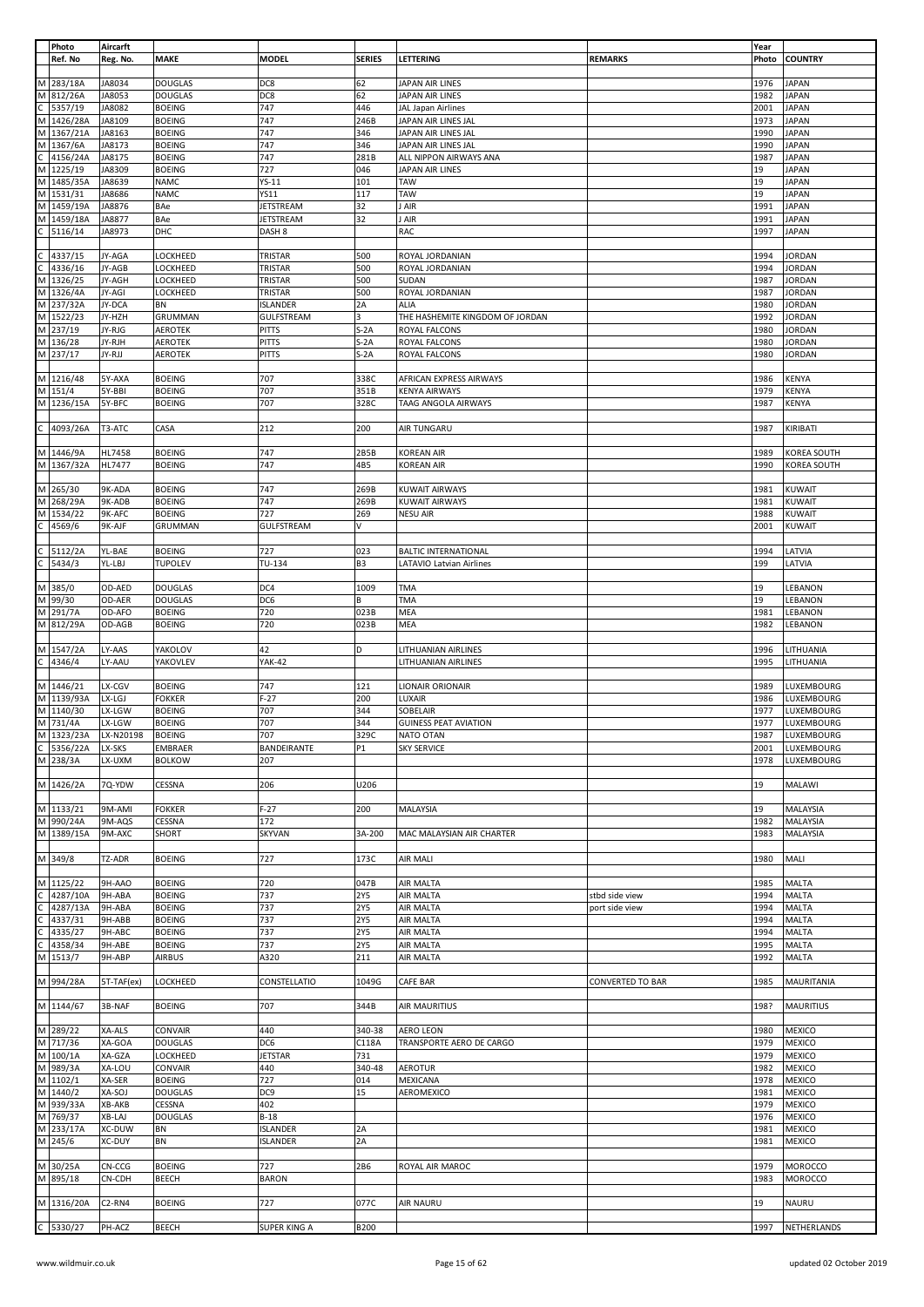|              | Photo                            | Aircarft                        |                |                     |                |                                 |                         | Year  |                    |
|--------------|----------------------------------|---------------------------------|----------------|---------------------|----------------|---------------------------------|-------------------------|-------|--------------------|
|              | Ref. No                          | Reg. No.                        | <b>MAKE</b>    | <b>MODEL</b>        | <b>SERIES</b>  | LETTERING                       | <b>REMARKS</b>          | Photo | <b>COUNTRY</b>     |
|              |                                  |                                 |                |                     |                |                                 |                         |       |                    |
|              | M 283/18A                        | JA8034                          | <b>DOUGLAS</b> | DC8                 | 62             | JAPAN AIR LINES                 |                         | 1976  | <b>JAPAN</b>       |
|              | M 812/26A                        | JA8053                          | <b>DOUGLAS</b> | DC8                 | 62             | JAPAN AIR LINES                 |                         | 1982  | <b>JAPAN</b>       |
| $\mathsf C$  | 5357/19                          | JA8082                          | <b>BOEING</b>  | 747                 | 446            | JAL Japan Airlines              |                         | 2001  | <b>JAPAN</b>       |
|              | M 1426/28A                       | JA8109                          | <b>BOEING</b>  | 747                 | 246B           | JAPAN AIR LINES JAL             |                         | 1973  | <b>JAPAN</b>       |
|              | M 1367/21A                       | JA8163                          | <b>BOEING</b>  | 747                 | 346            | JAPAN AIR LINES JAL             |                         | 1990  | <b>JAPAN</b>       |
|              | M 1367/6A                        | JA8173                          | <b>BOEING</b>  | 747                 | 346            | JAPAN AIR LINES JAL             |                         | 1990  | <b>JAPAN</b>       |
| C            | 4156/24A                         | JA8175                          | <b>BOEING</b>  | 747                 | 281B           | ALL NIPPON AIRWAYS ANA          |                         | 1987  | <b>JAPAN</b>       |
|              | M 1225/19                        | JA8309                          | <b>BOEING</b>  | 727                 | 046            | JAPAN AIR LINES                 |                         | 19    | <b>JAPAN</b>       |
|              | M 1485/35A                       | JA8639                          | <b>NAMC</b>    | YS-11               | 101            | TAW                             |                         | 19    | <b>JAPAN</b>       |
|              | M 1531/31                        |                                 |                |                     |                |                                 |                         | 19    |                    |
|              |                                  | JA8686                          | <b>NAMC</b>    | <b>YS11</b>         | 117            | <b>TAW</b>                      |                         |       | <b>JAPAN</b>       |
|              | M 1459/19A                       | JA8876                          | BAe            | <b>JETSTREAM</b>    | 32             | I AIR                           |                         | 1991  | <b>JAPAN</b>       |
|              | M 1459/18A                       | JA8877                          | BAe            | <b>JETSTREAM</b>    | 32             | J AIR                           |                         | 1991  | <b>JAPAN</b>       |
| C            | 5116/14                          | JA8973                          | DHC            | DASH <sub>8</sub>   |                | RAC                             |                         | 1997  | <b>JAPAN</b>       |
|              |                                  |                                 |                |                     |                |                                 |                         |       |                    |
| C            | 4337/15                          | JY-AGA                          | LOCKHEED       | TRISTAR             | 500            | ROYAL JORDANIAN                 |                         | 1994  | <b>JORDAN</b>      |
| C            | 4336/16                          | JY-AGB                          | LOCKHEED       | TRISTAR             | 500            | ROYAL JORDANIAN                 |                         | 1994  | <b>JORDAN</b>      |
|              | M 1326/25                        | JY-AGH                          | LOCKHEED       | TRISTAR             | 500            | SUDAN                           |                         | 1987  | <b>JORDAN</b>      |
|              | M 1326/4A                        | JY-AGI                          | LOCKHEED       | TRISTAR             | 500            | ROYAL JORDANIAN                 |                         | 1987  | <b>JORDAN</b>      |
|              | M 237/32A                        | JY-DCA                          | BN             | <b>ISLANDER</b>     | 2A             | <b>ALIA</b>                     |                         | 1980  | JORDAN             |
|              |                                  |                                 |                |                     | 3              |                                 |                         |       |                    |
|              | M 1522/23                        | JY-HZH                          | GRUMMAN        | <b>GULFSTREAM</b>   |                | THE HASHEMITE KINGDOM OF JORDAN |                         | 1992  | <b>JORDAN</b>      |
|              | M 237/19                         | JY-RJG                          | <b>AEROTEK</b> | <b>PITTS</b>        | $S-2A$         | ROYAL FALCONS                   |                         | 1980  | <b>JORDAN</b>      |
|              | M 136/28                         | JY-RJH                          | <b>AEROTEK</b> | PITTS               | $S-2A$         | ROYAL FALCONS                   |                         | 1980  | <b>JORDAN</b>      |
|              | M 237/17                         | JY-RJJ                          | <b>AEROTEK</b> | PITTS               | $S-2A$         | ROYAL FALCONS                   |                         | 1980  | <b>JORDAN</b>      |
|              |                                  |                                 |                |                     |                |                                 |                         |       |                    |
|              | M 1216/48                        | 5Y-AXA                          | <b>BOEING</b>  | 707                 | 338C           | AFRICAN EXPRESS AIRWAYS         |                         | 1986  | <b>KENYA</b>       |
|              | M 151/4                          | 5Y-BBI                          | <b>BOEING</b>  | 707                 | 351B           | <b>KENYA AIRWAYS</b>            |                         | 1979  | <b>KENYA</b>       |
|              | M 1236/15A                       | 5Y-BFC                          | <b>BOEING</b>  | 707                 | 328C           | TAAG ANGOLA AIRWAYS             |                         | 1987  | <b>KENYA</b>       |
|              |                                  |                                 |                |                     |                |                                 |                         |       |                    |
| C            | 4093/26A                         | T3-ATC                          | CASA           | 212                 | 200            | AIR TUNGARU                     |                         | 1987  | KIRIBATI           |
|              |                                  |                                 |                |                     |                |                                 |                         |       |                    |
|              | M 1446/9A                        |                                 | <b>BOEING</b>  | 747                 | 2B5B           | <b>KOREAN AIR</b>               |                         | 1989  | <b>KOREA SOUTH</b> |
|              |                                  | HL7458                          |                |                     |                |                                 |                         |       |                    |
|              | M 1367/32A                       | HL7477                          | <b>BOEING</b>  | 747                 | 4B5            | <b>KOREAN AIR</b>               |                         | 1990  | KOREA SOUTH        |
|              |                                  |                                 |                |                     |                |                                 |                         |       |                    |
|              | M 265/30                         | 9K-ADA                          | <b>BOEING</b>  | 747                 | 269B           | <b>KUWAIT AIRWAYS</b>           |                         | 1981  | <b>KUWAIT</b>      |
|              | M 268/29A                        | 9K-ADB                          | <b>BOEING</b>  | 747                 | 269B           | <b>KUWAIT AIRWAYS</b>           |                         | 1981  | <b>KUWAIT</b>      |
|              | M 1534/22                        | 9K-AFC                          | <b>BOEING</b>  | 727                 | 269            | <b>NESU AIR</b>                 |                         | 1988  | <b>KUWAIT</b>      |
| $\mathsf{C}$ | 4569/6                           | 9K-AJF                          | GRUMMAN        | <b>GULFSTREAM</b>   | V              |                                 |                         | 2001  | <b>KUWAIT</b>      |
|              |                                  |                                 |                |                     |                |                                 |                         |       |                    |
| $\mathsf C$  | 5112/2A                          | YL-BAE                          | <b>BOEING</b>  | 727                 | 023            | <b>BALTIC INTERNATIONAL</b>     |                         | 1994  | LATVIA             |
|              | $C$ 5434/3                       | YL-LBJ                          | <b>TUPOLEV</b> | TU-134              | B <sub>3</sub> | <b>LATAVIO Latvian Airlines</b> |                         | 199   | LATVIA             |
|              |                                  |                                 |                |                     |                |                                 |                         |       |                    |
|              |                                  |                                 |                |                     |                |                                 |                         |       |                    |
|              | M 385/0                          | OD-AED                          | <b>DOUGLAS</b> | DC4                 | 1009           | <b>TMA</b>                      |                         | 19    | LEBANON            |
|              | M 99/30                          | OD-AER                          | <b>DOUGLAS</b> | DC6                 | В              | TMA                             |                         | 19    | LEBANON            |
|              | M 291/7A                         | OD-AFO                          | <b>BOEING</b>  | 720                 | 023B           | MEA                             |                         | 1981  | LEBANON            |
|              | M 812/29A                        | OD-AGB                          | <b>BOEING</b>  | 720                 | 023B           | MEA                             |                         | 1982  | LEBANON            |
|              |                                  |                                 |                |                     |                |                                 |                         |       |                    |
|              | M 1547/2A                        | LY-AAS                          | YAKOLOV        | 42                  | D              | <b>LITHUANIAN AIRLINES</b>      |                         | 1996  | LITHUANIA          |
| C            | 4346/4                           | LY-AAU                          | YAKOVLEV       | <b>YAK-42</b>       |                | LITHUANIAN AIRLINES             |                         | 1995  | LITHUANIA          |
|              |                                  |                                 |                |                     |                |                                 |                         |       |                    |
|              | M 1446/21                        | LX-CGV                          | <b>BOEING</b>  | 747                 | 121            | LIONAIR ORIONAIR                |                         | 1989  | LUXEMBOURG         |
|              | M 1139/93A                       | LX-LGJ                          | <b>FOKKER</b>  | $F-27$              | 200            | LUXAIR                          |                         | 1986  | LUXEMBOURG         |
|              | M 1140/30                        | LX-LGW                          | <b>BOEING</b>  | 707                 | 344            | SOBELAIR                        |                         | 1977  | LUXEMBOURG         |
|              |                                  |                                 |                |                     |                |                                 |                         |       |                    |
|              | M 731/4A<br>M 1323/23A LX-N20198 | LX-LGW                          | <b>BOEING</b>  | 707                 | 344            | <b>GUINESS PEAT AVIATION</b>    |                         | 1977  | LUXEMBOURG         |
|              |                                  |                                 | <b>BOEING</b>  | 707                 | 329C           | NATO OTAN                       |                         |       | 1987 LUXEMBOURG    |
| $\mathsf{C}$ | 5356/22A                         | LX-SKS                          | <b>EMBRAER</b> | BANDEIRANTE         | P1             | <b>SKY SERVICE</b>              |                         | 2001  | LUXEMBOURG         |
|              | M 238/3A                         | LX-UXM                          | <b>BOLKOW</b>  | 207                 |                |                                 |                         | 1978  | LUXEMBOURG         |
|              |                                  |                                 |                |                     |                |                                 |                         |       |                    |
|              | M 1426/2A                        | 7Q-YDW                          | CESSNA         | 206                 | U206           |                                 |                         | 19    | <b>MALAWI</b>      |
|              |                                  |                                 |                |                     |                |                                 |                         |       |                    |
|              | M 1133/21                        | 9M-AMI                          | <b>FOKKER</b>  | $F-27$              | 200            | MALAYSIA                        |                         | 19    | MALAYSIA           |
|              | M 990/24A                        | 9M-AQS                          | CESSNA         | 172                 |                |                                 |                         | 1982  | MALAYSIA           |
|              | M 1389/15A                       | 9M-AXC                          | SHORT          | <b>SKYVAN</b>       | 3A-200         | MAC MALAYSIAN AIR CHARTER       |                         | 1983  | MALAYSIA           |
|              |                                  |                                 |                |                     |                |                                 |                         |       |                    |
|              | M 349/8                          | TZ-ADR                          | <b>BOEING</b>  | 727                 | 173C           | AIR MALI                        |                         | 1980  | MALI               |
|              |                                  |                                 |                |                     |                |                                 |                         |       |                    |
|              |                                  |                                 |                |                     | 047B           | <b>AIR MALTA</b>                |                         | 1985  |                    |
|              | M 1125/22                        | 9H-AAO                          | <b>BOEING</b>  | 720                 |                |                                 |                         |       | MALTA              |
|              | 4287/10A                         | 9H-ABA                          | <b>BOEING</b>  | 737                 | <b>2Y5</b>     | AIR MALTA                       | stbd side view          | 1994  | <b>MALTA</b>       |
| С            | 4287/13A                         | 9H-ABA                          | <b>BOEING</b>  | 737                 | <b>2Y5</b>     | AIR MALTA                       | port side view          | 1994  | MALTA              |
| $\mathsf{C}$ | 4337/31                          | 9H-ABB                          | <b>BOEING</b>  | 737                 | <b>2Y5</b>     | <b>AIR MALTA</b>                |                         | 1994  | MALTA              |
| С            | 4335/27                          | 9H-ABC                          | <b>BOEING</b>  | 737                 | <b>2Y5</b>     | <b>AIR MALTA</b>                |                         | 1994  | <b>MALTA</b>       |
| $\mathsf C$  | 4358/34                          | 9H-ABE                          | <b>BOEING</b>  | 737                 | <b>2Y5</b>     | AIR MALTA                       |                         | 1995  | <b>MALTA</b>       |
|              | M 1513/7                         | 9H-ABP                          | <b>AIRBUS</b>  | A320                | 211            | AIR MALTA                       |                         | 1992  | <b>MALTA</b>       |
|              |                                  |                                 |                |                     |                |                                 |                         |       |                    |
|              | M 994/28A                        | 5T-TAF(ex)                      | LOCKHEED       | CONSTELLATIO        | 1049G          | CAFE BAR                        | <b>CONVERTED TO BAR</b> | 1985  | <b>MAURITANIA</b>  |
|              |                                  |                                 |                |                     |                |                                 |                         |       |                    |
|              | M 1144/67                        | 3B-NAF                          | <b>BOEING</b>  | 707                 | 344B           | AIR MAURITIUS                   |                         | 198?  | <b>MAURITIUS</b>   |
|              |                                  |                                 |                |                     |                |                                 |                         |       |                    |
|              | M 289/22                         | XA-ALS                          | <b>CONVAIR</b> | 440                 | 340-38         | AERO LEON                       |                         | 1980  | <b>MEXICO</b>      |
|              | M 717/36                         | XA-GOA                          | <b>DOUGLAS</b> | DC6                 | C118A          | TRANSPORTE AERO DE CARGO        |                         | 1979  | <b>MEXICO</b>      |
|              |                                  |                                 |                |                     |                |                                 |                         |       |                    |
|              | M 100/1A                         | XA-GZA                          | LOCKHEED       | <b>JETSTAR</b>      | 731            |                                 |                         | 1979  | <b>MEXICO</b>      |
|              | M 989/3A                         | XA-LOU                          | <b>CONVAIR</b> | 440                 | 340-48         | AEROTUR                         |                         | 1982  | <b>MEXICO</b>      |
|              | M 1102/1                         | XA-SER                          | <b>BOEING</b>  | 727                 | 014            | MEXICANA                        |                         | 1978  | <b>MEXICO</b>      |
|              | M 1440/2                         | XA-SOJ                          | <b>DOUGLAS</b> | DC <sub>9</sub>     | 15             | AEROMEXICO                      |                         | 1981  | <b>MEXICO</b>      |
|              | M 939/33A                        | XB-AKB                          | CESSNA         | 402                 |                |                                 |                         | 1979  | <b>MEXICO</b>      |
|              | M 769/37                         | XB-LAJ                          | <b>DOUGLAS</b> | $B-18$              |                |                                 |                         | 1976  | <b>MEXICO</b>      |
|              | M 233/17A                        | XC-DUW                          | BN             | <b>ISLANDER</b>     | 2A             |                                 |                         | 1981  | <b>MEXICO</b>      |
|              | M 245/6                          | XC-DUY                          | <b>BN</b>      | <b>ISLANDER</b>     | 2A             |                                 |                         | 1981  | <b>MEXICO</b>      |
|              |                                  |                                 |                |                     |                |                                 |                         |       |                    |
|              | M 30/25A                         | CN-CCG                          | <b>BOEING</b>  | 727                 | 2B6            | ROYAL AIR MAROC                 |                         | 1979  | MOROCCO            |
|              |                                  |                                 |                |                     |                |                                 |                         |       |                    |
|              | M 895/18                         | CN-CDH                          | <b>BEECH</b>   | <b>BARON</b>        |                |                                 |                         | 1983  | MOROCCO            |
|              |                                  |                                 |                |                     |                |                                 |                         |       |                    |
|              | M 1316/20A                       | C <sub>2</sub> -RN <sub>4</sub> | <b>BOEING</b>  | 727                 | 077C           | AIR NAURU                       |                         | 19    | <b>NAURU</b>       |
|              |                                  |                                 |                |                     |                |                                 |                         |       |                    |
|              | $C$   5330/27                    | PH-ACZ                          | <b>BEECH</b>   | <b>SUPER KING A</b> | <b>B200</b>    |                                 |                         |       | 1997 NETHERLANDS   |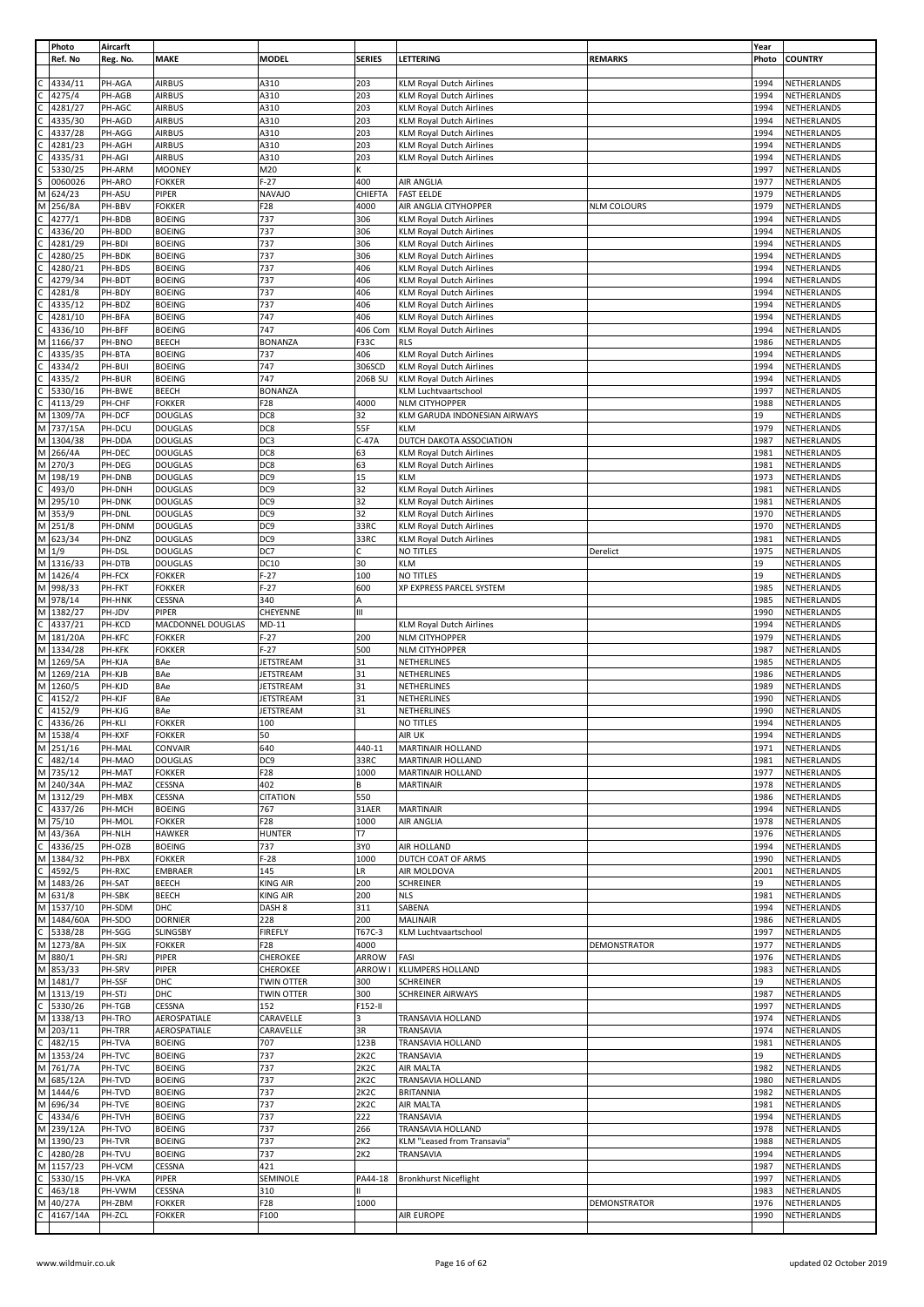|              | Photo     | Aircarft |                   |                   |                   |                                 |                    | Year  |                |
|--------------|-----------|----------|-------------------|-------------------|-------------------|---------------------------------|--------------------|-------|----------------|
|              | Ref. No   | Reg. No. | <b>MAKE</b>       | <b>MODEL</b>      | <b>SERIES</b>     | LETTERING                       | <b>REMARKS</b>     | Photo | <b>COUNTRY</b> |
|              |           |          |                   |                   |                   |                                 |                    |       |                |
|              |           |          |                   |                   |                   |                                 |                    |       |                |
|              | 4334/11   | PH-AGA   | <b>AIRBUS</b>     | A310              | 203               | <b>KLM Royal Dutch Airlines</b> |                    | 1994  | NETHERLANDS    |
|              | 4275/4    | PH-AGB   | <b>AIRBUS</b>     | A310              | 203               | <b>KLM Royal Dutch Airlines</b> |                    | 1994  | NETHERLANDS    |
|              | 4281/27   | PH-AGC   | <b>AIRBUS</b>     | A310              | 203               | <b>KLM Royal Dutch Airlines</b> |                    | 1994  | NETHERLANDS    |
|              |           |          |                   |                   |                   |                                 |                    |       |                |
|              | 4335/30   | PH-AGD   | <b>AIRBUS</b>     | A310              | 203               | <b>KLM Royal Dutch Airlines</b> |                    | 1994  | NETHERLANDS    |
|              | 4337/28   | PH-AGG   | <b>AIRBUS</b>     | A310              | 203               | <b>KLM Royal Dutch Airlines</b> |                    | 1994  | NETHERLANDS    |
|              | 4281/23   | PH-AGH   | <b>AIRBUS</b>     | A310              | 203               | <b>KLM Royal Dutch Airlines</b> |                    | 1994  | NETHERLANDS    |
|              |           |          |                   |                   |                   |                                 |                    |       |                |
|              | 4335/31   | PH-AGI   | <b>AIRBUS</b>     | A310              | 203               | <b>KLM Royal Dutch Airlines</b> |                    | 1994  | NETHERLANDS    |
|              | 5330/25   | PH-ARM   | <b>MOONEY</b>     | M20               | K                 |                                 |                    | 1997  | NETHERLANDS    |
|              | 0060026   | PH-ARO   | <b>FOKKER</b>     | $F-27$            | 400               | AIR ANGLIA                      |                    | 1977  | NETHERLANDS    |
|              |           |          |                   |                   |                   |                                 |                    |       |                |
| M            | 624/23    | PH-ASU   | PIPER             | <b>NAVAJO</b>     | CHIEFTA           | <b>FAST EELDE</b>               |                    | 1979  | NETHERLANDS    |
| М            | 256/8A    | PH-BBV   | <b>FOKKER</b>     | F28               | 4000              | AIR ANGLIA CITYHOPPER           | <b>NLM COLOURS</b> | 1979  | NETHERLANDS    |
|              |           |          |                   |                   |                   |                                 |                    |       |                |
|              | 4277/1    | PH-BDB   | <b>BOEING</b>     | 737               | 306               | <b>KLM Royal Dutch Airlines</b> |                    | 1994  | NETHERLANDS    |
|              | 4336/20   | PH-BDD   | <b>BOEING</b>     | 737               | 306               | <b>KLM Royal Dutch Airlines</b> |                    | 1994  | NETHERLANDS    |
|              | 4281/29   | PH-BDI   | <b>BOEING</b>     | 737               | 306               | KLM Royal Dutch Airlines        |                    | 1994  | NETHERLANDS    |
|              |           |          |                   |                   |                   |                                 |                    |       |                |
|              | 4280/25   | PH-BDK   | <b>BOEING</b>     | 737               | 306               | <b>KLM Royal Dutch Airlines</b> |                    | 1994  | NETHERLANDS    |
|              | 4280/21   | PH-BDS   | <b>BOEING</b>     | 737               | 406               | <b>KLM Royal Dutch Airlines</b> |                    | 1994  | NETHERLANDS    |
|              | 4279/34   | PH-BDT   | <b>BOEING</b>     | 737               | 406               | KLM Royal Dutch Airlines        |                    | 1994  | NETHERLANDS    |
|              |           |          |                   |                   |                   |                                 |                    |       |                |
|              | 4281/8    | PH-BDY   | <b>BOEING</b>     | 737               | 406               | <b>KLM Royal Dutch Airlines</b> |                    | 1994  | NETHERLANDS    |
|              | 4335/12   | PH-BDZ   | <b>BOEING</b>     | 737               | 406               | <b>KLM Royal Dutch Airlines</b> |                    | 1994  | NETHERLANDS    |
|              | 4281/10   | PH-BFA   | <b>BOEING</b>     | 747               | 406               | <b>KLM Royal Dutch Airlines</b> |                    | 1994  | NETHERLANDS    |
|              |           |          |                   |                   |                   |                                 |                    |       |                |
|              | 4336/10   | PH-BFF   | <b>BOEING</b>     | 747               | 406 Com           | <b>KLM Royal Dutch Airlines</b> |                    | 1994  | NETHERLANDS    |
| М            | 1166/37   | PH-BNO   | BEECH             | <b>BONANZA</b>    | F33C              | <b>RLS</b>                      |                    | 1986  | NETHERLANDS    |
|              | 4335/35   | PH-BTA   | <b>BOEING</b>     | 737               | 406               | <b>KLM Royal Dutch Airlines</b> |                    | 1994  | NETHERLANDS    |
|              |           |          |                   |                   |                   |                                 |                    |       |                |
|              | 4334/2    | PH-BUI   | <b>BOEING</b>     | 747               | 306SCD            | <b>KLM Royal Dutch Airlines</b> |                    | 1994  | NETHERLANDS    |
|              | 4335/2    | PH-BUR   | <b>BOEING</b>     | 747               | 206B SU           | <b>KLM Royal Dutch Airlines</b> |                    | 1994  | NETHERLANDS    |
|              | 5330/16   | PH-BWE   | <b>BEECH</b>      | <b>BONANZA</b>    |                   | <b>KLM Luchtvaartschool</b>     |                    | 1997  | NETHERLANDS    |
|              |           |          |                   |                   |                   |                                 |                    |       |                |
|              | 4113/29   | PH-CHF   | <b>FOKKER</b>     | F <sub>28</sub>   | 4000              | <b>NLM CITYHOPPER</b>           |                    | 1988  | NETHERLANDS    |
| М            | 1309/7A   | PH-DCF   | <b>DOUGLAS</b>    | DC8               | 32                | KLM GARUDA INDONESIAN AIRWAYS   |                    | 19    | NETHERLANDS    |
| М            | 737/15A   | PH-DCU   | <b>DOUGLAS</b>    | DC8               | 55F               | <b>KLM</b>                      |                    | 1979  | NETHERLANDS    |
|              |           |          |                   |                   |                   |                                 |                    |       |                |
| M            | 1304/38   | PH-DDA   | <b>DOUGLAS</b>    | DC3               | $C-47A$           | DUTCH DAKOTA ASSOCIATION        |                    | 1987  | NETHERLANDS    |
| М            | 266/4A    | PH-DEC   | <b>DOUGLAS</b>    | DC8               | 63                | <b>KLM Royal Dutch Airlines</b> |                    | 1981  | NETHERLANDS    |
| M            | 270/3     | PH-DEG   | <b>DOUGLAS</b>    | DC8               | 63                | KLM Royal Dutch Airlines        |                    | 1981  | NETHERLANDS    |
|              |           |          |                   |                   |                   |                                 |                    |       |                |
| M            | 198/19    | PH-DNB   | <b>DOUGLAS</b>    | DC <sub>9</sub>   | 15                | KLM                             |                    | 1973  | NETHERLANDS    |
|              | 493/0     | PH-DNH   | <b>DOUGLAS</b>    | DC <sub>9</sub>   | 32                | <b>KLM Royal Dutch Airlines</b> |                    | 1981  | NETHERLANDS    |
| M            |           | PH-DNK   |                   | DC <sub>9</sub>   | 32                |                                 |                    | 1981  |                |
|              | 295/10    |          | <b>DOUGLAS</b>    |                   |                   | <b>KLM Royal Dutch Airlines</b> |                    |       | NETHERLANDS    |
| M            | 353/9     | PH-DNL   | <b>DOUGLAS</b>    | DC <sub>9</sub>   | 32                | <b>KLM Royal Dutch Airlines</b> |                    | 1970  | NETHERLANDS    |
| М            | 251/8     | PH-DNM   | <b>DOUGLAS</b>    | DC <sub>9</sub>   | 33RC              | <b>KLM Royal Dutch Airlines</b> |                    | 1970  | NETHERLANDS    |
|              |           |          |                   |                   |                   |                                 |                    | 1981  |                |
| M            | 623/34    | PH-DNZ   | <b>DOUGLAS</b>    | DC9               | 33RC              | KLM Royal Dutch Airlines        |                    |       | NETHERLANDS    |
| M            | 1/9       | PH-DSL   | <b>DOUGLAS</b>    | DC7               | с                 | NO TITLES                       | Derelict           | 1975  | NETHERLANDS    |
| M            | 1316/33   | PH-DTB   | <b>DOUGLAS</b>    | <b>DC10</b>       | 30                | KLM                             |                    | 19    | NETHERLANDS    |
| M            | 1426/4    | PH-FCX   |                   | $F-27$            | 100               | NO TITLES                       |                    | 19    |                |
|              |           |          | <b>FOKKER</b>     |                   |                   |                                 |                    |       | NETHERLANDS    |
| M            | 998/33    | PH-FKT   | <b>FOKKER</b>     | $F-27$            | 600               | XP EXPRESS PARCEL SYSTEM        |                    | 1985  | NETHERLANDS    |
| M            | 978/14    | PH-HNK   | CESSNA            | 340               | А                 |                                 |                    | 1985  | NETHERLANDS    |
| M            | 1382/27   | PH-JDV   | PIPER             | CHEYENNE          | Ш                 |                                 |                    | 1990  | NETHERLANDS    |
|              |           |          |                   |                   |                   |                                 |                    |       |                |
|              | 4337/21   | PH-KCD   | MACDONNEL DOUGLAS | $MD-11$           |                   | <b>KLM Royal Dutch Airlines</b> |                    | 1994  | NETHERLANDS    |
| M            | 181/20A   | PH-KFC   | <b>FOKKER</b>     | $F-27$            | 200               | <b>NLM CITYHOPPER</b>           |                    | 1979  | NETHERLANDS    |
| M            | 1334/28   | PH-KFK   | <b>FOKKER</b>     | $F-27$            | 500               | <b>NLM CITYHOPPER</b>           |                    | 1987  | NETHERLANDS    |
|              |           |          |                   |                   |                   |                                 |                    |       |                |
| М            | 1269/5A   | PH-KJA   | BAe               | <b>JETSTREAM</b>  | 31                | NETHERLINES                     |                    | 1985  | NETHERLANDS    |
| M            | 1269/21A  | PH-KJB   | BAe               | <b>JETSTREAM</b>  | 31                | NETHERLINES                     |                    | 1986  | NETHERLANDS    |
| M            | 1260/5    | PH-KJD   | BAe               | <b>JETSTREAM</b>  | 31                | NETHERLINES                     |                    | 1989  | NETHERLANDS    |
|              |           |          |                   |                   |                   |                                 |                    |       |                |
| C            | 4152/2    | PH-KJF   | BAe               | <b>JETSTREAM</b>  | 31                | NETHERLINES                     |                    | 1990  | NETHERLANDS    |
|              | 4152/9    | PH-KJG   | BAe               | <b>JETSTREAM</b>  | 31                | NETHERLINES                     |                    | 1990  | NETHERLANDS    |
| С            | 4336/26   | PH-KLI   | <b>FOKKER</b>     | 100               |                   | NO TITLES                       |                    | 1994  | NETHERLANDS    |
|              |           |          |                   |                   |                   |                                 |                    |       |                |
| M            | 1538/4    | PH-KXF   | <b>FOKKER</b>     | 50                |                   | AIR UK                          |                    | 1994  | NETHERLANDS    |
|              | M 251/16  | PH-MAL   | <b>CONVAIR</b>    | 640               | 440-11            | MARTINAIR HOLLAND               |                    |       | NETHERLANDS    |
|              | 482/14    | PH-MAO   | <b>DOUGLAS</b>    | DC9               | 33RC              |                                 |                    | 1971  |                |
|              |           |          |                   |                   |                   |                                 |                    |       |                |
| C            | 735/12    |          |                   |                   |                   | MARTINAIR HOLLAND               |                    | 1981  | NETHERLANDS    |
| M            |           | PH-MAT   | <b>FOKKER</b>     | F28               | 1000              | MARTINAIR HOLLAND               |                    | 1977  | NETHERLANDS    |
| M            | 240/34A   | PH-MAZ   | <b>CESSNA</b>     | 402               | В                 | <b>MARTINAIR</b>                |                    | 1978  | NETHERLANDS    |
|              |           |          |                   |                   |                   |                                 |                    |       |                |
|              | M 1312/29 | PH-MBX   | CESSNA            | <b>CITATION</b>   | 550               |                                 |                    | 1986  | NETHERLANDS    |
| $\mathsf{C}$ | 4337/26   | PH-MCH   | <b>BOEING</b>     | 767               | 31AER             | <b>MARTINAIR</b>                |                    | 1994  | NETHERLANDS    |
|              | M 75/10   | PH-MOL   | <b>FOKKER</b>     | F28               | 1000              | <b>AIR ANGLIA</b>               |                    | 1978  | NETHERLANDS    |
| M            | 43/36A    | PH-NLH   | <b>HAWKER</b>     | <b>HUNTER</b>     | T7                |                                 |                    | 1976  | NETHERLANDS    |
|              |           |          |                   |                   |                   |                                 |                    |       |                |
| $\mathsf{C}$ | 4336/25   | PH-OZB   | <b>BOEING</b>     | 737               | 3Y0               | AIR HOLLAND                     |                    | 1994  | NETHERLANDS    |
| M            | 1384/32   | PH-PBX   | <b>FOKKER</b>     | $F-28$            | 1000              | DUTCH COAT OF ARMS              |                    | 1990  | NETHERLANDS    |
| $\mathsf{C}$ | 4592/5    | PH-RXC   | <b>EMBRAER</b>    | 145               | LR                | AIR MOLDOVA                     |                    | 2001  | NETHERLANDS    |
|              |           |          |                   |                   |                   |                                 |                    |       |                |
| M            | 1483/26   | PH-SAT   | <b>BEECH</b>      | <b>KING AIR</b>   | 200               | <b>SCHREINER</b>                |                    | 19    | NETHERLANDS    |
|              | M 631/8   | PH-SBK   | <b>BEECH</b>      | <b>KING AIR</b>   | 200               | <b>NLS</b>                      |                    | 1981  | NETHERLANDS    |
| M            | 1537/10   | PH-SDM   | DHC               | DASH 8            | 311               | SABENA                          |                    | 1994  | NETHERLANDS    |
|              |           |          |                   |                   |                   |                                 |                    |       |                |
| M            | 1484/60A  | PH-SDO   | <b>DORNIER</b>    | 228               | 200               | MALINAIR                        |                    | 1986  | NETHERLANDS    |
| C            | 5338/28   | PH-SGG   | <b>SLINGSBY</b>   | <b>FIREFLY</b>    | T67C-3            | KLM Luchtvaartschool            |                    | 1997  | NETHERLANDS    |
| M            | 1273/8A   | PH-SIX   | <b>FOKKER</b>     | F28               | 4000              |                                 | DEMONSTRATOR       | 1977  | NETHERLANDS    |
|              |           |          |                   |                   |                   |                                 |                    |       |                |
| M            | 880/1     | PH-SRJ   | PIPER             | <b>CHEROKEE</b>   | ARROW             | FASI                            |                    | 1976  | NETHERLANDS    |
| M            | 853/33    | PH-SRV   | PIPER             | CHEROKEE          | ARROW I           | KLUMPERS HOLLAND                |                    | 1983  | NETHERLANDS    |
| M            | 1481/7    | PH-SSF   | DHC               | TWIN OTTER        | 300               | <b>SCHREINER</b>                |                    | 19    | NETHERLANDS    |
|              |           |          |                   |                   |                   |                                 |                    |       |                |
|              | M 1313/19 | PH-STJ   | DHC               | <b>TWIN OTTER</b> | 300               | SCHREINER AIRWAYS               |                    | 1987  | NETHERLANDS    |
| C            | 5330/26   | PH-TGB   | CESSNA            | 152               | F152-II           |                                 |                    | 1997  | NETHERLANDS    |
| M            | 1338/13   | PH-TRO   | AEROSPATIALE      | CARAVELLE         | 3                 | TRANSAVIA HOLLAND               |                    | 1974  | NETHERLANDS    |
|              |           |          |                   |                   |                   |                                 |                    |       |                |
| M            | 203/11    | PH-TRR   | AEROSPATIALE      | CARAVELLE         | 3R                | TRANSAVIA                       |                    | 1974  | NETHERLANDS    |
| $\mathsf{C}$ | 482/15    | PH-TVA   | <b>BOEING</b>     | 707               | 123B              | TRANSAVIA HOLLAND               |                    | 1981  | NETHERLANDS    |
| M            | 1353/24   | PH-TVC   | <b>BOEING</b>     | 737               | 2K <sub>2</sub> C | TRANSAVIA                       |                    | 19    | NETHERLANDS    |
|              |           |          |                   |                   |                   |                                 |                    |       |                |
| M            | 761/7A    | PH-TVC   | <b>BOEING</b>     | 737               | 2K <sub>2</sub> C | AIR MALTA                       |                    | 1982  | NETHERLANDS    |
| M            | 685/12A   | PH-TVD   | <b>BOEING</b>     | 737               | 2K <sub>2</sub> C | TRANSAVIA HOLLAND               |                    | 1980  | NETHERLANDS    |
| M            | 1444/6    | PH-TVD   | <b>BOEING</b>     | 737               | 2K2C              | <b>BRITANNIA</b>                |                    | 1982  | NETHERLANDS    |
|              |           |          |                   |                   |                   |                                 |                    |       |                |
| M            | 696/34    | PH-TVE   | <b>BOEING</b>     | 737               | 2K <sub>2</sub> C | AIR MALTA                       |                    | 1981  | NETHERLANDS    |
|              | 4334/6    | PH-TVH   | <b>BOEING</b>     | 737               | 222               | TRANSAVIA                       |                    | 1994  | NETHERLANDS    |
| M            | 239/12A   | PH-TVO   | <b>BOEING</b>     | 737               | 266               | TRANSAVIA HOLLAND               |                    | 1978  | NETHERLANDS    |
|              |           |          |                   |                   |                   |                                 |                    |       |                |
| M            | 1390/23   | PH-TVR   | <b>BOEING</b>     | 737               | 2K2               | KLM "Leased from Transavia"     |                    | 1988  | NETHERLANDS    |
|              | 4280/28   | PH-TVU   | <b>BOEING</b>     | 737               | 2K2               | TRANSAVIA                       |                    | 1994  | NETHERLANDS    |
| M            | 1157/23   | PH-VCM   | <b>CESSNA</b>     | 421               |                   |                                 |                    | 1987  | NETHERLANDS    |
|              |           |          |                   |                   |                   |                                 |                    |       |                |
| С            | 5330/15   | PH-VKA   | PIPER             | SEMINOLE          | PA44-18           | <b>Bronkhurst Niceflight</b>    |                    | 1997  | NETHERLANDS    |
|              | 463/18    | PH-VWM   | CESSNA            | 310               |                   |                                 |                    | 1983  | NETHERLANDS    |
| М            | 40/27A    | PH-ZBM   | <b>FOKKER</b>     | F28               | 1000              |                                 | DEMONSTRATOR       | 1976  | NETHERLANDS    |
|              |           |          |                   |                   |                   |                                 |                    |       |                |
|              | 4167/14A  | PH-ZCL   | <b>FOKKER</b>     | F100              |                   | AIR EUROPE                      |                    | 1990  | NETHERLANDS    |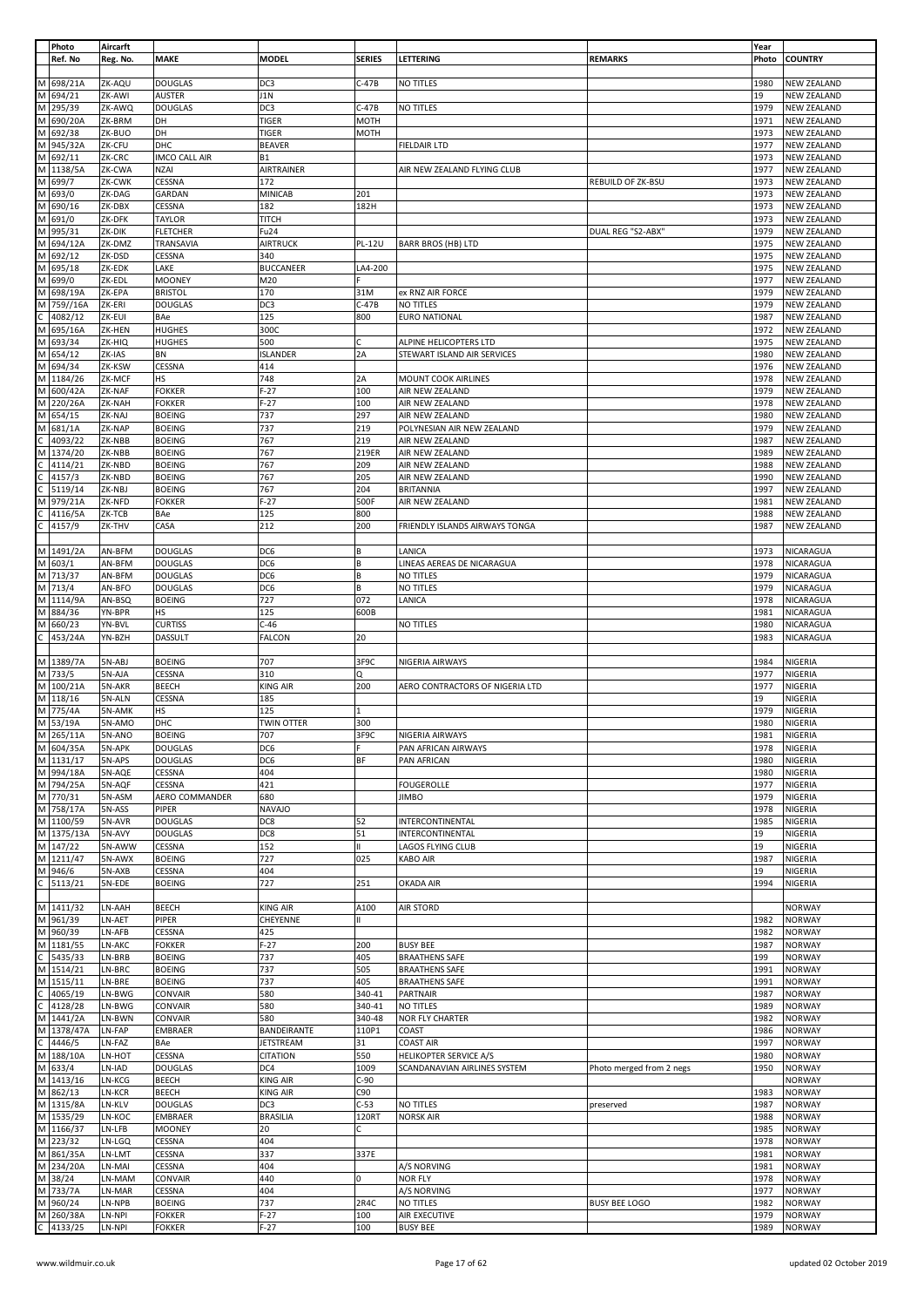|                | Photo                                                                                                                         | Aircarft |                      |                   |               |                                       |                          | Year  |                    |
|----------------|-------------------------------------------------------------------------------------------------------------------------------|----------|----------------------|-------------------|---------------|---------------------------------------|--------------------------|-------|--------------------|
|                | Ref. No                                                                                                                       | Reg. No. | <b>MAKE</b>          | <b>MODEL</b>      | <b>SERIES</b> | <b>LETTERING</b>                      | <b>REMARKS</b>           | Photo | <b>COUNTRY</b>     |
|                |                                                                                                                               |          |                      |                   |               |                                       |                          |       |                    |
|                | M 698/21A                                                                                                                     | ZK-AQU   | <b>DOUGLAS</b>       | DC3               | $C-47B$       | NO TITLES                             |                          | 1980  | <b>NEW ZEALAND</b> |
|                | M 694/21                                                                                                                      | ZK-AWI   | AUSTER               | J1N               |               |                                       |                          | 19    | <b>NEW ZEALAND</b> |
|                | M 295/39                                                                                                                      | ZK-AWQ   | <b>DOUGLAS</b>       | DC3               | C-47B         | NO TITLES                             |                          | 1979  | <b>NEW ZEALAND</b> |
|                |                                                                                                                               |          |                      |                   |               |                                       |                          |       |                    |
| M              | 690/20A                                                                                                                       | ZK-BRM   | DH                   | <b>TIGER</b>      | <b>MOTH</b>   |                                       |                          | 1971  | <b>NEW ZEALAND</b> |
|                | M 692/38                                                                                                                      | ZK-BUO   | DH                   | <b>TIGER</b>      | <b>MOTH</b>   |                                       |                          | 1973  | <b>NEW ZEALAND</b> |
|                | M 945/32A                                                                                                                     | ZK-CFU   | DHC                  | <b>BEAVER</b>     |               | <b>FIELDAIR LTD</b>                   |                          | 1977  | <b>NEW ZEALAND</b> |
|                | M 692/11                                                                                                                      | ZK-CRC   | <b>IMCO CALL AIR</b> | <b>B1</b>         |               |                                       |                          | 1973  | <b>NEW ZEALAND</b> |
|                | M 1138/5A                                                                                                                     | ZK-CWA   | <b>NZAI</b>          | AIRTRAINER        |               | AIR NEW ZEALAND FLYING CLUB           |                          | 1977  | <b>NEW ZEALAND</b> |
|                | M 699/7                                                                                                                       | ZK-CWK   | CESSNA               | 172               |               |                                       |                          | 1973  |                    |
|                |                                                                                                                               |          |                      |                   |               |                                       | <b>REBUILD OF ZK-BSU</b> |       | <b>NEW ZEALAND</b> |
|                | M 693/0                                                                                                                       | ZK-DAG   | GARDAN               | <b>MINICAB</b>    | 201           |                                       |                          | 1973  | <b>NEW ZEALAND</b> |
|                | M 690/16                                                                                                                      | ZK-DBX   | CESSNA               | 182               | 182H          |                                       |                          | 1973  | <b>NEW ZEALAND</b> |
|                | M 691/0                                                                                                                       | ZK-DFK   | <b>TAYLOR</b>        | <b>TITCH</b>      |               |                                       |                          | 1973  | <b>NEW ZEALAND</b> |
|                | M 995/31                                                                                                                      | ZK-DIK   | <b>FLETCHER</b>      | Fu <sub>24</sub>  |               |                                       | DUAL REG "S2-ABX"        | 1979  | <b>NEW ZEALAND</b> |
|                | M 694/12A                                                                                                                     |          |                      |                   |               |                                       |                          |       |                    |
|                |                                                                                                                               | ZK-DMZ   | TRANSAVIA            | <b>AIRTRUCK</b>   | <b>PL-12U</b> | <b>BARR BROS (HB) LTD</b>             |                          | 1975  | <b>NEW ZEALAND</b> |
|                | M 692/12                                                                                                                      | ZK-DSD   | CESSNA               | 340               |               |                                       |                          | 1975  | <b>NEW ZEALAND</b> |
|                | M 695/18                                                                                                                      | ZK-EDK   | LAKE                 | <b>BUCCANEER</b>  | LA4-200       |                                       |                          | 1975  | <b>NEW ZEALAND</b> |
|                | M 699/0                                                                                                                       | ZK-EDL   | <b>MOONEY</b>        | M20               |               |                                       |                          | 1977  | <b>NEW ZEALAND</b> |
| M              | 698/19A                                                                                                                       | ZK-EPA   | <b>BRISTOL</b>       | 170               | 31M           | ex RNZ AIR FORCE                      |                          | 1979  | <b>NEW ZEALAND</b> |
|                | M 759//16A                                                                                                                    |          |                      |                   |               |                                       |                          |       |                    |
|                |                                                                                                                               | ZK-ERI   | <b>DOUGLAS</b>       | DC3               | $C-47B$       | NO TITLES                             |                          | 1979  | <b>NEW ZEALAND</b> |
|                | $\frac{C}{M}$ 4082/12<br>M 695/16A                                                                                            | ZK-EUI   | BAe                  | 125               | 800           | <b>EURO NATIONAL</b>                  |                          | 1987  | <b>NEW ZEALAND</b> |
|                |                                                                                                                               | ZK-HEN   | <b>HUGHES</b>        | 300C              |               |                                       |                          | 1972  | <b>NEW ZEALAND</b> |
|                | M 693/34                                                                                                                      | ZK-HIQ   | <b>HUGHES</b>        | 500               | C             | ALPINE HELICOPTERS LTD                |                          | 1975  | <b>NEW ZEALAND</b> |
|                | M 654/12                                                                                                                      | ZK-IAS   | BN                   | <b>ISLANDER</b>   | 2A            | STEWART ISLAND AIR SERVICES           |                          | 1980  | <b>NEW ZEALAND</b> |
|                | M 694/34                                                                                                                      |          |                      |                   |               |                                       |                          |       |                    |
|                |                                                                                                                               | ZK-KSW   | CESSNA               | 414               |               |                                       |                          | 1976  | <b>NEW ZEALAND</b> |
|                | M 1184/26                                                                                                                     | ZK-MCF   | HS                   | 748               | 2A            | MOUNT COOK AIRLINES                   |                          | 1978  | <b>NEW ZEALAND</b> |
|                | M 600/42A                                                                                                                     | ZK-NAF   | <b>FOKKER</b>        | $F-27$            | 100           | AIR NEW ZEALAND                       |                          | 1979  | <b>NEW ZEALAND</b> |
|                | M 220/26A                                                                                                                     | ZK-NAH   | <b>FOKKER</b>        | $F-27$            | 100           | AIR NEW ZEALAND                       |                          | 1978  | <b>NEW ZEALAND</b> |
|                | M 654/15                                                                                                                      | ZK-NAJ   | <b>BOEING</b>        | 737               | 297           | AIR NEW ZEALAND                       |                          | 1980  | <b>NEW ZEALAND</b> |
| M              |                                                                                                                               |          |                      |                   |               |                                       |                          |       |                    |
|                | 681/1A                                                                                                                        | ZK-NAP   | <b>BOEING</b>        | 737               | 219           | POLYNESIAN AIR NEW ZEALAND            |                          | 1979  | <b>NEW ZEALAND</b> |
|                | $\begin{array}{ c c c }\n\hline\nC & 4093/22 \\ \hline\nM & 1374/20\n\end{array}$                                             | ZK-NBB   | <b>BOEING</b>        | 767               | 219           | AIR NEW ZEALAND                       |                          | 1987  | <b>NEW ZEALAND</b> |
|                |                                                                                                                               | ZK-NBB   | <b>BOEING</b>        | 767               | 219ER         | AIR NEW ZEALAND                       |                          | 1989  | <b>NEW ZEALAND</b> |
|                | 4114/21                                                                                                                       | ZK-NBD   | <b>BOEING</b>        | 767               | 209           | AIR NEW ZEALAND                       |                          | 1988  | <b>NEW ZEALAND</b> |
|                | 4157/3                                                                                                                        | ZK-NBD   | <b>BOEING</b>        | 767               | 205           |                                       |                          | 1990  | <b>NEW ZEALAND</b> |
| ن إن إن        |                                                                                                                               |          |                      |                   |               | AIR NEW ZEALAND                       |                          |       |                    |
|                | 5119/14                                                                                                                       | ZK-NBJ   | <b>BOEING</b>        | 767               | 204           | <b>BRITANNIA</b>                      |                          | 1997  | <b>NEW ZEALAND</b> |
| M              | 979/21A                                                                                                                       | ZK-NFD   | <b>FOKKER</b>        | $F-27$            | 500F          | AIR NEW ZEALAND                       |                          | 1981  | <b>NEW ZEALAND</b> |
|                | 4116/5A                                                                                                                       | ZK-TCB   | BAe                  | 125               | 800           |                                       |                          | 1988  | <b>NEW ZEALAND</b> |
| $rac{c}{c}$    | 4157/9                                                                                                                        | ZK-THV   | CASA                 | 212               | 200           | <b>FRIENDLY ISLANDS AIRWAYS TONGA</b> |                          | 1987  | <b>NEW ZEALAND</b> |
|                |                                                                                                                               |          |                      |                   |               |                                       |                          |       |                    |
|                |                                                                                                                               |          |                      |                   |               |                                       |                          |       |                    |
|                | M 1491/2A                                                                                                                     | AN-BFM   | <b>DOUGLAS</b>       | DC6               | B             | LANICA                                |                          | 1973  | NICARAGUA          |
|                | M 603/1                                                                                                                       | AN-BFM   | <b>DOUGLAS</b>       | DC6               | B             | LINEAS AEREAS DE NICARAGUA            |                          | 1978  | NICARAGUA          |
|                | M 713/37                                                                                                                      | AN-BFM   | <b>DOUGLAS</b>       | DC6               | B             | NO TITLES                             |                          | 1979  | NICARAGUA          |
|                | M 713/4                                                                                                                       |          |                      |                   | B             |                                       |                          |       |                    |
|                |                                                                                                                               | AN-BFO   | <b>DOUGLAS</b>       | DC6               |               | NO TITLES                             |                          | 1979  | NICARAGUA          |
|                | M 1114/9A                                                                                                                     | AN-BSQ   | <b>BOEING</b>        | 727               | 072           | LANICA                                |                          | 1978  | NICARAGUA          |
|                | M 884/36                                                                                                                      | YN-BPR   | HS                   | 125               | 600B          |                                       |                          | 1981  | NICARAGUA          |
|                | M 660/23                                                                                                                      | YN-BVL   | <b>CURTISS</b>       | $C-46$            |               | NO TITLES                             |                          | 1980  | NICARAGUA          |
| $\overline{c}$ | 453/24A                                                                                                                       | YN-BZH   | DASSULT              | <b>FALCON</b>     | 20            |                                       |                          | 1983  | NICARAGUA          |
|                |                                                                                                                               |          |                      |                   |               |                                       |                          |       |                    |
|                |                                                                                                                               |          |                      |                   |               |                                       |                          |       |                    |
|                | M 1389/7A                                                                                                                     | 5N-ABJ   | <b>BOEING</b>        | 707               | 3F9C          | NIGERIA AIRWAYS                       |                          | 1984  | NIGERIA            |
|                | M 733/5                                                                                                                       | 5N-AJA   | CESSNA               | 310               | Q             |                                       |                          | 1977  | NIGERIA            |
|                | M 100/21A                                                                                                                     | 5N-AKR   | <b>BEECH</b>         | <b>KING AIR</b>   | 200           | AERO CONTRACTORS OF NIGERIA LTD       |                          | 1977  | NIGERIA            |
|                | M 118/16                                                                                                                      | 5N-ALN   | CESSNA               | 185               |               |                                       |                          | 19    | NIGERIA            |
|                |                                                                                                                               |          |                      |                   |               |                                       |                          |       |                    |
|                | M 775/4A                                                                                                                      | 5N-AMK   | HS                   | 125               | 1             |                                       |                          | 1979  | NIGERIA            |
|                | M 53/19A                                                                                                                      | 5N-AMO   | DHC                  | <b>TWIN OTTER</b> | 300           |                                       |                          | 1980  | <b>NIGERIA</b>     |
|                | M 265/11A                                                                                                                     | 5N-ANO   | <b>BOEING</b>        | 707               | 3F9C          | NIGERIA AIRWAYS                       |                          | 1981  | NIGERIA            |
|                | M 604/35A                                                                                                                     |          |                      | DC <sub>6</sub>   | F             | PAN AFRICAN AIRWAYS                   |                          |       |                    |
|                | M 1131/17                                                                                                                     | 5N-APK   | <b>DOUGLAS</b>       |                   |               |                                       |                          | 1978  |                    |
|                |                                                                                                                               |          |                      |                   | BF            |                                       |                          |       | NIGERIA            |
|                |                                                                                                                               | 5N-APS   | <b>DOUGLAS</b>       | DC6               |               | <b>PAN AFRICAN</b>                    |                          | 1980  | NIGERIA            |
|                | $M$ 994/18A                                                                                                                   | 5N-AQE   | CESSNA               | 404               |               |                                       |                          | 1980  | NIGERIA            |
|                | M 794/25A                                                                                                                     | 5N-AQF   | CESSNA               | 421               |               | <b>FOUGEROLLE</b>                     |                          | 1977  | NIGERIA            |
|                | M 770/31                                                                                                                      | 5N-ASM   | AERO COMMANDER       | 680               |               | <b>JIMBO</b>                          |                          | 1979  | NIGERIA            |
|                |                                                                                                                               | 5N-ASS   | PIPER                | <b>NAVAJO</b>     |               |                                       |                          | 1978  | NIGERIA            |
|                | M 758/17A                                                                                                                     |          |                      |                   |               |                                       |                          |       |                    |
|                | M 1100/59                                                                                                                     | 5N-AVR   | <b>DOUGLAS</b>       | DC8               | 52            | INTERCONTINENTAL                      |                          | 1985  | NIGERIA            |
|                | M 1375/13A                                                                                                                    | 5N-AVY   | <b>DOUGLAS</b>       | DC8               | 51            | INTERCONTINENTAL                      |                          | 19    | NIGERIA            |
|                | M 147/22                                                                                                                      | 5N-AWW   | CESSNA               | 152               | lπ            | <b>LAGOS FLYING CLUB</b>              |                          | 19    | NIGERIA            |
|                | M 1211/47                                                                                                                     | 5N-AWX   | <b>BOEING</b>        | 727               | 025           | <b>KABO AIR</b>                       |                          | 1987  | NIGERIA            |
|                |                                                                                                                               | 5N-AXB   | CESSNA               | 404               |               |                                       |                          | 19    | NIGERIA            |
|                |                                                                                                                               | 5N-EDE   | <b>BOEING</b>        | 727               | 251           | <b>OKADA AIR</b>                      |                          | 1994  | NIGERIA            |
|                | M 946/6<br>C 5113/2<br>5113/21                                                                                                |          |                      |                   |               |                                       |                          |       |                    |
|                |                                                                                                                               |          |                      |                   |               |                                       |                          |       |                    |
|                | M 1411/32                                                                                                                     | LN-AAH   | <b>BEECH</b>         | <b>KING AIR</b>   | A100          | <b>AIR STORD</b>                      |                          |       | <b>NORWAY</b>      |
|                | M 961/39                                                                                                                      | LN-AET   | PIPER                | CHEYENNE          | Ш             |                                       |                          | 1982  | <b>NORWAY</b>      |
|                | M 960/39                                                                                                                      | LN-AFB   | CESSNA               | 425               |               |                                       |                          | 1982  | <b>NORWAY</b>      |
|                |                                                                                                                               |          |                      |                   |               |                                       |                          |       |                    |
|                | M 1181/55                                                                                                                     | LN-AKC   | <b>FOKKER</b>        | $F-27$            | 200           | <b>BUSY BEE</b>                       |                          | 1987  | <b>NORWAY</b>      |
|                |                                                                                                                               | LN-BRB   | <b>BOEING</b>        | 737               | 405           | <b>BRAATHENS SAFE</b>                 |                          | 199   | <b>NORWAY</b>      |
|                | $\frac{C}{M}$ 5435/33<br>M 1514/21                                                                                            | LN-BRC   | <b>BOEING</b>        | 737               | 505           | <b>BRAATHENS SAFE</b>                 |                          | 1991  | <b>NORWAY</b>      |
|                | M 1515/11                                                                                                                     | LN-BRE   | <b>BOEING</b>        | 737               | 405           | <b>BRAATHENS SAFE</b>                 |                          | 1991  | <b>NORWAY</b>      |
|                |                                                                                                                               | LN-BWG   | CONVAIR              | 580               | 340-41        | PARTNAIR                              |                          | 1987  | <b>NORWAY</b>      |
|                |                                                                                                                               | LN-BWG   | <b>CONVAIR</b>       | 580               | 340-41        | NO TITLES                             |                          | 1989  | <b>NORWAY</b>      |
|                |                                                                                                                               |          |                      |                   |               |                                       |                          |       |                    |
|                | $\frac{1}{2}$ $\frac{1}{2}$ $\frac{1}{2}$ $\frac{1}{2}$ $\frac{1}{2}$ $\frac{1}{2}$ $\frac{1}{2}$ $\frac{1}{2}$ $\frac{1}{2}$ | LN-BWN   | CONVAIR              | 580               | 340-48        | <b>NOR FLY CHARTER</b>                |                          | 1982  | <b>NORWAY</b>      |
|                | M 1378/47A                                                                                                                    | LN-FAP   | <b>EMBRAER</b>       | BANDEIRANTE       | 110P1         | <b>COAST</b>                          |                          | 1986  | <b>NORWAY</b>      |
|                |                                                                                                                               | LN-FAZ   | BAe                  | <b>JETSTREAM</b>  | 31            | <b>COAST AIR</b>                      |                          | 1997  | <b>NORWAY</b>      |
|                |                                                                                                                               | LN-HOT   | CESSNA               | <b>CITATION</b>   | 550           | HELIKOPTER SERVICE A/S                |                          | 1980  | <b>NORWAY</b>      |
|                | $\frac{1}{\text{C}}$ 4446/5<br>M 188/10A                                                                                      |          |                      |                   |               |                                       |                          |       |                    |
|                | M 633/4                                                                                                                       | LN-IAD   | <b>DOUGLAS</b>       | DC4               | 1009          | SCANDANAVIAN AIRLINES SYSTEM          | Photo merged from 2 negs | 1950  | <b>NORWAY</b>      |
|                | M 1413/16                                                                                                                     | LN-KCG   | <b>BEECH</b>         | <b>KING AIR</b>   | $C-90$        |                                       |                          |       | <b>NORWAY</b>      |
|                | M 862/13                                                                                                                      | LN-KCR   | <b>BEECH</b>         | <b>KING AIR</b>   | C90           |                                       |                          | 1983  | <b>NORWAY</b>      |
|                | M 1315/8A                                                                                                                     | LN-KLV   | <b>DOUGLAS</b>       | DC3               | C-53          | NO TITLES                             | preserved                | 1987  | <b>NORWAY</b>      |
|                | M 1535/29                                                                                                                     | LN-KOC   | <b>EMBRAER</b>       | <b>BRASILIA</b>   | 120RT         | <b>NORSK AIR</b>                      |                          | 1988  | <b>NORWAY</b>      |
|                |                                                                                                                               |          |                      |                   |               |                                       |                          |       |                    |
|                | M 1166/37                                                                                                                     | LN-LFB   | <b>MOONEY</b>        | 20                | с             |                                       |                          | 1985  | <b>NORWAY</b>      |
|                | M 223/32                                                                                                                      | LN-LGQ   | CESSNA               | 404               |               |                                       |                          | 1978  | <b>NORWAY</b>      |
|                | M 861/35A                                                                                                                     | LN-LMT   | CESSNA               | 337               | 337E          |                                       |                          | 1981  | <b>NORWAY</b>      |
|                | M 234/20A                                                                                                                     | LN-MAI   | <b>CESSNA</b>        | 404               |               | A/S NORVING                           |                          | 1981  | <b>NORWAY</b>      |
|                |                                                                                                                               |          |                      |                   | 0             |                                       |                          |       |                    |
|                | M 38/24                                                                                                                       | LN-MAM   | <b>CONVAIR</b>       | 440               |               | <b>NOR FLY</b>                        |                          | 1978  | <b>NORWAY</b>      |
|                | M 733/7A                                                                                                                      | LN-MAR   | CESSNA               | 404               |               | A/S NORVING                           |                          | 1977  | <b>NORWAY</b>      |
|                | M 960/24                                                                                                                      | LN-NPB   | <b>BOEING</b>        | 737               | 2R4C          | NO TITLES                             | <b>BUSY BEE LOGO</b>     | 1982  | <b>NORWAY</b>      |
|                | M 260/38A<br>$C$ 4133/25                                                                                                      | LN-NPI   | <b>FOKKER</b>        | $F-27$            | 100           | AIR EXECUTIVE<br><b>BUSY BEE</b>      |                          | 1979  | <b>NORWAY</b>      |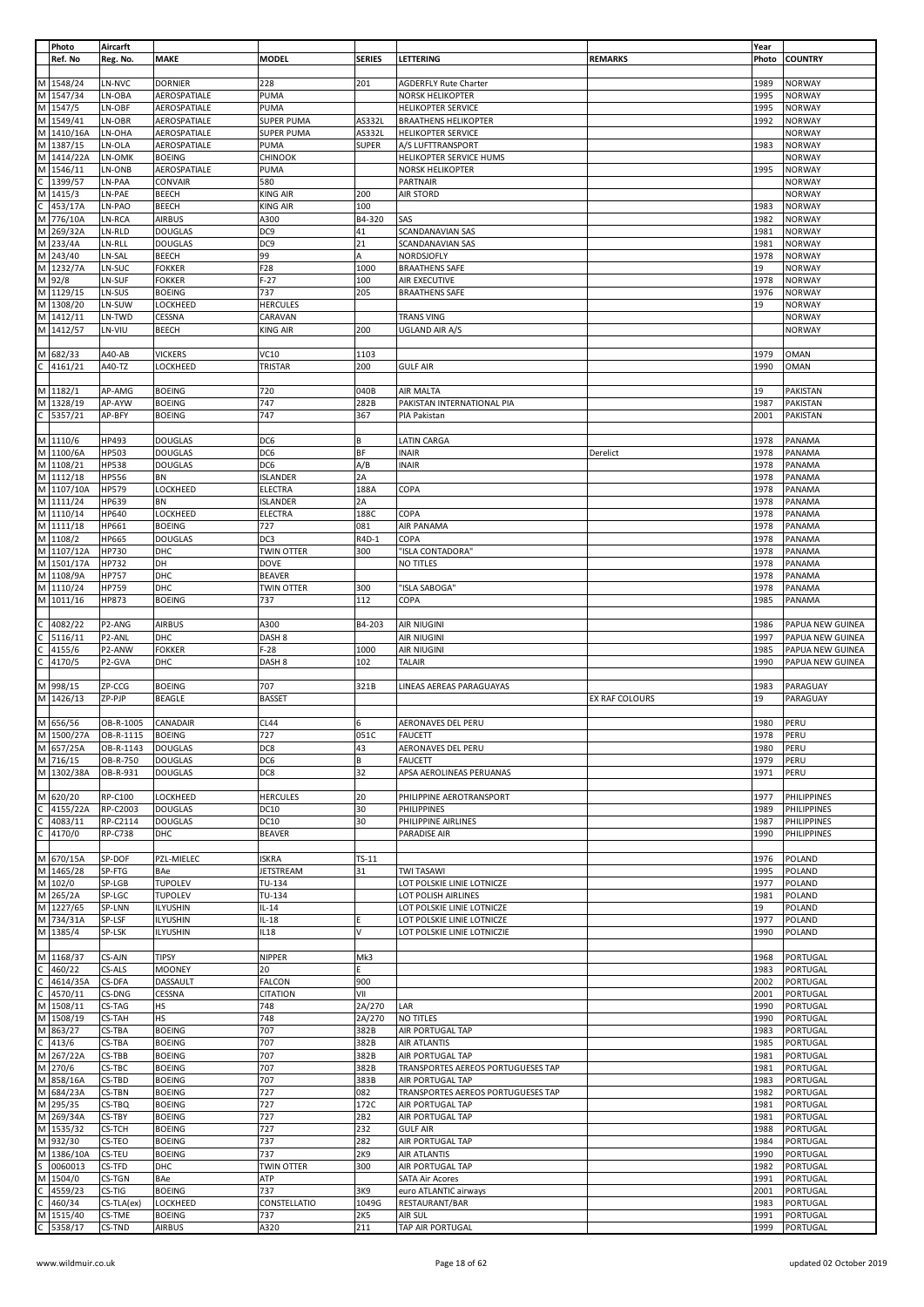|   | Photo      | Aircarft         |                 |                   |               |                                    |                | Year  |                    |
|---|------------|------------------|-----------------|-------------------|---------------|------------------------------------|----------------|-------|--------------------|
|   | Ref. No    | Reg. No.         | <b>MAKE</b>     | <b>MODEL</b>      | <b>SERIES</b> | LETTERING                          | <b>REMARKS</b> | Photo | <b>COUNTRY</b>     |
|   |            |                  |                 |                   |               |                                    |                |       |                    |
|   | M 1548/24  | LN-NVC           | <b>DORNIER</b>  | 228               | 201           | <b>AGDERFLY Rute Charter</b>       |                | 1989  | <b>NORWAY</b>      |
|   | M 1547/34  | LN-OBA           | AEROSPATIALE    | PUMA              |               | <b>NORSK HELIKOPTER</b>            |                | 1995  | <b>NORWAY</b>      |
|   | M 1547/5   | LN-OBF           | AEROSPATIALE    | PUMA              |               | <b>HELIKOPTER SERVICE</b>          |                | 1995  | <b>NORWAY</b>      |
| M | 1549/41    | LN-OBR           | AEROSPATIALE    | <b>SUPER PUMA</b> | AS332L        | <b>BRAATHENS HELIKOPTER</b>        |                | 1992  | <b>NORWAY</b>      |
| M | 1410/16A   | LN-OHA           | AEROSPATIALE    | SUPER PUMA        | AS332L        | <b>HELIKOPTER SERVICE</b>          |                |       | NORWAY             |
| M | 1387/15    | LN-OLA           | AEROSPATIALE    | PUMA              | <b>SUPER</b>  | A/S LUFTTRANSPORT                  |                | 1983  | <b>NORWAY</b>      |
| M | 1414/22A   | LN-OMK           | <b>BOEING</b>   | CHINOOK           |               | HELIKOPTER SERVICE HUMS            |                |       | <b>NORWAY</b>      |
|   | 1546/11    |                  |                 | PUMA              |               |                                    |                | 1995  |                    |
| M |            | LN-ONB           | AEROSPATIALE    |                   |               | NORSK HELIKOPTER                   |                |       | <b>NORWAY</b>      |
| C | 1399/57    | LN-PAA           | CONVAIR         | 580               |               | PARTNAIR                           |                |       | <b>NORWAY</b>      |
|   | M 1415/3   | LN-PAE           | <b>BEECH</b>    | <b>KING AIR</b>   | 200           | <b>AIR STORD</b>                   |                |       | <b>NORWAY</b>      |
|   | 453/17A    | LN-PAO           | <b>BEECH</b>    | <b>KING AIR</b>   | 100           |                                    |                | 1983  | <b>NORWAY</b>      |
|   | M 776/10A  | LN-RCA           | <b>AIRBUS</b>   | A300              | B4-320        | SAS                                |                | 1982  | <b>NORWAY</b>      |
|   | M 269/32A  | LN-RLD           | <b>DOUGLAS</b>  | DC9               | 41            | SCANDANAVIAN SAS                   |                | 1981  | <b>NORWAY</b>      |
| M | 233/4A     | LN-RLL           | <b>DOUGLAS</b>  | DC <sub>9</sub>   | 21            | SCANDANAVIAN SAS                   |                | 1981  | <b>NORWAY</b>      |
|   | M 243/40   | LN-SAL           | <b>BEECH</b>    | 99                | А             | NORDSJOFLY                         |                | 1978  | <b>NORWAY</b>      |
|   | M 1232/7A  | LN-SUC           | <b>FOKKER</b>   | F28               | 1000          | <b>BRAATHENS SAFE</b>              |                | 19    | <b>NORWAY</b>      |
| M |            | LN-SUF           |                 | $F-27$            |               |                                    |                |       |                    |
|   | 92/8       |                  | <b>FOKKER</b>   |                   | 100           | AIR EXECUTIVE                      |                | 1978  | <b>NORWAY</b>      |
|   | M 1129/15  | LN-SUS           | <b>BOEING</b>   | 737               | 205           | <b>BRAATHENS SAFE</b>              |                | 1976  | <b>NORWAY</b>      |
| M | 1308/20    | LN-SUW           | LOCKHEED        | <b>HERCULES</b>   |               |                                    |                | 19    | NORWAY             |
| M | 1412/11    | LN-TWD           | CESSNA          | CARAVAN           |               | <b>TRANS VING</b>                  |                |       | <b>NORWAY</b>      |
|   | M 1412/57  | LN-VIU           | <b>BEECH</b>    | KING AIR          | 200           | UGLAND AIR A/S                     |                |       | <b>NORWAY</b>      |
|   |            |                  |                 |                   |               |                                    |                |       |                    |
|   | M 682/33   | A40-AB           | <b>VICKERS</b>  | VC10              | 1103          |                                    |                | 1979  | <b>OMAN</b>        |
| С | 4161/21    | A40-TZ           | LOCKHEED        | TRISTAR           | 200           | <b>GULF AIR</b>                    |                | 1990  | <b>OMAN</b>        |
|   |            |                  |                 |                   |               |                                    |                |       |                    |
|   | M 1182/1   | AP-AMG           | <b>BOEING</b>   | 720               | 040B          |                                    |                | 19    | PAKISTAN           |
|   |            |                  |                 |                   |               | AIR MALTA                          |                |       |                    |
|   | M 1328/19  | AP-AYW           | <b>BOEING</b>   | 747               | 282B          | PAKISTAN INTERNATIONAL PIA         |                | 1987  | PAKISTAN           |
|   | 5357/21    | AP-BFY           | <b>BOEING</b>   | 747               | 367           | PIA Pakistan                       |                | 2001  | PAKISTAN           |
|   |            |                  |                 |                   |               |                                    |                |       |                    |
|   | M 1110/6   | HP493            | <b>DOUGLAS</b>  | DC6               | В             | <b>LATIN CARGA</b>                 |                | 1978  | PANAMA             |
|   | M 1100/6A  | <b>HP503</b>     | <b>DOUGLAS</b>  | DC6               | ΒF            | <b>INAIR</b>                       | Derelict       | 1978  | PANAMA             |
|   | M 1108/21  | <b>HP538</b>     | <b>DOUGLAS</b>  | DC6               | A/B           | <b>INAIR</b>                       |                | 1978  | PANAMA             |
| M | 1112/18    | <b>HP556</b>     | BN              | <b>ISLANDER</b>   | 2A            |                                    |                | 1978  | PANAMA             |
| M | 1107/10A   | <b>HP579</b>     | LOCKHEED        | ELECTRA           | 188A          | COPA                               |                | 1978  | PANAMA             |
|   |            |                  |                 |                   |               |                                    |                |       |                    |
|   | M 1111/24  | HP639            | <b>BN</b>       | <b>ISLANDER</b>   | 2A            |                                    |                | 1978  | PANAMA             |
|   | M 1110/14  | HP640            | LOCKHEED        | <b>ELECTRA</b>    | 188C          | COPA                               |                | 1978  | PANAMA             |
|   | M 1111/18  | HP661            | <b>BOEING</b>   | 727               | 081           | AIR PANAMA                         |                | 1978  | PANAMA             |
|   | M 1108/2   | <b>HP665</b>     | <b>DOUGLAS</b>  | DC3               | R4D-1         | COPA                               |                | 1978  | PANAMA             |
| M | 1107/12A   | HP730            | DHC             | <b>TWIN OTTER</b> | 300           | "ISLA CONTADORA"                   |                | 1978  | PANAMA             |
|   | M 1501/17A | HP732            | DH              | <b>DOVE</b>       |               | NO TITLES                          |                | 1978  | PANAMA             |
|   | M 1108/9A  | <b>HP757</b>     | DHC             | <b>BEAVER</b>     |               |                                    |                | 1978  | PANAMA             |
| M | 1110/24    | HP759            | DHC             | TWIN OTTER        | 300           | "ISLA SABOGA"                      |                | 1978  | PANAMA             |
|   | M 1011/16  |                  |                 | 737               | 112           | COPA                               |                | 1985  |                    |
|   |            | HP873            | <b>BOEING</b>   |                   |               |                                    |                |       | PANAMA             |
|   |            |                  |                 |                   |               |                                    |                |       |                    |
|   | 4082/22    | P2-ANG           | <b>AIRBUS</b>   | A300              | B4-203        | <b>AIR NIUGINI</b>                 |                | 1986  | PAPUA NEW GUINEA   |
|   | 5116/11    | P2-ANL           | DHC             | DASH <sub>8</sub> |               | <b>AIR NIUGINI</b>                 |                | 1997  | PAPUA NEW GUINEA   |
|   | 4155/6     | P2-ANW           | <b>FOKKER</b>   | $F-28$            | 1000          | <b>AIR NIUGINI</b>                 |                | 1985  | PAPUA NEW GUINEA   |
|   | 4170/5     | P2-GVA           | DHC             | DASH 8            | 102           | <b>TALAIR</b>                      |                | 1990  | PAPUA NEW GUINEA   |
|   |            |                  |                 |                   |               |                                    |                |       |                    |
| M | 998/15     | ZP-CCG           | <b>BOEING</b>   | 707               | 321B          | LINEAS AEREAS PARAGUAYAS           |                | 1983  | PARAGUAY           |
|   | M 1426/13  | ZP-PJP           | <b>BEAGLE</b>   | <b>BASSET</b>     |               |                                    | EX RAF COLOURS | 19    | PARAGUAY           |
|   |            |                  |                 |                   |               |                                    |                |       |                    |
| M | 656/56     | OB-R-1005        | CANADAIR        | <b>CL44</b>       | 6             | AERONAVES DEL PERU                 |                | 1980  | PERU               |
|   | M 1500/27A | OB-R-1115 BOEING |                 | 727               | 051C          | <b>FAUCETT</b>                     |                | 1978  | PERU               |
|   |            |                  |                 |                   |               |                                    |                |       |                    |
|   | M 657/25A  | OB-R-1143        | <b>DOUGLAS</b>  | DC8               | 43            | AERONAVES DEL PERU                 |                | 1980  | PERU               |
|   | M 716/15   | OB-R-750         | <b>DOUGLAS</b>  | DC6               | В             | <b>FAUCETT</b>                     |                | 1979  | PERU               |
|   | M 1302/38A | OB-R-931         | <b>DOUGLAS</b>  | DC8               | 32            | APSA AEROLINEAS PERUANAS           |                | 1971  | PERU               |
|   |            |                  |                 |                   |               |                                    |                |       |                    |
|   | M 620/20   | RP-C100          | <b>LOCKHEED</b> | <b>HERCULES</b>   | 20            | PHILIPPINE AEROTRANSPORT           |                | 1977  | <b>PHILIPPINES</b> |
|   | 4155/22A   | RP-C2003         | <b>DOUGLAS</b>  | <b>DC10</b>       | 30            | <b>PHILIPPINES</b>                 |                | 1989  | <b>PHILIPPINES</b> |
|   | 4083/11    | RP-C2114         | <b>DOUGLAS</b>  | <b>DC10</b>       | 30            | PHILIPPINE AIRLINES                |                | 1987  | <b>PHILIPPINES</b> |
| C | 4170/0     | <b>RP-C738</b>   | DHC             | <b>BEAVER</b>     |               | PARADISE AIR                       |                | 1990  | <b>PHILIPPINES</b> |
|   |            |                  |                 |                   |               |                                    |                |       |                    |
| M | 670/15A    | SP-DOF           | PZL-MIELEC      | <b>ISKRA</b>      | $TS-11$       |                                    |                | 1976  | POLAND             |
|   |            |                  |                 |                   |               |                                    |                |       |                    |
|   | M 1465/28  | SP-FTG           | BAe             | JETSTREAM         | 31            | <b>TWI TASAWI</b>                  |                | 1995  | POLAND             |
|   | M 102/0    | SP-LGB           | <b>TUPOLEV</b>  | TU-134            |               | LOT POLSKIE LINIE LOTNICZE         |                | 1977  | POLAND             |
| M | 265/2A     | SP-LGC           | <b>TUPOLEV</b>  | TU-134            |               | LOT POLISH AIRLINES                |                | 1981  | POLAND             |
|   | M 1227/65  | SP-LNN           | <b>ILYUSHIN</b> | $IL-14$           |               | LOT POLSKIE LINIE LOTNICZE         |                | 19    | POLAND             |
|   | M 734/31A  | SP-LSF           | <b>ILYUSHIN</b> | $IL-18$           |               | LOT POLSKIE LINIE LOTNICZE         |                | 1977  | POLAND             |
| M | 1385/4     | SP-LSK           | <b>ILYUSHIN</b> | IL18              | V             | LOT POLSKIE LINIE LOTNICZIE        |                | 1990  | POLAND             |
|   |            |                  |                 |                   |               |                                    |                |       |                    |
|   | M 1168/37  | CS-AJN           | <b>TIPSY</b>    | NIPPER            | Mk3           |                                    |                | 1968  | PORTUGAL           |
|   | 460/22     | CS-ALS           | <b>MOONEY</b>   | 20                | E.            |                                    |                | 1983  | PORTUGAL           |
|   | 4614/35A   | CS-DFA           | DASSAULT        | <b>FALCON</b>     | 900           |                                    |                | 2002  | PORTUGAL           |
|   | 4570/11    | CS-DNG           | CESSNA          | <b>CITATION</b>   | VII           |                                    |                | 2001  | PORTUGAL           |
| M | 1508/11    | CS-TAG           | <b>HS</b>       | 748               | 2A/270        | LAR                                |                | 1990  | PORTUGAL           |
|   |            |                  |                 |                   |               |                                    |                | 1990  |                    |
|   | M 1508/19  | <b>CS-TAH</b>    | <b>HS</b>       | 748               | 2A/270        | NO TITLES                          |                |       | PORTUGAL           |
| M | 863/27     | CS-TBA           | <b>BOEING</b>   | 707               | 382B          | AIR PORTUGAL TAP                   |                | 1983  | PORTUGAL           |
|   | 413/6      | CS-TBA           | <b>BOEING</b>   | 707               | 382B          | AIR ATLANTIS                       |                | 1985  | PORTUGAL           |
| М | 267/22A    | CS-TBB           | <b>BOEING</b>   | 707               | 382B          | AIR PORTUGAL TAP                   |                | 1981  | PORTUGAL           |
| M | 270/6      | CS-TBC           | <b>BOEING</b>   | 707               | 382B          | TRANSPORTES AEREOS PORTUGUESES TAP |                | 1981  | PORTUGAL           |
| M | 858/16A    | CS-TBD           | <b>BOEING</b>   | 707               | 383B          | AIR PORTUGAL TAP                   |                | 1983  | PORTUGAL           |
| M | 684/23A    | CS-TBN           | <b>BOEING</b>   | 727               | 082           | TRANSPORTES AEREOS PORTUGUESES TAP |                | 1982  | PORTUGAL           |
| M | 295/35     | CS-TBQ           | <b>BOEING</b>   | 727               | 172C          | AIR PORTUGAL TAP                   |                | 1981  | PORTUGAL           |
| M | 269/34A    | CS-TBY           | <b>BOEING</b>   | 727               | 2B2           | AIR PORTUGAL TAP                   |                | 1981  | PORTUGAL           |
| M | 1535/32    | CS-TCH           | <b>BOEING</b>   | 727               | 232           | <b>GULF AIR</b>                    |                | 1988  | PORTUGAL           |
|   |            |                  |                 |                   |               |                                    |                |       |                    |
| М | 932/30     | CS-TEO           | <b>BOEING</b>   | 737               | 282           | AIR PORTUGAL TAP                   |                | 1984  | PORTUGAL           |
| M | 1386/10A   | CS-TEU           | <b>BOEING</b>   | 737               | 2K9           | <b>AIR ATLANTIS</b>                |                | 1990  | PORTUGAL           |
|   | 0060013    | CS-TFD           | DHC             | <b>TWIN OTTER</b> | 300           | AIR PORTUGAL TAP                   |                | 1982  | PORTUGAL           |
| М | 1504/0     | CS-TGN           | BAe             | ATP               |               | <b>SATA Air Acores</b>             |                | 1991  | PORTUGAL           |
|   | 4559/23    | CS-TIG           | <b>BOEING</b>   | 737               | 3K9           | euro ATLANTIC airways              |                | 2001  | PORTUGAL           |
|   | 460/34     | CS-TLA(ex)       | LOCKHEED        | CONSTELLATIO      | 1049G         | RESTAURANT/BAR                     |                | 1983  | PORTUGAL           |
|   | M 1515/40  | CS-TME           | <b>BOEING</b>   | 737               | 2K5           | AIR SUL                            |                | 1991  | PORTUGAL           |
|   | C 5358/17  | CS-TND           | <b>AIRBUS</b>   | A320              | 211           | <b>TAP AIR PORTUGAL</b>            |                | 1999  | PORTUGAL           |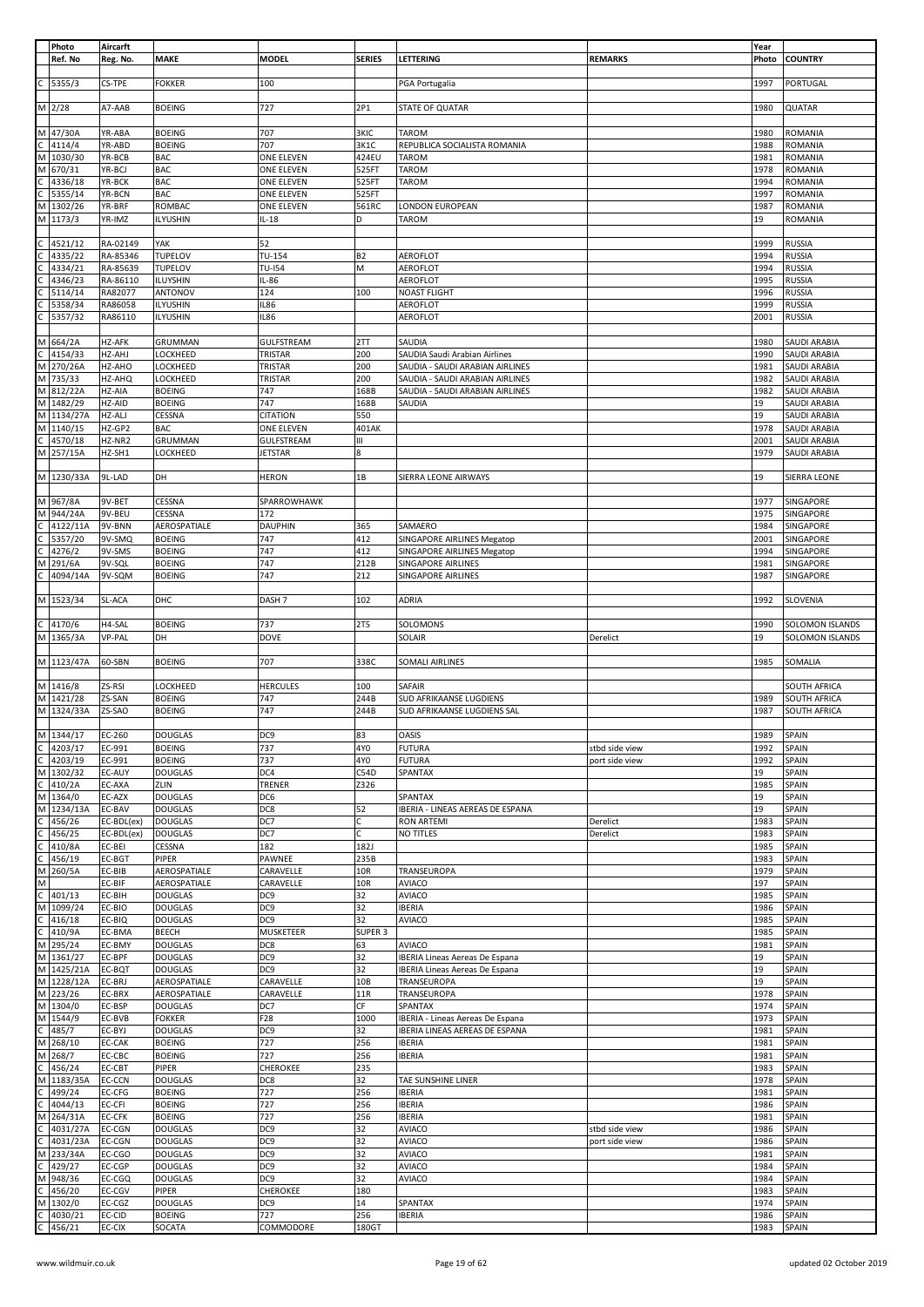|              | Photo                 | Aircarft         |                         |                   |               |                                       |                | Year         |                       |
|--------------|-----------------------|------------------|-------------------------|-------------------|---------------|---------------------------------------|----------------|--------------|-----------------------|
|              | Ref. No               | Reg. No.         | <b>MAKE</b>             | <b>MODEL</b>      | <b>SERIES</b> | LETTERING                             | <b>REMARKS</b> | Photo        | <b>COUNTRY</b>        |
|              |                       |                  |                         |                   |               |                                       |                |              |                       |
|              | 5355/3                | CS-TPE           | <b>FOKKER</b>           | 100               |               | PGA Portugalia                        |                | 1997         | PORTUGAL              |
|              |                       |                  |                         |                   |               |                                       |                |              |                       |
|              |                       |                  |                         |                   |               |                                       |                |              |                       |
|              | M 2/28                | A7-AAB           | <b>BOEING</b>           | 727               | 2P1           | STATE OF QUATAR                       |                | 1980         | <b>QUATAR</b>         |
|              |                       |                  |                         |                   |               |                                       |                |              |                       |
| M            | 47/30A                | YR-ABA           | <b>BOEING</b>           | 707               | 3KIC          | TAROM                                 |                | 1980         | ROMANIA               |
| С            | 4114/4                | YR-ABD           | <b>BOEING</b>           | 707               | 3K1C          | REPUBLICA SOCIALISTA ROMANIA          |                | 1988         | ROMANIA               |
| M            | 1030/30               | YR-BCB           | <b>BAC</b>              | <b>ONE ELEVEN</b> | 424EU         | <b>TAROM</b>                          |                | 1981         | ROMANIA               |
|              | M 670/31              |                  |                         |                   |               |                                       |                | 1978         |                       |
|              |                       | YR-BCJ           | <b>BAC</b>              | ONE ELEVEN        | 525FT         | <b>TAROM</b>                          |                |              | ROMANIA               |
| C            | 4336/18               | YR-BCK           | <b>BAC</b>              | ONE ELEVEN        | 525FT         | <b>TAROM</b>                          |                | 1994         | ROMANIA               |
| C            | 5355/14               | YR-BCN           | <b>BAC</b>              | ONE ELEVEN        | 525FT         |                                       |                | 1997         | ROMANIA               |
|              | M 1302/26             | YR-BRF           | ROMBAC                  | ONE ELEVEN        | 561RC         | LONDON EUROPEAN                       |                | 1987         | ROMANIA               |
|              | M 1173/3              | YR-IMZ           | <b>ILYUSHIN</b>         | $IL-18$           | D             | TAROM                                 |                | 19           | ROMANIA               |
|              |                       |                  |                         |                   |               |                                       |                |              |                       |
|              |                       |                  |                         |                   |               |                                       |                |              |                       |
|              | 4521/12               | RA-02149         | YAK                     | 52                |               |                                       |                | 1999         | <b>RUSSIA</b>         |
|              | 4335/22               | RA-85346         | TUPELOV                 | TU-154            | <b>B2</b>     | AEROFLOT                              |                | 1994         | <b>RUSSIA</b>         |
|              | 4334/21               | RA-85639         | TUPELOV                 | <b>TU-I54</b>     | M             | AEROFLOT                              |                | 1994         | <b>RUSSIA</b>         |
|              | 4346/23               | RA-86110         | ILUYSHIN                | IL-86             |               | AEROFLOT                              |                | 1995         | <b>RUSSIA</b>         |
|              | 5114/14               | RA82077          | ANTONOV                 | 124               | 100           | <b>NOAST FLIGHT</b>                   |                | 1996         | <b>RUSSIA</b>         |
|              |                       | RA86058          |                         | <b>IL86</b>       |               | AEROFLOT                              |                | 1999         |                       |
|              | 5358/34               |                  | <b>ILYUSHIN</b>         |                   |               |                                       |                |              | <b>RUSSIA</b>         |
|              | 5357/32               | RA86110          | <b>ILYUSHIN</b>         | <b>IL86</b>       |               | AEROFLOT                              |                | 2001         | <b>RUSSIA</b>         |
|              |                       |                  |                         |                   |               |                                       |                |              |                       |
|              | M 664/2A              | HZ-AFK           | GRUMMAN                 | <b>GULFSTREAM</b> | 2TT           | SAUDIA                                |                | 1980         | SAUDI ARABIA          |
|              | 4154/33               | HZ-AHJ           | LOCKHEED                | TRISTAR           | 200           | SAUDIA Saudi Arabian Airlines         |                | 1990         | <b>SAUDI ARABIA</b>   |
| М            | 270/26A               | HZ-AHO           | LOCKHEED                | TRISTAR           | 200           | SAUDIA - SAUDI ARABIAN AIRLINES       |                | 1981         | <b>SAUDI ARABIA</b>   |
|              |                       |                  |                         |                   |               |                                       |                |              |                       |
|              | M 735/33              | HZ-AHQ           | LOCKHEED                | TRISTAR           | 200           | SAUDIA - SAUDI ARABIAN AIRLINES       |                | 1982         | SAUDI ARABIA          |
|              | M 812/22A             | HZ-AIA           | <b>BOEING</b>           | 747               | 168B          | SAUDIA - SAUDI ARABIAN AIRLINES       |                | 1982         | SAUDI ARABIA          |
| M            | 1482/29               | HZ-AID           | <b>BOEING</b>           | 747               | 168B          | SAUDIA                                |                | 19           | SAUDI ARABIA          |
|              | M 1134/27A            | HZ-ALJ           | CESSNA                  | <b>CITATION</b>   | 550           |                                       |                | 19           | SAUDI ARABIA          |
|              | M 1140/15             | HZ-GP2           | <b>BAC</b>              | ONE ELEVEN        | 401AK         |                                       |                | 1978         | SAUDI ARABIA          |
|              |                       |                  |                         |                   |               |                                       |                |              |                       |
| C            | 4570/18               | HZ-NR2           | GRUMMAN                 | GULFSTREAM        | Ш             |                                       |                | 2001         | SAUDI ARABIA          |
|              | M 257/15A             | HZ-SH1           | LOCKHEED                | JETSTAR           | 8             |                                       |                | 1979         | SAUDI ARABIA          |
|              |                       |                  |                         |                   |               |                                       |                |              |                       |
|              | M 1230/33A            | 9L-LAD           | DH                      | <b>HERON</b>      | 1B            | SIERRA LEONE AIRWAYS                  |                | 19           | SIERRA LEONE          |
|              |                       |                  |                         |                   |               |                                       |                |              |                       |
|              |                       |                  |                         |                   |               |                                       |                |              |                       |
|              | M 967/8A              | 9V-BET           | CESSNA                  | SPARROWHAWK       |               |                                       |                | 1977         | SINGAPORE             |
|              | M 944/24A             | 9V-BEU           | CESSNA                  | 172               |               |                                       |                | 1975         | SINGAPORE             |
|              | 4122/11A              | 9V-BNN           | AEROSPATIALE            | <b>DAUPHIN</b>    | 365           | SAMAERO                               |                | 1984         | SINGAPORE             |
| C            | 5357/20               | 9V-SMQ           | <b>BOEING</b>           | 747               | 412           | SINGAPORE AIRLINES Megatop            |                | 2001         | SINGAPORE             |
|              |                       |                  |                         |                   |               |                                       |                |              |                       |
| C            | 4276/2                | 9V-SMS           | <b>BOEING</b>           | 747               | 412           | SINGAPORE AIRLINES Megatop            |                | 1994         | SINGAPORE             |
| M            | 291/6A                | 9V-SQL           | <b>BOEING</b>           | 747               | 212B          | SINGAPORE AIRLINES                    |                | 1981         | SINGAPORE             |
|              | 4094/14A              | 9V-SQM           | <b>BOEING</b>           | 747               | 212           | <b>SINGAPORE AIRLINES</b>             |                | 1987         | SINGAPORE             |
|              |                       |                  |                         |                   |               |                                       |                |              |                       |
|              | M 1523/34             | SL-ACA           | DHC                     | DASH <sub>7</sub> | 102           | ADRIA                                 |                | 1992         | <b>SLOVENIA</b>       |
|              |                       |                  |                         |                   |               |                                       |                |              |                       |
|              |                       |                  |                         |                   |               |                                       |                |              |                       |
|              | 4170/6                | H4-SAL           | <b>BOEING</b>           | 737               | 2T5           | SOLOMONS                              |                | 1990         | SOLOMON ISLANDS       |
|              | M 1365/3A             | <b>VP-PAL</b>    | DH                      | <b>DOVE</b>       |               | SOLAIR                                | Derelict       | 19           | SOLOMON ISLANDS       |
|              |                       |                  |                         |                   |               |                                       |                |              |                       |
|              | M 1123/47A            | 60-SBN           | <b>BOEING</b>           | 707               | 338C          | SOMALI AIRLINES                       |                | 1985         | SOMALIA               |
|              |                       |                  |                         |                   |               |                                       |                |              |                       |
|              |                       |                  |                         |                   |               |                                       |                |              |                       |
|              | M 1416/8              | ZS-RSI           | LOCKHEED                | <b>HERCULES</b>   | 100           | SAFAIR                                |                |              | SOUTH AFRICA          |
|              | M 1421/28             | ZS-SAN           | <b>BOEING</b>           | 747               | 244B          | SUD AFRIKAANSE LUGDIENS               |                | 1989         | SOUTH AFRICA          |
|              | M 1324/33A            | ZS-SAO           | <b>BOEING</b>           | 747               | 244B          | SUD AFRIKAANSE LUGDIENS SAL           |                | 1987         | SOUTH AFRICA          |
|              |                       |                  |                         |                   |               |                                       |                |              |                       |
|              |                       |                  |                         |                   |               |                                       |                |              |                       |
|              | M 1344/17             | EC-260           | <b>DOUGLAS</b>          | DC9               | 83            | OASIS                                 |                | 1989         | SPAIN                 |
| C            | 4203/17               | EC-991           | <b>BOEING</b>           | 737               | 4Y0           | <b>FUTURA</b>                         | stbd side view | 1992         | SPAIN                 |
| $\mathsf C$  | 4203/19               | EC-991           | <b>BOEING</b>           | 737               | 4Y0           | <b>FUTURA</b>                         | port side view | 1992         | SPAIN                 |
|              | M 1302/32             | EC-AUY           | <b>DOUGLAS</b>          | DC4               | C54D          | SPANTAX                               |                |              | SPAIN                 |
| C            | 410/2A                | EC-AXA           | ZLIN                    | TRENER            | Z326          |                                       |                | 19           |                       |
|              |                       |                  |                         |                   |               |                                       |                |              |                       |
|              | M 1364/0              | EC-AZX           | <b>DOUGLAS</b>          |                   |               |                                       |                | 1985         | SPAIN                 |
|              | M 1234/13A            |                  |                         | DC6               |               | SPANTAX                               |                | 19           | SPAIN                 |
|              | 456/26                | EC-BAV           | <b>DOUGLAS</b>          | DC8               | 52            | IBERIA - LINEAS AEREAS DE ESPANA      |                | 19           | SPAIN                 |
| C            |                       | EC-BDL(ex)       | <b>DOUGLAS</b>          | DC7               | C             | <b>RON ARTEMI</b>                     | Derelict       | 1983         | SPAIN                 |
| C            | 456/25                | EC-BDL(ex)       | <b>DOUGLAS</b>          | DC7               | Ċ             | <b>NO TITLES</b>                      | Derelict       | 1983         | SPAIN                 |
|              |                       |                  |                         |                   |               |                                       |                |              |                       |
| C            | 410/8A                | EC-BEI           | CESSNA                  | 182               | 182J          |                                       |                | 1985         | SPAIN                 |
| C            | 456/19                | EC-BGT           | PIPER                   | PAWNEE            | 235B          |                                       |                | 1983         | SPAIN                 |
|              | M 260/5A              | EC-BIB           | AEROSPATIALE            | CARAVELLE         | 10R           | TRANSEUROPA                           |                | 1979         | SPAIN                 |
| М            |                       | EC-BIF           | AEROSPATIALE            | CARAVELLE         | 10R           | <b>AVIACO</b>                         |                | 197          | SPAIN                 |
| $\mathsf{C}$ | 401/13                | EC-BIH           | <b>DOUGLAS</b>          | DC <sub>9</sub>   | 32            | <b>AVIACO</b>                         |                | 1985         | SPAIN                 |
|              |                       |                  |                         |                   |               |                                       |                |              |                       |
| М            | 1099/24               | EC-BIO           | <b>DOUGLAS</b>          | DC <sub>9</sub>   | 32            | <b>IBERIA</b>                         |                | 1986         | SPAIN                 |
| C            | 416/18                | EC-BIQ           | <b>DOUGLAS</b>          | DC9               | 32            | <b>AVIACO</b>                         |                | 1985         | SPAIN                 |
| C            | 410/9A                | EC-BMA           | <b>BEECH</b>            | <b>MUSKETEER</b>  | SUPER 3       |                                       |                | 1985         | SPAIN                 |
|              | M 295/24              | EC-BMY           | <b>DOUGLAS</b>          | DC8               | 63            | <b>AVIACO</b>                         |                | 1981         | SPAIN                 |
|              | M 1361/27             | EC-BPF           | <b>DOUGLAS</b>          | DC9               | 32            | <b>IBERIA Lineas Aereas De Espana</b> |                | 19           | SPAIN                 |
|              |                       |                  |                         | DC <sub>9</sub>   |               |                                       |                |              | SPAIN                 |
|              | M 1425/21A            | EC-BQT           | <b>DOUGLAS</b>          |                   | 32            | <b>IBERIA Lineas Aereas De Espana</b> |                | 19           |                       |
|              | M 1228/12A            | EC-BRJ           | AEROSPATIALE            | CARAVELLE         | 10B           | TRANSEUROPA                           |                | 19           | SPAIN                 |
|              | M 223/26              | EC-BRX           | AEROSPATIALE            | CARAVELLE         | 11R           | TRANSEUROPA                           |                | 1978         | SPAIN                 |
|              | M 1304/0              | EC-BSP           | <b>DOUGLAS</b>          | DC7               | СF            | SPANTAX                               |                | 1974         | SPAIN                 |
|              | M 1544/9              | EC-BVB           | <b>FOKKER</b>           | F28               | 1000          | IBERIA - Lineas Aereas De Espana      |                | 1973         | SPAIN                 |
|              |                       |                  |                         |                   |               |                                       |                |              | SPAIN                 |
| C            | 485/7                 | EC-BYJ           | <b>DOUGLAS</b>          | DC <sub>9</sub>   | 32            | IBERIA LINEAS AEREAS DE ESPANA        |                | 1981         |                       |
|              | $\overline{M}$ 268/10 | EC-CAK           | <b>BOEING</b>           | 727               | 256           | <b>IBERIA</b>                         |                | 1981         | SPAIN                 |
| М            | 268/7                 | EC-CBC           | <b>BOEING</b>           | 727               | 256           | <b>IBERIA</b>                         |                | 1981         | SPAIN                 |
| C            | 456/24                | EC-CBT           | PIPER                   | <b>CHEROKEE</b>   | 235           |                                       |                | 1983         | SPAIN                 |
| M            | 1183/35A              | <b>EC-CCN</b>    | <b>DOUGLAS</b>          | DC8               | 32            | TAE SUNSHINE LINER                    |                | 1978         | SPAIN                 |
| C.           |                       |                  |                         |                   |               |                                       |                |              |                       |
|              | 499/24                | EC-CFG           | <b>BOEING</b>           | 727               | 256           | <b>IBERIA</b>                         |                | 1981         | SPAIN                 |
| C            | 4044/13               | EC-CFI           | <b>BOEING</b>           | 727               | 256           | <b>IBERIA</b>                         |                | 1986         | SPAIN                 |
| M            | 264/31A               | EC-CFK           | <b>BOEING</b>           | 727               | 256           | <b>IBERIA</b>                         |                | 1981         | SPAIN                 |
| С            | 4031/27A              | <b>EC-CGN</b>    | <b>DOUGLAS</b>          | DC <sub>9</sub>   | 32            | <b>AVIACO</b>                         | stbd side view | 1986         | SPAIN                 |
| C            | 4031/23A              | EC-CGN           | <b>DOUGLAS</b>          | DC <sub>9</sub>   | 32            | <b>AVIACO</b>                         | port side view | 1986         | SPAIN                 |
|              |                       |                  |                         |                   |               |                                       |                |              |                       |
| M            | 233/34A               | EC-CGO           | <b>DOUGLAS</b>          | DC <sub>9</sub>   | 32            | <b>AVIACO</b>                         |                | 1981         | SPAIN                 |
| C            | 429/27                | EC-CGP           | <b>DOUGLAS</b>          | DC <sub>9</sub>   | 32            | <b>AVIACO</b>                         |                | 1984         | SPAIN                 |
|              | M 948/36              | EC-CGQ           | <b>DOUGLAS</b>          | DC <sub>9</sub>   | 32            | <b>AVIACO</b>                         |                | 1984         | SPAIN                 |
| C            | 456/20                | EC-CGV           | PIPER                   | <b>CHEROKEE</b>   | 180           |                                       |                | 1983         | SPAIN                 |
|              |                       |                  |                         |                   |               |                                       |                |              |                       |
| М            | 1302/0                | EC-CGZ           | <b>DOUGLAS</b>          | DC <sub>9</sub>   | 14            | SPANTAX                               |                | 1974         | SPAIN                 |
|              | 4030/21<br>456/21     | EC-CID<br>EC-CIX | <b>BOEING</b><br>SOCATA | 727<br>COMMODORE  | 256<br>180GT  | <b>IBERIA</b>                         |                | 1986<br>1983 | SPAIN<br><b>SPAIN</b> |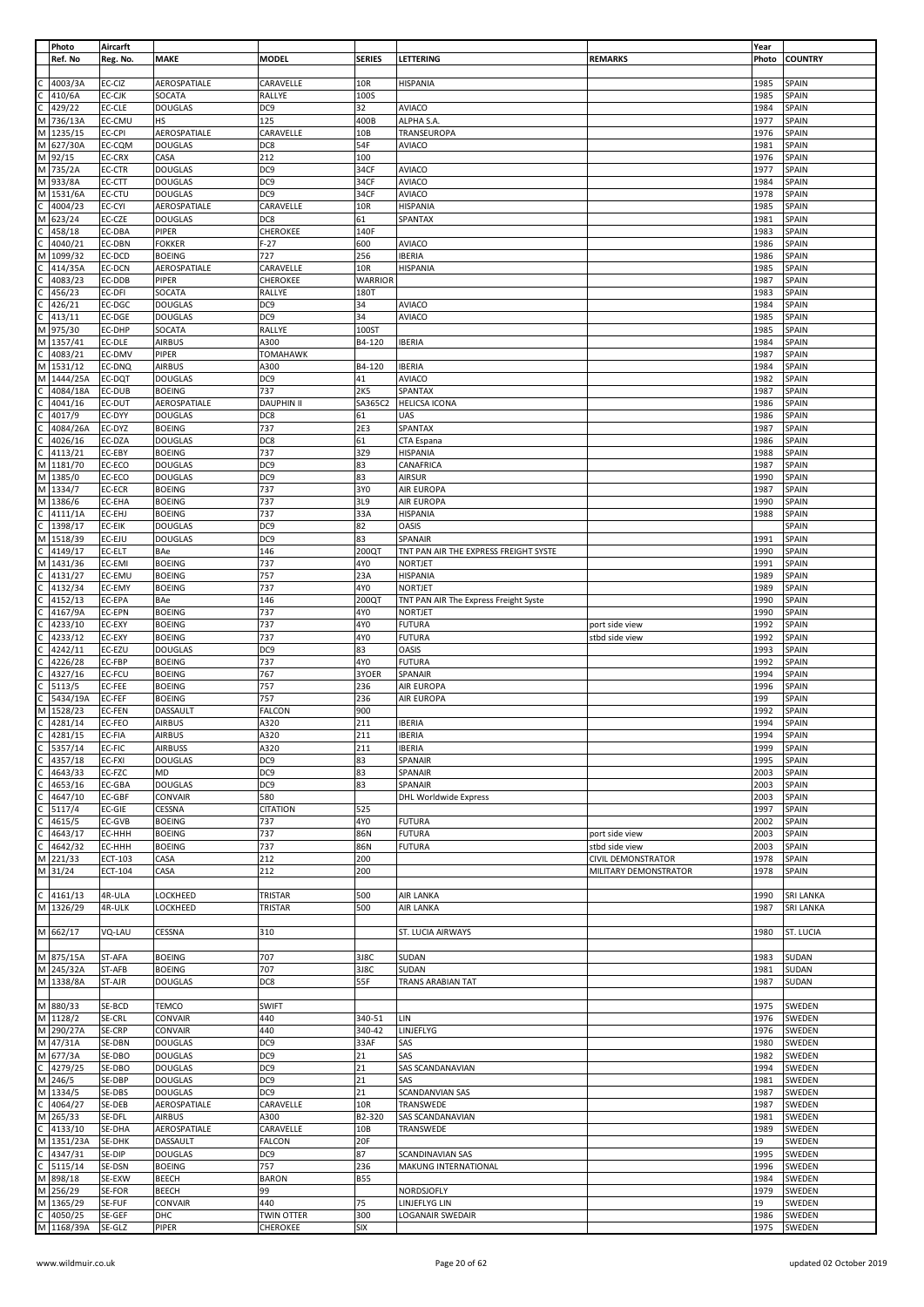|              | Photo               | Aircarft         |                                  |                   |                 |                                       |                           | Year         |                  |
|--------------|---------------------|------------------|----------------------------------|-------------------|-----------------|---------------------------------------|---------------------------|--------------|------------------|
|              | Ref. No             | Reg. No.         | <b>MAKE</b>                      | <b>MODEL</b>      | <b>SERIES</b>   | LETTERING                             | <b>REMARKS</b>            | Photo        | <b>COUNTRY</b>   |
|              |                     |                  |                                  |                   |                 |                                       |                           |              |                  |
|              | 4003/3A             | EC-CIZ           | AEROSPATIALE                     | CARAVELLE         | 10R             | <b>HISPANIA</b>                       |                           | 1985         | SPAIN            |
|              | 410/6A              | EC-CJK           | SOCATA                           | RALLYE            | 100S            |                                       |                           | 1985         | SPAIN            |
| С            | 429/22              | EC-CLE           | <b>DOUGLAS</b>                   | DC9               | 32              | <b>AVIACO</b>                         |                           | 1984         | SPAIN            |
| M            | 736/13A             | EC-CMU           | <b>HS</b>                        | 125               | 400B            | ALPHA S.A.                            |                           | 1977         | SPAIN            |
| M            | 1235/15             | EC-CPI           | AEROSPATIALE                     | CARAVELLE         | 10 <sub>B</sub> | TRANSEUROPA                           |                           | 1976         | SPAIN            |
|              | M 627/30A           | EC-CQM           | <b>DOUGLAS</b>                   | DC8               | 54F             | <b>AVIACO</b>                         |                           | 1981         | SPAIN            |
|              | M 92/15             | EC-CRX           | CASA                             | 212               | 100             |                                       |                           | 1976         | SPAIN            |
| M            | 735/2A              | EC-CTR           | <b>DOUGLAS</b>                   | DC <sub>9</sub>   | 34CF            | <b>AVIACO</b>                         |                           | 1977         | SPAIN            |
| M            | 933/8A              | EC-CTT           | <b>DOUGLAS</b>                   | DC <sub>9</sub>   | 34CF            | <b>AVIACO</b>                         |                           | 1984         | SPAIN            |
| M            | 1531/6A             | EC-CTU           | <b>DOUGLAS</b>                   | DC <sub>9</sub>   | 34CF            | <b>AVIACO</b>                         |                           | 1978         | SPAIN            |
|              | 4004/23             | EC-CYI           | AEROSPATIALE                     | CARAVELLE         | 10R             | <b>HISPANIA</b>                       |                           | 1985         | SPAIN            |
| м            | 623/24              | EC-CZE           | <b>DOUGLAS</b>                   | DC8               | 61              | SPANTAX                               |                           | 1981         | SPAIN            |
|              | 458/18              | EC-DBA           | PIPER                            | CHEROKEE          | 140F            |                                       |                           | 1983         | SPAIN            |
|              | 4040/21             | EC-DBN           | <b>FOKKER</b>                    | $F-27$            | 600             | <b>AVIACO</b>                         |                           | 1986         | SPAIN            |
| м            | 1099/32             | EC-DCD           | <b>BOEING</b>                    | 727               | 256             | <b>IBERIA</b>                         |                           | 1986         | SPAIN            |
|              | 414/35A             | EC-DCN           | AEROSPATIALE                     | CARAVELLE         | 10R             | <b>HISPANIA</b>                       |                           | 1985         | SPAIN            |
|              | 4083/23             | EC-DDB           | PIPER                            | CHEROKEE          | <b>WARRIOR</b>  |                                       |                           | 1987         | SPAIN            |
|              | 456/23              | EC-DFI           | SOCATA                           | RALLYE            | 180T            |                                       |                           | 1983         | SPAIN            |
|              | 426/21<br>413/11    | EC-DGC<br>EC-DGE | <b>DOUGLAS</b><br><b>DOUGLAS</b> | DC9<br>DC9        | 34<br>34        | <b>AVIACO</b><br><b>AVIACO</b>        |                           | 1984<br>1985 | SPAIN<br>SPAIN   |
| м            | 975/30              | EC-DHP           | SOCATA                           | RALLYE            | 100ST           |                                       |                           | 1985         | SPAIN            |
| M            | 1357/41             | EC-DLE           | <b>AIRBUS</b>                    | A300              | B4-120          | <b>IBERIA</b>                         |                           | 1984         | SPAIN            |
|              | 4083/21             | EC-DMV           | PIPER                            | <b>TOMAHAWK</b>   |                 |                                       |                           | 1987         | SPAIN            |
|              | 1531/12             | EC-DNQ           | <b>AIRBUS</b>                    | A300              | B4-120          | <b>IBERIA</b>                         |                           | 1984         | SPAIN            |
| м            | 1444/25A            | EC-DQT           | <b>DOUGLAS</b>                   | DC <sub>9</sub>   | 41              | <b>AVIACO</b>                         |                           | 1982         | SPAIN            |
|              | 4084/18A            | EC-DUB           | <b>BOEING</b>                    | 737               | 2K5             | SPANTAX                               |                           | 1987         | SPAIN            |
|              | 4041/16             | EC-DUT           | AEROSPATIALE                     | <b>DAUPHIN II</b> | SA365C2         | <b>HELICSA ICONA</b>                  |                           | 1986         | SPAIN            |
|              | 4017/9              | EC-DYY           | <b>DOUGLAS</b>                   | DC8               | 61              | <b>UAS</b>                            |                           | 1986         | SPAIN            |
|              | 4084/26A            | EC-DYZ           | <b>BOEING</b>                    | 737               | 2E3             | SPANTAX                               |                           | 1987         | SPAIN            |
|              | 4026/16             | EC-DZA           | <b>DOUGLAS</b>                   | DC8               | 61              | CTA Espana                            |                           | 1986         | SPAIN            |
|              | 4113/21             | EC-EBY           | <b>BOEING</b>                    | 737               | 3Z9             | <b>HISPANIA</b>                       |                           | 1988         | SPAIN            |
| M            | 1181/70             | EC-ECO           | <b>DOUGLAS</b>                   | DC <sub>9</sub>   | 83              | CANAFRICA                             |                           | 1987         | SPAIN            |
| M            | 1385/0              | EC-ECO           | <b>DOUGLAS</b>                   | DC9               | 83              | <b>AIRSUR</b>                         |                           | 1990         | SPAIN            |
| M            | 1334/7              | EC-ECR           | <b>BOEING</b>                    | 737               | 3Y0             | AIR EUROPA                            |                           | 1987         | SPAIN            |
| M            | 1386/6              | EC-EHA           | <b>BOEING</b>                    | 737               | 3L9             | AIR EUROPA                            |                           | 1990         | SPAIN            |
|              | 4111/1A             | EC-EHJ           | <b>BOEING</b>                    | 737               | 33A             | <b>HISPANIA</b>                       |                           | 1988         | SPAIN            |
|              | 1398/17             | EC-EIK           | <b>DOUGLAS</b>                   | DC9               | 82              | <b>OASIS</b>                          |                           |              | SPAIN            |
| М            | 1518/39             | EC-EJU           | <b>DOUGLAS</b>                   | DC <sub>9</sub>   | 83              | SPANAIR                               |                           | 1991         | SPAIN            |
|              | 4149/17             | EC-ELT           | BAe                              | 146               | 200QT           | TNT PAN AIR THE EXPRESS FREIGHT SYSTE |                           | 1990         | SPAIN            |
| М            | 1431/36             | EC-EMI           | <b>BOEING</b>                    | 737               | 4Y0             | <b>NORTJET</b>                        |                           | 1991         | SPAIN            |
|              | 4131/27             | EC-EMU           | <b>BOEING</b>                    | 757               | 23A             | <b>HISPANIA</b>                       |                           | 1989         | SPAIN            |
|              | 4132/34             | EC-EMY           | <b>BOEING</b>                    | 737               | 4Y0             | <b>NORTJET</b>                        |                           | 1989         | SPAIN            |
|              | 4152/13             | EC-EPA           | BAe                              | 146               | 200QT           | TNT PAN AIR The Express Freight Syste |                           | 1990         | SPAIN            |
|              | 4167/9A             | EC-EPN           | <b>BOEING</b>                    | 737               | 4Y0             | NORTJET                               |                           | 1990         | SPAIN            |
|              | 4233/10             | EC-EXY           | <b>BOEING</b>                    | 737               | 4Y0             | <b>FUTURA</b>                         | port side view            | 1992         | SPAIN            |
|              | 4233/12             | EC-EXY           | <b>BOEING</b>                    | 737               | 4Y0             | <b>FUTURA</b>                         | stbd side view            | 1992         | SPAIN            |
|              | 4242/11             | EC-EZU           | <b>DOUGLAS</b>                   | DC <sub>9</sub>   | 83              | <b>OASIS</b>                          |                           | 1993         | SPAIN            |
|              | 4226/28             | EC-FBP           | <b>BOEING</b>                    | 737               | 4Y0             | <b>FUTURA</b>                         |                           | 1992         | SPAIN            |
|              | 4327/16             | EC-FCU           | <b>BOEING</b>                    | 767               | 3YOER           | SPANAIR                               |                           | 1994         | SPAIN            |
|              | 5113/5              | EC-FEE           | <b>BOEING</b>                    | 757               | 236             | <b>AIR EUROPA</b>                     |                           | 1996         | SPAIN            |
|              | 5434/19A            | EC-FEF           | <b>BOEING</b>                    | 757               | 236             | AIR EUROPA                            |                           | 199          | SPAIN            |
| M            | 1528/23             | EC-FEN           | DASSAULT                         | FALCON            | 900             |                                       |                           | 1992         | SPAIN            |
| C            | 4281/14             | EC-FEO           | <b>AIRBUS</b>                    | A320              | 211             | <b>IBERIA</b>                         |                           | 1994         | SPAIN            |
| C            | 4281/15<br>5357/14  | EC-FIA           | <b>AIRBUS</b>                    | A320              | 211             | <b>IBERIA</b>                         |                           | 1994         | SPAIN            |
| C<br>C       | 4357/18             | EC-FIC<br>EC-FXI | <b>AIRBUSS</b>                   | A320<br>DC9       | 211<br>83       | <b>IBERIA</b>                         |                           | 1999<br>1995 | SPAIN<br>SPAIN   |
|              |                     |                  | <b>DOUGLAS</b><br>MD             |                   |                 | SPANAIR<br><b>SPANAIR</b>             |                           |              |                  |
|              | 4643/33             | EC-FZC           |                                  | DC9               | 83              | <b>SPANAIR</b>                        |                           | 2003         | SPAIN            |
|              | 4653/16<br>4647/10  | EC-GBA<br>EC-GBF | <b>DOUGLAS</b><br>CONVAIR        | DC9<br>580        | 83              | <b>DHL Worldwide Express</b>          |                           | 2003<br>2003 | SPAIN<br>SPAIN   |
|              | 5117/4              | EC-GIE           | CESSNA                           | <b>CITATION</b>   | 525             |                                       |                           | 1997         | SPAIN            |
|              | 4615/5              | EC-GVB           | <b>BOEING</b>                    | 737               | 4Y0             | <b>FUTURA</b>                         |                           | 2002         | <b>SPAIN</b>     |
|              | 4643/17             | EC-HHH           | <b>BOEING</b>                    | 737               | 86N             | <b>FUTURA</b>                         | port side view            | 2003         | <b>SPAIN</b>     |
|              | 4642/32             | EC-HHH           | <b>BOEING</b>                    | 737               | 86N             | <b>FUTURA</b>                         | stbd side view            | 2003         | SPAIN            |
| м            | 221/33              | ECT-103          | CASA                             | 212               | 200             |                                       | <b>CIVIL DEMONSTRATOR</b> | 1978         | SPAIN            |
|              | M 31/24             | ECT-104          | CASA                             | 212               | 200             |                                       | MILITARY DEMONSTRATOR     | 1978         | SPAIN            |
|              |                     |                  |                                  |                   |                 |                                       |                           |              |                  |
| C            | 4161/13             | 4R-ULA           | LOCKHEED                         | TRISTAR           | 500             | AIR LANKA                             |                           | 1990         | <b>SRI LANKA</b> |
|              | M 1326/29           | 4R-ULK           | LOCKHEED                         | TRISTAR           | 500             | AIR LANKA                             |                           | 1987         | <b>SRI LANKA</b> |
|              |                     |                  |                                  |                   |                 |                                       |                           |              |                  |
|              | M 662/17            | VQ-LAU           | CESSNA                           | 310               |                 | <b>ST. LUCIA AIRWAYS</b>              |                           | 1980         | ST. LUCIA        |
|              |                     |                  |                                  |                   |                 |                                       |                           |              |                  |
|              | M 875/15A           | ST-AFA           | <b>BOEING</b>                    | 707               | 3J8C            | <b>SUDAN</b>                          |                           | 1983         | SUDAN            |
|              | M 245/32A           | ST-AFB           | <b>BOEING</b>                    | 707               | 3J8C            | SUDAN                                 |                           | 1981         | SUDAN            |
|              | M 1338/8A           | ST-AJR           | <b>DOUGLAS</b>                   | DC8               | 55F             | TRANS ARABIAN TAT                     |                           | 1987         | SUDAN            |
|              |                     |                  |                                  |                   |                 |                                       |                           |              |                  |
|              | M 880/33            | SE-BCD           | <b>TEMCO</b>                     | <b>SWIFT</b>      |                 |                                       |                           | 1975         | SWEDEN           |
|              | M 1128/2            | SE-CRL           | <b>CONVAIR</b>                   | 440               | 340-51          | LIN                                   |                           | 1976         | SWEDEN           |
|              | M 290/27A           | SE-CRP           | <b>CONVAIR</b>                   | 440               | 340-42          | LINJEFLYG                             |                           | 1976         | SWEDEN           |
|              | M 47/31A            | SE-DBN           | <b>DOUGLAS</b>                   | DC <sub>9</sub>   | 33AF            | SAS                                   |                           | 1980         | SWEDEN           |
| M            | 677/3A              | SE-DBO           | <b>DOUGLAS</b>                   | DC <sub>9</sub>   | 21              | SAS                                   |                           | 1982         | SWEDEN           |
| $\mathsf{C}$ | 4279/25             | SE-DBO           | <b>DOUGLAS</b>                   | DC <sub>9</sub>   | 21              | SAS SCANDANAVIAN                      |                           | 1994         | SWEDEN           |
|              | M 246/5             | SE-DBP           | <b>DOUGLAS</b>                   | DC9               | 21              | SAS                                   |                           | 1981         | SWEDEN           |
| M            | 1334/5              | SE-DBS           | <b>DOUGLAS</b>                   | DC <sub>9</sub>   | 21              | SCANDANVIAN SAS                       |                           | 1987         | SWEDEN           |
| C<br>M       | 4064/27             | SE-DEB           | AEROSPATIALE<br><b>AIRBUS</b>    | CARAVELLE<br>A300 | 10R<br>B2-320   | TRANSWEDE<br>SAS SCANDANAVIAN         |                           | 1987<br>1981 | SWEDEN           |
|              | 265/33<br>4133/10   | SE-DFL<br>SE-DHA | AEROSPATIALE                     | CARAVELLE         | 10B             | TRANSWEDE                             |                           | 1989         | SWEDEN<br>SWEDEN |
| M            |                     | SE-DHK           | DASSAULT                         | <b>FALCON</b>     | 20F             |                                       |                           | 19           | SWEDEN           |
|              | 1351/23A<br>4347/31 | SE-DIP           | <b>DOUGLAS</b>                   | DC9               | 87              | SCANDINAVIAN SAS                      |                           | 1995         | SWEDEN           |
| C.           | 5115/14             | SE-DSN           | <b>BOEING</b>                    | 757               | 236             | MAKUNG INTERNATIONAL                  |                           | 1996         | SWEDEN           |
| M            | 898/18              | SE-EXW           | <b>BEECH</b>                     | <b>BARON</b>      | <b>B55</b>      |                                       |                           | 1984         | SWEDEN           |
| M            | 256/29              | SE-FOR           | <b>BEECH</b>                     | 99                |                 | NORDSJOFLY                            |                           | 1979         | SWEDEN           |
|              | M 1365/29           | SE-FUF           | CONVAIR                          | 440               | 75              | LINJEFLYG LIN                         |                           | 19           | SWEDEN           |
| с            | 4050/25             | SE-GEF           | DHC                              | TWIN OTTER        | 300             | <b>LOGANAIR SWEDAIR</b>               |                           | 1986         | SWEDEN           |
|              | M 1168/39A          | SE-GLZ           | PIPER                            | CHEROKEE          | <b>SIX</b>      |                                       |                           | 1975         | SWEDEN           |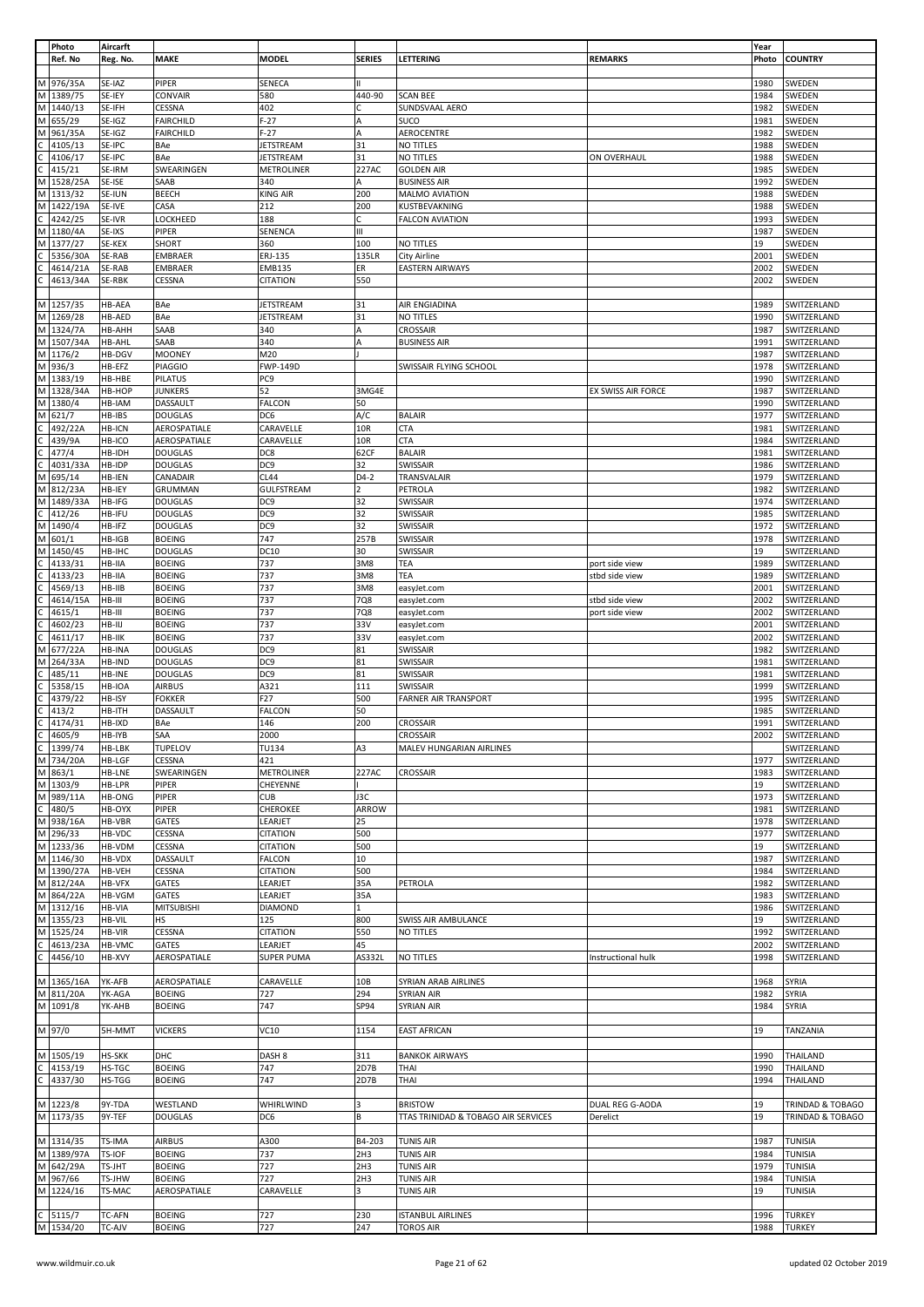|              | Photo      | Aircarft      |                   |                   |                |                                     |                    | Year  |                  |
|--------------|------------|---------------|-------------------|-------------------|----------------|-------------------------------------|--------------------|-------|------------------|
|              | Ref. No    | Reg. No.      | MAKE              | MODEL             | <b>SERIES</b>  | LETTERING                           | <b>REMARKS</b>     | Photo | <b>COUNTRY</b>   |
|              |            |               |                   |                   |                |                                     |                    |       |                  |
| М            | 976/35A    | SE-IAZ        | PIPER             | SENECA            | Ш              |                                     |                    | 1980  | SWEDEN           |
|              |            |               |                   |                   |                |                                     |                    |       |                  |
| M            | 1389/75    | SE-IEY        | CONVAIR           | 580               | 440-90         | <b>SCAN BEE</b>                     |                    | 1984  | SWEDEN           |
| M            | 1440/13    | SE-IFH        | CESSNA            | 402               | c              | SUNDSVAAL AERO                      |                    | 1982  | SWEDEN           |
| M            | 655/29     | SE-IGZ        | <b>FAIRCHILD</b>  | $F-27$            | A              | <b>SUCO</b>                         |                    | 1981  | SWEDEN           |
| M            | 961/35A    | SE-IGZ        | <b>FAIRCHILD</b>  | $F-27$            | A              | AEROCENTRE                          |                    | 1982  | SWEDEN           |
| C            | 4105/13    | SE-IPC        | BAe               | JETSTREAM         | 31             | NO TITLES                           |                    | 1988  | SWEDEN           |
|              |            |               |                   |                   |                |                                     |                    |       |                  |
|              | 4106/17    | SE-IPC        | BAe               | <b>JETSTREAM</b>  | 31             | NO TITLES                           | ON OVERHAUL        | 1988  | SWEDEN           |
|              | 415/21     | SE-IRM        | SWEARINGEN        | METROLINER        | 227AC          | <b>GOLDEN AIR</b>                   |                    | 1985  | SWEDEN           |
| M            | 1528/25A   | SE-ISE        | SAAB              | 340               | А              | <b>BUSINESS AIR</b>                 |                    | 1992  | SWEDEN           |
| M            | 1313/32    | SE-IUN        | <b>BEECH</b>      | KING AIR          | 200            | MALMO AVIATION                      |                    | 1988  | SWEDEN           |
|              |            |               |                   |                   |                |                                     |                    |       |                  |
| М            | 1422/19A   | SE-IVE        | CASA              | 212               | 200            | KUSTBEVAKNING                       |                    | 1988  | SWEDEN           |
|              | 4242/25    | SE-IVR        | LOCKHEED          | 188               | С              | <b>FALCON AVIATION</b>              |                    | 1993  | SWEDEN           |
| M            | 1180/4A    | SE-IXS        | PIPER             | SENENCA           | Ш              |                                     |                    | 1987  | SWEDEN           |
| M            | 1377/27    | SE-KEX        | SHORT             | 360               | 100            | NO TITLES                           |                    | 19    | SWEDEN           |
|              | 5356/30A   | SE-RAB        | EMBRAER           | ERJ-135           | 135LR          | <b>City Airline</b>                 |                    | 2001  | SWEDEN           |
|              |            |               |                   |                   |                |                                     |                    |       |                  |
|              | 4614/21A   | SE-RAB        | EMBRAER           | <b>EMB135</b>     | ER             | <b>EASTERN AIRWAYS</b>              |                    | 2002  | SWEDEN           |
|              | 4613/34A   | SE-RBK        | CESSNA            | CITATION          | 550            |                                     |                    | 2002  | SWEDEN           |
|              |            |               |                   |                   |                |                                     |                    |       |                  |
| M            | 1257/35    | HB-AEA        | BAe               | JETSTREAM         | 31             | AIR ENGIADINA                       |                    | 1989  | SWITZERLAND      |
| M            | 1269/28    | HB-AED        | BAe               | JETSTREAM         | 31             | NO TITLES                           |                    | 1990  | SWITZERLAND      |
|              |            |               |                   |                   |                |                                     |                    |       |                  |
| M            | 1324/7A    | HB-AHH        | SAAB              | 340               | A              | CROSSAIR                            |                    | 1987  | SWITZERLAND      |
| M            | 1507/34A   | HB-AHL        | SAAB              | 340               | A              | <b>BUSINESS AIR</b>                 |                    | 1991  | SWITZERLAND      |
| M            | 1176/2     | HB-DGV        | <b>MOONEY</b>     | M20               |                |                                     |                    | 1987  | SWITZERLAND      |
| М            | 936/3      | HB-EFZ        | <b>PIAGGIO</b>    | FWP-149D          |                | SWISSAIR FLYING SCHOOL              |                    | 1978  | SWITZERLAND      |
| M            | 1383/19    | HB-HBE        | PILATUS           | PC <sub>9</sub>   |                |                                     |                    | 1990  | SWITZERLAND      |
|              |            |               |                   |                   |                |                                     |                    |       |                  |
| М            | 1328/34A   | HB-HOP        | <b>JUNKERS</b>    | 52                | 3MG4E          |                                     | EX SWISS AIR FORCE | 1987  | SWITZERLAND      |
| М            | 1380/4     | HB-IAM        | <b>DASSAULT</b>   | <b>FALCON</b>     | 50             |                                     |                    | 1990  | SWITZERLAND      |
| M            | 621/7      | HB-IBS        | <b>DOUGLAS</b>    | DC6               | A/C            | <b>BALAIR</b>                       |                    | 1977  | SWITZERLAND      |
|              | 492/22A    | HB-ICN        | AEROSPATIALE      | CARAVELLE         | 10R            | <b>CTA</b>                          |                    | 1981  | SWITZERLAND      |
|              |            |               |                   |                   |                |                                     |                    |       |                  |
|              | 439/9A     | HB-ICO        | AEROSPATIALE      | CARAVELLE         | 10R            | <b>CTA</b>                          |                    | 1984  | SWITZERLAND      |
|              | 477/4      | HB-IDH        | <b>DOUGLAS</b>    | DC8               | 62CF           | <b>BALAIR</b>                       |                    | 1981  | SWITZERLAND      |
|              | 4031/33A   | HB-IDP        | <b>DOUGLAS</b>    | DC <sub>9</sub>   | 32             | <b>SWISSAIR</b>                     |                    | 1986  | SWITZERLAND      |
| M            | 695/14     | <b>HB-IEN</b> | CANADAIR          | CL44              | $D4-2$         | TRANSVALAIR                         |                    | 1979  | SWITZERLAND      |
|              |            |               |                   |                   |                |                                     |                    |       |                  |
| M            | 812/23A    | HB-IEY        | GRUMMAN           | GULFSTREAM        | $\overline{2}$ | PETROLA                             |                    | 1982  | SWITZERLAND      |
| М            | 1489/33A   | HB-IFG        | <b>DOUGLAS</b>    | DC9               | 32             | SWISSAIR                            |                    | 1974  | SWITZERLAND      |
|              | 412/26     | HB-IFU        | <b>DOUGLAS</b>    | DC9               | 32             | SWISSAIR                            |                    | 1985  | SWITZERLAND      |
| М            | 1490/4     | HB-IFZ        | <b>DOUGLAS</b>    | DC9               | 32             | SWISSAIR                            |                    | 1972  | SWITZERLAND      |
|              |            |               |                   | 747               | 257B           |                                     |                    | 1978  |                  |
| M            | 601/1      | HB-IGB        | <b>BOEING</b>     |                   |                | SWISSAIR                            |                    |       | SWITZERLAND      |
| M            | 1450/45    | HB-IHC        | <b>DOUGLAS</b>    | DC10              | 30             | SWISSAIR                            |                    | 19    | SWITZERLAND      |
|              | 4133/31    | HB-IIA        | <b>BOEING</b>     | 737               | 3M8            | TEA                                 | port side view     | 1989  | SWITZERLAND      |
|              | 4133/23    | HB-IIA        | <b>BOEING</b>     | 737               | 3M8            | TEA                                 | stbd side view     | 1989  | SWITZERLAND      |
|              |            |               |                   |                   |                |                                     |                    |       |                  |
|              | 4569/13    | HB-IIB        | <b>BOEING</b>     | 737               | 3M8            | easyJet.com                         |                    | 2001  | SWITZERLAND      |
|              | 4614/15A   | HB-III        | <b>BOEING</b>     | 737               | 7Q8            | easyJet.com                         | stbd side view     | 2002  | SWITZERLAND      |
|              | 4615/1     | HB-III        | <b>BOEING</b>     | 737               | 7Q8            | easyJet.com                         | port side view     | 2002  | SWITZERLAND      |
|              | 4602/23    | HB-IIJ        | <b>BOEING</b>     | 737               | 33V            | easyJet.com                         |                    | 2001  | SWITZERLAND      |
|              | 4611/17    | HB-IIK        | <b>BOEING</b>     | 737               | 33V            | easyJet.com                         |                    | 2002  | SWITZERLAND      |
|              |            |               |                   |                   |                |                                     |                    |       |                  |
| M            | 677/22A    | HB-INA        | <b>DOUGLAS</b>    | DC <sub>9</sub>   | 81             | SWISSAIR                            |                    | 1982  | SWITZERLAND      |
| М            | 264/33A    | HB-IND        | <b>DOUGLAS</b>    | DC9               | 81             | SWISSAIR                            |                    | 1981  | SWITZERLAND      |
|              | 485/11     | HB-INE        | <b>DOUGLAS</b>    | DC9               | 81             | SWISSAIR                            |                    | 1981  | SWITZERLAND      |
|              | 5358/15    | HB-IOA        | AIRBUS            | A321              | 111            | SWISSAIR                            |                    | 1999  | SWITZERLAND      |
|              |            |               |                   |                   |                |                                     |                    |       |                  |
|              | 4379/22    | HB-ISY        | <b>FOKKER</b>     | F27               | 500            | <b>FARNER AIR TRANSPORT</b>         |                    | 1995  | SWITZERLAND      |
|              | 413/2      | HB-ITH        | DASSAULT          | FALCON            | 50             |                                     |                    | 1985  | SWITZERLAND      |
|              | 4174/31    | HB-IXD        | BAe               | 146               | 200            | <b>CROSSAIR</b>                     |                    | 1991  | SWITZERLAND      |
| C            | 4605/9     | HB-IYB        | SAA               | 2000              |                | <b>CROSSAIR</b>                     |                    | 2002  | SWITZERLAND      |
| C            | 1399/74    | HB-LBK        | TUPELOV           | TU134             | A3             |                                     |                    |       | SWITZERLAND      |
|              |            |               |                   |                   |                | MALEV HUNGARIAN AIRLINES            |                    |       |                  |
| M            | 734/20A    | <b>HB-LGF</b> | CESSNA            | 421               |                |                                     |                    | 1977  | SWITZERLAND      |
| M            | 863/1      | <b>HB-LNE</b> | SWEARINGEN        | <b>METROLINER</b> | 227AC          | <b>CROSSAIR</b>                     |                    | 1983  | SWITZERLAND      |
| M            | 1303/9     | HB-LPR        | PIPER             | CHEYENNE          |                |                                     |                    | 19    | SWITZERLAND      |
|              |            |               |                   |                   |                |                                     |                    |       |                  |
| M            | 989/11A    | <b>HB-ONG</b> | PIPER             | <b>CUB</b>        | J3C            |                                     |                    | 1973  | SWITZERLAND      |
| $\mathsf{C}$ | 480/5      | HB-OYX        | PIPER             | CHEROKEE          | ARROW          |                                     |                    | 1981  | SWITZERLAND      |
| M            | 938/16A    | HB-VBR        | GATES             | LEARJET           | 25             |                                     |                    | 1978  | SWITZERLAND      |
| M            | 296/33     | HB-VDC        | CESSNA            | <b>CITATION</b>   | 500            |                                     |                    | 1977  | SWITZERLAND      |
| M            | 1233/36    | HB-VDM        | CESSNA            | CITATION          | 500            |                                     |                    | 19    | SWITZERLAND      |
| M            |            | HB-VDX        | DASSAULT          | <b>FALCON</b>     | 10             |                                     |                    | 1987  | SWITZERLAND      |
|              | 1146/30    |               |                   |                   |                |                                     |                    |       |                  |
| M            | 1390/27A   | HB-VEH        | CESSNA            | <b>CITATION</b>   | 500            |                                     |                    | 1984  | SWITZERLAND      |
|              | M 812/24A  | HB-VFX        | GATES             | LEARJET           | 35A            | PETROLA                             |                    | 1982  | SWITZERLAND      |
|              | M 864/22A  | HB-VGM        | GATES             | LEARJET           | 35A            |                                     |                    | 1983  | SWITZERLAND      |
|              | M 1312/16  | <b>HB-VIA</b> | <b>MITSUBISHI</b> | DIAMOND           | 1              |                                     |                    | 1986  | SWITZERLAND      |
| M            | 1355/23    | HB-VIL        | HS                | 125               | 800            | SWISS AIR AMBULANCE                 |                    | 19    | SWITZERLAND      |
|              |            |               |                   |                   |                |                                     |                    |       |                  |
| M            | 1525/24    | HB-VIR        | CESSNA            | <b>CITATION</b>   | 550            | NO TITLES                           |                    | 1992  | SWITZERLAND      |
| C            | 4613/23A   | HB-VMC        | GATES             | LEARJET           | 45             |                                     |                    | 2002  | SWITZERLAND      |
| C            | 4456/10    | HB-XVY        | AEROSPATIALE      | <b>SUPER PUMA</b> | AS332L         | NO TITLES                           | Instructional hulk | 1998  | SWITZERLAND      |
|              |            |               |                   |                   |                |                                     |                    |       |                  |
|              |            |               |                   |                   |                |                                     |                    |       |                  |
|              | M 1365/16A | YK-AFB        | AEROSPATIALE      | CARAVELLE         | 10B            | SYRIAN ARAB AIRLINES                |                    | 1968  | <b>SYRIA</b>     |
|              | M 811/20A  | YK-AGA        | <b>BOEING</b>     | 727               | 294            | <b>SYRIAN AIR</b>                   |                    | 1982  | SYRIA            |
|              | M 1091/8   | YK-AHB        | <b>BOEING</b>     | 747               | SP94           | <b>SYRIAN AIR</b>                   |                    | 1984  | <b>SYRIA</b>     |
|              |            |               |                   |                   |                |                                     |                    |       |                  |
|              | M 97/0     | 5H-MMT        | <b>VICKERS</b>    | VC10              | 1154           | <b>EAST AFRICAN</b>                 |                    | 19    | TANZANIA         |
|              |            |               |                   |                   |                |                                     |                    |       |                  |
|              |            |               |                   |                   |                |                                     |                    |       |                  |
| М            | 1505/19    | <b>HS-SKK</b> | DHC               | DASH <sub>8</sub> | 311            | <b>BANKOK AIRWAYS</b>               |                    | 1990  | <b>THAILAND</b>  |
| $\mathsf{C}$ | 4153/19    | HS-TGC        | <b>BOEING</b>     | 747               | 2D7B           | THAI                                |                    | 1990  | THAILAND         |
| C            | 4337/30    | HS-TGG        | <b>BOEING</b>     | 747               | 2D7B           | THAI                                |                    | 1994  | THAILAND         |
|              |            |               |                   |                   |                |                                     |                    |       |                  |
|              |            |               |                   |                   |                |                                     |                    |       |                  |
|              | M 1223/8   | 9Y-TDA        | WESTLAND          | WHIRLWIND         | 3              | <b>BRISTOW</b>                      | DUAL REG G-AODA    | 19    | TRINDAD & TOBAGO |
|              | M 1173/35  | 9Y-TEF        | <b>DOUGLAS</b>    | DC6               | B              | TTAS TRINIDAD & TOBAGO AIR SERVICES | Derelict           | 19    | TRINDAD & TOBAGO |
|              |            |               |                   |                   |                |                                     |                    |       |                  |
|              |            |               |                   |                   |                |                                     |                    |       |                  |
|              | M 1314/35  | TS-IMA        | <b>AIRBUS</b>     | A300              | B4-203         | <b>TUNIS AIR</b>                    |                    | 1987  | <b>TUNISIA</b>   |
| M            | 1389/97A   | TS-IOF        | <b>BOEING</b>     | 737               | 2H3            | <b>TUNIS AIR</b>                    |                    | 1984  | <b>TUNISIA</b>   |
| M            | 642/29A    | TS-JHT        | <b>BOEING</b>     | 727               | 2H3            | <b>TUNIS AIR</b>                    |                    | 1979  | <b>TUNISIA</b>   |
| M            | 967/66     | TS-JHW        | <b>BOEING</b>     | 727               | 2H3            | <b>TUNIS AIR</b>                    |                    | 1984  | <b>TUNISIA</b>   |
|              |            |               |                   |                   |                |                                     |                    |       |                  |
|              | M 1224/16  | TS-MAC        | AEROSPATIALE      | CARAVELLE         | 3              | <b>TUNIS AIR</b>                    |                    | 19    | <b>TUNISIA</b>   |
|              |            |               |                   |                   |                |                                     |                    |       |                  |
|              | $C$ 5115/7 | <b>TC-AFN</b> | <b>BOEING</b>     | 727               | 230            | <b>ISTANBUL AIRLINES</b>            |                    | 1996  | <b>TURKEY</b>    |
|              | M 1534/20  | <b>TC-AJV</b> | <b>BOEING</b>     | 727               | 247            | <b>TOROS AIR</b>                    |                    | 1988  | <b>TURKEY</b>    |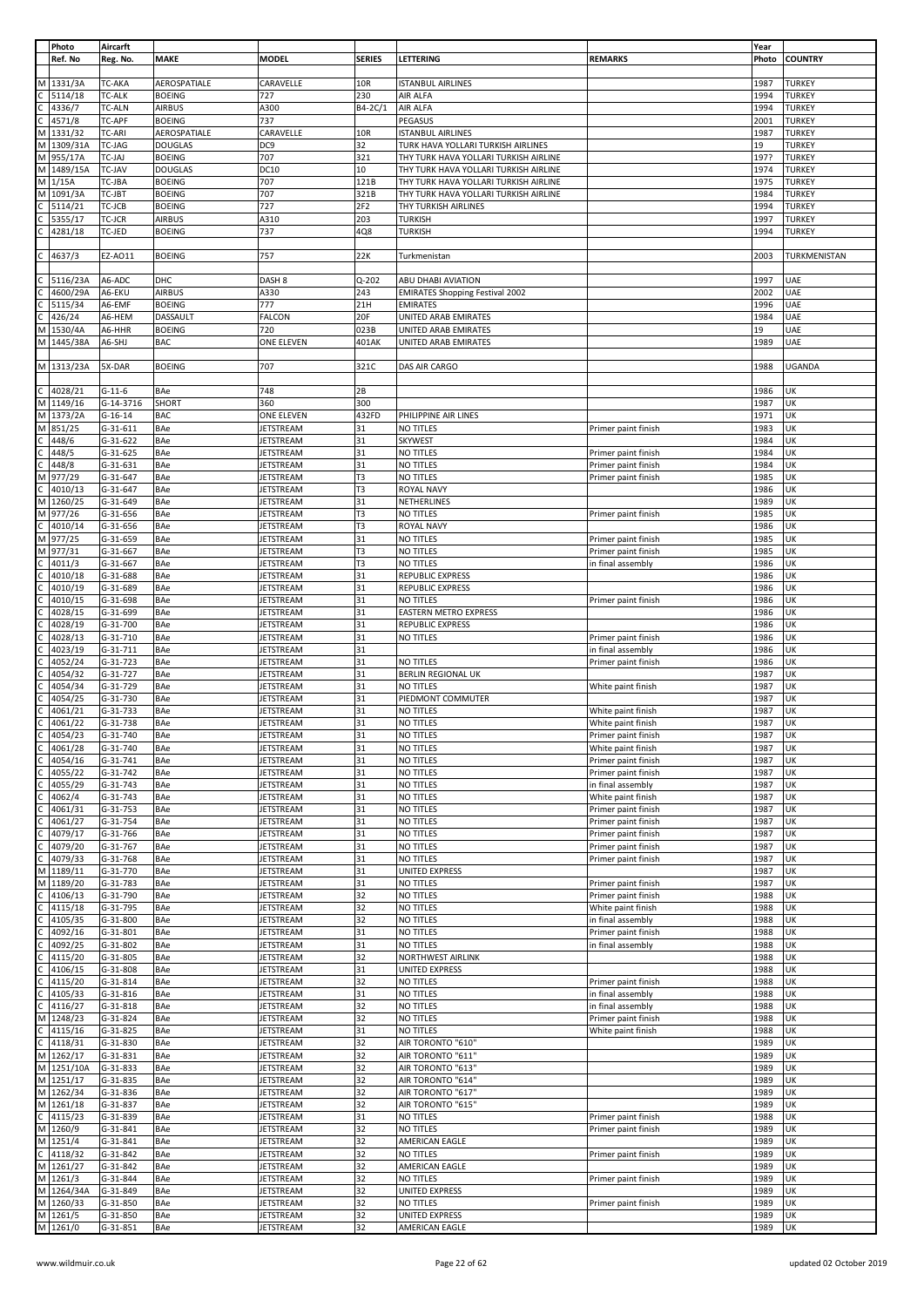|   | Photo      | Aircarft      |                |                   |               |                                        |                     | Year  |                |
|---|------------|---------------|----------------|-------------------|---------------|----------------------------------------|---------------------|-------|----------------|
|   | Ref. No    | Reg. No.      | <b>MAKE</b>    | <b>MODEL</b>      | <b>SERIES</b> | LETTERING                              | <b>REMARKS</b>      | Photo | <b>COUNTRY</b> |
|   |            |               |                |                   |               |                                        |                     |       |                |
| M | 1331/3A    | TC-AKA        | AEROSPATIALE   | CARAVELLE         | 10R           | <b>ISTANBUL AIRLINES</b>               |                     | 1987  | <b>TURKEY</b>  |
|   | 5114/18    | <b>TC-ALK</b> | <b>BOEING</b>  | 727               | 230           | AIR ALFA                               |                     | 1994  | <b>TURKEY</b>  |
|   | 4336/7     | <b>TC-ALN</b> | <b>AIRBUS</b>  | A300              | B4-2C/1       | AIR ALFA                               |                     | 1994  | <b>TURKEY</b>  |
|   | 4571/8     | TC-APF        | <b>BOEING</b>  | 737               |               | PEGASUS                                |                     | 2001  | <b>TURKEY</b>  |
| M | 1331/32    | TC-ARI        | AEROSPATIALE   | CARAVELLE         | 10R           | <b>ISTANBUL AIRLINES</b>               |                     | 1987  | <b>TURKEY</b>  |
| М | 1309/31A   | TC-JAG        | <b>DOUGLAS</b> | DC <sub>9</sub>   | 32            | TURK HAVA YOLLARI TURKISH AIRLINES     |                     | 19    | <b>TURKEY</b>  |
| M | 955/17A    | TC-JAJ        | <b>BOEING</b>  | 707               | 321           | THY TURK HAVA YOLLARI TURKISH AIRLINE  |                     | 197?  | <b>TURKEY</b>  |
| M | 1489/15A   | TC-JAV        | <b>DOUGLAS</b> | DC10              | 10            | THY TURK HAVA YOLLARI TURKISH AIRLINE  |                     | 1974  | <b>TURKEY</b>  |
| М | 1/15A      | TC-JBA        | <b>BOEING</b>  | 707               | 121B          | THY TURK HAVA YOLLARI TURKISH AIRLINE  |                     | 1975  | <b>TURKEY</b>  |
| M | 1091/3A    | TC-JBT        | <b>BOEING</b>  | 707               | 321B          | THY TURK HAVA YOLLARI TURKISH AIRLINE  |                     | 1984  | <b>TURKEY</b>  |
|   |            |               |                |                   |               | THY TURKISH AIRLINES                   |                     |       |                |
|   | 5114/21    | TC-JCB        | <b>BOEING</b>  | 727               | 2F2           |                                        |                     | 1994  | <b>TURKEY</b>  |
|   | 5355/17    | TC-JCR        | <b>AIRBUS</b>  | A310              | 203           | <b>TURKISH</b>                         |                     | 1997  | <b>TURKEY</b>  |
|   | 4281/18    | TC-JED        | <b>BOEING</b>  | 737               | 4Q8           | <b>TURKISH</b>                         |                     | 1994  | <b>TURKEY</b>  |
|   |            |               |                |                   |               |                                        |                     |       |                |
|   | 4637/3     | EZ-AO11       | <b>BOEING</b>  | 757               | 22K           | Turkmenistan                           |                     | 2003  | TURKMENISTAN   |
|   |            |               |                |                   |               |                                        |                     |       |                |
|   | 5116/23A   | A6-ADC        | DHC            | DASH <sub>8</sub> | $Q - 202$     | ABU DHABI AVIATION                     |                     | 1997  | UAE            |
|   | 4600/29A   | A6-EKU        | <b>AIRBUS</b>  | A330              | 243           | <b>EMIRATES Shopping Festival 2002</b> |                     | 2002  | UAE            |
|   | 5115/34    | A6-EMF        | <b>BOEING</b>  | 777               | 21H           | <b>EMIRATES</b>                        |                     | 1996  | UAE            |
|   | 426/24     | A6-HEM        | DASSAULT       | FALCON            | 20F           | UNITED ARAB EMIRATES                   |                     | 1984  | UAE            |
| М | 1530/4A    | A6-HHR        | <b>BOEING</b>  | 720               | 023B          | UNITED ARAB EMIRATES                   |                     | 19    | UAE            |
| M | 1445/38A   | A6-SHJ        | <b>BAC</b>     | ONE ELEVEN        | 401AK         | UNITED ARAB EMIRATES                   |                     | 1989  | UAE            |
|   |            |               |                |                   |               |                                        |                     |       |                |
|   | M 1313/23A | 5X-DAR        | <b>BOEING</b>  | 707               | 321C          | DAS AIR CARGO                          |                     | 1988  | <b>UGANDA</b>  |
|   |            |               |                |                   |               |                                        |                     |       |                |
|   | 4028/21    | $G-11-6$      | BAe            | 748               | 2B            |                                        |                     | 1986  | UK             |
| M | 1149/16    | G-14-3716     | SHORT          | 360               | 300           |                                        |                     | 1987  | UK             |
| M | 1373/2A    | $G-16-14$     |                |                   | 432FD         |                                        |                     | 1971  | UK             |
|   |            |               | <b>BAC</b>     | ONE ELEVEN        |               | PHILIPPINE AIR LINES                   |                     |       |                |
|   | 851/25     | $G-31-611$    | BAe            | JETSTREAM         | 31            | <b>NO TITLES</b>                       | Primer paint finish | 1983  | UK             |
|   | 448/6      | $G-31-622$    | BAe            | JETSTREAM         | 31            | <b>SKYWEST</b>                         |                     | 1984  | UK             |
|   | 448/5      | $G-31-625$    | BAe            | JETSTREAM         | 31            | <b>NO TITLES</b>                       | Primer paint finish | 1984  | UK             |
|   | 448/8      | $G-31-631$    | BAe            | JETSTREAM         | 31            | NO TITLES                              | Primer paint finish | 1984  | UK             |
|   | 977/29     | G-31-647      | BAe            | JETSTREAM         | T3            | NO TITLES                              | Primer paint finish | 1985  | UK             |
|   | 4010/13    | G-31-647      | BAe            | JETSTREAM         | T3            | ROYAL NAVY                             |                     | 1986  | UK             |
| М | 1260/25    | G-31-649      | BAe            | JETSTREAM         | 31            | NETHERLINES                            |                     | 1989  | UK             |
| M | 977/26     | G-31-656      | BAe            | JETSTREAM         | T3            | NO TITLES                              | Primer paint finish | 1985  | UK             |
|   | 4010/14    | G-31-656      | BAe            | JETSTREAM         | T3            | ROYAL NAVY                             |                     | 1986  | UK             |
| м | 977/25     | G-31-659      | BAe            | JETSTREAM         | 31            | NO TITLES                              | Primer paint finish | 1985  | UK             |
| M | 977/31     | $G-31-667$    | BAe            | JETSTREAM         | T3            | NO TITLES                              | Primer paint finish | 1985  | UK             |
|   | 4011/3     | $G-31-667$    | BAe            | JETSTREAM         | T3            | NO TITLES                              | in final assembly   | 1986  | UK             |
|   |            |               |                |                   | 31            | <b>REPUBLIC EXPRESS</b>                |                     |       | UK             |
|   | 4010/18    | G-31-688      | BAe            | JETSTREAM         |               |                                        |                     | 1986  |                |
|   | 4010/19    | G-31-689      | BAe            | JETSTREAM         | 31            | REPUBLIC EXPRESS                       |                     | 1986  | UK             |
|   | 4010/15    | G-31-698      | BAe            | JETSTREAM         | 31            | NO TITLES                              | Primer paint finish | 1986  | UK             |
|   | 4028/15    | G-31-699      | BAe            | JETSTREAM         | 31            | EASTERN METRO EXPRESS                  |                     | 1986  | UK             |
|   | 4028/19    | $G-31-700$    | BAe            | JETSTREAM         | 31            | REPUBLIC EXPRESS                       |                     | 1986  | UK             |
|   | 4028/13    | $G-31-710$    | BAe            | JETSTREAM         | 31            | NO TITLES                              | Primer paint finish | 1986  | UK             |
|   | 4023/19    | $G-31-711$    | BAe            | JETSTREAM         | 31            |                                        | in final assembly   | 1986  | UK             |
|   | 4052/24    | G-31-723      | BAe            | JETSTREAM         | 31            | <b>NO TITLES</b>                       | Primer paint finish | 1986  | UK             |
|   | 4054/32    | G-31-727      | BAe            | JETSTREAM         | 31            | <b>BERLIN REGIONAL UK</b>              |                     | 1987  | UK             |
|   | 4054/34    | G-31-729      | BAe            | <b>JETSTREAM</b>  | 31            | NO TITLES                              | White paint finish  | 1987  | UK             |
|   | 4054/25    | G-31-730      | BAe            | JETSTREAM         | 31            | PIEDMONT COMMUTER                      |                     | 1987  | UK             |
|   |            | G-31-733      |                |                   | 31            |                                        |                     |       | UK             |
|   | 4061/21    |               | BAe            | JETSTREAM         |               | NO TITLES                              | White paint finish  | 1987  |                |
|   | 4061/22    | G-31-738      | <b>BAe</b>     | JETSTREAM         | 31            | NO TITLES                              | White paint finish  | 1987  | UK             |
|   | 4054/23    | G-31-740      | BAe            | <b>JETSTREAM</b>  | 31            | NO TITLES                              | Primer paint finish | 1987  | UK             |
|   | 4061/28    | G-31-740      | BAe            | JETSTREAM         | 31            | NO TITLES                              | White paint finish  | 1987  | UK             |
|   | 4054/16    | $G-31-741$    | BAe            | JETSTREAM         | 31            | NO TITLES                              | Primer paint finish | 1987  | UK             |
|   | 4055/22    | $G-31-742$    | BAe            | <b>JETSTREAM</b>  | 31            | NO TITLES                              | Primer paint finish | 1987  | UK             |
|   | 4055/29    | $G-31-743$    | BAe            | JETSTREAM         | 31            | NO TITLES                              | in final assembly   | 1987  | UK             |
|   | 4062/4     | $G-31-743$    | <b>BAe</b>     | JETSTREAM         | 31            | NO TITLES                              | White paint finish  | 1987  | UK             |
|   | 4061/31    | G-31-753      | BAe            | JETSTREAM         | 31            | NO TITLES                              | Primer paint finish | 1987  | UK             |
|   | 4061/27    | $G-31-754$    | <b>BAe</b>     | JETSTREAM         | 31            | <b>NO TITLES</b>                       | Primer paint finish | 1987  | UK             |
|   | 4079/17    | G-31-766      | <b>BAe</b>     | JETSTREAM         | 31            | NO TITLES                              | Primer paint finish | 1987  | UK             |
|   | 4079/20    | $G-31-767$    | BAe            | JETSTREAM         | 31            | NO TITLES                              | Primer paint finish | 1987  | UK             |
|   | 4079/33    | $G-31-768$    | BAe            | JETSTREAM         | 31            | NO TITLES                              | Primer paint finish | 1987  | UK             |
| M | 1189/11    | G-31-770      | BAe            | JETSTREAM         | 31            | UNITED EXPRESS                         |                     | 1987  | UK             |
| M | 1189/20    | G-31-783      | BAe            | JETSTREAM         | 31            | <b>NO TITLES</b>                       | Primer paint finish | 1987  | UK             |
|   | 4106/13    | G-31-790      | BAe            | <b>JETSTREAM</b>  | 32            | NO TITLES                              | Primer paint finish | 1988  | UK             |
|   | 4115/18    | G-31-795      | <b>BAe</b>     | JETSTREAM         | 32            | NO TITLES                              | White paint finish  | 1988  | UK             |
|   |            | $G-31-800$    | BAe            | JETSTREAM         | 32            | NO TITLES                              | in final assembly   | 1988  | UK             |
|   | 4105/35    |               |                |                   |               |                                        |                     |       |                |
|   | 4092/16    | $G-31-801$    | <b>BAe</b>     | JETSTREAM         | 31            | NO TITLES                              | Primer paint finish | 1988  | UK             |
|   | 4092/25    | $G-31-802$    | BAe            | <b>JETSTREAM</b>  | 31            | NO TITLES                              | in final assembly   | 1988  | UK             |
|   | 4115/20    | $G-31-805$    | BAe            | JETSTREAM         | 32            | <b>NORTHWEST AIRLINK</b>               |                     | 1988  | UK             |
|   | 4106/15    | $G-31-808$    | <b>BAe</b>     | JETSTREAM         | 31            | UNITED EXPRESS                         |                     | 1988  | UK             |
|   | 4115/20    | $G-31-814$    | BAe            | JETSTREAM         | 32            | NO TITLES                              | Primer paint finish | 1988  | UK             |
|   | 4105/33    | $G-31-816$    | BAe            | JETSTREAM         | 31            | NO TITLES                              | in final assembly   | 1988  | UK             |
|   | 4116/27    | $G-31-818$    | BAe            | JETSTREAM         | 32            | NO TITLES                              | in final assembly   | 1988  | UK             |
| М | 1248/23    | G-31-824      | BAe            | JETSTREAM         | 32            | NO TITLES                              | Primer paint finish | 1988  | UK             |
|   | 4115/16    | $G-31-825$    | <b>BAe</b>     | JETSTREAM         | 31            | NO TITLES                              | White paint finish  | 1988  | UK             |
|   | 4118/31    | G-31-830      | BAe            | <b>JETSTREAM</b>  | 32            | AIR TORONTO "610"                      |                     | 1989  | UK             |
| М | 1262/17    | G-31-831      | BAe            | JETSTREAM         | 32            | AIR TORONTO "611"                      |                     | 1989  | UK             |
| M | 1251/10A   | G-31-833      | <b>BAe</b>     | JETSTREAM         | 32            | AIR TORONTO "613"                      |                     | 1989  | UK             |
|   | M 1251/17  | G-31-835      | BAe            | JETSTREAM         | 32            | AIR TORONTO "614"                      |                     | 1989  | UK             |
| M | 1262/34    | G-31-836      | BAe            | JETSTREAM         | 32            | AIR TORONTO "617"                      |                     | 1989  | UK             |
|   | M 1261/18  | G-31-837      | <b>BAe</b>     | JETSTREAM         | 32            | AIR TORONTO "615"                      |                     | 1989  | UK             |
| C | 4115/23    | G-31-839      | BAe            | JETSTREAM         | 31            | NO TITLES                              | Primer paint finish | 1988  | UK             |
| M | 1260/9     | $G-31-841$    | <b>BAe</b>     | JETSTREAM         | 32            | NO TITLES                              | Primer paint finish | 1989  | UK             |
|   |            |               |                |                   |               |                                        |                     |       | UK             |
|   | M 1251/4   | $G-31-841$    | BAe            | JETSTREAM         | 32            | AMERICAN EAGLE                         |                     | 1989  |                |
| C | 4118/32    | G-31-842      | BAe            | JETSTREAM         | 32            | NO TITLES                              | Primer paint finish | 1989  | UK             |
|   | M 1261/27  | $G-31-842$    | BAe            | JETSTREAM         | 32            | AMERICAN EAGLE                         |                     | 1989  | UK             |
|   | M 1261/3   | G-31-844      | <b>BAe</b>     | JETSTREAM         | 32            | NO TITLES                              | Primer paint finish | 1989  | UK             |
|   | M 1264/34A | G-31-849      | BAe            | JETSTREAM         | 32            | UNITED EXPRESS                         |                     | 1989  | UK             |
|   | M 1260/33  | G-31-850      | BAe            | JETSTREAM         | 32            | NO TITLES                              | Primer paint finish | 1989  | UK             |
|   | M 1261/5   | $G-31-850$    | <b>BAe</b>     | <b>JETSTREAM</b>  | 32            | UNITED EXPRESS                         |                     | 1989  | UK             |
|   | M 1261/0   | $G-31-851$    | BAe            | JETSTREAM         | 32            | AMERICAN EAGLE                         |                     | 1989  | UK             |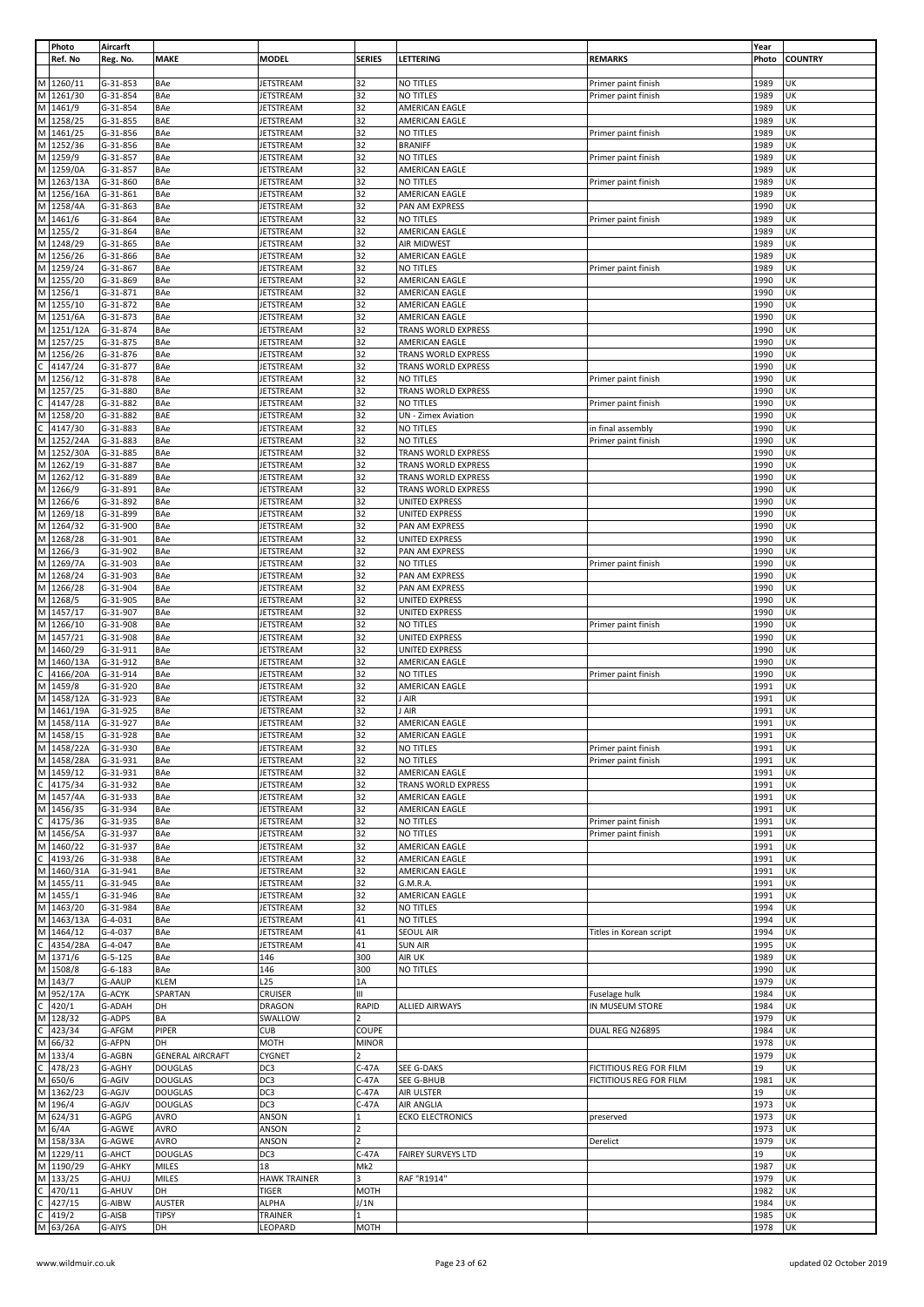|   | Photo                    | Aircarft               |                               |                               |                |                                                |                         | Year         |                |
|---|--------------------------|------------------------|-------------------------------|-------------------------------|----------------|------------------------------------------------|-------------------------|--------------|----------------|
|   | Ref. No                  | Reg. No.               | MAKE                          | <b>MODEL</b>                  | <b>SERIES</b>  | LETTERING                                      | <b>REMARKS</b>          | Photo        | <b>COUNTRY</b> |
|   | M 1260/11                | G-31-853               | BAe                           | JETSTREAM                     | 32             | NO TITLES                                      | Primer paint finish     | 1989         | UK             |
|   | M 1261/30                | G-31-854               | BAe                           | <b>JETSTREAM</b>              | 32             | <b>NO TITLES</b>                               | Primer paint finish     | 1989         | UK             |
|   | M 1461/9                 | G-31-854               | BAe                           | <b>JETSTREAM</b>              | 32             | AMERICAN EAGLE                                 |                         | 1989         | UK             |
|   | M 1258/25                | G-31-855               | BAE                           | JETSTREAM                     | 32             | AMERICAN EAGLE                                 |                         | 1989         | UK             |
|   | M 1461/25                | G-31-856               | BAe                           | <b>JETSTREAM</b>              | 32             | NO TITLES                                      | Primer paint finish     | 1989         | UK             |
|   | M 1252/36                | G-31-856               | BAe                           | JETSTREAM                     | 32             | <b>BRANIFF</b>                                 |                         | 1989         | UK             |
|   | M 1259/9                 | G-31-857               | BAe                           | <b>JETSTREAM</b>              | 32             | NO TITLES                                      | Primer paint finish     | 1989         | UK             |
|   | M 1259/0A                | G-31-857               | BAe                           | JETSTREAM                     | 32             | AMERICAN EAGLE                                 |                         | 1989         | UK             |
|   | M 1263/13A<br>M 1256/16A | G-31-860<br>$G-31-861$ | BAe<br>BAe                    | JETSTREAM<br><b>JETSTREAM</b> | 32<br>32       | NO TITLES<br>AMERICAN EAGLE                    | Primer paint finish     | 1989<br>1989 | UK<br>UK       |
| M | 1258/4A                  | G-31-863               | BAe                           | JETSTREAM                     | 32             | PAN AM EXPRESS                                 |                         | 1990         | UK             |
|   | M 1461/6                 | G-31-864               | BAe                           | JETSTREAM                     | 32             | NO TITLES                                      | Primer paint finish     | 1989         | UK             |
|   | M 1255/2                 | G-31-864               | BAe                           | JETSTREAM                     | 32             | AMERICAN EAGLE                                 |                         | 1989         | UK             |
|   | M 1248/29                | G-31-865               | BAe                           | <b>JETSTREAM</b>              | 32             | AIR MIDWEST                                    |                         | 1989         | UK             |
|   | M 1256/26                | G-31-866               | BAe                           | JETSTREAM                     | 32             | AMERICAN EAGLE                                 |                         | 1989         | UK             |
|   | M 1259/24                | G-31-867               | BAe                           | JETSTREAM                     | 32             | <b>NO TITLES</b>                               | Primer paint finish     | 1989         | UK             |
|   | M 1255/20                | G-31-869               | BAe                           | JETSTREAM                     | 32             | AMERICAN EAGLE                                 |                         | 1990         | UK             |
|   | M 1256/1<br>M 1255/10    | G-31-871<br>G-31-872   | BAe<br>BAe                    | <b>JETSTREAM</b><br>JETSTREAM | 32<br>32       | AMERICAN EAGLE<br>AMERICAN EAGLE               |                         | 1990<br>1990 | UK<br>UK       |
|   | M 1251/6A                | G-31-873               | BAe                           | JETSTREAM                     | 32             | AMERICAN EAGLE                                 |                         | 1990         | UK             |
|   | M 1251/12A               | G-31-874               | BAe                           | JETSTREAM                     | 32             | TRANS WORLD EXPRESS                            |                         | 1990         | UK             |
|   | M 1257/25                | G-31-875               | BAe                           | JETSTREAM                     | 32             | AMERICAN EAGLE                                 |                         | 1990         | UK             |
|   | M 1256/26                | G-31-876               | BAe                           | <b>JETSTREAM</b>              | 32             | TRANS WORLD EXPRESS                            |                         | 1990         | UK             |
|   | $C$ 4147/24              | G-31-877               | BAe                           | JETSTREAM                     | 32             | TRANS WORLD EXPRESS                            |                         | 1990         | UK             |
|   | M 1256/12                | G-31-878               | BAe                           | <b>JETSTREAM</b>              | 32             | NO TITLES                                      | Primer paint finish     | 1990         | UK             |
|   | M 1257/25                | G-31-880               | BAe                           | JETSTREAM                     | 32             | TRANS WORLD EXPRESS                            |                         | 1990         | UK             |
| C | 4147/28<br>M 1258/20     | G-31-882<br>G-31-882   | BAe<br>BAE                    | <b>JETSTREAM</b><br>JETSTREAM | 32<br>32       | NO TITLES<br><b>UN</b> - Zimex Aviation        | Primer paint finish     | 1990<br>1990 | UK<br>UK       |
|   | $C$ 4147/30              | G-31-883               | BAe                           | JETSTREAM                     | 32             | NO TITLES                                      | in final assembly       | 1990         | UK             |
|   | M 1252/24A               | G-31-883               | BAe                           | JETSTREAM                     | 32             | NO TITLES                                      | Primer paint finish     | 1990         | UK             |
|   | M 1252/30A               | G-31-885               | BAe                           | JETSTREAM                     | 32             | TRANS WORLD EXPRESS                            |                         | 1990         | UK             |
|   | M 1262/19                | G-31-887               | BAe                           | <b>JETSTREAM</b>              | 32             | TRANS WORLD EXPRESS                            |                         | 1990         | UK             |
|   | M 1262/12                | G-31-889               | BAe                           | JETSTREAM                     | 32             | TRANS WORLD EXPRESS                            |                         | 1990         | UK             |
|   | M 1266/9                 | G-31-891               | BAe                           | JETSTREAM                     | 32             | TRANS WORLD EXPRESS                            |                         | 1990         | UK             |
|   | M 1266/6<br>M 1269/18    | G-31-892<br>G-31-899   | BAe<br>BAe                    | JETSTREAM                     | 32<br>32       | <b>UNITED EXPRESS</b><br><b>UNITED EXPRESS</b> |                         | 1990<br>1990 | UK<br>UK       |
|   | M 1264/32                | G-31-900               | BAe                           | JETSTREAM<br>JETSTREAM        | 32             | PAN AM EXPRESS                                 |                         | 1990         | UK             |
|   | M 1268/28                | G-31-901               | BAe                           | JETSTREAM                     | 32             | UNITED EXPRESS                                 |                         | 1990         | UK             |
|   | M 1266/3                 | G-31-902               | BAe                           | <b>JETSTREAM</b>              | 32             | PAN AM EXPRESS                                 |                         | 1990         | UK             |
|   | M 1269/7A                | G-31-903               | BAe                           | JETSTREAM                     | 32             | NO TITLES                                      | Primer paint finish     | 1990         | UK             |
|   | M 1268/24                | G-31-903               | BAe                           | JETSTREAM                     | 32             | PAN AM EXPRESS                                 |                         | 1990         | UK             |
|   | M 1266/28                | G-31-904               | BAe                           | <b>JETSTREAM</b>              | 32             | PAN AM EXPRESS                                 |                         | 1990         | UK             |
|   | M 1268/5<br>M 1457/17    | G-31-905<br>$G-31-907$ | BAe                           | JETSTREAM                     | 32<br>32       | UNITED EXPRESS                                 |                         | 1990<br>1990 | UK<br>UK       |
|   | M 1266/10                | G-31-908               | BAe<br>BAe                    | JETSTREAM<br>JETSTREAM        | 32             | UNITED EXPRESS<br>NO TITLES                    | Primer paint finish     | 1990         | UK             |
|   | M 1457/21                | G-31-908               | BAe                           | JETSTREAM                     | 32             | <b>UNITED EXPRESS</b>                          |                         | 1990         | UK             |
|   | M 1460/29                | G-31-911               | BAe                           | JETSTREAM                     | 32             | <b>UNITED EXPRESS</b>                          |                         | 1990         | UK             |
| M | 1460/13A                 | G-31-912               | BAe                           | JETSTREAM                     | 32             | AMERICAN EAGLE                                 |                         | 1990         | UK             |
| C | 4166/20A                 | G-31-914               | BAe                           | <b>JETSTREAM</b>              | 32             | NO TITLES                                      | Primer paint finish     | 1990         | UK             |
|   | M 1459/8                 | G-31-920               | BAe                           | JETSTREAM                     | 32             | AMERICAN EAGLE                                 |                         | 1991         | UK             |
| M | 1458/12A<br>M 1461/19A   | G-31-923               | BAe                           | JETSTREAM                     | 32             | J AIR                                          |                         | 1991         | UK<br>UK       |
|   | M 1458/11A               | G-31-925<br>G-31-927   | BAe<br>BAe                    | JETSTREAM<br><b>JETSTREAM</b> | 32<br>32       | J AIR<br>AMERICAN EAGLE                        |                         | 1991<br>1991 | UK             |
|   | M 1458/15                | G-31-928               | BAe                           | JETSTREAM                     | 32             | <b>AMERICAN EAGLE</b>                          |                         | 1991         | UK             |
|   | M 1458/22A               | G-31-930               | BAe                           | JETSTREAM                     | 32             | NO TITLES                                      | Primer paint finish     | 1991         | <b>UK</b>      |
|   | M 1458/28A               | G-31-931               | <b>BAe</b>                    | <b>JETSTREAM</b>              | 32             | <b>NO TITLES</b>                               | Primer paint finish     | 1991         | <b>UK</b>      |
|   | M 1459/12                | G-31-931               | BAe                           | JETSTREAM                     | 32             | AMERICAN EAGLE                                 |                         | 1991         | UK             |
|   | $C$ 4175/34              | G-31-932               | BAe                           | JETSTREAM                     | 32             | TRANS WORLD EXPRESS                            |                         | 1991         | UK             |
|   | M 1457/4A                | G-31-933               | <b>BAe</b>                    | <b>JETSTREAM</b>              | 32             | AMERICAN EAGLE                                 |                         | 1991         | UK             |
|   | M 1456/35<br>C 4175/36   | G-31-934<br>G-31-935   | BAe<br>BAe                    | JETSTREAM<br><b>JETSTREAM</b> | 32<br>32       | AMERICAN EAGLE<br>NO TITLES                    | Primer paint finish     | 1991<br>1991 | UK<br>UK       |
|   | M 1456/5A                | G-31-937               | <b>BAe</b>                    | JETSTREAM                     | 32             | NO TITLES                                      | Primer paint finish     | 1991         | UK             |
|   | M 1460/22                | G-31-937               | BAe                           | <b>JETSTREAM</b>              | 32             | AMERICAN EAGLE                                 |                         | 1991         | UK             |
|   | $C$ 4193/26              | G-31-938               | BAe                           | <b>JETSTREAM</b>              | 32             | AMERICAN EAGLE                                 |                         | 1991         | UK             |
|   | M 1460/31A               | G-31-941               | BAe                           | JETSTREAM                     | 32             | AMERICAN EAGLE                                 |                         | 1991         | UK             |
|   | M 1455/11                | G-31-945               | BAe                           | JETSTREAM                     | 32             | G.M.R.A.                                       |                         | 1991         | UK             |
|   | M 1455/1                 | G-31-946               | BAe                           | <b>JETSTREAM</b>              | 32             | AMERICAN EAGLE                                 |                         | 1991         | UK             |
|   | M 1463/20<br>M 1463/13A  | G-31-984<br>$G-4-031$  | <b>BAe</b><br>BAe             | JETSTREAM<br>JETSTREAM        | 32<br>41       | NO TITLES<br>NO TITLES                         |                         | 1994<br>1994 | UK<br>UK       |
|   | M 1464/12                | $G-4-037$              | <b>BAe</b>                    | JETSTREAM                     | 41             | <b>SEOUL AIR</b>                               | Titles in Korean script | 1994         | UK             |
|   | C 4354/28A               | $G-4-047$              | BAe                           | <b>JETSTREAM</b>              | 41             | <b>SUN AIR</b>                                 |                         | 1995         | UK             |
|   | M 1371/6                 | $G-5-125$              | BAe                           | 146                           | 300            | AIR UK                                         |                         | 1989         | UK             |
|   | M 1508/8                 | $G-6-183$              | BAe                           | 146                           | 300            | NO TITLES                                      |                         | 1990         | UK             |
|   | M 143/7                  | <b>G-AAUP</b>          | KLEM                          | L <sub>25</sub>               | 1Α             |                                                |                         | 1979         | UK             |
|   | M 952/17A<br>$C$ 420/1   | G-ACYK                 | SPARTAN                       | CRUISER                       | Ш              |                                                | Fuselage hulk           | 1984         | UK             |
|   | M 128/32                 | G-ADAH<br>G-ADPS       | DH<br>BA                      | <b>DRAGON</b><br>SWALLOW      | RAPID          | <b>ALLIED AIRWAYS</b>                          | IN MUSEUM STORE         | 1984<br>1979 | UK<br>UK       |
|   | $C$ 423/34               | G-AFGM                 | PIPER                         | <b>CUB</b>                    | COUPE          |                                                | DUAL REG N26895         | 1984         | UK             |
|   | M 66/32                  | G-AFPN                 | DH                            | <b>MOTH</b>                   | <b>MINOR</b>   |                                                |                         | 1978         | UK             |
|   | M 133/4                  | G-AGBN                 | <b>GENERAL AIRCRAFT</b>       | <b>CYGNET</b>                 |                |                                                |                         | 1979         | UK             |
|   | $C$ 478/23               | G-AGHY                 | <b>DOUGLAS</b>                | DC3                           | $C-47A$        | <b>SEE G-DAKS</b>                              | FICTITIOUS REG FOR FILM | 19           | UK             |
|   | M 650/6                  | G-AGIV                 | <b>DOUGLAS</b>                | DC3                           | $C-47A$        | SEE G-BHUB                                     | FICTITIOUS REG FOR FILM | 1981         | UK             |
|   | M 1362/23                | G-AGJV                 | <b>DOUGLAS</b>                | DC3                           | $C-47A$        | AIR ULSTER                                     |                         | 19           | UK             |
|   | M 196/4<br>M 624/31      | G-AGJV<br>G-AGPG       | <b>DOUGLAS</b><br><b>AVRO</b> | DC3<br>ANSON                  | $C-47A$<br>1   | <b>AIR ANGLIA</b><br><b>ECKO ELECTRONICS</b>   | preserved               | 1973<br>1973 | UK<br>UK       |
|   | M 6/4A                   | G-AGWE                 | AVRO                          | ANSON                         | 2              |                                                |                         | 1973         | UK             |
|   | M 158/33A                | G-AGWE                 | <b>AVRO</b>                   | ANSON                         | $\overline{2}$ |                                                | Derelict                | 1979         | UK             |
|   | M 1229/11                | G-AHCT                 | <b>DOUGLAS</b>                | DC3                           | $C-47A$        | <b>FAIREY SURVEYS LTD</b>                      |                         | 19           | UK             |
|   | M 1190/29                | G-AHKY                 | <b>MILES</b>                  | 18                            | Mk2            |                                                |                         | 1987         | UK             |
|   | M 133/25                 | G-AHUJ                 | <b>MILES</b>                  | <b>HAWK TRAINER</b>           | 3              | RAF "R1914"                                    |                         | 1979         | UK             |
|   | $C$ 470/11               | G-AHUV                 | DH                            | <b>TIGER</b>                  | MOTH           |                                                |                         | 1982         | UK             |
|   | $C$ 427/15<br>$C$ 419/2  | G-AIBW<br>G-AISB       | <b>AUSTER</b><br><b>TIPSY</b> | <b>ALPHA</b><br>TRAINER       | J/1N<br>1      |                                                |                         | 1984<br>1985 | UK<br>UK       |
|   | M 63/26A                 | G-AIYS                 | DH                            | LEOPARD                       | <b>MOTH</b>    |                                                |                         | 1978         | UK             |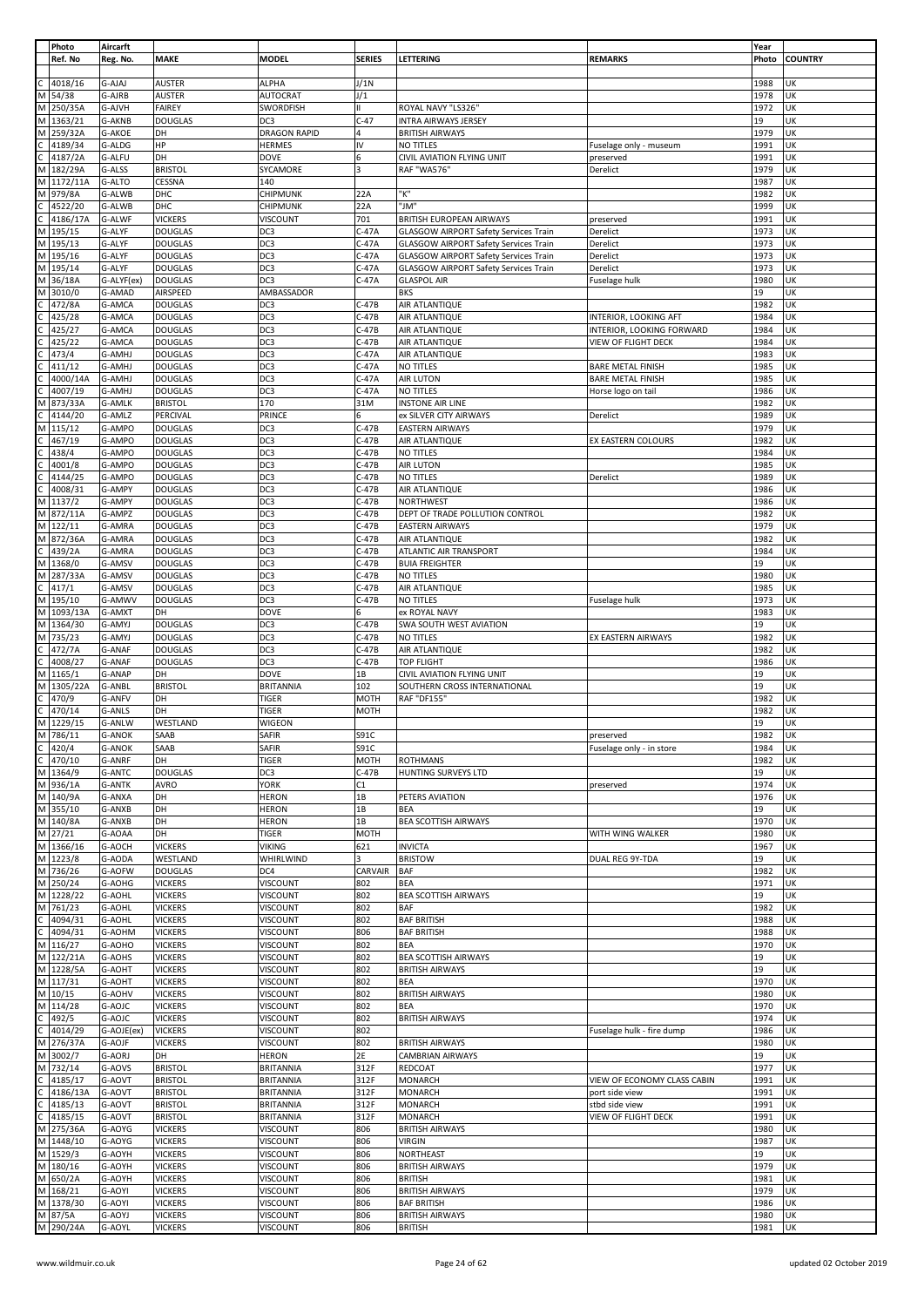|                | Photo      | Aircarft      |                |                     |                         |                                              |                             | Year  |                |
|----------------|------------|---------------|----------------|---------------------|-------------------------|----------------------------------------------|-----------------------------|-------|----------------|
|                | Ref. No    | Reg. No.      | <b>MAKE</b>    | <b>MODEL</b>        | <b>SERIES</b>           | LETTERING                                    | <b>REMARKS</b>              | Photo | <b>COUNTRY</b> |
|                |            |               |                |                     |                         |                                              |                             |       |                |
|                | 4018/16    | G-AJAJ        | <b>AUSTER</b>  | <b>ALPHA</b>        | J/1N                    |                                              |                             | 1988  | UK             |
| M              | 54/38      | G-AJRB        | <b>AUSTER</b>  | <b>AUTOCRAT</b>     | J/1                     |                                              |                             | 1978  | UK             |
|                | M 250/35A  | G-AJVH        | <b>FAIREY</b>  | SWORDFISH           | H.                      | ROYAL NAVY "LS326"                           |                             | 1972  | UK             |
|                | M 1363/21  | G-AKNB        | <b>DOUGLAS</b> | DC3                 | $C-47$                  | <b>INTRA AIRWAYS JERSEY</b>                  |                             | 19    | UK             |
| М              | 259/32A    | G-AKOE        | DH             | <b>DRAGON RAPID</b> |                         | <b>BRITISH AIRWAYS</b>                       |                             | 1979  | UK             |
| C              | 4189/34    | G-ALDG        | HP             | <b>HERMES</b>       | IV                      | NO TITLES                                    | Fuselage only - museum      | 1991  | UK             |
|                | 4187/2A    | G-ALFU        | DH             | DOVE                | 6                       | CIVIL AVIATION FLYING UNIT                   | preserved                   | 1991  | UK             |
| М              | 182/29A    | G-ALSS        | <b>BRISTOL</b> | SYCAMORE            | $\overline{\mathbf{3}}$ | <b>RAF "WA576"</b>                           | Derelict                    | 1979  | UK             |
|                | M 1172/11A | G-ALTO        | CESSNA         | 140                 |                         |                                              |                             | 1987  | UK             |
| M              | 979/8A     | G-ALWB        | DHC            | CHIPMUNK            | 22A                     | "K"                                          |                             | 1982  | UK             |
|                | 4522/20    | G-ALWB        | DHC            | CHIPMUNK            | 22A                     | "JM"                                         |                             | 1999  | UK             |
|                | 4186/17A   | G-ALWF        | <b>VICKERS</b> | VISCOUNT            | 701                     | <b>BRITISH EUROPEAN AIRWAYS</b>              | preserved                   | 1991  | UK             |
| M              | 195/15     | G-ALYF        | <b>DOUGLAS</b> | DC3                 | $C-47A$                 | <b>GLASGOW AIRPORT Safety Services Train</b> | Derelict                    | 1973  | UK             |
| M              | 195/13     | G-ALYF        | <b>DOUGLAS</b> | DC3                 | C-47A                   | <b>GLASGOW AIRPORT Safety Services Train</b> | Derelict                    | 1973  | UK             |
|                | M 195/16   | G-ALYF        | <b>DOUGLAS</b> | DC3                 | C-47A                   | <b>GLASGOW AIRPORT Safety Services Train</b> | Derelict                    | 1973  | UK             |
| M              | 195/14     | G-ALYF        | <b>DOUGLAS</b> | DC3                 | $C-47A$                 | <b>GLASGOW AIRPORT Safety Services Train</b> | Derelict                    | 1973  | UK             |
| M              | 36/18A     | G-ALYF(ex)    | <b>DOUGLAS</b> | DC3                 | $C-47A$                 | <b>GLASPOL AIR</b>                           | Fuselage hulk               | 1980  | UK             |
| м              | 3010/0     | G-AMAD        | AIRSPEED       | AMBASSADOR          |                         | <b>BKS</b>                                   |                             | 19    | UK             |
|                | 472/8A     | G-AMCA        | <b>DOUGLAS</b> | DC3                 | $C-47B$                 | AIR ATLANTIQUE                               |                             | 1982  | UK             |
|                | 425/28     | G-AMCA        | <b>DOUGLAS</b> | DC3                 | $C-47B$                 | AIR ATLANTIQUE                               | INTERIOR, LOOKING AFT       | 1984  | UK             |
|                | 425/27     | G-AMCA        | <b>DOUGLAS</b> | DC3                 | $C-47B$                 | AIR ATLANTIQUE                               | INTERIOR, LOOKING FORWARD   | 1984  | UK             |
|                | 425/22     | G-AMCA        | <b>DOUGLAS</b> | DC <sub>3</sub>     | $C-47B$                 | AIR ATLANTIQUE                               | VIEW OF FLIGHT DECK         | 1984  | UK             |
|                | 473/4      | G-AMHJ        | <b>DOUGLAS</b> | DC3                 | C-47A                   | AIR ATLANTIQUE                               |                             | 1983  | UK             |
|                | 411/12     | G-AMHJ        | <b>DOUGLAS</b> | DC3                 | $C-47A$                 | NO TITLES                                    | <b>BARE METAL FINISH</b>    | 1985  | UK             |
|                | 4000/14A   | G-AMHJ        | <b>DOUGLAS</b> | DC3                 | $C-47A$                 | AIR LUTON                                    | <b>BARE METAL FINISH</b>    | 1985  | UK             |
|                | 4007/19    | G-AMHJ        | <b>DOUGLAS</b> | DC3                 | C-47A                   | NO TITLES                                    | Horse logo on tail          | 1986  | UK             |
| M              | 873/33A    | G-AMLK        | <b>BRISTOL</b> | 170                 | 31M                     | <b>INSTONE AIR LINE</b>                      |                             | 1982  | UK             |
| C              | 4144/20    | G-AMLZ        | PERCIVAL       | PRINCE              | 6                       | ex SILVER CITY AIRWAYS                       | Derelict                    | 1989  | UK             |
|                | M 115/12   | G-AMPO        | <b>DOUGLAS</b> | DC3                 | C-47B                   | <b>EASTERN AIRWAYS</b>                       |                             | 1979  | UK             |
|                | 467/19     | G-AMPO        | <b>DOUGLAS</b> | DC3                 | $C-47B$                 | AIR ATLANTIQUE                               | EX EASTERN COLOURS          | 1982  | UK             |
|                | 438/4      | G-AMPO        | <b>DOUGLAS</b> | DC3                 | $C-47B$                 | NO TITLES                                    |                             | 1984  | UK             |
|                | 4001/8     | G-AMPO        | <b>DOUGLAS</b> | DC3                 | $C-47B$                 | <b>AIR LUTON</b>                             |                             | 1985  | UK             |
|                | 4144/25    | G-AMPO        | <b>DOUGLAS</b> | DC3                 | $C-47B$                 | NO TITLES                                    | Derelict                    | 1989  | UK             |
| C              | 4008/31    | G-AMPY        | <b>DOUGLAS</b> | DC3                 | $C-47B$                 | AIR ATLANTIQUE                               |                             | 1986  | UK             |
|                | M 1137/2   | G-AMPY        | <b>DOUGLAS</b> | DC3                 | C-47B                   | <b>NORTHWEST</b>                             |                             | 1986  | UK             |
|                | M 872/11A  | G-AMPZ        | <b>DOUGLAS</b> | DC3                 | $C-47B$                 | DEPT OF TRADE POLLUTION CONTROL              |                             | 1982  | UK             |
|                | M 122/11   | G-AMRA        | <b>DOUGLAS</b> | DC3                 | $C-47B$                 |                                              |                             | 1979  | UK             |
|                | M 872/36A  | G-AMRA        | <b>DOUGLAS</b> | DC3                 | $C-47B$                 | <b>EASTERN AIRWAYS</b>                       |                             | 1982  | UK             |
| C.             |            |               |                |                     | $C-47B$                 | AIR ATLANTIQUE                               |                             |       | UK             |
|                | 439/2A     | G-AMRA        | <b>DOUGLAS</b> | DC3                 |                         | ATLANTIC AIR TRANSPORT                       |                             | 1984  |                |
| M              | M 1368/0   | G-AMSV        | <b>DOUGLAS</b> | DC3                 | $C-47B$<br>$C-47B$      | <b>BUIA FREIGHTER</b>                        |                             | 19    | UK<br>UK       |
|                | 287/33A    | G-AMSV        | <b>DOUGLAS</b> | DC3                 |                         | NO TITLES                                    |                             | 1980  |                |
| C              | 417/1      | G-AMSV        | <b>DOUGLAS</b> | DC3                 | $C-47B$                 | AIR ATLANTIQUE                               |                             | 1985  | UK             |
| М              | 195/10     | G-AMWV        | <b>DOUGLAS</b> | DC3                 | C-47B                   | NO TITLES                                    | Fuselage hulk               | 1973  | UK             |
| М              | 1093/13A   | G-AMXT        | DH             | <b>DOVE</b>         | 6                       | ex ROYAL NAVY                                |                             | 1983  | UK             |
|                | M 1364/30  | G-AMYJ        | <b>DOUGLAS</b> | DC3                 | C-47B                   | SWA SOUTH WEST AVIATION                      |                             | 19    | UK             |
|                | M 735/23   | G-AMYJ        | <b>DOUGLAS</b> | DC3                 | $C-47B$                 | NO TITLES                                    | EX EASTERN AIRWAYS          | 1982  | UK             |
|                | 472/7A     | G-ANAF        | <b>DOUGLAS</b> | DC3                 | $C-47B$                 | AIR ATLANTIQUE                               |                             | 1982  | UK             |
| C              | 4008/27    | G-ANAF        | <b>DOUGLAS</b> | DC3                 | C-47B                   | TOP FLIGHT                                   |                             | 1986  | UK             |
| М              | 1165/1     | G-ANAP        | DH             | <b>DOVE</b>         | 1В                      | CIVIL AVIATION FLYING UNIT                   |                             | 19    | UK             |
| M              | 1305/22A   | G-ANBL        | <b>BRISTOL</b> | <b>BRITANNIA</b>    | 102                     | SOUTHERN CROSS INTERNATIONAL                 |                             | 19    | UK             |
|                | 470/9      | G-ANFV        | DH             | <b>TIGER</b>        | MOTH                    | RAF "DF155"                                  |                             | 1982  | UK             |
|                | 470/14     | G-ANLS        | DH             | tiger               | MOTH                    |                                              |                             | 1982  | UK             |
| M              | 1229/15    | G-ANLW        | WESTLAND       | WIGEON              |                         |                                              |                             | 19    | UK             |
|                | M 786/11   | <b>G-ANOK</b> | SAAB           | <b>SAFIR</b>        | S91C                    |                                              | preserved                   | 1982  | UK             |
| C              | 420/4      | <b>G-ANOK</b> | SAAB           | SAFIR               | S91C                    |                                              | Fuselage only - in store    | 1984  | UK             |
| $\overline{c}$ | 470/10     | G-ANRF        | DH             | <b>TIGER</b>        | MOTH                    | <b>ROTHMANS</b>                              |                             | 1982  | UK             |
|                | M 1364/9   | G-ANTC        | <b>DOUGLAS</b> | DC3                 | $C-47B$                 | HUNTING SURVEYS LTD                          |                             | 19    | UK             |
|                | M 936/1A   | <b>G-ANTK</b> | <b>AVRO</b>    | <b>YORK</b>         | C1                      |                                              | preserved                   | 1974  | UK             |
|                | M 140/9A   | G-ANXA        | DH             | <b>HERON</b>        | 1В                      | PETERS AVIATION                              |                             | 1976  | UK             |
|                | M 355/10   | G-ANXB        | DH             | <b>HERON</b>        | 1В                      | BEA                                          |                             | 19    | UK             |
|                | M 140/8A   | G-ANXB        | DH             | <b>HERON</b>        | 1В                      | BEA SCOTTISH AIRWAYS                         |                             | 1970  | UK             |
|                | M 27/21    | G-AOAA        | DH             | <b>TIGER</b>        | <b>MOTH</b>             |                                              | WITH WING WALKER            | 1980  | UK             |
|                | M 1366/16  | G-AOCH        | <b>VICKERS</b> | <b>VIKING</b>       | 621                     | <b>INVICTA</b>                               |                             | 1967  | UK             |
|                | M 1223/8   | G-AODA        | WESTLAND       | WHIRLWIND           | з                       | <b>BRISTOW</b>                               | DUAL REG 9Y-TDA             | 19    | UK             |
|                | M 736/26   | G-AOFW        | <b>DOUGLAS</b> | DC4                 | CARVAIR                 | BAF                                          |                             | 1982  | UK             |
|                | M 250/24   | G-AOHG        | <b>VICKERS</b> | VISCOUNT            | 802                     | BEA                                          |                             | 1971  | UK             |
|                | M 1228/22  | G-AOHL        | <b>VICKERS</b> | VISCOUNT            | 802                     | <b>BEA SCOTTISH AIRWAYS</b>                  |                             | 19    | UK             |
|                | M 761/23   | G-AOHL        | <b>VICKERS</b> | VISCOUNT            | 802                     | BAF                                          |                             | 1982  | UK             |
| $\mathsf{C}$   | 4094/31    | G-AOHL        | <b>VICKERS</b> | VISCOUNT            | 802                     | <b>BAF BRITISH</b>                           |                             | 1988  | UK             |
| $\mathsf C$    | 4094/31    | G-AOHM        | <b>VICKERS</b> | VISCOUNT            | 806                     | <b>BAF BRITISH</b>                           |                             | 1988  | UK             |
|                | M 116/27   | G-AOHO        | <b>VICKERS</b> | VISCOUNT            | 802                     | BEA                                          |                             | 1970  | UK             |
|                | M 122/21A  | G-AOHS        | <b>VICKERS</b> | VISCOUNT            | 802                     | <b>BEA SCOTTISH AIRWAYS</b>                  |                             | 19    | UK             |
|                | M 1228/5A  | G-AOHT        | <b>VICKERS</b> | <b>VISCOUNT</b>     | 802                     | <b>BRITISH AIRWAYS</b>                       |                             | 19    | UK             |
|                | M 117/31   | G-AOHT        | <b>VICKERS</b> | VISCOUNT            | 802                     | BEA                                          |                             | 1970  | UK             |
|                | M 10/15    | G-AOHV        | <b>VICKERS</b> | VISCOUNT            | 802                     | <b>BRITISH AIRWAYS</b>                       |                             | 1980  | UK             |
|                | M 114/28   | G-AOJC        | <b>VICKERS</b> | VISCOUNT            | 802                     | BEA                                          |                             | 1970  | UK             |
|                | 492/5      | G-AOJC        | <b>VICKERS</b> | VISCOUNT            | 802                     | <b>BRITISH AIRWAYS</b>                       |                             | 1974  | UK             |
| $\mathsf{C}$   | 4014/29    | G-AOJE(ex)    | <b>VICKERS</b> | VISCOUNT            | 802                     |                                              | Fuselage hulk - fire dump   | 1986  | UK             |
|                | M 276/37A  | G-AOJF        | <b>VICKERS</b> | VISCOUNT            | 802                     | <b>BRITISH AIRWAYS</b>                       |                             | 1980  | UK             |
|                | M 3002/7   | G-AORJ        | DH             | HERON               | 2E                      | <b>CAMBRIAN AIRWAYS</b>                      |                             | 19    | UK             |
|                | M 732/14   | G-AOVS        | <b>BRISTOL</b> | <b>BRITANNIA</b>    | 312F                    | REDCOAT                                      |                             | 1977  | UK             |
|                | 4185/17    | G-AOVT        | <b>BRISTOL</b> | <b>BRITANNIA</b>    | 312F                    | <b>MONARCH</b>                               | VIEW OF ECONOMY CLASS CABIN | 1991  | UK             |
|                | 4186/13A   | G-AOVT        | <b>BRISTOL</b> | <b>BRITANNIA</b>    | 312F                    | <b>MONARCH</b>                               | port side view              | 1991  | UK             |
| C              | 4185/13    | G-AOVT        | <b>BRISTOL</b> | <b>BRITANNIA</b>    | 312F                    | <b>MONARCH</b>                               | stbd side view              | 1991  | UK             |
| C              | 4185/15    | G-AOVT        | <b>BRISTOL</b> | <b>BRITANNIA</b>    | 312F                    | <b>MONARCH</b>                               | VIEW OF FLIGHT DECK         | 1991  | UK             |
|                | M 275/36A  | G-AOYG        | <b>VICKERS</b> | VISCOUNT            | 806                     | <b>BRITISH AIRWAYS</b>                       |                             | 1980  | UK             |
|                | M 1448/10  | G-AOYG        | <b>VICKERS</b> | VISCOUNT            | 806                     | <b>VIRGIN</b>                                |                             | 1987  | UK             |
|                | M 1529/3   | G-AOYH        | <b>VICKERS</b> | VISCOUNT            | 806                     | NORTHEAST                                    |                             | 19    | UK             |
|                | M 180/16   | G-AOYH        | <b>VICKERS</b> | VISCOUNT            | 806                     | <b>BRITISH AIRWAYS</b>                       |                             | 1979  | UK             |
|                | M 650/2A   | G-AOYH        | <b>VICKERS</b> | VISCOUNT            | 806                     | <b>BRITISH</b>                               |                             | 1981  | UK             |
|                | M 168/21   | G-AOYI        | <b>VICKERS</b> | VISCOUNT            | 806                     | <b>BRITISH AIRWAYS</b>                       |                             | 1979  | UK             |
|                | M 1378/30  | G-AOYI        | <b>VICKERS</b> | VISCOUNT            | 806                     | <b>BAF BRITISH</b>                           |                             | 1986  | UK             |
|                | M 87/5A    | G-AOYJ        | <b>VICKERS</b> | VISCOUNT            | 806                     | <b>BRITISH AIRWAYS</b>                       |                             | 1980  | UK             |
|                | M 290/24A  | G-AOYL        | <b>VICKERS</b> | VISCOUNT            | 806                     | <b>BRITISH</b>                               |                             | 1981  | UK             |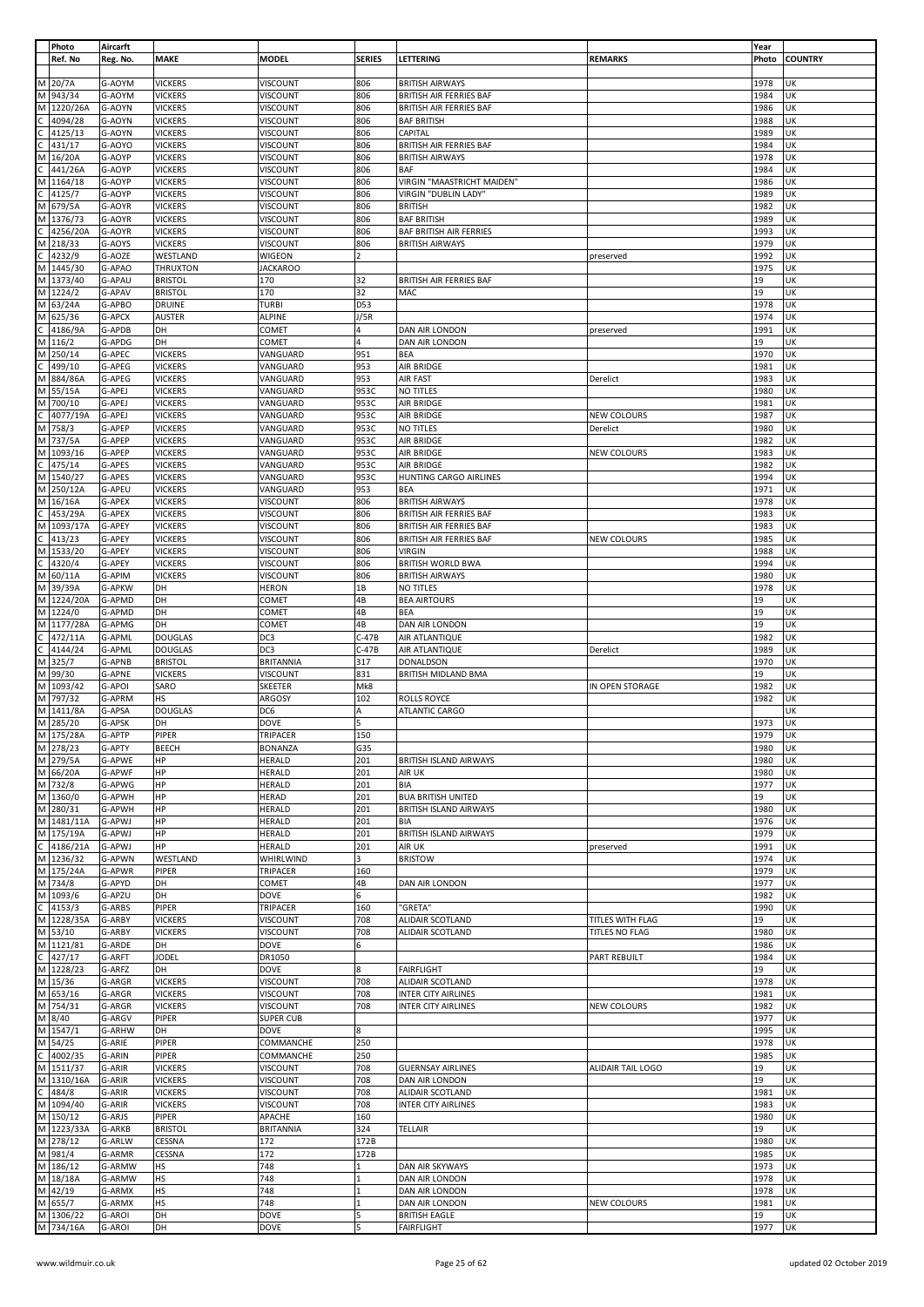|    | Photo      | Aircarft |                 |                  |                |                                |                    | Year  |                |
|----|------------|----------|-----------------|------------------|----------------|--------------------------------|--------------------|-------|----------------|
|    | Ref. No    | Reg. No. | <b>MAKE</b>     | <b>MODEL</b>     | <b>SERIES</b>  | LETTERING                      | <b>REMARKS</b>     | Photo | <b>COUNTRY</b> |
|    |            |          |                 |                  |                |                                |                    |       |                |
| м  | 20/7A      | G-AOYM   | <b>VICKERS</b>  | VISCOUNT         | 806            | <b>BRITISH AIRWAYS</b>         |                    | 1978  | UK             |
|    |            |          |                 |                  |                |                                |                    |       |                |
| M  | 943/34     | G-AOYM   | <b>VICKERS</b>  | VISCOUNT         | 806            | <b>BRITISH AIR FERRIES BAF</b> |                    | 1984  | UK             |
| M  | 1220/26A   | G-AOYN   | <b>VICKERS</b>  | VISCOUNT         | 806            | <b>BRITISH AIR FERRIES BAF</b> |                    | 1986  | UK             |
|    | 4094/28    | G-AOYN   | <b>VICKERS</b>  | VISCOUNT         | 806            | <b>BAF BRITISH</b>             |                    | 1988  | UK             |
|    | 4125/13    | G-AOYN   | <b>VICKERS</b>  | VISCOUNT         | 806            | CAPITAL                        |                    | 1989  | UK             |
|    | 431/17     | G-AOYO   | <b>VICKERS</b>  | VISCOUNT         | 806            | <b>BRITISH AIR FERRIES BAF</b> |                    | 1984  | UK             |
| м  | 16/20A     | G-AOYP   | <b>VICKERS</b>  | VISCOUNT         | 806            |                                |                    | 1978  | UK             |
|    |            |          |                 |                  |                | <b>BRITISH AIRWAYS</b>         |                    |       |                |
|    | 441/26A    | G-AOYP   | <b>VICKERS</b>  | <b>VISCOUNT</b>  | 806            | BAF                            |                    | 1984  | UK             |
| М  | 1164/18    | G-AOYP   | <b>VICKERS</b>  | VISCOUNT         | 806            | VIRGIN "MAASTRICHT MAIDEN"     |                    | 1986  | UK             |
|    | 4125/7     | G-AOYP   | <b>VICKERS</b>  | VISCOUNT         | 806            | VIRGIN "DUBLIN LADY"           |                    | 1989  | UK             |
| M  | 679/5A     | G-AOYR   | <b>VICKERS</b>  | <b>VISCOUNT</b>  | 806            | <b>BRITISH</b>                 |                    | 1982  | UK             |
| М  | 1376/73    | G-AOYR   | <b>VICKERS</b>  | VISCOUNT         | 806            | <b>BAF BRITISH</b>             |                    | 1989  | UK             |
|    |            |          |                 |                  |                |                                |                    |       | UK             |
|    | 4256/20A   | G-AOYR   | <b>VICKERS</b>  | VISCOUNT         | 806            | BAF BRITISH AIR FERRIES        |                    | 1993  |                |
| М  | 218/33     | G-AOYS   | <b>VICKERS</b>  | <b>VISCOUNT</b>  | 806            | <b>BRITISH AIRWAYS</b>         |                    | 1979  | UK             |
|    | 4232/9     | G-AOZE   | WESTLAND        | WIGEON           | $\overline{2}$ |                                | preserved          | 1992  | UK             |
| М  | 1445/30    | G-APAO   | <b>THRUXTON</b> | <b>JACKAROO</b>  |                |                                |                    | 1975  | UK             |
| М  | 1373/40    | G-APAU   | <b>BRISTOL</b>  | 170              | 32             | <b>BRITISH AIR FERRIES BAF</b> |                    | 19    | UK             |
| M  | 1224/2     | G-APAV   | <b>BRISTOL</b>  | 170              | 32             | MAC                            |                    | 19    | UK             |
|    |            |          |                 |                  |                |                                |                    |       |                |
| M  | 63/24A     | G-APBO   | <b>DRUINE</b>   | <b>TURBI</b>     | D53            |                                |                    | 1978  | UK             |
| М  | 625/36     | G-APCX   | <b>AUSTER</b>   | <b>ALPINE</b>    | J/5R           |                                |                    | 1974  | UK             |
|    | 4186/9A    | G-APDB   | DH              | COMET            | 4              | DAN AIR LONDON                 | preserved          | 1991  | UK             |
| M  | 116/2      | G-APDG   | DH              | COMET            | 4              | DAN AIR LONDON                 |                    | 19    | UK             |
| М  | 250/14     | G-APEC   | <b>VICKERS</b>  | VANGUARD         | 951            | BEA                            |                    | 1970  | UK             |
|    | 499/10     | G-APEG   | <b>VICKERS</b>  | VANGUARD         | 953            | AIR BRIDGE                     |                    | 1981  | UK             |
|    |            |          |                 |                  |                |                                |                    |       |                |
| M  | 884/86A    | G-APEG   | <b>VICKERS</b>  | VANGUARD         | 953            | AIR FAST                       | Derelict           | 1983  | UK             |
| M  | 55/15A     | G-APEJ   | <b>VICKERS</b>  | VANGUARD         | 953C           | NO TITLES                      |                    | 1980  | UK             |
| M  | 700/10     | G-APEJ   | <b>VICKERS</b>  | VANGUARD         | 953C           | AIR BRIDGE                     |                    | 1981  | UK             |
|    | 4077/19A   | G-APEJ   | <b>VICKERS</b>  | VANGUARD         | 953C           | AIR BRIDGE                     | <b>NEW COLOURS</b> | 1987  | UK             |
| М  | 758/3      | G-APEP   | <b>VICKERS</b>  | VANGUARD         | 953C           | NO TITLES                      | Derelict           | 1980  | UK             |
|    |            |          |                 |                  |                |                                |                    |       |                |
| M  | 737/5A     | G-APEP   | <b>VICKERS</b>  | VANGUARD         | 953C           | AIR BRIDGE                     |                    | 1982  | UK             |
| M  | 1093/16    | G-APEP   | <b>VICKERS</b>  | VANGUARD         | 953C           | AIR BRIDGE                     | <b>NEW COLOURS</b> | 1983  | UK             |
|    | 475/14     | G-APES   | <b>VICKERS</b>  | VANGUARD         | 953C           | AIR BRIDGE                     |                    | 1982  | UK             |
| м  | 1540/27    | G-APES   | <b>VICKERS</b>  | VANGUARD         | 953C           | HUNTING CARGO AIRLINES         |                    | 1994  | UK             |
|    |            |          |                 |                  |                |                                |                    |       |                |
| M  | 250/12A    | G-APEU   | <b>VICKERS</b>  | VANGUARD         | 953            | BEA                            |                    | 1971  | UK             |
| М  | 16/16A     | G-APEX   | <b>VICKERS</b>  | VISCOUNT         | 806            | <b>BRITISH AIRWAYS</b>         |                    | 1978  | UK             |
|    | 453/29A    | G-APEX   | <b>VICKERS</b>  | VISCOUNT         | 806            | BRITISH AIR FERRIES BAF        |                    | 1983  | UK             |
| М  | 1093/17A   | G-APEY   | <b>VICKERS</b>  | VISCOUNT         | 806            | BRITISH AIR FERRIES BAF        |                    | 1983  | UK             |
|    | 413/23     | G-APEY   | <b>VICKERS</b>  | VISCOUNT         | 806            | <b>BRITISH AIR FERRIES BAF</b> | <b>NEW COLOURS</b> | 1985  | UK             |
|    |            |          |                 |                  |                |                                |                    |       |                |
| М  | 1533/20    | G-APEY   | <b>VICKERS</b>  | VISCOUNT         | 806            | <b>VIRGIN</b>                  |                    | 1988  | UK             |
|    | 4320/4     | G-APEY   | <b>VICKERS</b>  | <b>VISCOUNT</b>  | 806            | <b>BRITISH WORLD BWA</b>       |                    | 1994  | UK             |
| M  | 60/11A     | G-APIM   | <b>VICKERS</b>  | VISCOUNT         | 806            | <b>BRITISH AIRWAYS</b>         |                    | 1980  | UK             |
| M  | 39/39A     | G-APKW   | DH              | <b>HERON</b>     | 1B             | NO TITLES                      |                    | 1978  | UK             |
| M  | 1224/20A   | G-APMD   | DH              | COMET            | 4B             | <b>BEA AIRTOURS</b>            |                    | 19    | UK             |
| M  | 1224/0     | G-APMD   | DH              | COMET            | 4B             | BEA                            |                    | 19    | UK             |
|    |            |          |                 |                  |                |                                |                    |       |                |
| M  | 1177/28A   | G-APMG   | DH              | COMET            | 4B             | DAN AIR LONDON                 |                    | 19    | UK             |
|    | 472/11A    | G-APML   | <b>DOUGLAS</b>  | DC3              | $C-47B$        | AIR ATLANTIQUE                 |                    | 1982  | UK             |
| C. | 4144/24    | G-APML   | <b>DOUGLAS</b>  | DC3              | $C-47B$        | AIR ATLANTIQUE                 | Derelict           | 1989  | UK             |
|    | M 325/7    | G-APNB   | <b>BRISTOL</b>  | <b>BRITANNIA</b> | 317            | DONALDSON                      |                    | 1970  | UK             |
| M  | 99/30      | G-APNE   | <b>VICKERS</b>  | VISCOUNT         | 831            | BRITISH MIDLAND BMA            |                    | 19    | UK             |
|    |            |          |                 |                  |                |                                |                    |       |                |
|    | M 1093/42  | G-APOI   | SARO            | SKEETER          | Mk8            |                                | IN OPEN STORAGE    | 1982  | UK             |
|    | M 797/32   | G-APRM   | HS              | ARGOSY           | 102            | ROLLS ROYCE                    |                    | 1982  | UK             |
| M  | 1411/8A    | G-APSA   | <b>DOUGLAS</b>  | DC6              | Α              | ATLANTIC CARGO                 |                    |       | UK             |
|    | M 285/20   | G-APSK   | DH              | DOVE             | 5              |                                |                    | 1973  | UK             |
|    | M 175/28A  | G-APTP   | PIPER           | TRIPACER         | 150            |                                |                    | 1979  | UK             |
|    | M 278/23   | G-APTY   | <b>BEECH</b>    | <b>BONANZA</b>   | G35            |                                |                    | 1980  | UK             |
|    |            |          |                 |                  |                |                                |                    |       |                |
|    | M 279/5A   | G-APWE   | HP              | HERALD           | 201            | <b>BRITISH ISLAND AIRWAYS</b>  |                    | 1980  | UK             |
|    | M 66/20A   | G-APWF   | HP              | HERALD           | 201            | AIR UK                         |                    | 1980  | UK             |
|    | M 732/8    | G-APWG   | HP              | <b>HERALD</b>    | 201            | BIA                            |                    | 1977  | UK             |
|    | M 1360/0   | G-APWH   | HP              | <b>HERAD</b>     | 201            | <b>BUA BRITISH UNITED</b>      |                    | 19    | UK             |
|    | M 280/31   | G-APWH   | HP              | <b>HERALD</b>    | 201            | BRITISH ISLAND AIRWAYS         |                    | 1980  | UK             |
|    | M 1481/11A | G-APWJ   | HP              | <b>HERALD</b>    | 201            | <b>BIA</b>                     |                    | 1976  | UK             |
|    |            |          |                 |                  |                |                                |                    |       |                |
|    | M 175/19A  | G-APWJ   | HP              | <b>HERALD</b>    | 201            | <b>BRITISH ISLAND AIRWAYS</b>  |                    | 1979  | UK             |
| C  | 4186/21A   | G-APWJ   | HP              | <b>HERALD</b>    | 201            | AIR UK                         | preserved          | 1991  | UK             |
|    | M 1236/32  | G-APWN   | WESTLAND        | WHIRLWIND        | 3              | <b>BRISTOW</b>                 |                    | 1974  | UK             |
|    | M 175/24A  | G-APWR   | PIPER           | TRIPACER         | 160            |                                |                    | 1979  | UK             |
| M  | 734/8      | G-APYD   | DH              | COMET            | 4B             | DAN AIR LONDON                 |                    | 1977  | UK             |
|    | M 1093/6   | G-APZU   | DH              | DOVE             | 6              |                                |                    | 1982  | UK             |
|    |            |          | PIPER           | TRIPACER         | 160            | 'GRETA"                        |                    |       | UK             |
|    | 4153/3     | G-ARBS   |                 |                  |                |                                |                    | 1990  |                |
|    | M 1228/35A | G-ARBY   | <b>VICKERS</b>  | VISCOUNT         | 708            | ALIDAIR SCOTLAND               | TITLES WITH FLAG   | 19    | UK             |
|    | M 53/10    | G-ARBY   | <b>VICKERS</b>  | <b>VISCOUNT</b>  | 708            | ALIDAIR SCOTLAND               | TITLES NO FLAG     | 1980  | UK             |
|    | M 1121/81  | G-ARDE   | DH              | <b>DOVE</b>      | 6              |                                |                    | 1986  | UK             |
| C  | 427/17     | G-ARFT   | <b>JODEL</b>    | DR1050           |                |                                | PART REBUILT       | 1984  | UK             |
|    | M 1228/23  | G-ARFZ   | DH              | <b>DOVE</b>      | 8              | <b>FAIRFLIGHT</b>              |                    | 19    | UK             |
|    |            |          |                 |                  |                |                                |                    |       |                |
|    | M 15/36    | G-ARGR   | <b>VICKERS</b>  | VISCOUNT         | 708            | ALIDAIR SCOTLAND               |                    | 1978  | UK             |
|    | M 653/16   | G-ARGR   | <b>VICKERS</b>  | VISCOUNT         | 708            | <b>INTER CITY AIRLINES</b>     |                    | 1981  | UK             |
|    | M 754/31   | G-ARGR   | <b>VICKERS</b>  | VISCOUNT         | 708            | <b>INTER CITY AIRLINES</b>     | <b>NEW COLOURS</b> | 1982  | UK             |
| M  | 8/40       | G-ARGV   | PIPER           | <b>SUPER CUB</b> |                |                                |                    | 1977  | UK             |
|    | M 1547/1   | G-ARHW   | DH              | <b>DOVE</b>      | 8              |                                |                    | 1995  | UK             |
|    | M 54/25    |          | PIPER           |                  | 250            |                                |                    |       | UK             |
|    |            | G-ARIE   |                 | COMMANCHE        |                |                                |                    | 1978  |                |
| Ċ  | 4002/35    | G-ARIN   | PIPER           | COMMANCHE        | 250            |                                |                    | 1985  | UK             |
|    | M 1511/37  | G-ARIR   | <b>VICKERS</b>  | <b>VISCOUNT</b>  | 708            | <b>GUERNSAY AIRLINES</b>       | ALIDAIR TAIL LOGO  | 19    | UK             |
|    | M 1310/16A | G-ARIR   | <b>VICKERS</b>  | VISCOUNT         | 708            | DAN AIR LONDON                 |                    | 19    | UK             |
| C  | 484/8      | G-ARIR   | <b>VICKERS</b>  | VISCOUNT         | 708            | ALIDAIR SCOTLAND               |                    | 1981  | UK             |
|    |            |          |                 |                  |                |                                |                    |       |                |
|    | M 1094/40  | G-ARIR   | <b>VICKERS</b>  | VISCOUNT         | 708            | <b>INTER CITY AIRLINES</b>     |                    | 1983  | UK             |
|    | M 150/12   | G-ARJS   | PIPER           | APACHE           | 160            |                                |                    | 1980  | UK             |
|    | M 1223/33A | G-ARKB   | <b>BRISTOL</b>  | <b>BRITANNIA</b> | 324            | <b>TELLAIR</b>                 |                    | 19    | UK             |
|    | M 278/12   | G-ARLW   | CESSNA          | 172              | 172B           |                                |                    | 1980  | UK             |
| M  | 981/4      |          |                 |                  | 172B           |                                |                    |       | UK             |
|    |            | G-ARMR   | CESSNA          | 172              |                |                                |                    | 1985  |                |
|    | M 186/12   | G-ARMW   | <b>HS</b>       | 748              | 1              | DAN AIR SKYWAYS                |                    | 1973  | UK             |
|    | M 18/18A   | G-ARMW   | <b>HS</b>       | 748              |                | DAN AIR LONDON                 |                    | 1978  | UK             |
| M  | 42/19      | G-ARMX   | HS              | 748              | $\mathbf{1}$   | DAN AIR LONDON                 |                    | 1978  | UK             |
|    | M 655/7    | G-ARMX   | <b>HS</b>       | 748              |                | DAN AIR LONDON                 | <b>NEW COLOURS</b> | 1981  | UK             |
|    | M 1306/22  | G-AROI   | DH              | <b>DOVE</b>      | 5              | <b>BRITISH EAGLE</b>           |                    | 19    | UK             |
|    |            |          |                 |                  |                |                                |                    |       |                |
|    | M 734/16A  | G-AROI   | DH              | <b>DOVE</b>      | 5              | <b>FAIRFLIGHT</b>              |                    | 1977  | UK             |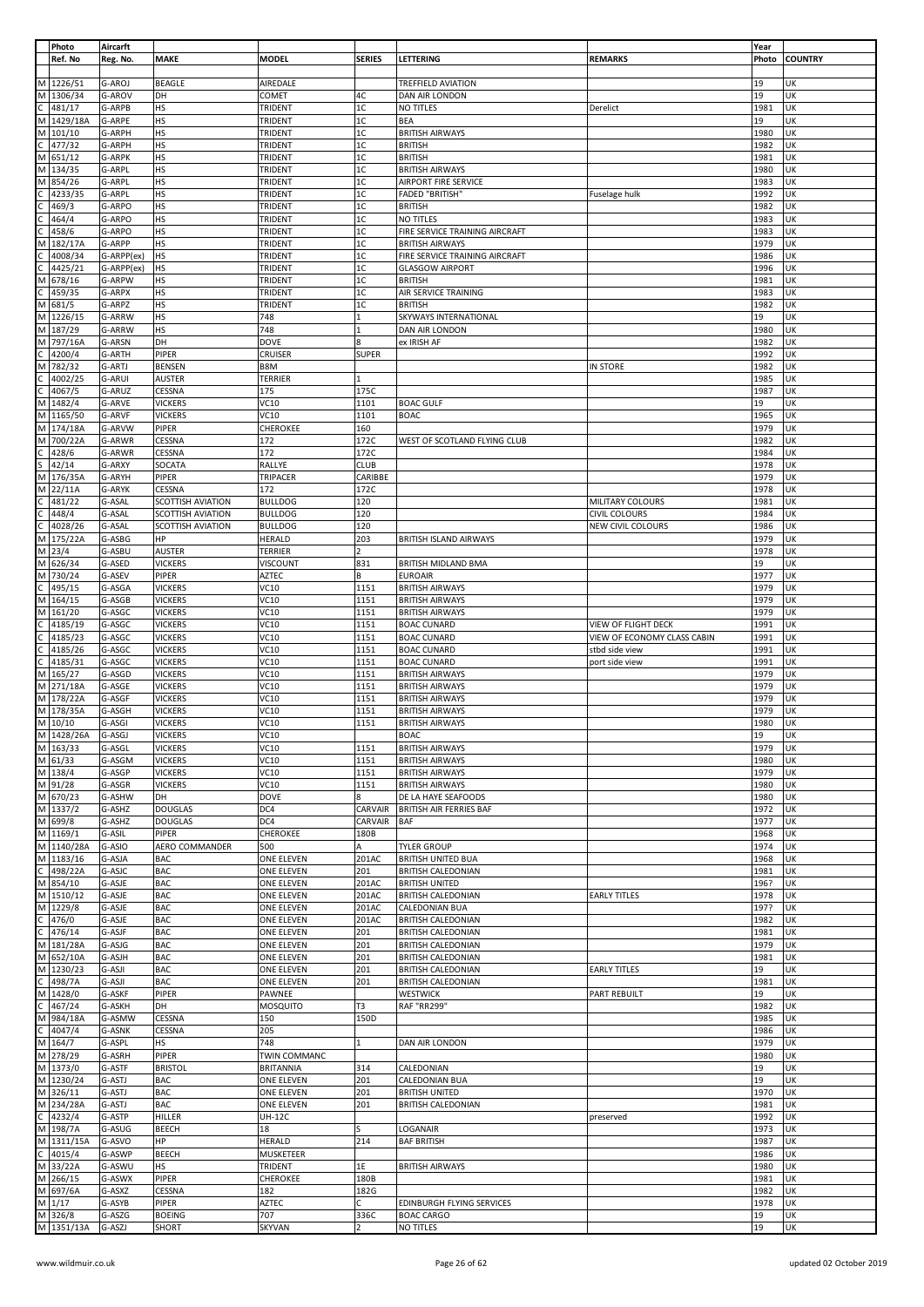|                     | Photo                                                                             | Aircarft         |                                  |                                  |                |                                          |                             | Year         |                |
|---------------------|-----------------------------------------------------------------------------------|------------------|----------------------------------|----------------------------------|----------------|------------------------------------------|-----------------------------|--------------|----------------|
|                     | Ref. No                                                                           | Reg. No.         | <b>MAKE</b>                      | <b>MODEL</b>                     | <b>SERIES</b>  | LETTERING                                | <b>REMARKS</b>              | Photo        | <b>COUNTRY</b> |
|                     |                                                                                   |                  |                                  |                                  |                |                                          |                             |              |                |
|                     | M 1226/51                                                                         | G-AROJ<br>G-AROV | BEAGLE<br>DH                     | AIREDALE                         | 4C             | <b>TREFFIELD AVIATION</b>                |                             | 19<br>19     | UK<br>UK       |
|                     |                                                                                   | G-ARPB           | HS                               | COMET<br>TRIDENT                 | $1\mathrm{C}$  | DAN AIR LONDON<br>NO TITLES              | Derelict                    | 1981         | UK             |
|                     | M 1306/34<br>C 481/17<br>M 1429/18A                                               | G-ARPE           | HS                               | TRIDENT                          | $1\mathrm{C}$  | BEA                                      |                             | 19           | UK             |
|                     | M 101/10                                                                          | G-ARPH           | HS                               | TRIDENT                          | $1\mathrm{C}$  | <b>BRITISH AIRWAYS</b>                   |                             | 1980         | UK             |
|                     | $rac{101}{C}$ 477/32<br>M 651/12                                                  | G-ARPH           | HS                               | TRIDENT                          | 1C             | <b>BRITISH</b>                           |                             | 1982         | UK             |
|                     |                                                                                   | G-ARPK           | HS                               | TRIDENT                          | 1C             | <b>BRITISH</b>                           |                             | 1981         | UK             |
|                     | M 134/35                                                                          | G-ARPL           | HS                               | TRIDENT                          | $1\mathrm{C}$  | <b>BRITISH AIRWAYS</b>                   |                             | 1980         | UK             |
| M                   | 854/26                                                                            | G-ARPL           | HS                               | TRIDENT                          | 1C             | AIRPORT FIRE SERVICE                     |                             | 1983         | UK             |
|                     | 4233/35                                                                           | G-ARPL           | HS                               | TRIDENT                          | 1C             | <b>FADED "BRITISH"</b>                   | Fuselage hulk               | 1992         | UK             |
| $\frac{1}{2}$       | 469/3                                                                             | G-ARPO           | HS                               | TRIDENT                          | $1\mathrm{C}$  | <b>BRITISH</b>                           |                             | 1982         | UK             |
|                     | 464/4                                                                             | G-ARPO           | HS                               | TRIDENT                          | 1C             | NO TITLES                                |                             | 1983         | UK             |
|                     | 458/6                                                                             | G-ARPO           | HS                               | TRIDENT                          | 1C             | FIRE SERVICE TRAINING AIRCRAFT           |                             | 1983         | UK             |
|                     | M 182/17A                                                                         | G-ARPP           | HS                               | TRIDENT                          | $1\mathrm{C}$  | <b>BRITISH AIRWAYS</b>                   |                             | 1979         | UK             |
| c<br>c              | 4008/34                                                                           | G-ARPP(ex)       | HS                               | TRIDENT                          | $1\mathrm{C}$  | FIRE SERVICE TRAINING AIRCRAFT           |                             | 1986         | UK             |
|                     | 4425/21                                                                           | G-ARPP(ex)       | HS                               | TRIDENT                          | 1C             | <b>GLASGOW AIRPORT</b>                   |                             | 1996         | UK             |
|                     | M 678/16                                                                          | G-ARPW           | HS                               | TRIDENT                          | $1\mathrm{C}$  | <b>BRITISH</b>                           |                             | 1981         | UK             |
| $\overline{c}$<br>M | 459/35                                                                            | G-ARPX           | HS                               | TRIDENT                          | 1C<br>1C       | AIR SERVICE TRAINING                     |                             | 1983         | UK<br>UK       |
|                     | 681/5<br>M 1226/15                                                                | G-ARPZ<br>G-ARRW | HS<br>HS                         | TRIDENT<br>748                   | $\mathbf{1}$   | <b>BRITISH</b><br>SKYWAYS INTERNATIONAL  |                             | 1982<br>19   | UK             |
|                     | M 187/29                                                                          | G-ARRW           | HS                               | 748                              |                | DAN AIR LONDON                           |                             | 1980         | UK             |
|                     | M 797/16A                                                                         | G-ARSN           | DH                               | <b>DOVE</b>                      | 8              | ex IRISH AF                              |                             | 1982         | UK             |
| $\mathsf{C}$        | 4200/4                                                                            | G-ARTH           | PIPER                            | <b>CRUISER</b>                   | <b>SUPER</b>   |                                          |                             | 1992         | UK             |
| M                   | 782/32                                                                            | G-ARTJ           | <b>BENSEN</b>                    | B8M                              |                |                                          | IN STORE                    | 1982         | UK             |
|                     | 4002/25                                                                           | G-ARUI           | <b>AUSTER</b>                    | <b>TERRIER</b>                   | 1              |                                          |                             | 1985         | UK             |
| ں  ں                | 4067/5                                                                            | G-ARUZ           | CESSNA                           | 175                              | 175C           |                                          |                             | 1987         | UK             |
|                     | M 1482/4                                                                          | G-ARVE           | <b>VICKERS</b>                   | <b>VC10</b>                      | 1101           | <b>BOAC GULF</b>                         |                             | 19           | UK             |
|                     | M 1165/50                                                                         | G-ARVF           | <b>VICKERS</b>                   | VC10                             | 1101           | <b>BOAC</b>                              |                             | 1965         | UK             |
|                     | M 174/18A                                                                         | G-ARVW           | PIPER                            | CHEROKEE                         | 160            |                                          |                             | 1979         | UK             |
| M                   | 700/22A                                                                           | G-ARWR           | CESSNA                           | 172                              | 172C           | WEST OF SCOTLAND FLYING CLUB             |                             | 1982         | UK             |
| $rac{c}{s}$         | 428/6                                                                             | G-ARWR           | CESSNA                           | 172                              | 172C           |                                          |                             | 1984         | UK             |
|                     | 42/14                                                                             | G-ARXY           | SOCATA                           | RALLYE                           | <b>CLUB</b>    |                                          |                             | 1978         | UK             |
| M                   | 176/35A                                                                           | G-ARYH           | PIPER                            | TRIPACER                         | CARIBBE        |                                          |                             | 1979         | UK             |
|                     | M 22/11A                                                                          | G-ARYK           | CESSNA                           | 172                              | 172C           |                                          |                             | 1978         | UK             |
|                     | C 481/22<br>C 448/4<br>C 4028/26<br>M 175/22A                                     | G-ASAL           | SCOTTISH AVIATION                | <b>BULLDOG</b>                   | 120            |                                          | MILITARY COLOURS            | 1981         | UK             |
|                     |                                                                                   | G-ASAL           | SCOTTISH AVIATION                | <b>BULLDOG</b>                   | 120            |                                          | <b>CIVIL COLOURS</b>        | 1984         | UK             |
|                     |                                                                                   | G-ASAL           | SCOTTISH AVIATION                | <b>BULLDOG</b>                   | 120            |                                          | NEW CIVIL COLOURS           | 1986         | UK             |
|                     |                                                                                   | G-ASBG           | HP                               | <b>HERALD</b>                    | 203            | BRITISH ISLAND AIRWAYS                   |                             | 1979         | UK             |
| M                   | $M$ 23/4                                                                          | G-ASBU           | <b>AUSTER</b>                    | <b>TERRIER</b>                   | $\overline{2}$ |                                          |                             | 1978         | UK             |
|                     | 626/34<br>M 730/24                                                                | G-ASED           | <b>VICKERS</b>                   | VISCOUNT<br><b>AZTEC</b>         | 831<br>В       | BRITISH MIDLAND BMA                      |                             | 19<br>1977   | UK<br>UK       |
|                     |                                                                                   | G-ASEV<br>G-ASGA | PIPER                            | VC10                             | 1151           | <b>EUROAIR</b><br><b>BRITISH AIRWAYS</b> |                             | 1979         | UK             |
|                     | $\frac{1}{\text{C}}$ 495/15<br>M 164/15                                           | G-ASGB           | <b>VICKERS</b><br><b>VICKERS</b> | <b>VC10</b>                      | 1151           | <b>BRITISH AIRWAYS</b>                   |                             | 1979         | UK             |
|                     | M 161/20                                                                          | G-ASGC           | <b>VICKERS</b>                   | VC10                             | 1151           | <b>BRITISH AIRWAYS</b>                   |                             | 1979         | UK             |
|                     | 4185/19                                                                           | G-ASGC           | <b>VICKERS</b>                   | VC10                             | 1151           | <b>BOAC CUNARD</b>                       | VIEW OF FLIGHT DECK         | 1991         | UK             |
|                     | 4185/23                                                                           | G-ASGC           | <b>VICKERS</b>                   | VC10                             | 1151           | <b>BOAC CUNARD</b>                       | VIEW OF ECONOMY CLASS CABIN | 1991         | UK             |
|                     | 4185/26                                                                           | G-ASGC           | <b>VICKERS</b>                   | VC10                             | 1151           | <b>BOAC CUNARD</b>                       | stbd side view              | 1991         | UK             |
|                     | 4185/31                                                                           | G-ASGC           | <b>VICKERS</b>                   | <b>VC10</b>                      | 1151           | <b>BOAC CUNARD</b>                       | port side view              | 1991         | UK             |
|                     | C 4185/1<br>C 4185/2<br>C 4185/2<br>C 4185/3<br>M 165/27                          | G-ASGD           | <b>VICKERS</b>                   | VC10                             | 1151           | <b>BRITISH AIRWAYS</b>                   |                             | 1979         | UK             |
|                     | M 271/18A                                                                         | G-ASGE           | <b>VICKERS</b>                   | VC10                             | 1151           | <b>BRITISH AIRWAYS</b>                   |                             | 1979         | UK             |
|                     | M 178/22A                                                                         | G-ASGF           | <b>VICKERS</b>                   | VC10                             | 1151           | <b>BRITISH AIRWAYS</b>                   |                             | 1979         | UK             |
|                     | M 178/35A                                                                         | G-ASGH           | <b>VICKERS</b>                   | VC10                             | 1151           | <b>BRITISH AIRWAYS</b>                   |                             | 1979         | UK             |
|                     | $\frac{M}{M} \frac{10/10}{1428/26A}$                                              | G-ASGI           | <b>VICKERS</b>                   | VC10                             | 1151           | <b>BRITISH AIRWAYS</b>                   |                             | 1980         | UK             |
|                     |                                                                                   | G-ASGJ           | <b>VICKERS</b>                   | VC10                             |                | <b>BOAC</b>                              |                             | 19           | UK             |
|                     | M 163/33<br>M 61/33<br>M 138/4                                                    | G-ASGL           | <b>VICKERS</b>                   | <b>VC10</b>                      | 1151           | <b>BRITISH AIRWAYS</b>                   |                             | 1979         | UK             |
|                     |                                                                                   | G-ASGM           | <b>VICKERS</b>                   | <b>VC10</b>                      | 1151           | <b>BRITISH AIRWAYS</b>                   |                             | 1980         | UK             |
|                     |                                                                                   | G-ASGP           | <b>VICKERS</b>                   | <b>VC10</b>                      | 1151           | <b>BRITISH AIRWAYS</b>                   |                             | 1979         | UK             |
|                     | M 91/28                                                                           | G-ASGR           | <b>VICKERS</b>                   | <b>VC10</b>                      | 1151           | <b>BRITISH AIRWAYS</b>                   |                             | 1980         | UK             |
|                     | $M \overline{670/23}$                                                             | G-ASHW           | DH                               | <b>DOVE</b>                      | 8              | DE LA HAYE SEAFOODS                      |                             | 1980         | UK             |
|                     | M 1337/2<br>M 699/8                                                               | G-ASHZ           | <b>DOUGLAS</b>                   | DC4                              | CARVAIR        | <b>BRITISH AIR FERRIES BAF</b>           |                             | 1972         | UK             |
|                     | M 1169/1                                                                          | G-ASHZ           | <b>DOUGLAS</b>                   | DC4                              | CARVAIR        | BAF                                      |                             | 1977         | UK             |
|                     | M 1140/28A                                                                        | G-ASIL<br>G-ASIO | PIPER<br>AERO COMMANDER          | <b>CHEROKEE</b><br>500           | 180B<br>Α      | <b>TYLER GROUP</b>                       |                             | 1968<br>1974 | UK<br>UK       |
|                     |                                                                                   | G-ASJA           | <b>BAC</b>                       | ONE ELEVEN                       | 201AC          | <b>BRITISH UNITED BUA</b>                |                             | 1968         | UK             |
|                     | M 1183/16<br>C 498/22A<br>M 854/10                                                | G-ASJC           | <b>BAC</b>                       | ONE ELEVEN                       | 201            | <b>BRITISH CALEDONIAN</b>                |                             | 1981         | UK             |
|                     |                                                                                   | G-ASJE           | <b>BAC</b>                       | ONE ELEVEN                       | 201AC          | <b>BRITISH UNITED</b>                    |                             | 196?         | UK             |
|                     | M 1510/12                                                                         | G-ASJE           | <b>BAC</b>                       | <b>ONE ELEVEN</b>                | 201AC          | <b>BRITISH CALEDONIAN</b>                | <b>EARLY TITLES</b>         | 1978         | UK             |
|                     | M 1229/8                                                                          | G-ASJE           | <b>BAC</b>                       | ONE ELEVEN                       | 201AC          | CALEDONIAN BUA                           |                             | 197?         | UK             |
|                     |                                                                                   | G-ASJE           | <b>BAC</b>                       | ONE ELEVEN                       | 201AC          | <b>BRITISH CALEDONIAN</b>                |                             | 1982         | UK             |
|                     | $\frac{1}{2}$<br>$\frac{1}{2}$<br>$\frac{476}{14}$<br>$\frac{181}{284}$           | G-ASJF           | <b>BAC</b>                       | ONE ELEVEN                       | 201            | <b>BRITISH CALEDONIAN</b>                |                             | 1981         | UK             |
|                     |                                                                                   | G-ASJG           | <b>BAC</b>                       | ONE ELEVEN                       | 201            | <b>BRITISH CALEDONIAN</b>                |                             | 1979         | UK             |
|                     | M 652/10A                                                                         | G-ASJH           | <b>BAC</b>                       | ONE ELEVEN                       | 201            | <b>BRITISH CALEDONIAN</b>                |                             | 1981         | UK             |
|                     |                                                                                   | G-ASJI           | <b>BAC</b>                       | ONE ELEVEN                       | 201            | <b>BRITISH CALEDONIAN</b>                | <b>EARLY TITLES</b>         | 19           | UK             |
|                     | M 1230/23<br>C 498/7A<br>M 1428/0<br>C 467/24<br>M 984/18A<br>C 4047/4<br>M 164/7 | G-ASJI           | <b>BAC</b>                       | ONE ELEVEN                       | 201            | BRITISH CALEDONIAN                       |                             | 1981         | UK             |
|                     |                                                                                   | G-ASKF           | PIPER                            | PAWNEE                           |                | <b>WESTWICK</b>                          | PART REBUILT                | 19           | UK             |
|                     |                                                                                   | G-ASKH           | DH                               | <b>MOSQUITO</b>                  | T3             | <b>RAF "RR299"</b>                       |                             | 1982         | UK             |
|                     |                                                                                   | G-ASMW           | CESSNA                           | 150                              | 150D           |                                          |                             | 1985         | UK             |
|                     |                                                                                   | G-ASNK           | CESSNA                           | 205                              | 1              |                                          |                             | 1986         | UK             |
|                     |                                                                                   | G-ASPL           | HS                               | 748                              |                | DAN AIR LONDON                           |                             | 1979         | UK             |
|                     | M 278/29<br>M 1373/0                                                              | G-ASRH<br>G-ASTF | PIPER<br><b>BRISTOL</b>          | TWIN COMMANC<br><b>BRITANNIA</b> | 314            | CALEDONIAN                               |                             | 1980<br>19   | UK<br>UK       |
|                     | M 1230/24                                                                         | G-ASTJ           | <b>BAC</b>                       | ONE ELEVEN                       | 201            | CALEDONIAN BUA                           |                             | 19           | UK             |
|                     | M 326/11                                                                          | G-ASTJ           | <b>BAC</b>                       | ONE ELEVEN                       | 201            | <b>BRITISH UNITED</b>                    |                             | 1970         | UK             |
|                     | M 234/28A                                                                         | G-ASTJ           | <b>BAC</b>                       | ONE ELEVEN                       | 201            | <b>BRITISH CALEDONIAN</b>                |                             | 1981         | UK             |
|                     |                                                                                   | G-ASTP           | HILLER                           | <b>UH-12C</b>                    |                |                                          | preserved                   | 1992         | UK             |
|                     | $rac{1}{\sqrt{24}}$ (198/7A                                                       | G-ASUG           | <b>BEECH</b>                     | 18                               | S              | LOGANAIR                                 |                             | 1973         | UK             |
|                     | M 1311/15A                                                                        | G-ASVO           | HP                               | <b>HERALD</b>                    | 214            | <b>BAF BRITISH</b>                       |                             | 1987         | UK             |
|                     | $rac{1314}{C}$<br>M 33/22A                                                        | G-ASWP           | BEECH                            | MUSKETEER                        |                |                                          |                             | 1986         | UK             |
|                     |                                                                                   | G-ASWU           | HS                               | TRIDENT                          | 1E             | <b>BRITISH AIRWAYS</b>                   |                             | 1980         | UK             |
|                     | M 266/15                                                                          | G-ASWX           | PIPER                            | <b>CHEROKEE</b>                  | 180B           |                                          |                             | 1981         | UK             |
|                     | $\frac{10}{1}$ M 697/6A                                                           | G-ASXZ           | CESSNA                           | 182                              | 182G           |                                          |                             | 1982         | UK             |
|                     |                                                                                   | G-ASYB           | PIPER                            | <b>AZTEC</b>                     | C              | EDINBURGH FLYING SERVICES                |                             | 1978         | UK             |
|                     | M 326/8                                                                           | G-ASZG           | <b>BOEING</b>                    | 707                              | 336C           | <b>BOAC CARGO</b>                        |                             | 19           | UK             |
|                     | M 1351/13A                                                                        | G-ASZJ           | SHORT                            | <b>SKYVAN</b>                    |                | NO TITLES                                |                             | 19           | UK             |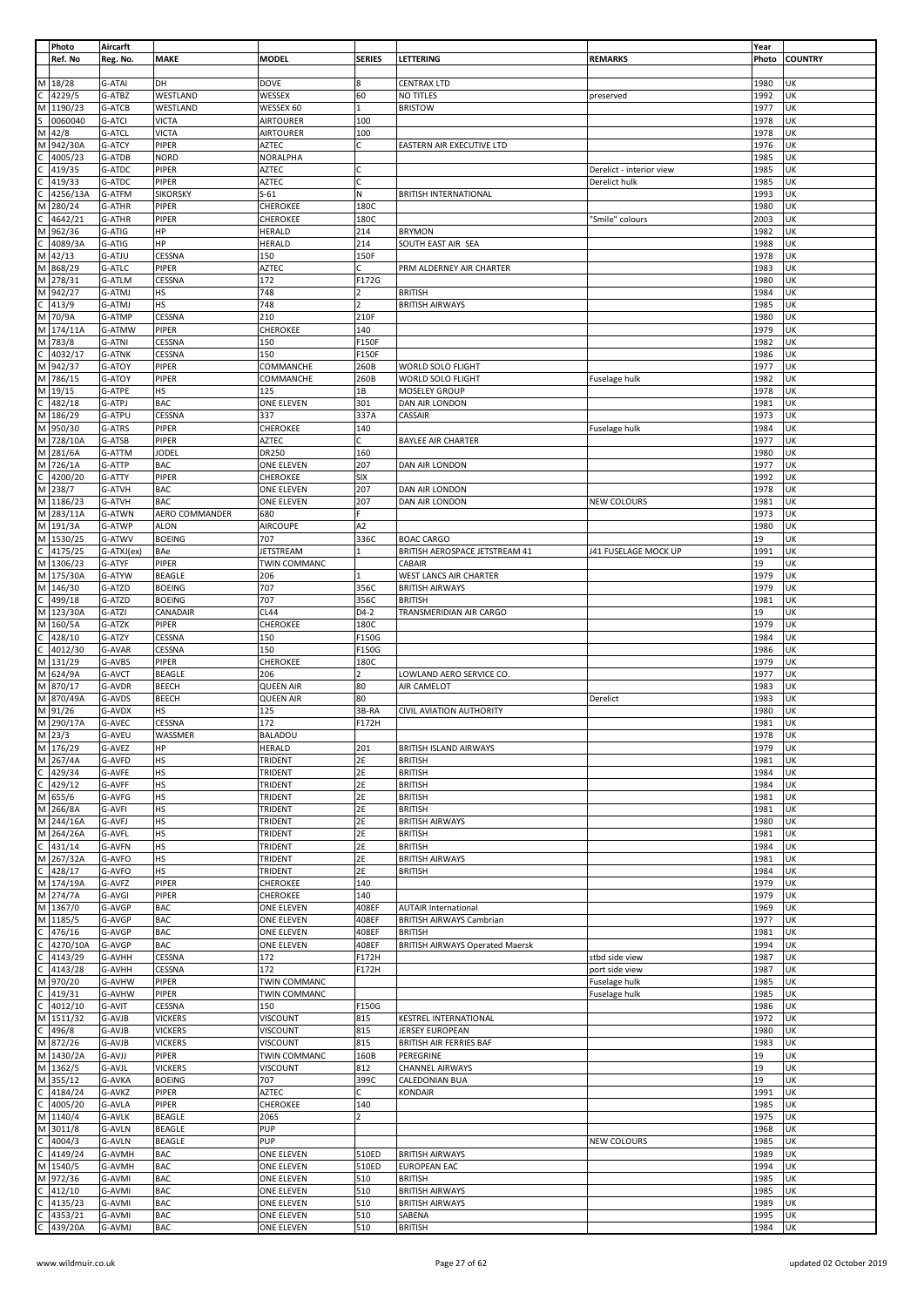|              | Photo     | Aircarft      |                 |                     |                          |                                        |                          | Year  |                |
|--------------|-----------|---------------|-----------------|---------------------|--------------------------|----------------------------------------|--------------------------|-------|----------------|
|              | Ref. No   | Reg. No.      | <b>MAKE</b>     | <b>MODEL</b>        | <b>SERIES</b>            | LETTERING                              | <b>REMARKS</b>           | Photo | <b>COUNTRY</b> |
|              |           |               |                 |                     |                          |                                        |                          |       |                |
|              | M 18/28   | G-ATAI        | DH              | DOVE                | 8                        | <b>CENTRAX LTD</b>                     |                          | 1980  | UK             |
|              |           |               |                 |                     |                          |                                        |                          |       |                |
|              | 4229/5    | G-ATBZ        | WESTLAND        | WESSEX              | 60                       | NO TITLES                              | preserved                | 1992  | UK             |
| М            | 1190/23   | G-ATCB        | WESTLAND        | WESSEX 60           |                          | <b>BRISTOW</b>                         |                          | 1977  | UK             |
|              | 0060040   | G-ATCI        | <b>VICTA</b>    | <b>AIRTOURER</b>    | 100                      |                                        |                          | 1978  | UK             |
| М            | 42/8      | G-ATCL        | <b>VICTA</b>    | <b>AIRTOURER</b>    | 100                      |                                        |                          | 1978  | UK             |
| М            | 942/30A   | G-ATCY        | PIPER           | AZTEC               | c                        | EASTERN AIR EXECUTIVE LTD              |                          | 1976  | UK             |
|              | 4005/23   | G-ATDB        | <b>NORD</b>     | NORALPHA            |                          |                                        |                          | 1985  | UK             |
|              |           |               |                 |                     |                          |                                        |                          |       |                |
| C            | 419/35    | G-ATDC        | PIPER           | AZTEC               | C                        |                                        | Derelict - interior view | 1985  | UK             |
|              | 419/33    | G-ATDC        | PIPER           | AZTEC               | Ċ                        |                                        | Derelict hulk            | 1985  | UK             |
|              | 4256/13A  | G-ATFM        | <b>SIKORSKY</b> | $S-61$              | N                        | <b>BRITISH INTERNATIONAL</b>           |                          | 1993  | UK             |
| М            | 280/24    | G-ATHR        | PIPER           | CHEROKEE            | 180C                     |                                        |                          | 1980  | UK             |
|              | 4642/21   | G-ATHR        | <b>PIPER</b>    | CHEROKEE            | 180C                     |                                        | 'Smile" colours          | 2003  | UK             |
|              |           |               |                 |                     |                          |                                        |                          |       |                |
| M            | 962/36    | G-ATIG        | HP              | <b>HERALD</b>       | 214                      | <b>BRYMON</b>                          |                          | 1982  | UK             |
|              | 4089/3A   | G-ATIG        | HP              | <b>HERALD</b>       | 214                      | SOUTH EAST AIR SEA                     |                          | 1988  | UK             |
|              | M 42/13   | G-ATJU        | CESSNA          | 150                 | 150F                     |                                        |                          | 1978  | UΚ             |
| M            | 868/29    | G-ATLC        | PIPER           | <b>AZTEC</b>        | C                        | PRM ALDERNEY AIR CHARTER               |                          | 1983  | UK             |
|              | M 278/31  | G-ATLM        | CESSNA          | 172                 | F172G                    |                                        |                          | 1980  | UK             |
|              | M 942/27  | G-ATMJ        | HS              | 748                 |                          | <b>BRITISH</b>                         |                          | 1984  | UK             |
|              |           |               |                 |                     |                          |                                        |                          |       |                |
| C            | 413/9     | G-ATMJ        | HS              | 748                 | $\overline{\phantom{a}}$ | <b>BRITISH AIRWAYS</b>                 |                          | 1985  | UK             |
|              | M 70/9A   | G-ATMP        | CESSNA          | 210                 | 210F                     |                                        |                          | 1980  | UK             |
|              | M 174/11A | G-ATMW        | PIPER           | CHEROKEE            | 140                      |                                        |                          | 1979  | UK             |
|              | M 783/8   | G-ATNI        | CESSNA          | 150                 | F150F                    |                                        |                          | 1982  | UK             |
|              | 4032/17   | <b>G-ATNK</b> | CESSNA          | 150                 | F150F                    |                                        |                          | 1986  | UK             |
| М            | 942/37    | G-ATOY        | PIPER           | COMMANCHE           | 260B                     | WORLD SOLO FLIGHT                      |                          | 1977  | UK             |
|              |           |               |                 |                     |                          |                                        |                          |       |                |
|              | M 786/15  | G-ATOY        | PIPER           | COMMANCHE           | 260B                     | WORLD SOLO FLIGHT                      | Fuselage hulk            | 1982  | UK             |
|              | M 19/15   | G-ATPE        | <b>HS</b>       | 125                 | 1В                       | MOSELEY GROUP                          |                          | 1978  | UK             |
| C            | 482/18    | G-ATPJ        | <b>BAC</b>      | ONE ELEVEN          | 301                      | DAN AIR LONDON                         |                          | 1981  | UK             |
|              | M 186/29  | G-ATPU        | CESSNA          | 337                 | 337A                     | CASSAIR                                |                          | 1973  | UK             |
|              | M 950/30  | G-ATRS        | PIPER           | CHEROKEE            | 140                      |                                        |                          | 1984  | UK             |
|              |           |               |                 |                     |                          |                                        | Fuselage hulk            |       |                |
|              | M 728/10A | G-ATSB        | PIPER           | <b>AZTEC</b>        | C                        | <b>BAYLEE AIR CHARTER</b>              |                          | 1977  | UK             |
|              | M 281/6A  | G-ATTM        | <b>JODEL</b>    | DR250               | 160                      |                                        |                          | 1980  | UK             |
|              | M 726/1A  | G-ATTP        | <b>BAC</b>      | ONE ELEVEN          | 207                      | DAN AIR LONDON                         |                          | 1977  | UK             |
| С            | 4200/20   | G-ATTY        | PIPER           | CHEROKEE            | <b>SIX</b>               |                                        |                          | 1992  | UK             |
|              |           |               |                 |                     |                          |                                        |                          |       |                |
|              | M 238/7   | G-ATVH        | <b>BAC</b>      | ONE ELEVEN          | 207                      | DAN AIR LONDON                         |                          | 1978  | UK             |
|              | M 1186/23 | G-ATVH        | BAC             | ONE ELEVEN          | 207                      | DAN AIR LONDON                         | <b>NEW COLOURS</b>       | 1981  | UK             |
|              | M 283/11A | G-ATWN        | AERO COMMANDER  | 680                 |                          |                                        |                          | 1973  | UK             |
|              | M 191/3A  | G-ATWP        | <b>ALON</b>     | <b>AIRCOUPE</b>     | A2                       |                                        |                          | 1980  | UK             |
|              | M 1530/25 | G-ATWV        | <b>BOEING</b>   | 707                 | 336C                     | <b>BOAC CARGO</b>                      |                          | 19    | UK             |
|              |           |               |                 |                     |                          |                                        |                          |       |                |
| C            | 4175/25   | G-ATXJ(ex)    | <b>BAe</b>      | JETSTREAM           |                          | BRITISH AEROSPACE JETSTREAM 41         | J41 FUSELAGE MOCK UP     | 1991  | UK             |
|              | M 1306/23 | G-ATYF        | PIPER           | TWIN COMMANC        |                          | CABAIR                                 |                          | 19    | UK             |
|              | M 175/30A | G-ATYW        | <b>BEAGLE</b>   | 206                 |                          | WEST LANCS AIR CHARTER                 |                          | 1979  | UK             |
|              | M 146/30  | G-ATZD        | <b>BOEING</b>   | 707                 | 356C                     | <b>BRITISH AIRWAYS</b>                 |                          | 1979  | UK             |
| C            | 499/18    | G-ATZD        | <b>BOEING</b>   | 707                 | 356C                     | <b>BRITISH</b>                         |                          | 1981  | UK             |
|              |           |               |                 |                     | D4-2                     |                                        |                          | 19    | UK             |
| M            | 123/30A   | G-ATZI        | CANADAIR        | CL44                |                          | TRANSMERIDIAN AIR CARGO                |                          |       |                |
| М            | 160/5A    | G-ATZK        | PIPER           | CHEROKEE            | 180C                     |                                        |                          | 1979  | UK             |
|              | 428/10    | G-ATZY        | CESSNA          | 150                 | F150G                    |                                        |                          | 1984  | UK             |
|              | 4012/30   | G-AVAR        | CESSNA          | 150                 | F150G                    |                                        |                          | 1986  | UK             |
| $\mathsf C$  |           |               |                 |                     |                          |                                        |                          |       |                |
|              |           |               |                 |                     |                          |                                        |                          |       |                |
|              | M 131/29  | G-AVBS        | PIPER           | CHEROKEE            | 180C                     |                                        |                          | 1979  | UK             |
|              | M 624/9A  | G-AVCT        | <b>BEAGLE</b>   | 206                 |                          | LOWLAND AERO SERVICE CO.               |                          | 1977  | UK             |
|              | M 870/17  | G-AVDR        | <b>BEECH</b>    | <b>QUEEN AIR</b>    | 80                       | AIR CAMELOT                            |                          | 1983  | UK             |
|              | M 870/49A | G-AVDS        | <b>BEECH</b>    | <b>QUEEN AIR</b>    | 80                       |                                        | Derelict                 | 1983  | UK             |
|              | M 91/26   | G-AVDX        | <b>HS</b>       | 125                 | 3B-RA                    | <b>CIVIL AVIATION AUTHORITY</b>        |                          | 1980  | UK             |
|              |           |               |                 | 172                 | F172H                    |                                        |                          | 1981  | UK             |
|              | M 290/17A | G-AVEC        | CESSNA          |                     |                          |                                        |                          |       |                |
|              | M 23/3    | G-AVEU        | WASSMER         | BALADOU             |                          |                                        |                          | 1978  | UK             |
|              | M 176/29  | G-AVEZ        | HP              | <b>HERALD</b>       | 201                      | BRITISH ISLAND AIRWAYS                 |                          | 1979  | UK             |
|              | M 267/4A  | G-AVFD        | <b>HS</b>       | TRIDENT             | 2E                       | <b>BRITISH</b>                         |                          | 1981  | UK             |
| $\mathsf{C}$ | 429/34    | G-AVFE        | HS              | TRIDENT             | 2E                       | <b>BRITISH</b>                         |                          | 1984  | UK             |
|              |           |               |                 |                     |                          |                                        |                          |       |                |
| C            | 429/12    | G-AVFF        | <b>HS</b>       | TRIDENT             | 2E                       | <b>BRITISH</b>                         |                          | 1984  | UK             |
|              | M 655/6   | G-AVFG        | <b>HS</b>       | TRIDENT             | 2E                       | <b>BRITISH</b>                         |                          | 1981  | UK             |
|              | M 266/8A  | G-AVFI        | HS              | <b>TRIDENT</b>      | 2E                       | <b>BRITISH</b>                         |                          | 1981  | UK             |
|              | M 244/16A | G-AVFJ        | <b>HS</b>       | TRIDENT             | 2E                       | <b>BRITISH AIRWAYS</b>                 |                          | 1980  | UK             |
|              | M 264/26A | G-AVFL        | <b>HS</b>       | TRIDENT             | 2E                       | <b>BRITISH</b>                         |                          | 1981  | UK             |
| $\mathsf C$  | 431/14    | G-AVFN        | <b>HS</b>       | TRIDENT             | 2E                       | <b>BRITISH</b>                         |                          | 1984  | UK             |
|              |           |               |                 |                     |                          |                                        |                          |       |                |
|              | M 267/32A | G-AVFO        | <b>HS</b>       | TRIDENT             | 2E                       | <b>BRITISH AIRWAYS</b>                 |                          | 1981  | UK             |
| C            | 428/17    | G-AVFO        | HS              | TRIDENT             | 2E                       | <b>BRITISH</b>                         |                          | 1984  | UK             |
| M            | 174/19A   | G-AVFZ        | PIPER           | CHEROKEE            | 140                      |                                        |                          | 1979  | UK             |
|              | M 274/7A  | G-AVGI        | PIPER           | CHEROKEE            | 140                      |                                        |                          | 1979  | UK             |
|              | M 1367/0  | G-AVGP        | <b>BAC</b>      | ONE ELEVEN          | 408EF                    | <b>AUTAIR International</b>            |                          | 1969  | UK             |
|              |           |               |                 |                     |                          |                                        |                          |       |                |
|              | M 1185/5  | G-AVGP        | <b>BAC</b>      | ONE ELEVEN          | 408EF                    | BRITISH AIRWAYS Cambrian               |                          | 197?  | UK             |
| C            | 476/16    | G-AVGP        | <b>BAC</b>      | ONE ELEVEN          | 408EF                    | <b>BRITISH</b>                         |                          | 1981  | UK             |
|              | 4270/10A  | G-AVGP        | <b>BAC</b>      | ONE ELEVEN          | 408EF                    | <b>BRITISH AIRWAYS Operated Maersk</b> |                          | 1994  | UK             |
| C            | 4143/29   | G-AVHH        | CESSNA          | 172                 | F172H                    |                                        | stbd side view           | 1987  | UK             |
| C            | 4143/28   | G-AVHH        | CESSNA          | 172                 | F172H                    |                                        | port side view           | 1987  | UK             |
|              |           | G-AVHW        | PIPER           | TWIN COMMANC        |                          |                                        |                          |       | UK             |
|              | M 970/20  |               |                 |                     |                          |                                        | Fuselage hulk            | 1985  |                |
| C            | 419/31    | G-AVHW        | PIPER           | <b>TWIN COMMANC</b> |                          |                                        | Fuselage hulk            | 1985  | UK             |
|              | 4012/10   | G-AVIT        | CESSNA          | 150                 | F150G                    |                                        |                          | 1986  | UK             |
| М            | 1511/32   | G-AVJB        | <b>VICKERS</b>  | VISCOUNT            | 815                      | <b>KESTREL INTERNATIONAL</b>           |                          | 1972  | UK             |
| C            | 496/8     | G-AVJB        | <b>VICKERS</b>  | VISCOUNT            | 815                      | JERSEY EUROPEAN                        |                          | 1980  | UK             |
|              |           | G-AVJB        | <b>VICKERS</b>  | VISCOUNT            | 815                      | <b>BRITISH AIR FERRIES BAF</b>         |                          | 1983  | UK             |
|              | M 872/26  |               |                 |                     |                          |                                        |                          |       |                |
|              | M 1430/2A | G-AVJJ        | PIPER           | TWIN COMMANC        | 160B                     | PEREGRINE                              |                          | 19    | UK             |
|              | M 1362/5  | G-AVJL        | <b>VICKERS</b>  | <b>VISCOUNT</b>     | 812                      | <b>CHANNEL AIRWAYS</b>                 |                          | 19    | UK             |
|              | M 355/12  | G-AVKA        | <b>BOEING</b>   | 707                 | 399C                     | <b>CALEDONIAN BUA</b>                  |                          | 19    | UK             |
|              | 4184/24   | G-AVKZ        | PIPER           | AZTEC               | C                        | <b>KONDAIR</b>                         |                          | 1991  | UK             |
| С            | 4005/20   | G-AVLA        | PIPER           | CHEROKEE            | 140                      |                                        |                          | 1985  | UK             |
|              |           |               |                 |                     | $\overline{a}$           |                                        |                          |       |                |
|              | M 1140/4  | G-AVLK        | <b>BEAGLE</b>   | 206S                |                          |                                        |                          | 1975  | UK             |
|              | M 3011/8  | G-AVLN        | <b>BEAGLE</b>   | PUP                 |                          |                                        |                          | 1968  | UK             |
| С            | 4004/3    | G-AVLN        | <b>BEAGLE</b>   | PUP                 |                          |                                        | NEW COLOURS              | 1985  | UK             |
| $\mathsf{C}$ | 4149/24   | G-AVMH        | <b>BAC</b>      | ONE ELEVEN          | 510ED                    | <b>BRITISH AIRWAYS</b>                 |                          | 1989  | UK             |
|              |           |               |                 |                     |                          |                                        |                          |       |                |
|              | M 1540/5  | G-AVMH        | <b>BAC</b>      | ONE ELEVEN          | 510ED                    | <b>EUROPEAN EAC</b>                    |                          | 1994  | UK             |
|              | M 972/36  | G-AVMI        | <b>BAC</b>      | ONE ELEVEN          | 510                      | <b>BRITISH</b>                         |                          | 1985  | UK             |
|              | 412/10    | G-AVMI        | <b>BAC</b>      | ONE ELEVEN          | 510                      | <b>BRITISH AIRWAYS</b>                 |                          | 1985  | UK             |
| C            | 4135/23   | G-AVMI        | <b>BAC</b>      | ONE ELEVEN          | 510                      | <b>BRITISH AIRWAYS</b>                 |                          | 1989  | UK             |
|              | 4353/21   | G-AVMI        | <b>BAC</b>      | ONE ELEVEN          | 510                      | SABENA                                 |                          | 1995  | UK             |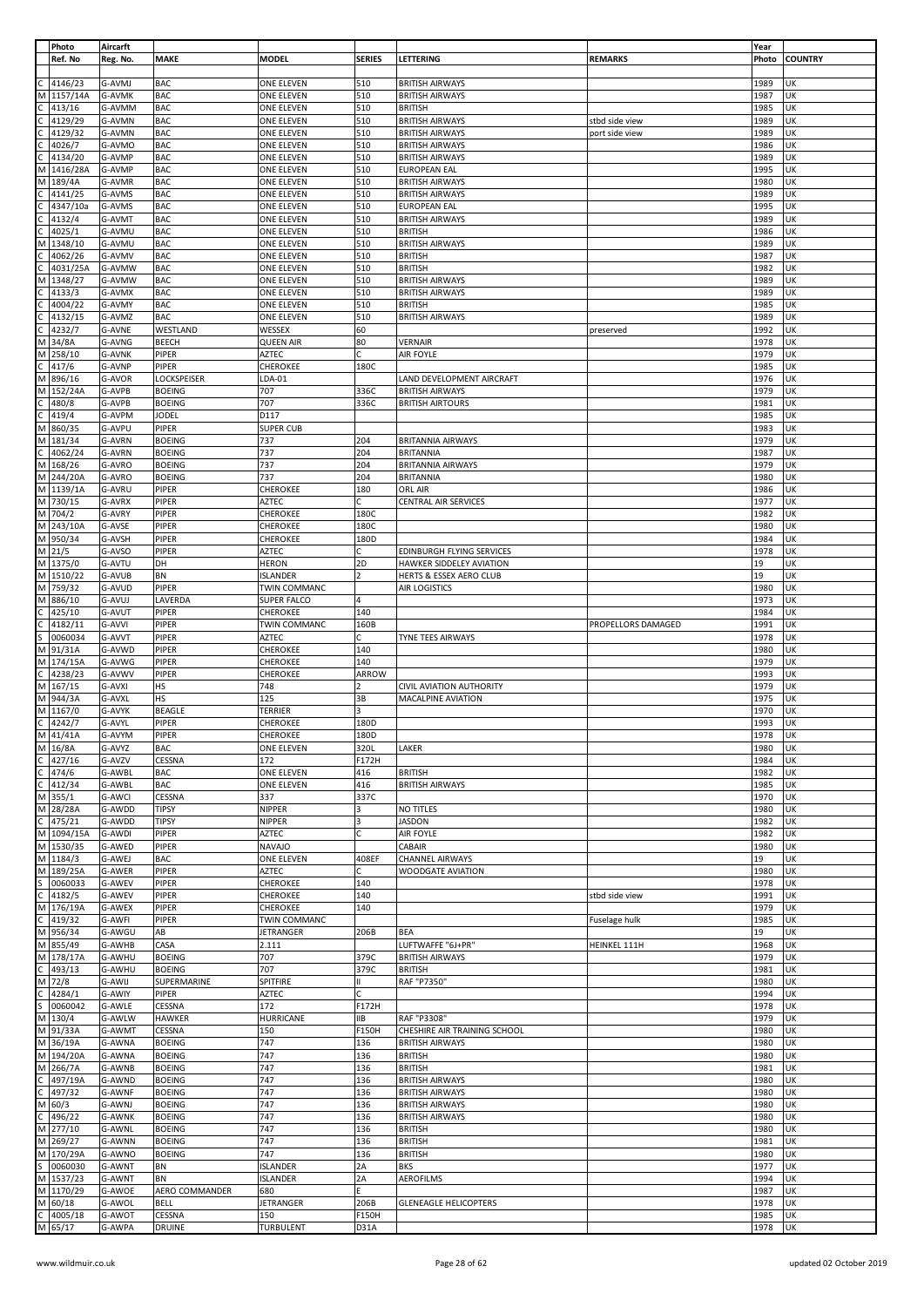|              | Photo                | Aircarft         |                          |                                 |                |                                                  |                    | Year         |                |
|--------------|----------------------|------------------|--------------------------|---------------------------------|----------------|--------------------------------------------------|--------------------|--------------|----------------|
|              | Ref. No              | Reg. No.         | <b>MAKE</b>              | <b>MODEL</b>                    | <b>SERIES</b>  | LETTERING                                        | <b>REMARKS</b>     | Photo        | <b>COUNTRY</b> |
|              |                      |                  |                          |                                 |                |                                                  |                    |              |                |
|              | 4146/23              | G-AVMJ           | <b>BAC</b>               | ONE ELEVEN                      | 510            | <b>BRITISH AIRWAYS</b>                           |                    | 1989         | UK             |
| М            | 1157/14A             | G-AVMK           | <b>BAC</b>               | <b>ONE ELEVEN</b>               | 510            | <b>BRITISH AIRWAYS</b>                           |                    | 1987         | UK             |
|              | 413/16               | G-AVMM           | <b>BAC</b>               | ONE ELEVEN                      | 510            | <b>BRITISH</b>                                   |                    | 1985         | UK             |
|              | 4129/29              | G-AVMN           | <b>BAC</b>               | ONE ELEVEN                      | 510            | <b>BRITISH AIRWAYS</b>                           | stbd side view     | 1989         | UK             |
|              | 4129/32              | G-AVMN           | <b>BAC</b><br><b>BAC</b> | ONE ELEVEN                      | 510<br>510     | <b>BRITISH AIRWAYS</b>                           | port side view     | 1989         | UK<br>UK       |
|              | 4026/7<br>4134/20    | G-AVMO<br>G-AVMP | <b>BAC</b>               | ONE ELEVEN<br><b>ONE ELEVEN</b> | 510            | <b>BRITISH AIRWAYS</b><br><b>BRITISH AIRWAYS</b> |                    | 1986<br>1989 | UK             |
| м            | 1416/28A             | G-AVMP           | <b>BAC</b>               | ONE ELEVEN                      | 510            | <b>EUROPEAN EAL</b>                              |                    | 1995         | UK             |
| M            | 189/4A               | G-AVMR           | <b>BAC</b>               | ONE ELEVEN                      | 510            | <b>BRITISH AIRWAYS</b>                           |                    | 1980         | UK             |
|              | 4141/25              | G-AVMS           | <b>BAC</b>               | <b>ONE ELEVEN</b>               | 510            | <b>BRITISH AIRWAYS</b>                           |                    | 1989         | UK             |
|              |                      | G-AVMS           |                          |                                 |                |                                                  |                    |              | UK             |
|              | 4347/10a             |                  | <b>BAC</b>               | ONE ELEVEN                      | 510            | <b>EUROPEAN EAL</b>                              |                    | 1995         |                |
|              | 4132/4               | G-AVMT           | <b>BAC</b>               | ONE ELEVEN                      | 510            | <b>BRITISH AIRWAYS</b>                           |                    | 1989         | UK             |
|              | 4025/1               | G-AVMU           | <b>BAC</b><br><b>BAC</b> | ONE ELEVEN                      | 510<br>510     | <b>BRITISH</b><br><b>BRITISH AIRWAYS</b>         |                    | 1986<br>1989 | UK<br>UK       |
|              | 1348/10              | G-AVMU<br>G-AVMV |                          | ONE ELEVEN                      | 510            | <b>BRITISH</b>                                   |                    |              | UK             |
|              | 4062/26              |                  | <b>BAC</b>               | ONE ELEVEN                      |                |                                                  |                    | 1987         |                |
|              | 4031/25A             | G-AVMW           | <b>BAC</b>               | ONE ELEVEN                      | 510            | <b>BRITISH</b>                                   |                    | 1982         | UK<br>UK       |
|              | 1348/27              | G-AVMW           | <b>BAC</b>               | ONE ELEVEN                      | 510            | <b>BRITISH AIRWAYS</b>                           |                    | 1989         | UK             |
|              | 4133/3               | G-AVMX           | <b>BAC</b>               | ONE ELEVEN                      | 510            | <b>BRITISH AIRWAYS</b>                           |                    | 1989         |                |
|              | 4004/22              | G-AVMY           | <b>BAC</b>               | ONE ELEVEN                      | 510            | <b>BRITISH</b>                                   |                    | 1985         | UK             |
|              | 4132/15              | G-AVMZ           | <b>BAC</b>               | ONE ELEVEN                      | 510            | <b>BRITISH AIRWAYS</b>                           |                    | 1989         | UK             |
|              | 4232/7               | G-AVNE           | WESTLAND                 | WESSEX                          | 60             |                                                  | preserved          | 1992         | UK             |
| м            | 34/8A                | G-AVNG           | <b>BEECH</b>             | <b>QUEEN AIR</b>                | 80             | <b>VERNAIR</b>                                   |                    | 1978         | UK             |
| М            | 258/10               | G-AVNK           | PIPER                    | AZTEC                           | C.             | AIR FOYLE                                        |                    | 1979         | UK             |
|              | 417/6                | G-AVNP           | PIPER                    | CHEROKEE                        | 180C           |                                                  |                    | 1985         | UK             |
|              | 896/16               | G-AVOR           | LOCKSPEISER              | LDA-01                          |                | LAND DEVELOPMENT AIRCRAFT                        |                    | 1976         | UK             |
| м            | 152/24A              | G-AVPB           | <b>BOEING</b>            | 707                             | 336C           | <b>BRITISH AIRWAYS</b>                           |                    | 1979         | UK             |
|              | 480/8                | G-AVPB           | <b>BOEING</b>            | 707                             | 336C           | <b>BRITISH AIRTOURS</b>                          |                    | 1981         | UK             |
|              | 419/4                | G-AVPM           | <b>JODEL</b>             | D117                            |                |                                                  |                    | 1985         | UK             |
| М            | 860/35               | G-AVPU           | PIPER                    | <b>SUPER CUB</b>                |                |                                                  |                    | 1983         | UK             |
| М            | 181/34               | G-AVRN           | <b>BOEING</b>            | 737                             | 204            | <b>BRITANNIA AIRWAYS</b>                         |                    | 1979         | UK             |
|              | 4062/24              | G-AVRN           | <b>BOEING</b>            | 737                             | 204            | <b>BRITANNIA</b>                                 |                    | 1987         | UK             |
| M            | 168/26               | G-AVRO           | <b>BOEING</b>            | 737                             | 204            | <b>BRITANNIA AIRWAYS</b>                         |                    | 1979         | UK             |
| M            | 244/20A              | G-AVRO           | <b>BOEING</b>            | 737                             | 204            | <b>BRITANNIA</b>                                 |                    | 1980         | UK             |
| M            | 1139/1A              | G-AVRU           | PIPER                    | CHEROKEE                        | 180            | ORL AIR                                          |                    | 1986         | UK             |
|              | M 730/15             | G-AVRX           | PIPER                    | <b>AZTEC</b>                    | c              | CENTRAL AIR SERVICES                             |                    | 1977         | UK             |
| M            | 704/2                | G-AVRY           | PIPER                    | CHEROKEE                        | 180C           |                                                  |                    | 1982         | UK             |
| M            | 243/10A              | G-AVSE           | PIPER                    | CHEROKEE                        | 180C           |                                                  |                    | 1980         | UK             |
| M            | 950/34               | G-AVSH           | PIPER                    | CHEROKEE                        | 180D           |                                                  |                    | 1984         | UK             |
| М            | 21/5                 | G-AVSO           | PIPER                    | AZTEC                           |                | EDINBURGH FLYING SERVICES                        |                    | 1978         | UK             |
|              | M 1375/0             | G-AVTU           | DH                       | <b>HERON</b>                    | 2D             | HAWKER SIDDELEY AVIATION                         |                    | 19           | UK             |
|              | M 1510/22            | G-AVUB           | BN                       | <b>ISLANDER</b>                 | $\overline{2}$ | HERTS & ESSEX AERO CLUB                          |                    | 19           | UK             |
| M            | 759/32               | G-AVUD           | PIPER                    | TWIN COMMANC                    |                | AIR LOGISTICS                                    |                    | 1980         | UK             |
| M            | 886/10               | G-AVUJ           | LAVERDA                  | SUPER FALCO                     | 4              |                                                  |                    | 1973         | UK             |
|              | 425/10               | G-AVUT           | PIPER                    | CHEROKEE                        | 140            |                                                  |                    | 1984         | UK             |
|              | 4182/11              | G-AVVI           | PIPER                    | TWIN COMMANC                    | 160B           |                                                  | PROPELLORS DAMAGED | 1991         | UK             |
|              | 0060034              | G-AVVT           | PIPER                    | AZTEC                           | C              | TYNE TEES AIRWAYS                                |                    | 1978         | UK             |
| M            | 91/31A               | G-AVWD           | PIPER                    | CHEROKEE                        | 140            |                                                  |                    | 1980         | UK             |
| M            | 174/15A              | G-AVWG           | PIPER                    | CHEROKEE                        | 140            |                                                  |                    | 1979         | UK             |
|              | 4238/23              | G-AVWV           | PIPER                    | CHEROKEE                        | ARROW          |                                                  |                    | 1993         | UK             |
| М            | 167/15               | G-AVXI           | HS                       | 748                             | $\mathcal{P}$  | <b>CIVIL AVIATION AUTHORITY</b>                  |                    | 1979         | UK             |
| M            | 944/3A               | G-AVXL           | <b>HS</b>                | 125                             | 3B             | MACALPINE AVIATION                               |                    | 1975         | UK             |
| M            | 1167/0               | G-AVYK           | <b>BEAGLE</b>            | TERRIER                         | з              |                                                  |                    | 1970         | UK             |
|              | 4242/7               | G-AVYL           | PIPER                    | <b>CHEROKEE</b>                 | 180D           |                                                  |                    | 1993         | UK             |
|              | 41/41A               | G-AVYM           | PIPER                    | CHEROKEE                        | 180D           |                                                  |                    | 1978         | lик            |
|              | $\overline{M}$ 16/8A | G-AVYZ           | <b>BAC</b>               | ONE ELEVEN                      | 320L           | LAKER                                            |                    | 1980         | UK             |
| $\mathsf{C}$ | 427/16               | G-AVZV           | CESSNA                   | 172                             | F172H          |                                                  |                    | 1984         | UK             |
| C            | 474/6                | G-AWBL           | <b>BAC</b>               | ONE ELEVEN                      | 416            | <b>BRITISH</b>                                   |                    | 1982         | UK             |
| С            | 412/34               | G-AWBL           | <b>BAC</b>               | ONE ELEVEN                      | 416            | <b>BRITISH AIRWAYS</b>                           |                    | 1985         | UK             |
| M            | 355/1                | G-AWCI           | CESSNA                   | 337                             | 337C           |                                                  |                    | 1970         | UK             |
| M            | 28/28A               | G-AWDD           | <b>TIPSY</b>             | NIPPER                          | 3              | NO TITLES                                        |                    | 1980         | UK             |
|              | 475/21               | G-AWDD           | <b>TIPSY</b>             | NIPPER                          | 3              | <b>JASDON</b>                                    |                    | 1982         | UK             |
| M            | 1094/15A             | G-AWDI           | PIPER                    | AZTEC                           | C              | AIR FOYLE                                        |                    | 1982         | UK             |
| M            | 1530/35              | G-AWED           | <b>PIPER</b>             | <b>NAVAJO</b>                   |                | CABAIR                                           |                    | 1980         | UK             |
| M            | 1184/3               | G-AWEJ           | <b>BAC</b>               | ONE ELEVEN                      | 408EF          | <b>CHANNEL AIRWAYS</b>                           |                    | 19           | UK             |
| M            | 189/25A              | G-AWER           | PIPER                    | AZTEC                           | C.             | WOODGATE AVIATION                                |                    | 1980         | UK             |
|              | 0060033              | G-AWEV           | PIPER                    | CHEROKEE                        | 140            |                                                  |                    | 1978         | UK             |
|              | 4182/5               | G-AWEV           | PIPER                    | CHEROKEE                        | 140            |                                                  | stbd side view     | 1991         | UK             |
|              | M 176/19A            | G-AWEX           | PIPER                    | CHEROKEE                        | 140            |                                                  |                    | 1979         | UK             |
|              | 419/32               | G-AWFI           | PIPER                    | TWIN COMMANC                    |                |                                                  | Fuselage hulk      | 1985         | UK             |
| M            | 956/34               | G-AWGU           | AB                       | JETRANGER                       | 206B           | BEA                                              |                    | 19           | UK             |
|              | M 855/49             | G-AWHB           | CASA                     | 2.111                           |                | LUFTWAFFE "6J+PR"                                | HEINKEL 111H       | 1968         | UK             |
|              | M 178/17A            | G-AWHU           | <b>BOEING</b>            | 707                             | 379C           | <b>BRITISH AIRWAYS</b>                           |                    | 1979         | UK             |
|              | 493/13               | G-AWHU           | <b>BOEING</b>            | 707                             | 379C           | <b>BRITISH</b>                                   |                    | 1981         | UK             |
| М            | 72/8                 | G-AWIJ           | SUPERMARINE              | SPITFIRE                        | Ш              | RAF "P7350"                                      |                    | 1980         | UK             |
|              | 4284/1               | G-AWIY           | PIPER                    | <b>AZTEC</b>                    | Ċ              |                                                  |                    | 1994         | UK             |
|              | 0060042              | G-AWLE           | CESSNA                   | 172                             | F172H          |                                                  |                    | 1978         | UK             |
| М            | 130/4                | G-AWLW           | <b>HAWKER</b>            | <b>HURRICANE</b>                | IIВ            | RAF "P3308"                                      |                    | 1979         | UK             |
| M            | 91/33A               | G-AWMT           | CESSNA                   | 150                             | F150H          | CHESHIRE AIR TRAINING SCHOOL                     |                    | 1980         | UK             |
|              | M 36/19A             | G-AWNA           | <b>BOEING</b>            | 747                             | 136            | <b>BRITISH AIRWAYS</b>                           |                    | 1980         | UK             |
|              | M 194/20A            | G-AWNA           | <b>BOEING</b>            | 747                             | 136            | <b>BRITISH</b>                                   |                    | 1980         | UK             |
| M            | 266/7A               | G-AWNB           | <b>BOEING</b>            | 747                             | 136            | <b>BRITISH</b>                                   |                    | 1981         | UK             |
| C            | 497/19A              | G-AWND           | <b>BOEING</b>            | 747                             | 136            | <b>BRITISH AIRWAYS</b>                           |                    | 1980         | UK             |
|              | 497/32               | G-AWNF           | <b>BOEING</b>            | 747                             | 136            | <b>BRITISH AIRWAYS</b>                           |                    | 1980         | UK             |
| M            | 60/3                 | G-AWNJ           | <b>BOEING</b>            | 747                             | 136            | <b>BRITISH AIRWAYS</b>                           |                    | 1980         | UK             |
|              | 496/22               | G-AWNK           | <b>BOEING</b>            | 747                             | 136            | <b>BRITISH AIRWAYS</b>                           |                    | 1980         | UK             |
| М            | 277/10               | G-AWNL           | <b>BOEING</b>            | 747                             | 136            | <b>BRITISH</b>                                   |                    | 1980         | UK             |
| M            | 269/27               | G-AWNN           | <b>BOEING</b>            | 747                             | 136            | <b>BRITISH</b>                                   |                    | 1981         | UK             |
|              | M 170/29A            | G-AWNO           | <b>BOEING</b>            | 747                             | 136            | <b>BRITISH</b>                                   |                    | 1980         | UK             |
| S            | 0060030              | G-AWNT           | BN                       | <b>ISLANDER</b>                 | 2A             | <b>BKS</b>                                       |                    | 1977         | UK             |
|              | M 1537/23            | G-AWNT           | <b>BN</b>                | <b>ISLANDER</b>                 | 2A             | <b>AEROFILMS</b>                                 |                    | 1994         | UK             |
| M            | 1170/29              | G-AWOE           | AERO COMMANDER           | 680                             | E.             |                                                  |                    | 1987         | UK             |
| M            | 60/18                | G-AWOL           | <b>BELL</b>              | JETRANGER                       | 206B           | <b>GLENEAGLE HELICOPTERS</b>                     |                    | 1978         | UK             |
| C            | 4005/18              | G-AWOT           | CESSNA                   | 150                             | F150H          |                                                  |                    | 1985         | UK             |
|              | M 65/17              | G-AWPA           | <b>DRUINE</b>            | TURBULENT                       | D31A           |                                                  |                    | 1978         | UK             |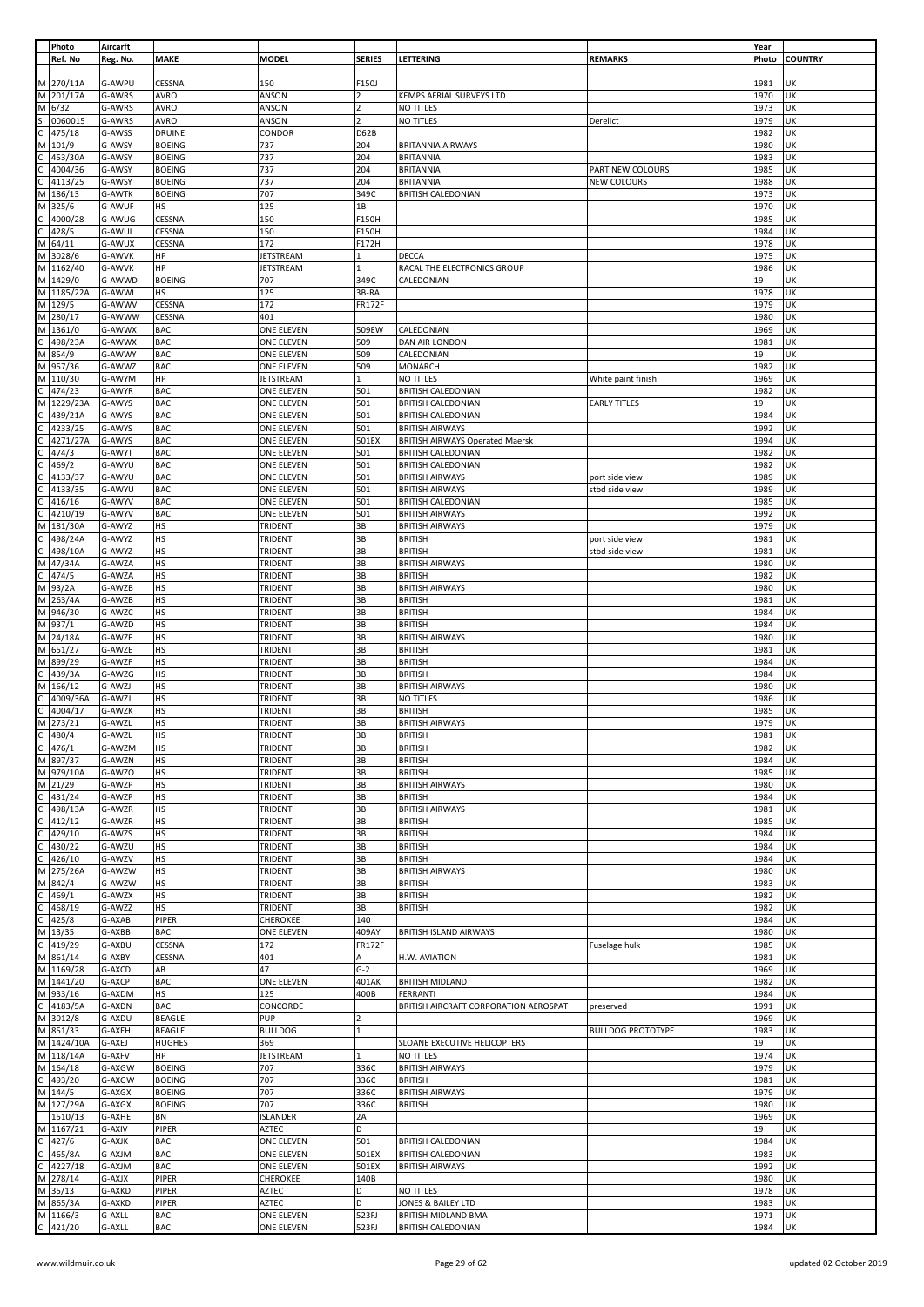|              | Photo              | Aircarft         |                          |                          |                |                                                  |                          | Year         |                |
|--------------|--------------------|------------------|--------------------------|--------------------------|----------------|--------------------------------------------------|--------------------------|--------------|----------------|
|              | Ref. No            | Reg. No.         | <b>MAKE</b>              | <b>MODEL</b>             | <b>SERIES</b>  | LETTERING                                        | <b>REMARKS</b>           | Photo        | <b>COUNTRY</b> |
|              |                    |                  |                          |                          |                |                                                  |                          |              |                |
| М            | 270/11A            | G-AWPU           | CESSNA                   | 150                      | F150J          |                                                  |                          | 1981         | UK             |
| M            | 201/17A            | G-AWRS           | <b>AVRO</b>              | ANSON                    | $\overline{2}$ | KEMPS AERIAL SURVEYS LTD                         |                          | 1970         | UK             |
|              | 6/32               | G-AWRS           | <b>AVRO</b>              | ANSON                    | $\overline{2}$ | NO TITLES                                        |                          | 1973         | UK             |
| М            |                    |                  |                          |                          |                |                                                  |                          |              |                |
|              | 0060015            | G-AWRS           | AVRO                     | ANSON                    | $\overline{z}$ | NO TITLES                                        | Derelict                 | 1979         | UK             |
|              | 475/18             | G-AWSS           | <b>DRUINE</b>            | CONDOR                   | D62B           |                                                  |                          | 1982         | UK             |
| м            | 101/9              | G-AWSY           | <b>BOEING</b>            | 737                      | 204            | <b>BRITANNIA AIRWAYS</b>                         |                          | 1980         | UK             |
|              | 453/30A            | G-AWSY           | <b>BOEING</b>            | 737                      | 204            | <b>BRITANNIA</b>                                 |                          | 1983         | UK             |
|              | 4004/36            | G-AWSY           | <b>BOEING</b>            | 737                      | 204            | <b>BRITANNIA</b>                                 | PART NEW COLOURS         | 1985         | UK             |
|              |                    |                  |                          |                          |                |                                                  |                          |              |                |
|              | 4113/25            | G-AWSY           | <b>BOEING</b>            | 737                      | 204            | <b>BRITANNIA</b>                                 | NEW COLOURS              | 1988         | UK             |
| М            | 186/13             | <b>G-AWTK</b>    | <b>BOEING</b>            | 707                      | 349C           | <b>BRITISH CALEDONIAN</b>                        |                          | 1973         | UK             |
| M            | 325/6              | G-AWUF           | <b>HS</b>                | 125                      | 1B             |                                                  |                          | 1970         | UK             |
|              | 4000/28            | G-AWUG           | CESSNA                   | 150                      | F150H          |                                                  |                          | 1985         | UK             |
|              | 428/5              | G-AWUL           | CESSNA                   | 150                      | F150H          |                                                  |                          | 1984         | UK             |
| M            | 64/11              | G-AWUX           | CESSNA                   | 172                      | F172H          |                                                  |                          | 1978         | UK             |
|              |                    |                  |                          |                          |                |                                                  |                          |              |                |
| M            | 3028/6             | G-AWVK           | HP                       | <b>JETSTREAM</b>         | $\mathbf{1}$   | DECCA                                            |                          | 1975         | UK             |
| M            | 1162/40            | G-AWVK           | HP                       | <b>JETSTREAM</b>         | $\mathbf{1}$   | RACAL THE ELECTRONICS GROUP                      |                          | 1986         | UK             |
| M            | 1429/0             | G-AWWD           | <b>BOEING</b>            | 707                      | 349C           | CALEDONIAN                                       |                          | 19           | UK             |
| M            | 1185/22A           | G-AWWL           | <b>HS</b>                | 125                      | 3B-RA          |                                                  |                          | 1978         | UK             |
| M            | 129/5              | G-AWWV           | CESSNA                   | 172                      | <b>FR172F</b>  |                                                  |                          | 1979         | UK             |
| M            |                    |                  |                          | 401                      |                |                                                  |                          | 1980         | UK             |
|              | 280/17             | G-AWWW           | CESSNA                   |                          |                |                                                  |                          |              |                |
| M            | 1361/0             | G-AWWX           | <b>BAC</b>               | ONE ELEVEN               | 509EW          | CALEDONIAN                                       |                          | 1969         | UK             |
| Ċ            | 498/23A            | G-AWWX           | <b>BAC</b>               | ONE ELEVEN               | 509            | DAN AIR LONDON                                   |                          | 1981         | UK             |
| M            | 854/9              | G-AWWY           | <b>BAC</b>               | <b>ONE ELEVEN</b>        | 509            | CALEDONIAN                                       |                          | 19           | UK             |
| M            | 957/36             | G-AWWZ           | <b>BAC</b>               | ONE ELEVEN               | 509            | <b>MONARCH</b>                                   |                          | 1982         | UK             |
| М            | 110/30             | G-AWYM           | HP                       | JETSTREAM                | 1              | NO TITLES                                        | White paint finish       | 1969         | UK             |
|              |                    |                  |                          |                          |                |                                                  |                          |              |                |
|              | 474/23             | G-AWYR           | <b>BAC</b>               | ONE ELEVEN               | 501            | <b>BRITISH CALEDONIAN</b>                        |                          | 1982         | UK             |
| М            | 1229/23A           | G-AWYS           | <b>BAC</b>               | ONE ELEVEN               | 501            | <b>BRITISH CALEDONIAN</b>                        | <b>EARLY TITLES</b>      | 19           | UK             |
|              | 439/21A            | G-AWYS           | <b>BAC</b>               | ONE ELEVEN               | 501            | <b>BRITISH CALEDONIAN</b>                        |                          | 1984         | UK             |
|              | 4233/25            | G-AWYS           | <b>BAC</b>               | ONE ELEVEN               | 501            | <b>BRITISH AIRWAYS</b>                           |                          | 1992         | UK             |
|              | 4271/27A           | G-AWYS           | <b>BAC</b>               | ONE ELEVEN               | 501EX          | <b>BRITISH AIRWAYS Operated Maersk</b>           |                          | 1994         | UK             |
|              |                    |                  |                          |                          |                |                                                  |                          |              |                |
|              | 474/3              | G-AWYT           | <b>BAC</b>               | ONE ELEVEN               | 501            | <b>BRITISH CALEDONIAN</b>                        |                          | 1982         | UK             |
|              | 469/2              | G-AWYU           | <b>BAC</b>               | ONE ELEVEN               | 501            | <b>BRITISH CALEDONIAN</b>                        |                          | 1982         | UK             |
|              | 4133/37            | G-AWYU           | <b>BAC</b>               | ONE ELEVEN               | 501            | <b>BRITISH AIRWAYS</b>                           | port side view           | 1989         | UK             |
|              | 4133/35            | G-AWYU           | <b>BAC</b>               | ONE ELEVEN               | 501            | <b>BRITISH AIRWAYS</b>                           | stbd side view           | 1989         | UK             |
|              |                    |                  |                          |                          | 501            |                                                  |                          |              | UK             |
|              | 416/16             | G-AWYV           | <b>BAC</b>               | ONE ELEVEN               |                | <b>BRITISH CALEDONIAN</b>                        |                          | 1985         |                |
|              | 4210/19            | G-AWYV           | <b>BAC</b>               | ONE ELEVEN               | 501            | <b>BRITISH AIRWAYS</b>                           |                          | 1992         | UK             |
| М            | 181/30A            | G-AWYZ           | HS                       | TRIDENT                  | 3B             | <b>BRITISH AIRWAYS</b>                           |                          | 1979         | UK             |
|              | 498/24A            | G-AWYZ           | HS                       | TRIDENT                  | 3B             | <b>BRITISH</b>                                   | port side view           | 1981         | UK             |
|              | 498/10A            | G-AWYZ           | <b>HS</b>                | TRIDENT                  | 3B             | <b>BRITISH</b>                                   | stbd side view           | 1981         | UK             |
| M            | 47/34A             | G-AWZA           | <b>HS</b>                | TRIDENT                  | 3B             | <b>BRITISH AIRWAYS</b>                           |                          | 1980         | UK             |
|              |                    |                  |                          |                          |                |                                                  |                          |              |                |
|              | 474/5              | G-AWZA           | HS                       | TRIDENT                  | 3B             | <b>BRITISH</b>                                   |                          | 1982         | UK             |
| M            | 93/2A              | G-AWZB           | HS                       | TRIDENT                  | 3B             | <b>BRITISH AIRWAYS</b>                           |                          | 1980         | UΚ             |
| M            | 263/4A             | G-AWZB           | HS                       | TRIDENT                  | 3B             | <b>BRITISH</b>                                   |                          | 1981         | UK             |
| M            | 946/30             | G-AWZC           | <b>HS</b>                | TRIDENT                  | 3B             | <b>BRITISH</b>                                   |                          | 1984         | UK             |
| M            | 937/1              | G-AWZD           | HS                       | TRIDENT                  | 3B             | <b>BRITISH</b>                                   |                          | 1984         | UK             |
|              |                    |                  |                          |                          | 3B             |                                                  |                          |              | UK             |
| М            | 24/18A             | G-AWZE           | <b>HS</b>                | TRIDENT                  |                | <b>BRITISH AIRWAYS</b>                           |                          | 1980         |                |
| M            | 651/27             | G-AWZE           | <b>HS</b>                | TRIDENT                  | 3B             | <b>BRITISH</b>                                   |                          | 1981         | UK             |
| М            | 899/29             | G-AWZF           | <b>HS</b>                | TRIDENT                  | 3B             | <b>BRITISH</b>                                   |                          | 1984         | UK             |
|              | 439/3A             | G-AWZG           | <b>HS</b>                | TRIDENT                  | 3B             | <b>BRITISH</b>                                   |                          | 1984         | UK             |
| М            | 166/12             | G-AWZJ           | <b>HS</b>                | TRIDENT                  | 3B             | <b>BRITISH AIRWAYS</b>                           |                          | 1980         | UK             |
|              |                    |                  |                          |                          |                |                                                  |                          |              |                |
|              | 4009/36A           | G-AWZJ           | HS                       | TRIDENT                  | 3B             | <b>NO TITLES</b>                                 |                          | 1986         | UK             |
|              | 4004/17            | G-AWZK           | <b>HS</b>                | TRIDENT                  | 3B             | <b>BRITISH</b>                                   |                          | 1985         | UK             |
| M            | 273/21             | G-AWZL           | <b>HS</b>                | TRIDENT                  | 3B             | <b>BRITISH AIRWAYS</b>                           |                          | 1979         | UK             |
| $\mathsf{C}$ | 480/4              | G-AWZL           | HS                       | TRIDENT                  | 3B             | <b>BRITISH</b>                                   |                          | 1981         | UK             |
| C            | 476/1              | G-AWZM           | <b>HS</b>                | TRIDENT                  | 3B             | <b>BRITISH</b>                                   |                          | 1982         | UK             |
| M            | 897/37             | G-AWZN           | <b>HS</b>                | TRIDENT                  | 3B             | <b>BRITISH</b>                                   |                          | 1984         | UK             |
|              |                    |                  |                          |                          |                |                                                  |                          |              |                |
| M            | 979/10A            | G-AWZO           | HS                       | TRIDENT                  | 3B             | <b>BRITISH</b>                                   |                          | 1985         | UK             |
| М            | 21/29              | G-AWZP           | <b>HS</b>                | TRIDENT                  | 3B             | <b>BRITISH AIRWAYS</b>                           |                          | 1980         | UK             |
|              | 431/24             | G-AWZP           | <b>HS</b>                | trident                  | 3B             | <b>BRITISH</b>                                   |                          | 1984         | UK             |
|              | 498/13A            | G-AWZR           | <b>HS</b>                | TRIDENT                  | 3B             | <b>BRITISH AIRWAYS</b>                           |                          | 1981         | UK             |
|              | 412/12             | G-AWZR           | <b>HS</b>                | TRIDENT                  | 3B             | <b>BRITISH</b>                                   |                          |              |                |
|              |                    |                  |                          |                          |                |                                                  |                          |              |                |
|              | 429/10             | G-AWZS           | <b>HS</b>                | TRIDENT                  | 3B             |                                                  |                          | 1985         | UK             |
|              | 430/22             | G-AWZU           | <b>HS</b>                |                          |                | <b>BRITISH</b>                                   |                          | 1984         | UK             |
|              | 426/10             |                  |                          | TRIDENT                  | 3B             | <b>BRITISH</b>                                   |                          | 1984         | UK             |
|              |                    | G-AWZV           | <b>HS</b>                | TRIDENT                  | 3B             | <b>BRITISH</b>                                   |                          | 1984         | UK             |
| М            | 275/26A            | G-AWZW           | <b>HS</b>                | TRIDENT                  | 3B             | <b>BRITISH AIRWAYS</b>                           |                          | 1980         | UK             |
| M            | 842/4              | G-AWZW           | <b>HS</b>                | TRIDENT                  | 3B             | <b>BRITISH</b>                                   |                          | 1983         | UK             |
|              |                    |                  |                          |                          |                |                                                  |                          |              |                |
|              | 469/1              | G-AWZX           | <b>HS</b>                | TRIDENT                  | 3B             | <b>BRITISH</b>                                   |                          | 1982         | UK             |
|              | 468/19             | G-AWZZ           | HS                       | TRIDENT                  | 3B             | <b>BRITISH</b>                                   |                          | 1982         | UK             |
|              | 425/8              | G-AXAB           | PIPER                    | CHEROKEE                 | 140            |                                                  |                          | 1984         | UK             |
| М            | 13/35              | G-AXBB           | <b>BAC</b>               | ONE ELEVEN               | 409AY          | <b>BRITISH ISLAND AIRWAYS</b>                    |                          | 1980         | UK             |
|              | 419/29             | G-AXBU           | CESSNA                   | 172                      | <b>FR172F</b>  |                                                  | Fuselage hulk            | 1985         | UK             |
|              |                    |                  |                          |                          | A              |                                                  |                          |              |                |
| M            | 861/14             | G-AXBY           | CESSNA                   | 401                      |                | H.W. AVIATION                                    |                          | 1981         | UK             |
| М            | 1169/28            | G-AXCD           | AB                       | 47                       | $G-2$          |                                                  |                          | 1969         | UK             |
| M            | 1441/20            | G-AXCP           | <b>BAC</b>               | ONE ELEVEN               | 401AK          | <b>BRITISH MIDLAND</b>                           |                          | 1982         | UK             |
|              | M 933/16           | G-AXDM           | <b>HS</b>                | 125                      | 400B           | <b>FERRANTI</b>                                  |                          | 1984         | UK             |
|              | 4183/5A            | G-AXDN           | <b>BAC</b>               | CONCORDE                 |                | BRITISH AIRCRAFT CORPORATION AEROSPAT            | preserved                | 1991         | UK             |
| M            | 3012/8             | G-AXDU           | <b>BEAGLE</b>            | PUP                      | $\overline{2}$ |                                                  |                          | 1969         | UK             |
|              |                    |                  |                          |                          | $\mathbf{1}$   |                                                  | <b>BULLDOG PROTOTYPE</b> |              |                |
|              | M 851/33           | G-AXEH           | <b>BEAGLE</b>            | <b>BULLDOG</b>           |                |                                                  |                          | 1983         | UK             |
|              | M 1424/10A         | G-AXEJ           | <b>HUGHES</b>            | 369                      |                | SLOANE EXECUTIVE HELICOPTERS                     |                          | 19           | UK             |
| M            | 118/14A            | G-AXFV           | HP                       | <b>JETSTREAM</b>         | 1              | NO TITLES                                        |                          | 1974         | UK             |
|              | M 164/18           | G-AXGW           | <b>BOEING</b>            | 707                      | 336C           | <b>BRITISH AIRWAYS</b>                           |                          | 1979         | UK             |
|              | 493/20             | G-AXGW           | <b>BOEING</b>            | 707                      | 336C           | <b>BRITISH</b>                                   |                          | 1981         | UK             |
|              |                    |                  |                          |                          |                |                                                  |                          |              |                |
| M            | 144/5              | G-AXGX           | <b>BOEING</b>            | 707                      | 336C           | <b>BRITISH AIRWAYS</b>                           |                          | 1979         | UK             |
|              | M 127/29A          | G-AXGX           | <b>BOEING</b>            | 707                      | 336C           | <b>BRITISH</b>                                   |                          | 1980         | UK             |
|              | 1510/13            | G-AXHE           | <b>BN</b>                | <b>ISLANDER</b>          | 2A             |                                                  |                          | 1969         | UK             |
|              | M 1167/21          | G-AXIV           | PIPER                    | <b>AZTEC</b>             | D              |                                                  |                          | 19           | UK             |
|              | 427/6              | G-AXJK           | <b>BAC</b>               | ONE ELEVEN               | 501            | <b>BRITISH CALEDONIAN</b>                        |                          | 1984         | UK             |
|              |                    |                  |                          |                          |                |                                                  |                          |              |                |
|              | 465/8A             | G-AXJM           | <b>BAC</b>               | ONE ELEVEN               | 501EX          | <b>BRITISH CALEDONIAN</b>                        |                          | 1983         | UK             |
| C            | 4227/18            | G-AXJM           | <b>BAC</b>               | ONE ELEVEN               | 501EX          | <b>BRITISH AIRWAYS</b>                           |                          | 1992         | UK             |
| М            | 278/14             | G-AXJX           | PIPER                    | CHEROKEE                 | 140B           |                                                  |                          | 1980         | UK             |
| M            | 35/13              | G-AXKD           | PIPER                    | AZTEC                    | D              | NO TITLES                                        |                          | 1978         | UK             |
|              |                    |                  |                          |                          | D              |                                                  |                          |              | UK             |
|              | M 865/3A           | G-AXKD           | PIPER                    | AZTEC                    |                | JONES & BAILEY LTD                               |                          | 1983         |                |
| C            | M 1166/3<br>421/20 | G-AXLL<br>G-AXLL | <b>BAC</b><br><b>BAC</b> | ONE ELEVEN<br>ONE ELEVEN | 523FJ<br>523FJ | BRITISH MIDLAND BMA<br><b>BRITISH CALEDONIAN</b> |                          | 1971<br>1984 | UK<br>UK       |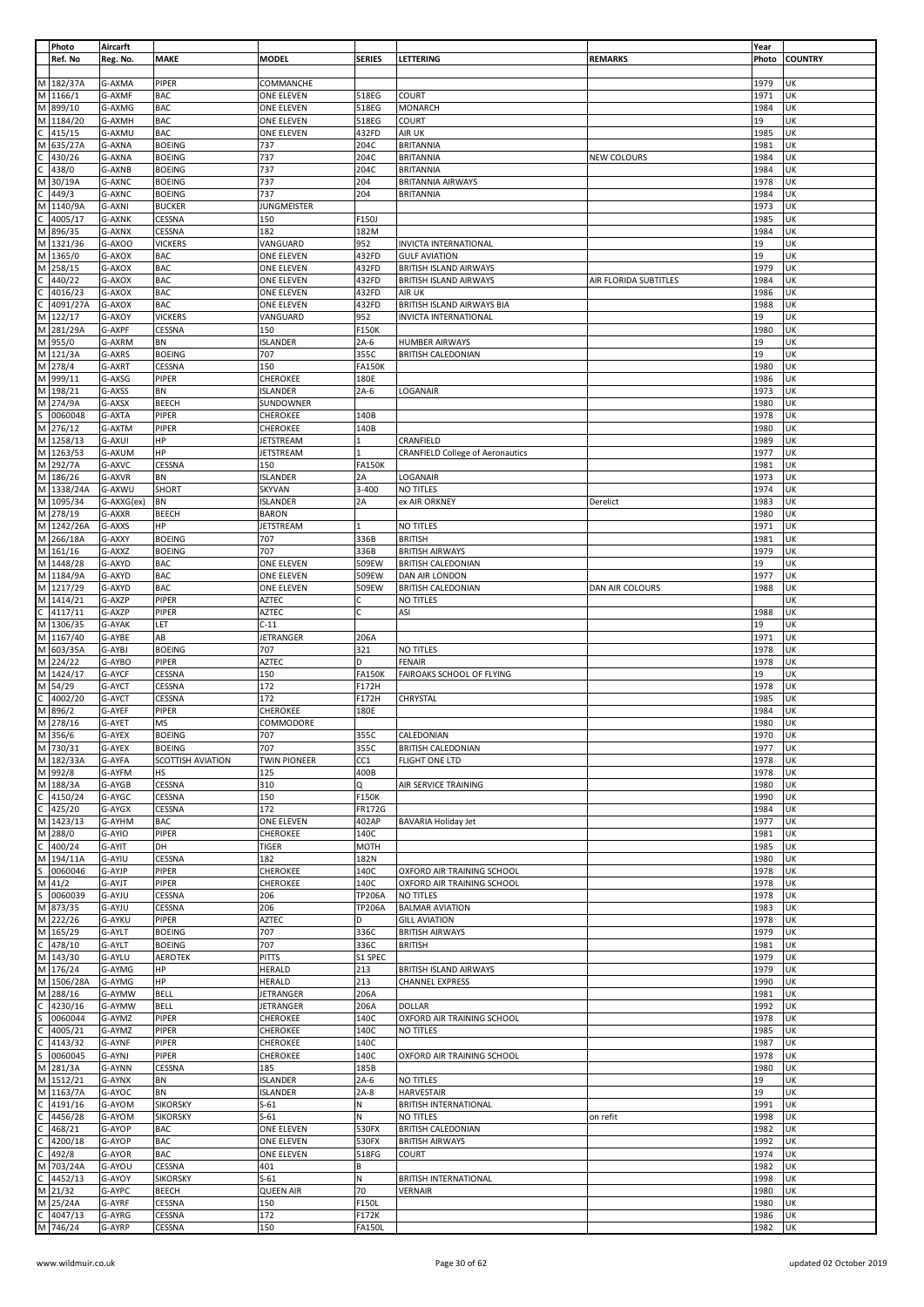|   | Photo      | Aircarft   |                   |                     |                 |                                         |                       | Year  |                |
|---|------------|------------|-------------------|---------------------|-----------------|-----------------------------------------|-----------------------|-------|----------------|
|   | Ref. No    | Reg. No.   | <b>MAKE</b>       | <b>MODEL</b>        | <b>SERIES</b>   | LETTERING                               | <b>REMARKS</b>        | Photo | <b>COUNTRY</b> |
|   |            |            |                   |                     |                 |                                         |                       |       |                |
| M | 182/37A    | G-AXMA     | PIPER             | COMMANCHE           |                 |                                         |                       | 1979  | UK             |
|   |            |            |                   |                     |                 |                                         |                       |       |                |
| М | 1166/1     | G-AXMF     | <b>BAC</b>        | <b>ONE ELEVEN</b>   | 518EG           | COURT                                   |                       | 1971  | UK             |
| M | 899/10     | G-AXMG     | <b>BAC</b>        | <b>ONE ELEVEN</b>   | 518EG           | MONARCH                                 |                       | 1984  | UK             |
| M | 1184/20    | G-AXMH     | <b>BAC</b>        | ONE ELEVEN          | 518EG           | COURT                                   |                       | 19    | UK             |
|   | 415/15     | G-AXMU     | <b>BAC</b>        | <b>ONE ELEVEN</b>   | 432FD           | AIR UK                                  |                       | 1985  | UK             |
| м | 635/27A    | G-AXNA     | <b>BOEING</b>     | 737                 | 204C            | <b>BRITANNIA</b>                        |                       | 1981  | UK             |
|   | 430/26     | G-AXNA     | <b>BOEING</b>     | 737                 | 204C            | <b>BRITANNIA</b>                        | NEW COLOURS           | 1984  | UK             |
|   |            |            |                   |                     |                 |                                         |                       |       |                |
|   | 438/0      | G-AXNB     | <b>BOEING</b>     | 737                 | 204C            | <b>BRITANNIA</b>                        |                       | 1984  | UK             |
| м | 30/19A     | G-AXNC     | <b>BOEING</b>     | 737                 | 204             | <b>BRITANNIA AIRWAYS</b>                |                       | 1978  | UK             |
|   | 449/3      | G-AXNC     | <b>BOEING</b>     | 737                 | 204             | <b>BRITANNIA</b>                        |                       | 1984  | UK             |
| М | 1140/9A    | G-AXNI     | <b>BUCKER</b>     | <b>JUNGMEISTER</b>  |                 |                                         |                       | 1973  | UK             |
|   |            |            |                   |                     |                 |                                         |                       |       |                |
|   | 4005/17    | G-AXNK     | CESSNA            | 150                 | F150J           |                                         |                       | 1985  | UK             |
| M | 896/35     | G-AXNX     | CESSNA            | 182                 | 182M            |                                         |                       | 1984  | UK             |
| M | 1321/36    | G-AXOO     | <b>VICKERS</b>    | VANGUARD            | 952             | INVICTA INTERNATIONAL                   |                       | 19    | UK             |
| M | 1365/0     | G-AXOX     | <b>BAC</b>        | ONE ELEVEN          | 432FD           | <b>GULF AVIATION</b>                    |                       | 19    | UK             |
|   |            |            |                   |                     |                 |                                         |                       |       |                |
| M | 258/15     | G-AXOX     | <b>BAC</b>        | <b>ONE ELEVEN</b>   | 432FD           | <b>BRITISH ISLAND AIRWAYS</b>           |                       | 1979  | UK             |
|   | 440/22     | G-AXOX     | <b>BAC</b>        | ONE ELEVEN          | 432FD           | <b>BRITISH ISLAND AIRWAYS</b>           | AIR FLORIDA SUBTITLES | 1984  | UK             |
|   | 4016/23    | G-AXOX     | <b>BAC</b>        | ONE ELEVEN          | 432FD           | AIR UK                                  |                       | 1986  | UK             |
|   | 4091/27A   | G-AXOX     | <b>BAC</b>        | ONE ELEVEN          | 432FD           | BRITISH ISLAND AIRWAYS BIA              |                       | 1988  | UK             |
|   |            |            |                   |                     |                 |                                         |                       |       |                |
| М | 122/17     | G-AXOY     | <b>VICKERS</b>    | VANGUARD            | 952             | INVICTA INTERNATIONAL                   |                       | 19    | UK             |
| M | 281/29A    | G-AXPF     | CESSNA            | 150                 | F150K           |                                         |                       | 1980  | UK             |
| M | 955/0      | G-AXRM     | BN                | <b>ISLANDER</b>     | $2A-6$          | <b>HUMBER AIRWAYS</b>                   |                       | 19    | UK             |
|   | M 121/3A   | G-AXRS     | <b>BOEING</b>     | 707                 | 355C            | <b>BRITISH CALEDONIAN</b>               |                       | 19    | UK             |
| M | 278/4      | G-AXRT     | CESSNA            | 150                 | <b>FA150K</b>   |                                         |                       | 1980  | UK             |
|   |            |            |                   |                     |                 |                                         |                       |       |                |
| M | 999/11     | G-AXSG     | PIPER             | <b>CHEROKEE</b>     | 180E            |                                         |                       | 1986  | UK             |
| M | 198/21     | G-AXSS     | BN                | <b>ISLANDER</b>     | $2A-6$          | LOGANAIR                                |                       | 1973  | UK             |
| M | 274/9A     | G-AXSX     | BEECH             | SUNDOWNER           |                 |                                         |                       | 1980  | UK             |
| S | 0060048    | G-AXTA     | PIPER             | CHEROKEE            | 140B            |                                         |                       | 1978  | UK             |
|   |            |            |                   |                     |                 |                                         |                       |       |                |
| М | 276/12     | G-AXTM     | PIPER             | CHEROKEE            | 140B            |                                         |                       | 1980  | UK             |
| M | 1258/13    | G-AXUI     | HP                | <b>JETSTREAM</b>    | 1               | CRANFIELD                               |                       | 1989  | UK             |
| M | 1263/53    | G-AXUM     | HP                | <b>JETSTREAM</b>    |                 | <b>CRANFIELD College of Aeronautics</b> |                       | 1977  | UK             |
| M | 292/7A     | G-AXVC     | CESSNA            | 150                 | <b>FA150K</b>   |                                         |                       | 1981  | UK             |
| M |            |            |                   |                     |                 |                                         |                       |       |                |
|   | 186/26     | G-AXVR     | BN                | <b>ISLANDER</b>     | 2A              | LOGANAIR                                |                       | 1973  | UK             |
| М | 1338/24A   | G-AXWU     | SHORT             | <b>SKYVAN</b>       | 3-400           | NO TITLES                               |                       | 1974  | UK             |
| M | 1095/34    | G-AXXG(ex) | BN                | <b>ISLANDER</b>     | 2A              | ex AIR ORKNEY                           | Derelict              | 1983  | UK             |
|   | M 278/19   | G-AXXR     | BEECH             | <b>BARON</b>        |                 |                                         |                       | 1980  | UK             |
|   | M 1242/26A | G-AXXS     | HP                | <b>JETSTREAM</b>    |                 | NO TITLES                               |                       | 1971  | UK             |
|   |            |            |                   |                     |                 |                                         |                       |       |                |
| M | 266/18A    | G-AXXY     | <b>BOEING</b>     | 707                 | 336B            | <b>BRITISH</b>                          |                       | 1981  | UK             |
|   | M 161/16   | G-AXXZ     | <b>BOEING</b>     | 707                 | 336B            | <b>BRITISH AIRWAYS</b>                  |                       | 1979  | UK             |
| M | 1448/28    | G-AXYD     | <b>BAC</b>        | ONE ELEVEN          | 509EW           | <b>BRITISH CALEDONIAN</b>               |                       | 19    | UK             |
|   | M 1184/9A  | G-AXYD     | <b>BAC</b>        | ONE ELEVEN          | 509EW           | DAN AIR LONDON                          |                       | 1977  | UK             |
|   |            |            |                   |                     |                 |                                         |                       |       |                |
|   | M 1217/29  | G-AXYD     | <b>BAC</b>        | <b>ONE ELEVEN</b>   | 509EW           | <b>BRITISH CALEDONIAN</b>               | DAN AIR COLOURS       | 1988  | UK             |
|   | M 1414/21  | G-AXZP     | PIPER             | <b>AZTEC</b>        |                 | NO TITLES                               |                       |       | UK             |
| C | 4117/11    | G-AXZP     | PIPER             | AZTEC               | C               | ASI                                     |                       | 1988  | UK             |
| M | 1306/35    | G-AYAK     | LET               | $C-11$              |                 |                                         |                       | 19    | UK             |
| M | 1167/40    | G-AYBE     | AB                | <b>JETRANGER</b>    | 206A            |                                         |                       | 1971  | UK             |
|   |            |            |                   |                     |                 |                                         |                       |       |                |
|   | M 603/35A  | G-AYBJ     | <b>BOEING</b>     | 707                 | 321             | NO TITLES                               |                       | 1978  | UK             |
|   | M 224/22   | G-AYBO     | PIPER             | <b>AZTEC</b>        | D               | <b>FENAIR</b>                           |                       | 1978  | UK             |
| M | 1424/17    | G-AYCF     | CESSNA            | 150                 | <b>FA150K</b>   | FAIROAKS SCHOOL OF FLYING               |                       | 19    | UK             |
|   | M 54/29    | G-AYCT     | CESSNA            | 172                 | F172H           |                                         |                       | 1978  | UK             |
|   |            |            |                   |                     |                 |                                         |                       |       |                |
|   | 4002/20    | G-AYCT     | CESSNA            | 172                 | F172H           | CHRYSTAL                                |                       | 1985  | UK             |
| M | 896/2      | G-AYEF     | PIPER             | <b>CHEROKEE</b>     | 180E            |                                         |                       | 1984  | UK             |
| M | 278/16     | G-AYET     | MS                | COMMODORE           |                 |                                         |                       | 1980  | UK             |
|   | M 356/6    | G-AYEX     | <b>BOEING</b>     | 707                 | 355C            | CALEDONIAN                              |                       | 1970  | UK             |
|   | M 730/31   | G-AYEX     | <b>BOEING</b>     | 707                 | 355C            | <b>BRITISH CALEDONIAN</b>               |                       | 1977  | UK             |
|   |            |            |                   |                     |                 |                                         |                       |       |                |
|   | M 182/33A  | G-AYFA     | SCOTTISH AVIATION | <b>TWIN PIONEER</b> | CC <sub>1</sub> | FLIGHT ONE LTD                          |                       | 1978  | UK             |
| M | 992/8      | G-AYFM     | HS                | 125                 | 400B            |                                         |                       | 1978  | UK             |
| M | 188/3A     | G-AYGB     | CESSNA            | 310                 | Q               | AIR SERVICE TRAINING                    |                       | 1980  | UK             |
| C | 4150/24    | G-AYGC     | CESSNA            | 150                 | F150K           |                                         |                       | 1990  | UK             |
|   | 425/20     | G-AYGX     | CESSNA            | 172                 | FR172G          |                                         |                       | 1984  | UK             |
|   |            |            |                   |                     |                 |                                         |                       |       |                |
|   | M 1423/13  | G-AYHM     | <b>BAC</b>        | ONE ELEVEN          | 402AP           | <b>BAVARIA Holiday Jet</b>              |                       | 1977  | UK             |
| M | 288/0      | G-AYIO     | PIPER             | <b>CHEROKEE</b>     | 140C            |                                         |                       | 1981  | UK             |
| C | 400/24     | G-AYIT     | DH                | <b>TIGER</b>        | <b>MOTH</b>     |                                         |                       | 1985  | UK             |
| М | 194/11A    | G-AYIU     | CESSNA            | 182                 | 182N            |                                         |                       | 1980  | UK             |
|   | 0060046    | G-AYJP     | PIPER             | CHEROKEE            | 140C            | OXFORD AIR TRAINING SCHOOL              |                       | 1978  | UK             |
|   |            |            |                   |                     |                 |                                         |                       |       |                |
| M | 41/2       | G-AYJT     | PIPER             | <b>CHEROKEE</b>     | 140C            | OXFORD AIR TRAINING SCHOOL              |                       | 1978  | UK             |
|   | 0060039    | G-AYJU     | CESSNA            | 206                 | <b>TP206A</b>   | <b>NO TITLES</b>                        |                       | 1978  | UK             |
| М | 873/35     | G-AYJU     | CESSNA            | 206                 | TP206A          | <b>BALMAR AVIATION</b>                  |                       | 1983  | UK             |
| M | 222/26     | G-AYKU     | PIPER             | <b>AZTEC</b>        | D               | <b>GILL AVIATION</b>                    |                       | 1978  | UK             |
| M | 165/29     | G-AYLT     | <b>BOEING</b>     | 707                 | 336C            | <b>BRITISH AIRWAYS</b>                  |                       | 1979  | UK             |
|   | 478/10     | G-AYLT     | <b>BOEING</b>     | 707                 | 336C            | <b>BRITISH</b>                          |                       | 1981  | UK             |
|   |            |            |                   |                     |                 |                                         |                       |       |                |
| М | 143/30     | G-AYLU     | <b>AEROTEK</b>    | <b>PITTS</b>        | S1 SPEC         |                                         |                       | 1979  | UK             |
| М | 176/24     | G-AYMG     | ΗP                | HERALD              | 213             | BRITISH ISLAND AIRWAYS                  |                       | 1979  | UK             |
| M | 1506/28A   | G-AYMG     | HP                | <b>HERALD</b>       | 213             | <b>CHANNEL EXPRESS</b>                  |                       | 1990  | UK             |
| M | 288/16     | G-AYMW     | <b>BELL</b>       | JETRANGER           | 206A            |                                         |                       | 1981  | UK             |
|   | 4230/16    | G-AYMW     | <b>BELL</b>       | JETRANGER           | 206A            | <b>DOLLAR</b>                           |                       | 1992  | UK             |
|   |            |            |                   |                     |                 |                                         |                       |       |                |
|   | 0060044    | G-AYMZ     | PIPER             | <b>CHEROKEE</b>     | 140C            | OXFORD AIR TRAINING SCHOOL              |                       | 1978  | UK             |
|   | 4005/21    | G-AYMZ     | PIPER             | <b>CHEROKEE</b>     | 140C            | <b>NO TITLES</b>                        |                       | 1985  | UK             |
|   | 4143/32    | G-AYNF     | PIPER             | <b>CHEROKEE</b>     | 140C            |                                         |                       | 1987  | UK             |
|   | 0060045    | G-AYNJ     | PIPER             | CHEROKEE            | 140C            | OXFORD AIR TRAINING SCHOOL              |                       | 1978  | UK             |
|   |            |            |                   |                     |                 |                                         |                       |       |                |
| М | 281/3A     | G-AYNN     | CESSNA            | 185                 | 185B            |                                         |                       | 1980  | UK             |
| M | 1512/21    | G-AYNX     | BN                | <b>ISLANDER</b>     | $2A-6$          | NO TITLES                               |                       | 19    | UK             |
| M | 1163/7A    | G-AYOC     | BN                | <b>ISLANDER</b>     | $2A-8$          | <b>HARVESTAIR</b>                       |                       | 19    | UK             |
|   | 4191/16    | G-AYOM     | <b>SIKORSKY</b>   | $S-61$              | Ν               | <b>BRITISH INTERNATIONAL</b>            |                       | 1991  | UK             |
|   | 4456/28    | G-AYOM     | <b>SIKORSKY</b>   | $S-61$              | N               | NO TITLES                               | on refit              | 1998  | UK             |
|   |            |            |                   |                     |                 |                                         |                       |       |                |
|   | 468/21     | G-AYOP     | <b>BAC</b>        | ONE ELEVEN          | 530FX           | <b>BRITISH CALEDONIAN</b>               |                       | 1982  | UK             |
|   | 4200/18    | G-AYOP     | <b>BAC</b>        | ONE ELEVEN          | 530FX           | <b>BRITISH AIRWAYS</b>                  |                       | 1992  | UK             |
|   | 492/8      | G-AYOR     | <b>BAC</b>        | ONE ELEVEN          | 518FG           | COURT                                   |                       | 1974  | UK             |
| М | 703/24A    | G-AYOU     | CESSNA            | 401                 | В               |                                         |                       | 1982  | UK             |
|   | 4452/13    | G-AYOY     | <b>SIKORSKY</b>   | $S-61$              | N               | <b>BRITISH INTERNATIONAL</b>            |                       | 1998  | UK             |
|   |            |            |                   |                     |                 |                                         |                       |       |                |
| M | 21/32      | G-AYPC     | BEECH             | <b>QUEEN AIR</b>    | 70              | <b>VERNAIR</b>                          |                       | 1980  | UK             |
| M | 25/24A     | G-AYRF     | CESSNA            | 150                 | F150L           |                                         |                       | 1980  | UK             |
|   | 4047/13    | G-AYRG     | CESSNA            | 172                 | F172K           |                                         |                       | 1986  | UK             |
| M | 746/24     | G-AYRP     | CESSNA            | 150                 | <b>FA150L</b>   |                                         |                       | 1982  | UK             |
|   |            |            |                   |                     |                 |                                         |                       |       |                |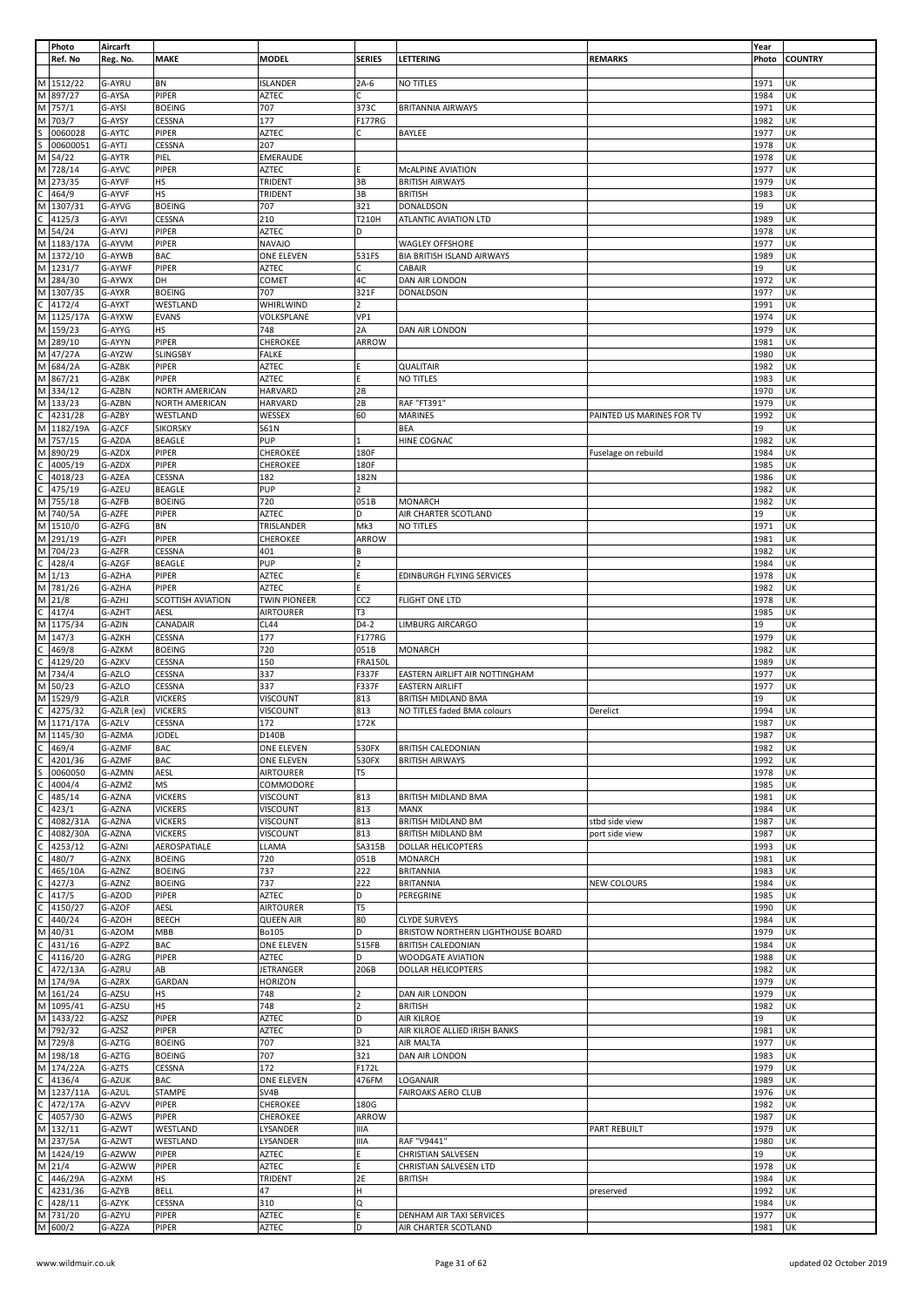|   | Photo      | Aircarft    |                   |                   |                 |                                   |                           | Year  |                |
|---|------------|-------------|-------------------|-------------------|-----------------|-----------------------------------|---------------------------|-------|----------------|
|   | Ref. No    | Reg. No.    | <b>MAKE</b>       | <b>MODEL</b>      | <b>SERIES</b>   | LETTERING                         | <b>REMARKS</b>            | Photo | <b>COUNTRY</b> |
|   |            |             |                   |                   |                 |                                   |                           |       |                |
| M | 1512/22    | G-AYRU      | BN                | <b>ISLANDER</b>   | $2A-6$          | NO TITLES                         |                           | 1971  | UK             |
|   |            |             |                   |                   |                 |                                   |                           |       |                |
| M | 897/27     | G-AYSA      | PIPER             | AZTEC             | C               |                                   |                           | 1984  | UK             |
| M | 757/1      | G-AYSI      | <b>BOEING</b>     | 707               | 373C            | <b>BRITANNIA AIRWAYS</b>          |                           | 1971  | UK             |
| M | 703/7      | G-AYSY      | CESSNA            | 177               | F177RG          |                                   |                           | 1982  | UK             |
|   | 0060028    | G-AYTC      | PIPER             | AZTEC             | C               | BAYLEE                            |                           | 1977  | UK             |
|   | 00600051   | G-AYTJ      | CESSNA            | 207               |                 |                                   |                           | 1978  | UK             |
| M | 54/22      | G-AYTR      | PIEL              | EMERAUDE          |                 |                                   |                           | 1978  | UK             |
|   |            |             |                   |                   |                 |                                   |                           |       |                |
| M | 728/14     | G-AYVC      | PIPER             | AZTEC             | F               | MCALPINE AVIATION                 |                           | 1977  | UK             |
| М | 273/35     | G-AYVF      | HS                | TRIDENT           | 3B              | <b>BRITISH AIRWAYS</b>            |                           | 1979  | UK             |
|   | 464/9      | G-AYVF      | HS                | TRIDENT           | 3B              | <b>BRITISH</b>                    |                           | 1983  | UK             |
| М | 1307/31    | G-AYVG      | <b>BOEING</b>     | 707               | 321             | DONALDSON                         |                           | 19    | UK             |
|   | 4125/3     | G-AYVI      | CESSNA            | 210               | T210H           | ATLANTIC AVIATION LTD             |                           | 1989  | UK             |
|   |            |             |                   |                   | D               |                                   |                           |       | UK             |
| M | 54/24      | G-AYVJ      | PIPER             | <b>AZTEC</b>      |                 |                                   |                           | 1978  |                |
|   | M 1183/17A | G-AYVM      | PIPER             | <b>NAVAJO</b>     |                 | <b>WAGLEY OFFSHORE</b>            |                           | 1977  | UK             |
| M | 1372/10    | G-AYWB      | <b>BAC</b>        | ONE ELEVEN        | 531FS           | <b>BIA BRITISH ISLAND AIRWAYS</b> |                           | 1989  | UK             |
| M | 1231/7     | G-AYWF      | PIPER             | AZTEC             | С               | CABAIR                            |                           | 19    | UK             |
| M | 284/30     | G-AYWX      | DH                | <b>COMET</b>      | 4C              | DAN AIR LONDON                    |                           | 1972  | UK             |
| M | 1307/35    | G-AYXR      | <b>BOEING</b>     | 707               | 321F            | DONALDSON                         |                           | 197?  | UK             |
| C |            |             |                   |                   | $\overline{2}$  |                                   |                           |       |                |
|   | 4172/4     | G-AYXT      | WESTLAND          | WHIRLWIND         |                 |                                   |                           | 1991  | UK             |
| М | 1125/17A   | G-AYXW      | <b>EVANS</b>      | VOLKSPLANE        | VP1             |                                   |                           | 1974  | UK             |
| M | 159/23     | G-AYYG      | HS                | 748               | 2A              | DAN AIR LONDON                    |                           | 1979  | UK             |
| M | 289/10     | G-AYYN      | PIPER             | CHEROKEE          | ARROW           |                                   |                           | 1981  | UK             |
| М | 47/27A     | G-AYZW      | <b>SLINGSBY</b>   | <b>FALKE</b>      |                 |                                   |                           | 1980  | UK             |
| M | 684/2A     | G-AZBK      | PIPER             | <b>AZTEC</b>      |                 | QUALITAIR                         |                           | 1982  | UK             |
|   |            |             |                   |                   |                 |                                   |                           |       |                |
| M | 867/21     | G-AZBK      | PIPER             | <b>AZTEC</b>      | F               | NO TITLES                         |                           | 1983  | UK             |
| M | 334/12     | G-AZBN      | NORTH AMERICAN    | <b>HARVARD</b>    | 2B              |                                   |                           | 1970  | UK             |
| M | 133/23     | G-AZBN      | NORTH AMERICAN    | <b>HARVARD</b>    | 2B              | RAF "FT391"                       |                           | 1979  | UK             |
| Ċ | 4231/28    | G-AZBY      | WESTLAND          | WESSEX            | 60              | <b>MARINES</b>                    | PAINTED US MARINES FOR TV | 1992  | UK             |
| M | 1182/19A   | G-AZCF      | <b>SIKORSKY</b>   | <b>S61N</b>       |                 | BEA                               |                           | 19    | UK             |
|   |            |             |                   |                   |                 |                                   |                           |       |                |
| M | 757/15     | G-AZDA      | <b>BEAGLE</b>     | PUP               | 1               | HINE COGNAC                       |                           | 1982  | UK             |
| М | 890/29     | G-AZDX      | <b>PIPER</b>      | CHEROKEE          | 180F            |                                   | Fuselage on rebuild       | 1984  | UK             |
|   | 4005/19    | G-AZDX      | PIPER             | CHEROKEE          | 180F            |                                   |                           | 1985  | UK             |
|   | 4018/23    | G-AZEA      | CESSNA            | 182               | 182N            |                                   |                           | 1986  | UK             |
|   |            |             |                   |                   |                 |                                   |                           |       |                |
|   | 475/19     | G-AZEU      | <b>BEAGLE</b>     | PUP               | $\overline{2}$  |                                   |                           | 1982  | UK             |
| M | 755/18     | G-AZFB      | <b>BOEING</b>     | 720               | 051B            | <b>MONARCH</b>                    |                           | 1982  | UK             |
| M | 740/5A     | G-AZFE      | PIPER             | AZTEC             | D               | AIR CHARTER SCOTLAND              |                           | 19    | UK             |
| М | 1510/0     | G-AZFG      | BN                | TRISLANDER        | Mk3             | NO TITLES                         |                           | 1971  | UK             |
| M | 291/19     | G-AZFI      | PIPER             | CHEROKEE          | ARROW           |                                   |                           | 1981  | UK             |
| M |            |             |                   |                   |                 |                                   |                           |       |                |
|   | 704/23     | G-AZFR      | CESSNA            | 401               | В               |                                   |                           | 1982  | UK             |
|   | 428/4      | G-AZGF      | <b>BEAGLE</b>     | PUP               | $\overline{2}$  |                                   |                           | 1984  | UK             |
| M | 1/13       | G-AZHA      | PIPER             | AZTEC             | F               | EDINBURGH FLYING SERVICES         |                           | 1978  | UK             |
| M | 781/26     | G-AZHA      | <b>PIPER</b>      | <b>AZTEC</b>      |                 |                                   |                           | 1982  | UΚ             |
| М | 21/8       | G-AZHJ      | SCOTTISH AVIATION | TWIN PIONEER      | CC <sub>2</sub> | FLIGHT ONE LTD                    |                           | 1978  | UK             |
| Ċ | 417/4      | G-AZHT      | AESL              | AIRTOURER         | T3              |                                   |                           | 1985  | UK             |
|   |            |             |                   |                   |                 |                                   |                           |       |                |
| М | 1175/34    | G-AZIN      | CANADAIR          | <b>CL44</b>       | D4-2            | LIMBURG AIRCARGO                  |                           | 19    | UK             |
| M | 147/3      | G-AZKH      | CESSNA            | 177               | F177RG          |                                   |                           | 1979  | UK             |
| C | 469/8      | G-AZKM      | <b>BOEING</b>     | 720               | 051B            | <b>MONARCH</b>                    |                           | 1982  | UK             |
|   | 4129/20    | G-AZKV      | CESSNA            | 150               | <b>FRA150L</b>  |                                   |                           | 1989  | UK             |
| M | 734/4      | G-AZLO      | CESSNA            | 337               | F337F           | EASTERN AIRLIFT AIR NOTTINGHAM    |                           | 1977  | UK             |
| M |            |             |                   |                   |                 | <b>EASTERN AIRLIFT</b>            |                           |       |                |
|   | 50/23      | G-AZLO      | CESSNA            | 337               | F337F           |                                   |                           | 1977  | UK             |
| М | 1529/9     | G-AZLR      | <b>VICKERS</b>    | VISCOUNT          | 813             | BRITISH MIDLAND BMA               |                           | 19    | UK             |
|   | 4275/32    | G-AZLR (ex) | <b>VICKERS</b>    | VISCOUNT          | 813             | NO TITLES faded BMA colours       | Derelict                  | 1994  | UK             |
|   | M 1171/17A | G-AZLV      | CESSNA            | 172               | 172K            |                                   |                           | 1987  | UK             |
|   | M 1145/30  | G-AZMA      | <b>JODEL</b>      | D140B             |                 |                                   |                           | 1987  | UK             |
|   | 469/4      | G-AZMF      | <b>BAC</b>        | <b>ONE ELEVEN</b> | 530FX           | <b>BRITISH CALEDONIAN</b>         |                           | 1982  | UK             |
|   |            |             |                   |                   |                 |                                   |                           |       |                |
|   | 4201/36    | G-AZMF      | <b>BAC</b>        | ONE ELEVEN        | 530FX           | <b>BRITISH AIRWAYS</b>            |                           | 1992  | UK             |
|   | 0060050    | G-AZMN      | <b>AESL</b>       | <b>AIRTOURER</b>  | T5              |                                   |                           | 1978  | UK             |
|   | 4004/4     | G-AZMZ      | <b>MS</b>         | COMMODORE         |                 |                                   |                           | 1985  | UK             |
|   | 485/14     | G-AZNA      | <b>VICKERS</b>    | <b>VISCOUNT</b>   | 813             | BRITISH MIDLAND BMA               |                           | 1981  | UK             |
|   | 423/1      | G-AZNA      | <b>VICKERS</b>    | <b>VISCOUNT</b>   | 813             | MANX                              |                           | 1984  | UK             |
|   |            | G-AZNA      | <b>VICKERS</b>    | <b>VISCOUNT</b>   | 813             | <b>BRITISH MIDLAND BM</b>         |                           | 1987  | UK             |
|   | 4082/31A   |             |                   |                   |                 |                                   | stbd side view            |       |                |
|   | 4082/30A   | G-AZNA      | <b>VICKERS</b>    | VISCOUNT          | 813             | BRITISH MIDLAND BM                | port side view            | 1987  | UK             |
|   | 4253/12    | G-AZNI      | AEROSPATIALE      | LLAMA             | SA315B          | DOLLAR HELICOPTERS                |                           | 1993  | UK             |
|   | 480/7      | G-AZNX      | <b>BOEING</b>     | 720               | 051B            | MONARCH                           |                           | 1981  | UK             |
|   | 465/10A    | G-AZNZ      | <b>BOEING</b>     | 737               | 222             | <b>BRITANNIA</b>                  |                           | 1983  | UK             |
|   | 427/3      | G-AZNZ      | <b>BOEING</b>     | 737               | 222             | <b>BRITANNIA</b>                  | NEW COLOURS               | 1984  | UK             |
|   |            |             | PIPER             |                   | D               |                                   |                           |       | UK             |
|   | 417/5      | G-AZOD      |                   | AZTEC             |                 | PEREGRINE                         |                           | 1985  |                |
|   | 4150/27    | G-AZOF      | <b>AESL</b>       | <b>AIRTOURER</b>  | T5              |                                   |                           | 1990  | UK             |
|   | 440/24     | G-AZOH      | <b>BEECH</b>      | <b>QUEEN AIR</b>  | 80              | <b>CLYDE SURVEYS</b>              |                           | 1984  | UK             |
|   | 40/31      | G-AZOM      | MBB               | <b>Bo105</b>      | D               | BRISTOW NORTHERN LIGHTHOUSE BOARD |                           | 1979  | UK             |
|   | 431/16     | G-AZPZ      | <b>BAC</b>        | <b>ONE ELEVEN</b> | 515FB           | <b>BRITISH CALEDONIAN</b>         |                           | 1984  | UK             |
|   | 4116/20    | G-AZRG      | PIPER             | AZTEC             | D               | WOODGATE AVIATION                 |                           | 1988  | UK             |
|   |            |             |                   |                   |                 |                                   |                           |       |                |
|   | 472/13A    | G-AZRU      | AB                | JETRANGER         | 206B            | DOLLAR HELICOPTERS                |                           | 1982  | UK             |
| M | 174/9A     | G-AZRX      | GARDAN            | HORIZON           |                 |                                   |                           | 1979  | UK             |
|   | M 161/24   | G-AZSU      | HS                | 748               | $\overline{2}$  | DAN AIR LONDON                    |                           | 1979  | UK             |
| M | 1095/41    | G-AZSU      | <b>HS</b>         | 748               | $\overline{2}$  | <b>BRITISH</b>                    |                           | 1982  | UK             |
| M | 1433/22    | G-AZSZ      | PIPER             | <b>AZTEC</b>      | D               | AIR KILROE                        |                           | 19    | UK             |
|   | M 792/32   | G-AZSZ      | PIPER             | <b>AZTEC</b>      | D               | AIR KILROE ALLIED IRISH BANKS     |                           | 1981  | UK             |
|   |            |             |                   |                   |                 |                                   |                           |       |                |
|   | M 729/8    | G-AZTG      | <b>BOEING</b>     | 707               | 321             | AIR MALTA                         |                           | 1977  | UK             |
| M | 198/18     | G-AZTG      | <b>BOEING</b>     | 707               | 321             | DAN AIR LONDON                    |                           | 1983  | UK             |
|   | M 174/22A  | G-AZTS      | CESSNA            | 172               | F172L           |                                   |                           | 1979  | UK             |
|   | 4136/4     | G-AZUK      | <b>BAC</b>        | ONE ELEVEN        | 476FM           | LOGANAIR                          |                           | 1989  | UK             |
| М | 1237/11A   | G-AZUL      | STAMPE            | SV4B              |                 | <b>FAIROAKS AERO CLUB</b>         |                           | 1976  | UK             |
|   |            |             |                   |                   |                 |                                   |                           |       |                |
| C | 472/17A    | G-AZVV      | <b>PIPER</b>      | CHEROKEE          | 180G            |                                   |                           | 1982  | UK             |
|   | 4057/30    | G-AZWS      | PIPER             | CHEROKEE          | ARROW           |                                   |                           | 1987  | UK             |
|   | M 132/11   | G-AZWT      | WESTLAND          | LYSANDER          | <b>IIIA</b>     |                                   | <b>PART REBUILT</b>       | 1979  | UK             |
| M | 237/5A     | G-AZWT      | WESTLAND          | LYSANDER          | <b>IIIA</b>     | RAF "V9441"                       |                           | 1980  | UK             |
|   |            |             |                   |                   |                 |                                   |                           |       |                |
| M | 1424/19    | G-AZWW      | PIPER             | <b>AZTEC</b>      |                 | <b>CHRISTIAN SALVESEN</b>         |                           | 19    | UK             |
|   | $M$ 21/4   | G-AZWW      | PIPER             | AZTEC             | E.              | CHRISTIAN SALVESEN LTD            |                           | 1978  | UK             |
|   | 446/29A    | G-AZXM      | HS                | TRIDENT           | 2E              | <b>BRITISH</b>                    |                           | 1984  | UK             |
|   | 4231/36    | G-AZYB      | <b>BELL</b>       | 47                | H               |                                   | preserved                 | 1992  | UK             |
|   | 428/11     | G-AZYK      | CESSNA            | 310               | Q               |                                   |                           | 1984  | UK             |
| М | 731/20     | G-AZYU      | PIPER             | <b>AZTEC</b>      | F               | DENHAM AIR TAXI SERVICES          |                           | 1977  | UK             |
|   |            | G-AZZA      | PIPER             | <b>AZTEC</b>      | l D             | AIR CHARTER SCOTLAND              |                           | 1981  | UK             |
|   | M 600/2    |             |                   |                   |                 |                                   |                           |       |                |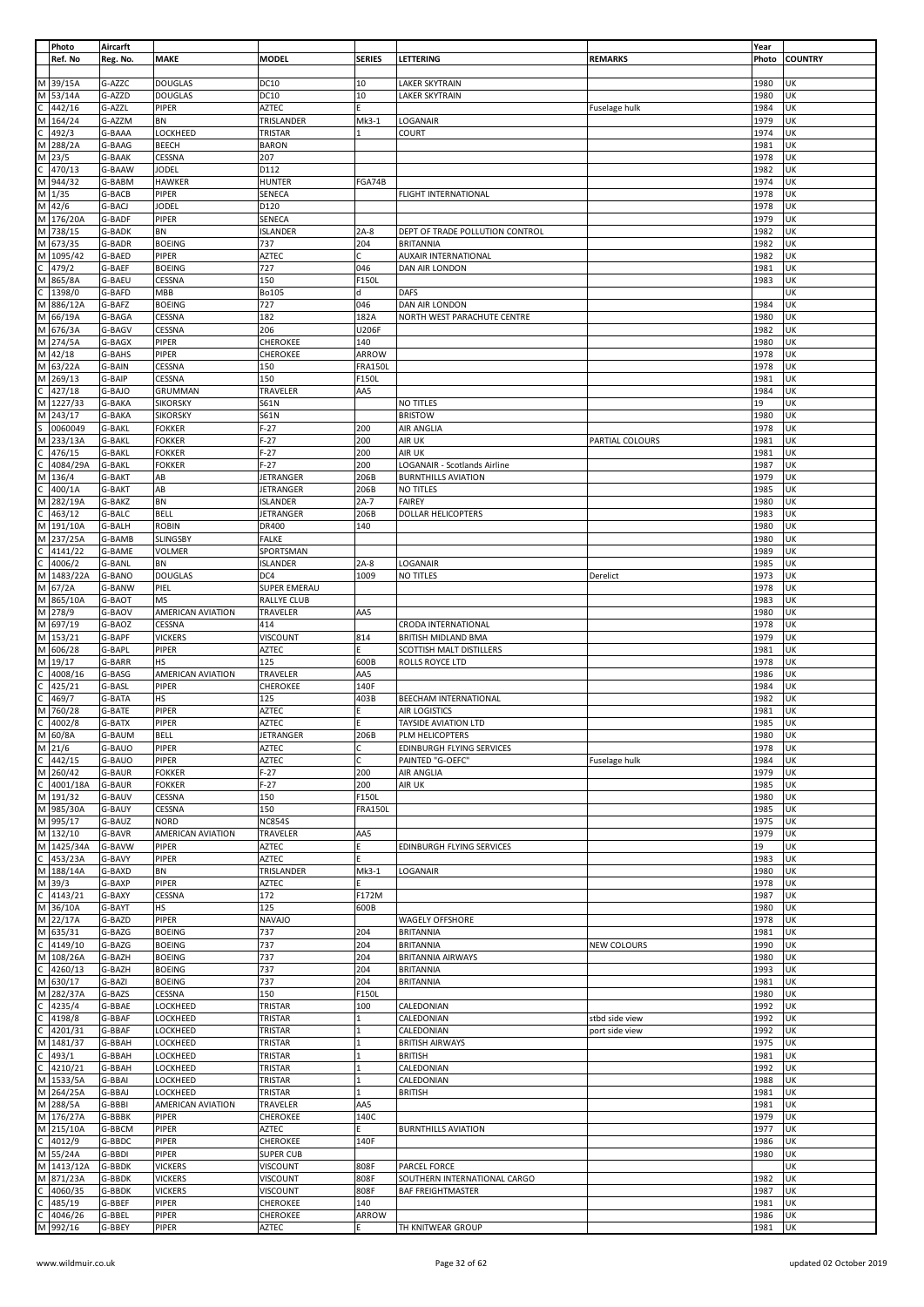|   | Photo     | Aircarft      |                          |                  |                |                                 |                    | Year  |                |
|---|-----------|---------------|--------------------------|------------------|----------------|---------------------------------|--------------------|-------|----------------|
|   | Ref. No   | Reg. No.      | <b>MAKE</b>              | <b>MODEL</b>     | <b>SERIES</b>  | LETTERING                       | <b>REMARKS</b>     | Photo | <b>COUNTRY</b> |
|   |           |               |                          |                  |                |                                 |                    |       |                |
| M | 39/15A    | G-AZZC        | <b>DOUGLAS</b>           | DC10             | 10             | LAKER SKYTRAIN                  |                    | 1980  | UK             |
|   |           |               |                          |                  |                |                                 |                    |       |                |
| M | 53/14A    | G-AZZD        | <b>DOUGLAS</b>           | <b>DC10</b>      | 10             | <b>LAKER SKYTRAIN</b>           |                    | 1980  | UK             |
| С | 442/16    | G-AZZL        | <b>PIPER</b>             | <b>AZTEC</b>     | F              |                                 | Fuselage hulk      | 1984  | UK             |
| M | 164/24    | G-AZZM        | BN                       | TRISLANDER       | Mk3-1          | LOGANAIR                        |                    | 1979  | UK             |
|   | 492/3     | G-BAAA        | LOCKHEED                 | TRISTAR          | 1              | COURT                           |                    | 1974  | UK             |
| М | 288/2A    | G-BAAG        | <b>BEECH</b>             | <b>BARON</b>     |                |                                 |                    | 1981  | UK             |
| M | 23/5      | G-BAAK        | CESSNA                   | 207              |                |                                 |                    | 1978  | UK             |
|   |           |               |                          |                  |                |                                 |                    |       |                |
| Ċ | 470/13    | G-BAAW        | <b>JODEL</b>             | D112             |                |                                 |                    | 1982  | UK             |
| M | 944/32    | G-BABM        | <b>HAWKER</b>            | <b>HUNTER</b>    | FGA74B         |                                 |                    | 1974  | UK             |
| M | 1/35      | G-BACB        | PIPER                    | SENECA           |                | FLIGHT INTERNATIONAL            |                    | 1978  | UK             |
|   | M 42/6    | G-BACJ        | <b>JODEL</b>             | D120             |                |                                 |                    | 1978  | UK             |
|   |           |               |                          |                  |                |                                 |                    |       |                |
|   | M 176/20A | G-BADF        | PIPER                    | SENECA           |                |                                 |                    | 1979  | UK             |
| M | 738/15    | G-BADK        | BN                       | <b>ISLANDER</b>  | $2A-8$         | DEPT OF TRADE POLLUTION CONTROL |                    | 1982  | UK             |
| M | 673/35    | G-BADR        | <b>BOEING</b>            | 737              | 204            | <b>BRITANNIA</b>                |                    | 1982  | UK             |
| М | 1095/42   | G-BAED        | PIPER                    | <b>AZTEC</b>     | Ċ              | AUXAIR INTERNATIONAL            |                    | 1982  | UK             |
| Ċ | 479/2     | G-BAEF        | <b>BOEING</b>            | 727              | 046            | DAN AIR LONDON                  |                    | 1981  | UK             |
|   |           |               |                          |                  |                |                                 |                    |       |                |
| M | 865/8A    | G-BAEU        | CESSNA                   | 150              | F150L          |                                 |                    | 1983  | UK             |
|   | 1398/0    | G-BAFD        | <b>MBB</b>               | Bo105            | d              | <b>DAFS</b>                     |                    |       | UK             |
| M | 886/12A   | G-BAFZ        | <b>BOEING</b>            | 727              | 046            | DAN AIR LONDON                  |                    | 1984  | UK             |
| M | 66/19A    | G-BAGA        | CESSNA                   | 182              | 182A           | NORTH WEST PARACHUTE CENTRE     |                    | 1980  | UK             |
| M | 676/3A    | G-BAGV        | CESSNA                   | 206              | U206F          |                                 |                    | 1982  | UK             |
|   |           |               |                          |                  |                |                                 |                    |       |                |
| M | 274/5A    | G-BAGX        | PIPER                    | CHEROKEE         | 140            |                                 |                    | 1980  | UK             |
| M | 42/18     | G-BAHS        | PIPER                    | CHEROKEE         | ARROW          |                                 |                    | 1978  | UK             |
| M | 63/22A    | G-BAIN        | CESSNA                   | 150              | <b>FRA150L</b> |                                 |                    | 1978  | UK             |
| M | 269/13    | G-BAIP        | CESSNA                   | 150              | F150L          |                                 |                    | 1981  | UK             |
|   | 427/18    | G-BAJO        | <b>GRUMMAN</b>           | TRAVELER         | AA5            |                                 |                    | 1984  | UK             |
|   |           |               |                          |                  |                |                                 |                    |       |                |
| M | 1227/33   | G-BAKA        | <b>SIKORSKY</b>          | S61N             |                | NO TITLES                       |                    | 19    | UK             |
| M | 243/17    | G-BAKA        | <b>SIKORSKY</b>          | S61N             |                | <b>BRISTOW</b>                  |                    | 1980  | UK             |
|   | 0060049   | G-BAKL        | <b>FOKKER</b>            | $F-27$           | 200            | AIR ANGLIA                      |                    | 1978  | UK             |
| M | 233/13A   | G-BAKL        | <b>FOKKER</b>            | $F-27$           | 200            | AIR UK                          | PARTIAL COLOURS    | 1981  | UK             |
|   | 476/15    | G-BAKL        | <b>FOKKER</b>            | $F-27$           | 200            | AIR UK                          |                    | 1981  | UK             |
|   |           |               |                          |                  |                |                                 |                    |       |                |
|   | 4084/29A  | G-BAKL        | <b>FOKKER</b>            | $F-27$           | 200            | LOGANAIR - Scotlands Airline    |                    | 1987  | UK             |
| м | 136/4     | G-BAKT        | AB                       | JETRANGER        | 206B           | <b>BURNTHILLS AVIATION</b>      |                    | 1979  | UK             |
|   | 400/1A    | G-BAKT        | AB                       | JETRANGER        | 206B           | NO TITLES                       |                    | 1985  | UK             |
| М | 282/19A   | G-BAKZ        | <b>BN</b>                | <b>ISLANDER</b>  | $2A-7$         | <b>FAIREY</b>                   |                    | 1980  | UK             |
|   | 463/12    | G-BALC        | <b>BELL</b>              | JETRANGER        | 206B           | DOLLAR HELICOPTERS              |                    | 1983  | UK             |
|   | 191/10A   | G-BALH        | <b>ROBIN</b>             | DR400            | 140            |                                 |                    | 1980  | UK             |
| М |           |               |                          |                  |                |                                 |                    |       |                |
| M | 237/25A   | G-BAMB        | <b>SLINGSBY</b>          | <b>FALKE</b>     |                |                                 |                    | 1980  | UK             |
|   | 4141/22   | G-BAME        | <b>VOLMER</b>            | SPORTSMAN        |                |                                 |                    | 1989  | UK             |
|   | 4006/2    | G-BANL        | BN                       | <b>ISLANDER</b>  | $2A-8$         | LOGANAIR                        |                    | 1985  | UK             |
| M | 1483/22A  | G-BANO        | <b>DOUGLAS</b>           | DC4              | 1009           | NO TITLES                       | Derelict           | 1973  | UK             |
| M | 67/2A     | G-BANW        | PIEL                     | SUPER EMERAU     |                |                                 |                    | 1978  | UK             |
| M | 865/10A   | G-BAOT        | ΜS                       | RALLYE CLUB      |                |                                 |                    | 1983  | UK             |
| M | 278/9     | G-BAOV        | AMERICAN AVIATION        | TRAVELER         | AA5            |                                 |                    | 1980  | UK             |
| M | 697/19    | G-BAOZ        | CESSNA                   | 414              |                | CRODA INTERNATIONAL             |                    | 1978  | UK             |
|   |           |               |                          |                  |                |                                 |                    |       |                |
| M | 153/21    | G-BAPF        | <b>VICKERS</b>           | VISCOUNT         | 814            | BRITISH MIDLAND BMA             |                    | 1979  | UK             |
| M | 606/28    | G-BAPL        | PIPER                    | <b>AZTEC</b>     | E.             | SCOTTISH MALT DISTILLERS        |                    | 1981  | UK             |
| М | 19/17     | G-BARR        | HS                       | 125              | 600B           | ROLLS ROYCE LTD                 |                    | 1978  | UK             |
|   | 4008/16   | G-BASG        | AMERICAN AVIATION        | TRAVELER         | AA5            |                                 |                    | 1986  | UK             |
| C | 425/21    | G-BASL        | PIPER                    | CHEROKEE         | 140F           |                                 |                    | 1984  | UK             |
|   | 469/7     | G-BATA        | HS                       | 125              | 403B           |                                 |                    | 1982  | UK             |
|   |           |               |                          |                  |                | BEECHAM INTERNATIONAL           |                    |       |                |
| M | 760/28    | G-BATE        | PIPER                    | <b>AZTEC</b>     |                | AIR LOGISTICS                   |                    | 1981  | UK             |
| C | 4002/8    | G-BATX        | PIPER                    | <b>AZTEC</b>     |                | TAYSIDE AVIATION LTD            |                    | 1985  | UK             |
| M | 60/8A     | G-BAUM        | <b>BELL</b>              | <b>JETRANGER</b> | 206B           | PLM HELICOPTERS                 |                    | 1980  | UK             |
|   | M 21/6    | G-BAUO        | PIPER                    | AZTEC            | С              | EDINBURGH FLYING SERVICES       |                    | 1978  | UK             |
| C | 442/15    | G-BAUO        | PIPER                    | <b>AZTEC</b>     | С              | PAINTED "G-OEFC"                | Fuselage hulk      | 1984  | UK             |
|   |           |               |                          |                  |                |                                 |                    |       |                |
| M | 260/42    | <b>G-BAUR</b> | <b>FOKKER</b>            | $F-27$           | 200            | AIR ANGLIA                      |                    | 1979  | UK             |
| C | 4001/18A  | G-BAUR        | <b>FOKKER</b>            | $F-27$           | 200            | AIR UK                          |                    | 1985  | UK             |
| M | 191/32    | G-BAUV        | CESSNA                   | 150              | F150L          |                                 |                    | 1980  | UK             |
| M | 985/30A   | G-BAUY        | CESSNA                   | 150              | <b>FRA150L</b> |                                 |                    | 1985  | UK             |
|   | M 995/17  | G-BAUZ        | <b>NORD</b>              | <b>NC854S</b>    |                |                                 |                    | 1975  | UK             |
|   | M 132/10  | G-BAVR        | <b>AMERICAN AVIATION</b> | TRAVELER         | AA5            |                                 |                    | 1979  | UK             |
|   | 1425/34A  |               |                          |                  | F              |                                 |                    |       |                |
| M |           | G-BAVW        | PIPER                    | <b>AZTEC</b>     |                | EDINBURGH FLYING SERVICES       |                    | 19    | UK             |
| C | 453/23A   | G-BAVY        | PIPER                    | AZTEC            | E.             |                                 |                    | 1983  | UK             |
| M | 188/14A   | G-BAXD        | BN                       | TRISLANDER       | Mk3-1          | LOGANAIR                        |                    | 1980  | UK             |
| M | 39/3      | G-BAXP        | PIPER                    | <b>AZTEC</b>     | Ė.             |                                 |                    | 1978  | UK             |
| C | 4143/21   | G-BAXY        | CESSNA                   | 172              | F172M          |                                 |                    | 1987  | UK             |
| M | 36/10A    | G-BAYT        | HS                       | 125              | 600B           |                                 |                    | 1980  | UK             |
| M | 22/17A    | G-BAZD        | PIPER                    |                  |                |                                 |                    | 1978  | UK             |
|   |           |               |                          | <b>NAVAJO</b>    |                | <b>WAGELY OFFSHORE</b>          |                    |       |                |
| M | 635/31    | G-BAZG        | <b>BOEING</b>            | 737              | 204            | <b>BRITANNIA</b>                |                    | 1981  | UK             |
|   | 4149/10   | G-BAZG        | <b>BOEING</b>            | 737              | 204            | <b>BRITANNIA</b>                | <b>NEW COLOURS</b> | 1990  | UK             |
| M | 108/26A   | G-BAZH        | <b>BOEING</b>            | 737              | 204            | <b>BRITANNIA AIRWAYS</b>        |                    | 1980  | UK             |
|   | 4260/13   | G-BAZH        | <b>BOEING</b>            | 737              | 204            | <b>BRITANNIA</b>                |                    | 1993  | UK             |
| М | 630/17    | G-BAZI        | <b>BOEING</b>            | 737              | 204            | <b>BRITANNIA</b>                |                    | 1981  | UK             |
| M | 282/37A   | G-BAZS        | CESSNA                   | 150              | F150L          |                                 |                    | 1980  | UK             |
|   | 4235/4    | G-BBAE        | LOCKHEED                 | TRISTAR          | 100            | CALEDONIAN                      |                    | 1992  | UK             |
|   |           |               |                          |                  | 1              |                                 |                    |       | UK             |
|   | 4198/8    | G-BBAF        | LOCKHEED                 | TRISTAR          |                | CALEDONIAN                      | stbd side view     | 1992  |                |
|   | 4201/31   | G-BBAF        | LOCKHEED                 | TRISTAR          | 1              | CALEDONIAN                      | port side view     | 1992  | UK             |
| м | 1481/37   | G-BBAH        | LOCKHEED                 | TRISTAR          | 1              | <b>BRITISH AIRWAYS</b>          |                    | 1975  | UK             |
|   | 493/1     | G-BBAH        | LOCKHEED                 | TRISTAR          | $\mathbf{1}$   | <b>BRITISH</b>                  |                    | 1981  | UK             |
|   | 4210/21   | G-BBAH        | LOCKHEED                 | TRISTAR          | 1              | CALEDONIAN                      |                    | 1992  | UK             |
| M | 1533/5A   | G-BBAI        | LOCKHEED                 | TRISTAR          | $\mathbf{1}$   | CALEDONIAN                      |                    | 1988  | UK             |
| M | 264/25A   | G-BBAJ        | LOCKHEED                 | TRISTAR          | $\mathbf{1}$   | <b>BRITISH</b>                  |                    | 1981  | UK             |
| M | 288/5A    | G-BBBI        | AMERICAN AVIATION        | TRAVELER         | AA5            |                                 |                    | 1981  | UK             |
| M | 176/27A   | G-BBBK        | PIPER                    | CHEROKEE         | 140C           |                                 |                    | 1979  | UK             |
|   |           |               |                          |                  |                |                                 |                    |       |                |
| M | 215/10A   | G-BBCM        | PIPER                    | AZTEC            | E.             | <b>BURNTHILLS AVIATION</b>      |                    | 1977  | UK             |
|   | 4012/9    | G-BBDC        | PIPER                    | CHEROKEE         | 140F           |                                 |                    | 1986  | UK             |
| M | 55/24A    | G-BBDI        | PIPER                    | <b>SUPER CUB</b> |                |                                 |                    | 1980  | UK             |
| M | 1413/12A  | G-BBDK        | <b>VICKERS</b>           | VISCOUNT         | 808F           | PARCEL FORCE                    |                    |       | UK             |
| M | 871/23A   | G-BBDK        | <b>VICKERS</b>           | VISCOUNT         | 808F           | SOUTHERN INTERNATIONAL CARGO    |                    | 1982  | UK             |
|   | 4060/35   | G-BBDK        | <b>VICKERS</b>           | VISCOUNT         | 808F           | <b>BAF FREIGHTMASTER</b>        |                    | 1987  | UK             |
|   | 485/19    | G-BBEF        | PIPER                    | CHEROKEE         | 140            |                                 |                    | 1981  | UK             |
|   | 4046/26   | G-BBEL        | PIPER                    | CHEROKEE         | ARROW          |                                 |                    | 1986  | UK             |
| M | 992/16    |               |                          |                  | F.             |                                 |                    | 1981  | UK             |
|   |           | G-BBEY        | PIPER                    | AZTEC            |                | TH KNITWEAR GROUP               |                    |       |                |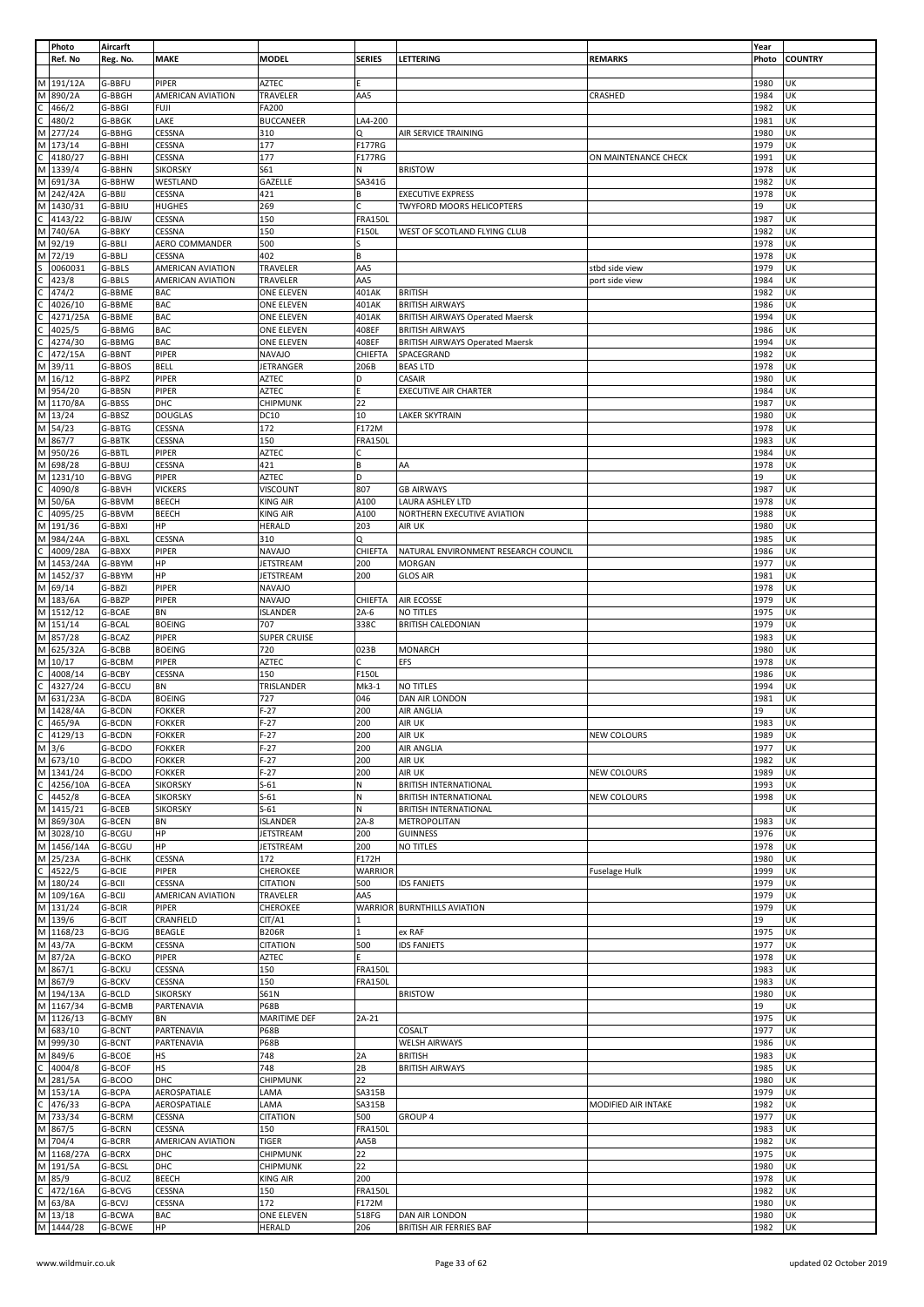|              | Photo                | Aircarft |                          |                  |                |                                        |                      | Year         |                |
|--------------|----------------------|----------|--------------------------|------------------|----------------|----------------------------------------|----------------------|--------------|----------------|
|              | Ref. No              | Reg. No. | <b>MAKE</b>              | <b>MODEL</b>     | <b>SERIES</b>  | LETTERING                              | <b>REMARKS</b>       | Photo        | <b>COUNTRY</b> |
|              |                      |          |                          |                  |                |                                        |                      |              |                |
| M            | 191/12A              | G-BBFU   | PIPER                    | <b>AZTEC</b>     |                |                                        |                      | 1980         | UK             |
| M            | 890/2A               | G-BBGH   | AMERICAN AVIATION        | TRAVELER         | AA5            |                                        | CRASHED              | 1984         | UK             |
|              |                      | G-BBGI   |                          | <b>FA200</b>     |                |                                        |                      | 1982         | UK             |
|              | 466/2                |          | FUJI                     |                  |                |                                        |                      |              |                |
|              | 480/2                | G-BBGK   | LAKE                     | <b>BUCCANEER</b> | LA4-200        |                                        |                      | 1981         | UK             |
| M            | 277/24               | G-BBHG   | CESSNA                   | 310              | Q              | AIR SERVICE TRAINING                   |                      | 1980         | UK             |
| M            | 173/14               | G-BBHI   | CESSNA                   | 177              | F177RG         |                                        |                      | 1979         | UK             |
|              | 4180/27              | G-BBHI   | CESSNA                   | 177              | F177RG         |                                        | ON MAINTENANCE CHECK | 1991         | UK             |
|              | M 1339/4             | G-BBHN   | <b>SIKORSKY</b>          | S61              | N              | <b>BRISTOW</b>                         |                      | 1978         | UK             |
|              |                      |          |                          |                  |                |                                        |                      |              |                |
| М            | 691/3A               | G-BBHW   | WESTLAND                 | GAZELLE          | SA341G         |                                        |                      | 1982         | UK             |
| M            | 242/42A              | G-BBIJ   | CESSNA                   | 421              | B              | <b>EXECUTIVE EXPRESS</b>               |                      | 1978         | UK             |
| M            | 1430/31              | G-BBIU   | <b>HUGHES</b>            | 269              | C              | <b>TWYFORD MOORS HELICOPTERS</b>       |                      | 19           | UK             |
|              | 4143/22              | G-BBJW   | CESSNA                   | 150              | <b>FRA150L</b> |                                        |                      | 1987         | UK             |
| M            | 740/6A               | G-BBKY   | CESSNA                   | 150              | F150L          | WEST OF SCOTLAND FLYING CLUB           |                      | 1982         | UK             |
| M            | 92/19                | G-BBLI   | AERO COMMANDER           | 500              | s              |                                        |                      | 1978         | UK             |
|              |                      |          |                          |                  |                |                                        |                      |              |                |
| M            | 72/19                | G-BBLJ   | CESSNA                   | 402              | B              |                                        |                      | 1978         | UK             |
|              | 0060031              | G-BBLS   | <b>AMERICAN AVIATION</b> | TRAVELER         | AA5            |                                        | stbd side view       | 1979         | UK             |
|              | 423/8                | G-BBLS   | AMERICAN AVIATION        | TRAVELER         | AA5            |                                        | port side view       | 1984         | UK             |
|              | 474/2                | G-BBME   | <b>BAC</b>               | ONE ELEVEN       | 401AK          | <b>BRITISH</b>                         |                      | 1982         | UK             |
|              | 4026/10              | G-BBME   | <b>BAC</b>               | ONE ELEVEN       | 401AK          | <b>BRITISH AIRWAYS</b>                 |                      | 1986         | UK             |
|              |                      |          |                          |                  |                |                                        |                      |              | UK             |
|              | 4271/25A             | G-BBME   | <b>BAC</b>               | ONE ELEVEN       | 401AK          | <b>BRITISH AIRWAYS Operated Maersk</b> |                      | 1994         |                |
|              | 4025/5               | G-BBMG   | <b>BAC</b>               | ONE ELEVEN       | 408EF          | <b>BRITISH AIRWAYS</b>                 |                      | 1986         | UK             |
|              | 4274/30              | G-BBMG   | <b>BAC</b>               | ONE ELEVEN       | 408EF          | <b>BRITISH AIRWAYS Operated Maersk</b> |                      | 1994         | UK             |
|              | 472/15A              | G-BBNT   | PIPER                    | <b>NAVAJO</b>    | CHIEFTA        | SPACEGRAND                             |                      | 1982         | UK             |
| М            | 39/11                | G-BBOS   | <b>BELL</b>              | JETRANGER        | 206B           | <b>BEAS LTD</b>                        |                      | 1978         | UK             |
| M            | 16/12                | G-BBPZ   | PIPER                    | AZTEC            | D              | <b>CASAIR</b>                          |                      | 1980         | UK             |
|              |                      |          |                          |                  |                |                                        |                      |              |                |
| M            | 954/20               | G-BBSN   | PIPER                    | AZTEC            | E.             | <b>EXECUTIVE AIR CHARTER</b>           |                      | 1984         | UK             |
| M            | 1170/8A              | G-BBSS   | DHC                      | CHIPMUNK         | 22             |                                        |                      | 1987         | UK             |
|              | M 13/24              | G-BBSZ   | <b>DOUGLAS</b>           | DC10             | 10             | LAKER SKYTRAIN                         |                      | 1980         | UK             |
| M            | 54/23                | G-BBTG   | CESSNA                   | 172              | F172M          |                                        |                      | 1978         | UK             |
| M            | 867/7                | G-BBTK   | CESSNA                   | 150              | <b>FRA150L</b> |                                        |                      | 1983         | UK             |
|              |                      |          |                          |                  |                |                                        |                      |              |                |
| M            | 950/26               | G-BBTL   | PIPER                    | <b>AZTEC</b>     | C              |                                        |                      | 1984         | UK             |
| M            | 698/28               | G-BBUJ   | CESSNA                   | 421              | B              | AA                                     |                      | 1978         | UK             |
| М            | 1231/10              | G-BBVG   | PIPER                    | AZTEC            | D              |                                        |                      | 19           | UK             |
|              | 4090/8               | G-BBVH   | <b>VICKERS</b>           | VISCOUNT         | 807            | <b>GB AIRWAYS</b>                      |                      | 1987         | UK             |
|              |                      |          |                          |                  |                |                                        |                      |              |                |
| M            | 50/6A                | G-BBVM   | <b>BEECH</b>             | <b>KING AIR</b>  | A100           | LAURA ASHLEY LTD                       |                      | 1978         | UK             |
|              | 4095/25              | G-BBVM   | <b>BEECH</b>             | <b>KING AIR</b>  | A100           | NORTHERN EXECUTIVE AVIATION            |                      | 1988         | UK             |
| М            | 191/36               | G-BBXI   | HP                       | HERALD           | 203            | AIR UK                                 |                      | 1980         | UK             |
| M            | 984/24A              | G-BBXL   | CESSNA                   | 310              | Q              |                                        |                      | 1985         | UK             |
|              | 4009/28A             | G-BBXX   | <b>PIPER</b>             | <b>NAVAJO</b>    | CHIEFTA        | NATURAL ENVIRONMENT RESEARCH COUNCIL   |                      | 1986         | UK             |
| M            | 1453/24A             | G-BBYM   | HP                       | <b>JETSTREAM</b> | 200            | <b>MORGAN</b>                          |                      | 1977         | UK             |
| M            | 1452/37              | G-BBYM   | HP                       | <b>JETSTREAM</b> | 200            | <b>GLOS AIR</b>                        |                      | 1981         | UK             |
|              |                      |          |                          |                  |                |                                        |                      |              |                |
| M            | 69/14                | G-BBZI   | PIPER                    | <b>NAVAJO</b>    |                |                                        |                      | 1978         | UK             |
| M            | 183/6A               | G-BBZP   | PIPER                    | <b>NAVAJO</b>    | CHIEFTA        | AIR ECOSSE                             |                      | 1979         | UK             |
| M            | 1512/12              | G-BCAE   | BN                       | ISLANDER         | $2A-6$         | NO TITLES                              |                      | 1975         | UK             |
| M            | 151/14               | G-BCAL   | <b>BOEING</b>            | 707              | 338C           | <b>BRITISH CALEDONIAN</b>              |                      | 1979         | UK             |
| M            | 857/28               | G-BCAZ   | PIPER                    |                  |                |                                        |                      | 1983         | UK             |
|              |                      |          |                          | SUPER CRUISE     |                |                                        |                      |              |                |
|              | M 625/32A            | G-BCBB   | <b>BOEING</b>            | 720              | 023B           | <b>MONARCH</b>                         |                      | 1980         | UK             |
|              | M 10/17              | G-BCBM   | PIPER                    | AZTEC            | C              | EFS                                    |                      | 1978         | UK             |
|              | 4008/14              | G-BCBY   | CESSNA                   | 150              | F150L          |                                        |                      | 1986         | UK             |
| C            | 4327/24              | G-BCCU   | BN                       | TRISLANDER       | $Mk3-1$        | NO TITLES                              |                      | 1994         | UK             |
|              |                      |          |                          | 727              |                |                                        |                      |              |                |
|              | M 631/23A            | G-BCDA   | <b>BOEING</b>            |                  | 046            | DAN AIR LONDON                         |                      | 1981         | UK             |
| M            | 1428/4A              | G-BCDN   | <b>FOKKER</b>            | $F-27$           | 200            | AIR ANGLIA                             |                      | 19           | UK             |
| C            | 465/9A               | G-BCDN   | <b>FOKKER</b>            | $F-27$           | 200            | AIR UK                                 |                      | 1983         | UK             |
| C            | 4129/13              | G-BCDN   | <b>FOKKER</b>            | $F-27$           | 200            | AIR UK                                 | <b>NEW COLOURS</b>   | 1989         | UK             |
|              | $M$ 3/6              | G-BCDO   | <b>FOKKER</b>            | $F-27$           | 200            | AIR ANGLIA                             |                      | 1977         | UK             |
|              | M 673/10             | G-BCDO   | <b>FOKKER</b>            | $F-27$           | 200            | AIR UK                                 |                      | 1982         | UK             |
|              | M 1341/24            |          |                          |                  |                |                                        |                      |              | UK             |
|              |                      | G-BCDO   | <b>FOKKER</b>            | $F-27$           | 200            | AIR UK                                 | NEW COLOURS          |              |                |
| C            | 4256/10A             | G-BCEA   | <b>SIKORSKY</b>          | $S-61$           | N              | <b>BRITISH INTERNATIONAL</b>           |                      | 1989         |                |
| С            | 4452/8               | G-BCEA   | <b>SIKORSKY</b>          |                  |                |                                        |                      | 1993         | UK             |
| M            | 1415/21              | G-BCEB   |                          | $S-61$           | N              | <b>BRITISH INTERNATIONAL</b>           | NEW COLOURS          | 1998         | UK             |
|              | M 869/30A            |          | <b>SIKORSKY</b>          | $S-61$           | N              | <b>BRITISH INTERNATIONAL</b>           |                      |              | UK             |
|              |                      | G-BCEN   | <b>BN</b>                | <b>ISLANDER</b>  | $2A-8$         | METROPOLITAN                           |                      | 1983         | UK             |
|              |                      |          |                          |                  |                |                                        |                      |              |                |
|              | M 3028/10            | G-BCGU   | HP                       | <b>JETSTREAM</b> | 200            | <b>GUINNESS</b>                        |                      | 1976         | UK             |
| M            | 1456/14A             | G-BCGU   | HP                       | <b>JETSTREAM</b> | 200            | NO TITLES                              |                      | 1978         | UK             |
|              | M 25/23A             | G-BCHK   | CESSNA                   | 172              | F172H          |                                        |                      | 1980         | UK             |
| С            | 4522/5               | G-BCIE   | PIPER                    | CHEROKEE         | <b>WARRIOR</b> |                                        | Fuselage Hulk        | 1999         | UK             |
| M            | 180/24               | G-BCII   | CESSNA                   | <b>CITATION</b>  | 500            | <b>IDS FANJETS</b>                     |                      | 1979         | UK             |
|              |                      |          |                          |                  | AA5            |                                        |                      |              | UK             |
|              | M 109/16A            | G-BCIJ   | AMERICAN AVIATION        | TRAVELER         |                |                                        |                      | 1979         |                |
|              | M 131/24             | G-BCIR   | PIPER                    | CHEROKEE         |                | WARRIOR BURNTHILLS AVIATION            |                      | 1979         | UK             |
|              | M 139/6              | G-BCIT   | CRANFIELD                | CIT/A1           | $\mathbf{1}$   |                                        |                      | 19           | UK             |
|              | M 1168/23            | G-BCJG   | <b>BEAGLE</b>            | <b>B206R</b>     | 1              | ex RAF                                 |                      | 1975         | UK             |
|              | M 43/7A              | G-BCKM   | CESSNA                   | <b>CITATION</b>  | 500            | <b>IDS FANJETS</b>                     |                      | 1977         | UK             |
| M            |                      | G-BCKO   | PIPER                    | AZTEC            |                |                                        |                      | 1978         | UK             |
|              | 87/2A                |          |                          |                  |                |                                        |                      |              |                |
|              | M 867/1              | G-BCKU   | CESSNA                   | 150              | <b>FRA150L</b> |                                        |                      | 1983         | UK             |
|              | M 867/9              | G-BCKV   | CESSNA                   | 150              | <b>FRA150L</b> |                                        |                      | 1983         | UK             |
|              | M 194/13A            | G-BCLD   | <b>SIKORSKY</b>          | <b>S61N</b>      |                | <b>BRISTOW</b>                         |                      | 1980         | UK             |
|              | M 1167/34            | G-BCMB   | PARTENAVIA               | <b>P68B</b>      |                |                                        |                      | 19           | UK             |
|              | M 1126/13            | G-BCMY   | <b>BN</b>                | MARITIME DEF     | $2A-21$        |                                        |                      | 1975         | UK             |
|              | M 683/10             | G-BCNT   | PARTENAVIA               | <b>P68B</b>      |                | COSALT                                 |                      | 1977         | UK             |
|              | M 999/30             | G-BCNT   | PARTENAVIA               | <b>P68B</b>      |                | <b>WELSH AIRWAYS</b>                   |                      | 1986         | UK             |
|              |                      |          |                          |                  |                |                                        |                      |              |                |
| M            | 849/6                | G-BCOE   | <b>HS</b>                | 748              | 2A             | <b>BRITISH</b>                         |                      | 1983         | UK             |
| $\mathsf{C}$ | 4004/8               | G-BCOF   | <b>HS</b>                | 748              | 2B             | <b>BRITISH AIRWAYS</b>                 |                      | 1985         | UK             |
|              | M 281/5A             | G-BCOO   | DHC                      | CHIPMUNK         | 22             |                                        |                      | 1980         | UK             |
|              | M 153/1A             | G-BCPA   | AEROSPATIALE             | LAMA             | SA315B         |                                        |                      | 1979         | UK             |
| C            | 476/33               | G-BCPA   | AEROSPATIALE             | LAMA             | SA315B         |                                        | MODIFIED AIR INTAKE  | 1982         | UK             |
|              |                      |          |                          |                  |                |                                        |                      |              |                |
|              | M 733/34             | G-BCRM   | CESSNA                   | <b>CITATION</b>  | 500            | GROUP 4                                |                      | 1977         | UK             |
|              | M 867/5              | G-BCRN   | CESSNA                   | 150              | <b>FRA150L</b> |                                        |                      | 1983         | UK             |
|              | M 704/4              | G-BCRR   | AMERICAN AVIATION        | <b>TIGER</b>     | AA5B           |                                        |                      | 1982         | UK             |
| M            | 1168/27A             | G-BCRX   | DHC                      | CHIPMUNK         | 22             |                                        |                      | 1975         | UK             |
|              | M 191/5A             | G-BCSL   | DHC                      | CHIPMUNK         | 22             |                                        |                      | 1980         | UK             |
|              |                      |          |                          |                  |                |                                        |                      |              |                |
|              | M 85/9               | G-BCUZ   | <b>BEECH</b>             | <b>KING AIR</b>  | 200            |                                        |                      | 1978         | UK             |
| C            | 472/16A              | G-BCVG   | CESSNA                   | 150              | <b>FRA150L</b> |                                        |                      | 1982         | UK             |
|              | M 63/8A              | G-BCVJ   | CESSNA                   | 172              | F172M          |                                        |                      | 1980         | UK             |
|              | M 13/18<br>M 1444/28 | G-BCWA   | <b>BAC</b><br>HP         | ONE ELEVEN       | 518FG          | DAN AIR LONDON                         |                      | 1980<br>1982 | UK<br>UK       |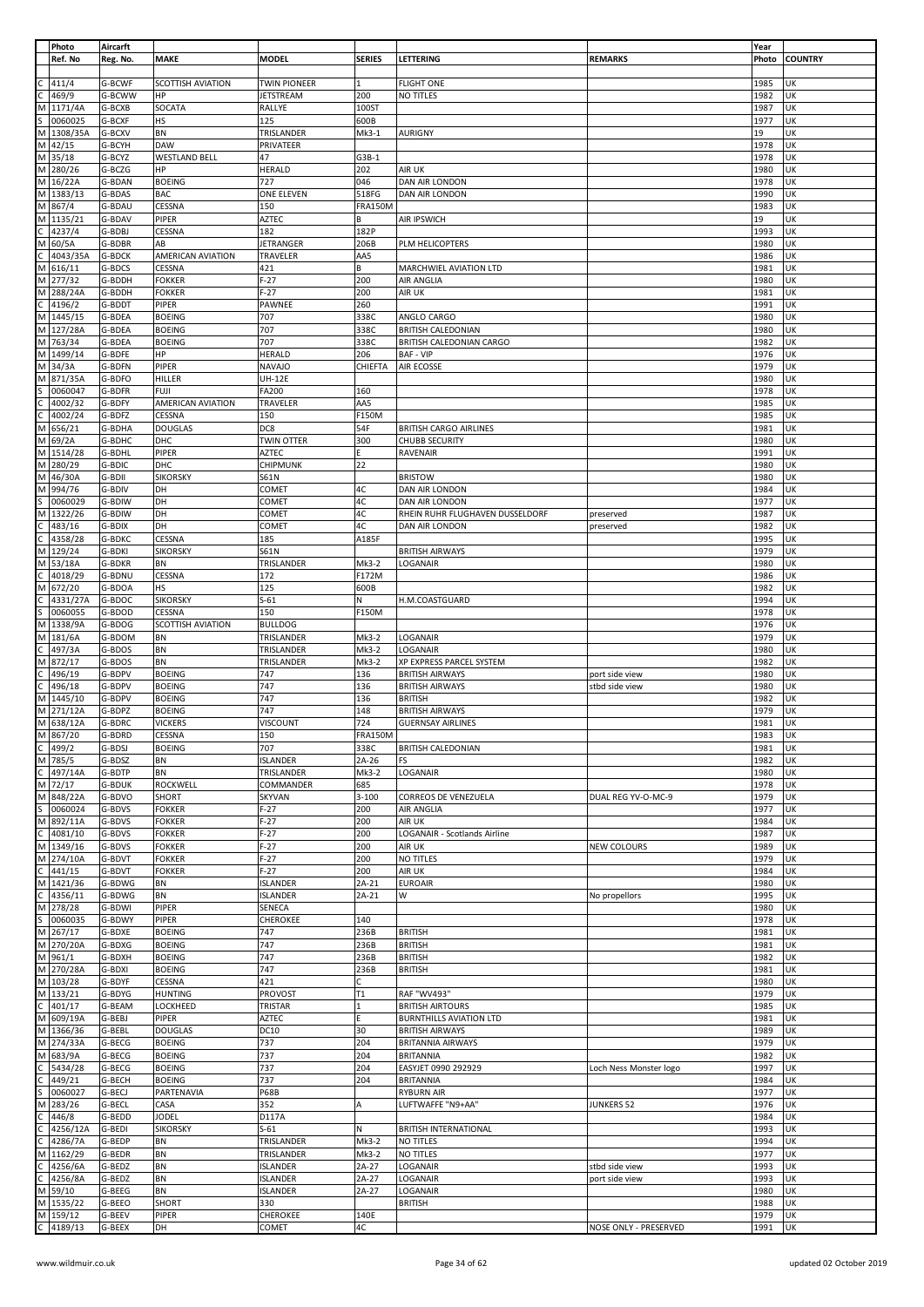|                | Photo                                                                                                        | Aircarft         |                          |                     |                |                                 |                        | Year         |                |
|----------------|--------------------------------------------------------------------------------------------------------------|------------------|--------------------------|---------------------|----------------|---------------------------------|------------------------|--------------|----------------|
|                | Ref. No                                                                                                      | Reg. No.         | <b>MAKE</b>              | <b>MODEL</b>        | <b>SERIES</b>  | LETTERING                       | <b>REMARKS</b>         | Photo        | <b>COUNTRY</b> |
|                |                                                                                                              |                  |                          |                     |                |                                 |                        |              |                |
|                |                                                                                                              | G-BCWF           | <b>SCOTTISH AVIATION</b> | <b>TWIN PIONEER</b> | 1              | <b>FLIGHT ONE</b>               |                        | 1985         | UK             |
|                | C 411/4<br>C 469/9<br>M 1171/4A                                                                              | G-BCWW           | HP                       | <b>JETSTREAM</b>    | 200            | NO TITLES                       |                        | 1982         | UK             |
|                |                                                                                                              | G-BCXB           | SOCATA                   | RALLYE              | 100ST          |                                 |                        | 1987         | UK             |
|                |                                                                                                              | G-BCXF           | HS                       | 125                 | 600B           |                                 |                        | 1977         | UK             |
|                | $\frac{1114 \text{ m}}{5 \cdot 0060025}$ M 1308/35A                                                          | G-BCXV           | BN                       | TRISLANDER          | Mk3-1          | <b>AURIGNY</b>                  |                        | 19           | UK             |
|                | M 42/15                                                                                                      | G-BCYH           | <b>DAW</b>               | PRIVATEER           |                |                                 |                        | 1978         | UK             |
|                | M 35/18                                                                                                      | G-BCYZ           | <b>WESTLAND BELL</b>     | 47                  | $G3B-1$        |                                 |                        | 1978         | UK             |
|                | M 280/26                                                                                                     | G-BCZG           | HP                       | <b>HERALD</b>       | 202            | AIR UK                          |                        | 1980         | UK             |
|                | M 16/22A                                                                                                     | G-BDAN           | <b>BOEING</b>            | 727                 | 046            | DAN AIR LONDON                  |                        | 1978         | UK             |
|                | M 1383/13                                                                                                    |                  |                          |                     |                |                                 |                        |              | UK             |
|                |                                                                                                              | G-BDAS           | <b>BAC</b>               | ONE ELEVEN          | 518FG          | DAN AIR LONDON                  |                        | 1990         |                |
|                | M 867/4                                                                                                      | G-BDAU           | CESSNA                   | 150                 | <b>FRA150M</b> |                                 |                        | 1983         | UK             |
|                | M 1135/21                                                                                                    | G-BDAV           | PIPER                    | <b>AZTEC</b>        | В              | AIR IPSWICH                     |                        | 19           | UK             |
|                |                                                                                                              | G-BDBJ           | CESSNA                   | 182                 | 182P           |                                 |                        | 1993         | UK             |
|                | C 4237/4<br>M 60/5A<br>C 4043/3<br>M 616/11                                                                  | G-BDBR           | AB                       | JETRANGER           | 206B           | PLM HELICOPTERS                 |                        | 1980         | UK             |
|                | 4043/35A                                                                                                     | G-BDCK           | AMERICAN AVIATION        | TRAVELER            | AA5            |                                 |                        | 1986         | UK             |
|                |                                                                                                              | G-BDCS           | CESSNA                   | 421                 | В              | MARCHWIEL AVIATION LTD          |                        | 1981         | UK             |
|                | M 277/32                                                                                                     | G-BDDH           | <b>FOKKER</b>            | $F-27$              | 200            | AIR ANGLIA                      |                        | 1980         | UK             |
|                | M 288/24A                                                                                                    | G-BDDH           | <b>FOKKER</b>            | $F-27$              | 200            | AIR UK                          |                        | 1981         | UK             |
|                |                                                                                                              | G-BDDT           | PIPER                    | PAWNEE              | 260            |                                 |                        | 1991         | UK             |
|                | $rac{1}{\frac{1}{2}}$ (196/2                                                                                 |                  |                          |                     |                |                                 |                        |              |                |
|                |                                                                                                              | G-BDEA           | <b>BOEING</b>            | 707                 | 338C           | ANGLO CARGO                     |                        | 1980         | UK             |
|                | M 127/28A                                                                                                    | G-BDEA           | <b>BOEING</b>            | 707                 | 338C           | <b>BRITISH CALEDONIAN</b>       |                        | 1980         | UK             |
|                | M 763/34                                                                                                     | G-BDEA           | <b>BOEING</b>            | 707                 | 338C           | BRITISH CALEDONIAN CARGO        |                        | 1982         | UK             |
|                | M 1499/14                                                                                                    | G-BDFE           | HP                       | <b>HERALD</b>       | 206            | <b>BAF - VIP</b>                |                        | 1976         | UK             |
|                | M 34/3A                                                                                                      | G-BDFN           | PIPER                    | <b>NAVAJO</b>       | CHIEFTA        | AIR ECOSSE                      |                        | 1979         | UK             |
|                | M 871/35A                                                                                                    | G-BDFO           | <b>HILLER</b>            | <b>UH-12E</b>       |                |                                 |                        | 1980         | UK             |
|                | S 006004<br>C 4002/32<br>C 4002/24<br>M 656/21<br>0060047                                                    | G-BDFR           | <b>FUJI</b>              | FA200               | 160            |                                 |                        | 1978         | UK             |
|                | 4002/32                                                                                                      | G-BDFY           | AMERICAN AVIATION        | TRAVELER            | AA5            |                                 |                        | 1985         | UK             |
|                | 4002/24                                                                                                      | G-BDFZ           | CESSNA                   | 150                 | F150M          |                                 |                        | 1985         | UK             |
|                |                                                                                                              | G-BDHA           | <b>DOUGLAS</b>           | DC8                 | 54F            | <b>BRITISH CARGO AIRLINES</b>   |                        | 1981         | UK             |
|                | M 69/2A                                                                                                      | G-BDHC           | DHC                      | <b>TWIN OTTER</b>   | 300            | <b>CHUBB SECURITY</b>           |                        | 1980         | UK             |
|                | M 1514/28                                                                                                    |                  |                          |                     | F              |                                 |                        |              |                |
|                |                                                                                                              | G-BDHL           | PIPER                    | <b>AZTEC</b>        |                | RAVENAIR                        |                        | 1991         | UK             |
|                | M 280/29                                                                                                     | G-BDIC           | DHC                      | CHIPMUNK            | 22             |                                 |                        | 1980         | UK             |
|                | M 46/30A                                                                                                     | G-BDII           | <b>SIKORSKY</b>          | S61N                |                | <b>BRISTOW</b>                  |                        | 1980         | UK             |
| M              | 994/76                                                                                                       | G-BDIV           | DH                       | COMET               | 4C             | DAN AIR LONDON                  |                        | 1984         | UK             |
| s              | 0060029                                                                                                      | G-BDIW           | DH                       | COMET               | 4C             | DAN AIR LONDON                  |                        | 1977         | UK             |
|                | M 1322/26                                                                                                    | G-BDIW           | DH                       | COMET               | 4C             | RHEIN RUHR FLUGHAVEN DUSSELDORF | preserved              | 1987         | UK             |
|                |                                                                                                              | G-BDIX           | DH                       | COMET               | 4C             | DAN AIR LONDON                  | preserved              | 1982         | UK             |
|                | 4358/28                                                                                                      | G-BDKC           | CESSNA                   | 185                 | A185F          |                                 |                        | 1995         | UK             |
|                | C 483/16<br>C 483/16<br>M 129/24                                                                             | G-BDKI           | <b>SIKORSKY</b>          | S61N                |                | <b>BRITISH AIRWAYS</b>          |                        | 1979         | UK             |
|                | M 53/18A                                                                                                     | G-BDKR           | BN                       | TRISLANDER          | Mk3-2          | LOGANAIR                        |                        | 1980         | UK             |
| c              | 4018/29                                                                                                      | G-BDNU           | CESSNA                   | 172                 | F172M          |                                 |                        | 1986         | UK             |
|                |                                                                                                              |                  |                          |                     |                |                                 |                        |              |                |
|                | M 672/20<br>C 4331/27/<br>S 0060055<br>M 1338/9A                                                             | G-BDOA           | HS                       | 125                 | 600B           |                                 |                        | 1982         | UK             |
|                | 4331/27A                                                                                                     | G-BDOC           | <b>SIKORSKY</b>          | $S-61$              | N              | H.M.COASTGUARD                  |                        | 1994         | UK             |
|                |                                                                                                              | G-BDOD           | CESSNA                   | 150                 | F150M          |                                 |                        | 1978         | UK             |
|                |                                                                                                              | G-BDOG           | SCOTTISH AVIATION        | <b>BULLDOG</b>      |                |                                 |                        | 1976         | UK             |
|                | M 181/6A                                                                                                     | G-BDOM           | BN                       | TRISLANDER          | Mk3-2          | LOGANAIR                        |                        | 1979         | UK             |
| $\overline{c}$ | 497/3A                                                                                                       | G-BDOS           | BN                       | TRISLANDER          | Mk3-2          | LOGANAIR                        |                        | 1980         | UK             |
|                | M 872/17                                                                                                     | G-BDOS           | BN                       | TRISLANDER          | Mk3-2          | XP EXPRESS PARCEL SYSTEM        |                        | 1982         | UK             |
|                | C 496/19<br>C 496/18<br>M 1445/10                                                                            | G-BDPV           | <b>BOEING</b>            | 747                 | 136            | <b>BRITISH AIRWAYS</b>          | port side view         | 1980         | UK             |
|                |                                                                                                              | G-BDPV           | <b>BOEING</b>            | 747                 | 136            | <b>BRITISH AIRWAYS</b>          | stbd side view         | 1980         | UK             |
|                |                                                                                                              | G-BDPV           | <b>BOEING</b>            | 747                 | 136            | <b>BRITISH</b>                  |                        | 1982         | UK             |
|                |                                                                                                              |                  |                          | 747                 | 148            | <b>BRITISH AIRWAYS</b>          |                        | 1979         | UK             |
|                | M 271/12A<br>M 638/12A                                                                                       | G-BDPZ           | <b>BOEING</b>            |                     |                |                                 |                        |              |                |
|                |                                                                                                              | G-BDRC           | <b>VICKERS</b>           | VISCOUNT            | 724            | <b>GUERNSAY AIRLINES</b>        |                        | 1981         | UK             |
|                | M 867/20                                                                                                     | G-BDRD           | CESSNA                   | 150                 | FRA150M        |                                 |                        | 1983         | UK             |
|                | $\frac{C}{M}$ 499/2<br>M 785/5                                                                               | G-BDSJ           | <b>BOEING</b>            | 707                 | 338C           | <b>BRITISH CALEDONIAN</b>       |                        | 1981         | UK             |
|                |                                                                                                              | G-BDSZ           | BN                       | <b>ISLANDER</b>     | $2A-26$        | FS                              |                        | 1982         | UK             |
|                | $rac{10}{\frac{10}{2}}$<br>M 72/17<br>497/14A                                                                | G-BDTP           | BN                       | TRISLANDER          | $Mk3-2$        | LOGANAIR                        |                        | 1980         | UK             |
|                |                                                                                                              | <b>G-BDUK</b>    | ROCKWELL                 | COMMANDER           | 685            |                                 |                        | 1978         | UK             |
|                | M 848/22A                                                                                                    | G-BDVO           | <b>SHORT</b>             | <b>SKYVAN</b>       | $3 - 100$      | CORREOS DE VENEZUELA            | DUAL REG YV-O-MC-9     | 1979         | UK             |
|                | S 0060024<br>M 892/11A<br>C 4081/10<br>M 1349/16                                                             | G-BDVS           | <b>FOKKER</b>            | $F-27$              | 200            | AIR ANGLIA                      |                        | 1977         | UK             |
|                |                                                                                                              | G-BDVS           | <b>FOKKER</b>            | $F-27$              | 200            | AIR UK                          |                        | 1984         | UK             |
|                |                                                                                                              | G-BDVS           | <b>FOKKER</b>            | $F-27$              | 200            | LOGANAIR - Scotlands Airline    |                        | 1987         | UK             |
|                |                                                                                                              | G-BDVS           | <b>FOKKER</b>            | $F-27$              | 200            | AIR UK                          | <b>NEW COLOURS</b>     | 1989         | UK             |
|                | M 274/10A                                                                                                    | G-BDVT           | <b>FOKKER</b>            | $F-27$              | 200            | NO TITLES                       |                        | 1979         | UK             |
|                |                                                                                                              |                  |                          | $F-27$              |                |                                 |                        |              |                |
|                | $\frac{11}{1421/36}$                                                                                         | G-BDVT           | <b>FOKKER</b>            |                     | 200            | AIR UK                          |                        | 1984         | UK<br>UK       |
|                |                                                                                                              | G-BDWG           | BN                       | <b>ISLANDER</b>     | $2A-21$        | <b>EUROAIR</b>                  |                        | 1980         |                |
|                | 4356/11                                                                                                      | G-BDWG           | BN                       | <b>ISLANDER</b>     | $2A-21$        | W                               | No propellors          | 1995         | UK             |
|                | C 4356/11<br>M 278/28<br>S 006003<br>M 267/17                                                                | G-BDWI           | PIPER                    | SENECA              |                |                                 |                        | 1980         | UK             |
|                | 0060035                                                                                                      | G-BDWY           | PIPER                    | CHEROKEE            | 140            |                                 |                        | 1978         | UK             |
|                |                                                                                                              | G-BDXE           | <b>BOEING</b>            | 747                 | 236B           | <b>BRITISH</b>                  |                        | 1981         | UK             |
|                | M 270/20A                                                                                                    | G-BDXG           | <b>BOEING</b>            | 747                 | 236B           | <b>BRITISH</b>                  |                        | 1981         | UK             |
|                | M 961/1                                                                                                      | G-BDXH           | <b>BOEING</b>            | 747                 | 236B           | <b>BRITISH</b>                  |                        | 1982         | UK             |
|                | M 270/28A                                                                                                    | G-BDXI           | <b>BOEING</b>            | 747                 | 236B           | <b>BRITISH</b>                  |                        | 1981         | UK             |
|                | M 103/28                                                                                                     | G-BDYF           | CESSNA                   | 421                 | Ċ              |                                 |                        | 1980         | UK             |
|                | M 133/21<br>C 401/17<br>M 609/19A                                                                            | G-BDYG           | <b>HUNTING</b>           | PROVOST             | T1             | RAF "WV493"                     |                        | 1979         | UK             |
|                |                                                                                                              | G-BEAM           | LOCKHEED                 | TRISTAR             | 1              | <b>BRITISH AIRTOURS</b>         |                        | 1985         | UK             |
|                |                                                                                                              | G-BEBJ           | PIPER                    | <b>AZTEC</b>        | F.             | <b>BURNTHILLS AVIATION LTD</b>  |                        | 1981         | UK             |
|                | M 1366/36                                                                                                    | G-BEBL           | <b>DOUGLAS</b>           | <b>DC10</b>         | 30             | <b>BRITISH AIRWAYS</b>          |                        | 1989         | UK             |
|                | M 274/33A                                                                                                    | G-BECG           | <b>BOEING</b>            | 737                 | 204            | <b>BRITANNIA AIRWAYS</b>        |                        | 1979         | UK             |
|                |                                                                                                              |                  |                          |                     |                |                                 |                        |              |                |
|                | M 683/9A                                                                                                     | G-BECG           | <b>BOEING</b>            | 737                 | 204            | <b>BRITANNIA</b>                |                        | 1982         | UK             |
|                |                                                                                                              | G-BECG           | <b>BOEING</b>            | 737                 | 204            | EASYJET 0990 292929             | Loch Ness Monster logo | 1997         | UK             |
|                |                                                                                                              | G-BECH           | <b>BOEING</b>            | 737                 | 204            | <b>BRITANNIA</b>                |                        | 1984         | UK             |
|                |                                                                                                              | G-BECJ           | PARTENAVIA               | <b>P68B</b>         |                | <b>RYBURN AIR</b>               |                        | 1977         | UK             |
|                |                                                                                                              | G-BECL           | CASA                     | 352                 | Α              | LUFTWAFFE "N9+AA"               | JUNKERS 52             | 1976         | UK             |
|                |                                                                                                              | G-BEDD           | <b>JODEL</b>             | D117A               |                |                                 |                        | 1984         | UK             |
|                | 4256/12A                                                                                                     | G-BEDI           | <b>SIKORSKY</b>          | $S-61$              | N              | <b>BRITISH INTERNATIONAL</b>    |                        | 1993         | UK             |
|                |                                                                                                              | G-BEDP           | BN                       | TRISLANDER          | Mk3-2          | NO TITLES                       |                        | 1994         | UK             |
|                |                                                                                                              |                  | BN                       | TRISLANDER          | Mk3-2          | NO TITLES                       |                        | 1977         | UK             |
|                |                                                                                                              |                  |                          |                     |                |                                 |                        |              |                |
|                | M 683/9A<br>C 5434/28<br>C 449/21<br>S 0060027<br>M 283/26<br>C 446/8<br>C 4286/7A<br>M 1162/29<br>M 1162/29 | G-BEDR           |                          |                     |                |                                 |                        |              |                |
|                | 4256/6A                                                                                                      | G-BEDZ           | BN                       | <b>ISLANDER</b>     | $2A-27$        | LOGANAIR                        | stbd side view         | 1993         | UK             |
|                | 4256/8A                                                                                                      | G-BEDZ           | BN                       | <b>ISLANDER</b>     | $2A-27$        | LOGANAIR                        | port side view         | 1993         | UK             |
|                | $rac{1}{\frac{1}{256}}$<br>C 4256/8<br>M 59/10                                                               | G-BEEG           | BN                       | <b>ISLANDER</b>     | $2A-27$        | LOGANAIR                        |                        | 1980         | UK             |
|                | M 1535/22                                                                                                    | G-BEEO           | <b>SHORT</b>             | 330                 |                | <b>BRITISH</b>                  |                        | 1988         | UK             |
| c              | M 159/12<br>4189/13                                                                                          | G-BEEV<br>G-BEEX | PIPER<br>DH              | CHEROKEE<br>COMET   | 140E<br>4C     |                                 | NOSE ONLY - PRESERVED  | 1979<br>1991 | UK<br>UK       |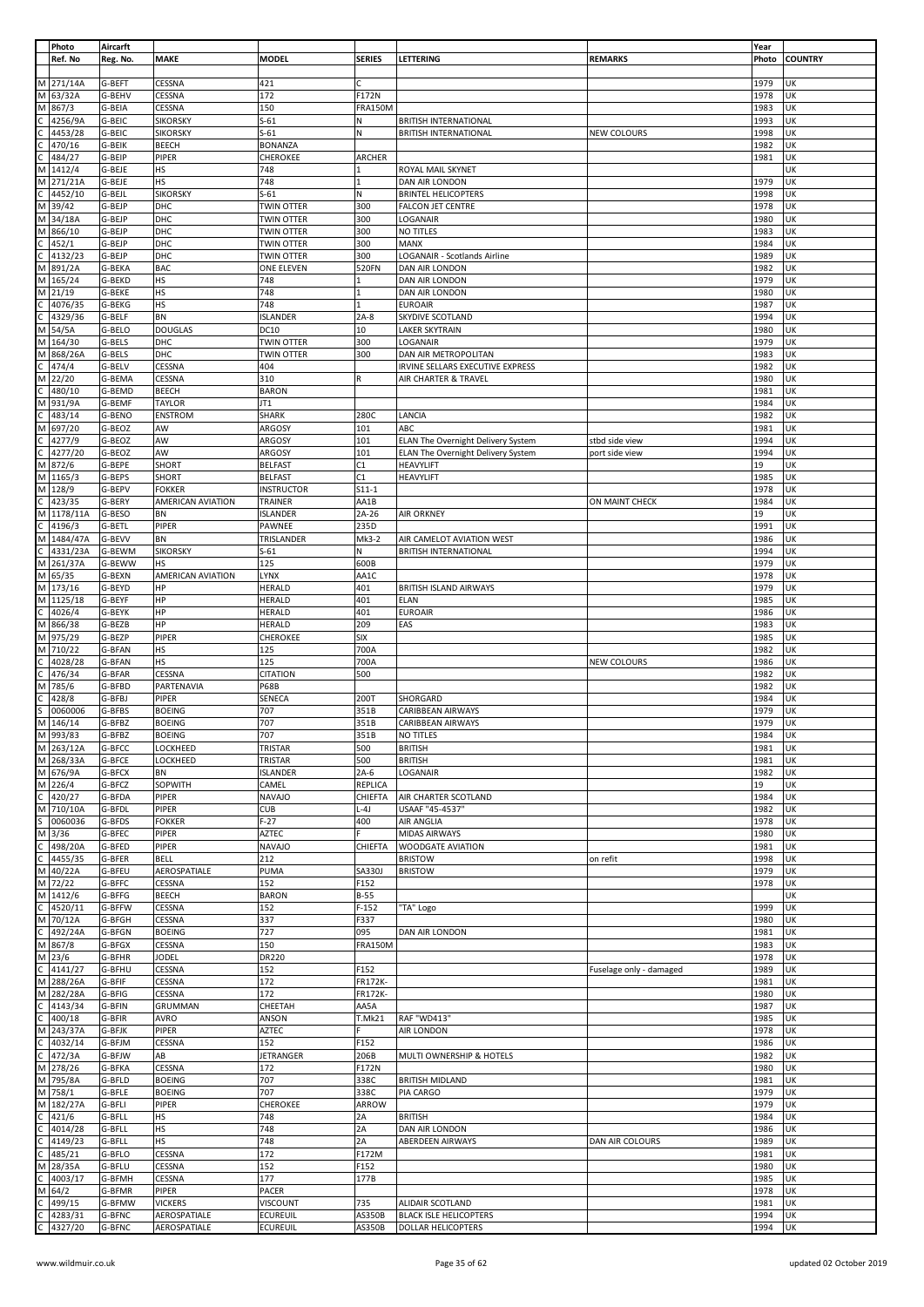|   | Photo     | Aircarft |                   |                   |                |                                           |                         | Year  |                |
|---|-----------|----------|-------------------|-------------------|----------------|-------------------------------------------|-------------------------|-------|----------------|
|   | Ref. No   | Reg. No. | <b>MAKE</b>       | <b>MODEL</b>      | <b>SERIES</b>  | LETTERING                                 | <b>REMARKS</b>          | Photo | <b>COUNTRY</b> |
|   |           |          |                   |                   |                |                                           |                         |       |                |
| M | 271/14A   | G-BEFT   | CESSNA            | 421               |                |                                           |                         | 1979  | UK             |
| M | 63/32A    | G-BEHV   | CESSNA            | 172               | F172N          |                                           |                         | 1978  | UK             |
| M | 867/3     | G-BEIA   | CESSNA            | 150               | <b>FRA150M</b> |                                           |                         | 1983  | UK             |
|   |           |          |                   |                   |                |                                           |                         |       |                |
|   | 4256/9A   | G-BEIC   | <b>SIKORSKY</b>   | $S-61$            | N              | <b>BRITISH INTERNATIONAL</b>              |                         | 1993  | UK             |
|   | 4453/28   | G-BEIC   | <b>SIKORSKY</b>   | $S-61$            | N              | <b>BRITISH INTERNATIONAL</b>              | <b>NEW COLOURS</b>      | 1998  | UK             |
|   | 470/16    | G-BEIK   | <b>BEECH</b>      | <b>BONANZA</b>    |                |                                           |                         | 1982  | UK             |
|   | 484/27    | G-BEIP   | PIPER             | CHEROKEE          | ARCHER         |                                           |                         | 1981  | UK             |
| м | 1412/4    | G-BEJE   | <b>HS</b>         | 748               | $\mathbf{1}$   | ROYAL MAIL SKYNET                         |                         |       | UK             |
|   |           |          |                   |                   |                |                                           |                         |       |                |
| М | 271/21A   | G-BEJE   | <b>HS</b>         | 748               |                | DAN AIR LONDON                            |                         | 1979  | UK             |
|   | 4452/10   | G-BEJL   | <b>SIKORSKY</b>   | $S-61$            | N              | <b>BRINTEL HELICOPTERS</b>                |                         | 1998  | UK             |
| M | 39/42     | G-BEJP   | DHC               | TWIN OTTER        | 300            | <b>FALCON JET CENTRE</b>                  |                         | 1978  | UK             |
| М | 34/18A    | G-BEJP   | DHC               | TWIN OTTER        | 300            | LOGANAIR                                  |                         | 1980  | UK             |
| M | 866/10    | G-BEJP   | DHC               | <b>TWIN OTTER</b> | 300            | NO TITLES                                 |                         | 1983  | UK             |
|   | 452/1     | G-BEJP   | DHC               | TWIN OTTER        | 300            | MANX                                      |                         | 1984  | UK             |
|   |           |          |                   |                   |                |                                           |                         |       |                |
|   | 4132/23   | G-BEJP   | DHC               | TWIN OTTER        | 300            | LOGANAIR - Scotlands Airline              |                         | 1989  | UK             |
| М | 891/2A    | G-BEKA   | <b>BAC</b>        | <b>ONE ELEVEN</b> | 520FN          | DAN AIR LONDON                            |                         | 1982  | UK             |
| М | 165/24    | G-BEKD   | <b>HS</b>         | 748               | 1              | DAN AIR LONDON                            |                         | 1979  | UK             |
| М | 21/19     | G-BEKE   | <b>HS</b>         | 748               | 1              | DAN AIR LONDON                            |                         | 1980  | UK             |
|   |           |          |                   |                   | 1              |                                           |                         |       | UK             |
|   | 4076/35   | G-BEKG   | <b>HS</b>         | 748               |                | <b>EUROAIR</b>                            |                         | 1987  |                |
|   | 4329/36   | G-BELF   | <b>BN</b>         | <b>ISLANDER</b>   | $2A-8$         | SKYDIVE SCOTLAND                          |                         | 1994  | UK             |
| M | 54/5A     | G-BELO   | <b>DOUGLAS</b>    | DC10              | 10             | LAKER SKYTRAIN                            |                         | 1980  | UK             |
| M | 164/30    | G-BELS   | DHC               | TWIN OTTER        | 300            | LOGANAIR                                  |                         | 1979  | UK             |
| М | 868/26A   | G-BELS   | DHC               | TWIN OTTER        | 300            | DAN AIR METROPOLITAN                      |                         | 1983  | UK             |
|   | 474/4     | G-BELV   | CESSNA            | 404               |                | IRVINE SELLARS EXECUTIVE EXPRESS          |                         | 1982  | UK             |
|   |           |          |                   |                   |                |                                           |                         |       |                |
| M | 22/20     | G-BEMA   | CESSNA            | 310               | R              | AIR CHARTER & TRAVEL                      |                         | 1980  | UK             |
|   | 480/10    | G-BEMD   | <b>BEECH</b>      | <b>BARON</b>      |                |                                           |                         | 1981  | UK             |
| M | 931/9A    | G-BEMF   | <b>TAYLOR</b>     | JT1               |                |                                           |                         | 1984  | UK             |
|   | 483/14    | G-BENO   | <b>ENSTROM</b>    | <b>SHARK</b>      | 280C           | LANCIA                                    |                         | 1982  | UK             |
| м | 697/20    | G-BEOZ   | AW                | ARGOSY            | 101            | ABC                                       |                         | 1981  | UK             |
|   |           |          |                   |                   |                |                                           |                         |       |                |
|   | 4277/9    | G-BEOZ   | AW                | ARGOSY            | 101            | ELAN The Overnight Delivery System        | stbd side view          | 1994  | UK             |
|   | 4277/20   | G-BEOZ   | AW                | ARGOSY            | 101            | <b>ELAN The Overnight Delivery System</b> | port side view          | 1994  | UK             |
| М | 872/6     | G-BEPE   | SHORT             | <b>BELFAST</b>    | C1             | <b>HEAVYLIFT</b>                          |                         | 19    | UK             |
| М | 1165/3    | G-BEPS   | SHORT             | <b>BELFAST</b>    | C1             | HEAVYLIFT                                 |                         | 1985  | UK             |
|   |           |          |                   |                   |                |                                           |                         |       |                |
| Μ | 128/9     | G-BEPV   | <b>FOKKER</b>     | <b>INSTRUCTOR</b> | $S11-1$        |                                           |                         | 1978  | UK             |
|   | 423/35    | G-BERY   | AMERICAN AVIATION | TRAINER           | AA1B           |                                           | ON MAINT CHECK          | 1984  | UK             |
| М | 1178/11A  | G-BESO   | BN                | <b>ISLANDER</b>   | 2A-26          | AIR ORKNEY                                |                         | 19    | UK             |
|   | 4196/3    | G-BETL   | PIPER             | PAWNEE            | 235D           |                                           |                         | 1991  | UK             |
| М | 1484/47A  | G-BEVV   | <b>BN</b>         | TRISLANDER        | Mk3-2          | AIR CAMELOT AVIATION WEST                 |                         | 1986  | UK             |
|   |           |          |                   |                   |                |                                           |                         |       |                |
|   | 4331/23A  | G-BEWM   | <b>SIKORSKY</b>   | $S-61$            | N              | <b>BRITISH INTERNATIONAL</b>              |                         | 1994  | UK             |
| M | 261/37A   | G-BEWW   | <b>HS</b>         | 125               | 600B           |                                           |                         | 1979  | UK             |
| M | 65/35     | G-BEXN   | AMERICAN AVIATION | LYNX              | AA1C           |                                           |                         | 1978  | UK             |
| М | 173/16    | G-BEYD   | HP                | HERALD            | 401            | BRITISH ISLAND AIRWAYS                    |                         | 1979  | UΚ             |
| M | 1125/18   | G-BEYF   | HP                | HERALD            | 401            | ELAN                                      |                         | 1985  | UK             |
|   |           |          | HP                |                   | 401            |                                           |                         |       | UK             |
|   | 4026/4    | G-BEYK   |                   | <b>HERALD</b>     |                | <b>EUROAIR</b>                            |                         | 1986  |                |
| м | 866/38    | G-BEZB   | HP                | HERALD            | 209            | EAS                                       |                         | 1983  | UK             |
| М | 975/29    | G-BEZP   | PIPER             | CHEROKEE          | <b>SIX</b>     |                                           |                         | 1985  | UK             |
| M | 710/22    | G-BFAN   | <b>HS</b>         | 125               | 700A           |                                           |                         | 1982  | UK             |
|   | 4028/28   | G-BFAN   | HS                | 125               | 700A           |                                           | NEW COLOURS             | 1986  | UK             |
|   |           |          |                   |                   |                |                                           |                         |       |                |
|   | 476/34    | G-BFAR   | CESSNA            | <b>CITATION</b>   | 500            |                                           |                         | 1982  | UK             |
| M | 785/6     | G-BFBD   | PARTENAVIA        | <b>P68B</b>       |                |                                           |                         | 1982  | UK             |
|   | 428/8     | G-BFBJ   | PIPER             | SENECA            | 200T           | SHORGARD                                  |                         | 1984  | UK             |
|   | 0060006   | G-BFBS   | <b>BOEING</b>     | 707               | 351B           | CARIBBEAN AIRWAYS                         |                         | 1979  | UK             |
| M | 146/14    | G-BFBZ   | <b>BOEING</b>     | 707               | 351B           | CARIBBEAN AIRWAYS                         |                         | 1979  | UK             |
| M |           |          |                   | 707               |                |                                           |                         |       | UK             |
|   | 993/83    | G-BFBZ   | <b>BOEING</b>     |                   | 351B           | NO TITLES                                 |                         | 1984  |                |
|   | M 263/12A | G-BFCC   | <b>LOCKHEED</b>   | TRISTAR           | 500            | <b>BRITISH</b>                            |                         | 1981  | UK             |
|   | M 268/33A | G-BFCE   | LOCKHEED          | TRISTAR           | 500            | <b>BRITISH</b>                            |                         | 1981  | UK             |
|   | M 676/9A  | G-BFCX   | <b>BN</b>         | ISLANDER          | $2A-6$         | LOGANAIR                                  |                         | 1982  | UK             |
| M | 226/4     | G-BFCZ   | SOPWITH           | CAMEL             | REPLICA        |                                           |                         | 19    | UK             |
|   |           |          |                   |                   |                |                                           |                         |       |                |
| C | 420/27    | G-BFDA   | PIPER             | <b>NAVAJO</b>     | CHIEFTA        | AIR CHARTER SCOTLAND                      |                         | 1984  | UK             |
| M | 710/10A   | G-BFDL   | PIPER             | <b>CUB</b>        | $L-4J$         | USAAF "45-4537"                           |                         | 1982  | UK             |
| Ś | 0060036   | G-BFDS   | <b>FOKKER</b>     | $F-27$            | 400            | AIR ANGLIA                                |                         | 1978  | UK             |
| М | 3/36      | G-BFEC   | PIPER             | AZTEC             |                | <b>MIDAS AIRWAYS</b>                      |                         | 1980  | UK             |
|   | 498/20A   | G-BFED   | PIPER             | <b>NAVAJO</b>     | CHIEFTA        | WOODGATE AVIATION                         |                         | 1981  | UK             |
|   | 4455/35   | G-BFER   | <b>BELL</b>       | 212               |                | <b>BRISTOW</b>                            | on refit                | 1998  | UK             |
|   |           |          |                   |                   |                |                                           |                         |       |                |
| М | 40/22A    | G-BFEU   | AEROSPATIALE      | PUMA              | SA330J         | <b>BRISTOW</b>                            |                         | 1979  | UK             |
| M | 72/22     | G-BFFC   | CESSNA            | 152               | F152           |                                           |                         | 1978  | UK             |
| M | 1412/6    | G-BFFG   | <b>BEECH</b>      | <b>BARON</b>      | B-55           |                                           |                         |       | UK             |
|   | 4520/11   | G-BFFW   | <b>CESSNA</b>     | 152               | $F-152$        | 'TA" Logo                                 |                         | 1999  | UK             |
| M | 70/12A    | G-BFGH   | CESSNA            | 337               | F337           |                                           |                         | 1980  | UK             |
|   |           |          |                   | 727               | 095            |                                           |                         |       | UK             |
|   | 492/24A   | G-BFGN   | <b>BOEING</b>     |                   |                | DAN AIR LONDON                            |                         | 1981  |                |
| М | 867/8     | G-BFGX   | CESSNA            | 150               | <b>FRA150M</b> |                                           |                         | 1983  | UK             |
| M | 23/6      | G-BFHR   | <b>JODEL</b>      | DR220             |                |                                           |                         | 1978  | UK             |
|   | 4141/27   | G-BFHU   | CESSNA            | 152               | F152           |                                           | Fuselage only - damaged | 1989  | UK             |
| M | 288/26A   | G-BFIF   | CESSNA            | 172               | FR172K-        |                                           |                         | 1981  | UK             |
|   |           |          |                   | 172               | FR172K-        |                                           |                         |       | UK             |
| M | 282/28A   | G-BFIG   | CESSNA            |                   |                |                                           |                         | 1980  |                |
|   | 4143/34   | G-BFIN   | GRUMMAN           | CHEETAH           | AA5A           |                                           |                         | 1987  | UK             |
|   | 400/18    | G-BFIR   | <b>AVRO</b>       | ANSON             | <b>T.Mk21</b>  | RAF "WD413"                               |                         | 1985  | UK             |
| М | 243/37A   | G-BFJK   | PIPER             | AZTEC             | F.             | AIR LONDON                                |                         | 1978  | UK             |
|   | 4032/14   | G-BFJM   | CESSNA            | 152               | F152           |                                           |                         | 1986  | UK             |
|   |           |          | AB                |                   |                |                                           |                         |       | UK             |
|   | 472/3A    | G-BFJW   |                   | JETRANGER         | 206B           | MULTI OWNERSHIP & HOTELS                  |                         | 1982  |                |
| M | 278/26    | G-BFKA   | CESSNA            | 172               | F172N          |                                           |                         | 1980  | UK             |
| M | 795/8A    | G-BFLD   | <b>BOEING</b>     | 707               | 338C           | <b>BRITISH MIDLAND</b>                    |                         | 1981  | UK             |
| M | 758/1     | G-BFLE   | <b>BOEING</b>     | 707               | 338C           | PIA CARGO                                 |                         | 1979  | UK             |
| М | 182/27A   | G-BFLI   | PIPER             | CHEROKEE          | ARROW          |                                           |                         | 1979  | UK             |
|   |           |          |                   |                   |                |                                           |                         |       |                |
|   | 421/6     | G-BFLL   | <b>HS</b>         | 748               | 2A             | <b>BRITISH</b>                            |                         | 1984  | UK             |
|   | 4014/28   | G-BFLL   | <b>HS</b>         | 748               | 2A             | DAN AIR LONDON                            |                         | 1986  | UK             |
|   | 4149/23   | G-BFLL   | <b>HS</b>         | 748               | 2A             | ABERDEEN AIRWAYS                          | DAN AIR COLOURS         | 1989  | UK             |
|   | 485/21    | G-BFLO   | CESSNA            | 172               | F172M          |                                           |                         | 1981  | UK             |
| М | 28/35A    | G-BFLU   | CESSNA            | 152               | F152           |                                           |                         | 1980  | UK             |
|   |           |          |                   |                   |                |                                           |                         |       |                |
|   | 4003/17   | G-BFMH   | CESSNA            | 177               | 177B           |                                           |                         | 1985  | UK             |
| M | 64/2      | G-BFMR   | PIPER             | <b>PACER</b>      |                |                                           |                         | 1978  | UK             |
|   | 499/15    | G-BFMW   | <b>VICKERS</b>    | VISCOUNT          | 735            | ALIDAIR SCOTLAND                          |                         | 1981  | UK             |
|   | 4283/31   | G-BFNC   | AEROSPATIALE      | <b>ECUREUIL</b>   | AS350B         | <b>BLACK ISLE HELICOPTERS</b>             |                         | 1994  | UK             |
|   |           |          |                   | <b>ECUREUIL</b>   | AS350B         | DOLLAR HELICOPTERS                        |                         | 1994  | UK             |
|   | 4327/20   | G-BFNC   | AEROSPATIALE      |                   |                |                                           |                         |       |                |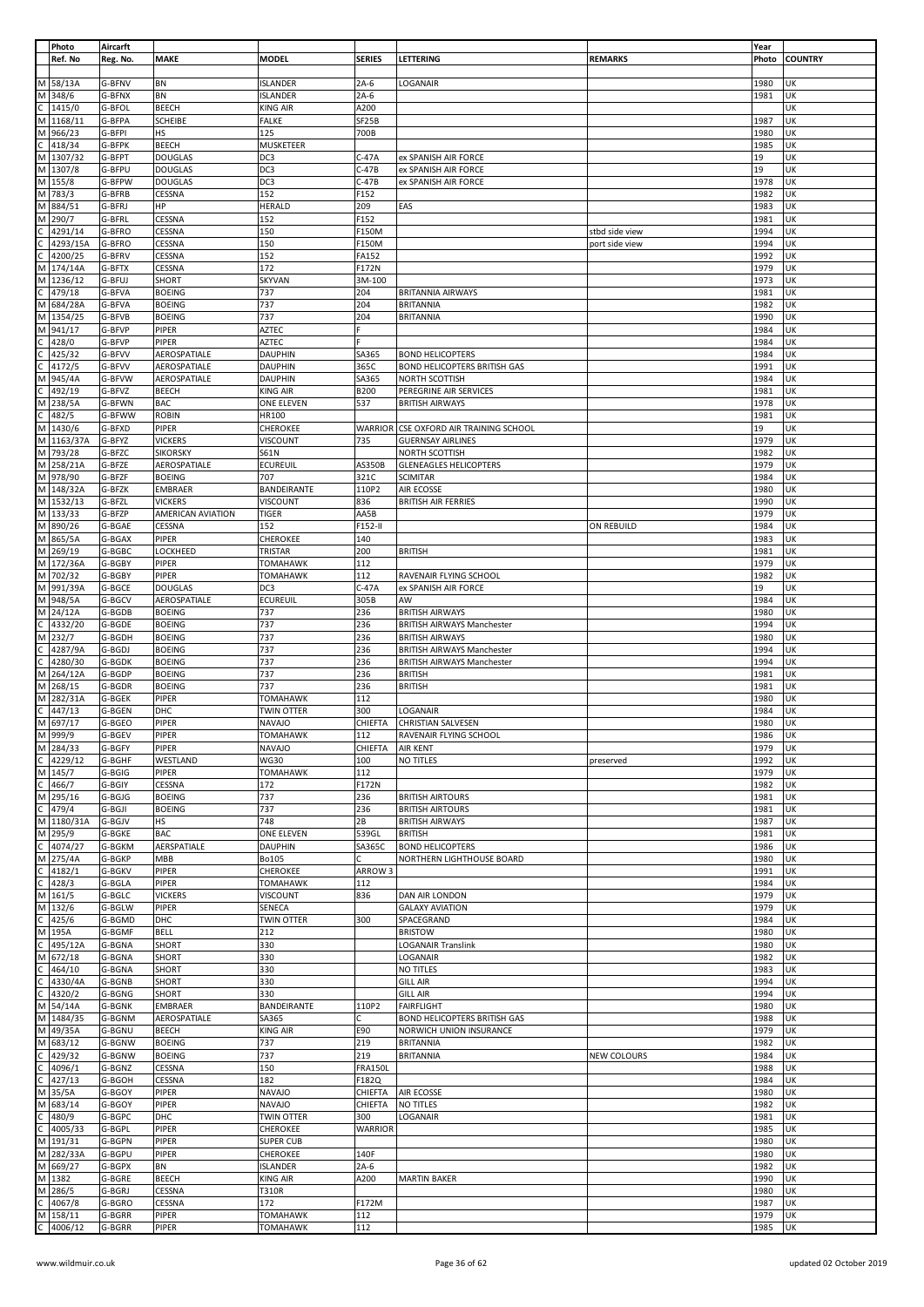|        | Photo             | Aircarft         |                   |                                    |                |                                   |                | Year         |                |
|--------|-------------------|------------------|-------------------|------------------------------------|----------------|-----------------------------------|----------------|--------------|----------------|
|        | Ref. No           | Reg. No.         | <b>MAKE</b>       | <b>MODEL</b>                       | <b>SERIES</b>  | LETTERING                         | <b>REMARKS</b> | Photo        | <b>COUNTRY</b> |
|        |                   |                  |                   |                                    |                |                                   |                |              |                |
|        | M 58/13A          | G-BFNV           | BN                | <b>ISLANDER</b>                    | $2A-6$         | LOGANAIR                          |                | 1980         | UK             |
|        |                   |                  |                   |                                    |                |                                   |                |              |                |
| M      | 348/6             | G-BFNX           | BN                | <b>ISLANDER</b>                    | $2A-6$         |                                   |                | 1981         | UK             |
| C      | 1415/0            | G-BFOL           | <b>BEECH</b>      | <b>KING AIR</b>                    | A200           |                                   |                |              | UK             |
| M      | 1168/11           | G-BFPA           | SCHEIBE           | <b>FALKE</b>                       | SF25B          |                                   |                | 1987         | UK             |
| M      | 966/23            | G-BFPI           | HS                | 125                                | 700B           |                                   |                | 1980         | UK             |
| С      | 418/34            | G-BFPK           | <b>BEECH</b>      | MUSKETEER                          |                |                                   |                | 1985         | UK             |
| M      | 1307/32           | G-BFPT           | <b>DOUGLAS</b>    | DC3                                | $C-47A$        | ex SPANISH AIR FORCE              |                | 19           | UK             |
|        |                   |                  |                   |                                    |                |                                   |                |              |                |
|        | M 1307/8          | G-BFPU           | <b>DOUGLAS</b>    | DC3                                | $C-47B$        | ex SPANISH AIR FORCE              |                | 19           | UK             |
| M      | 155/8             | G-BFPW           | <b>DOUGLAS</b>    | DC3                                | $C-47B$        | ex SPANISH AIR FORCE              |                | 1978         | UK             |
| M      | 783/3             | G-BFRB           | CESSNA            | 152                                | F152           |                                   |                | 1982         | UK             |
| M      | 884/51            | G-BFRJ           | HP                | <b>HERALD</b>                      | 209            | EAS                               |                | 1983         | UK             |
| М      | 290/7             | G-BFRL           | CESSNA            | 152                                | F152           |                                   |                | 1981         | UK             |
|        |                   |                  |                   |                                    |                |                                   |                |              |                |
|        | 4291/14           | G-BFRO           | CESSNA            | 150                                | F150M          |                                   | stbd side view | 1994         | UK             |
|        | 4293/15A          | G-BFRO           | CESSNA            | 150                                | F150M          |                                   | port side view | 1994         | UK             |
|        | 4200/25           | G-BFRV           | CESSNA            | 152                                | FA152          |                                   |                | 1992         | UK             |
| M      | 174/14A           | G-BFTX           | CESSNA            | 172                                | F172N          |                                   |                | 1979         | UK             |
|        |                   |                  |                   |                                    |                |                                   |                |              |                |
| М      | 1236/12           | G-BFUJ           | SHORT             | <b>SKYVAN</b>                      | 3M-100         |                                   |                | 1973         | UK             |
|        | 479/18            | G-BFVA           | <b>BOEING</b>     | 737                                | 204            | <b>BRITANNIA AIRWAYS</b>          |                | 1981         | UK             |
| M      | 684/28A           | G-BFVA           | <b>BOEING</b>     | 737                                | 204            | <b>BRITANNIA</b>                  |                | 1982         | UK             |
| М      | 1354/25           | G-BFVB           | <b>BOEING</b>     | 737                                | 204            | <b>BRITANNIA</b>                  |                | 1990         | UK             |
| M      | 941/17            | G-BFVP           | PIPER             | <b>AZTEC</b>                       |                |                                   |                | 1984         | UK             |
|        |                   |                  |                   |                                    |                |                                   |                |              |                |
|        | 428/0             | G-BFVP           | PIPER             | AZTEC                              |                |                                   |                | 1984         | UK             |
|        | 425/32            | G-BFVV           | AEROSPATIALE      | <b>DAUPHIN</b>                     | SA365          | <b>BOND HELICOPTERS</b>           |                | 1984         | UK             |
|        | 4172/5            | G-BFVV           | AEROSPATIALE      | <b>DAUPHIN</b>                     | 365C           | BOND HELICOPTERS BRITISH GAS      |                | 1991         | UK             |
| M      | 945/4A            | G-BFVW           | AEROSPATIALE      | <b>DAUPHIN</b>                     | SA365          | NORTH SCOTTISH                    |                | 1984         | UK             |
|        | 492/19            | G-BFVZ           | BEECH             | <b>KING AIR</b>                    | <b>B200</b>    | PEREGRINE AIR SERVICES            |                | 1981         | UK             |
|        |                   |                  |                   |                                    |                |                                   |                |              |                |
| M      | 238/5A            | G-BFWN           | <b>BAC</b>        | ONE ELEVEN                         | 537            | <b>BRITISH AIRWAYS</b>            |                | 1978         | UK             |
| C.     | 482/5             | G-BFWW           | <b>ROBIN</b>      | HR100                              |                |                                   |                | 1981         | UK             |
| М      | 1430/6            | G-BFXD           | PIPER             | CHEROKEE                           | <b>WARRIOR</b> | CSE OXFORD AIR TRAINING SCHOOL    |                | 19           | UK             |
| M      | 1163/37A          | G-BFYZ           | <b>VICKERS</b>    | VISCOUNT                           | 735            | <b>GUERNSAY AIRLINES</b>          |                | 1979         | UK             |
| M      | 793/28            | G-BFZC           | <b>SIKORSKY</b>   |                                    |                |                                   |                | 1982         | UK             |
|        |                   |                  |                   | S61N                               |                | NORTH SCOTTISH                    |                |              |                |
| M      | 258/21A           | G-BFZE           | AEROSPATIALE      | <b>ECUREUIL</b>                    | AS350B         | <b>GLENEAGLES HELICOPTERS</b>     |                | 1979         | UK             |
|        | M 978/90          | G-BFZF           | <b>BOEING</b>     | 707                                | 321C           | <b>SCIMITAR</b>                   |                | 1984         | UK             |
|        | M 148/32A         | G-BFZK           | <b>EMBRAER</b>    | BANDEIRANTE                        | 110P2          | AIR ECOSSE                        |                | 1980         | UK             |
| M      | 1532/13           | G-BFZL           | <b>VICKERS</b>    | <b>VISCOUNT</b>                    | 836            | <b>BRITISH AIR FERRIES</b>        |                | 1990         | UK             |
|        |                   |                  |                   |                                    |                |                                   |                |              |                |
|        | M 133/33          | G-BFZP           | AMERICAN AVIATION | <b>TIGER</b>                       | AA5B           |                                   |                | 1979         | UK             |
| M      | 890/26            | G-BGAE           | CESSNA            | 152                                | F152-II        |                                   | ON REBUILD     | 1984         | UK             |
| M      | 865/5A            | G-BGAX           | PIPER             | <b>CHEROKEE</b>                    | 140            |                                   |                | 1983         | UK             |
| M      | 269/19            | G-BGBC           | LOCKHEED          | TRISTAR                            | 200            | <b>BRITISH</b>                    |                | 1981         | UK             |
| M      | 172/36A           | G-BGBY           | PIPER             | <b>TOMAHAWK</b>                    | 112            |                                   |                | 1979         | UK             |
| M      |                   |                  |                   |                                    |                |                                   |                |              |                |
|        | 702/32            | G-BGBY           | PIPER             | <b>TOMAHAWK</b>                    | 112            | RAVENAIR FLYING SCHOOL            |                | 1982         | UK             |
| М      | 991/39A           | G-BGCE           | <b>DOUGLAS</b>    | DC3                                | C-47A          | ex SPANISH AIR FORCE              |                | 19           | UK             |
| M      | 948/5A            | G-BGCV           | AEROSPATIALE      | <b>ECUREUIL</b>                    | 305B           | AW                                |                | 1984         | UK             |
| M      | 24/12A            | G-BGDB           | <b>BOEING</b>     | 737                                | 236            | <b>BRITISH AIRWAYS</b>            |                | 1980         | UK             |
|        | 4332/20           | G-BGDE           | <b>BOEING</b>     | 737                                | 236            | <b>BRITISH AIRWAYS Manchester</b> |                | 1994         | UK             |
|        |                   |                  |                   |                                    |                |                                   |                |              |                |
| M      | 232/7             | G-BGDH           | <b>BOEING</b>     | 737                                | 236            | <b>BRITISH AIRWAYS</b>            |                | 1980         | UK             |
| C      | 4287/9A           | G-BGDJ           | <b>BOEING</b>     | 737                                | 236            | <b>BRITISH AIRWAYS Manchester</b> |                | 1994         | UK             |
|        | 4280/30           | G-BGDK           | <b>BOEING</b>     | 737                                | 236            | <b>BRITISH AIRWAYS Manchester</b> |                | 1994         | UK             |
| M      | 264/12A           | G-BGDP           | <b>BOEING</b>     | 737                                | 236            | <b>BRITISH</b>                    |                | 1981         | UK             |
|        | M 268/15          | G-BGDR           | <b>BOEING</b>     | 737                                | 236            | <b>BRITISH</b>                    |                | 1981         | UK             |
|        |                   |                  |                   |                                    |                |                                   |                |              |                |
|        | M 282/31A         | G-BGEK           | PIPER             | <b>TOMAHAWK</b>                    | 112            |                                   |                | 1980         | UK             |
|        | 447/13            | G-BGEN           | DHC               | TWIN OTTER                         | 300            | LOGANAIR                          |                | 1984         | UK             |
| M      | 697/17            | G-BGEO           | PIPER             | <b>NAVAJO</b>                      | CHIEFTA        | <b>CHRISTIAN SALVESEN</b>         |                | 1980         | UK             |
|        | M 999/9           | G-BGEV           | PIPER             | <b>TOMAHAWK</b>                    | 112            | RAVENAIR FLYING SCHOOL            |                | 1986         | UK             |
|        | M 284/33          | G-BGFY           | PIPER             | <b>NAVAJO</b>                      | CHIEFTA        | <b>AIR KENT</b>                   |                | 1979         | UK             |
|        |                   |                  |                   |                                    |                |                                   |                |              |                |
| C      | 4229/12           | G-BGHF           | WESTLAND          | <b>WG30</b>                        | 100            | NO TITLES                         | preserved      | 1992         | UK             |
| M      | 145/7             | G-BGIG           | PIPER             | <b>TOMAHAWK</b>                    | 112            |                                   |                | 1979         | UK             |
| C.     | 466/7             | G-BGIY           | CESSNA            | 172                                | F172N          |                                   |                | 1982         | UK             |
| М      | 295/16            | G-BGJG           | <b>BOEING</b>     | 737                                | 236            | <b>BRITISH AIRTOURS</b>           |                | 1981         | UK             |
|        | 479/4             | G-BGJI           | <b>BOEING</b>     | 737                                | 236            | <b>BRITISH AIRTOURS</b>           |                | 1981         | UK             |
|        | M 1180/31A        |                  |                   | 748                                | 2B             |                                   |                | 1987         | UK             |
|        |                   | G-BGJV           | HS                |                                    |                | <b>BRITISH AIRWAYS</b>            |                |              |                |
| М      | 295/9             | G-BGKE           | <b>BAC</b>        | <b>ONE ELEVEN</b>                  | 539GL          | <b>BRITISH</b>                    |                | 1981         | UK             |
|        | 4074/27           | G-BGKM           | AERSPATIALE       | <b>DAUPHIN</b>                     | SA365C         | <b>BOND HELICOPTERS</b>           |                | 1986         | UK             |
| M      | 275/4A            | G-BGKP           | <b>MBB</b>        | <b>Bo105</b>                       | C.             | NORTHERN LIGHTHOUSE BOARD         |                | 1980         | UK             |
|        | 4182/1            | G-BGKV           | PIPER             | CHEROKEE                           | ARROW 3        |                                   |                | 1991         | UK             |
|        | 428/3             | G-BGLA           | PIPER             | <b>TOMAHAWK</b>                    | 112            |                                   |                | 1984         | UK             |
| M      |                   | G-BGLC           |                   |                                    | 836            |                                   |                | 1979         | UK             |
|        | 161/5             |                  | <b>VICKERS</b>    | <b>VISCOUNT</b>                    |                | DAN AIR LONDON                    |                |              |                |
| M      | 132/6             | G-BGLW           | PIPER             | SENECA                             |                | <b>GALAXY AVIATION</b>            |                | 1979         | UK             |
|        | 425/6             | G-BGMD           | DHC               | <b>TWIN OTTER</b>                  | 300            | SPACEGRAND                        |                | 1984         | UK             |
| М      |                   |                  |                   |                                    |                |                                   |                |              | UK             |
|        | 195A              | G-BGMF           | <b>BELL</b>       | 212                                |                | <b>BRISTOW</b>                    |                | 1980         |                |
|        |                   |                  |                   |                                    |                |                                   |                |              |                |
|        | 495/12A           | G-BGNA           | SHORT             | 330                                |                | <b>LOGANAIR Translink</b>         |                | 1980         | UK             |
| М      | 672/18            | G-BGNA           | SHORT             | 330                                |                | LOGANAIR                          |                | 1982         | UK             |
|        | 464/10            | G-BGNA           | SHORT             | 330                                |                | NO TITLES                         |                | 1983         | UK             |
|        | 4330/4A           | G-BGNB           | SHORT             | 330                                |                | <b>GILL AIR</b>                   |                | 1994         | UK             |
|        | 4320/2            | G-BGNG           | SHORT             | 330                                |                | <b>GILL AIR</b>                   |                | 1994         | UK             |
|        |                   |                  |                   |                                    |                |                                   |                |              |                |
|        | M 54/14A          | G-BGNK           | EMBRAER           | BANDEIRANTE                        | 110P2          | <b>FAIRFLIGHT</b>                 |                | 1980         | UK             |
| M      | 1484/35           | G-BGNM           | AEROSPATIALE      | SA365                              | Ċ              | BOND HELICOPTERS BRITISH GAS      |                | 1988         | UK             |
| М      | 49/35A            | G-BGNU           | BEECH             | <b>KING AIR</b>                    | E90            | NORWICH UNION INSURANCE           |                | 1979         | UK             |
| М      | 683/12            | G-BGNW           | <b>BOEING</b>     | 737                                | 219            | <b>BRITANNIA</b>                  |                | 1982         | UK             |
|        | 429/32            | G-BGNW           | <b>BOEING</b>     | 737                                | 219            | <b>BRITANNIA</b>                  | NEW COLOURS    | 1984         | UK             |
|        |                   |                  |                   |                                    |                |                                   |                |              |                |
|        | 4096/1            | G-BGNZ           | CESSNA            | 150                                | <b>FRA150L</b> |                                   |                | 1988         | UK             |
|        | 427/13            | G-BGOH           | CESSNA            | 182                                | F182Q          |                                   |                | 1984         | UK             |
| М      | 35/5A             | G-BGOY           | PIPER             | <b>NAVAJO</b>                      | CHIEFTA        | AIR ECOSSE                        |                | 1980         | UK             |
| М      | 683/14            | G-BGOY           | PIPER             | <b>NAVAJO</b>                      | CHIEFTA        | NO TITLES                         |                | 1982         | UK             |
|        | 480/9             | G-BGPC           | DHC               | TWIN OTTER                         | 300            | LOGANAIR                          |                | 1981         | UK             |
|        |                   |                  |                   |                                    |                |                                   |                |              |                |
|        | 4005/33           | G-BGPL           | PIPER             | <b>CHEROKEE</b>                    | <b>WARRIOR</b> |                                   |                | 1985         | UK             |
| М      | 191/31            | G-BGPN           | PIPER             | <b>SUPER CUB</b>                   |                |                                   |                | 1980         | UK             |
| M      | 282/33A           | G-BGPU           | PIPER             | <b>CHEROKEE</b>                    | 140F           |                                   |                | 1980         | UK             |
| M      | 669/27            | G-BGPX           | BN                | <b>ISLANDER</b>                    | $2A-6$         |                                   |                | 1982         | UK             |
| M      | 1382              | G-BGRE           | BEECH             | <b>KING AIR</b>                    | A200           | <b>MARTIN BAKER</b>               |                | 1990         | UK             |
|        |                   |                  |                   |                                    |                |                                   |                |              |                |
| M      | 286/5             | G-BGRJ           | CESSNA            | T310R                              |                |                                   |                | 1980         | UK             |
|        | 4067/8            | G-BGRO           | CESSNA            | 172                                | F172M          |                                   |                | 1987         | UK             |
| М<br>C | 158/11<br>4006/12 | G-BGRR<br>G-BGRR | PIPER<br>PIPER    | <b>TOMAHAWK</b><br><b>TOMAHAWK</b> | 112<br>112     |                                   |                | 1979<br>1985 | UK<br>UK       |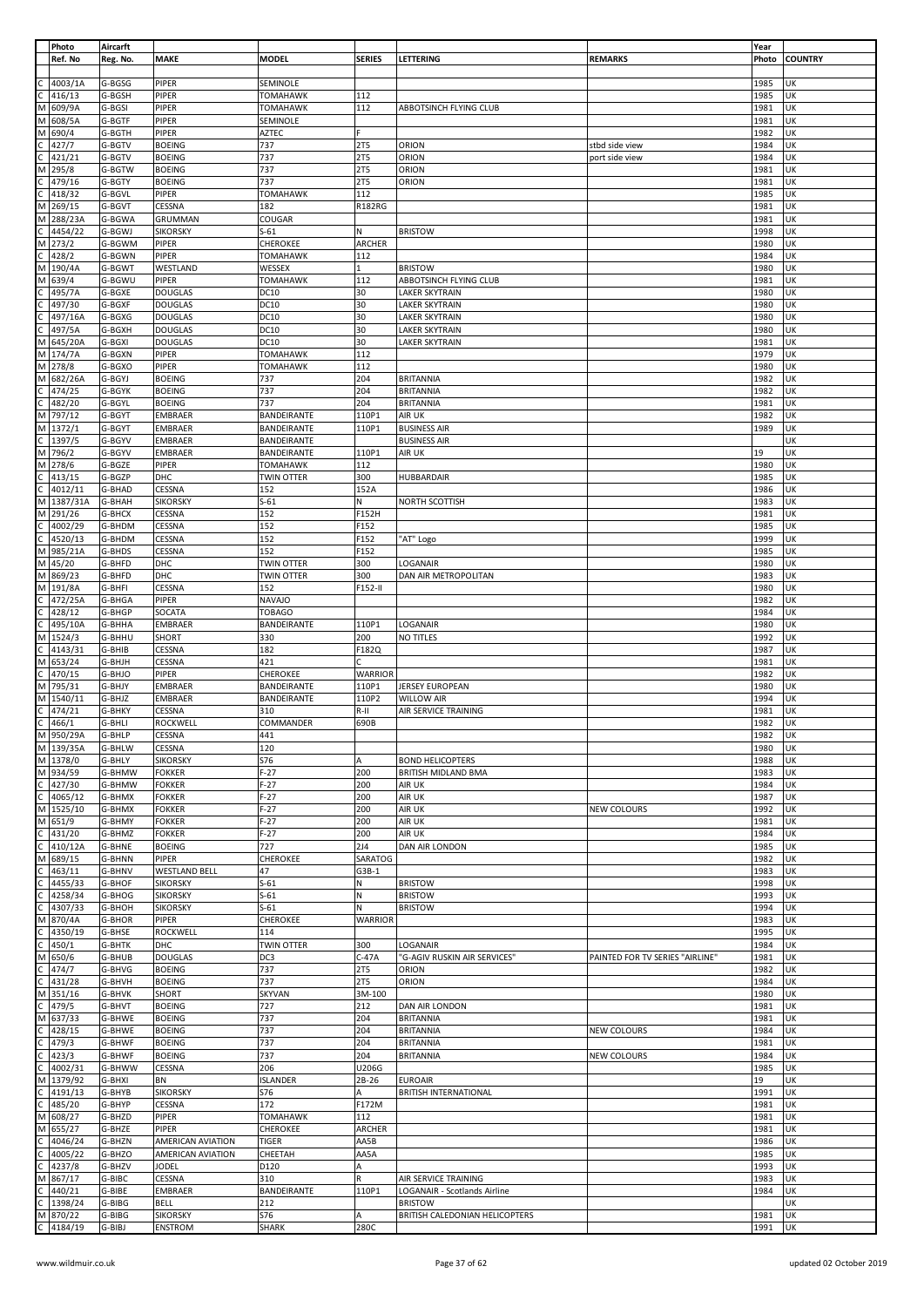|              | Photo             | Aircarft         |                                  |                            |                     |                                      |                                 | Year         |                |
|--------------|-------------------|------------------|----------------------------------|----------------------------|---------------------|--------------------------------------|---------------------------------|--------------|----------------|
|              | Ref. No           | Reg. No.         | <b>MAKE</b>                      | <b>MODEL</b>               | <b>SERIES</b>       | LETTERING                            | <b>REMARKS</b>                  | Photo        | <b>COUNTRY</b> |
|              |                   |                  |                                  |                            |                     |                                      |                                 |              |                |
|              | 4003/1A           | G-BGSG           | PIPER                            | SEMINOLE                   |                     |                                      |                                 | 1985         | UK             |
|              | 416/13            | G-BGSH           | PIPER                            | <b>TOMAHAWK</b>            | 112                 |                                      |                                 | 1985         | UK             |
| M            | 609/9A            | G-BGSI           | PIPER                            | <b>TOMAHAWK</b>            | 112                 | ABBOTSINCH FLYING CLUB               |                                 | 1981         | UK             |
| М            | 608/5A            | G-BGTF           | PIPER                            | SEMINOLE                   |                     |                                      |                                 | 1981         | UK             |
|              | 690/4             | G-BGTH           | PIPER                            | <b>AZTEC</b>               |                     |                                      |                                 | 1982         | UK             |
|              | 427/7             | G-BGTV           | <b>BOEING</b>                    | 737                        | <b>2T5</b>          | ORION                                | stbd side view                  | 1984         | UK             |
|              | 421/21            | G-BGTV           | <b>BOEING</b>                    | 737                        | <b>2T5</b>          | ORION                                | port side view                  | 1984         | UK             |
| м            | 295/8             | G-BGTW           | <b>BOEING</b>                    | 737                        | <b>2T5</b>          | ORION                                |                                 | 1981         | UK             |
|              | 479/16            | G-BGTY           | <b>BOEING</b>                    | 737                        | <b>2T5</b>          | ORION                                |                                 | 1981         | UK             |
|              | 418/32            | G-BGVL           | PIPER                            | TOMAHAWK                   | 112                 |                                      |                                 | 1985         | UK             |
| М            | 269/15            | G-BGVT           | CESSNA                           | 182                        | <b>R182RG</b>       |                                      |                                 | 1981         | UK             |
| M            | 288/23A           | G-BGWA           | GRUMMAN                          | COUGAR                     |                     |                                      |                                 | 1981         | UK             |
|              | 4454/22           | G-BGWJ           | <b>SIKORSKY</b>                  | $S-61$                     | Ν                   | <b>BRISTOW</b>                       |                                 | 1998         | UΚ             |
| М            | 273/2             | G-BGWM           | <b>PIPER</b>                     | CHEROKEE                   | ARCHER              |                                      |                                 | 1980         | UK             |
| M            | 428/2<br>190/4A   | G-BGWN<br>G-BGWT | PIPER<br>WESTLAND                | TOMAHAWK<br>WESSEX         | 112<br>$\mathbf{1}$ | <b>BRISTOW</b>                       |                                 | 1984<br>1980 | UK<br>UK       |
|              | 639/4             | G-BGWU           | <b>PIPER</b>                     | TOMAHAWK                   | 112                 | ABBOTSINCH FLYING CLUB               |                                 | 1981         | UK             |
|              | 495/7A            | G-BGXE           | <b>DOUGLAS</b>                   | DC10                       | 30                  | <b>LAKER SKYTRAIN</b>                |                                 | 1980         | UK             |
|              | 497/30            | G-BGXF           | <b>DOUGLAS</b>                   | <b>DC10</b>                | 30                  | LAKER SKYTRAIN                       |                                 | 1980         | UK             |
|              | 497/16A           | G-BGXG           | <b>DOUGLAS</b>                   | DC10                       | 30                  | LAKER SKYTRAIN                       |                                 | 1980         | UK             |
|              | 497/5A            | G-BGXH           | <b>DOUGLAS</b>                   | DC10                       | 30                  | LAKER SKYTRAIN                       |                                 | 1980         | UΚ             |
| М            | 645/20A           | G-BGXI           | <b>DOUGLAS</b>                   | DC10                       | 30                  | <b>LAKER SKYTRAIN</b>                |                                 | 1981         | UK             |
| M            | 174/7A            | G-BGXN           | <b>PIPER</b>                     | <b>TOMAHAWK</b>            | 112                 |                                      |                                 | 1979         | UK             |
| М            | 278/8             | G-BGXO           | PIPER                            | TOMAHAWK                   | 112                 |                                      |                                 | 1980         | UΚ             |
| M            | 682/26A           | G-BGYJ           | <b>BOEING</b>                    | 737                        | 204                 | <b>BRITANNIA</b>                     |                                 | 1982         | UK             |
|              | 474/25            | G-BGYK           | <b>BOEING</b>                    | 737                        | 204                 | <b>BRITANNIA</b>                     |                                 | 1982         | UK             |
|              | 482/20            | G-BGYL           | <b>BOEING</b>                    | 737                        | 204                 | <b>BRITANNIA</b>                     |                                 | 1981         | UK             |
| M            | 797/12            | G-BGYT           | <b>EMBRAER</b>                   | BANDEIRANTE                | 110P1               | AIR UK                               |                                 | 1982         | UK             |
| M            | 1372/1            | G-BGYT           | <b>EMBRAER</b>                   | BANDEIRANTE                | 110P1               | <b>BUSINESS AIR</b>                  |                                 | 1989         | UK             |
|              | 1397/5            | G-BGYV           | <b>EMBRAER</b>                   | BANDEIRANTE                |                     | <b>BUSINESS AIR</b>                  |                                 |              | UK             |
| М            | 796/2             | G-BGYV           | <b>EMBRAER</b>                   | BANDEIRANTE                | 110P1               | AIR UK                               |                                 | 19           | UK             |
| M            | 278/6             | G-BGZE           | PIPER                            | <b>TOMAHAWK</b>            | 112                 |                                      |                                 | 1980         | UK             |
|              | 413/15            | G-BGZP           | DHC                              | <b>TWIN OTTER</b>          | 300                 | <b>HUBBARDAIR</b>                    |                                 | 1985         | UK             |
|              | 4012/11           | G-BHAD           | CESSNA                           | 152                        | 152A                |                                      |                                 | 1986         | UK             |
| М            | 1387/31A          | G-BHAH           | <b>SIKORSKY</b>                  | $S-61$                     | N                   | NORTH SCOTTISH                       |                                 | 1983         | UK             |
| M            | 291/26            | G-BHCX           | CESSNA                           | 152                        | F152H               |                                      |                                 | 1981         | UK             |
|              | 4002/29           | G-BHDM           | CESSNA                           | 152                        | F152                |                                      |                                 | 1985         | UK             |
|              | 4520/13           | G-BHDM           | CESSNA                           | 152                        | F152                | 'AT" Logo                            |                                 | 1999         | UK             |
| м            | 985/21A           | G-BHDS           | CESSNA                           | 152                        | F152                |                                      |                                 | 1985         | UK             |
| М            | 45/20             | G-BHFD           | DHC                              | TWIN OTTER                 | 300                 | LOGANAIR                             |                                 | 1980         | UK             |
| M            | 869/23            | G-BHFD           | DHC                              | <b>TWIN OTTER</b>          | 300                 | DAN AIR METROPOLITAN                 |                                 | 1983         | UK             |
| M            | 191/8A            | G-BHFI           | CESSNA                           | 152                        | F152-II             |                                      |                                 | 1980         | UK             |
|              | 472/25A           | G-BHGA           | PIPER                            | <b>NAVAJO</b>              |                     |                                      |                                 | 1982         | UK             |
|              | 428/12            | G-BHGP           | SOCATA                           | <b>TOBAGO</b>              |                     |                                      |                                 | 1984         | UK             |
|              | 495/10A           | G-BHHA           | <b>EMBRAER</b>                   | BANDEIRANTE                | 110P1               | LOGANAIR                             |                                 | 1980         | UK             |
| М            | 1524/3            | G-BHHU           | SHORT                            | 330                        | 200                 | NO TITLES                            |                                 | 1992         | UK             |
|              | 4143/31           | G-BHIB           | CESSNA                           | 182<br>421                 | F182Q               |                                      |                                 | 1987         | UK             |
|              | 653/24            | G-BHJH           | CESSNA                           |                            |                     |                                      |                                 | 1981         | UK             |
| M            | 470/15            | G-BHJO           | PIPER                            | CHEROKEE                   | <b>WARRIOR</b>      |                                      |                                 | 1982         | UK             |
| М            | 795/31<br>1540/11 | G-BHJY<br>G-BHJZ | <b>EMBRAER</b><br><b>EMBRAER</b> | BANDEIRANTE<br>BANDEIRANTE | 110P1<br>110P2      | JERSEY EUROPEAN<br><b>WILLOW AIR</b> |                                 | 1980<br>1994 | UK<br>UK       |
|              | 474/21            | G-BHKY           | CESSNA                           | 310                        | R-II                | AIR SERVICE TRAINING                 |                                 | 1981         | UK             |
| C.           | 466/1             | G-BHLI           | ROCKWELL                         | COMMANDER                  | 690B                |                                      |                                 | 1982         | UK             |
| M            | 950/29A           | G-BHLP           | CESSNA                           | 441                        |                     |                                      |                                 | 1982         | UK             |
|              | M 139/35A         | G-BHLW           | <b>CESSNA</b>                    | 120                        |                     |                                      |                                 | 1980         | UK             |
|              | M 1378/0          | G-BHLY           | <b>SIKORSKY</b>                  | S76                        | Α                   | <b>BOND HELICOPTERS</b>              |                                 | 1988         | UK             |
|              | M 934/59          | G-BHMW           | <b>FOKKER</b>                    | $F-27$                     | 200                 | BRITISH MIDLAND BMA                  |                                 | 1983         | UK             |
| C            | 427/30            | G-BHMW           | <b>FOKKER</b>                    | $F-27$                     | 200                 | AIR UK                               |                                 | 1984         | UK             |
| C            | 4065/12           | G-BHMX           | <b>FOKKER</b>                    | $F-27$                     | 200                 | AIR UK                               |                                 | 1987         | UK             |
| М            | 1525/10           | G-BHMX           | <b>FOKKER</b>                    | $F-27$                     | 200                 | AIR UK                               | NEW COLOURS                     | 1992         | UK             |
| M            | 651/9             | G-BHMY           | <b>FOKKER</b>                    | $F-27$                     | 200                 | AIR UK                               |                                 | 1981         | UK             |
|              | 431/20            | G-BHMZ           | <b>FOKKER</b>                    | $F-27$                     | 200                 | AIR UK                               |                                 | 1984         | UK             |
|              | 410/12A           | G-BHNE           | <b>BOEING</b>                    | 727                        | 2J4                 | DAN AIR LONDON                       |                                 | 1985         | UK             |
| м            | 689/15            | G-BHNN           | PIPER                            | <b>CHEROKEE</b>            | SARATOG             |                                      |                                 | 1982         | UK             |
|              | 463/11            | G-BHNV           | <b>WESTLAND BELL</b>             | 47                         | $G3B-1$             |                                      |                                 | 1983         | UK             |
|              | 4455/33           | G-BHOF           | <b>SIKORSKY</b>                  | $S-61$                     | N                   | <b>BRISTOW</b>                       |                                 | 1998         | UK             |
|              | 4258/34           | G-BHOG           | <b>SIKORSKY</b>                  | $S-61$                     | N                   | <b>BRISTOW</b>                       |                                 | 1993         | UK             |
|              | 4307/33           | G-BHOH           | <b>SIKORSKY</b>                  | $S-61$                     | N                   | <b>BRISTOW</b>                       |                                 | 1994         | UK             |
|              | 870/4A            | G-BHOR           | PIPER                            | CHEROKEE                   | <b>WARRIOR</b>      |                                      |                                 | 1983         | UK             |
|              | 4350/19           | G-BHSE           | <b>ROCKWELL</b>                  | 114                        |                     |                                      |                                 | 1995         | UK             |
|              | 450/1             | G-BHTK           | DHC                              | TWIN OTTER                 | 300                 | LOGANAIR                             |                                 | 1984         | UK             |
|              | 650/6             | G-BHUB           | <b>DOUGLAS</b>                   | DC3                        | $C-47A$             | 'G-AGIV RUSKIN AIR SERVICES'         | PAINTED FOR TV SERIES "AIRLINE" | 1981         | UK             |
|              | 474/7             | G-BHVG           | <b>BOEING</b>                    | 737                        | 2T5                 | ORION                                |                                 | 1982         | UK             |
|              | 431/28            | G-BHVH           | <b>BOEING</b>                    | 737                        | 2T5                 | ORION                                |                                 | 1984         | UK<br>UK       |
| М            | 351/16<br>479/5   | G-BHVK<br>G-BHVT | SHORT                            | <b>SKYVAN</b><br>727       | 3M-100<br>212       | DAN AIR LONDON                       |                                 | 1980<br>1981 | UK             |
|              | 637/33            | G-BHWE           | <b>BOEING</b><br><b>BOEING</b>   | 737                        | 204                 | <b>BRITANNIA</b>                     |                                 | 1981         | UK             |
|              | 428/15            | G-BHWE           | <b>BOEING</b>                    | 737                        | 204                 | <b>BRITANNIA</b>                     | <b>NEW COLOURS</b>              | 1984         | UK             |
|              | 479/3             | G-BHWF           | <b>BOEING</b>                    | 737                        | 204                 | <b>BRITANNIA</b>                     |                                 | 1981         | UK             |
|              | 423/3             | G-BHWF           | <b>BOEING</b>                    | 737                        | 204                 | <b>BRITANNIA</b>                     | <b>NEW COLOURS</b>              | 1984         | UK             |
|              | 4002/31           | G-BHWW           | CESSNA                           | 206                        | U206G               |                                      |                                 | 1985         | UK             |
| M            | 1379/92           | G-BHXI           | BN                               | <b>ISLANDER</b>            | $2B-26$             | <b>EUROAIR</b>                       |                                 | 19           | UK             |
|              | 4191/13           | G-BHYB           | <b>SIKORSKY</b>                  | S76                        | A                   | <b>BRITISH INTERNATIONAL</b>         |                                 | 1991         | UK             |
|              | 485/20            | G-BHYP           | CESSNA                           | 172                        | F172M               |                                      |                                 | 1981         | UK             |
| м            | 608/27            | G-BHZD           | PIPER                            | TOMAHAWK                   | 112                 |                                      |                                 | 1981         | UK             |
| м            | 655/27            | G-BHZE           | PIPER                            | CHEROKEE                   | ARCHER              |                                      |                                 | 1981         | UK             |
|              | 4046/24           | G-BHZN           | AMERICAN AVIATION                | <b>TIGER</b>               | AA5B                |                                      |                                 | 1986         | UK             |
|              | 4005/22           | G-BHZO           | <b>AMERICAN AVIATION</b>         | CHEETAH                    | AA5A                |                                      |                                 | 1985         | UK             |
|              | 4237/8            | G-BHZV           | <b>JODEL</b>                     | D120                       | Α                   |                                      |                                 | 1993         | UK             |
| м            | 867/17            | G-BIBC           | CESSNA                           | 310                        | R                   | AIR SERVICE TRAINING                 |                                 | 1983         | UK             |
|              | 440/21            | G-BIBE           | <b>EMBRAER</b>                   | BANDEIRANTE                | 110P1               | LOGANAIR - Scotlands Airline         |                                 | 1984         | UK             |
|              | 1398/24           | G-BIBG           | <b>BELL</b>                      | 212                        |                     | <b>BRISTOW</b>                       |                                 |              | UK             |
| М            | 870/22            | G-BIBG           | <b>SIKORSKY</b>                  | S76                        | A                   | BRITISH CALEDONIAN HELICOPTERS       |                                 | 1981         | UK             |
| $\mathsf{C}$ | 4184/19           | G-BIBJ           | <b>ENSTROM</b>                   | <b>SHARK</b>               | 280C                |                                      |                                 | 1991         | UK             |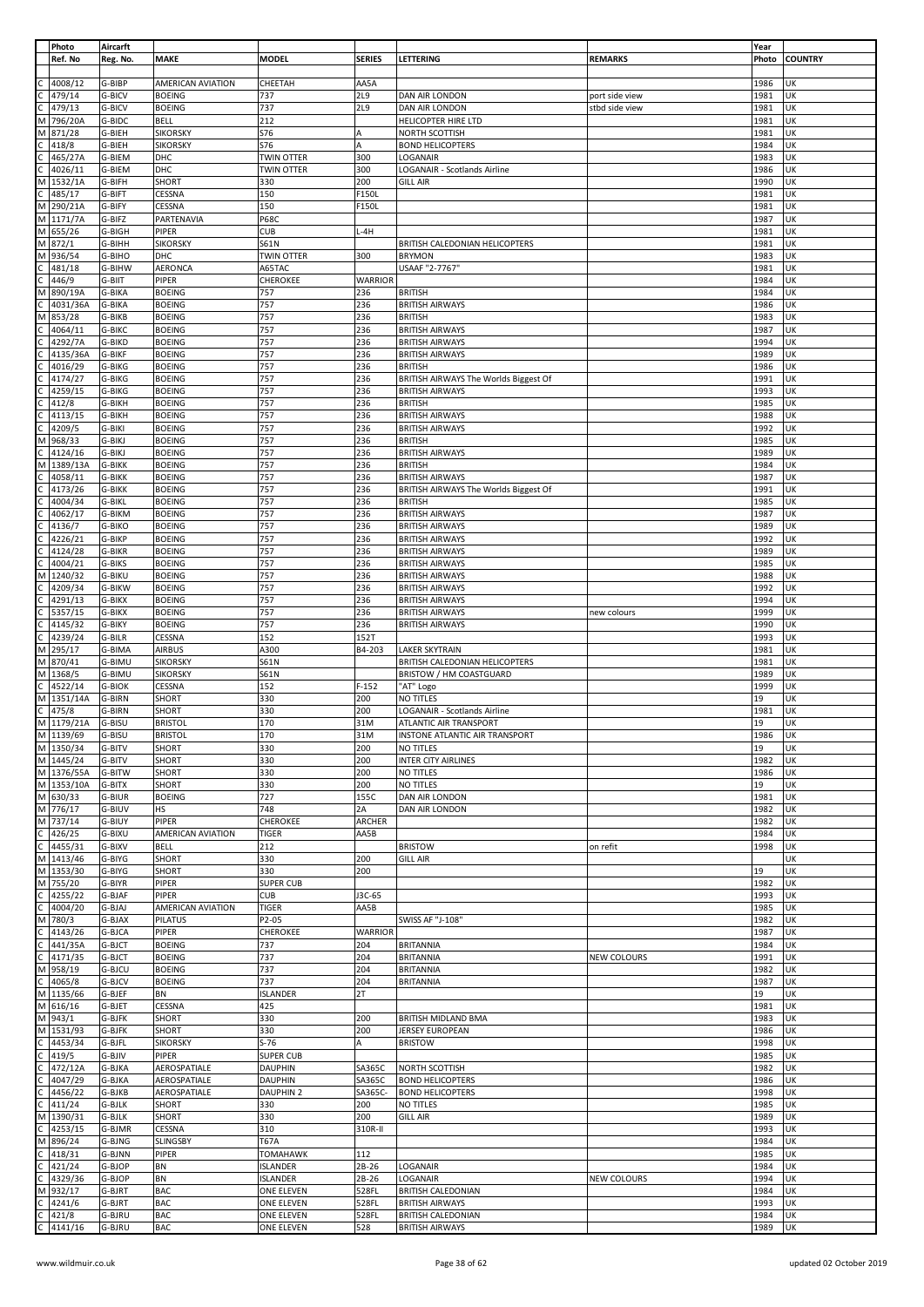|              | Photo               | Aircarft         |                                |                        |                |                                                                 |                | Year         |                |
|--------------|---------------------|------------------|--------------------------------|------------------------|----------------|-----------------------------------------------------------------|----------------|--------------|----------------|
|              | Ref. No             | Reg. No.         | MAKE                           | <b>MODEL</b>           | <b>SERIES</b>  | LETTERING                                                       | <b>REMARKS</b> | Photo        | <b>COUNTRY</b> |
|              | 4008/12             | G-BIBP           | AMERICAN AVIATION              | CHEETAH                | AA5A           |                                                                 |                | 1986         | UK             |
|              | 479/14              | G-BICV           | <b>BOEING</b>                  | 737                    | <b>2L9</b>     | DAN AIR LONDON                                                  | port side view | 1981         | UK             |
|              | 479/13              | G-BICV           | <b>BOEING</b>                  | 737                    | <b>2L9</b>     | DAN AIR LONDON                                                  | stbd side view | 1981         | UK             |
| M            | 796/20A             | G-BIDC           | <b>BELL</b>                    | 212                    |                | HELICOPTER HIRE LTD                                             |                | 1981         | UK             |
| М            | 871/28              | G-BIEH           | <b>SIKORSKY</b>                | S76                    | A              | NORTH SCOTTISH                                                  |                | 1981         | UK             |
| C            | 418/8               | G-BIEH           | <b>SIKORSKY</b>                | S76                    | A              | <b>BOND HELICOPTERS</b>                                         |                | 1984         | UK             |
|              | 465/27A             | G-BIEM           | DHC                            | <b>TWIN OTTER</b>      | 300            | LOGANAIR                                                        |                | 1983         | UK             |
|              | 4026/11             | G-BIEM           | DHC                            | <b>TWIN OTTER</b>      | 300            | LOGANAIR - Scotlands Airline                                    |                | 1986         | UK             |
| M            | 1532/1A             | G-BIFH           | SHORT                          | 330                    | 200            | <b>GILL AIR</b>                                                 |                | 1990         | UK             |
| $\mathsf{C}$ | 485/17              | G-BIFT           | CESSNA                         | 150                    | F150L          |                                                                 |                | 1981         | UK             |
| M<br>M       | 290/21A<br>1171/7A  | G-BIFY<br>G-BIFZ | CESSNA<br>PARTENAVIA           | 150<br><b>P68C</b>     | F150L          |                                                                 |                | 1981<br>1987 | UK<br>UK       |
| M            | 655/26              | G-BIGH           | PIPER                          | <b>CUB</b>             | L-4H           |                                                                 |                | 1981         | UK             |
| M            | 872/1               | G-BIHH           | <b>SIKORSKY</b>                | <b>S61N</b>            |                | BRITISH CALEDONIAN HELICOPTERS                                  |                | 1981         | UK             |
| M            | 936/54              | G-BIHO           | DHC                            | TWIN OTTER             | 300            | <b>BRYMON</b>                                                   |                | 1983         | UK             |
|              | 481/18              | G-BIHW           | AERONCA                        | A65TAC                 |                | USAAF "2-7767"                                                  |                | 1981         | UK             |
| C            | 446/9               | G-BIIT           | PIPER                          | CHEROKEE               | <b>WARRIOR</b> |                                                                 |                | 1984         | UK             |
| M            | 890/19A             | G-BIKA           | <b>BOEING</b>                  | 757                    | 236            | <b>BRITISH</b>                                                  |                | 1984         | UK             |
|              | 4031/36A            | G-BIKA           | <b>BOEING</b>                  | 757                    | 236            | <b>BRITISH AIRWAYS</b>                                          |                | 1986         | UK             |
| M            | 853/28              | G-BIKB           | <b>BOEING</b>                  | 757                    | 236            | <b>BRITISH</b>                                                  |                | 1983         | UK             |
|              | 4064/11<br>4292/7A  | G-BIKC<br>G-BIKD | <b>BOEING</b>                  | 757<br>757             | 236<br>236     | <b>BRITISH AIRWAYS</b>                                          |                | 1987<br>1994 | UK<br>UK       |
|              | 4135/36A            | G-BIKF           | <b>BOEING</b><br><b>BOEING</b> | 757                    | 236            | <b>BRITISH AIRWAYS</b><br><b>BRITISH AIRWAYS</b>                |                | 1989         | UK             |
|              | 4016/29             | G-BIKG           | <b>BOEING</b>                  | 757                    | 236            | <b>BRITISH</b>                                                  |                | 1986         | UK             |
|              | 4174/27             | G-BIKG           | <b>BOEING</b>                  | 757                    | 236            | BRITISH AIRWAYS The Worlds Biggest Of                           |                | 1991         | UK             |
|              | 4259/15             | G-BIKG           | <b>BOEING</b>                  | 757                    | 236            | <b>BRITISH AIRWAYS</b>                                          |                | 1993         | UK             |
|              | 412/8               | G-BIKH           | <b>BOEING</b>                  | 757                    | 236            | <b>BRITISH</b>                                                  |                | 1985         | UK             |
|              | 4113/15             | G-BIKH           | <b>BOEING</b>                  | 757                    | 236            | <b>BRITISH AIRWAYS</b>                                          |                | 1988         | UK             |
|              | 4209/5              | G-BIKI           | <b>BOEING</b>                  | 757                    | 236            | <b>BRITISH AIRWAYS</b>                                          |                | 1992         | UK             |
| M            | 968/33              | G-BIKJ           | <b>BOEING</b>                  | 757                    | 236            | <b>BRITISH</b>                                                  |                | 1985         | UK             |
|              | 4124/16             | G-BIKJ           | <b>BOEING</b>                  | 757                    | 236            | <b>BRITISH AIRWAYS</b>                                          |                | 1989         | UK             |
| M            | 1389/13A<br>4058/11 | G-BIKK<br>G-BIKK | <b>BOEING</b>                  | 757<br>757             | 236            | <b>BRITISH</b>                                                  |                | 1984         | UK<br>UK       |
|              | 4173/26             | G-BIKK           | <b>BOEING</b><br><b>BOEING</b> | 757                    | 236<br>236     | <b>BRITISH AIRWAYS</b><br>BRITISH AIRWAYS The Worlds Biggest Of |                | 1987<br>1991 | UK             |
|              | 4004/34             | G-BIKL           | <b>BOEING</b>                  | 757                    | 236            | <b>BRITISH</b>                                                  |                | 1985         | UK             |
|              | 4062/17             | G-BIKM           | <b>BOEING</b>                  | 757                    | 236            | <b>BRITISH AIRWAYS</b>                                          |                | 1987         | UK             |
|              | 4136/7              | G-BIKO           | <b>BOEING</b>                  | 757                    | 236            | <b>BRITISH AIRWAYS</b>                                          |                | 1989         | UK             |
|              | 4226/21             | G-BIKP           | <b>BOEING</b>                  | 757                    | 236            | <b>BRITISH AIRWAYS</b>                                          |                | 1992         | UK             |
|              | 4124/28             | G-BIKR           | <b>BOEING</b>                  | 757                    | 236            | <b>BRITISH AIRWAYS</b>                                          |                | 1989         | UK             |
|              | 4004/21             | G-BIKS           | <b>BOEING</b>                  | 757                    | 236            | <b>BRITISH AIRWAYS</b>                                          |                | 1985         | UK             |
| M            | 1240/32             | G-BIKU           | <b>BOEING</b>                  | 757                    | 236            | <b>BRITISH AIRWAYS</b>                                          |                | 1988         | UK             |
|              | 4209/34             | G-BIKW           | <b>BOEING</b>                  | 757                    | 236            | <b>BRITISH AIRWAYS</b>                                          |                | 1992         | UK             |
|              | 4291/13             | G-BIKX           | <b>BOEING</b>                  | 757                    | 236            | <b>BRITISH AIRWAYS</b>                                          |                | 1994         | UK             |
|              | 5357/15<br>4145/32  | G-BIKX<br>G-BIKY | <b>BOEING</b><br><b>BOEING</b> | 757<br>757             | 236<br>236     | <b>BRITISH AIRWAYS</b><br><b>BRITISH AIRWAYS</b>                | new colours    | 1999<br>1990 | UK<br>UK       |
|              | 4239/24             | G-BILR           | CESSNA                         | 152                    | 152T           |                                                                 |                | 1993         | UK             |
| M            | 295/17              | G-BIMA           | <b>AIRBUS</b>                  | A300                   | B4-203         | <b>LAKER SKYTRAIN</b>                                           |                | 1981         | UK             |
| М            | 870/41              | G-BIMU           | <b>SIKORSKY</b>                | <b>S61N</b>            |                | BRITISH CALEDONIAN HELICOPTERS                                  |                | 1981         | UK             |
| M            | 1368/5              | G-BIMU           | <b>SIKORSKY</b>                | S61N                   |                | BRISTOW / HM COASTGUARD                                         |                | 1989         | UK             |
|              | 4522/14             | <b>G-BIOK</b>    | CESSNA                         | 152                    | $F-152$        | "AT" Logo                                                       |                | 1999         | UK             |
| M            | 1351/14A            | G-BIRN           | SHORT                          | 330                    | 200            | NO TITLES                                                       |                | 19           | UK             |
| C            | 475/8               | G-BIRN           | SHORT                          | 330                    | 200            | LOGANAIR - Scotlands Airline                                    |                | 1981         | UK             |
| M            | 1179/21A            | G-BISU           | <b>BRISTOL</b>                 | 170                    | 31M            | ATLANTIC AIR TRANSPORT                                          |                | 19           | UK             |
| M<br>M       | 1139/69<br>1350/34  | G-BISU<br>G-BITV | <b>BRISTOL</b><br><b>SHORT</b> | 170<br>330             | 31M<br>200     | INSTONE ATLANTIC AIR TRANSPORT<br><b>NO TITLES</b>              |                | 1986<br>19   | UK<br>UK       |
|              | M 1445/24           | G-BITV           | SHORT                          | 330                    | 200            | <b>INTER CITY AIRLINES</b>                                      |                | 1982         | UK             |
|              | M 1376/55A          | G-BITW           | SHORT                          | 330                    | 200            | NO TITLES                                                       |                | 1986         | UK             |
|              | M 1353/10A          | G-BITX           | <b>SHORT</b>                   | 330                    | 200            | NO TITLES                                                       |                | 19           | UK             |
|              | M 630/33            | G-BIUR           | <b>BOEING</b>                  | 727                    | 155C           | DAN AIR LONDON                                                  |                | 1981         | UK             |
|              | M 776/17            | G-BIUV           | HS                             | 748                    | 2A             | DAN AIR LONDON                                                  |                | 1982         | UK             |
| M            | 737/14              | G-BIUY           | PIPER                          | CHEROKEE               | ARCHER         |                                                                 |                | 1982         | UK             |
| $\mathsf{C}$ | 426/25              | G-BIXU           | <b>AMERICAN AVIATION</b>       | <b>TIGER</b>           | AA5B           |                                                                 |                | 1984         | UK             |
| $\mathsf{C}$ | 4455/31<br>1413/46  | G-BIXV           | <b>BELL</b>                    | 212                    |                | <b>BRISTOW</b>                                                  | on refit       | 1998         | UK             |
| M<br>M       | 1353/30             | G-BIYG<br>G-BIYG | SHORT<br>SHORT                 | 330<br>330             | 200<br>200     | <b>GILL AIR</b>                                                 |                | 19           | UΚ<br>UΚ       |
| M            | 755/20              | G-BIYR           | PIPER                          | <b>SUPER CUB</b>       |                |                                                                 |                | 1982         | UΚ             |
| C            | 4255/22             | G-BJAF           | PIPER                          | <b>CUB</b>             | J3C-65         |                                                                 |                | 1993         | UK             |
| C            | 4004/20             | G-BJAJ           | AMERICAN AVIATION              | <b>TIGER</b>           | AA5B           |                                                                 |                | 1985         | UK             |
| M            | 780/3               | G-BJAX           | <b>PILATUS</b>                 | P2-05                  |                | SWISS AF "J-108"                                                |                | 1982         | UΚ             |
| C            | 4143/26             | G-BJCA           | PIPER                          | CHEROKEE               | <b>WARRIOR</b> |                                                                 |                | 1987         | UK             |
| C            | 441/35A             | G-BJCT           | <b>BOEING</b>                  | 737                    | 204            | <b>BRITANNIA</b>                                                |                | 1984         | UK             |
| C            | 4171/35             | G-BJCT           | <b>BOEING</b>                  | 737                    | 204            | <b>BRITANNIA</b>                                                | NEW COLOURS    | 1991         | UK             |
| M            | 958/19              | G-BJCU           | <b>BOEING</b>                  | 737                    | 204            | <b>BRITANNIA</b>                                                |                | 1982         | UΚ             |
| C<br>M       | 4065/8<br>1135/66   | G-BJCV<br>G-BJEF | <b>BOEING</b><br>BN            | 737<br><b>ISLANDER</b> | 204<br>2T      | <b>BRITANNIA</b>                                                |                | 1987<br>19   | UK<br>UK       |
| M            | 616/16              | G-BJET           | CESSNA                         | 425                    |                |                                                                 |                | 1981         | UΚ             |
| M            | 943/1               | G-BJFK           | SHORT                          | 330                    | 200            | <b>BRITISH MIDLAND BMA</b>                                      |                | 1983         | UΚ             |
| M            | 1531/93             | G-BJFK           | SHORT                          | 330                    | 200            | JERSEY EUROPEAN                                                 |                | 1986         | UK             |
| C            | 4453/34             | G-BJFL           | <b>SIKORSKY</b>                | $S-76$                 | Α              | <b>BRISTOW</b>                                                  |                | 1998         | UK             |
|              | 419/5               | G-BJIV           | PIPER                          | <b>SUPER CUB</b>       |                |                                                                 |                | 1985         | UK             |
|              | 472/12A             | G-BJKA           | AEROSPATIALE                   | <b>DAUPHIN</b>         | SA365C         | NORTH SCOTTISH                                                  |                | 1982         | UK             |
|              | 4047/29             | G-BJKA           | AEROSPATIALE                   | <b>DAUPHIN</b>         | SA365C         | <b>BOND HELICOPTERS</b>                                         |                | 1986         | UK             |
|              | 4456/22             | G-BJKB           | AEROSPATIALE                   | DAUPHIN 2              | SA365C-        | <b>BOND HELICOPTERS</b>                                         |                | 1998         | UΚ             |
| C            | 411/24              | G-BJLK           | SHORT                          | 330                    | 200            | NO TITLES                                                       |                | 1985         | UK             |
| М            | 1390/31<br>4253/15  | G-BJLK<br>G-BJMR | SHORT<br>CESSNA                | 330<br>310             | 200<br>310R-II | <b>GILL AIR</b>                                                 |                | 1989<br>1993 | UK<br>UK       |
| M            | 896/24              | G-BJNG           | SLINGSBY                       | T67A                   |                |                                                                 |                | 1984         | UK             |
| C            | 418/31              | G-BJNN           | PIPER                          | <b>TOMAHAWK</b>        | 112            |                                                                 |                | 1985         | UΚ             |
|              | 421/24              | G-BJOP           | BN                             | <b>ISLANDER</b>        | $2B-26$        | LOGANAIR                                                        |                | 1984         | UK             |
| С            | 4329/36             | G-BJOP           | BN                             | ISLANDER               | 2B-26          | LOGANAIR                                                        | NEW COLOURS    | 1994         | UΚ             |
| M            | 932/17              | G-BJRT           | <b>BAC</b>                     | <b>ONE ELEVEN</b>      | 528FL          | <b>BRITISH CALEDONIAN</b>                                       |                | 1984         | UΚ             |
|              | 4241/6              | G-BJRT           | BAC                            | ONE ELEVEN             | 528FL          | <b>BRITISH AIRWAYS</b>                                          |                | 1993         | UK             |
|              | 421/8               | G-BJRU           | <b>BAC</b>                     | ONE ELEVEN             | 528FL          | <b>BRITISH CALEDONIAN</b>                                       |                | 1984         | UK             |
| C            | 4141/16             | G-BJRU           | <b>BAC</b>                     | ONE ELEVEN             | 528            | <b>BRITISH AIRWAYS</b>                                          |                | 1989         | UK             |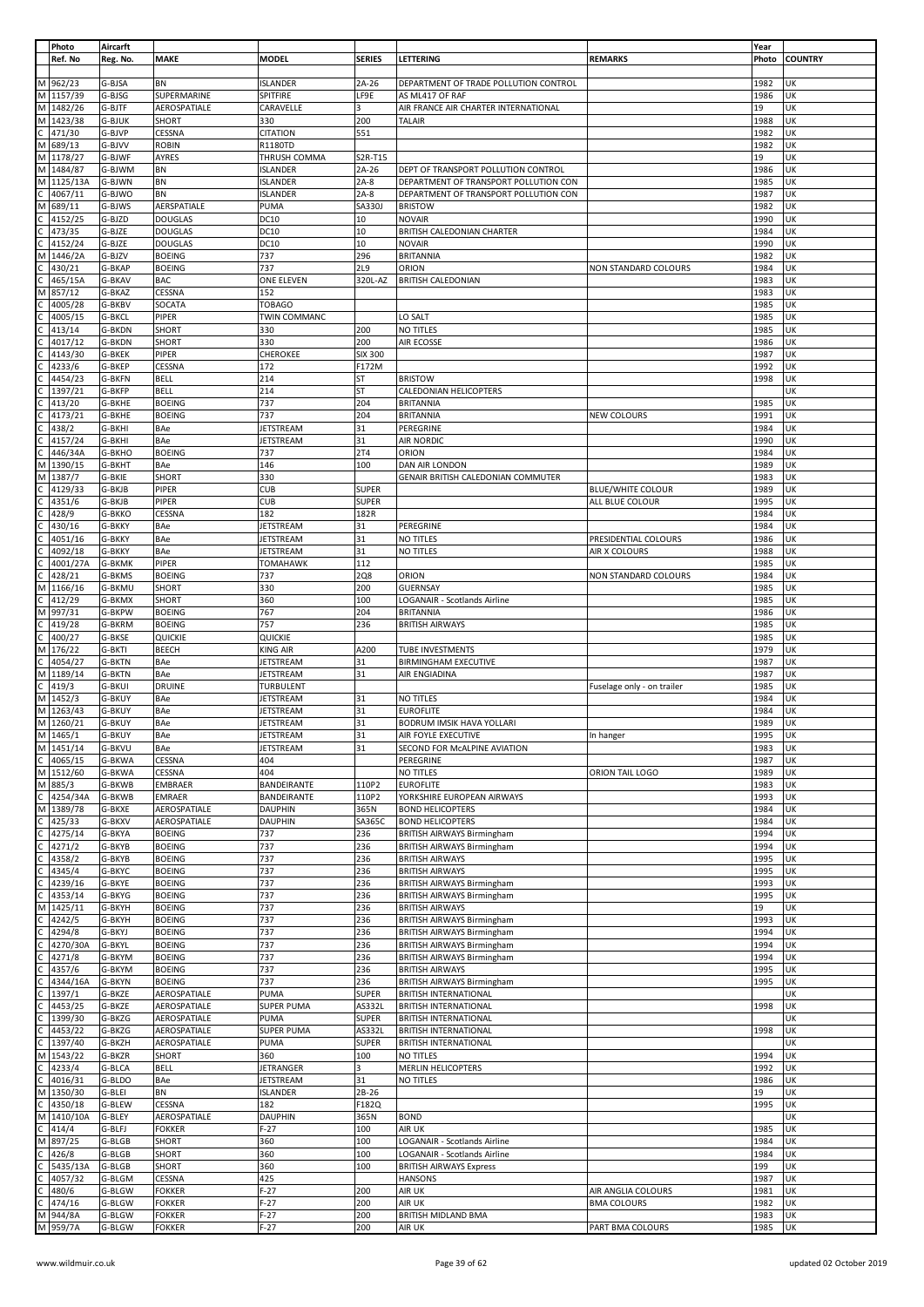|    | Photo              | Aircarft         |                                |                   |                |                                                             |                                             | Year         |                |
|----|--------------------|------------------|--------------------------------|-------------------|----------------|-------------------------------------------------------------|---------------------------------------------|--------------|----------------|
|    | Ref. No            | Reg. No.         | <b>MAKE</b>                    | <b>MODEL</b>      | <b>SERIES</b>  | LETTERING                                                   | <b>REMARKS</b>                              | Photo        | <b>COUNTRY</b> |
|    |                    |                  |                                |                   |                |                                                             |                                             |              |                |
|    | M 962/23           | G-BJSA           | <b>BN</b>                      | <b>ISLANDER</b>   | $2A-26$        | DEPARTMENT OF TRADE POLLUTION CONTROL                       |                                             | 1982         | UK             |
|    | M 1157/39          | G-BJSG           | SUPERMARINE                    | SPITFIRE          | LF9E           | AS ML417 OF RAF                                             |                                             | 1986         | UK             |
|    | M 1482/26          | G-BJTF           | AEROSPATIALE                   | CARAVELLE         | 3              | AIR FRANCE AIR CHARTER INTERNATIONAL                        |                                             | 19           | UK             |
|    | M 1423/38          | G-BJUK           | SHORT                          | 330               | 200            | <b>TALAIR</b>                                               |                                             | 1988         | UK             |
|    | 471/30             | G-BJVP           | CESSNA                         | <b>CITATION</b>   | 551            |                                                             |                                             | 1982         | UK             |
|    | M 689/13           | G-BJVV           | <b>ROBIN</b>                   | R1180TD           |                |                                                             |                                             | 1982         | UK             |
|    | M 1178/27          | G-BJWF           | AYRES                          | THRUSH COMMA      | S2R-T15        |                                                             |                                             | 19           | UΚ             |
|    | M 1484/87          | G-BJWM           | <b>BN</b>                      | <b>ISLANDER</b>   | $2A-26$        | DEPT OF TRANSPORT POLLUTION CONTROL                         |                                             | 1986         | UK             |
|    | M 1125/13A         | G-BJWN           | BN                             | <b>ISLANDER</b>   | $2A-8$         | DEPARTMENT OF TRANSPORT POLLUTION CON                       |                                             | 1985         | UK             |
|    | 4067/11            | G-BJWO           | BN                             | ISLANDER          | $2A-8$         | DEPARTMENT OF TRANSPORT POLLUTION CON                       |                                             | 1987         | UK             |
| M  | 689/11             | G-BJWS           | AERSPATIALE                    | PUMA              | SA330J         | <b>BRISTOW</b>                                              |                                             | 1982         | UK             |
|    | 4152/25            | G-BJZD           | <b>DOUGLAS</b>                 | <b>DC10</b>       | 10             | <b>NOVAIR</b>                                               |                                             | 1990         | UK             |
|    | 473/35             | G-BJZE           | <b>DOUGLAS</b>                 | DC10              | 10             | BRITISH CALEDONIAN CHARTER                                  |                                             | 1984         | UΚ             |
|    | 4152/24            | G-BJZE           | <b>DOUGLAS</b>                 | DC10              | 10             | <b>NOVAIR</b>                                               |                                             | 1990         | UK             |
| М  | 1446/2A            | G-BJZV           | <b>BOEING</b>                  | 737               | 296            | <b>BRITANNIA</b>                                            |                                             | 1982         | UK             |
|    | 430/21             | G-BKAP           | <b>BOEING</b>                  | 737               | <b>2L9</b>     | ORION                                                       | NON STANDARD COLOURS                        | 1984         | UK             |
|    | 465/15A            | G-BKAV           | <b>BAC</b>                     | ONE ELEVEN        | 320L-AZ        | <b>BRITISH CALEDONIAN</b>                                   |                                             | 1983         | UK             |
| Μ  | 857/12             | G-BKAZ           | CESSNA                         | 152               |                |                                                             |                                             | 1983         | UK             |
|    | 4005/28            | G-BKBV           | SOCATA                         | <b>TOBAGO</b>     |                |                                                             |                                             | 1985         | UK             |
|    | 4005/15            | G-BKCL           | PIPER                          | TWIN COMMANC      |                | LO SALT                                                     |                                             | 1985         | UΚ             |
|    | 413/14             | G-BKDN           | SHORT                          | 330               | 200            | NO TITLES                                                   |                                             | 1985         | UΚ             |
|    | 4017/12            | G-BKDN           | SHORT                          | 330               | 200            | AIR ECOSSE                                                  |                                             | 1986         | UK             |
|    | 4143/30            | G-BKEK           | PIPER                          | CHEROKEE          | <b>SIX 300</b> |                                                             |                                             | 1987         | UK             |
|    | 4233/6             | G-BKEP           | <b>CESSNA</b>                  | 172               | F172M          |                                                             |                                             | 1992         | UK             |
|    | 4454/23            | G-BKFN           | <b>BELL</b>                    | 214               | ST<br>SΤ       | <b>BRISTOW</b>                                              |                                             | 1998         | UK<br>UK       |
|    | 1397/21            | G-BKFP           | <b>BELL</b>                    | 214<br>737        |                | CALEDONIAN HELICOPTERS                                      |                                             |              | UK             |
|    | 413/20<br>4173/21  | G-BKHE<br>G-BKHE | <b>BOEING</b><br><b>BOEING</b> | 737               | 204<br>204     | <b>BRITANNIA</b><br><b>BRITANNIA</b>                        | NEW COLOURS                                 | 1985<br>1991 | UK             |
|    | 438/2              | G-BKHI           | BAe                            | JETSTREAM         | 31             | PEREGRINE                                                   |                                             | 1984         | UK             |
|    | 4157/24            | G-BKHI           | BAe                            | <b>JETSTREAM</b>  | 31             | AIR NORDIC                                                  |                                             | 1990         | UK             |
|    | 446/34A            | G-BKHO           | <b>BOEING</b>                  | 737               | 2T4            | ORION                                                       |                                             | 1984         | UK             |
| М  | 1390/15            | G-BKHT           | BAe                            | 146               | 100            | DAN AIR LONDON                                              |                                             | 1989         | UK             |
| М  | 1387/7             | G-BKIE           | SHORT                          | 330               |                | GENAIR BRITISH CALEDONIAN COMMUTER                          |                                             | 1983         | UK             |
|    |                    | G-BKJB           | PIPER                          | <b>CUB</b>        |                |                                                             |                                             |              | UK             |
|    | 4129/33<br>4351/6  | G-BKJB           |                                | <b>CUB</b>        | SUPER<br>SUPER |                                                             | <b>BLUE/WHITE COLOUR</b><br>ALL BLUE COLOUR | 1989<br>1995 | UK             |
|    | 428/9              | G-BKKO           | PIPER<br>CESSNA                | 182               | 182R           |                                                             |                                             | 1984         | UK             |
|    | 430/16             | G-BKKY           | BAe                            | JETSTREAM         | 31             | PEREGRINE                                                   |                                             | 1984         | UK             |
|    | 4051/16            | G-BKKY           | BAe                            | JETSTREAM         | 31             | NO TITLES                                                   | PRESIDENTIAL COLOURS                        | 1986         | UK             |
|    | 4092/18            | G-BKKY           | BAe                            | <b>JETSTREAM</b>  | 31             | NO TITLES                                                   | AIR X COLOURS                               | 1988         | UK             |
|    | 4001/27A           | G-BKMK           | PIPER                          | <b>TOMAHAWK</b>   | 112            |                                                             |                                             | 1985         | UK             |
|    | 428/21             | G-BKMS           | <b>BOEING</b>                  | 737               | <b>2Q8</b>     | ORION                                                       | NON STANDARD COLOURS                        | 1984         | UK             |
| М  | 1166/16            | G-BKMU           | SHORT                          | 330               | 200            | GUERNSAY                                                    |                                             | 1985         | UK             |
|    | 412/29             | G-BKMX           | <b>SHORT</b>                   | 360               | 100            | LOGANAIR - Scotlands Airline                                |                                             | 1985         | UK             |
| М  | 997/31             | G-BKPW           | <b>BOEING</b>                  | 767               | 204            | <b>BRITANNIA</b>                                            |                                             | 1986         | UK             |
|    | 419/28             | G-BKRM           | <b>BOEING</b>                  | 757               | 236            | <b>BRITISH AIRWAYS</b>                                      |                                             | 1985         | UK             |
|    | 400/27             | G-BKSE           | QUICKIE                        | QUICKIE           |                |                                                             |                                             | 1985         | UK             |
| M  | 176/22             | G-BKTI           | <b>BEECH</b>                   | <b>KING AIR</b>   | A200           | TUBE INVESTMENTS                                            |                                             | 1979         | UK             |
|    | 4054/27            | G-BKTN           | BAe                            | <b>JETSTREAM</b>  | 31             | <b>BIRMINGHAM EXECUTIVE</b>                                 |                                             | 1987         | UK             |
| м  | 1189/14            | G-BKTN           | BAe                            | JETSTREAM         | 31             | AIR ENGIADINA                                               |                                             | 1987         | UK             |
| C. | 419/3              | G-BKUI           | <b>DRUINE</b>                  | <b>TURBULENT</b>  |                |                                                             | Fuselage only - on trailer                  | 1985         | UK             |
|    | M 1452/3           | G-BKUY           | BAe                            | JETSTREAM         | 31             | NO TITLES                                                   |                                             | 1984         | UK             |
| M  | 1263/43            | G-BKUY           | BAe                            | JETSTREAM         | 31             | <b>EUROFLITE</b>                                            |                                             | 1984         | UK             |
|    | M 1260/21          | G-BKUY           | BAe                            | <b>JETSTREAM</b>  | 31             | BODRUM IMSIK HAVA YOLLARI                                   |                                             | 1989         | UK             |
|    | M 1465/1           | <b>G-BKUY</b>    | BAe                            | <b>JETSTREAM</b>  | 31             | AIR FOYLE EXECUTIVE                                         | In hanger                                   | 1995         | UK             |
|    | M 1451/14          | G-BKVU           | <b>BAe</b>                     | <b>JETSTREAM</b>  | 31             | SECOND FOR MCALPINE AVIATION                                |                                             | 1983         | UK             |
| C  | 4065/15            | G-BKWA           | CESSNA                         | 404               |                | PEREGRINE                                                   |                                             | 1987         | UK             |
|    | M 1512/60          | G-BKWA           | CESSNA                         | 404               |                | <b>NO TITLES</b>                                            | ORION TAIL LOGO                             | 1989         | UK             |
| М  | 885/3              | G-BKWB           | <b>EMBRAER</b>                 | BANDEIRANTE       | 110P2          | <b>EUROFLITE</b>                                            |                                             | 1983         | UK             |
| C  | 4254/34A           | G-BKWB           | <b>EMRAER</b>                  | BANDEIRANTE       | 110P2          | YORKSHIRE EUROPEAN AIRWAYS                                  |                                             | 1993         | UK             |
|    | M 1389/78          | G-BKXE           | AEROSPATIALE                   | <b>DAUPHIN</b>    | 365N           | <b>BOND HELICOPTERS</b>                                     |                                             | 1984         | UK             |
|    | 425/33             | G-BKXV           | AEROSPATIALE                   | <b>DAUPHIN</b>    | SA365C         | <b>BOND HELICOPTERS</b>                                     |                                             | 1984         | UK             |
| C  | 4275/14            | G-BKYA           | <b>BOEING</b>                  | 737               | 236            | <b>BRITISH AIRWAYS Birmingham</b>                           |                                             | 1994         | UK             |
|    | 4271/2             | G-BKYB           | <b>BOEING</b>                  | 737               | 236            | <b>BRITISH AIRWAYS Birmingham</b>                           |                                             | 1994         | UK             |
| C  | 4358/2             | G-BKYB           | <b>BOEING</b>                  | 737               | 236            | <b>BRITISH AIRWAYS</b>                                      |                                             | 1995         | UK             |
|    | 4345/4             | G-BKYC           | <b>BOEING</b>                  | 737               | 236            | <b>BRITISH AIRWAYS</b>                                      |                                             | 1995         | UK             |
|    | 4239/16            | G-BKYE           | <b>BOEING</b>                  | 737               | 236            | <b>BRITISH AIRWAYS Birmingham</b>                           |                                             | 1993         | UK             |
| C. | 4353/14            | G-BKYG           | <b>BOEING</b>                  | 737               | 236            | <b>BRITISH AIRWAYS Birmingham</b>                           |                                             | 1995         | UK             |
| Μ  | 1425/11            | G-BKYH           | <b>BOEING</b>                  | 737               | 236            | <b>BRITISH AIRWAYS</b>                                      |                                             | 19           | UK             |
|    | 4242/5             | G-BKYH           | <b>BOEING</b>                  | 737               | 236            | <b>BRITISH AIRWAYS Birmingham</b>                           |                                             | 1993         | UK             |
|    | 4294/8             | G-BKYJ           | <b>BOEING</b>                  | 737               | 236            | <b>BRITISH AIRWAYS Birmingham</b>                           |                                             | 1994         | UK             |
|    | 4270/30A           | G-BKYL           | <b>BOEING</b>                  | 737               | 236            | <b>BRITISH AIRWAYS Birmingham</b>                           |                                             | 1994         | UK             |
|    | 4271/8             | G-BKYM           | <b>BOEING</b>                  | 737               | 236            | <b>BRITISH AIRWAYS Birmingham</b>                           |                                             | 1994         | UK             |
|    | 4357/6<br>4344/16A | G-BKYM<br>G-BKYN | <b>BOEING</b><br><b>BOEING</b> | 737<br>737        | 236<br>236     | <b>BRITISH AIRWAYS</b><br><b>BRITISH AIRWAYS Birmingham</b> |                                             | 1995<br>1995 | UK<br>UK       |
|    | 1397/1             | G-BKZE           | AEROSPATIALE                   | PUMA              | <b>SUPER</b>   | <b>BRITISH INTERNATIONAL</b>                                |                                             |              | UK             |
|    | 4453/25            | G-BKZE           | AEROSPATIALE                   | SUPER PUMA        | AS332L         | <b>BRITISH INTERNATIONAL</b>                                |                                             | 1998         | UK             |
|    | 1399/30            | G-BKZG           | AEROSPATIALE                   | PUMA              | <b>SUPER</b>   | <b>BRITISH INTERNATIONAL</b>                                |                                             |              | UK             |
| С  | 4453/22            | G-BKZG           | AEROSPATIALE                   | <b>SUPER PUMA</b> | AS332L         | <b>BRITISH INTERNATIONAL</b>                                |                                             | 1998         | UK             |
|    | 1397/40            | G-BKZH           | AEROSPATIALE                   | PUMA              | <b>SUPER</b>   | <b>BRITISH INTERNATIONAL</b>                                |                                             |              | UK             |
| М  | 1543/22            | G-BKZR           | SHORT                          | 360               | 100            | NO TITLES                                                   |                                             | 1994         | UK             |
| C  | 4233/4             | G-BLCA           | <b>BELL</b>                    | JETRANGER         | $\overline{3}$ | MERLIN HELICOPTERS                                          |                                             | 1992         | UK             |
|    | 4016/31            | G-BLDO           | BAe                            | <b>JETSTREAM</b>  | 31             | NO TITLES                                                   |                                             | 1986         | UK             |
| М  | 1350/30            | G-BLEI           | <b>BN</b>                      | <b>ISLANDER</b>   | $2B-26$        |                                                             |                                             | 19           | UK             |
| С  | 4350/18            | G-BLEW           | CESSNA                         | 182               | F182Q          |                                                             |                                             | 1995         | UK             |
|    | M 1410/10A         | G-BLEY           | AEROSPATIALE                   | <b>DAUPHIN</b>    | 365N           | <b>BOND</b>                                                 |                                             |              | UK             |
|    | 414/4              | G-BLFJ           | <b>FOKKER</b>                  | $F-27$            | 100            | AIR UK                                                      |                                             | 1985         | UK             |
|    | M 897/25           | G-BLGB           | SHORT                          | 360               | 100            | LOGANAIR - Scotlands Airline                                |                                             | 1984         | UK             |
|    | 426/8              | G-BLGB           | SHORT                          | 360               | 100            | LOGANAIR - Scotlands Airline                                |                                             | 1984         | UK             |
|    | 5435/13A           | G-BLGB           | SHORT                          | 360               | 100            | <b>BRITISH AIRWAYS Express</b>                              |                                             | 199          | UK             |
| С  | 4057/32            | G-BLGM           | <b>CESSNA</b>                  | 425               |                | <b>HANSONS</b>                                              |                                             | 1987         | UK             |
|    | 480/6              | G-BLGW           | <b>FOKKER</b>                  | $F-27$            | 200            | AIR UK                                                      | AIR ANGLIA COLOURS                          | 1981         | UK             |
| C  | 474/16             | G-BLGW           | <b>FOKKER</b>                  | $F-27$            | 200            | AIR UK                                                      | <b>BMA COLOURS</b>                          | 1982         | UK             |
|    | M 944/8A           | G-BLGW           | <b>FOKKER</b>                  | $F-27$            | 200            | BRITISH MIDLAND BMA                                         |                                             | 1983         | UK             |
|    | M 959/7A           | G-BLGW           | <b>FOKKER</b>                  | $F-27$            | 200            | AIR UK                                                      | PART BMA COLOURS                            | 1985         | UK             |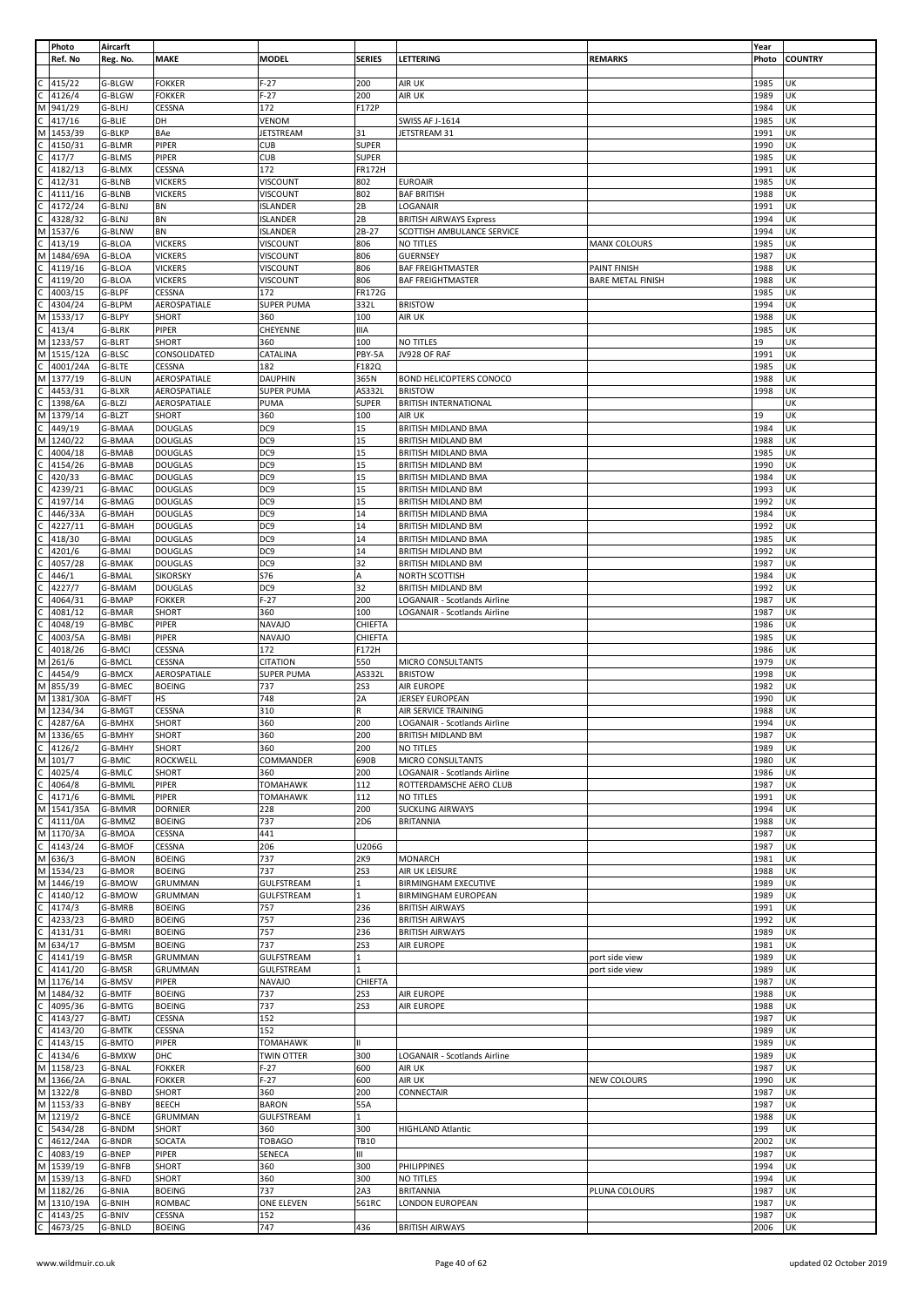|              | Photo              | Aircarft         |                         |                   |                 |                                |                          | Year         |                |
|--------------|--------------------|------------------|-------------------------|-------------------|-----------------|--------------------------------|--------------------------|--------------|----------------|
|              | Ref. No            | Reg. No.         | <b>MAKE</b>             | <b>MODEL</b>      | <b>SERIES</b>   | LETTERING                      | <b>REMARKS</b>           | Photo        | <b>COUNTRY</b> |
|              |                    |                  |                         |                   |                 |                                |                          |              |                |
|              | 415/22             | G-BLGW           | <b>FOKKER</b>           | $F-27$            | 200             | AIR UK                         |                          | 1985         | UK             |
|              |                    |                  |                         |                   |                 |                                |                          |              |                |
|              | 4126/4             | G-BLGW           | <b>FOKKER</b>           | $F-27$            | 200             | AIR UK                         |                          | 1989         | UK             |
| м            | 941/29             | G-BLHJ           | CESSNA                  | 172               | F172P           |                                |                          | 1984         | UK             |
|              | 417/16             | G-BLIE           | DH                      | VENOM             |                 | <b>SWISS AF J-1614</b>         |                          | 1985         | UK             |
| м            | 1453/39            | G-BLKP           | BAe                     | <b>JETSTREAM</b>  | 31              | JETSTREAM 31                   |                          | 1991         | UK             |
|              | 4150/31            | G-BLMR           | PIPER                   | <b>CUB</b>        | <b>SUPER</b>    |                                |                          | 1990         | UK             |
|              | 417/7              | G-BLMS           | PIPER                   | <b>CUB</b>        | <b>SUPER</b>    |                                |                          | 1985         | UK             |
|              |                    |                  |                         |                   |                 |                                |                          |              |                |
|              | 4182/13            | G-BLMX           | CESSNA                  | 172               | <b>FR172H</b>   |                                |                          | 1991         | UK             |
|              | 412/31             | G-BLNB           | <b>VICKERS</b>          | VISCOUNT          | 802             | <b>EUROAIR</b>                 |                          | 1985         | UK             |
|              | 4111/16            | G-BLNB           | <b>VICKERS</b>          | VISCOUNT          | 802             | <b>BAF BRITISH</b>             |                          | 1988         | UK             |
|              | 4172/24            | G-BLNJ           | BN                      | <b>ISLANDER</b>   | 2B              | LOGANAIR                       |                          | 1991         | UK             |
|              |                    |                  |                         |                   |                 |                                |                          |              |                |
|              | 4328/32            | G-BLNJ           | BN                      | <b>ISLANDER</b>   | 2B              | <b>BRITISH AIRWAYS Express</b> |                          | 1994         | UK             |
| M            | 1537/6             | G-BLNW           | <b>BN</b>               | <b>ISLANDER</b>   | $2B-27$         | SCOTTISH AMBULANCE SERVICE     |                          | 1994         | UK             |
|              | 413/19             | G-BLOA           | <b>VICKERS</b>          | VISCOUNT          | 806             | NO TITLES                      | MANX COLOURS             | 1985         | UK             |
|              | 1484/69A           | G-BLOA           | <b>VICKERS</b>          | VISCOUNT          | 806             | <b>GUERNSEY</b>                |                          | 1987         | UK             |
|              | 4119/16            | G-BLOA           | <b>VICKERS</b>          | VISCOUNT          | 806             | <b>BAF FREIGHTMASTER</b>       | PAINT FINISH             | 1988         | UK             |
|              |                    |                  |                         |                   |                 |                                |                          |              |                |
|              | 4119/20            | G-BLOA           | <b>VICKERS</b>          | <b>VISCOUNT</b>   | 806             | <b>BAF FREIGHTMASTER</b>       | <b>BARE METAL FINISH</b> | 1988         | UK             |
|              | 4003/15            | G-BLPF           | CESSNA                  | 172               | <b>FR172G</b>   |                                |                          | 1985         | UK             |
|              | 4304/24            | G-BLPM           | AEROSPATIALE            | <b>SUPER PUMA</b> | 332L            | <b>BRISTOW</b>                 |                          | 1994         | UK             |
|              | 1533/17            | G-BLPY           | SHORT                   | 360               | 100             | AIR UK                         |                          | 1988         | UK             |
|              |                    |                  |                         |                   |                 |                                |                          |              |                |
|              | 413/4              | G-BLRK           | PIPER                   | CHEYENNE          | IIIA            |                                |                          | 1985         | UK             |
| M            | 1233/57            | G-BLRT           | SHORT                   | 360               | 100             | NO TITLES                      |                          | 19           | UK             |
| М            | 1515/12A           | G-BLSC           | CONSOLIDATED            | CATALINA          | PBY-5A          | JV928 OF RAF                   |                          | 1991         | UK             |
|              | 4001/24A           | G-BLTE           | CESSNA                  | 182               | F182Q           |                                |                          | 1985         | UK             |
| M            | 1377/19            | G-BLUN           | AEROSPATIALE            | <b>DAUPHIN</b>    | 365N            | <b>BOND HELICOPTERS CONOCO</b> |                          | 1988         | UK             |
|              |                    |                  |                         |                   |                 |                                |                          |              |                |
|              | 4453/31            | G-BLXR           | AEROSPATIALE            | <b>SUPER PUMA</b> | AS332L          | <b>BRISTOW</b>                 |                          | 1998         | UK             |
|              | 1398/6A            | G-BLZJ           | AEROSPATIALE            | PUMA              | <b>SUPER</b>    | <b>BRITISH INTERNATIONAL</b>   |                          |              | UK             |
| М            | 1379/14            | G-BLZT           | SHORT                   | 360               | 100             | AIR UK                         |                          | 19           | UK             |
|              | 449/19             | G-BMAA           | <b>DOUGLAS</b>          | DC <sub>9</sub>   | 15              | BRITISH MIDLAND BMA            |                          | 1984         | UK             |
| м            |                    |                  |                         |                   |                 | <b>BRITISH MIDLAND BM</b>      |                          |              |                |
|              | 1240/22            | G-BMAA           | <b>DOUGLAS</b>          | DC9               | 15              |                                |                          | 1988         | UK             |
|              | 4004/18            | G-BMAB           | <b>DOUGLAS</b>          | DC <sub>9</sub>   | 15              | BRITISH MIDLAND BMA            |                          | 1985         | UK             |
|              | 4154/26            | G-BMAB           | <b>DOUGLAS</b>          | DC <sub>9</sub>   | 15              | BRITISH MIDLAND BM             |                          | 1990         | UK             |
|              | 420/33             | G-BMAC           | <b>DOUGLAS</b>          | DC9               | 15              | BRITISH MIDLAND BMA            |                          | 1984         | UK             |
|              | 4239/21            | G-BMAC           | <b>DOUGLAS</b>          | DC9               | 15              | BRITISH MIDLAND BM             |                          | 1993         | UK             |
|              |                    |                  |                         |                   |                 |                                |                          |              |                |
|              | 4197/14            | G-BMAG           | <b>DOUGLAS</b>          | DC <sub>9</sub>   | 15              | BRITISH MIDLAND BM             |                          | 1992         | UK             |
|              | 446/33A            | G-BMAH           | <b>DOUGLAS</b>          | DC9               | 14              | BRITISH MIDLAND BMA            |                          | 1984         | UK             |
|              | 4227/11            | G-BMAH           | <b>DOUGLAS</b>          | DC9               | 14              | BRITISH MIDLAND BM             |                          | 1992         | UK             |
|              | 418/30             | G-BMAI           | <b>DOUGLAS</b>          | DC <sub>9</sub>   | 14              | BRITISH MIDLAND BMA            |                          | 1985         | UK             |
|              |                    |                  |                         | DC <sub>9</sub>   | 14              |                                |                          |              | UK             |
|              | 4201/6             | G-BMAI           | <b>DOUGLAS</b>          |                   |                 | BRITISH MIDLAND BM             |                          | 1992         |                |
|              | 4057/28            | G-BMAK           | <b>DOUGLAS</b>          | DC <sub>9</sub>   | 32              | BRITISH MIDLAND BM             |                          | 1987         | UK             |
|              | 446/1              | G-BMAL           | <b>SIKORSKY</b>         | S76               | Α               | NORTH SCOTTISH                 |                          | 1984         | UK             |
|              | 4227/7             | G-BMAM           | <b>DOUGLAS</b>          | DC9               | 32              | BRITISH MIDLAND BM             |                          | 1992         | UK             |
|              | 4064/31            | G-BMAP           | <b>FOKKER</b>           | $F-27$            | 200             | LOGANAIR - Scotlands Airline   |                          | 1987         | UK             |
|              |                    |                  |                         |                   |                 |                                |                          |              |                |
|              | 4081/12            | G-BMAR           | SHORT                   | 360               | 100             | LOGANAIR - Scotlands Airline   |                          | 1987         | UK             |
|              | 4048/19            | G-BMBC           | PIPER                   | <b>NAVAJO</b>     | CHIEFTA         |                                |                          | 1986         | UK             |
|              | 4003/5A            | G-BMBI           | PIPER                   | <b>NAVAJO</b>     | CHIEFTA         |                                |                          | 1985         | UK             |
|              | 4018/26            | G-BMCI           | CESSNA                  | 172               | F172H           |                                |                          | 1986         | UK             |
|              | 261/6              | G-BMCL           | CESSNA                  | <b>CITATION</b>   | 550             | MICRO CONSULTANTS              |                          | 1979         | UK             |
| м            |                    |                  |                         |                   |                 |                                |                          |              |                |
|              | 4454/9             | G-BMCX           | AEROSPATIALE            | <b>SUPER PUMA</b> | AS332L          | <b>BRISTOW</b>                 |                          | 1998         | UK             |
| M            | 855/39             | G-BMEC           | <b>BOEING</b>           | 737               | <b>2S3</b>      | AIR EUROPE                     |                          | 1982         | UK             |
|              | M 1381/30A         | G-BMFT           | HS                      | 748               | 2A              | JERSEY EUROPEAN                |                          | 1990         | UK             |
| M            | 1234/34            | G-BMGT           | CESSNA                  | 310               | R               | AIR SERVICE TRAINING           |                          | 1988         | UK             |
| $\mathsf{C}$ |                    |                  |                         |                   |                 |                                |                          |              |                |
|              | 4287/6A            | G-BMHX           | SHORT                   | 360               | 200             | LOGANAIR - Scotlands Airline   |                          | 1994         | UK             |
|              | M 1336/65          | G-BMHY           | SHORT                   | 360               | 200             | <b>BRITISH MIDLAND BM</b>      |                          | 1987         | UK             |
| C            | 4126/2             | G-BMHY           | SHORT                   | 360               | 200             | NO TITLES                      |                          | 1989         | UK             |
| M            | 101/7              | G-BMIC           | ROCKWELL                | COMMANDER         | 690B            | MICRO CONSULTANTS              |                          | 1980         | UK             |
|              | 4025/4             | G-BMLC           | SHORT                   | 360               | 200             | LOGANAIR - Scotlands Airline   |                          | 1986         | UK             |
|              |                    |                  |                         |                   |                 |                                |                          |              |                |
|              | 4064/8             | G-BMML           | PIPER                   | TOMAHAWK          | 112             | ROTTERDAMSCHE AERO CLUB        |                          | 1987         | UK             |
|              | 4171/6             | G-BMML           | PIPER                   | <b>TOMAHAWK</b>   | 112             | NO TITLES                      |                          | 1991         | UK             |
| M            | 1541/35A           | G-BMMR           | <b>DORNIER</b>          | 228               | 200             | <b>SUCKLING AIRWAYS</b>        |                          | 1994         | UK             |
|              | 4111/0A            | G-BMMZ           | <b>BOEING</b>           | 737               | 2D <sub>6</sub> | <b>BRITANNIA</b>               |                          | 1988         | UK             |
|              | M 1170/3A          | G-BMOA           | CESSNA                  | 441               |                 |                                |                          | 1987         | UK             |
|              |                    |                  |                         |                   |                 |                                |                          |              |                |
|              | 4143/24            | G-BMOF           | CESSNA                  | 206               | U206G           |                                |                          | 1987         | UK             |
|              | M 636/3            | G-BMON           | <b>BOEING</b>           | 737               | 2K9             | <b>MONARCH</b>                 |                          | 1981         | UK             |
| М            | 1534/23            | G-BMOR           | <b>BOEING</b>           | 737               | <b>2S3</b>      | AIR UK LEISURE                 |                          | 1988         | UK             |
| M            | 1446/19            | G-BMOW           | GRUMMAN                 | GULFSTREAM        | 1               | <b>BIRMINGHAM EXECUTIVE</b>    |                          | 1989         | UK             |
|              | 4140/12            | G-BMOW           | <b>GRUMMAN</b>          | GULFSTREAM        | $\mathbf{1}$    | <b>BIRMINGHAM EUROPEAN</b>     |                          | 1989         | UK             |
|              |                    |                  |                         | 757               |                 | <b>BRITISH AIRWAYS</b>         |                          | 1991         | UK             |
|              | 4174/3             | G-BMRB           | <b>BOEING</b>           |                   | 236             |                                |                          |              |                |
|              | 4233/23            | G-BMRD           | <b>BOEING</b>           | 757               | 236             | <b>BRITISH AIRWAYS</b>         |                          | 1992         | UK             |
|              | 4131/31            | G-BMRI           | <b>BOEING</b>           | 757               | 236             | <b>BRITISH AIRWAYS</b>         |                          | 1989         | UK             |
|              | 634/17             | G-BMSM           | <b>BOEING</b>           | 737               | <b>2S3</b>      | AIR EUROPE                     |                          | 1981         | UK             |
|              | 4141/19            | G-BMSR           | GRUMMAN                 | <b>GULFSTREAM</b> | $\mathbf{1}$    |                                | port side view           | 1989         | UK             |
|              | 4141/20            |                  |                         |                   |                 |                                |                          | 1989         | UK             |
|              |                    | G-BMSR           | GRUMMAN                 | GULFSTREAM        |                 |                                | port side view           |              |                |
| M            | 1176/14            | G-BMSV           | PIPER                   | <b>NAVAJO</b>     | CHIEFTA         |                                |                          | 1987         | UK             |
| M            | 1484/32            | G-BMTF           | <b>BOEING</b>           | 737               | <b>2S3</b>      | AIR EUROPE                     |                          | 1988         | UK             |
|              | 4095/36            | G-BMTG           | <b>BOEING</b>           | 737               | <b>2S3</b>      | AIR EUROPE                     |                          | 1988         | UK             |
|              | 4143/27            | G-BMTJ           | CESSNA                  | 152               |                 |                                |                          | 1987         | UK             |
|              |                    |                  |                         |                   |                 |                                |                          |              |                |
|              | 4143/20            | G-BMTK           | CESSNA                  | 152               |                 |                                |                          | 1989         | UK             |
|              | 4143/15            | G-BMTO           | PIPER                   | TOMAHAWK          |                 |                                |                          | 1989         | UK             |
|              | 4134/6             | G-BMXW           | DHC                     | <b>TWIN OTTER</b> | 300             | LOGANAIR - Scotlands Airline   |                          | 1989         | UK             |
|              | M 1158/23          | G-BNAL           | <b>FOKKER</b>           | $F-27$            | 600             | AIR UK                         |                          | 1987         | UK             |
| M            | 1366/2A            | G-BNAL           | <b>FOKKER</b>           | $F-27$            | 600             | AIR UK                         | NEW COLOURS              | 1990         | UK             |
|              |                    |                  |                         |                   |                 |                                |                          |              |                |
| M            | 1322/8             | G-BNBD           | SHORT                   | 360               | 200             | CONNECTAIR                     |                          | 1987         | UK             |
|              | M 1153/33          | G-BNBY           | <b>BEECH</b>            | <b>BARON</b>      | 55A             |                                |                          | 1987         | UK             |
| М            | 1219/2             | G-BNCE           | <b>GRUMMAN</b>          | <b>GULFSTREAM</b> | $\mathbf{1}$    |                                |                          | 1988         | UK             |
|              | 5434/28            | G-BNDM           | <b>SHORT</b>            | 360               | 300             | <b>HIGHLAND Atlantic</b>       |                          | 199          | UK             |
|              | 4612/24A           | G-BNDR           | SOCATA                  | <b>TOBAGO</b>     | <b>TB10</b>     |                                |                          | 2002         | UK             |
|              |                    |                  |                         |                   |                 |                                |                          |              |                |
|              | 4083/19            | G-BNEP           | PIPER                   | SENECA            | Ш               |                                |                          | 1987         | UK             |
| M            | 1539/19            | G-BNFB           | SHORT                   | 360               | 300             | PHILIPPINES                    |                          | 1994         | UK             |
|              | M 1539/13          | G-BNFD           | SHORT                   | 360               | 300             | NO TITLES                      |                          | 1994         | UK             |
| M            |                    | G-BNIA           | <b>BOEING</b>           | 737               | 2A3             | <b>BRITANNIA</b>               | PLUNA COLOURS            | 1987         | UK             |
|              |                    |                  |                         |                   |                 |                                |                          |              |                |
|              | 1182/26            |                  |                         |                   |                 |                                |                          |              |                |
|              | M 1310/19A         | G-BNIH           | <b>ROMBAC</b>           | ONE ELEVEN        | 561RC           | LONDON EUROPEAN                |                          | 1987         | UK             |
| C            | 4143/25<br>4673/25 | G-BNIV<br>G-BNLD | CESSNA<br><b>BOEING</b> | 152<br>747        | 436             | <b>BRITISH AIRWAYS</b>         |                          | 1987<br>2006 | UK<br>UK       |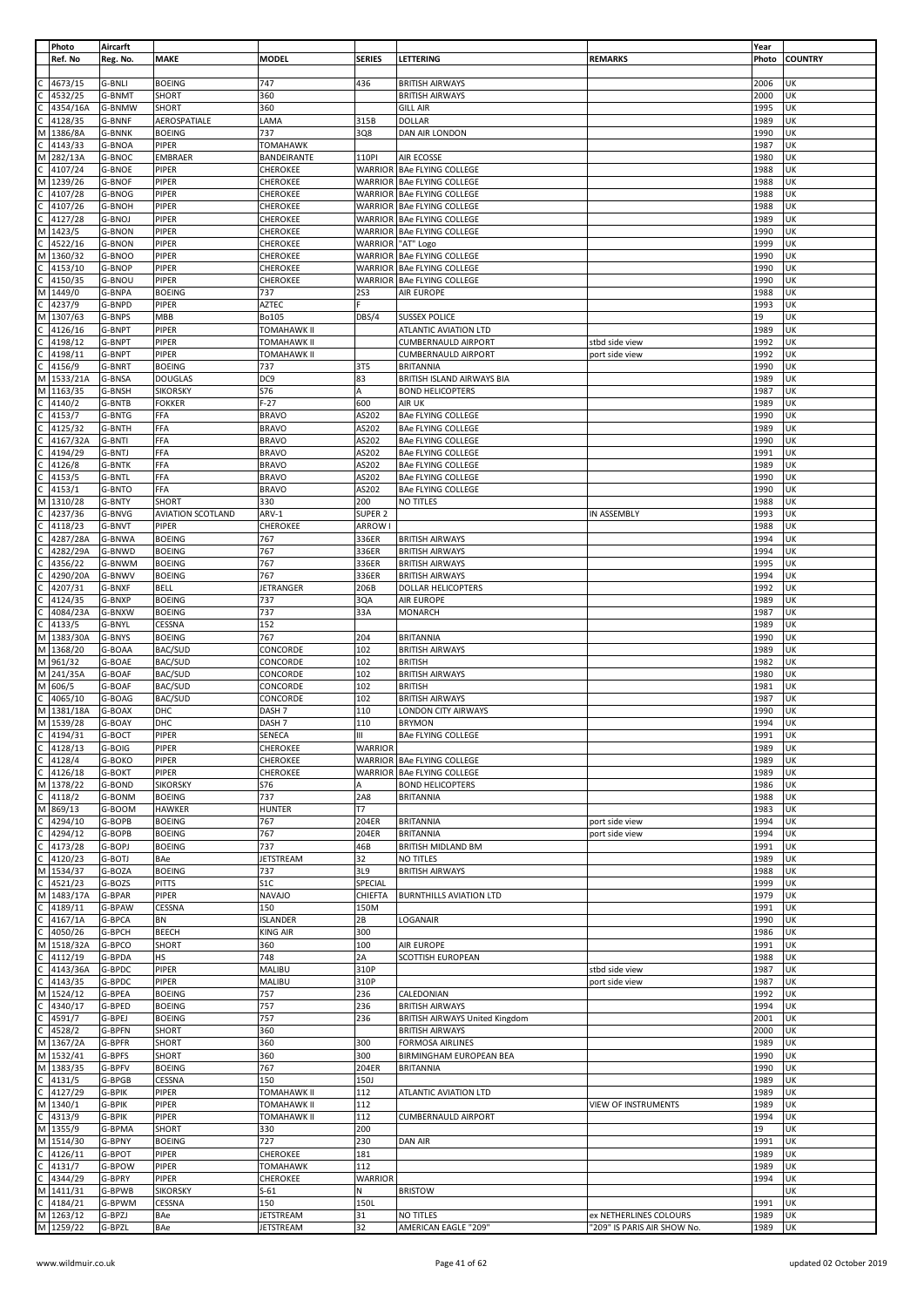|              | Photo     | Aircarft      |                          |                    |                |                                       |                             | Year  |                |
|--------------|-----------|---------------|--------------------------|--------------------|----------------|---------------------------------------|-----------------------------|-------|----------------|
|              | Ref. No   | Reg. No.      | MAKE                     | MODEL              | <b>SERIES</b>  | <b>LETTERING</b>                      | <b>REMARKS</b>              | Photo | <b>COUNTRY</b> |
|              |           |               |                          |                    |                |                                       |                             |       |                |
|              | 4673/15   | G-BNLI        | <b>BOEING</b>            | 747                | 436            | <b>BRITISH AIRWAYS</b>                |                             | 2006  | UK             |
|              | 4532/25   | G-BNMT        | SHORT                    | 360                |                | <b>BRITISH AIRWAYS</b>                |                             | 2000  | UK             |
|              | 4354/16A  | G-BNMW        | SHORT                    | 360                |                | <b>GILL AIR</b>                       |                             | 1995  | UK             |
|              |           |               |                          |                    |                |                                       |                             |       |                |
|              | 4128/35   | G-BNNF        | AEROSPATIALE             | LAMA               | 315B           | <b>DOLLAR</b>                         |                             | 1989  | UK             |
| M            | 1386/8A   | <b>G-BNNK</b> | <b>BOEING</b>            | 737                | 3Q8            | DAN AIR LONDON                        |                             | 1990  | UK             |
| C            | 4143/33   | G-BNOA        | PIPER                    | <b>TOMAHAWK</b>    |                |                                       |                             | 1987  | UK             |
| M            | 282/13A   | G-BNOC        | EMBRAER                  | BANDEIRANTE        | 110PI          | AIR ECOSSE                            |                             | 1980  | UK             |
|              | 4107/24   | <b>G-BNOE</b> | PIPER                    | CHEROKEE           | WARRIOR        | <b>BAe FLYING COLLEGE</b>             |                             | 1988  | UK             |
| М            | 1239/26   | G-BNOF        | PIPER                    | <b>CHEROKEE</b>    |                | WARRIOR BAe FLYING COLLEGE            |                             | 1988  | UK             |
|              | 4107/28   | G-BNOG        | PIPER                    | CHEROKEE           |                | WARRIOR   BAe FLYING COLLEGE          |                             | 1988  | UK             |
|              |           |               |                          |                    |                |                                       |                             |       |                |
|              | 4107/26   | <b>G-BNOH</b> | PIPER                    | CHEROKEE           | WARRIOR        | <b>BAe FLYING COLLEGE</b>             |                             | 1988  | UK             |
|              | 4127/28   | G-BNOJ        | PIPER                    | CHEROKEE           |                | WARRIOR BAe FLYING COLLEGE            |                             | 1989  | UK             |
| M            | 1423/5    | G-BNON        | PIPER                    | <b>CHEROKEE</b>    |                | WARRIOR   BAe FLYING COLLEGE          |                             | 1990  | UK             |
|              | 4522/16   | <b>G-BNON</b> | PIPER                    | <b>CHEROKEE</b>    |                | WARRIOR   "AT" Logo                   |                             | 1999  | UK             |
| М            | 1360/32   | G-BNOO        | PIPER                    | CHEROKEE           |                | WARRIOR   BAe FLYING COLLEGE          |                             | 1990  | UΚ             |
|              | 4153/10   | G-BNOP        | PIPER                    | CHEROKEE           | WARRIOR        | <b>BAe FLYING COLLEGE</b>             |                             | 1990  | UK             |
|              | 4150/35   | G-BNOU        | PIPER                    | CHEROKEE           | WARRIOR        | <b>BAe FLYING COLLEGE</b>             |                             | 1990  | UK             |
|              |           |               |                          |                    |                |                                       |                             |       |                |
| М            | 1449/0    | G-BNPA        | <b>BOEING</b>            | 737                | <b>2S3</b>     | AIR EUROPE                            |                             | 1988  | UK             |
|              | 4237/9    | G-BNPD        | PIPER                    | AZTEC              |                |                                       |                             | 1993  | UK             |
| М            | 1307/63   | G-BNPS        | MBB                      | Bo105              | DBS/4          | <b>SUSSEX POLICE</b>                  |                             | 19    | UK             |
|              | 4126/16   | G-BNPT        | PIPER                    | TOMAHAWK II        |                | ATLANTIC AVIATION LTD                 |                             | 1989  | UK             |
|              | 4198/12   | G-BNPT        | PIPER                    | <b>TOMAHAWK II</b> |                | <b>CUMBERNAULD AIRPORT</b>            | stbd side view              | 1992  | UK             |
|              | 4198/11   | G-BNPT        | PIPER                    | <b>TOMAHAWK II</b> |                | <b>CUMBERNAULD AIRPORT</b>            | port side view              | 1992  | UK             |
|              |           |               |                          |                    |                |                                       |                             |       |                |
|              | 4156/9    | G-BNRT        | <b>BOEING</b>            | 737                | 3T5            | <b>BRITANNIA</b>                      |                             | 1990  | UK             |
| M            | 1533/21A  | G-BNSA        | <b>DOUGLAS</b>           | DC9                | 83             | BRITISH ISLAND AIRWAYS BIA            |                             | 1989  | UK             |
| М            | 1163/35   | G-BNSH        | <b>SIKORSKY</b>          | S76                | А              | <b>BOND HELICOPTERS</b>               |                             | 1987  | UΚ             |
|              | 4140/2    | G-BNTB        | <b>FOKKER</b>            | $F-27$             | 600            | AIR UK                                |                             | 1989  | UK             |
|              | 4153/7    | G-BNTG        | FFA                      | <b>BRAVO</b>       | AS202          | <b>BAe FLYING COLLEGE</b>             |                             | 1990  | UK             |
|              | 4125/32   | G-BNTH        | FFA                      | <b>BRAVO</b>       | AS202          | <b>BAe FLYING COLLEGE</b>             |                             | 1989  | UK             |
|              | 4167/32A  |               | FFA                      | <b>BRAVO</b>       | AS202          |                                       |                             | 1990  | UK             |
|              |           | G-BNTI        |                          |                    |                | <b>BAe FLYING COLLEGE</b>             |                             |       |                |
|              | 4194/29   | G-BNTJ        | FFA                      | <b>BRAVO</b>       | AS202          | <b>BAe FLYING COLLEGE</b>             |                             | 1991  | UK             |
|              | 4126/8    | G-BNTK        | FFA                      | <b>BRAVO</b>       | AS202          | <b>BAe FLYING COLLEGE</b>             |                             | 1989  | UK             |
|              | 4153/5    | G-BNTL        | FFA                      | <b>BRAVO</b>       | AS202          | <b>BAe FLYING COLLEGE</b>             |                             | 1990  | UK             |
|              | 4153/1    | G-BNTO        | FFA                      | <b>BRAVO</b>       | AS202          | <b>BAe FLYING COLLEGE</b>             |                             | 1990  | UK             |
| M            | 1310/28   | G-BNTY        | SHORT                    | 330                | 200            | NO TITLES                             |                             | 1988  | UK             |
|              |           |               |                          |                    |                |                                       |                             |       |                |
|              | 4237/36   | G-BNVG        | <b>AVIATION SCOTLAND</b> | ARV-1              | SUPER 2        |                                       | IN ASSEMBLY                 | 1993  | UΚ             |
|              | 4118/23   | G-BNVT        | PIPER                    | CHEROKEE           | ARROW I        |                                       |                             | 1988  | UK             |
|              | 4287/28A  | G-BNWA        | <b>BOEING</b>            | 767                | 336ER          | <b>BRITISH AIRWAYS</b>                |                             | 1994  | UK             |
|              | 4282/29A  | G-BNWD        | <b>BOEING</b>            | 767                | 336ER          | <b>BRITISH AIRWAYS</b>                |                             | 1994  | UK             |
|              | 4356/22   | G-BNWM        | <b>BOEING</b>            | 767                | 336ER          | <b>BRITISH AIRWAYS</b>                |                             | 1995  | UΚ             |
|              | 4290/20A  | G-BNWV        | <b>BOEING</b>            | 767                | 336ER          | <b>BRITISH AIRWAYS</b>                |                             | 1994  | UK             |
|              |           |               |                          |                    |                |                                       |                             |       |                |
|              | 4207/31   | G-BNXF        | BELL                     | JETRANGER          | 206B           | DOLLAR HELICOPTERS                    |                             | 1992  | UK             |
|              | 4124/35   | G-BNXP        | <b>BOEING</b>            | 737                | 3QA            | AIR EUROPE                            |                             | 1989  | UK             |
|              | 4084/23A  | G-BNXW        | <b>BOEING</b>            | 737                | 33A            | <b>MONARCH</b>                        |                             | 1987  | UK             |
|              | 4133/5    | G-BNYL        | CESSNA                   | 152                |                |                                       |                             | 1989  | UK             |
| M            | 1383/30A  | G-BNYS        | <b>BOEING</b>            | 767                | 204            | <b>BRITANNIA</b>                      |                             | 1990  | UK             |
| M            | 1368/20   | G-BOAA        | BAC/SUD                  | CONCORDE           | 102            | <b>BRITISH AIRWAYS</b>                |                             | 1989  | UK             |
| M            | 961/32    | G-BOAE        | BAC/SUD                  | CONCORDE           | 102            | <b>BRITISH</b>                        |                             | 1982  | UK             |
|              |           |               |                          |                    |                |                                       |                             |       |                |
| М            | 241/35A   | G-BOAF        | BAC/SUD                  | CONCORDE           | 102            | <b>BRITISH AIRWAYS</b>                |                             | 1980  | UK             |
| M            | 606/5     | G-BOAF        | BAC/SUD                  | CONCORDE           | 102            | <b>BRITISH</b>                        |                             | 1981  | UK             |
|              | 4065/10   | G-BOAG        | BAC/SUD                  | CONCORDE           | 102            | <b>BRITISH AIRWAYS</b>                |                             | 1987  | UΚ             |
| M            | 1381/18A  | G-BOAX        | DHC                      | DASH <sub>7</sub>  | 110            | LONDON CITY AIRWAYS                   |                             | 1990  | UK             |
| M            | 1539/28   | G-BOAY        | DHC                      | DASH <sub>7</sub>  | 110            | <b>BRYMON</b>                         |                             | 1994  | UK             |
| C            | 4194/31   | G-BOCT        | PIPER                    | SENECA             | Ш              | <b>BAe FLYING COLLEGE</b>             |                             | 1991  | UK             |
| C            |           |               |                          |                    |                |                                       |                             |       |                |
|              | 4128/13   | G-BOIG        | PIPER                    | CHEROKEE           | <b>WARRIOR</b> |                                       |                             | 1989  | UK             |
| $\mathsf{C}$ | 4128/4    | G-BOKO        | PIPER                    | CHEROKEE           |                | WARRIOR   BAe FLYING COLLEGE          |                             | 1989  | UK             |
| C            | 4126/18   | G-BOKT        | PIPER                    | CHEROKEE           |                | WARRIOR   BAe FLYING COLLEGE          |                             | 1989  | UK             |
| M            | 1378/22   | G-BOND        | <b>SIKORSKY</b>          | S76                | Α              | <b>BOND HELICOPTERS</b>               |                             | 1986  | UK             |
| C            | 4118/2    | G-BONM        | <b>BOEING</b>            | 737                | 2A8            | <b>BRITANNIA</b>                      |                             | 1988  | UK             |
| M            | 869/13    | G-BOOM        | <b>HAWKER</b>            | <b>HUNTER</b>      | T7             |                                       |                             | 1983  | UK             |
|              | 4294/10   | G-BOPB        | <b>BOEING</b>            | 767                | 204ER          | <b>BRITANNIA</b>                      | port side view              | 1994  | UK             |
|              |           |               |                          |                    |                |                                       |                             |       |                |
| C            | 4294/12   | G-BOPB        | <b>BOEING</b>            | 767                | 204ER          | <b>BRITANNIA</b>                      | port side view              | 1994  | UK             |
|              | 4173/28   | G-BOPJ        | <b>BOEING</b>            | 737                | 46B            | BRITISH MIDLAND BM                    |                             | 1991  | UK             |
|              | 4120/23   | G-BOTJ        | BAe                      | <b>JETSTREAM</b>   | 32             | NO TITLES                             |                             | 1989  | UK             |
| М            | 1534/37   | G-BOZA        | <b>BOEING</b>            | 737                | 3L9            | <b>BRITISH AIRWAYS</b>                |                             | 1988  | UK             |
|              | 4521/23   | G-BOZS        | <b>PITTS</b>             | S1C                | SPECIAL        |                                       |                             | 1999  | UK             |
| M            | 1483/17A  | G-BPAR        | PIPER                    | <b>NAVAJO</b>      | CHIEFTA        | <b>BURNTHILLS AVIATION LTD</b>        |                             | 1979  | UK             |
| C            | 4189/11   | G-BPAW        | CESSNA                   | 150                | 150M           |                                       |                             | 1991  | UΚ             |
|              | 4167/1A   | G-BPCA        | BN                       | <b>ISLANDER</b>    | 2B             | LOGANAIR                              |                             | 1990  | UK             |
|              |           |               |                          |                    |                |                                       |                             |       |                |
|              | 4050/26   | G-BPCH        | <b>BEECH</b>             | <b>KING AIR</b>    | 300            |                                       |                             | 1986  | UΚ             |
| М            | 1518/32A  | G-BPCO        | SHORT                    | 360                | 100            | AIR EUROPE                            |                             | 1991  | UK             |
|              | 4112/19   | G-BPDA        | <b>HS</b>                | 748                | 2A             | SCOTTISH EUROPEAN                     |                             | 1988  | UK             |
|              | 4143/36A  | G-BPDC        | PIPER                    | MALIBU             | 310P           |                                       | stbd side view              | 1987  | UΚ             |
|              | 4143/35   | G-BPDC        | PIPER                    | MALIBU             | 310P           |                                       | port side view              | 1987  | UK             |
| М            | 1524/12   | G-BPEA        | <b>BOEING</b>            | 757                | 236            | CALEDONIAN                            |                             | 1992  | UK             |
|              |           |               |                          |                    |                |                                       |                             |       |                |
|              | 4340/17   | G-BPED        | <b>BOEING</b>            | 757                | 236            | <b>BRITISH AIRWAYS</b>                |                             | 1994  | UK             |
|              | 4591/7    | G-BPEJ        | <b>BOEING</b>            | 757                | 236            | <b>BRITISH AIRWAYS United Kingdom</b> |                             | 2001  | UK             |
| C            | 4528/2    | G-BPFN        | SHORT                    | 360                |                | <b>BRITISH AIRWAYS</b>                |                             | 2000  | UK             |
| М            | 1367/2A   | G-BPFR        | SHORT                    | 360                | 300            | <b>FORMOSA AIRLINES</b>               |                             | 1989  | UΚ             |
| М            | 1532/41   | G-BPFS        | SHORT                    | 360                | 300            | BIRMINGHAM EUROPEAN BEA               |                             | 1990  | UK             |
| M            | 1383/35   | G-BPFV        | <b>BOEING</b>            | 767                | 204ER          | <b>BRITANNIA</b>                      |                             | 1990  | UK             |
| C            |           |               |                          |                    |                |                                       |                             |       |                |
|              | 4131/5    | G-BPGB        | CESSNA                   | 150                | <b>150J</b>    |                                       |                             | 1989  | UΚ             |
|              | 4127/29   | G-BPIK        | PIPER                    | <b>TOMAHAWK II</b> | 112            | ATLANTIC AVIATION LTD                 |                             | 1989  | UK             |
| M            | 1340/1    | G-BPIK        | PIPER                    | <b>TOMAHAWK II</b> | 112            |                                       | <b>VIEW OF INSTRUMENTS</b>  | 1989  | UK             |
| $\mathsf{C}$ | 4313/9    | G-BPIK        | PIPER                    | <b>TOMAHAWK II</b> | 112            | <b>CUMBERNAULD AIRPORT</b>            |                             | 1994  | UK             |
| M            | 1355/9    | G-BPMA        | SHORT                    | 330                | 200            |                                       |                             | 19    | UK             |
| M            | 1514/30   | G-BPNY        | <b>BOEING</b>            | 727                | 230            | <b>DAN AIR</b>                        |                             | 1991  | UK             |
|              |           |               |                          |                    | 181            |                                       |                             |       | UK             |
|              | 4126/11   | G-BPOT        | PIPER                    | CHEROKEE           |                |                                       |                             | 1989  |                |
| C            | 4131/7    | G-BPOW        | PIPER                    | <b>TOMAHAWK</b>    | 112            |                                       |                             | 1989  | UΚ             |
| C            | 4344/29   | G-BPRY        | PIPER                    | CHEROKEE           | <b>WARRIOR</b> |                                       |                             | 1994  | UK             |
| M            | 1411/31   | G-BPWB        | <b>SIKORSKY</b>          | $S-61$             | N              | <b>BRISTOW</b>                        |                             |       | UK             |
|              | 4184/21   | G-BPWM        | CESSNA                   | 150                | 150L           |                                       |                             | 1991  | UK             |
| M            | 1263/12   | G-BPZJ        | BAe                      | <b>JETSTREAM</b>   | 31             | NO TITLES                             | ex NETHERLINES COLOURS      | 1989  | UK             |
|              | M 1259/22 | G-BPZL        | BAe                      | JETSTREAM          | 32             | AMERICAN EAGLE "209"                  | "209" IS PARIS AIR SHOW No. | 1989  | UK             |
|              |           |               |                          |                    |                |                                       |                             |       |                |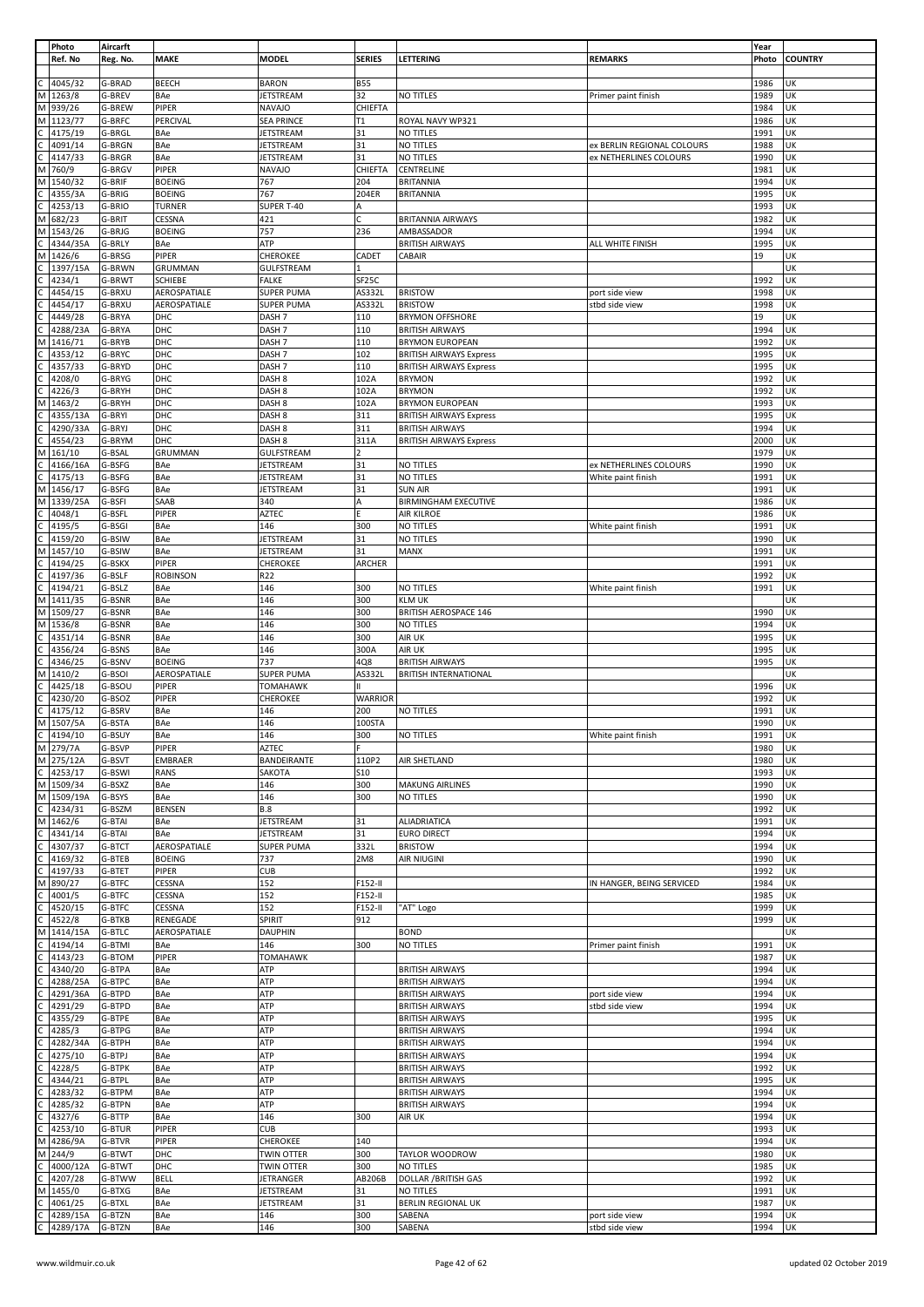|              | Photo    | Aircarft |                 |                   |                    |                                |                            | Year  |                |
|--------------|----------|----------|-----------------|-------------------|--------------------|--------------------------------|----------------------------|-------|----------------|
|              | Ref. No  | Reg. No. | MAKE            | <b>MODEL</b>      | <b>SERIES</b>      | LETTERING                      | <b>REMARKS</b>             | Photo | <b>COUNTRY</b> |
|              |          |          |                 |                   |                    |                                |                            |       |                |
|              | 4045/32  | G-BRAD   | BEECH           | <b>BARON</b>      | <b>B55</b>         |                                |                            | 1986  | UK             |
|              |          |          |                 |                   |                    |                                |                            |       |                |
| M            | 1263/8   | G-BREV   | BAe             | <b>JETSTREAM</b>  | 32                 | NO TITLES                      | Primer paint finish        | 1989  | UK             |
| M            | 939/26   | G-BREW   | PIPER           | <b>NAVAJO</b>     | CHIEFTA            |                                |                            | 1984  | UK             |
| М            | 1123/77  | G-BRFC   | PERCIVAL        | <b>SEA PRINCE</b> | T1                 | ROYAL NAVY WP321               |                            | 1986  | UK             |
|              | 4175/19  | G-BRGL   | BAe             | JETSTREAM         | 31                 | NO TITLES                      |                            | 1991  | UK             |
| С            | 4091/14  | G-BRGN   | BAe             | JETSTREAM         | 31                 | <b>NO TITLES</b>               | ex BERLIN REGIONAL COLOURS | 1988  | UK             |
|              |          |          |                 |                   |                    |                                |                            |       |                |
|              | 4147/33  | G-BRGR   | BAe             | <b>JETSTREAM</b>  | 31                 | <b>NO TITLES</b>               | ex NETHERLINES COLOURS     | 1990  | UK             |
| M            | 760/9    | G-BRGV   | PIPER           | <b>NAVAJO</b>     | CHIEFTA            | CENTRELINE                     |                            | 1981  | UK             |
| M            | 1540/32  | G-BRIF   | <b>BOEING</b>   | 767               | 204                | <b>BRITANNIA</b>               |                            | 1994  | UK             |
|              | 4355/3A  | G-BRIG   | <b>BOEING</b>   | 767               | 204ER              | <b>BRITANNIA</b>               |                            | 1995  | UK             |
|              |          |          |                 |                   |                    |                                |                            |       |                |
|              | 4253/13  | G-BRIO   | TURNER          | SUPER T-40        | А                  |                                |                            | 1993  | UK             |
| М            | 682/23   | G-BRIT   | CESSNA          | 421               | C                  | <b>BRITANNIA AIRWAYS</b>       |                            | 1982  | UK             |
| M            | 1543/26  | G-BRJG   | <b>BOEING</b>   | 757               | 236                | AMBASSADOR                     |                            | 1994  | UK             |
|              | 4344/35A | G-BRLY   | BAe             | ATP               |                    | <b>BRITISH AIRWAYS</b>         | ALL WHITE FINISH           | 1995  | UK             |
| М            | 1426/6   | G-BRSG   | PIPER           | CHEROKEE          | CADET              | CABAIR                         |                            | 19    | UK             |
|              |          |          |                 |                   |                    |                                |                            |       |                |
|              | 1397/15A | G-BRWN   | GRUMMAN         | <b>GULFSTREAM</b> |                    |                                |                            |       | UK             |
|              | 4234/1   | G-BRWT   | <b>SCHIEBE</b>  | <b>FALKE</b>      | SF <sub>25</sub> C |                                |                            | 1992  | UK             |
|              | 4454/15  | G-BRXU   | AEROSPATIALE    | <b>SUPER PUMA</b> | AS332L             | <b>BRISTOW</b>                 | port side view             | 1998  | UK             |
|              | 4454/17  | G-BRXU   | AEROSPATIALE    | <b>SUPER PUMA</b> | AS332L             | <b>BRISTOW</b>                 | stbd side view             | 1998  | UK             |
|              | 4449/28  | G-BRYA   | DHC             | DASH <sub>7</sub> | 110                | <b>BRYMON OFFSHORE</b>         |                            | 19    | UK             |
|              |          |          |                 |                   |                    |                                |                            |       |                |
|              | 4288/23A | G-BRYA   | DHC             | DASH <sub>7</sub> | 110                | <b>BRITISH AIRWAYS</b>         |                            | 1994  | UK             |
| M            | 1416/71  | G-BRYB   | DHC             | DASH <sub>7</sub> | 110                | <b>BRYMON EUROPEAN</b>         |                            | 1992  | UK             |
|              | 4353/12  | G-BRYC   | DHC             | DASH <sub>7</sub> | 102                | <b>BRITISH AIRWAYS Express</b> |                            | 1995  | UK             |
|              | 4357/33  | G-BRYD   | DHC             | DASH <sub>7</sub> | 110                | <b>BRITISH AIRWAYS Express</b> |                            | 1995  | UK             |
|              |          |          |                 |                   |                    |                                |                            |       |                |
|              | 4208/0   | G-BRYG   | DHC             | DASH <sub>8</sub> | 102A               | <b>BRYMON</b>                  |                            | 1992  | UK             |
|              | 4226/3   | G-BRYH   | DHC             | DASH <sub>8</sub> | 102A               | <b>BRYMON</b>                  |                            | 1992  | UK             |
| M            | 1463/2   | G-BRYH   | DHC             | DASH <sub>8</sub> | 102A               | <b>BRYMON EUROPEAN</b>         |                            | 1993  | UK             |
|              | 4355/13A | G-BRYI   | DHC             | DASH <sub>8</sub> | 311                | <b>BRITISH AIRWAYS Express</b> |                            | 1995  | UK             |
|              | 4290/33A |          |                 |                   |                    |                                |                            | 1994  | UK             |
|              |          | G-BRYJ   | DHC             | DASH <sub>8</sub> | 311                | <b>BRITISH AIRWAYS</b>         |                            |       |                |
|              | 4554/23  | G-BRYM   | DHC             | DASH <sub>8</sub> | 311A               | <b>BRITISH AIRWAYS Express</b> |                            | 2000  | UK             |
| М            | 161/10   | G-BSAL   | GRUMMAN         | GULFSTREAM        | 2                  |                                |                            | 1979  | UK             |
|              | 4166/16A | G-BSFG   | BAe             | <b>JETSTREAM</b>  | 31                 | <b>NO TITLES</b>               | ex NETHERLINES COLOURS     | 1990  | UK             |
|              | 4175/13  | G-BSFG   | BAe             | <b>JETSTREAM</b>  | 31                 | NO TITLES                      | White paint finish         | 1991  | UK             |
|              |          |          |                 |                   |                    |                                |                            |       |                |
| M            | 1456/17  | G-BSFG   | BAe             | <b>JETSTREAM</b>  | 31                 | <b>SUN AIR</b>                 |                            | 1991  | UK             |
| M            | 1339/25A | G-BSFI   | SAAB            | 340               | A                  | <b>BIRMINGHAM EXECUTIVE</b>    |                            | 1986  | UK             |
|              | 4048/1   | G-BSFL   | PIPER           | <b>AZTEC</b>      | F                  | AIR KILROE                     |                            | 1986  | UK             |
|              | 4195/5   | G-BSGI   | BAe             | 146               | 300                | NO TITLES                      | White paint finish         | 1991  | UK             |
|              |          |          |                 |                   |                    |                                |                            |       |                |
|              | 4159/20  | G-BSIW   | BAe             | <b>JETSTREAM</b>  | 31                 | NO TITLES                      |                            | 1990  | UK             |
| M            | 1457/10  | G-BSIW   | BAe             | <b>JETSTREAM</b>  | 31                 | MANX                           |                            | 1991  | UK             |
|              | 4194/25  | G-BSKX   | PIPER           | CHEROKEE          | ARCHER             |                                |                            | 1991  | UK             |
|              | 4197/36  | G-BSLF   | <b>ROBINSON</b> | R22               |                    |                                |                            | 1992  | UK             |
|              |          |          |                 |                   |                    |                                |                            |       |                |
|              | 4194/21  | G-BSLZ   | BAe             | 146               | 300                | <b>NO TITLES</b>               | White paint finish         | 1991  | UK             |
| М            | 1411/35  | G-BSNR   | BAe             | 146               | 300                | <b>KLM UK</b>                  |                            |       | UK             |
| M            | 1509/27  | G-BSNR   | BAe             | 146               | 300                | <b>BRITISH AEROSPACE 146</b>   |                            | 1990  | UK             |
| M            | 1536/8   | G-BSNR   | BAe             | 146               | 300                | NO TITLES                      |                            | 1994  | UK             |
|              | 4351/14  | G-BSNR   | BAe             | 146               | 300                | AIR UK                         |                            | 1995  | UK             |
|              |          |          |                 |                   |                    |                                |                            |       |                |
| C            | 4356/24  | G-BSNS   | BAe             | 146               | 300A               | <b>AIR UK</b>                  |                            | 1995  | UK             |
| C            | 4346/25  | G-BSNV   | <b>BOEING</b>   | 737               | 4Q8                | <b>BRITISH AIRWAYS</b>         |                            | 1995  | UK             |
| М            | 1410/2   | G-BSOI   | AEROSPATIALE    | <b>SUPER PUMA</b> | AS332L             | <b>BRITISH INTERNATIONAL</b>   |                            |       | UK             |
|              | 4425/18  | G-BSOU   | PIPER           | <b>TOMAHAWK</b>   | II.                |                                |                            | 1996  | UK             |
|              |          |          |                 |                   |                    |                                |                            |       |                |
|              | 4230/20  | G-BSOZ   | PIPER           | CHEROKEE          | <b>WARRIOR</b>     |                                |                            | 1992  | UK             |
|              | 4175/12  | G-BSRV   | BAe             | 146               | 200                | NO TITLES                      |                            | 1991  | UK             |
| M            | 1507/5A  | G-BSTA   | BAe             | 146               | 100STA             |                                |                            | 1990  | UK             |
| $\mathsf{C}$ | 4194/10  | G-BSUY   | BAe             | 146               | 300                | NO TITLES                      | White paint finish         | 1991  | UK             |
|              | M 279/7A |          |                 |                   | E                  |                                |                            |       |                |
|              |          | G-BSVP   | PIPER           | <b>AZTEC</b>      |                    |                                |                            | 1980  | UK             |
| M            | 275/12A  | G-BSVT   | EMBRAER         | BANDEIRANTE       | 110P2              | AIR SHETLAND                   |                            | 1980  | UK             |
| $\mathsf{C}$ | 4253/17  | G-BSWI   | RANS            | SAKOTA            | S10                |                                |                            | 1993  | UK             |
| M            | 1509/34  | G-BSXZ   | BAe             | 146               | 300                | <b>MAKUNG AIRLINES</b>         |                            | 1990  | UK             |
|              |          |          | BAe             | 146               | 300                | NO TITLES                      |                            |       | UK             |
| M            | 1509/19A | G-BSYS   |                 |                   |                    |                                |                            | 1990  |                |
| $\mathsf{C}$ | 4234/31  | G-BSZM   | BENSEN          | <b>B.8</b>        |                    |                                |                            | 1992  | UK             |
| M            | 1462/6   | G-BTAI   | BAe             | <b>JETSTREAM</b>  | 31                 | ALIADRIATICA                   |                            | 1991  | UK             |
| С            | 4341/14  | G-BTAI   | BAe             | JETSTREAM         | 31                 | <b>EURO DIRECT</b>             |                            | 1994  | UK             |
|              | 4307/37  | G-BTCT   | AEROSPATIALE    | <b>SUPER PUMA</b> | 332L               | <b>BRISTOW</b>                 |                            | 1994  | UK             |
|              | 4169/32  | G-BTEB   | <b>BOEING</b>   | 737               | 2M8                | <b>AIR NIUGINI</b>             |                            | 1990  | UK             |
|              |          |          |                 |                   |                    |                                |                            |       |                |
|              | 4197/33  | G-BTET   | PIPER           | <b>CUB</b>        |                    |                                |                            | 1992  | UK             |
| M            | 890/27   | G-BTFC   | CESSNA          | 152               | F152-II            |                                | IN HANGER, BEING SERVICED  | 1984  | UK             |
| Ċ            | 4001/5   | G-BTFC   | CESSNA          | 152               | F152-II            |                                |                            | 1985  | UK             |
|              | 4520/15  | G-BTFC   | CESSNA          | 152               | F152-II            | "AT" Logo                      |                            | 1999  | UK             |
|              | 4522/8   | G-BTKB   | RENEGADE        | SPIRIT            | 912                |                                |                            | 1999  | UK             |
|              |          |          |                 |                   |                    |                                |                            |       |                |
| М            | 1414/15A | G-BTLC   | AEROSPATIALE    | DAUPHIN           |                    | <b>BOND</b>                    |                            |       | UK             |
|              | 4194/14  | G-BTMI   | BAe             | 146               | 300                | NO TITLES                      | Primer paint finish        | 1991  | UK             |
|              | 4143/23  | G-BTOM   | PIPER           | <b>TOMAHAWK</b>   |                    |                                |                            | 1987  | UK             |
|              | 4340/20  | G-BTPA   | BAe             | ATP               |                    | <b>BRITISH AIRWAYS</b>         |                            | 1994  | UK             |
|              |          | G-BTPC   | BAe             | ATP               |                    | <b>BRITISH AIRWAYS</b>         |                            | 1994  | UK             |
|              | 4288/25A |          |                 |                   |                    |                                |                            |       |                |
|              | 4291/36A | G-BTPD   | BAe             | ATP               |                    | <b>BRITISH AIRWAYS</b>         | port side view             | 1994  | UK             |
|              | 4291/29  | G-BTPD   | BAe             | ATP               |                    | <b>BRITISH AIRWAYS</b>         | stbd side view             | 1994  | UK             |
|              | 4355/29  | G-BTPE   | BAe             | ATP               |                    | <b>BRITISH AIRWAYS</b>         |                            | 1995  | UK             |
|              | 4285/3   | G-BTPG   | BAe             | ATP               |                    | <b>BRITISH AIRWAYS</b>         |                            | 1994  | UK             |
|              |          |          |                 |                   |                    |                                |                            | 1994  |                |
|              | 4282/34A | G-BTPH   | BAe             | ATP               |                    | <b>BRITISH AIRWAYS</b>         |                            |       | UK             |
|              | 4275/10  | G-BTPJ   | BAe             | ATP               |                    | <b>BRITISH AIRWAYS</b>         |                            | 1994  | UK             |
|              | 4228/5   | G-BTPK   | BAe             | ATP               |                    | <b>BRITISH AIRWAYS</b>         |                            | 1992  | UK             |
|              | 4344/21  | G-BTPL   | BAe             | ATP               |                    | <b>BRITISH AIRWAYS</b>         |                            | 1995  | UK             |
|              |          |          |                 |                   |                    |                                |                            |       |                |
|              | 4283/32  | G-BTPM   | BAe             | ATP               |                    | <b>BRITISH AIRWAYS</b>         |                            | 1994  | UK             |
|              | 4285/32  | G-BTPN   | BAe             | ATP               |                    | <b>BRITISH AIRWAYS</b>         |                            | 1994  | UK             |
|              | 4327/6   | G-BTTP   | BAe             | 146               | 300                | AIR UK                         |                            | 1994  | UK             |
|              | 4253/10  | G-BTUR   | PIPER           | <b>CUB</b>        |                    |                                |                            | 1993  | UK             |
| M            | 4286/9A  | G-BTVR   | PIPER           | CHEROKEE          | 140                |                                |                            | 1994  | UK             |
|              |          |          |                 |                   |                    |                                |                            |       |                |
| M            | 244/9    | G-BTWT   | DHC             | <b>TWIN OTTER</b> | 300                | TAYLOR WOODROW                 |                            | 1980  | UK             |
|              | 4000/12A | G-BTWT   | DHC             | <b>TWIN OTTER</b> | 300                | NO TITLES                      |                            | 1985  | UK             |
|              | 4207/28  | G-BTWW   | <b>BELL</b>     | JETRANGER         | AB206B             | <b>DOLLAR / BRITISH GAS</b>    |                            | 1992  | UK             |
| M            | 1455/0   | G-BTXG   | BAe             | <b>JETSTREAM</b>  | 31                 | NO TITLES                      |                            | 1991  | UK             |
|              |          |          |                 |                   |                    |                                |                            |       |                |
|              | 4061/25  | G-BTXL   | BAe             | <b>JETSTREAM</b>  | 31                 | <b>BERLIN REGIONAL UK</b>      |                            | 1987  | UK             |
|              | 4289/15A | G-BTZN   | BAe             | 146               | 300                | SABENA                         | port side view             | 1994  | UK             |
|              | 4289/17A | G-BTZN   | BAe             | 146               | 300                | SABENA                         | stbd side view             | 1994  | UK             |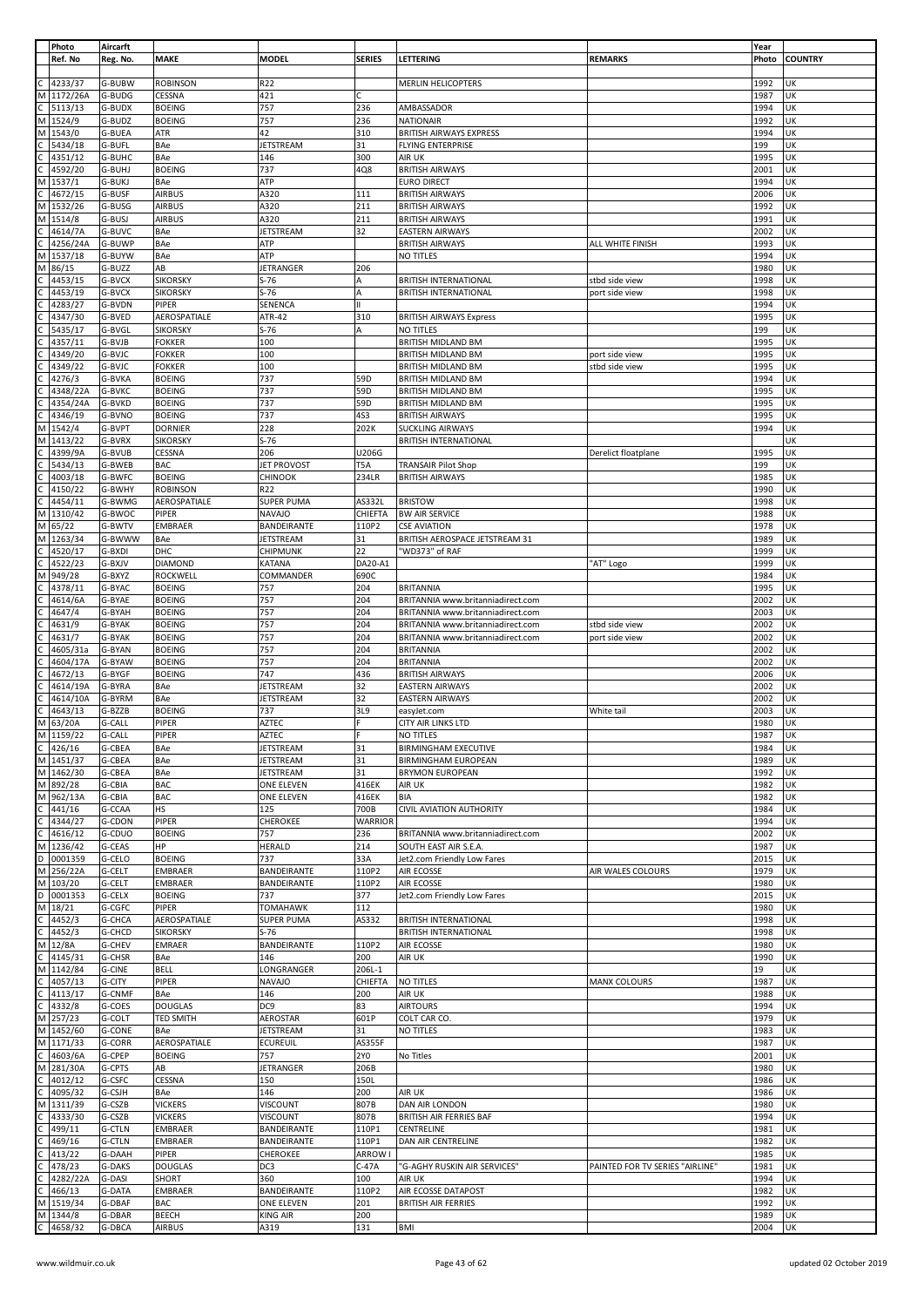|              | Photo<br>Ref. No     | Aircarft<br>Reg. No. | <b>MAKE</b>                        | <b>MODEL</b>                  | <b>SERIES</b>  | LETTERING                                                    | <b>REMARKS</b>                   | Year<br>Photo | <b>COUNTRY</b> |
|--------------|----------------------|----------------------|------------------------------------|-------------------------------|----------------|--------------------------------------------------------------|----------------------------------|---------------|----------------|
| C            | 4233/37              | G-BUBW               | <b>ROBINSON</b>                    | R22                           |                | <b>MERLIN HELICOPTERS</b>                                    |                                  | 1992          | UK             |
| М            | 1172/26A             | G-BUDG               | CESSNA                             | 421                           |                |                                                              |                                  | 1987          | UK             |
| C            | 5113/13              | G-BUDX               | <b>BOEING</b>                      | 757                           | 236            | AMBASSADOR                                                   |                                  | 1994          | UK             |
|              | M 1524/9             | G-BUDZ               | <b>BOEING</b>                      | 757                           | 236            | <b>NATIONAIR</b>                                             |                                  | 1992          | UK             |
| М            | 1543/0               | G-BUEA               | ATR                                | 42                            | 310            | BRITISH AIRWAYS EXPRESS                                      |                                  | 1994          | UK             |
| C            | 5434/18              | G-BUFL               | BAe                                | <b>JETSTREAM</b>              | 31             | <b>FLYING ENTERPRISE</b>                                     |                                  | 199           | UK             |
|              | 4351/12              | G-BUHC               | BAe                                | 146                           | 300            | AIR UK                                                       |                                  | 1995          | UK             |
| M            | 4592/20<br>1537/1    | G-BUHJ<br>G-BUKJ     | <b>BOEING</b><br>BAe               | 737<br>ATP                    | 4Q8            | <b>BRITISH AIRWAYS</b><br><b>EURO DIRECT</b>                 |                                  | 2001<br>1994  | UK<br>UK       |
|              | 4672/15              | G-BUSF               | <b>AIRBUS</b>                      | A320                          | 111            | <b>BRITISH AIRWAYS</b>                                       |                                  | 2006          | UK             |
| М            | 1532/26              | G-BUSG               | <b>AIRBUS</b>                      | A320                          | 211            | <b>BRITISH AIRWAYS</b>                                       |                                  | 1992          | UK             |
| М            | 1514/8               | G-BUSJ               | <b>AIRBUS</b>                      | A320                          | 211            | <b>BRITISH AIRWAYS</b>                                       |                                  | 1991          | UK             |
|              | 4614/7A              | G-BUVC               | BAe                                | <b>JETSTREAM</b>              | 32             | <b>EASTERN AIRWAYS</b>                                       |                                  | 2002          | UK             |
|              | 4256/24A             | G-BUWP               | BAe                                | <b>ATP</b>                    |                | <b>BRITISH AIRWAYS</b>                                       | ALL WHITE FINISH                 | 1993          | UK             |
| М            | 1537/18              | G-BUYW               | BAe                                | ATP                           |                | NO TITLES                                                    |                                  | 1994          | UK             |
| М            | 86/15                | G-BUZZ               | AB                                 | <b>JETRANGER</b>              | 206            |                                                              |                                  | 1980          | UK             |
| C.           | 4453/15<br>4453/19   | G-BVCX<br>G-BVCX     | <b>SIKORSKY</b><br><b>SIKORSKY</b> | $S-76$<br>$S-76$              | A<br>A         | <b>BRITISH INTERNATIONAL</b><br><b>BRITISH INTERNATIONAL</b> | stbd side view<br>port side view | 1998<br>1998  | UK<br>UK       |
|              | 4283/27              | G-BVDN               | PIPER                              | SENENCA                       |                |                                                              |                                  | 1994          | UK             |
|              | 4347/30              | G-BVED               | AEROSPATIALE                       | ATR-42                        | 310            | <b>BRITISH AIRWAYS Express</b>                               |                                  | 1995          | UK             |
|              | 5435/17              | G-BVGL               | <b>SIKORSKY</b>                    | $S-76$                        | A              | NO TITLES                                                    |                                  | 199           | UK             |
|              | 4357/11              | G-BVJB               | <b>FOKKER</b>                      | 100                           |                | BRITISH MIDLAND BM                                           |                                  | 1995          | UK             |
|              | 4349/20              | G-BVJC               | <b>FOKKER</b>                      | 100                           |                | <b>BRITISH MIDLAND BM</b>                                    | port side view                   | 1995          | UK             |
|              | 4349/22              | G-BVJC               | <b>FOKKER</b>                      | 100                           |                | <b>BRITISH MIDLAND BM</b>                                    | stbd side view                   | 1995          | UK             |
|              | 4276/3               | G-BVKA               | <b>BOEING</b>                      | 737<br>737                    | 59D<br>59D     | BRITISH MIDLAND BM                                           |                                  | 1994<br>1995  | UK<br>UK       |
|              | 4348/22A<br>4354/24A | G-BVKC<br>G-BVKD     | <b>BOEING</b><br><b>BOEING</b>     | 737                           | 59D            | BRITISH MIDLAND BM<br><b>BRITISH MIDLAND BM</b>              |                                  | 1995          | UK             |
|              | 4346/19              | G-BVNO               | <b>BOEING</b>                      | 737                           | 4S3            | <b>BRITISH AIRWAYS</b>                                       |                                  | 1995          | UK             |
| М            | 1542/4               | G-BVPT               | <b>DORNIER</b>                     | 228                           | 202K           | <b>SUCKLING AIRWAYS</b>                                      |                                  | 1994          | UK             |
| М            | 1413/22              | G-BVRX               | <b>SIKORSKY</b>                    | $S-76$                        |                | <b>BRITISH INTERNATIONAL</b>                                 |                                  |               | UK             |
| С            | 4399/9A              | G-BVUB               | <b>CESSNA</b>                      | 206                           | U206G          |                                                              | Derelict floatplane              | 1995          | UK             |
|              | 5434/13              | G-BWEB               | <b>BAC</b>                         | JET PROVOST                   | T5A            | <b>TRANSAIR Pilot Shop</b>                                   |                                  | 199           | UK             |
|              | 4003/18              | G-BWFC               | <b>BOEING</b>                      | CHINOOK                       | 234LR          | <b>BRITISH AIRWAYS</b>                                       |                                  | 1985          | UK             |
| C            | 4150/22<br>4454/11   | G-BWHY<br>G-BWMG     | <b>ROBINSON</b><br>AEROSPATIALE    | R22<br><b>SUPER PUMA</b>      | AS332L         | <b>BRISTOW</b>                                               |                                  | 1990<br>1998  | UK<br>UK       |
| М            | 1310/42              | G-BWOC               | PIPER                              | <b>NAVAJO</b>                 | CHIEFTA        | <b>BW AIR SERVICE</b>                                        |                                  | 1988          | UK             |
|              | M 65/22              | G-BWTV               | EMBRAER                            | BANDEIRANTE                   | 110P2          | <b>CSE AVIATION</b>                                          |                                  | 1978          | UK             |
|              | M 1263/34            | G-BWWW               | BAe                                | JETSTREAM                     | 31             | BRITISH AEROSPACE JETSTREAM 31                               |                                  | 1989          | UK             |
|              | 4520/17              | G-BXDI               | DHC                                | CHIPMUNK                      | 22             | "WD373" of RAF                                               |                                  | 1999          | UK             |
| С            | 4522/23              | G-BXJV               | <b>DIAMOND</b>                     | KATANA                        | DA20-A1        |                                                              | "AT" Logo                        | 1999          | UK             |
| М            | 949/28               | G-BXYZ               | ROCKWELL                           | COMMANDER                     | 690C           |                                                              |                                  | 1984          | UK             |
|              | 4378/11<br>4614/6A   | G-BYAC<br>G-BYAE     | <b>BOEING</b><br><b>BOEING</b>     | 757<br>757                    | 204<br>204     | <b>BRITANNIA</b><br>BRITANNIA www.britanniadirect.com        |                                  | 1995<br>2002  | UK<br>UK       |
|              | 4647/4               | G-BYAH               | <b>BOEING</b>                      | 757                           | 204            | BRITANNIA www.britanniadirect.com                            |                                  | 2003          | UK             |
|              | 4631/9               | G-BYAK               | <b>BOEING</b>                      | 757                           | 204            | BRITANNIA www.britanniadirect.com                            | stbd side view                   | 2002          | UK             |
|              | 4631/7               | G-BYAK               | <b>BOEING</b>                      | 757                           | 204            | BRITANNIA www.britanniadirect.com                            | port side view                   | 2002          | UK             |
|              | 4605/31a             | G-BYAN               | <b>BOEING</b>                      | 757                           | 204            | <b>BRITANNIA</b>                                             |                                  | 2002          | UK             |
|              | 4604/17A             | G-BYAW               | <b>BOEING</b>                      | 757                           | 204            | <b>BRITANNIA</b>                                             |                                  | 2002          | UK             |
|              | 4672/13              | G-BYGF               | <b>BOEING</b>                      | 747                           | 436            | <b>BRITISH AIRWAYS</b>                                       |                                  | 2006          | UK             |
|              | 4614/19A<br>4614/10A | G-BYRA<br>G-BYRM     | BAe<br>BAe                         | JETSTREAM<br><b>JETSTREAM</b> | 32<br>32       | <b>EASTERN AIRWAYS</b>                                       |                                  | 2002<br>2002  | UK<br>UK       |
|              | 4643/13              | G-BZZB               | <b>BOEING</b>                      | 737                           | 3L9            | <b>EASTERN AIRWAYS</b><br>easyJet.com                        | White tail                       | 2003          | UK             |
| M            | 63/20A               | G-CALL               | PIPER                              | <b>AZTEC</b>                  |                | CITY AIR LINKS LTD                                           |                                  | 1980          | UK             |
| M            | 1159/22              | G-CALL               | PIPER                              | <b>AZTEC</b>                  |                | NO TITLES                                                    |                                  | 1987          | UK             |
| $\mathsf{C}$ | 426/16               | G-CBEA               | BAe                                | <b>JETSTREAM</b>              | 31             | <b>BIRMINGHAM EXECUTIVE</b>                                  |                                  | 1984          | UK             |
|              | M 1451/37            | G-CBEA               | BAe                                | <b>JETSTREAM</b>              | 31             | <b>BIRMINGHAM EUROPEAN</b>                                   |                                  | 1989          | UK             |
|              | M 1462/30            | G-CBEA               | BAe                                | <b>JETSTREAM</b>              | 31             | <b>BRYMON EUROPEAN</b>                                       |                                  | 1992          | UK             |
|              | M 892/28             | G-CBIA               | <b>BAC</b>                         | <b>ONE ELEVEN</b>             | 416EK          | AIR UK                                                       |                                  | 1982          | UK<br>UK       |
| C            | M 962/13A<br>441/16  | G-CBIA<br>G-CCAA     | <b>BAC</b><br><b>HS</b>            | ONE ELEVEN<br>125             | 416EK<br>700B  | BIA<br>CIVIL AVIATION AUTHORITY                              |                                  | 1982<br>1984  | UK             |
| C            | 4344/27              | G-CDON               | PIPER                              | CHEROKEE                      | <b>WARRIOR</b> |                                                              |                                  | 1994          | UK             |
| $\mathsf C$  | 4616/12              | G-CDUO               | <b>BOEING</b>                      | 757                           | 236            | BRITANNIA www.britanniadirect.com                            |                                  | 2002          | UK             |
|              | M 1236/42            | G-CEAS               | <b>HP</b>                          | HERALD                        | 214            | SOUTH EAST AIR S.E.A.                                        |                                  | 1987          | UK             |
| D            | 0001359              | G-CELO               | <b>BOEING</b>                      | 737                           | 33A            | Jet2.com Friendly Low Fares                                  |                                  | 2015          | UK             |
|              | M 256/22A            | G-CELT               | <b>EMBRAER</b>                     | BANDEIRANTE                   | 110P2          | AIR ECOSSE                                                   | AIR WALES COLOURS                | 1979          | UK             |
| D            | M 103/20<br>0001353  | G-CELT<br>G-CELX     | <b>EMBRAER</b><br><b>BOEING</b>    | BANDEIRANTE<br>737            | 110P2<br>377   | AIR ECOSSE<br>Jet2.com Friendly Low Fares                    |                                  | 1980<br>2015  | UK<br>UK       |
|              | M 18/21              | G-CGFC               | <b>PIPER</b>                       | <b>TOMAHAWK</b>               | 112            |                                                              |                                  | 1980          | UK             |
|              | 4452/3               | G-CHCA               | AEROSPATIALE                       | <b>SUPER PUMA</b>             | AS332          | <b>BRITISH INTERNATIONAL</b>                                 |                                  | 1998          | UK             |
| С            | 4452/3               | G-CHCD               | <b>SIKORSKY</b>                    | $S-76$                        |                | <b>BRITISH INTERNATIONAL</b>                                 |                                  | 1998          | UK             |
|              | M 12/8A              | G-CHEV               | <b>EMRAER</b>                      | BANDEIRANTE                   | 110P2          | AIR ECOSSE                                                   |                                  | 1980          | UK             |
|              | 4145/31              | G-CHSR               | BAe                                | 146                           | 200            | AIR UK                                                       |                                  | 1990          | UK             |
|              | M 1142/84            | G-CINE               | <b>BELL</b>                        | LONGRANGER                    | 206L-1         |                                                              |                                  | 19            | UK             |
|              | 4057/13<br>4113/17   | G-CITY               | PIPER                              | <b>NAVAJO</b>                 | CHIEFTA<br>200 | NO TITLES                                                    | MANX COLOURS                     | 1987          | UK<br>UK       |
| C            | 4332/8               | G-CNMF<br>G-COES     | BAe<br><b>DOUGLAS</b>              | 146<br>DC <sub>9</sub>        | 83             | AIR UK<br><b>AIRTOURS</b>                                    |                                  | 1988<br>1994  | UK             |
|              | M 257/23             | G-COLT               | <b>TED SMITH</b>                   | AEROSTAR                      | 601P           | COLT CAR CO.                                                 |                                  | 1979          | UK             |
|              | M 1452/60            | G-CONE               | BAe                                | <b>JETSTREAM</b>              | 31             | NO TITLES                                                    |                                  | 1983          | UK             |
|              | M 1171/33            | G-CORR               | AEROSPATIALE                       | <b>ECUREUIL</b>               | AS355F         |                                                              |                                  | 1987          | UK             |
|              | 4603/6A              | G-CPEP               | <b>BOEING</b>                      | 757                           | 2Y0            | No Titles                                                    |                                  | 2001          | UK             |
| M            | 281/30A              | G-CPTS               | AB                                 | <b>JETRANGER</b>              | 206B           |                                                              |                                  | 1980          | UK             |
|              | 4012/12<br>4095/32   | G-CSFC<br>G-CSJH     | CESSNA<br>BAe                      | 150<br>146                    | 150L<br>200    | AIR UK                                                       |                                  | 1986<br>1986  | UK<br>UK       |
|              | M 1311/39            | G-CSZB               | <b>VICKERS</b>                     | VISCOUNT                      | 807B           | DAN AIR LONDON                                               |                                  | 1980          | UK             |
|              | 4333/30              | G-CSZB               | <b>VICKERS</b>                     | VISCOUNT                      | 807B           | <b>BRITISH AIR FERRIES BAF</b>                               |                                  | 1994          | UK             |
|              | 499/11               | G-CTLN               | <b>EMBRAER</b>                     | BANDEIRANTE                   | 110P1          | CENTRELINE                                                   |                                  | 1981          | UK             |
| С            | 469/16               | G-CTLN               | <b>EMBRAER</b>                     | BANDEIRANTE                   | 110P1          | DAN AIR CENTRELINE                                           |                                  | 1982          | UK             |
|              | 413/22               | <b>G-DAAH</b>        | PIPER                              | CHEROKEE                      | ARROW I        |                                                              |                                  | 1985          | UK             |
|              | 478/23               | G-DAKS               | <b>DOUGLAS</b>                     | DC3                           | $C-47A$        | "G-AGHY RUSKIN AIR SERVICES"                                 | PAINTED FOR TV SERIES "AIRLINE"  | 1981          | UK             |
|              | 4282/22A             | G-DASI               | <b>SHORT</b>                       | 360<br>BANDEIRANTE            | 100<br>110P2   | AIR UK                                                       |                                  | 1994          | UK<br>UK       |
| M            | 466/13<br>1519/34    | G-DATA<br>G-DBAF     | EMBRAER<br><b>BAC</b>              | ONE ELEVEN                    | 201            | AIR ECOSSE DATAPOST<br><b>BRITISH AIR FERRIES</b>            |                                  | 1982<br>1992  | UK             |
|              | M 1344/8             | G-DBAR               | <b>BEECH</b>                       | <b>KING AIR</b>               | 200            |                                                              |                                  | 1989          | UK             |
|              | 4658/32              | G-DBCA               | <b>AIRBUS</b>                      | A319                          | 131            | <b>BMI</b>                                                   |                                  | 2004          | UK             |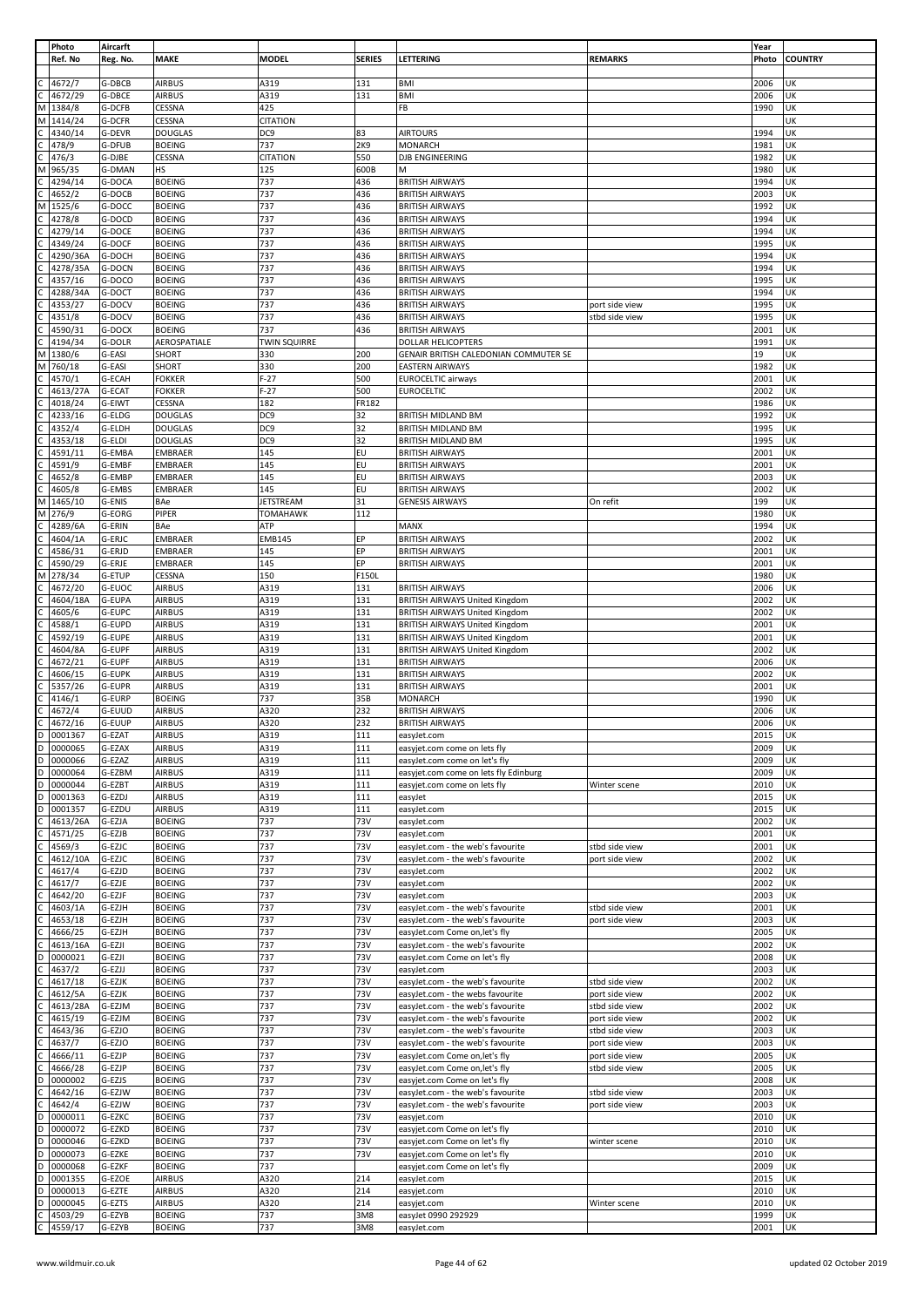|                | Photo    | Aircarft      |                |                     |               |                                       |                | Year  |                |
|----------------|----------|---------------|----------------|---------------------|---------------|---------------------------------------|----------------|-------|----------------|
|                | Ref. No  | Reg. No.      | <b>MAKE</b>    | <b>MODEL</b>        | <b>SERIES</b> | LETTERING                             | <b>REMARKS</b> | Photo | <b>COUNTRY</b> |
|                |          |               |                |                     |               |                                       |                |       |                |
|                |          |               |                |                     |               |                                       |                |       |                |
|                | 4672/7   | G-DBCB        | <b>AIRBUS</b>  | A319                | 131           | <b>BMI</b>                            |                | 2006  | UΚ             |
|                | 4672/29  | G-DBCE        | <b>AIRBUS</b>  | A319                | 131           | <b>BMI</b>                            |                | 2006  | UK             |
| M              | 1384/8   | G-DCFB        | CESSNA         | 425                 |               | FB                                    |                | 1990  | UK             |
|                |          |               |                |                     |               |                                       |                |       |                |
| M              | 1414/24  | G-DCFR        | CESSNA         | <b>CITATION</b>     |               |                                       |                |       | UK             |
|                | 4340/14  | G-DEVR        | <b>DOUGLAS</b> | DC9                 | 83            | <b>AIRTOURS</b>                       |                | 1994  | UK             |
|                | 478/9    | G-DFUB        | <b>BOEING</b>  | 737                 | 2K9           | <b>MONARCH</b>                        |                | 1981  | UK             |
|                |          |               |                |                     |               |                                       |                |       |                |
|                | 476/3    | G-DJBE        | CESSNA         | <b>CITATION</b>     | 550           | DJB ENGINEERING                       |                | 1982  | UK             |
| M              | 965/35   | G-DMAN        | HS             | 125                 | 600B          | M                                     |                | 1980  | UK             |
|                | 4294/14  | G-DOCA        | <b>BOEING</b>  | 737                 | 436           | <b>BRITISH AIRWAYS</b>                |                | 1994  | UK             |
|                |          |               |                |                     |               |                                       |                |       |                |
|                | 4652/2   | G-DOCB        | <b>BOEING</b>  | 737                 | 436           | <b>BRITISH AIRWAYS</b>                |                | 2003  | UK             |
| М              | 1525/6   | G-DOCC        | <b>BOEING</b>  | 737                 | 436           | <b>BRITISH AIRWAYS</b>                |                | 1992  | UK             |
|                | 4278/8   | G-DOCD        | <b>BOEING</b>  | 737                 | 436           | <b>BRITISH AIRWAYS</b>                |                | 1994  | UΚ             |
|                |          |               |                |                     |               |                                       |                |       |                |
|                | 4279/14  | G-DOCE        | <b>BOEING</b>  | 737                 | 436           | <b>BRITISH AIRWAYS</b>                |                | 1994  | UK             |
|                | 4349/24  | G-DOCF        | <b>BOEING</b>  | 737                 | 436           | <b>BRITISH AIRWAYS</b>                |                | 1995  | UK             |
|                | 4290/36A | G-DOCH        | <b>BOEING</b>  | 737                 | 436           | <b>BRITISH AIRWAYS</b>                |                | 1994  | UK             |
|                |          |               |                |                     |               |                                       |                |       |                |
|                | 4278/35A | G-DOCN        | <b>BOEING</b>  | 737                 | 436           | <b>BRITISH AIRWAYS</b>                |                | 1994  | UK             |
|                | 4357/16  | G-DOCO        | <b>BOEING</b>  | 737                 | 436           | <b>BRITISH AIRWAYS</b>                |                | 1995  | UΚ             |
|                | 4288/34A | G-DOCT        | <b>BOEING</b>  | 737                 | 436           | <b>BRITISH AIRWAYS</b>                |                | 1994  | UK             |
|                | 4353/27  | G-DOCV        | <b>BOEING</b>  | 737                 | 436           | <b>BRITISH AIRWAYS</b>                |                | 1995  | UK             |
|                |          |               |                |                     |               |                                       | port side view |       |                |
|                | 4351/8   | G-DOCV        | <b>BOEING</b>  | 737                 | 436           | <b>BRITISH AIRWAYS</b>                | stbd side view | 1995  | UK             |
|                | 4590/31  | G-DOCX        | <b>BOEING</b>  | 737                 | 436           | <b>BRITISH AIRWAYS</b>                |                | 2001  | UK             |
|                |          |               |                |                     |               | DOLLAR HELICOPTERS                    |                |       | UK             |
|                | 4194/34  | G-DOLR        | AEROSPATIALE   | <b>TWIN SQUIRRE</b> |               |                                       |                | 1991  |                |
| М              | 1380/6   | G-EASI        | SHORT          | 330                 | 200           | GENAIR BRITISH CALEDONIAN COMMUTER SE |                | 19    | UK             |
| M              | 760/18   | G-EASI        | SHORT          | 330                 | 200           | <b>EASTERN AIRWAYS</b>                |                | 1982  | UK             |
| C              | 4570/1   | G-ECAH        | <b>FOKKER</b>  | $F-27$              | 500           | <b>EUROCELTIC airways</b>             |                | 2001  | UK             |
|                |          |               |                |                     |               |                                       |                |       |                |
|                | 4613/27A | G-ECAT        | <b>FOKKER</b>  | $F-27$              | 500           | <b>EUROCELTIC</b>                     |                | 2002  | UK             |
|                | 4018/24  | G-EIWT        | CESSNA         | 182                 | FR182         |                                       |                | 1986  | UK             |
|                | 4233/16  | G-ELDG        | <b>DOUGLAS</b> | DC9                 | 32            | BRITISH MIDLAND BM                    |                | 1992  | UK             |
|                |          |               |                |                     |               |                                       |                |       |                |
|                | 4352/4   | G-ELDH        | <b>DOUGLAS</b> | DC9                 | 32            | BRITISH MIDLAND BM                    |                | 1995  | UK             |
|                | 4353/18  | G-ELDI        | <b>DOUGLAS</b> | DC9                 | 32            | <b>BRITISH MIDLAND BM</b>             |                | 1995  | UK             |
|                | 4591/11  | G-EMBA        | <b>EMBRAER</b> | 145                 | EU            | <b>BRITISH AIRWAYS</b>                |                | 2001  | UK             |
|                |          |               |                |                     |               |                                       |                |       |                |
|                | 4591/9   | G-EMBF        | <b>EMBRAER</b> | 145                 | EU            | <b>BRITISH AIRWAYS</b>                |                | 2001  | UK             |
|                | 4652/8   | G-EMBP        | <b>EMBRAER</b> | 145                 | EU            | <b>BRITISH AIRWAYS</b>                |                | 2003  | UK             |
|                | 4605/8   | G-EMBS        | EMBRAER        | 145                 | EU            | <b>BRITISH AIRWAYS</b>                |                | 2002  | UK             |
|                |          |               |                |                     |               |                                       |                |       |                |
| M              | 1465/10  | G-ENIS        | BAe            | <b>JETSTREAM</b>    | 31            | <b>GENESIS AIRWAYS</b>                | On refit       | 199   | UK             |
| М              | 276/9    | G-EORG        | PIPER          | <b>TOMAHAWK</b>     | 112           |                                       |                | 1980  | UΚ             |
|                | 4289/6A  | G-ERIN        | BAe            | ATP                 |               | <b>MANX</b>                           |                | 1994  | UK             |
|                |          |               |                |                     |               |                                       |                |       |                |
|                | 4604/1A  | G-ERJC        | <b>EMBRAER</b> | <b>EMB145</b>       | EP            | <b>BRITISH AIRWAYS</b>                |                | 2002  | UK             |
|                | 4586/31  | G-ERJD        | <b>EMBRAER</b> | 145                 | EP            | <b>BRITISH AIRWAYS</b>                |                | 2001  | UK             |
|                | 4590/29  | G-ERJE        | EMBRAER        | 145                 | EP            | <b>BRITISH AIRWAYS</b>                |                | 2001  | UK             |
|                |          |               |                |                     |               |                                       |                |       |                |
| M              | 278/34   | G-ETUP        | CESSNA         | 150                 | F150L         |                                       |                | 1980  | UK             |
|                | 4672/20  | G-EUOC        | <b>AIRBUS</b>  | A319                | 131           | <b>BRITISH AIRWAYS</b>                |                | 2006  | UK             |
|                | 4604/18A | G-EUPA        | <b>AIRBUS</b>  | A319                | 131           | BRITISH AIRWAYS United Kingdom        |                | 2002  | UK             |
|                |          |               |                |                     |               |                                       |                |       |                |
|                | 4605/6   | G-EUPC        | <b>AIRBUS</b>  | A319                | 131           | <b>BRITISH AIRWAYS United Kingdom</b> |                | 2002  | UK             |
|                | 4588/1   | G-EUPD        | <b>AIRBUS</b>  | A319                | 131           | <b>BRITISH AIRWAYS United Kingdom</b> |                | 2001  | UK             |
|                | 4592/19  | G-EUPE        | <b>AIRBUS</b>  | A319                | 131           | BRITISH AIRWAYS United Kingdom        |                | 2001  | UK             |
|                |          |               |                |                     |               |                                       |                |       |                |
|                | 4604/8A  | G-EUPF        | <b>AIRBUS</b>  | A319                | 131           | <b>BRITISH AIRWAYS United Kingdom</b> |                | 2002  | UK             |
|                | 4672/21  | G-EUPF        | <b>AIRBUS</b>  | A319                | 131           | <b>BRITISH AIRWAYS</b>                |                | 2006  | UΚ             |
|                | 4606/15  | G-EUPK        | <b>AIRBUS</b>  | A319                | 131           | <b>BRITISH AIRWAYS</b>                |                | 2002  | UK             |
|                |          |               |                |                     |               | <b>BRITISH AIRWAYS</b>                |                |       | UK             |
|                | 5357/26  | G-EUPR        | <b>AIRBUS</b>  | A319                | 131           |                                       |                | 2001  |                |
|                | 4146/1   | G-EURP        | <b>BOEING</b>  | 737                 | 35B           | <b>MONARCH</b>                        |                | 1990  | UΚ             |
|                | 4672/4   | G-EUUD        | <b>AIRBUS</b>  | A320                | 232           | <b>BRITISH AIRWAYS</b>                |                | 2006  | UK             |
| C              | 4672/16  | <b>G-EUUP</b> | <b>AIRBUS</b>  | A320                | 232           | <b>BRITISH AIRWAYS</b>                |                | 2006  | UK             |
|                |          |               |                |                     |               |                                       |                |       |                |
| D              | 0001367  | G-EZAT        | AIRBUS         | A319                | 111           | easyJet.com                           |                | 2015  | UK             |
| D              | 0000065  | G-EZAX        | <b>AIRBUS</b>  | A319                | 111           | easyjet.com come on lets fly          |                | 2009  | UK             |
| D              | 0000066  | G-EZAZ        | <b>AIRBUS</b>  | A319                | 111           | easyJet.com come on let's fly         |                | 2009  | UK             |
|                |          |               |                |                     |               |                                       |                |       |                |
| $\overline{D}$ | 0000064  | G-EZBM        | <b>AIRBUS</b>  | A319                | 111           | easyjet.com come on lets fly Edinburg |                | 2009  | UK             |
| D              | 0000044  | G-EZBT        | <b>AIRBUS</b>  | A319                | 111           | easyjet.com come on lets fly          | Winter scene   | 2010  | UK             |
| D              | 0001363  | G-EZDJ        | <b>AIRBUS</b>  | A319                | 111           | easyJet                               |                | 2015  | UK             |
|                |          |               |                |                     |               |                                       |                |       |                |
| D              | 0001357  | G-EZDU        | <b>AIRBUS</b>  | A319                | 111           | easyJet.com                           |                | 2015  | UK             |
|                | 4613/26A | G-EZJA        | <b>BOEING</b>  | 737                 | 73V           | easyJet.com                           |                | 2002  | UK             |
|                | 4571/25  | G-EZJB        | <b>BOEING</b>  | 737                 | 73V           | easyJet.com                           |                | 2001  | UK             |
|                |          |               |                |                     |               |                                       |                |       |                |
|                | 4569/3   | G-EZJC        | <b>BOEING</b>  | 737                 | 73V           | easyJet.com - the web's favourite     | stbd side view | 2001  | UK             |
|                | 4612/10A | G-EZJC        | <b>BOEING</b>  | 737                 | 73V           | easyJet.com - the web's favourite     | port side view | 2002  | UK             |
|                | 4617/4   | G-EZJD        | <b>BOEING</b>  | 737                 | 73V           | easyJet.com                           |                | 2002  | UK             |
|                | 4617/7   | G-EZJE        | <b>BOEING</b>  | 737                 | 73V           | easyJet.com                           |                | 2002  | UK             |
|                |          |               |                |                     |               |                                       |                |       |                |
|                | 4642/20  | G-EZJF        | <b>BOEING</b>  | 737                 | 73V           | easyJet.com                           |                | 2003  | UK             |
|                | 4603/1A  | G-EZJH        | <b>BOEING</b>  | 737                 | 73V           | easyJet.com - the web's favourite     | stbd side view | 2001  | UK             |
|                | 4653/18  | G-EZJH        | <b>BOEING</b>  | 737                 | 73V           | easyJet.com - the web's favourite     | port side view | 2003  | UK             |
|                |          |               |                |                     |               |                                       |                |       |                |
|                | 4666/25  | G-EZJH        | <b>BOEING</b>  | 737                 | 73V           | easyJet.com Come on, let's fly        |                | 2005  | UK             |
|                | 4613/16A | G-EZJI        | <b>BOEING</b>  | 737                 | 73V           | easyJet.com - the web's favourite     |                | 2002  | UK             |
| D              |          |               |                |                     |               |                                       |                |       | UK             |
|                |          |               |                |                     |               |                                       |                |       |                |
|                | 0000021  | G-EZJI        | <b>BOEING</b>  | 737                 | 73V           | easyJet.com Come on let's fly         |                | 2008  |                |
|                | 4637/2   | G-EZJJ        | <b>BOEING</b>  | 737                 | 73V           | easyJet.com                           |                | 2003  | UK             |
|                | 4617/18  | G-EZJK        | <b>BOEING</b>  | 737                 | 73V           | easyJet.com - the web's favourite     | stbd side view | 2002  | UK             |
|                | 4612/5A  | G-EZJK        | <b>BOEING</b>  | 737                 | 73V           | easyJet.com - the webs favourite      | port side view | 2002  | UK             |
|                |          |               |                |                     |               |                                       |                |       |                |
|                | 4613/28A | G-EZJM        | <b>BOEING</b>  | 737                 | 73V           | easyJet.com - the web's favourite     | stbd side view | 2002  | UK             |
|                | 4615/19  | G-EZJM        | <b>BOEING</b>  | 737                 | 73V           | easyJet.com - the web's favourite     | port side view | 2002  | UK             |
|                | 4643/36  | G-EZJO        | <b>BOEING</b>  | 737                 | 73V           | easyJet.com - the web's favourite     | stbd side view | 2003  | UK             |
|                |          |               |                |                     |               |                                       |                |       |                |
|                | 4637/7   | G-EZJO        | <b>BOEING</b>  | 737                 | 73V           | easyJet.com - the web's favourite     | port side view | 2003  | UK             |
|                | 4666/11  | G-EZJP        | <b>BOEING</b>  | 737                 | 73V           | easyJet.com Come on, let's fly        | port side view | 2005  | UK             |
|                | 4666/28  | G-EZJP        | <b>BOEING</b>  | 737                 | 73V           | easyJet.com Come on, let's fly        | stbd side view | 2005  | UK             |
|                |          |               |                |                     |               |                                       |                |       |                |
| D              | 0000002  | G-EZJS        | <b>BOEING</b>  | 737                 | 73V           | easyjet.com Come on let's fly         |                | 2008  | UK             |
|                | 4642/16  | G-EZJW        | <b>BOEING</b>  | 737                 | 73V           | easyJet.com - the web's favourite     | stbd side view | 2003  | UK             |
|                | 4642/4   | G-EZJW        | <b>BOEING</b>  | 737                 | 73V           | easyJet.com - the web's favourite     | port side view | 2003  | UK             |
| D              |          |               |                |                     |               |                                       |                |       |                |
|                | 0000011  | G-EZKC        | <b>BOEING</b>  | 737                 | 73V           | easyjet.com                           |                | 2010  | UK             |
| D              | 0000072  | G-EZKD        | <b>BOEING</b>  | 737                 | 73V           | easyjet.com Come on let's fly         |                | 2010  | UK             |
| D              | 0000046  | G-EZKD        | <b>BOEING</b>  | 737                 | 73V           | easyjet.com Come on let's fly         | winter scene   | 2010  | UK             |
| D              |          |               |                |                     |               |                                       |                |       |                |
|                | 0000073  | G-EZKE        | <b>BOEING</b>  | 737                 | 73V           | easyjet.com Come on let's fly         |                | 2010  | UK             |
| D              | 0000068  | G-EZKF        | <b>BOEING</b>  | 737                 |               | easyjet.com Come on let's fly         |                | 2009  | UK             |
| D              | 0001355  | G-EZOE        | <b>AIRBUS</b>  | A320                | 214           | easyJet.com                           |                | 2015  | UK             |
| D              | 0000013  | G-EZTE        | <b>AIRBUS</b>  | A320                | 214           | easyjet.com                           |                | 2010  | UK             |
|                |          |               |                |                     |               |                                       |                |       |                |
| D              | 0000045  | G-EZTS        | <b>AIRBUS</b>  | A320                | 214           | easyjet.com                           | Winter scene   | 2010  | UK             |
|                | 4503/29  | G-EZYB        | <b>BOEING</b>  | 737                 | 3M8           | easyJet 0990 292929                   |                | 1999  | UK             |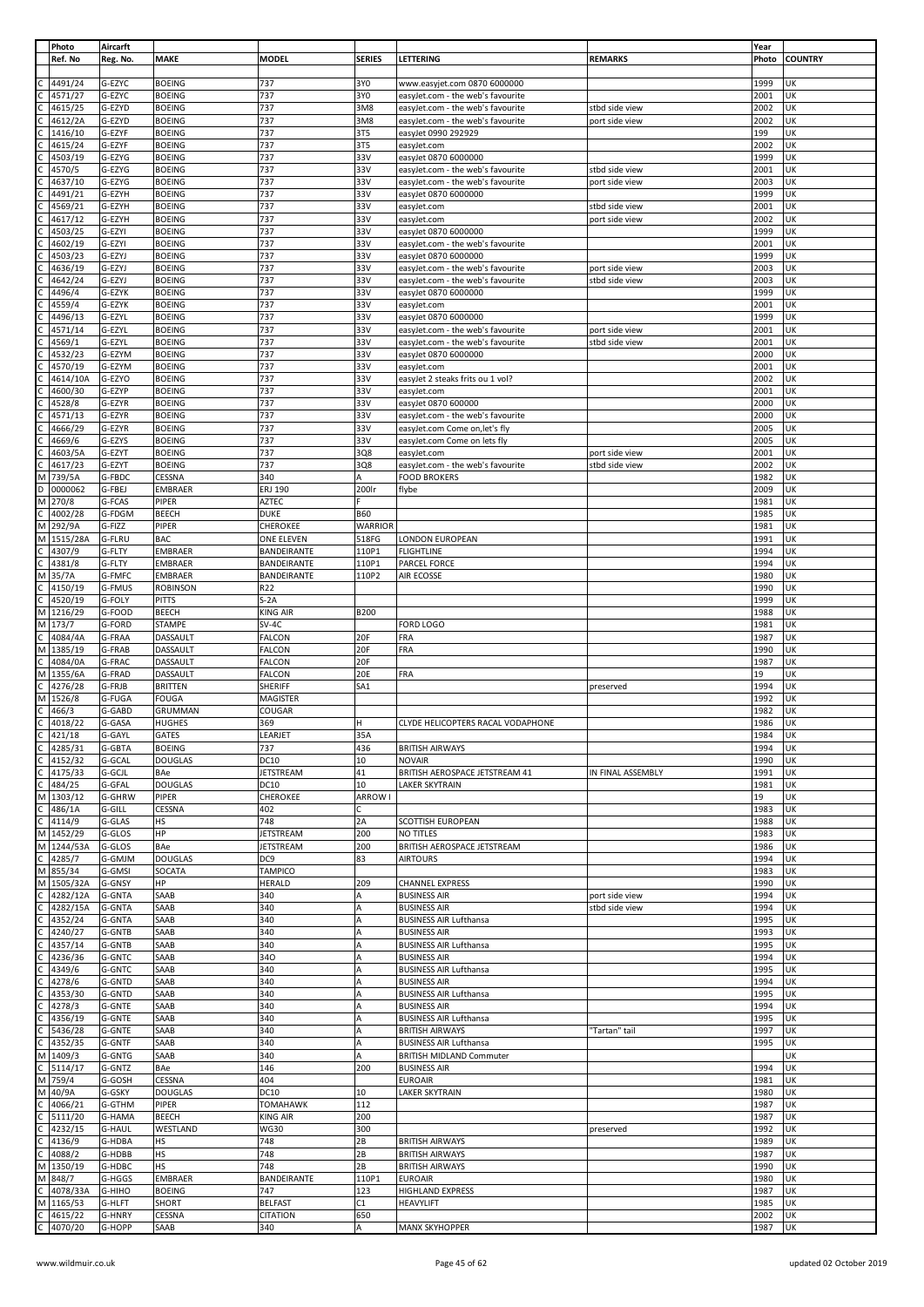|                | Photo    | Aircarft      |                 |                  |                 |                                   |                   | Year  |                |
|----------------|----------|---------------|-----------------|------------------|-----------------|-----------------------------------|-------------------|-------|----------------|
|                | Ref. No  | Reg. No.      | <b>MAKE</b>     | <b>MODEL</b>     | <b>SERIES</b>   | LETTERING                         | <b>REMARKS</b>    | Photo | <b>COUNTRY</b> |
|                |          |               |                 |                  |                 |                                   |                   |       |                |
|                | 4491/24  | G-EZYC        | <b>BOEING</b>   | 737              | 3Y0             | www.easyjet.com 0870 6000000      |                   | 1999  | UK             |
| $\mathsf{C}$   |          |               |                 |                  |                 |                                   |                   |       |                |
|                | 4571/27  | G-EZYC        | <b>BOEING</b>   | 737              | 3Y0             | easyJet.com - the web's favourite |                   | 2001  | UK             |
| $\mathsf{C}$   | 4615/25  | G-EZYD        | <b>BOEING</b>   | 737              | 3M8             | easyJet.com - the web's favourite | stbd side view    | 2002  | UK             |
|                | 4612/2A  | G-EZYD        | <b>BOEING</b>   | 737              | 3M8             | easyJet.com - the web's favourite | port side view    | 2002  | UK             |
|                | 1416/10  | G-EZYF        | <b>BOEING</b>   | 737              | 3T5             | easyJet 0990 292929               |                   | 199   | UK             |
|                | 4615/24  | G-EZYF        | <b>BOEING</b>   | 737              | 3T5             | easyJet.com                       |                   | 2002  | UK             |
|                | 4503/19  | G-EZYG        | <b>BOEING</b>   | 737              | 33V             | easyJet 0870 6000000              |                   | 1999  | UK             |
|                |          |               |                 |                  |                 |                                   |                   |       |                |
|                | 4570/5   | G-EZYG        | <b>BOEING</b>   | 737              | 33V             | easyJet.com - the web's favourite | stbd side view    | 2001  | UK             |
|                | 4637/10  | G-EZYG        | <b>BOEING</b>   | 737              | 33V             | easyJet.com - the web's favourite | port side view    | 2003  | UK             |
| $\mathsf{C}$   | 4491/21  | G-EZYH        | <b>BOEING</b>   | 737              | 33V             | easyJet 0870 6000000              |                   | 1999  | UK             |
|                | 4569/21  | G-EZYH        | <b>BOEING</b>   | 737              | 33V             | easyJet.com                       | stbd side view    | 2001  | UK             |
|                |          |               |                 | 737              | 33V             |                                   |                   | 2002  | UK             |
|                | 4617/12  | G-EZYH        | <b>BOEING</b>   |                  |                 | easyJet.com                       | port side view    |       |                |
|                | 4503/25  | G-EZYI        | <b>BOEING</b>   | 737              | 33V             | easyJet 0870 6000000              |                   | 1999  | UK             |
|                | 4602/19  | G-EZYI        | <b>BOEING</b>   | 737              | 33V             | easyJet.com - the web's favourite |                   | 2001  | UK             |
|                | 4503/23  | G-EZYJ        | <b>BOEING</b>   | 737              | 33V             | easyJet 0870 6000000              |                   | 1999  | UK             |
|                | 4636/19  | G-EZYJ        | <b>BOEING</b>   | 737              | 33V             | easyJet.com - the web's favourite | port side view    | 2003  | UK             |
|                |          |               |                 |                  |                 |                                   |                   |       |                |
|                | 4642/24  | G-EZYJ        | <b>BOEING</b>   | 737              | 33V             | easyJet.com - the web's favourite | stbd side view    | 2003  | UK             |
|                | 4496/4   | G-EZYK        | <b>BOEING</b>   | 737              | 33V             | easyJet 0870 6000000              |                   | 1999  | UK             |
|                | 4559/4   | G-EZYK        | <b>BOEING</b>   | 737              | 33V             | easyJet.com                       |                   | 2001  | UK             |
|                | 4496/13  | G-EZYL        | <b>BOEING</b>   | 737              | 33V             | easyJet 0870 6000000              |                   | 1999  | UK             |
|                |          |               |                 |                  |                 |                                   |                   |       |                |
|                | 4571/14  | G-EZYL        | <b>BOEING</b>   | 737              | 33V             | easyJet.com - the web's favourite | port side view    | 2001  | UK             |
|                | 4569/1   | G-EZYL        | <b>BOEING</b>   | 737              | 33V             | easyJet.com - the web's favourite | stbd side view    | 2001  | UK             |
|                | 4532/23  | G-EZYM        | <b>BOEING</b>   | 737              | 33V             | easyJet 0870 6000000              |                   | 2000  | UK             |
|                | 4570/19  | G-EZYM        | <b>BOEING</b>   | 737              | 33V             | easyJet.com                       |                   | 2001  | UK             |
|                | 4614/10A | G-EZYO        | <b>BOEING</b>   | 737              | 33V             | easyJet 2 steaks frits ou 1 vol?  |                   | 2002  | UK             |
|                |          |               |                 |                  |                 |                                   |                   |       |                |
|                | 4600/30  | G-EZYP        | <b>BOEING</b>   | 737              | 33V             | easyJet.com                       |                   | 2001  | UK             |
|                | 4528/8   | G-EZYR        | <b>BOEING</b>   | 737              | 33V             | easyJet 0870 600000               |                   | 2000  | UK             |
|                | 4571/13  | G-EZYR        | <b>BOEING</b>   | 737              | 33V             | easyJet.com - the web's favourite |                   | 2000  | UK             |
|                | 4666/29  | G-EZYR        | <b>BOEING</b>   | 737              | 33V             | easyJet.com Come on, let's fly    |                   | 2005  | UK             |
|                |          |               |                 |                  |                 |                                   |                   |       |                |
|                | 4669/6   | G-EZYS        | <b>BOEING</b>   | 737              | 33V             | easyJet.com Come on lets fly      |                   | 2005  | UK             |
|                | 4603/5A  | G-EZYT        | <b>BOEING</b>   | 737              | 3Q8             | easyJet.com                       | port side view    | 2001  | UK             |
|                | 4617/23  | G-EZYT        | <b>BOEING</b>   | 737              | 3Q8             | easyJet.com - the web's favourite | stbd side view    | 2002  | UK             |
| M              | 739/5A   | G-FBDC        | CESSNA          | 340              | A               | <b>FOOD BROKERS</b>               |                   | 1982  | UK             |
|                |          |               |                 |                  |                 |                                   |                   |       |                |
| D              | 0000062  | G-FBEJ        | <b>EMBRAER</b>  | ERJ 190          | 200lr           | flybe                             |                   | 2009  | UK             |
| M              | 270/8    | G-FCAS        | PIPER           | AZTEC            | F.              |                                   |                   | 1981  | UK             |
|                | 4002/28  | G-FDGM        | BEECH           | <b>DUKE</b>      | <b>B60</b>      |                                   |                   | 1985  | UK             |
| M              | 292/9A   | G-FIZZ        | PIPER           | CHEROKEE         | <b>WARRIOR</b>  |                                   |                   | 1981  | UK             |
|                |          |               |                 |                  |                 |                                   |                   |       |                |
| M              | 1515/28A | G-FLRU        | <b>BAC</b>      | ONE ELEVEN       | 518FG           | LONDON EUROPEAN                   |                   | 1991  | UK             |
|                | 4307/9   | G-FLTY        | <b>EMBRAER</b>  | BANDEIRANTE      | 110P1           | <b>FLIGHTLINE</b>                 |                   | 1994  | UK             |
| $\mathsf{C}$   | 4381/8   | G-FLTY        | <b>EMBRAER</b>  | BANDEIRANTE      | 110P1           | <b>PARCEL FORCE</b>               |                   | 1994  | UK             |
| М              | 35/7A    | G-FMFC        | <b>EMBRAER</b>  | BANDEIRANTE      | 110P2           | AIR ECOSSE                        |                   | 1980  | UK             |
|                |          |               |                 |                  |                 |                                   |                   |       |                |
|                | 4150/19  | G-FMUS        | <b>ROBINSON</b> | R22              |                 |                                   |                   | 1990  | UK             |
| $\mathsf{C}$   | 4520/19  | G-FOLY        | <b>PITTS</b>    | $S-2A$           |                 |                                   |                   | 1999  | UK             |
| M              | 1216/29  | G-FOOD        | BEECH           | KING AIR         | <b>B200</b>     |                                   |                   | 1988  | UK             |
| M              | 173/7    | G-FORD        | <b>STAMPE</b>   | $SV-4C$          |                 | FORD LOGO                         |                   | 1981  | UK             |
| $\mathsf{C}$   | 4084/4A  | G-FRAA        | DASSAULT        | FALCON           | 20F             | FRA                               |                   | 1987  | UK             |
|                |          |               |                 |                  |                 |                                   |                   |       |                |
| M              | 1385/19  | G-FRAB        | DASSAULT        | FALCON           | 20F             | FRA                               |                   | 1990  | UK             |
| $\mathsf{C}$   | 4084/0A  | G-FRAC        | DASSAULT        | <b>FALCON</b>    | 20F             |                                   |                   | 1987  | UK             |
| M              | 1355/6A  | G-FRAD        | DASSAULT        | FALCON           | 20E             | FRA                               |                   | 19    | UK             |
|                | 4276/28  | G-FRJB        | <b>BRITTEN</b>  | SHERIFF          | SA <sub>1</sub> |                                   | preserved         | 1994  | UK             |
|                |          |               |                 |                  |                 |                                   |                   |       |                |
| M              | 1526/8   | G-FUGA        | <b>FOUGA</b>    | MAGISTER         |                 |                                   |                   | 1992  | UK             |
| $\mathsf{C}$   | 466/3    | G-GABD        | GRUMMAN         | COUGAR           |                 |                                   |                   | 1982  | UK             |
| $\mathsf{C}$   | 4018/22  | G-GASA        | <b>HUGHES</b>   | 369              | н               | CLYDE HELICOPTERS RACAL VODAPHONE |                   | 1986  | UK             |
| $\overline{c}$ | 421/18   | G-GAYL        | GATES           | LEARJET          | 35A             |                                   |                   | 1984  | UK             |
| c              | 4285/31  | G-GBTA        | <b>BOEING</b>   | 737              | 436             | <b>BRITISH AIRWAYS</b>            |                   | 1994  | UK             |
|                |          |               |                 |                  |                 |                                   |                   |       |                |
| c              | 4152/32  | G-GCAL        | <b>DOUGLAS</b>  | DC10             | 10              | <b>NOVAIR</b>                     |                   | 1990  | UK             |
| $\mathsf{C}$   | 4175/33  | G-GCJL        | BAe             | JETSTREAM        | 41              | BRITISH AEROSPACE JETSTREAM 41    | IN FINAL ASSEMBLY | 1991  | UK             |
| $\mathsf{C}$   | 484/25   | G-GFAL        | <b>DOUGLAS</b>  | DC10             | 10              | <b>LAKER SKYTRAIN</b>             |                   | 1981  | UK             |
| M              | 1303/12  | G-GHRW        | PIPER           | CHEROKEE         | ARROW I         |                                   |                   | 19    | UK             |
| $\mathsf{C}$   |          |               |                 |                  |                 |                                   |                   |       |                |
|                | 486/1A   | G-GILL        | CESSNA          | 402              | c               |                                   |                   | 1983  | UK             |
| $\overline{C}$ | 4114/9   | G-GLAS        | НS              | 748              | 2A              | SCOTTISH EUROPEAN                 |                   | 1988  | UK             |
| M              | 1452/29  | G-GLOS        | HP              | JETSTREAM        | 200             | NO TITLES                         |                   | 1983  | UK             |
| M              | 1244/53A | G-GLOS        | BAe             | <b>JETSTREAM</b> | 200             | BRITISH AEROSPACE JETSTREAM       |                   | 1986  | UK             |
| $\mathsf{C}$   | 4285/7   | G-GMJM        | <b>DOUGLAS</b>  | DC9              | 83              | <b>AIRTOURS</b>                   |                   | 1994  | UK             |
| M              |          |               |                 |                  |                 |                                   |                   |       | UK             |
|                | 855/34   | G-GMSI        | SOCATA          | <b>TAMPICO</b>   |                 |                                   |                   | 1983  |                |
| M              | 1505/32A | G-GNSY        | HP              | <b>HERALD</b>    | 209             | <b>CHANNEL EXPRESS</b>            |                   | 1990  | UK             |
|                | 4282/12A | G-GNTA        | SAAB            | 340              | A               | <b>BUSINESS AIR</b>               | port side view    | 1994  | UK             |
|                | 4282/15A | G-GNTA        | SAAB            | 340              | A               | <b>BUSINESS AIR</b>               | stbd side view    | 1994  | UK             |
|                | 4352/24  | G-GNTA        | SAAB            | 340              | А               | <b>BUSINESS AIR Lufthansa</b>     |                   | 1995  | UK             |
| C              | 4240/27  | G-GNTB        | SAAB            | 340              | A               | <b>BUSINESS AIR</b>               |                   | 1993  | UK             |
|                |          |               |                 |                  |                 |                                   |                   |       |                |
| $\mathsf{C}$   | 4357/14  | G-GNTB        | SAAB            | 340              | A               | <b>BUSINESS AIR Lufthansa</b>     |                   | 1995  | UK             |
| C              | 4236/36  | G-GNTC        | SAAB            | 340              | А               | <b>BUSINESS AIR</b>               |                   | 1994  | UK             |
|                | 4349/6   | G-GNTC        | SAAB            | 340              | A               | <b>BUSINESS AIR Lufthansa</b>     |                   | 1995  | UK             |
| $\mathsf{C}$   | 4278/6   | G-GNTD        | SAAB            | 340              | A               | <b>BUSINESS AIR</b>               |                   | 1994  | UK             |
|                |          |               |                 |                  | A               |                                   |                   |       |                |
|                | 4353/30  | G-GNTD        | SAAB            | 340              |                 | <b>BUSINESS AIR Lufthansa</b>     |                   | 1995  | UK             |
|                | 4278/3   | G-GNTE        | SAAB            | 340              | А               | <b>BUSINESS AIR</b>               |                   | 1994  | UK             |
| C              | 4356/19  | <b>G-GNTE</b> | SAAB            | 340              | A               | <b>BUSINESS AIR Lufthansa</b>     |                   | 1995  | UK             |
|                | 5436/28  | G-GNTE        | SAAB            | 340              | A               | <b>BRITISH AIRWAYS</b>            | "Tartan" tail     | 1997  | UK             |
| C              | 4352/35  | G-GNTF        | SAAB            | 340              | A               | <b>BUSINESS AIR Lufthansa</b>     |                   | 1995  | UK             |
|                |          |               |                 |                  |                 |                                   |                   |       |                |
| M              | 1409/3   | G-GNTG        | SAAB            | 340              | А               | <b>BRITISH MIDLAND Commuter</b>   |                   |       | UK             |
| $\mathsf{C}$   | 5114/17  | G-GNTZ        | BAe             | 146              | 200             | <b>BUSINESS AIR</b>               |                   | 1994  | UK             |
| M              | 759/4    | G-GOSH        | CESSNA          | 404              |                 | <b>EUROAIR</b>                    |                   | 1981  | UK             |
| M              | 40/9A    | G-GSKY        | <b>DOUGLAS</b>  | DC10             | 10              | <b>LAKER SKYTRAIN</b>             |                   | 1980  | UK             |
|                |          |               |                 |                  |                 |                                   |                   |       |                |
| $\mathsf{C}$   | 4066/21  | G-GTHM        | PIPER           | <b>TOMAHAWK</b>  | 112             |                                   |                   | 1987  | UK             |
| $\mathsf{C}$   | 5111/20  | G-HAMA        | <b>BEECH</b>    | <b>KING AIR</b>  | 200             |                                   |                   | 1987  | UK             |
| $\mathsf{C}$   | 4232/15  | <b>G-HAUL</b> | WESTLAND        | <b>WG30</b>      | 300             |                                   | preserved         | 1992  | UK             |
| $\mathsf{C}$   | 4136/9   | G-HDBA        | HS              | 748              | 2B              | <b>BRITISH AIRWAYS</b>            |                   | 1989  | UK             |
|                |          |               |                 |                  |                 |                                   |                   |       |                |
| $\mathsf{C}$   | 4088/2   | G-HDBB        | HS              | 748              | 2B              | <b>BRITISH AIRWAYS</b>            |                   | 1987  | UK             |
| M              | 1350/19  | G-HDBC        | HS              | 748              | 2B              | <b>BRITISH AIRWAYS</b>            |                   | 1990  | UK             |
| M              | 848/7    | G-HGGS        | <b>EMBRAER</b>  | BANDEIRANTE      | 110P1           | <b>EUROAIR</b>                    |                   | 1980  | UK             |
| $\mathsf{C}$   | 4078/33A | G-HIHO        | <b>BOEING</b>   | 747              | 123             | <b>HIGHLAND EXPRESS</b>           |                   | 1987  | UK             |
|                |          |               |                 |                  |                 |                                   |                   |       |                |
| M              | 1165/53  | G-HLFT        | SHORT           | <b>BELFAST</b>   | C1              | <b>HEAVYLIFT</b>                  |                   | 1985  | UK             |
| C              | 4615/22  | G-HNRY        | CESSNA          | <b>CITATION</b>  | 650             |                                   |                   | 2002  | UK             |
| $\mathsf{C}$   | 4070/20  | G-HOPP        | SAAB            | 340              | Α               | <b>MANX SKYHOPPER</b>             |                   | 1987  | UK             |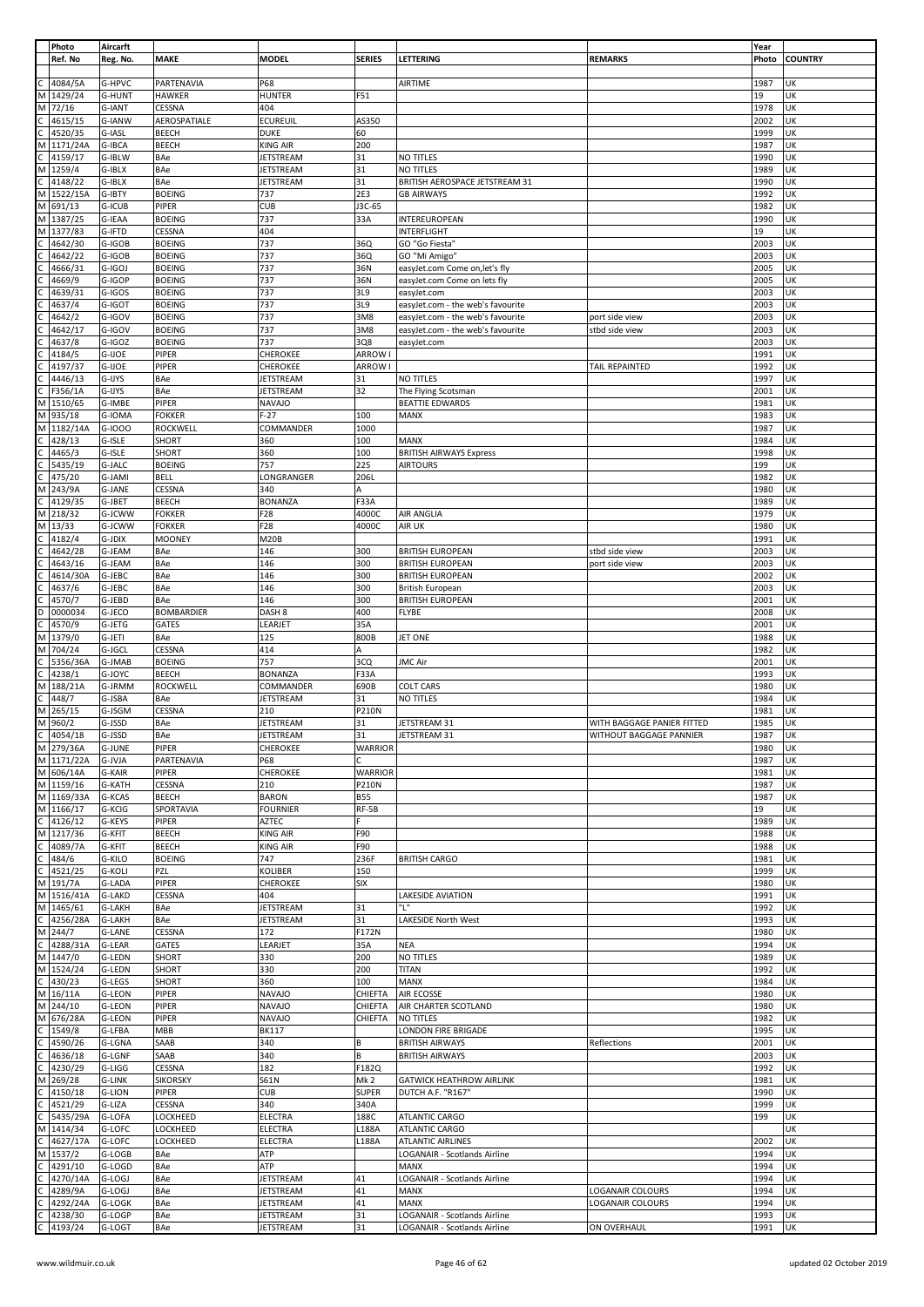|                | Photo      | Aircarft      |                   |                   |                 |                                   |                            | Year         |                |
|----------------|------------|---------------|-------------------|-------------------|-----------------|-----------------------------------|----------------------------|--------------|----------------|
|                | Ref. No    | Reg. No.      | <b>MAKE</b>       | <b>MODEL</b>      | <b>SERIES</b>   | LETTERING                         | <b>REMARKS</b>             | Photo        | <b>COUNTRY</b> |
|                |            |               |                   |                   |                 |                                   |                            |              |                |
|                | 4084/5A    | G-HPVC        | PARTENAVIA        | P68               |                 | <b>AIRTIME</b>                    |                            | 1987         | UK             |
|                |            |               |                   |                   |                 |                                   |                            |              |                |
| M              | 1429/24    | G-HUNT        | <b>HAWKER</b>     | <b>HUNTER</b>     | F51             |                                   |                            | 19           | UK             |
| M              | 72/16      | G-IANT        | CESSNA            | 404               |                 |                                   |                            | 1978         | UK             |
|                | 4615/15    | G-IANW        | AEROSPATIALE      | <b>ECUREUIL</b>   | AS350           |                                   |                            | 2002         | UK             |
|                | 4520/35    | G-IASL        | BEECH             | <b>DUKE</b>       | 60              |                                   |                            | 1999         | UK             |
| М              | 1171/24A   | G-IBCA        | <b>BEECH</b>      | KING AIR          | 200             |                                   |                            | 1987         | UK             |
|                | 4159/17    | G-IBLW        | BAe               | <b>JETSTREAM</b>  | 31              | NO TITLES                         |                            | 1990         | UK             |
|                |            |               |                   |                   |                 |                                   |                            |              |                |
| M              | 1259/4     | G-IBLX        | BAe               | <b>JETSTREAM</b>  | 31              | <b>NO TITLES</b>                  |                            | 1989         | UK             |
| С              | 4148/22    | G-IBLX        | BAe               | <b>JETSTREAM</b>  | 31              | BRITISH AEROSPACE JETSTREAM 31    |                            | 1990         | UK             |
| M              | 1522/15A   | G-IBTY        | <b>BOEING</b>     | 737               | 2E3             | <b>GB AIRWAYS</b>                 |                            | 1992         | UK             |
| M              | 691/13     | G-ICUB        | PIPER             | <b>CUB</b>        | J3C-65          |                                   |                            | 1982         | UK             |
|                |            |               |                   |                   |                 |                                   |                            |              |                |
| M              | 1387/25    | G-IEAA        | <b>BOEING</b>     | 737               | 33A             | INTEREUROPEAN                     |                            | 1990         | UK             |
| M              | 1377/83    | G-IFTD        | CESSNA            | 404               |                 | INTERFLIGHT                       |                            | 19           | UK             |
|                | 4642/30    | G-IGOB        | <b>BOEING</b>     | 737               | 36Q             | GO "Go Fiesta"                    |                            | 2003         | UK             |
|                | 4642/22    | G-IGOB        | <b>BOEING</b>     | 737               | 36Q             | GO "Mi Amigo"                     |                            | 2003         | UK             |
|                |            |               |                   |                   |                 |                                   |                            |              |                |
|                | 4666/31    | G-IGOJ        | <b>BOEING</b>     | 737               | 36N             | easyJet.com Come on, let's fly    |                            | 2005         | UK             |
|                | 4669/9     | G-IGOP        | <b>BOEING</b>     | 737               | 36N             | easyJet.com Come on lets fly      |                            | 2005         | UK             |
|                | 4639/31    | G-IGOS        | <b>BOEING</b>     | 737               | 3L9             | easyJet.com                       |                            | 2003         | UK             |
|                | 4637/4     | G-IGOT        | <b>BOEING</b>     | 737               | 3L9             | easyJet.com - the web's favourite |                            | 2003         | UK             |
|                |            |               |                   |                   |                 |                                   |                            |              | UK             |
|                | 4642/2     | G-IGOV        | <b>BOEING</b>     | 737               | 3M8             | easyJet.com - the web's favourite | port side view             | 2003         |                |
|                | 4642/17    | G-IGOV        | <b>BOEING</b>     | 737               | 3M8             | easyJet.com - the web's favourite | stbd side view             | 2003         | UK             |
|                | 4637/8     | G-IGOZ        | <b>BOEING</b>     | 737               | 3Q8             | easyJet.com                       |                            | 2003         | UK             |
|                | 4184/5     | G-IJOE        | PIPER             | CHEROKEE          | <b>ARROW I</b>  |                                   |                            | 1991         | UK             |
|                | 4197/37    | G-IJOE        | PIPER             | CHEROKEE          | <b>ARROW I</b>  |                                   | TAIL REPAINTED             | 1992         | UK             |
|                |            |               |                   |                   |                 |                                   |                            |              |                |
| C              | 4446/13    | G-IJYS        | BAe               | JETSTREAM         | 31              | NO TITLES                         |                            | 1997         | UK             |
| C              | F356/1A    | G-IJYS        | BAe               | <b>JETSTREAM</b>  | 32              | The Flying Scotsman               |                            | 2001         | UK             |
| M              | 1510/65    | G-IMBE        | PIPER             | <b>NAVAJO</b>     |                 | <b>BEATTIE EDWARDS</b>            |                            | 1981         | UK             |
| M              | 935/18     | G-IOMA        | <b>FOKKER</b>     | $F-27$            | 100             | MANX                              |                            | 1983         | UK             |
|                |            |               |                   |                   |                 |                                   |                            |              |                |
| M              | 1182/14A   | G-IOOO        | ROCKWELL          | COMMANDER         | 1000            |                                   |                            | 1987         | UK             |
|                | 428/13     | G-ISLE        | SHORT             | 360               | 100             | <b>MANX</b>                       |                            | 1984         | UK             |
| C              | 4465/3     | G-ISLE        | SHORT             | 360               | 100             | <b>BRITISH AIRWAYS Express</b>    |                            | 1998         | UK             |
|                | 5435/19    | G-JALC        | <b>BOEING</b>     | 757               | 225             | <b>AIRTOURS</b>                   |                            | 199          | UK             |
|                |            | G-JAMI        | <b>BELL</b>       | LONGRANGER        | 206L            |                                   |                            | 1982         | UΚ             |
|                | 475/20     |               |                   |                   |                 |                                   |                            |              |                |
| М              | 243/9A     | G-JANE        | CESSNA            | 340               | А               |                                   |                            | 1980         | UK             |
|                | 4129/35    | G-JBET        | BEECH             | <b>BONANZA</b>    | F33A            |                                   |                            | 1989         | UK             |
| M              | 218/32     | G-JCWW        | <b>FOKKER</b>     | F28               | 4000C           | AIR ANGLIA                        |                            | 1979         | UK             |
| M              | 13/33      | G-JCWW        | <b>FOKKER</b>     | F28               | 4000C           | AIR UK                            |                            | 1980         | UK             |
|                |            |               |                   |                   |                 |                                   |                            |              |                |
|                | 4182/4     | G-JDIX        | <b>MOONEY</b>     | M20B              |                 |                                   |                            | 1991         | UK             |
|                | 4642/28    | G-JEAM        | BAe               | 146               | 300             | <b>BRITISH EUROPEAN</b>           | stbd side view             | 2003         | UK             |
|                | 4643/16    | G-JEAM        | BAe               | 146               | 300             | <b>BRITISH EUROPEAN</b>           | port side view             | 2003         | UΚ             |
|                | 4614/30A   | G-JEBC        | BAe               | 146               | 300             | <b>BRITISH EUROPEAN</b>           |                            | 2002         | UK             |
|                |            |               |                   |                   |                 |                                   |                            |              |                |
|                | 4637/6     | G-JEBC        | BAe               | 146               | 300             | <b>British European</b>           |                            | 2003         | UK             |
|                | 4570/7     | G-JEBD        | BAe               | 146               | 300             | <b>BRITISH EUROPEAN</b>           |                            | 2001         | UK             |
| D              | 0000034    | G-JECO        | <b>BOMBARDIER</b> | DASH <sub>8</sub> | 400             | <b>FLYBE</b>                      |                            | 2008         | UK             |
|                | 4570/9     | G-JETG        | GATES             | LEARJET           | 35A             |                                   |                            | 2001         | UK             |
| M              | 1379/0     | G-JETI        | BAe               | 125               | 800B            | JET ONE                           |                            | 1988         | UK             |
|                |            |               |                   |                   |                 |                                   |                            |              |                |
| M              | 704/24     | G-JGCL        | CESSNA            | 414               | A               |                                   |                            | 1982         | UK             |
| C              | 5356/36A   | G-JMAB        | <b>BOEING</b>     | 757               | 3CQ             | <b>JMC Air</b>                    |                            | 2001         | UK             |
|                | 4238/1     | G-JOYC        | <b>BEECH</b>      | <b>BONANZA</b>    | F33A            |                                   |                            | 1993         | UK             |
|                | 188/21A    | G-JRMM        | ROCKWELL          | COMMANDER         | 690B            | <b>COLT CARS</b>                  |                            | 1980         | UK             |
| M              |            |               |                   |                   |                 |                                   |                            |              |                |
| С              | 448/7      | G-JSBA        | BAe               | <b>JETSTREAM</b>  | 31              | NO TITLES                         |                            | 1984         | UΚ             |
| M              | 265/15     | G-JSGM        | CESSNA            | 210               | <b>P210N</b>    |                                   |                            | 1981         | UK             |
| M              | 960/2      | G-JSSD        | BAe               | JETSTREAM         | 31              | JETSTREAM 31                      | WITH BAGGAGE PANIER FITTED | 1985         | UK             |
| $\overline{C}$ | 4054/18    | G-JSSD        | BAe               | JETSTREAM         | 31              | JETSTREAM 31                      | WITHOUT BAGGAGE PANNIER    | 1987         | UK             |
|                |            |               |                   |                   |                 |                                   |                            |              |                |
|                | M 279/36A  | G-JUNE        | PIPER             | CHEROKEE          | <b>WARRIOR</b>  |                                   |                            | 1980         | UK             |
|                | M 1171/22A | G-JVJA        | PARTENAVIA        | P68               | C.              |                                   |                            | 1987         | UK             |
| M              | 606/14A    | <b>G-KAIR</b> | PIPER             | CHEROKEE          | <b>WARRIOR</b>  |                                   |                            | 1981         | UK             |
|                | M 1159/16  | <b>G-KATH</b> | CESSNA            | 210               | <b>P210N</b>    |                                   |                            | 1987         | UK             |
|                |            |               |                   |                   |                 |                                   |                            |              | UK             |
|                | M 1169/33A | G-KCAS        | BEECH             | <b>BARON</b>      | <b>B55</b>      |                                   |                            | 1987         |                |
|                | M 1166/17  | G-KCIG        | SPORTAVIA         | <b>FOURNIER</b>   | RF-5B           |                                   |                            | 19           | UΚ             |
| C              | 4126/12    | G-KEYS        | PIPER             | AZTEC             | F.              |                                   |                            | 1989         | UK             |
|                | M 1217/36  | G-KFIT        | <b>BEECH</b>      | <b>KING AIR</b>   | F90             |                                   |                            | 1988         | UK             |
| C              | 4089/7A    | G-KFIT        | BEECH             | <b>KING AIR</b>   | F90             |                                   |                            |              | UK             |
| $\mathsf{C}$   | 484/6      | G-KILO        | <b>BOEING</b>     | 747               | 236F            |                                   |                            |              |                |
|                |            |               |                   |                   |                 |                                   |                            | 1988         |                |
| $\mathsf{C}$   | 4521/25    | G-KOLI        |                   |                   |                 | <b>BRITISH CARGO</b>              |                            | 1981         | UK             |
| M              |            |               | PZL               | KOLIBER           | 150             |                                   |                            | 1999         | UK             |
|                | 191/7A     | G-LADA        | PIPER             | CHEROKEE          | SIX             |                                   |                            | 1980         | UK             |
| M              | 1516/41A   | G-LAKD        | CESSNA            | 404               |                 | LAKESIDE AVIATION                 |                            | 1991         | UK             |
| M              |            | G-LAKH        | BAe               | <b>JETSTREAM</b>  | 31              | "L"                               |                            | 1992         | UK             |
|                | 1465/61    |               |                   |                   |                 |                                   |                            |              |                |
| C              | 4256/28A   | G-LAKH        | BAe               | <b>JETSTREAM</b>  | 31              | LAKESIDE North West               |                            | 1993         | UK             |
| M              | 244/7      | <b>G-LANE</b> | CESSNA            | 172               | F172N           |                                   |                            | 1980         | UK             |
|                | 4288/31A   | G-LEAR        | GATES             | LEARJET           | 35A             | <b>NEA</b>                        |                            | 1994         | UK             |
| M              | 1447/0     | G-LEDN        | SHORT             | 330               | 200             | NO TITLES                         |                            | 1989         | UK             |
|                |            |               | SHORT             |                   |                 | <b>TITAN</b>                      |                            | 1992         | UK             |
| M              | 1524/24    | G-LEDN        |                   | 330               | 200             |                                   |                            |              |                |
| C              | 430/23     | G-LEGS        | <b>SHORT</b>      | 360               | 100             | MANX                              |                            | 1984         | UK             |
| M              | 16/11A     | G-LEON        | PIPER             | NAVAJO            | CHIEFTA         | AIR ECOSSE                        |                            | 1980         | UK             |
| M              | 244/10     | G-LEON        | PIPER             | <b>NAVAJO</b>     | CHIEFTA         | AIR CHARTER SCOTLAND              |                            | 1980         | UK             |
| M              | 676/28A    | G-LEON        | PIPER             | <b>NAVAJO</b>     | CHIEFTA         | NO TITLES                         |                            | 1982         | UK             |
|                |            |               |                   |                   |                 |                                   |                            |              |                |
| C              | 1549/8     | G-LFBA        | MBB               | <b>BK117</b>      |                 | LONDON FIRE BRIGADE               |                            | 1995         | UK             |
| C              | 4590/26    | G-LGNA        | SAAB              | 340               | В               | <b>BRITISH AIRWAYS</b>            | Reflections                | 2001         | UK             |
|                | 4636/18    | G-LGNF        | SAAB              | 340               | B               | <b>BRITISH AIRWAYS</b>            |                            | 2003         | UK             |
| С              | 4230/29    | G-LIGG        | CESSNA            | 182               | F182Q           |                                   |                            | 1992         | UK             |
|                |            |               |                   |                   |                 |                                   |                            |              |                |
| М              | 269/28     | G-LINK        | <b>SIKORSKY</b>   | S61N              | Mk <sub>2</sub> | <b>GATWICK HEATHROW AIRLINK</b>   |                            | 1981         | UK             |
|                | 4150/18    | G-LION        | PIPER             | <b>CUB</b>        | <b>SUPER</b>    | DUTCH A.F. "R167"                 |                            | 1990         | UK             |
|                | 4521/29    | G-LIZA        | CESSNA            | 340               | 340A            |                                   |                            | 1999         | UK             |
|                | 5435/29A   | G-LOFA        | LOCKHEED          | <b>ELECTRA</b>    | 188C            | <b>ATLANTIC CARGO</b>             |                            | 199          | UK             |
| M              |            |               |                   |                   | L188A           | ATLANTIC CARGO                    |                            |              | UK             |
|                | 1414/34    | G-LOFC        | LOCKHEED          | <b>ELECTRA</b>    |                 |                                   |                            |              |                |
| C              | 4627/17A   | G-LOFC        | LOCKHEED          | <b>ELECTRA</b>    | L188A           | <b>ATLANTIC AIRLINES</b>          |                            | 2002         | UK             |
| M              | 1537/2     | G-LOGB        | BAe               | ATP               |                 | LOGANAIR - Scotlands Airline      |                            | 1994         | UK             |
| C              | 4291/10    | G-LOGD        | BAe               | ATP               |                 | <b>MANX</b>                       |                            | 1994         | UK             |
|                |            |               |                   |                   | 41              |                                   |                            | 1994         |                |
|                | 4270/14A   | G-LOGJ        | BAe               | JETSTREAM         |                 | LOGANAIR - Scotlands Airline      |                            |              | UΚ             |
|                | 4289/9A    | G-LOGJ        | BAe               | <b>JETSTREAM</b>  | 41              | MANX                              | LOGANAIR COLOURS           | 1994         | UK             |
|                | 4292/24A   | G-LOGK        | BAe               | JETSTREAM         | 41              | <b>MANX</b>                       | LOGANAIR COLOURS           | 1994         | UΚ             |
|                | 4238/30    | G-LOGP        | BAe               | <b>JETSTREAM</b>  | 31<br>31        | LOGANAIR - Scotlands Airline      |                            | 1993<br>1991 | UK<br>UK       |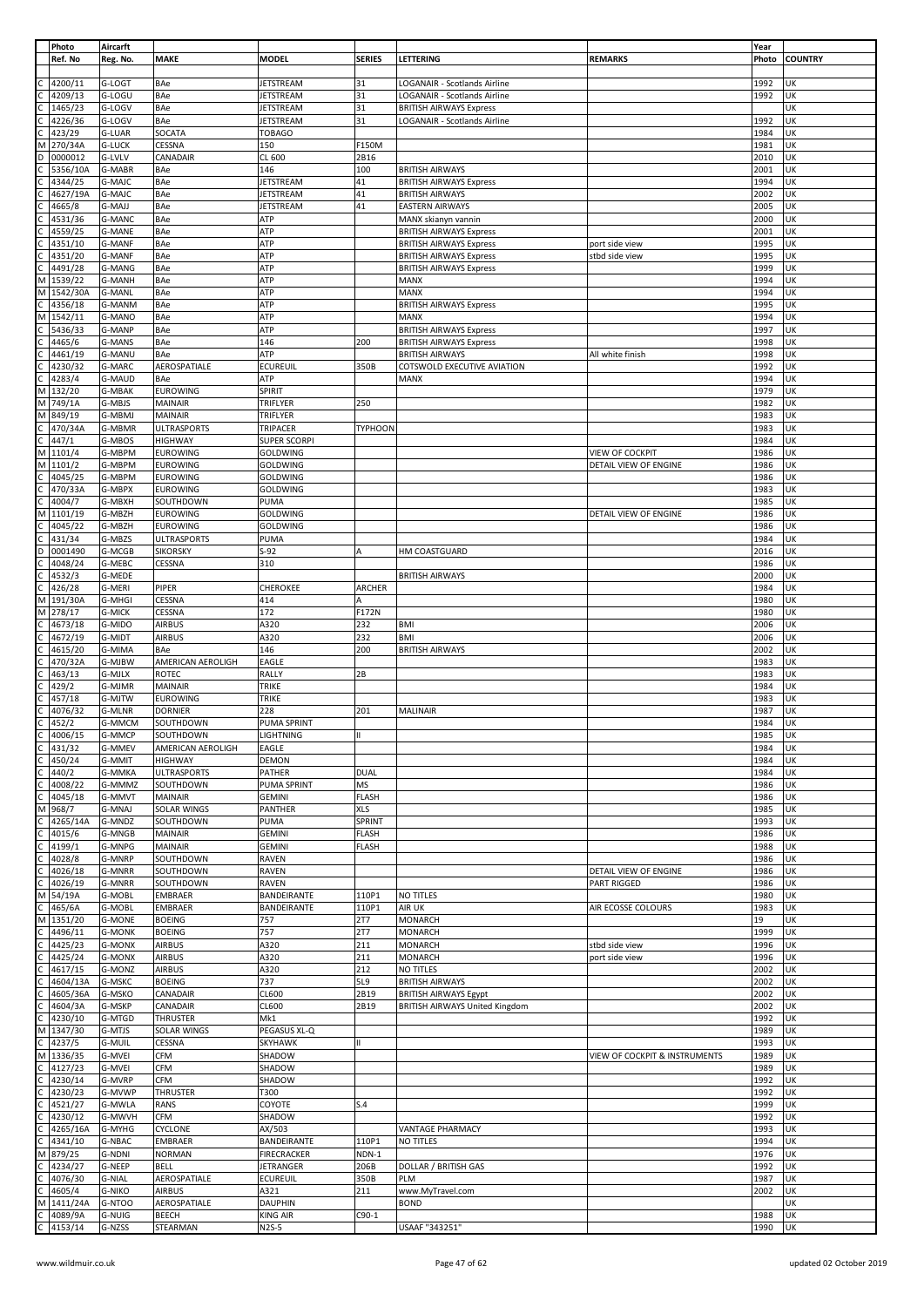|              | Photo    | Aircarft      |                    |                     |                |                                       |                               | Year  |                |
|--------------|----------|---------------|--------------------|---------------------|----------------|---------------------------------------|-------------------------------|-------|----------------|
|              | Ref. No  | Reg. No.      | MAKE               | MODEL               | <b>SERIES</b>  | <b>LETTERING</b>                      | <b>REMARKS</b>                | Photo | <b>COUNTRY</b> |
|              |          |               |                    |                     |                |                                       |                               |       |                |
|              | 4200/11  | G-LOGT        | BAe                | <b>JETSTREAM</b>    | 31             | LOGANAIR - Scotlands Airline          |                               | 1992  | UK             |
|              | 4209/13  | G-LOGU        | BAe                | JETSTREAM           | 31             | LOGANAIR - Scotlands Airline          |                               | 1992  | UK             |
|              |          |               |                    |                     | 31             |                                       |                               |       | UK             |
| С            | 1465/23  | G-LOGV        | BAe                | JETSTREAM           |                | <b>BRITISH AIRWAYS Express</b>        |                               |       |                |
|              | 4226/36  | G-LOGV        | BAe                | <b>JETSTREAM</b>    | 31             | LOGANAIR - Scotlands Airline          |                               | 1992  | UK             |
|              | 423/29   | G-LUAR        | SOCATA             | <b>TOBAGO</b>       |                |                                       |                               | 1984  | UK             |
| M            | 270/34A  | <b>G-LUCK</b> | CESSNA             | 150                 | F150M          |                                       |                               | 1981  | UK             |
| D            | 0000012  | G-LVLV        | CANADAIR           | CL 600              | 2B16           |                                       |                               | 2010  | UK             |
|              | 5356/10A | G-MABR        | BAe                | 146                 | 100            | <b>BRITISH AIRWAYS</b>                |                               | 2001  | UK             |
|              |          |               |                    |                     |                |                                       |                               |       |                |
|              | 4344/25  | <b>G-MAIC</b> | BAe                | JETSTREAM           | 41             | <b>BRITISH AIRWAYS Express</b>        |                               | 1994  | UK             |
|              | 4627/19A | G-MAJC        | BAe                | <b>JETSTREAM</b>    | 41             | <b>BRITISH AIRWAYS</b>                |                               | 2002  | UK             |
|              | 4665/8   | G-MAJJ        | BAe                | <b>JETSTREAM</b>    | 41             | <b>EASTERN AIRWAYS</b>                |                               | 2005  | UK             |
|              | 4531/36  | G-MANC        | BAe                | ATP                 |                | MANX skianyn vannin                   |                               | 2000  | UK             |
|              |          |               | BAe                | ATP                 |                |                                       |                               | 2001  | UK             |
|              | 4559/25  | <b>G-MANE</b> |                    |                     |                | <b>BRITISH AIRWAYS Express</b>        |                               |       |                |
|              | 4351/10  | <b>G-MANF</b> | BAe                | ATP                 |                | <b>BRITISH AIRWAYS Express</b>        | port side view                | 1995  | UK             |
|              | 4351/20  | <b>G-MANF</b> | BAe                | ATP                 |                | <b>BRITISH AIRWAYS Express</b>        | stbd side view                | 1995  | UK             |
|              | 4491/28  | G-MANG        | BAe                | ATP                 |                | <b>BRITISH AIRWAYS Express</b>        |                               | 1999  | UK             |
| M            | 1539/22  | <b>G-MANH</b> | BAe                | ATP                 |                | MANX                                  |                               | 1994  | UK             |
| M            | 1542/30A | <b>G-MANL</b> | BAe                | ATP                 |                | <b>MANX</b>                           |                               | 1994  | UΚ             |
|              |          |               |                    |                     |                |                                       |                               |       |                |
|              | 4356/18  | G-MANM        | BAe                | ATP                 |                | <b>BRITISH AIRWAYS Express</b>        |                               | 1995  | UK             |
| М            | 1542/11  | G-MANO        | BAe                | ATP                 |                | <b>MANX</b>                           |                               | 1994  | UK             |
|              | 5436/33  | G-MANP        | BAe                | ATP                 |                | <b>BRITISH AIRWAYS Express</b>        |                               | 1997  | UΚ             |
|              | 4465/6   | G-MANS        | BAe                | 146                 | 200            | <b>BRITISH AIRWAYS Express</b>        |                               | 1998  | UK             |
|              |          |               |                    |                     |                |                                       |                               |       | UK             |
|              | 4461/19  | <b>G-MANU</b> | BAe                | ATP                 |                | <b>BRITISH AIRWAYS</b>                | All white finish              | 1998  |                |
|              | 4230/32  | G-MARC        | AEROSPATIALE       | <b>ECUREUIL</b>     | 350B           | COTSWOLD EXECUTIVE AVIATION           |                               | 1992  | UK             |
|              | 4283/4   | <b>G-MAUD</b> | BAe                | ATP                 |                | MANX                                  |                               | 1994  | UΚ             |
| М            | 132/20   | <b>G-MBAK</b> | EUROWING           | SPIRIT              |                |                                       |                               | 1979  | UK             |
| М            | 749/1A   | G-MBJS        | MAINAIR            | TRIFLYER            | 250            |                                       |                               | 1982  | UK             |
| M            | 849/19   | G-MBMJ        | MAINAIR            | TRIFLYER            |                |                                       |                               | 1983  | UK             |
|              |          |               |                    |                     |                |                                       |                               |       |                |
|              | 470/34A  | G-MBMR        | <b>ULTRASPORTS</b> | TRIPACER            | <b>TYPHOON</b> |                                       |                               | 1983  | UK             |
|              | 447/1    | G-MBOS        | <b>HIGHWAY</b>     | <b>SUPER SCORPI</b> |                |                                       |                               | 1984  | UK             |
| M            | 1101/4   | G-MBPM        | <b>EUROWING</b>    | GOLDWING            |                |                                       | <b>VIEW OF COCKPIT</b>        | 1986  | UK             |
| M            | 1101/2   | G-MBPM        | <b>EUROWING</b>    | GOLDWING            |                |                                       | DETAIL VIEW OF ENGINE         | 1986  | UK             |
|              |          |               |                    | <b>GOLDWING</b>     |                |                                       |                               |       |                |
|              | 4045/25  | G-MBPM        | <b>EUROWING</b>    |                     |                |                                       |                               | 1986  | UK             |
|              | 470/33A  | G-MBPX        | <b>EUROWING</b>    | GOLDWING            |                |                                       |                               | 1983  | UK             |
|              | 4004/7   | G-MBXH        | SOUTHDOWN          | PUMA                |                |                                       |                               | 1985  | UK             |
| M            | 1101/19  | G-MBZH        | <b>EUROWING</b>    | GOLDWING            |                |                                       | DETAIL VIEW OF ENGINE         | 1986  | UΚ             |
|              | 4045/22  | G-MBZH        | <b>EUROWING</b>    | GOLDWING            |                |                                       |                               | 1986  | UK             |
|              |          |               |                    |                     |                |                                       |                               |       |                |
|              | 431/34   | G-MBZS        | <b>ULTRASPORTS</b> | PUMA                |                |                                       |                               | 1984  | UK             |
| D            | 0001490  | G-MCGB        | <b>SIKORSKY</b>    | $S-92$              | A              | HM COASTGUARD                         |                               | 2016  | UΚ             |
|              | 4048/24  | G-MEBC        | CESSNA             | 310                 |                |                                       |                               | 1986  | UK             |
|              | 4532/3   | G-MEDE        |                    |                     |                | <b>BRITISH AIRWAYS</b>                |                               | 2000  | UK             |
|              |          |               |                    |                     |                |                                       |                               |       | UK             |
|              | 426/28   | G-MERI        | PIPER              | CHEROKEE            | ARCHER         |                                       |                               | 1984  |                |
| М            | 191/30A  | G-MHGI        | CESSNA             | 414                 | Α              |                                       |                               | 1980  | UΚ             |
| M            | 278/17   | <b>G-MICK</b> | CESSNA             | 172                 | F172N          |                                       |                               | 1980  | UK             |
|              | 4673/18  | G-MIDO        | <b>AIRBUS</b>      | A320                | 232            | <b>BMI</b>                            |                               | 2006  | UΚ             |
|              | 4672/19  | G-MIDT        | <b>AIRBUS</b>      | A320                | 232            | <b>BMI</b>                            |                               | 2006  | UK             |
|              | 4615/20  | G-MIMA        | BAe                | 146                 | 200            | <b>BRITISH AIRWAYS</b>                |                               | 2002  | UK             |
|              |          |               |                    |                     |                |                                       |                               |       |                |
|              | 470/32A  | G-MJBW        | AMERICAN AEROLIGH  | EAGLE               |                |                                       |                               | 1983  | UK             |
|              | 463/13   | G-MJLX        | ROTEC              | RALLY               | 2B             |                                       |                               | 1983  | UK             |
|              | 429/2    | G-MJMR        | MAINAIR            | <b>TRIKE</b>        |                |                                       |                               | 1984  | UK             |
|              | 457/18   | G-MJTW        | EUROWING           | <b>TRIKE</b>        |                |                                       |                               | 1983  | UK             |
|              |          |               |                    |                     |                |                                       |                               |       |                |
|              | 4076/32  | G-MLNR        | <b>DORNIER</b>     | 228                 | 201            | <b>MALINAIR</b>                       |                               | 1987  | UK             |
| C            | 452/2    | G-MMCM        | SOUTHDOWN          | PUMA SPRINT         |                |                                       |                               | 1984  | UK             |
| $\mathsf{C}$ | 4006/15  | G-MMCP        | SOUTHDOWN          | <b>LIGHTNING</b>    | Ш              |                                       |                               | 1985  | UK             |
|              | 431/32   | G-MMEV        | AMERICAN AEROLIGH  | EAGLE               |                |                                       |                               | 1984  | UK             |
| C            | 450/24   | G-MMIT        | <b>HIGHWAY</b>     | DEMON               |                |                                       |                               | 1984  | UK             |
|              |          |               |                    |                     |                |                                       |                               |       |                |
| Ċ            | 440/2    | G-MMKA        | <b>ULTRASPORTS</b> | PATHER              | <b>DUAL</b>    |                                       |                               | 1984  | UK             |
|              | 4008/22  | G-MMMZ        | SOUTHDOWN          | PUMA SPRINT         | MS             |                                       |                               | 1986  | UK             |
|              | 4045/18  | G-MMVT        | MAINAIR            | <b>GEMINI</b>       | <b>FLASH</b>   |                                       |                               | 1986  | UK             |
| M            | 968/7    | G-MNAJ        | SOLAR WINGS        | PANTHER             | <b>XLS</b>     |                                       |                               | 1985  | UK             |
|              | 4265/14A | G-MNDZ        | SOUTHDOWN          | PUMA                | SPRINT         |                                       |                               | 1993  | UK             |
|              |          |               |                    |                     |                |                                       |                               |       |                |
|              | 4015/6   | G-MNGB        | MAINAIR            | <b>GEMINI</b>       | <b>FLASH</b>   |                                       |                               | 1986  | UK             |
|              | 4199/1   | G-MNPG        | MAINAIR            | <b>GEMINI</b>       | <b>FLASH</b>   |                                       |                               | 1988  | UK             |
|              | 4028/8   | G-MNRP        | SOUTHDOWN          | <b>RAVEN</b>        |                |                                       |                               | 1986  | UK             |
|              | 4026/18  | G-MNRR        | SOUTHDOWN          | <b>RAVEN</b>        |                |                                       | DETAIL VIEW OF ENGINE         | 1986  | UK             |
|              | 4026/19  | G-MNRR        | SOUTHDOWN          | <b>RAVEN</b>        |                |                                       | PART RIGGED                   | 1986  | UK             |
| М            | 54/19A   | G-MOBL        | <b>EMBRAER</b>     | BANDEIRANTE         | 110P1          | NO TITLES                             |                               | 1980  | UK             |
|              |          |               |                    |                     |                |                                       |                               |       |                |
| C            | 465/6A   | G-MOBL        | EMBRAER            | BANDEIRANTE         | 110P1          | AIR UK                                | AIR ECOSSE COLOURS            | 1983  | UK             |
| M            | 1351/20  | <b>G-MONE</b> | <b>BOEING</b>      | 757                 | <b>2T7</b>     | <b>MONARCH</b>                        |                               | 19    | UK             |
|              | 4496/11  | <b>G-MONK</b> | <b>BOEING</b>      | 757                 | 2T7            | <b>MONARCH</b>                        |                               | 1999  | UK             |
|              | 4425/23  | G-MONX        | <b>AIRBUS</b>      | A320                | 211            | <b>MONARCH</b>                        | stbd side view                | 1996  | UK             |
|              | 4425/24  | <b>G-MONX</b> | <b>AIRBUS</b>      | A320                | 211            | <b>MONARCH</b>                        | port side view                | 1996  | UK             |
|              |          |               |                    |                     |                |                                       |                               |       |                |
|              | 4617/15  | G-MONZ        | <b>AIRBUS</b>      | A320                | 212            | NO TITLES                             |                               | 2002  | UK             |
|              | 4604/13A | G-MSKC        | <b>BOEING</b>      | 737                 | 5L9            | <b>BRITISH AIRWAYS</b>                |                               | 2002  | UK             |
|              | 4605/36A | G-MSKO        | CANADAIR           | CL600               | 2B19           | <b>BRITISH AIRWAYS Egypt</b>          |                               | 2002  | UK             |
|              | 4604/3A  | G-MSKP        | CANADAIR           | CL600               | 2B19           | <b>BRITISH AIRWAYS United Kingdom</b> |                               | 2002  | UK             |
|              | 4230/10  | G-MTGD        | <b>THRUSTER</b>    | Mk1                 |                |                                       |                               | 1992  | UK             |
|              |          |               |                    |                     |                |                                       |                               |       |                |
| М            | 1347/30  | G-MTJS        | SOLAR WINGS        | PEGASUS XL-Q        |                |                                       |                               | 1989  | UK             |
|              | 4237/5   | <b>G-MUIL</b> | CESSNA             | SKYHAWK             | Ш              |                                       |                               | 1993  | UK             |
| M            | 1336/35  | G-MVEI        | CFM                | SHADOW              |                |                                       | VIEW OF COCKPIT & INSTRUMENTS | 1989  | UK             |
| C            | 4127/23  | G-MVEI        | CFM                | SHADOW              |                |                                       |                               | 1989  | UK             |
|              | 4230/14  | G-MVRP        | CFM                | SHADOW              |                |                                       |                               | 1992  | UK             |
|              |          |               |                    |                     |                |                                       |                               |       |                |
|              | 4230/23  | G-MVWP        | THRUSTER           | T300                |                |                                       |                               | 1992  | UK             |
|              | 4521/27  | G-MWLA        | RANS               | COYOTE              | S.4            |                                       |                               | 1999  | UK             |
|              | 4230/12  | G-MWVH        | CFM                | SHADOW              |                |                                       |                               | 1992  | UK             |
|              | 4265/16A | G-MYHG        | CYCLONE            | AX/503              |                | <b>VANTAGE PHARMACY</b>               |                               | 1993  | UK             |
|              | 4341/10  | G-NBAC        | EMBRAER            | BANDEIRANTE         | 110P1          | NO TITLES                             |                               | 1994  | UK             |
|              |          |               |                    |                     |                |                                       |                               |       |                |
| M            | 879/25   | G-NDNI        | <b>NORMAN</b>      | <b>FIRECRACKER</b>  | NDN-1          |                                       |                               | 1976  | UK             |
|              | 4234/27  | G-NEEP        | <b>BELL</b>        | JETRANGER           | 206B           | DOLLAR / BRITISH GAS                  |                               | 1992  | UK             |
|              | 4076/30  | G-NIAL        | AEROSPATIALE       | <b>ECUREUIL</b>     | 350B           | PLM                                   |                               | 1987  | UK             |
|              | 4605/4   | G-NIKO        | <b>AIRBUS</b>      | A321                | 211            | www.MyTravel.com                      |                               | 2002  | UK             |
| М            | 1411/24A | G-NTOO        | AEROSPATIALE       | DAUPHIN             |                | <b>BOND</b>                           |                               |       | UK             |
|              |          |               |                    |                     |                |                                       |                               |       |                |
|              | 4089/9A  | <b>G-NUIG</b> | BEECH              | <b>KING AIR</b>     | $C90-1$        |                                       |                               | 1988  | UK             |
|              | 4153/14  | G-NZSS        | STEARMAN           | <b>N2S-5</b>        |                | USAAF "343251"                        |                               | 1990  | UK             |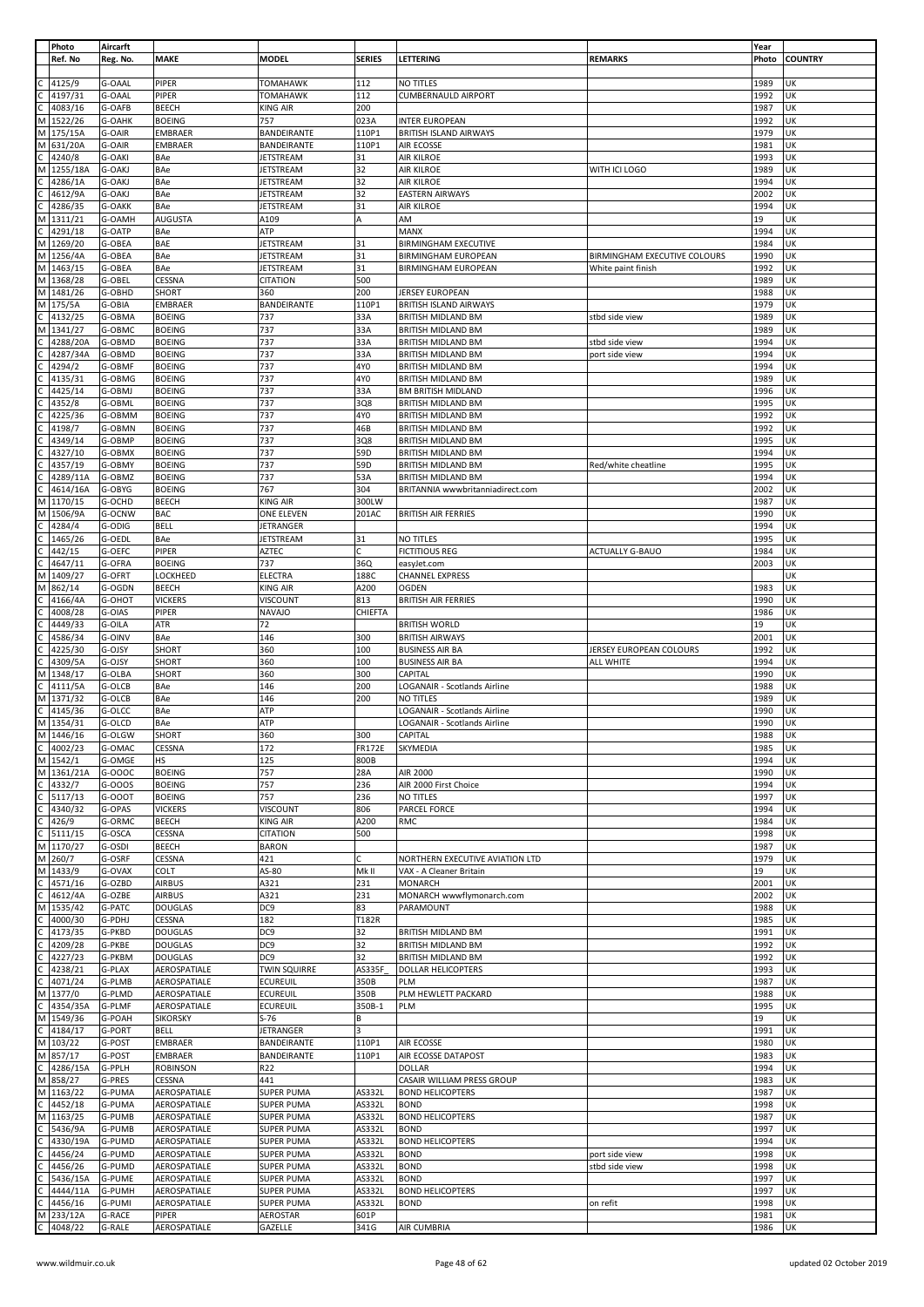|    | Photo      | Aircarft      |                 |                     |               |                                  |                              | Year  |                |
|----|------------|---------------|-----------------|---------------------|---------------|----------------------------------|------------------------------|-------|----------------|
|    |            |               | <b>MAKE</b>     | <b>MODEL</b>        | <b>SERIES</b> | LETTERING                        | <b>REMARKS</b>               |       |                |
|    | Ref. No    | Reg. No.      |                 |                     |               |                                  |                              | Photo | <b>COUNTRY</b> |
|    |            |               |                 |                     |               |                                  |                              |       |                |
|    | 4125/9     | G-OAAL        | PIPER           | <b>TOMAHAWK</b>     | 112           | NO TITLES                        |                              | 1989  | UK             |
|    | 4197/31    | G-OAAL        | PIPER           | <b>TOMAHAWK</b>     | 112           | <b>CUMBERNAULD AIRPORT</b>       |                              | 1992  | UK             |
| С  | 4083/16    | G-OAFB        | <b>BEECH</b>    | <b>KING AIR</b>     | 200           |                                  |                              | 1987  | UK             |
| M  | 1522/26    | G-OAHK        | <b>BOEING</b>   | 757                 | 023A          | <b>INTER EUROPEAN</b>            |                              | 1992  | UK             |
| М  | 175/15A    | G-OAIR        | <b>EMBRAER</b>  | BANDEIRANTE         | 110P1         | <b>BRITISH ISLAND AIRWAYS</b>    |                              | 1979  | UK             |
|    | M 631/20A  | G-OAIR        | <b>EMBRAER</b>  | BANDEIRANTE         | 110P1         | AIR ECOSSE                       |                              | 1981  | UK             |
|    |            |               |                 |                     |               |                                  |                              |       |                |
|    | 4240/8     | G-OAKI        | BAe             | JETSTREAM           | 31            | AIR KILROE                       |                              | 1993  | UK             |
| М  | 1255/18A   | G-OAKJ        | BAe             | JETSTREAM           | 32            | <b>AIR KILROE</b>                | WITH ICI LOGO                | 1989  | UK             |
|    | 4286/1A    | G-OAKJ        | BAe             | JETSTREAM           | 32            | AIR KILROE                       |                              | 1994  | UK             |
|    | 4612/9A    | G-OAKJ        | BAe             | <b>JETSTREAM</b>    | 32            | <b>EASTERN AIRWAYS</b>           |                              | 2002  | UK             |
|    | 4286/35    | G-OAKK        | BAe             | JETSTREAM           | 31            | AIR KILROE                       |                              | 1994  | UK             |
| М  | 1311/21    | G-OAMH        | <b>AUGUSTA</b>  | A109                | А             | AM                               |                              | 19    | UK             |
|    | 4291/18    | G-OATP        | BAe             | ATP                 |               | MANX                             |                              | 1994  | UK             |
|    |            |               |                 |                     |               |                                  |                              |       |                |
| M  | 1269/20    | G-OBEA        | <b>BAE</b>      | <b>JETSTREAM</b>    | 31            | <b>BIRMINGHAM EXECUTIVE</b>      |                              | 1984  | UK             |
| M  | 1256/4A    | G-OBEA        | BAe             | JETSTREAM           | 31            | <b>BIRMINGHAM EUROPEAN</b>       | BIRMINGHAM EXECUTIVE COLOURS | 1990  | UK             |
|    | M 1463/15  | G-OBEA        | BAe             | JETSTREAM           | 31            | <b>BIRMINGHAM EUROPEAN</b>       | White paint finish           | 1992  | UK             |
|    | M 1368/28  | G-OBEL        | CESSNA          | <b>CITATION</b>     | 500           |                                  |                              | 1989  | UK             |
|    | M 1481/26  | G-OBHD        | SHORT           | 360                 | 200           | JERSEY EUROPEAN                  |                              | 1988  | UK             |
| M  | 175/5A     | G-OBIA        | <b>EMBRAER</b>  | BANDEIRANTE         | 110P1         | <b>BRITISH ISLAND AIRWAYS</b>    |                              | 1979  | UK             |
| C  | 4132/25    | G-OBMA        | <b>BOEING</b>   | 737                 | 33A           |                                  |                              | 1989  | UK             |
|    |            |               |                 |                     |               | <b>BRITISH MIDLAND BM</b>        | stbd side view               |       |                |
| Μ  | 1341/27    | G-OBMC        | <b>BOEING</b>   | 737                 | 33A           | BRITISH MIDLAND BM               |                              | 1989  | UK             |
|    | 4288/20A   | G-OBMD        | <b>BOEING</b>   | 737                 | 33A           | <b>BRITISH MIDLAND BM</b>        | stbd side view               | 1994  | UK             |
|    | 4287/34A   | G-OBMD        | <b>BOEING</b>   | 737                 | 33A           | <b>BRITISH MIDLAND BM</b>        | port side view               | 1994  | UK             |
|    | 4294/2     | G-OBMF        | <b>BOEING</b>   | 737                 | 4Y0           | BRITISH MIDLAND BM               |                              | 1994  | UK             |
|    | 4135/31    | G-OBMG        | <b>BOEING</b>   | 737                 | 4Y0           | <b>BRITISH MIDLAND BM</b>        |                              | 1989  | UK             |
|    | 4425/14    | G-OBMJ        | <b>BOEING</b>   | 737                 | 33A           | <b>BM BRITISH MIDLAND</b>        |                              | 1996  | UK             |
|    |            |               |                 |                     |               |                                  |                              |       |                |
|    | 4352/8     | G-OBML        | <b>BOEING</b>   | 737                 | 3Q8           | <b>BRITISH MIDLAND BM</b>        |                              | 1995  | UK             |
|    | 4225/36    | G-OBMM        | <b>BOEING</b>   | 737                 | 4Y0           | <b>BRITISH MIDLAND BM</b>        |                              | 1992  | UK             |
|    | 4198/7     | G-OBMN        | <b>BOEING</b>   | 737                 | 46B           | <b>BRITISH MIDLAND BM</b>        |                              | 1992  | UK             |
|    | 4349/14    | G-OBMP        | <b>BOEING</b>   | 737                 | 3Q8           | <b>BRITISH MIDLAND BM</b>        |                              | 1995  | UK             |
|    | 4327/10    | G-OBMX        | <b>BOEING</b>   | 737                 | 59D           | <b>BRITISH MIDLAND BM</b>        |                              | 1994  | UK             |
|    | 4357/19    | G-OBMY        | <b>BOEING</b>   | 737                 | 59D           | <b>BRITISH MIDLAND BM</b>        | Red/white cheatline          | 1995  | UK             |
|    |            |               |                 |                     |               |                                  |                              |       |                |
|    | 4289/11A   | G-OBMZ        | <b>BOEING</b>   | 737                 | 53A           | BRITISH MIDLAND BM               |                              | 1994  | UK             |
| C  | 4614/16A   | G-OBYG        | <b>BOEING</b>   | 767                 | 304           | BRITANNIA wwwbritanniadirect.com |                              | 2002  | UK             |
| M  | 1170/15    | G-OCHD        | <b>BEECH</b>    | KING AIR            | 300LW         |                                  |                              | 1987  | UK             |
| М  | 1506/9A    | G-OCNW        | <b>BAC</b>      | ONE ELEVEN          | 201AC         | <b>BRITISH AIR FERRIES</b>       |                              | 1990  | UK             |
|    | 4284/4     | G-ODIG        | <b>BELL</b>     | JETRANGER           |               |                                  |                              | 1994  | UK             |
|    | 1465/26    | G-OEDL        | BAe             | JETSTREAM           | 31            | NO TITLES                        |                              | 1995  | UK             |
|    |            |               |                 |                     | lc.           |                                  |                              |       |                |
|    | 442/15     | G-OEFC        | PIPER           | AZTEC               |               | <b>FICTITIOUS REG</b>            | ACTUALLY G-BAUO              | 1984  | UK             |
| С  | 4647/11    | G-OFRA        | <b>BOEING</b>   | 737                 | 36Q           | easyJet.com                      |                              | 2003  | UK             |
| M  | 1409/27    | G-OFRT        | LOCKHEED        | <b>ELECTRA</b>      | 188C          | <b>CHANNEL EXPRESS</b>           |                              |       | UK             |
| М  | 862/14     | G-OGDN        | <b>BEECH</b>    | KING AIR            | A200          | <b>OGDEN</b>                     |                              | 1983  | UK             |
|    | 4166/4A    | G-OHOT        | <b>VICKERS</b>  | VISCOUNT            | 813           | <b>BRITISH AIR FERRIES</b>       |                              | 1990  | UK             |
|    | 4008/28    | G-OIAS        | PIPER           | <b>NAVAJO</b>       | CHIEFTA       |                                  |                              | 1986  | UK             |
| C. |            |               |                 |                     |               |                                  |                              | 19    |                |
|    | 4449/33    | G-OILA        | ATR             | 72                  |               | <b>BRITISH WORLD</b>             |                              |       | UK             |
|    | 4586/34    | G-OINV        | BAe             | 146                 | 300           | <b>BRITISH AIRWAYS</b>           |                              | 2001  | UK             |
|    | 4225/30    | G-OJSY        | SHORT           | 360                 | 100           | <b>BUSINESS AIR BA</b>           | JERSEY EUROPEAN COLOURS      | 1992  | UK             |
|    | 4309/5A    | G-OJSY        | SHORT           | 360                 | 100           | <b>BUSINESS AIR BA</b>           | ALL WHITE                    | 1994  | UK             |
| М  | 1348/17    | G-OLBA        | SHORT           | 360                 | 300           | CAPITAL                          |                              | 1990  | UK             |
|    | 4111/5A    | G-OLCB        | BAe             | 146                 | 200           | LOGANAIR - Scotlands Airline     |                              | 1988  | UK             |
| M  | 1371/32    | G-OLCB        | BAe             | 146                 | 200           | NO TITLES                        |                              | 1989  | UK             |
|    |            |               |                 |                     |               |                                  |                              |       |                |
|    | 4145/36    | G-OLCC        | BAe             | ATP                 |               | LOGANAIR - Scotlands Airline     |                              | 1990  | UK             |
| M  | 1354/31    | G-OLCD        | <b>BAe</b>      | ATP                 |               | LOGANAIR - Scotlands Airline     |                              | 1990  | UK             |
| M  | 1446/16    | G-OLGW        | <b>SHORT</b>    | 360                 | 300           | CAPITAL                          |                              | 1988  | UK             |
| C  | 4002/23    | G-OMAC        | <b>CESSNA</b>   | 172                 | <b>FR172E</b> | <b>SKYMEDIA</b>                  |                              | 1985  | UK             |
|    | M 1542/1   | G-OMGE        | <b>HS</b>       | 125                 | 800B          |                                  |                              | 1994  | UK             |
|    | M 1361/21A | G-000C        | <b>BOEING</b>   | 757                 | 28A           | AIR 2000                         |                              | 1990  | UK             |
|    |            |               | <b>BOEING</b>   |                     |               |                                  |                              |       |                |
|    | 4332/7     | G-000S        |                 | 757                 | 236           | AIR 2000 First Choice            |                              | 1994  | UK             |
| C  | 5117/13    | G-OOOT        | <b>BOEING</b>   | 757                 | 236           | NO TITLES                        |                              | 1997  | UK             |
|    | 4340/32    | G-OPAS        | <b>VICKERS</b>  | VISCOUNT            | 806           | PARCEL FORCE                     |                              | 1994  | UK             |
|    | 426/9      | G-ORMC        | <b>BEECH</b>    | <b>KING AIR</b>     | A200          | <b>RMC</b>                       |                              | 1984  | UK             |
| C  | 5111/15    | G-OSCA        | CESSNA          | <b>CITATION</b>     | 500           |                                  |                              | 1998  | UK             |
|    | M 1170/27  | G-OSDI        | <b>BEECH</b>    | <b>BARON</b>        |               |                                  |                              | 1987  | UK             |
| M  | 260/7      | G-OSRF        | CESSNA          | 421                 | C             | NORTHERN EXECUTIVE AVIATION LTD  |                              | 1979  | UK             |
|    | M 1433/9   | G-OVAX        | COLT            | AS-80               | Mk II         | VAX - A Cleaner Britain          |                              | 19    | UK             |
|    |            |               |                 |                     |               |                                  |                              |       |                |
|    | 4571/16    | G-OZBD        | <b>AIRBUS</b>   | A321                | 231           | <b>MONARCH</b>                   |                              | 2001  | UK             |
|    | 4612/4A    | G-OZBE        | <b>AIRBUS</b>   | A321                | 231           | MONARCH wwwflymonarch.com        |                              | 2002  | UK             |
| М  | 1535/42    | G-PATC        | <b>DOUGLAS</b>  | DC9                 | 83            | PARAMOUNT                        |                              | 1988  | UK             |
|    | 4000/30    | G-PDHJ        | CESSNA          | 182                 | T182R         |                                  |                              | 1985  | UK             |
|    | 4173/35    | G-PKBD        | <b>DOUGLAS</b>  | DC <sub>9</sub>     | 32            | <b>BRITISH MIDLAND BM</b>        |                              | 1991  | UK             |
|    | 4209/28    | G-PKBE        | <b>DOUGLAS</b>  | DC9                 | 32            | <b>BRITISH MIDLAND BM</b>        |                              | 1992  | UK             |
|    | 4227/23    | G-PKBM        | <b>DOUGLAS</b>  | DC <sub>9</sub>     | 32            | <b>BRITISH MIDLAND BM</b>        |                              | 1992  | UK             |
|    | 4238/21    | G-PLAX        | AEROSPATIALE    | <b>TWIN SQUIRRE</b> | AS335F        |                                  |                              | 1993  | UK             |
|    |            |               |                 |                     |               | <b>DOLLAR HELICOPTERS</b>        |                              |       |                |
|    | 4071/24    | G-PLMB        | AEROSPATIALE    | <b>ECUREUIL</b>     | 350B          | PLM                              |                              | 1987  | UK             |
| М  | 1377/0     | G-PLMD        | AEROSPATIALE    | <b>ECUREUIL</b>     | 350B          | PLM HEWLETT PACKARD              |                              | 1988  | UK             |
|    | 4354/35A   | G-PLMF        | AEROSPATIALE    | <b>ECUREUIL</b>     | 350B-1        | PLM                              |                              | 1995  | UK             |
| Μ  | 1549/36    | G-POAH        | <b>SIKORSKY</b> | $S-76$              | B             |                                  |                              | 19    | UK             |
| C  | 4184/17    | G-PORT        | <b>BELL</b>     | JETRANGER           | 3             |                                  |                              | 1991  | UK             |
|    | M 103/22   | G-POST        | <b>EMBRAER</b>  | BANDEIRANTE         | 110P1         | <b>AIR ECOSSE</b>                |                              | 1980  | UK             |
|    | M 857/17   |               | <b>EMBRAER</b>  | BANDEIRANTE         |               |                                  |                              |       | UK             |
|    |            | G-POST        |                 |                     | 110P1         | AIR ECOSSE DATAPOST              |                              | 1983  |                |
| C. | 4286/15A   | G-PPLH        | <b>ROBINSON</b> | R22                 |               | <b>DOLLAR</b>                    |                              | 1994  | UK             |
| M  | 858/27     | G-PRES        | <b>CESSNA</b>   | 441                 |               | CASAIR WILLIAM PRESS GROUP       |                              | 1983  | UK             |
| M  | 1163/22    | G-PUMA        | AEROSPATIALE    | <b>SUPER PUMA</b>   | AS332L        | <b>BOND HELICOPTERS</b>          |                              | 1987  | UK             |
| C  | 4452/18    | G-PUMA        | AEROSPATIALE    | <b>SUPER PUMA</b>   | AS332L        | <b>BOND</b>                      |                              | 1998  | UK             |
|    | M 1163/25  | G-PUMB        | AEROSPATIALE    | <b>SUPER PUMA</b>   | AS332L        | <b>BOND HELICOPTERS</b>          |                              | 1987  | UK             |
|    | 5436/9A    | G-PUMB        |                 |                     | AS332L        | <b>BOND</b>                      |                              | 1997  | UK             |
|    |            |               | AEROSPATIALE    | <b>SUPER PUMA</b>   |               |                                  |                              |       |                |
| С  | 4330/19A   | G-PUMD        | AEROSPATIALE    | SUPER PUMA          | AS332L        | <b>BOND HELICOPTERS</b>          |                              | 1994  | UK             |
|    | 4456/24    | G-PUMD        | AEROSPATIALE    | <b>SUPER PUMA</b>   | AS332L        | <b>BOND</b>                      | port side view               | 1998  | UK             |
|    | 4456/26    | G-PUMD        | AEROSPATIALE    | <b>SUPER PUMA</b>   | AS332L        | <b>BOND</b>                      | stbd side view               | 1998  | UK             |
| с  | 5436/15A   | <b>G-PUME</b> | AEROSPATIALE    | SUPER PUMA          | AS332L        | <b>BOND</b>                      |                              | 1997  | UK             |
|    | 4444/11A   | G-PUMH        | AEROSPATIALE    | <b>SUPER PUMA</b>   | AS332L        | <b>BOND HELICOPTERS</b>          |                              | 1997  | UK             |
|    | 4456/16    | G-PUMI        | AEROSPATIALE    | <b>SUPER PUMA</b>   | AS332L        | <b>BOND</b>                      | on refit                     | 1998  | UK             |
|    |            |               |                 |                     |               |                                  |                              |       |                |
| Μ  | 233/12A    | G-RACE        | <b>PIPER</b>    | AEROSTAR            | 601P          |                                  |                              | 1981  | UK             |
|    | 4048/22    | G-RALE        | AEROSPATIALE    | GAZELLE             | 341G          | AIR CUMBRIA                      |                              | 1986  | UK             |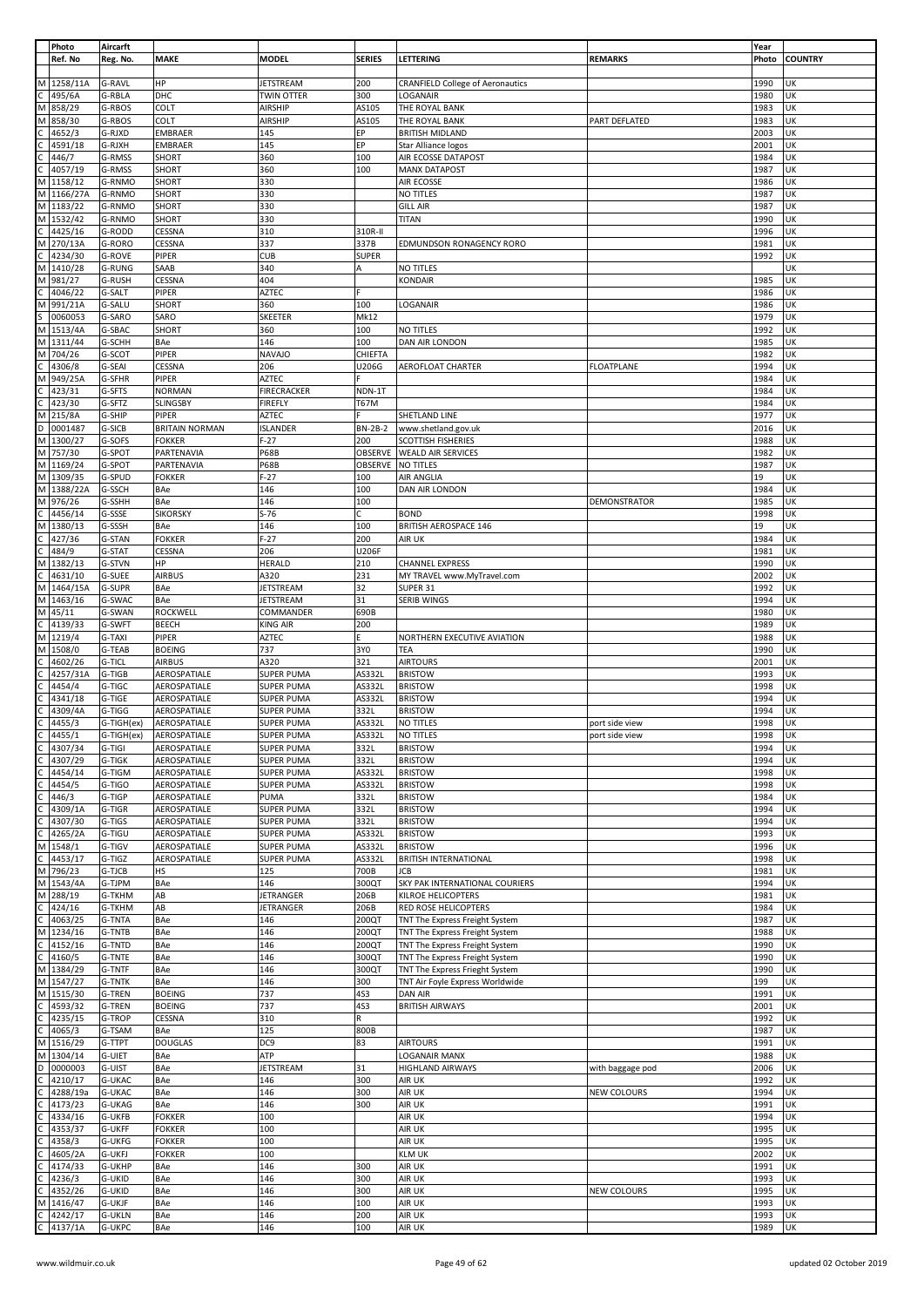|              | Photo              | Aircarft                       |                       |                    |               |                                         |                   | Year         |                |
|--------------|--------------------|--------------------------------|-----------------------|--------------------|---------------|-----------------------------------------|-------------------|--------------|----------------|
|              | Ref. No            | Reg. No.                       | <b>MAKE</b>           | <b>MODEL</b>       | <b>SERIES</b> | LETTERING                               | <b>REMARKS</b>    | Photo        | <b>COUNTRY</b> |
|              |                    |                                |                       |                    |               |                                         |                   |              |                |
| М            | 1258/11A           | G-RAVL                         | ΗP                    | JETSTREAM          | 200           | <b>CRANFIELD College of Aeronautics</b> |                   | 1990         | UΚ             |
|              | 495/6A             | G-RBLA                         | DHC                   | <b>TWIN OTTER</b>  | 300           | LOGANAIR                                |                   | 1980         | UK             |
| M            | 858/29             | G-RBOS                         | COLT                  | AIRSHIP            | AS105         | THE ROYAL BANK                          |                   | 1983         | UK             |
|              |                    |                                |                       |                    |               |                                         |                   |              |                |
| M            | 858/30             | G-RBOS                         | COLT                  | AIRSHIP            | AS105         | THE ROYAL BANK                          | PART DEFLATED     | 1983         | UK             |
|              | 4652/3             | G-RJXD                         | EMBRAER               | 145                | ЕP            | <b>BRITISH MIDLAND</b>                  |                   | 2003         | UK             |
|              | 4591/18            | G-RJXH                         | EMBRAER               | 145                | EP            | Star Alliance logos                     |                   | 2001         | UK             |
|              | 446/7              | G-RMSS                         | SHORT                 | 360                | 100           | AIR ECOSSE DATAPOST                     |                   | 1984         | UK             |
|              | 4057/19            | G-RMSS                         | SHORT                 | 360                | 100           | <b>MANX DATAPOST</b>                    |                   | 1987         | UΚ             |
| M            | 1158/12            | G-RNMO                         | SHORT                 | 330                |               | AIR ECOSSE                              |                   | 1986         | UK             |
| M            | 1166/27A           | G-RNMO                         | SHORT                 | 330                |               | NO TITLES                               |                   | 1987         | UK             |
|              |                    |                                |                       |                    |               |                                         |                   |              | UK             |
| M            | 1183/22            | G-RNMO                         | SHORT                 | 330                |               | <b>GILL AIR</b>                         |                   | 1987         |                |
| М            | 1532/42            | G-RNMO                         | SHORT                 | 330                |               | <b>TITAN</b>                            |                   | 1990         | UΚ             |
|              | 4425/16            | G-RODD                         | CESSNA                | 310                | 310R-II       |                                         |                   | 1996         | UK             |
| М            | 270/13A            | G-RORO                         | CESSNA                | 337                | 337B          | EDMUNDSON RONAGENCY RORO                |                   | 1981         | UΚ             |
|              | 4234/30            | G-ROVE                         | PIPER                 | <b>CUB</b>         | <b>SUPER</b>  |                                         |                   | 1992         | UΚ             |
| M            | 1410/28            | <b>G-RUNG</b>                  | SAAB                  | 340                | A             | NO TITLES                               |                   |              | UK             |
| М            | 981/27             | <b>G-RUSH</b>                  | CESSNA                | 404                |               | <b>KONDAIR</b>                          |                   | 1985         | UΚ             |
|              | 4046/22            | G-SALT                         | PIPER                 | <b>AZTEC</b>       |               |                                         |                   | 1986         | UK             |
| M            | 991/21A            | G-SALU                         | SHORT                 | 360                | 100           | LOGANAIR                                |                   | 1986         | UK             |
|              |                    |                                |                       |                    |               |                                         |                   |              |                |
|              | 0060053            | G-SARO                         | SARO                  | <b>SKEETER</b>     | Mk12          |                                         |                   | 1979         | UK             |
| М            | 1513/4A            | G-SBAC                         | SHORT                 | 360                | 100           | NO TITLES                               |                   | 1992         | UΚ             |
| M            | 1311/44            | G-SCHH                         | BAe                   | 146                | 100           | DAN AIR LONDON                          |                   | 1985         | UK             |
| М            | 704/26             | G-SCOT                         | PIPER                 | <b>NAVAJO</b>      | CHIEFTA       |                                         |                   | 1982         | UK             |
|              | 4306/8             | G-SEAI                         | CESSNA                | 206                | U206G         | AEROFLOAT CHARTER                       | <b>FLOATPLANE</b> | 1994         | UK             |
| M            | 949/25A            | G-SFHR                         | PIPER                 | <b>AZTEC</b>       |               |                                         |                   | 1984         | UK             |
|              | 423/31             | G-SFTS                         | <b>NORMAN</b>         | <b>FIRECRACKER</b> | NDN-1T        |                                         |                   | 1984         | UΚ             |
|              | 423/30             | G-SFTZ                         |                       |                    | <b>T67M</b>   |                                         |                   | 1984         | UK             |
|              |                    |                                | SLINGSBY              | <b>FIREFLY</b>     |               |                                         |                   |              |                |
| M            | 215/8A             | G-SHIP                         | PIPER                 | AZTEC              |               | SHETLAND LINE                           |                   | 1977         | UK             |
| D            | 0001487            | G-SICB                         | <b>BRITAIN NORMAN</b> | <b>ISLANDER</b>    | BN-2B-2       | www.shetland.gov.uk                     |                   | 2016         | UΚ             |
| M            | 1300/27            | G-SOFS                         | <b>FOKKER</b>         | $F-27$             | 200           | SCOTTISH FISHERIES                      |                   | 1988         | UΚ             |
| M            | 757/30             | G-SPOT                         | PARTENAVIA            | <b>P68B</b>        | OBSERVE       | <b>WEALD AIR SERVICES</b>               |                   | 1982         | UK             |
| M            | 1169/24            | G-SPOT                         | PARTENAVIA            | <b>P68B</b>        | OBSERVE       | <b>NO TITLES</b>                        |                   | 1987         | UK             |
| M            | 1309/35            | G-SPUD                         | <b>FOKKER</b>         | $F-27$             | 100           | <b>AIR ANGLIA</b>                       |                   | 19           | UΚ             |
| М            | 1388/22A           | G-SSCH                         | BAe                   | 146                | 100           | DAN AIR LONDON                          |                   | 1984         | UK             |
| M            | 976/26             | G-SSHH                         | BAe                   | 146                | 100           |                                         | DEMONSTRATOR      | 1985         | UΚ             |
|              |                    |                                |                       |                    |               |                                         |                   |              |                |
| C            | 4456/14            | G-SSSE                         | <b>SIKORSKY</b>       | $S-76$             | c             | <b>BOND</b>                             |                   | 1998         | UΚ             |
| M            | 1380/13            | G-SSSH                         | BAe                   | 146                | 100           | <b>BRITISH AEROSPACE 146</b>            |                   | 19           | UΚ             |
|              | 427/36             | G-STAN                         | <b>FOKKER</b>         | $F-27$             | 200           | AIR UK                                  |                   | 1984         | UK             |
|              | 484/9              | G-STAT                         | CESSNA                | 206                | U206F         |                                         |                   | 1981         | UΚ             |
| M            | 1382/13            | G-STVN                         | ΗP                    | <b>HERALD</b>      | 210           | <b>CHANNEL EXPRESS</b>                  |                   | 1990         | UΚ             |
|              | 4631/10            | <b>G-SUEE</b>                  | <b>AIRBUS</b>         | A320               | 231           | MY TRAVEL www.MyTravel.com              |                   | 2002         | UK             |
| M            | 1464/15A           | G-SUPR                         | BAe                   | JETSTREAM          | 32            | SUPER 31                                |                   | 1992         | UΚ             |
| M            | 1463/16            | G-SWAC                         | BAe                   | <b>JETSTREAM</b>   | 31            | <b>SERIB WINGS</b>                      |                   | 1994         | UΚ             |
|              |                    |                                |                       |                    |               |                                         |                   |              |                |
| M            | 45/11              | G-SWAN                         | ROCKWELL              | COMMANDER          | 690B          |                                         |                   | 1980         | UΚ             |
|              | 4139/33            | G-SWFT                         | BEECH                 | KING AIR           | 200           |                                         |                   | 1989         | UΚ             |
|              | 1219/4             | G-TAXI                         | PIPER                 | AZTEC              | Ė.            | NORTHERN EXECUTIVE AVIATION             |                   | 1988         | UK             |
| М            |                    |                                |                       |                    |               |                                         |                   |              |                |
| M            | 1508/0             | G-TEAB                         | <b>BOEING</b>         | 737                | 3Y0           | TEA                                     |                   | 1990         | UK             |
|              | 4602/26            | G-TICL                         | <b>AIRBUS</b>         | A320               | 321           | <b>AIRTOURS</b>                         |                   | 2001         | UΚ             |
|              |                    |                                |                       |                    |               |                                         |                   |              |                |
|              | 4257/31A           | G-TIGB                         | AEROSPATIALE          | <b>SUPER PUMA</b>  | AS332L        | <b>BRISTOW</b>                          |                   | 1993         | UK             |
|              | 4454/4             | G-TIGC                         | AEROSPATIALE          | <b>SUPER PUMA</b>  | AS332L        | <b>BRISTOW</b>                          |                   | 1998         | UK             |
|              | 4341/18            | G-TIGE                         | AEROSPATIALE          | <b>SUPER PUMA</b>  | AS332L        | <b>BRISTOW</b>                          |                   | 1994         | UΚ             |
|              | 4309/4A            | G-TIGG                         | AEROSPATIALE          | <b>SUPER PUMA</b>  | 332L          | <b>BRISTOW</b>                          |                   | 1994         | UK             |
| C            | 4455/3             | G-TIGH(ex)                     | AEROSPATIALE          | SUPER PUMA         | AS332L        | NO TITLES                               | port side view    | 1998         | UK             |
| $\mathsf{C}$ | 4455/1             | G-TIGH(ex)                     | AEROSPATIALE          | SUPER PUMA         | AS332L        | NO TITLES                               | port side view    | 1998         | UK             |
|              | 4307/34            | G-TIGI                         | AEROSPATIALE          | <b>SUPER PUMA</b>  | 332L          | <b>BRISTOW</b>                          |                   | 1994         | UK             |
| C            | 4307/29            | G-TIGK                         | AEROSPATIALE          | <b>SUPER PUMA</b>  | 332L          | <b>BRISTOW</b>                          |                   | 1994         | UK             |
|              | 4454/14            | G-TIGM                         | AEROSPATIALE          | <b>SUPER PUMA</b>  | AS332L        | <b>BRISTOW</b>                          |                   | 1998         | UK             |
|              |                    |                                | AEROSPATIALE          | <b>SUPER PUMA</b>  |               | <b>BRISTOW</b>                          |                   |              |                |
|              | 4454/5             | G-TIGO                         |                       |                    | AS332L        |                                         |                   | 1998         | UK             |
|              | 446/3              | G-TIGP                         | AEROSPATIALE          | PUMA               | 332L          | <b>BRISTOW</b>                          |                   | 1984         | UK             |
|              | 4309/1A            | G-TIGR                         | AEROSPATIALE          | <b>SUPER PUMA</b>  | 332L          | <b>BRISTOW</b>                          |                   | 1994         | UΚ             |
|              | 4307/30            | G-TIGS                         | AEROSPATIALE          | <b>SUPER PUMA</b>  | 332L          | <b>BRISTOW</b>                          |                   | 1994         | UK             |
| C            | 4265/2A            | G-TIGU                         | AEROSPATIALE          | <b>SUPER PUMA</b>  | AS332L        | <b>BRISTOW</b>                          |                   | 1993         | UK             |
| М            | 1548/1             | G-TIGV                         | AEROSPATIALE          | <b>SUPER PUMA</b>  | AS332L        | <b>BRISTOW</b>                          |                   | 1996         | UK             |
| C            | 4453/17            | G-TIGZ                         | AEROSPATIALE          | <b>SUPER PUMA</b>  | AS332L        | <b>BRITISH INTERNATIONAL</b>            |                   | 1998         | UK             |
| M            | 796/23             | G-TJCB                         | HS                    | 125                | 700B          | JCB                                     |                   | 1981         | UK             |
| M            | 1543/4A            | G-TJPM                         | BAe                   | 146                | 300QT         | SKY PAK INTERNATIONAL COURIERS          |                   | 1994         | UK             |
| M            | 288/19             | G-TKHM                         | AB                    | JETRANGER          | 206B          | KILROE HELICOPTERS                      |                   | 1981         | UΚ             |
|              | 424/16             | G-TKHM                         | AB                    | <b>JETRANGER</b>   | 206B          | RED ROSE HELICOPTERS                    |                   | 1984         | UK             |
| C            |                    |                                |                       |                    |               |                                         |                   |              |                |
|              | 4063/25            | <b>G-TNTA</b>                  | BAe                   | 146                | 200QT         | TNT The Express Freight System          |                   | 1987         | UK             |
| М            | 1234/16            | <b>G-TNTB</b>                  | BAe                   | 146                | 200QT         | TNT The Express Freight System          |                   | 1988         | UK             |
|              | 4152/16            | G-TNTD                         | BAe                   | 146                | 200QT         | TNT The Express Freight System          |                   | 1990         | UK             |
| C            | 4160/5             | <b>G-TNTE</b>                  | BAe                   | 146                | 300QT         | TNT The Express Freight System          |                   | 1990         | UK             |
| М            | 1384/29            | <b>G-TNTF</b>                  | BAe                   | 146                | 300QT         | TNT The Express Frieght System          |                   | 1990         | UK             |
| M            | 1547/27            | <b>G-TNTK</b>                  | BAe                   | 146                | 300           | TNT Air Foyle Express Worldwide         |                   | 199          | UK             |
| M            | 1515/30            | <b>G-TREN</b>                  | <b>BOEING</b>         | 737                | 4S3           | <b>DAN AIR</b>                          |                   | 1991         | UK             |
|              | 4593/32            | <b>G-TREN</b>                  | <b>BOEING</b>         | 737                | 4S3           | <b>BRITISH AIRWAYS</b>                  |                   | 2001         | UK             |
|              | 4235/15            | G-TROP                         | CESSNA                | 310                | R             |                                         |                   | 1992         | UK             |
| C            | 4065/3             | G-TSAM                         | BAe                   | 125                | 800B          |                                         |                   | 1987         | UK             |
|              |                    |                                |                       |                    |               |                                         |                   |              |                |
| M            | 1516/29            | G-TTPT                         | <b>DOUGLAS</b>        | DC <sub>9</sub>    | 83            | <b>AIRTOURS</b>                         |                   | 1991         | UK             |
| M            | 1304/14            | <b>G-UIET</b>                  | BAe                   | ATP                |               | <b>LOGANAIR MANX</b>                    |                   | 1988         | UK             |
| D            | 0000003            | G-UIST                         | BAe                   | <b>JETSTREAM</b>   | 31            | HIGHLAND AIRWAYS                        | with baggage pod  | 2006         | UK             |
|              | 4210/17            | <b>G-UKAC</b>                  | BAe                   | 146                | 300           | AIR UK                                  |                   | 1992         | UK             |
|              | 4288/19a           | <b>G-UKAC</b>                  | BAe                   | 146                | 300           | AIR UK                                  | NEW COLOURS       | 1994         | UK             |
|              | 4173/23            | <b>G-UKAG</b>                  | BAe                   | 146                | 300           | AIR UK                                  |                   | 1991         | UK             |
|              | 4334/16            | <b>G-UKFB</b>                  | <b>FOKKER</b>         | 100                |               | AIR UK                                  |                   | 1994         | UK             |
|              | 4353/37            | <b>G-UKFF</b>                  | <b>FOKKER</b>         | 100                |               | AIR UK                                  |                   | 1995         | UK             |
|              | 4358/3             | <b>G-UKFG</b>                  | <b>FOKKER</b>         | 100                |               | AIR UK                                  |                   | 1995         | UK             |
|              |                    |                                |                       |                    |               |                                         |                   |              |                |
|              | 4605/2A            | G-UKFJ                         | <b>FOKKER</b>         | 100                |               | <b>KLM UK</b>                           |                   | 2002         | UK             |
|              | 4174/33            | <b>G-UKHP</b>                  | BAe                   | 146                | 300           | AIR UK                                  |                   | 1991         | UK             |
|              | 4236/3             | <b>G-UKID</b>                  | BAe                   | 146                | 300           | AIR UK                                  |                   | 1993         | UK             |
|              | 4352/26            | G-UKID                         | BAe                   | 146                | 300           | AIR UK                                  | NEW COLOURS       | 1995         | UK             |
| М            | 1416/47            | <b>G-UKJF</b>                  | BAe                   | 146                | 100           | AIR UK                                  |                   | 1993         | UK             |
|              | 4242/17<br>4137/1A | <b>G-UKLN</b><br><b>G-UKPC</b> | BAe<br>BAe            | 146<br>146         | 200<br>100    | AIR UK<br>AIR UK                        |                   | 1993<br>1989 | UK<br>UK       |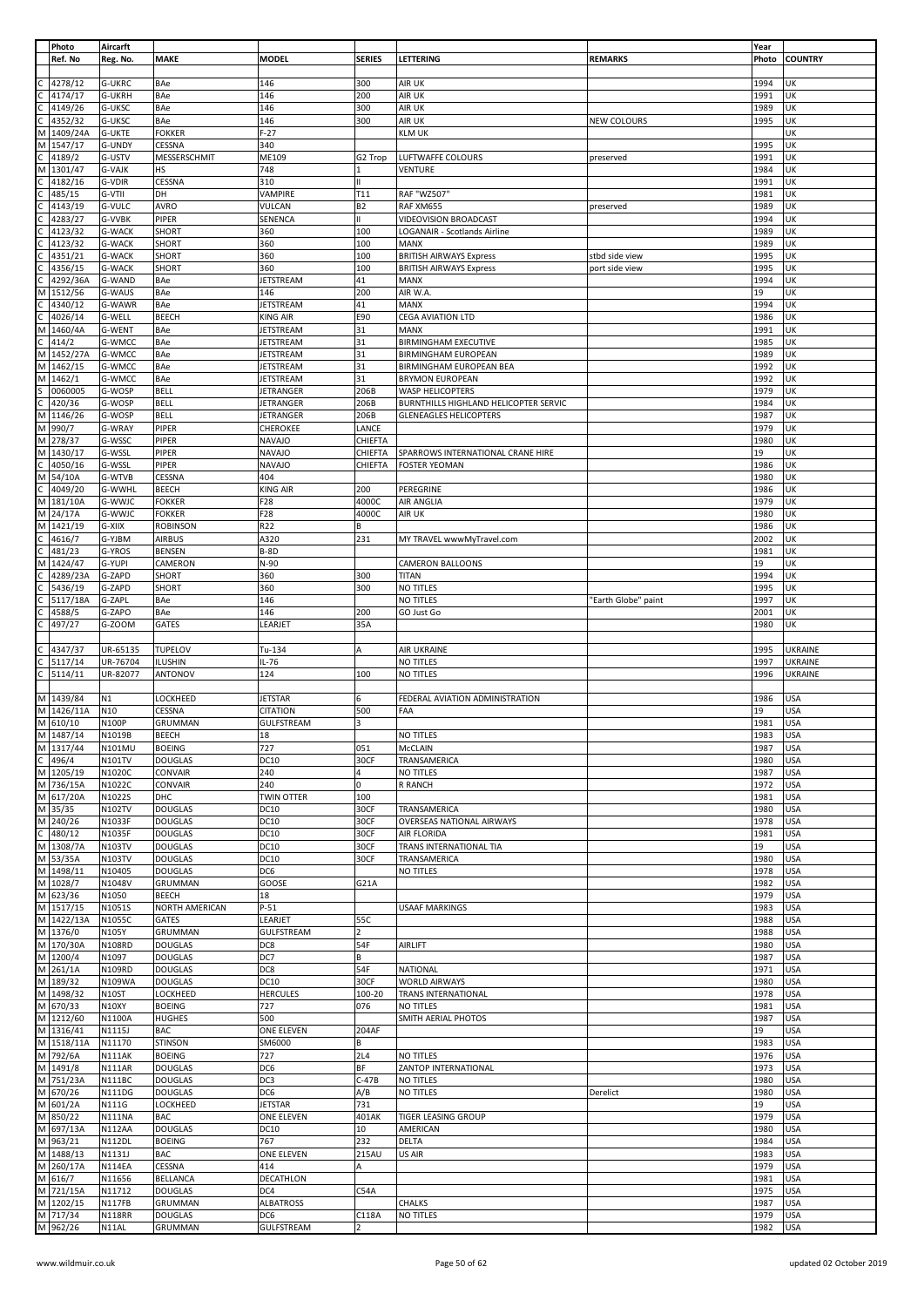|              | Photo                | Aircarft               |                           |                          |                |                                       |                     | Year         |                          |
|--------------|----------------------|------------------------|---------------------------|--------------------------|----------------|---------------------------------------|---------------------|--------------|--------------------------|
|              | Ref. No              | Reg. No.               | <b>MAKE</b>               | <b>MODEL</b>             | <b>SERIES</b>  | LETTERING                             | <b>REMARKS</b>      | Photo        | <b>COUNTRY</b>           |
|              |                      |                        |                           |                          |                |                                       |                     |              |                          |
|              | 4278/12              | G-UKRC                 | BAe                       | 146                      | 300            | AIR UK                                |                     | 1994         | UK                       |
|              | 4174/17              | <b>G-UKRH</b>          | BAe                       | 146                      | 200            | AIR UK                                |                     | 1991         | UK                       |
|              | 4149/26              | G-UKSC                 | BAe                       | 146                      | 300            | AIR UK                                |                     | 1989         | UK                       |
|              | 4352/32              | G-UKSC                 | BAe                       | 146                      | 300            | AIR UK                                | NEW COLOURS         | 1995         | UK                       |
| М            | 1409/24A             | <b>G-UKTE</b>          | <b>FOKKER</b>             | $F-27$                   |                | <b>KLM UK</b>                         |                     |              | UΚ                       |
| М            | 1547/17              | G-UNDY                 | CESSNA                    | 340                      |                |                                       |                     | 1995         | UK                       |
|              | 4189/2               | G-USTV                 | MESSERSCHMIT              | ME109                    | G2 Trop        | LUFTWAFFE COLOURS                     | preserved           | 1991         | UK                       |
| М            | 1301/47              | <b>G-VAJK</b>          | <b>HS</b>                 | 748                      | 1              | VENTURE                               |                     | 1984         | UK                       |
|              | 4182/16              | G-VDIR                 | CESSNA                    | 310                      | $\mathbf{H}$   |                                       |                     | 1991         | UK                       |
|              | 485/15               | G-VTII                 | DH                        | VAMPIRE                  | T11            | RAF "WZ507"                           |                     | 1981         | UK                       |
|              | 4143/19              | <b>G-VULC</b>          | AVRO                      | VULCAN                   | <b>B2</b>      | RAF XM655                             | preserved           | 1989         | UΚ                       |
|              | 4283/27              | G-VVBK                 | PIPER                     | SENENCA                  |                | <b>VIDEOVISION BROADCAST</b>          |                     | 1994         | UΚ                       |
|              | 4123/32              | <b>G-WACK</b>          | SHORT                     | 360                      | 100            | LOGANAIR - Scotlands Airline          |                     | 1989         | UK                       |
|              |                      |                        |                           |                          |                |                                       |                     |              |                          |
|              | 4123/32              | <b>G-WACK</b>          | <b>SHORT</b>              | 360                      | 100            | MANX                                  |                     | 1989         | UK                       |
|              | 4351/21              | <b>G-WACK</b>          | SHORT                     | 360                      | 100            | <b>BRITISH AIRWAYS Express</b>        | stbd side view      | 1995         | UK                       |
|              | 4356/15              | <b>G-WACK</b>          | <b>SHORT</b>              | 360                      | 100            | <b>BRITISH AIRWAYS Express</b>        | port side view      | 1995         | UK                       |
|              | 4292/36A             | G-WAND                 | BAe                       | <b>JETSTREAM</b>         | 41             | <b>MANX</b>                           |                     | 1994         | UK                       |
| М            | 1512/56              | G-WAUS                 | BAe                       | 146                      | 200            | AIR W.A.                              |                     | 19           | UK                       |
| С            | 4340/12              | G-WAWR                 | BAe                       | JETSTREAM                | 41             | <b>MANX</b>                           |                     | 1994         | UK                       |
|              | 4026/14              | G-WELL                 | <b>BEECH</b>              | KING AIR                 | E90            | <b>CEGA AVIATION LTD</b>              |                     | 1986         | UK                       |
| М            | 1460/4A              | G-WENT                 | BAe                       | JETSTREAM                | 31             | <b>MANX</b>                           |                     | 1991         | UK                       |
| С            | 414/2                | G-WMCC                 | BAe                       | JETSTREAM                | 31             | <b>BIRMINGHAM EXECUTIVE</b>           |                     | 1985         | UK                       |
|              | M 1452/27A           | G-WMCC                 | BAe                       | JETSTREAM                | 31             | <b>BIRMINGHAM EUROPEAN</b>            |                     | 1989         | UK                       |
| M            | 1462/15              | G-WMCC                 | BAe                       | <b>JETSTREAM</b>         | 31             | <b>BIRMINGHAM EUROPEAN BEA</b>        |                     | 1992         | UK                       |
| М            | 1462/1               | G-WMCC                 | BAe                       | JETSTREAM                | 31             | <b>BRYMON EUROPEAN</b>                |                     | 1992         | UK                       |
|              | 0060005              | G-WOSP                 | <b>BELL</b>               | JETRANGER                | 206B           | WASP HELICOPTERS                      |                     | 1979         | UK                       |
|              | 420/36               | G-WOSP                 | <b>BELL</b>               | JETRANGER                | 206B           | BURNTHILLS HIGHLAND HELICOPTER SERVIC |                     | 1984         | UK                       |
| М            | 1146/26              | G-WOSP                 | <b>BELL</b>               | JETRANGER                | 206B           | <b>GLENEAGLES HELICOPTERS</b>         |                     | 1987         | UK                       |
|              | M 990/7              | G-WRAY                 | PIPER                     | CHEROKEE                 | LANCE          |                                       |                     | 1979         | UK                       |
|              | M 278/37             | G-WSSC                 | PIPER                     | <b>NAVAJO</b>            | CHIEFTA        |                                       |                     | 1980         | UK                       |
|              |                      |                        |                           |                          |                |                                       |                     |              |                          |
|              | M 1430/17            | G-WSSL                 | PIPER                     | <b>NAVAJO</b>            | CHIEFTA        | SPARROWS INTERNATIONAL CRANE HIRE     |                     | 19           | UK                       |
| C            | 4050/16              | G-WSSL                 | PIPER                     | <b>NAVAJO</b>            | CHIEFTA        | <b>FOSTER YEOMAN</b>                  |                     | 1986         | UK                       |
|              | M 54/10A             | G-WTVB                 | CESSNA                    | 404                      |                |                                       |                     | 1980         | UK                       |
| C            | 4049/20              | G-WWHL                 | <b>BEECH</b>              | KING AIR                 | 200            | PEREGRINE                             |                     | 1986         | UK                       |
| M            | 181/10A              | G-WWJC                 | <b>FOKKER</b>             | F28                      | 4000C          | AIR ANGLIA                            |                     | 1979         | UK                       |
|              | M 24/17A             | G-WWJC                 | <b>FOKKER</b>             | F28                      | 4000C          | AIR UK                                |                     | 1980         | UK                       |
|              | M 1421/19            | G-XIIX                 | <b>ROBINSON</b>           | R22                      | B              |                                       |                     | 1986         | UΚ                       |
|              | 4616/7               | G-YJBM                 | <b>AIRBUS</b>             | A320                     | 231            | MY TRAVEL wwwMyTravel.com             |                     | 2002         | UK                       |
| С            | 481/23               | G-YROS                 | <b>BENSEN</b>             | $B-8D$                   |                |                                       |                     | 1981         | UK                       |
| М            | 1424/47              | G-YUPI                 | CAMERON                   | N-90                     |                | CAMERON BALLOONS                      |                     | 19           | UK                       |
| С            | 4289/23A             | G-ZAPD                 | <b>SHORT</b>              | 360                      | 300            | <b>TITAN</b>                          |                     | 1994         | UK                       |
|              | 5436/19              | G-ZAPD                 | SHORT                     | 360                      | 300            | NO TITLES                             |                     | 1995         | UK                       |
|              | 5117/18A             | G-ZAPL                 | BAe                       | 146                      |                | NO TITLES                             | 'Earth Globe" paint | 1997         | UK                       |
| С            | 4588/5               | G-ZAPO                 | BAe                       | 146                      | 200            | GO Just Go                            |                     | 2001         | UK                       |
|              | 497/27               | G-ZOOM                 | <b>GATES</b>              | LEARJET                  | 35A            |                                       |                     | 1980         | UK                       |
|              |                      |                        |                           |                          |                |                                       |                     |              |                          |
|              |                      |                        |                           |                          |                |                                       |                     |              |                          |
|              |                      |                        |                           |                          |                |                                       |                     |              |                          |
| С            | 4347/37              | UR-65135               | <b>TUPELOV</b>            | Tu-134                   | Α              | AIR UKRAINE                           |                     | 1995         | <b>UKRAINE</b>           |
| C            | 5117/14              | UR-76704               | ILUSHIN                   | $IL-76$                  |                | <b>NO TITLES</b>                      |                     | 1997         | <b>UKRAINE</b>           |
|              | 5114/11              | UR-82077               | <b>ANTONOV</b>            | 124                      | 100            | <b>NO TITLES</b>                      |                     | 1996         | <b>UKRAINE</b>           |
|              |                      |                        |                           |                          |                |                                       |                     |              |                          |
|              | M 1439/84            | N1                     | LOCKHEED                  | <b>JETSTAR</b>           |                | FEDERAL AVIATION ADMINISTRATION       |                     | 1986         | <b>USA</b>               |
|              | M 1426/11A           | N10                    | CESSNA                    | <b>CITATION</b>          | 500            | FAA                                   |                     | 19           | <b>USA</b>               |
|              | M 610/10             | <b>N100P</b>           | GRUMMAN                   | GULFSTREAM               | 3              |                                       |                     | 1981         | <b>USA</b>               |
|              | M 1487/14            | N1019B                 | <b>BEECH</b>              | 18                       |                | <b>NO TITLES</b>                      |                     | 1983         | USA                      |
|              | M 1317/44            | N101MU                 | <b>BOEING</b>             | 727                      | 051            | McCLAIN                               |                     | 1987         | <b>USA</b>               |
| $\mathsf C$  | 496/4                | N101TV                 | <b>DOUGLAS</b>            | <b>DC10</b>              | 30CF           | TRANSAMERICA                          |                     | 1980         | <b>USA</b>               |
|              | M 1205/19            | N1020C                 | CONVAIR                   | 240                      | 4              | <b>NO TITLES</b>                      |                     | 1987         | <b>USA</b>               |
|              | M 736/15A            | N1022C                 | <b>CONVAIR</b>            | 240                      | 0              | R RANCH                               |                     | 1972         | <b>USA</b>               |
|              | M 617/20A            | N1022S                 | DHC                       | <b>TWIN OTTER</b>        | 100            |                                       |                     | 1981         | <b>USA</b>               |
|              | M 35/35              | N102TV                 | <b>DOUGLAS</b>            | <b>DC10</b>              | 30CF           | TRANSAMERICA                          |                     | 1980         | <b>USA</b>               |
|              | M 240/26             | N1033F                 | <b>DOUGLAS</b>            | <b>DC10</b>              | 30CF           | OVERSEAS NATIONAL AIRWAYS             |                     | 1978         | <b>USA</b>               |
| $\mathsf{C}$ | 480/12               | N1035F                 | <b>DOUGLAS</b>            | <b>DC10</b>              | 30CF           | AIR FLORIDA                           |                     | 1981         | <b>USA</b>               |
|              | M 1308/7A            | N103TV                 | <b>DOUGLAS</b>            | <b>DC10</b>              | 30CF           | TRANS INTERNATIONAL TIA               |                     | 19           | <b>USA</b>               |
|              | M 53/35A             | N103TV                 | <b>DOUGLAS</b>            | <b>DC10</b>              | 30CF           | TRANSAMERICA                          |                     | 1980         | <b>USA</b>               |
|              |                      | N10405                 |                           |                          |                | NO TITLES                             |                     |              |                          |
|              | M 1498/11            |                        | <b>DOUGLAS</b>            | DC6                      |                |                                       |                     | 1978         | <b>USA</b>               |
|              | M 1028/7             | N1048V                 | GRUMMAN                   | GOOSE                    | G21A           |                                       |                     | 1982         | <b>USA</b>               |
|              | M 623/36             | N1050                  | <b>BEECH</b>              | 18                       |                |                                       |                     | 1979         | <b>USA</b>               |
|              | M 1517/15            | N1051S                 | <b>NORTH AMERICAN</b>     | $P-51$                   |                | <b>USAAF MARKINGS</b>                 |                     | 1983         | <b>USA</b>               |
|              | M 1422/13A           | N1055C                 | GATES                     | LEARJET                  | 55C            |                                       |                     | 1988         | <b>USA</b>               |
|              | M 1376/0             | N105Y                  | <b>GRUMMAN</b>            | <b>GULFSTREAM</b>        | $\overline{a}$ |                                       |                     | 1988         | <b>USA</b>               |
|              | M 170/30A            | <b>N108RD</b>          | <b>DOUGLAS</b>            | DC8                      | 54F            | AIRLIFT                               |                     | 1980         | <b>USA</b>               |
|              | M 1200/4             | N1097                  | <b>DOUGLAS</b>            | DC7                      | B              |                                       |                     | 1987         | <b>USA</b>               |
|              | M 261/1A             | N109RD                 | <b>DOUGLAS</b>            | DC8                      | 54F            | NATIONAL                              |                     | 1971         | <b>USA</b>               |
|              | M 189/32             | N109WA                 | <b>DOUGLAS</b>            | <b>DC10</b>              | 30CF           | <b>WORLD AIRWAYS</b>                  |                     | 1980         | <b>USA</b>               |
|              | M 1498/32            | N10ST                  | <b>LOCKHEED</b>           | <b>HERCULES</b>          | 100-20         | TRANS INTERNATIONAL                   |                     | 1978         | <b>USA</b>               |
|              | M 670/33             | <b>N10XY</b>           | <b>BOEING</b>             | 727                      | 076            | NO TITLES                             |                     | 1981         | <b>USA</b>               |
|              | M 1212/60            | N1100A                 | <b>HUGHES</b>             | 500                      |                | SMITH AERIAL PHOTOS                   |                     | 1987         | <b>USA</b>               |
|              | M 1316/41            | N1115J                 | <b>BAC</b>                | ONE ELEVEN               | 204AF          |                                       |                     | 19           | <b>USA</b>               |
|              | M 1518/11A           | N11170                 | <b>STINSON</b>            | SM6000                   | B              |                                       |                     | 1983         | <b>USA</b>               |
|              | M 792/6A             | <b>N111AK</b>          | <b>BOEING</b>             | 727                      | <b>2L4</b>     | NO TITLES                             |                     | 1976         | <b>USA</b>               |
|              | M 1491/8             | <b>N111AR</b>          | <b>DOUGLAS</b>            | DC6                      | BF             | ZANTOP INTERNATIONAL                  |                     | 1973         | <b>USA</b>               |
|              |                      |                        |                           |                          | $C-47B$        |                                       |                     |              |                          |
|              | M 751/23A            | <b>N111BC</b>          | <b>DOUGLAS</b>            | DC3                      |                | NO TITLES                             |                     | 1980         | <b>USA</b>               |
|              | M 670/26             | <b>N111DG</b>          | <b>DOUGLAS</b>            | DC6                      | A/B            | NO TITLES                             | Derelict            | 1980         | <b>USA</b>               |
|              | M 601/2A             | N111G                  | LOCKHEED                  | <b>JETSTAR</b>           | 731            |                                       |                     | 19           | <b>USA</b>               |
|              | M 850/22             | <b>N111NA</b>          | <b>BAC</b>                | ONE ELEVEN               | 401AK          | <b>TIGER LEASING GROUP</b>            |                     | 1979         | <b>USA</b>               |
|              | M 697/13A            | <b>N112AA</b>          | <b>DOUGLAS</b>            | <b>DC10</b>              | 10             | AMERICAN                              |                     | 1980         | <b>USA</b>               |
|              | M 963/21             | <b>N112DL</b>          | <b>BOEING</b>             | 767                      | 232            | DELTA                                 |                     | 1984         | <b>USA</b>               |
|              | M 1488/13            | N1131J                 | <b>BAC</b>                | ONE ELEVEN               | 215AU          | US AIR                                |                     | 1983         | <b>USA</b>               |
|              | M 260/17A            | <b>N114EA</b>          | <b>CESSNA</b>             | 414                      | A              |                                       |                     | 1979         | USA                      |
|              | M 616/7              | N11656                 | <b>BELLANCA</b>           | DECATHLON                |                |                                       |                     | 1981         | <b>USA</b>               |
|              | M 721/15A            | N11712                 | <b>DOUGLAS</b>            | DC4                      | C54A           |                                       |                     | 1975         | <b>USA</b>               |
|              | M 1202/15            | <b>N117FB</b>          | <b>GRUMMAN</b>            | <b>ALBATROSS</b>         |                | <b>CHALKS</b>                         |                     | 1987         | <b>USA</b>               |
|              | M 717/34<br>M 962/26 | <b>N118RR</b><br>N11AL | <b>DOUGLAS</b><br>GRUMMAN | DC6<br><b>GULFSTREAM</b> | C118A          | NO TITLES                             |                     | 1979<br>1982 | <b>USA</b><br><b>USA</b> |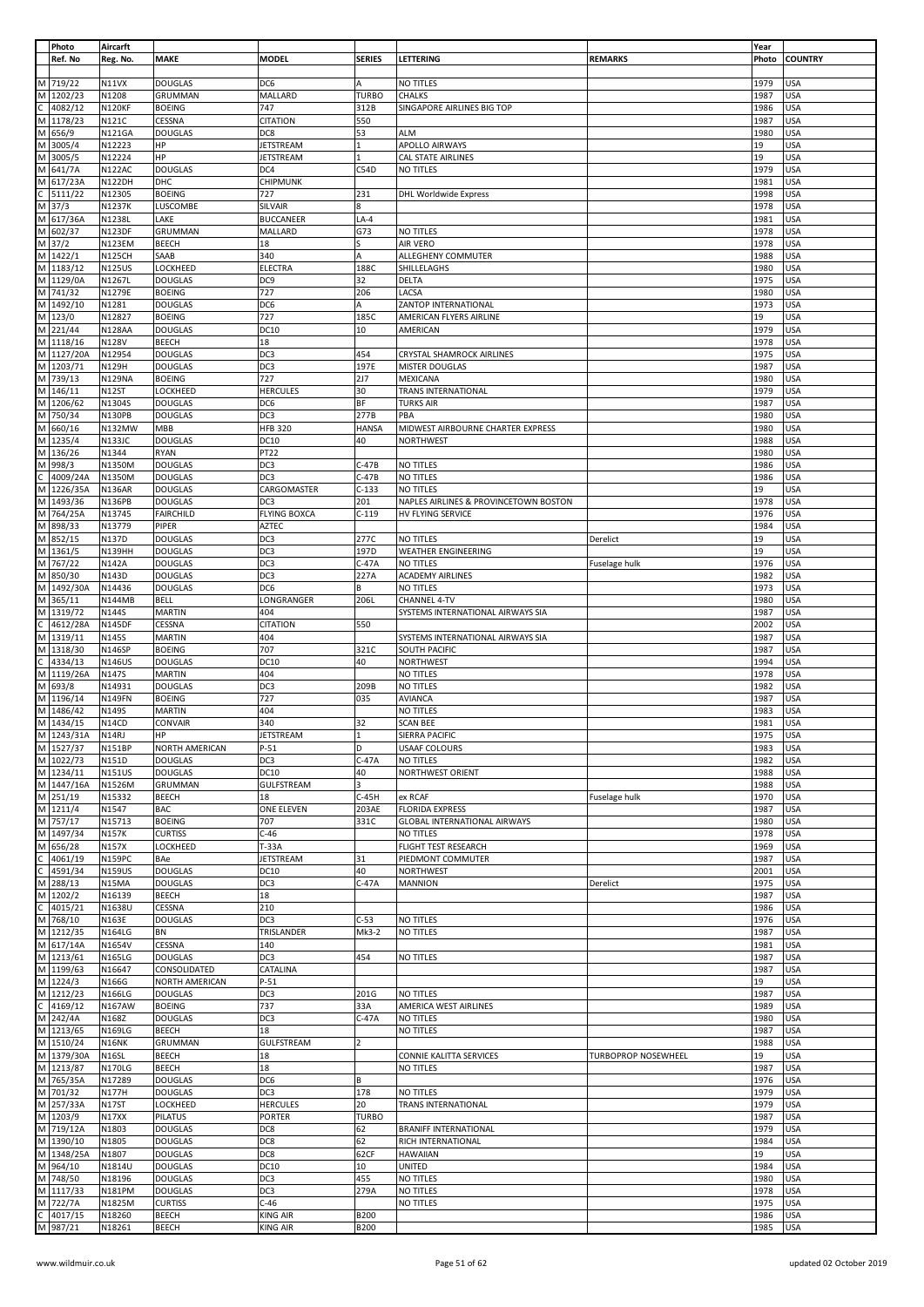|        | Photo                  | Aircarft               |                                |                                    |                |                                                   |                            | Year         |                   |
|--------|------------------------|------------------------|--------------------------------|------------------------------------|----------------|---------------------------------------------------|----------------------------|--------------|-------------------|
|        | Ref. No                | Reg. No.               | <b>MAKE</b>                    | <b>MODEL</b>                       | <b>SERIES</b>  | LETTERING                                         | <b>REMARKS</b>             | Photo        | <b>COUNTRY</b>    |
|        |                        |                        |                                |                                    |                |                                                   |                            |              |                   |
|        | M 719/22               | N11VX                  | <b>DOUGLAS</b>                 | DC6                                | Α              | <b>NO TITLES</b>                                  |                            | 1979         | <b>USA</b>        |
| M      | 1202/23                | N1208                  | GRUMMAN                        | MALLARD                            | <b>TURBO</b>   | <b>CHALKS</b>                                     |                            | 1987         | <b>USA</b>        |
| C      | 4082/12                | <b>N120KF</b>          | <b>BOEING</b>                  | 747                                | 312B           | SINGAPORE AIRLINES BIG TOP                        |                            | 1986         | <b>USA</b>        |
| M      | 1178/23                | N121C                  | CESSNA                         | <b>CITATION</b>                    | 550            |                                                   |                            | 1987         | <b>USA</b>        |
| M      | 656/9                  | <b>N121GA</b>          | <b>DOUGLAS</b>                 | DC8                                | 53             | <b>ALM</b>                                        |                            | 1980         | <b>USA</b>        |
| M      | 3005/4                 | N12223                 | HP                             | JETSTREAM                          | 1              | APOLLO AIRWAYS                                    |                            | 19           | <b>USA</b>        |
| M      | 3005/5                 | N12224                 | HP                             | <b>JETSTREAM</b>                   |                | CAL STATE AIRLINES                                |                            | 19           | USA               |
| M      | 641/7A                 | <b>N122AC</b>          | <b>DOUGLAS</b>                 | DC4                                | C54D           | NO TITLES                                         |                            | 1979         | <b>USA</b>        |
| M      | 617/23A<br>5111/22     | <b>N122DH</b>          | DHC                            | CHIPMUNK<br>727                    | 231            | DHL Worldwide Express                             |                            | 1981         | <b>USA</b><br>USA |
| M      |                        | N12305<br>N1237K       | <b>BOEING</b>                  |                                    | 8              |                                                   |                            | 1998         | USA               |
|        | 37/3<br>M 617/36A      | N1238L                 | LUSCOMBE<br>LAKE               | <b>SILVAIR</b><br><b>BUCCANEER</b> | $LA-4$         |                                                   |                            | 1978<br>1981 | USA               |
| M      | 602/37                 | <b>N123DF</b>          | GRUMMAN                        | MALLARD                            | G73            | NO TITLES                                         |                            | 1978         | USA               |
|        | M 37/2                 | <b>N123EM</b>          | <b>BEECH</b>                   | 18                                 | S              | AIR VERO                                          |                            | 1978         | USA               |
|        | M 1422/1               | <b>N125CH</b>          | SAAB                           | 340                                | Α              | ALLEGHENY COMMUTER                                |                            | 1988         | USA               |
| M      | 1183/12                | <b>N125US</b>          | LOCKHEED                       | <b>ELECTRA</b>                     | 188C           | SHILLELAGHS                                       |                            | 1980         | <b>USA</b>        |
|        | M 1129/0A              | N1267L                 | <b>DOUGLAS</b>                 | DC <sub>9</sub>                    | 32             | DELTA                                             |                            | 1975         | <b>USA</b>        |
|        | M 741/32               | N1279E                 | <b>BOEING</b>                  | 727                                | 206            | LACSA                                             |                            | 1980         | <b>USA</b>        |
| M      | 1492/10                | N1281                  | <b>DOUGLAS</b>                 | DC6                                | A              | ZANTOP INTERNATIONAL                              |                            | 1973         | <b>USA</b>        |
|        | M 123/0                | N12827                 | <b>BOEING</b>                  | 727                                | 185C           | AMERICAN FLYERS AIRLINE                           |                            | 19           | USA               |
|        | M 221/44               | <b>N128AA</b>          | <b>DOUGLAS</b>                 | DC10                               | 10             | AMERICAN                                          |                            | 1979         | USA               |
|        | M 1118/16              | <b>N128V</b>           | <b>BEECH</b>                   | 18                                 |                |                                                   |                            | 1978         | <b>USA</b>        |
|        | M 1127/20A             | N12954                 | <b>DOUGLAS</b>                 | DC3                                | 454            | <b>CRYSTAL SHAMROCK AIRLINES</b>                  |                            | 1975         | USA               |
| M      | 1203/71                | N129H                  | <b>DOUGLAS</b>                 | DC3                                | 197E           | <b>MISTER DOUGLAS</b>                             |                            | 1987         | USA               |
|        | M 739/13               | <b>N129NA</b>          | <b>BOEING</b>                  | 727                                | 2J7            | <b>MEXICANA</b>                                   |                            | 1980         | <b>USA</b>        |
|        | M 146/11               | <b>N12ST</b>           | LOCKHEED                       | <b>HERCULES</b>                    | 30             | TRANS INTERNATIONAL                               |                            | 1979         | <b>USA</b>        |
| M      | 1206/62                | N1304S                 | <b>DOUGLAS</b>                 | DC <sub>6</sub>                    | ΒF             | <b>TURKS AIR</b>                                  |                            | 1987         | USA               |
|        | M 750/34               | <b>N130PB</b>          | <b>DOUGLAS</b>                 | DC3                                | 277B           | PBA                                               |                            | 1980         | USA               |
|        | M 660/16               | <b>N132MW</b>          | MBB                            | <b>HFB 320</b>                     | <b>HANSA</b>   | MIDWEST AIRBOURNE CHARTER EXPRESS                 |                            | 1980         | USA               |
| M      | 1235/4                 | <b>N133JC</b>          | <b>DOUGLAS</b>                 | <b>DC10</b>                        | 40             | <b>NORTHWEST</b>                                  |                            | 1988         | USA               |
|        | M 136/26               | N1344                  | <b>RYAN</b>                    | <b>PT22</b>                        |                |                                                   |                            | 1980         | <b>USA</b>        |
| M      | 998/3                  | N1350M                 | <b>DOUGLAS</b>                 | DC3                                | $C-47B$        | NO TITLES                                         |                            | 1986         | <b>USA</b>        |
|        | 4009/24A               | N1350M                 | <b>DOUGLAS</b>                 | DC3                                | $C-47B$        | NO TITLES                                         |                            | 1986         | <b>USA</b>        |
| M      | 1226/35A               | <b>N136AR</b>          | <b>DOUGLAS</b>                 | CARGOMASTER                        | $C-133$        | NO TITLES                                         |                            | 19           | <b>USA</b>        |
| M      | 1493/36                | <b>N136PB</b>          | <b>DOUGLAS</b>                 | DC3                                | 201            | NAPLES AIRLINES & PROVINCETOWN BOSTON             |                            | 1978         | USA               |
| M      | 764/25A                | N13745                 | <b>FAIRCHILD</b>               | <b>FLYING BOXCA</b>                | $C-119$        | HV FLYING SERVICE                                 |                            | 1976         | USA               |
| M      | 898/33                 | N13779                 | PIPER                          | AZTEC                              |                |                                                   |                            | 1984         | <b>USA</b>        |
| M      | 852/15                 | N137D                  | <b>DOUGLAS</b>                 | DC3                                | 277C           | NO TITLES                                         | Derelict                   | 19           | <b>USA</b>        |
|        | M 1361/5               | <b>N139HH</b>          | <b>DOUGLAS</b>                 | DC3                                | 197D           | WEATHER ENGINEERING                               |                            | 19           | <b>USA</b>        |
| M      | 767/22                 | <b>N142A</b>           | <b>DOUGLAS</b>                 | DC3                                | $C-47A$        | NO TITLES                                         | Fuselage hulk              | 1976         | <b>USA</b>        |
| M      | 850/30                 | N143D                  | <b>DOUGLAS</b>                 | DC3                                | 227A           | <b>ACADEMY AIRLINES</b>                           |                            | 1982         | <b>USA</b>        |
| M      | 1492/30A               | N14436                 | <b>DOUGLAS</b>                 | DC6                                | В              | NO TITLES                                         |                            | 1973         | <b>USA</b>        |
| M<br>M | 365/11<br>1319/72      | <b>N144MB</b><br>N144S | <b>BELL</b><br><b>MARTIN</b>   | LONGRANGER<br>404                  | 206L           | CHANNEL 4-TV<br>SYSTEMS INTERNATIONAL AIRWAYS SIA |                            | 1980<br>1987 | USA<br>USA        |
| C      | 4612/28A               | <b>N145DF</b>          | CESSNA                         | <b>CITATION</b>                    | 550            |                                                   |                            | 2002         | <b>USA</b>        |
| M      | 1319/11                | N145S                  | <b>MARTIN</b>                  | 404                                |                | SYSTEMS INTERNATIONAL AIRWAYS SIA                 |                            | 1987         | USA               |
| M      | 1318/30                | <b>N146SP</b>          | <b>BOEING</b>                  | 707                                | 321C           | SOUTH PACIFIC                                     |                            | 1987         | <b>USA</b>        |
| C      | 4334/13                | <b>N146US</b>          | <b>DOUGLAS</b>                 | <b>DC10</b>                        | 40             | NORTHWEST                                         |                            | 1994         | <b>USA</b>        |
| M      | 1119/26A               | N147S                  | <b>MARTIN</b>                  | 404                                |                | NO TITLES                                         |                            | 1978         | USA               |
| M      | 693/8                  | N14931                 | <b>DOUGLAS</b>                 | DC3                                | 209B           | NO TITLES                                         |                            | 1982         | USA               |
| M      | 1196/14                | <b>N149FN</b>          | <b>BOEING</b>                  | 727                                | 035            | <b>AVIANCA</b>                                    |                            | 1987         | USA               |
| M      | 1486/42                | N149S                  | <b>MARTIN</b>                  | 404                                |                | NO TITLES                                         |                            | 1983         | USA               |
|        | M 1434/15              | N14CD                  | CONVAIR                        | 340                                | 32             | <b>SCAN BEE</b>                                   |                            | 1981         | <b>USA</b>        |
|        | M 1243/31A             | N14RJ                  | HP                             | <b>JETSTREAM</b>                   | $\mathbf{1}$   | <b>SIERRA PACIFIC</b>                             |                            | 1975         | <b>USA</b>        |
|        | M 1527/37              | <b>N151BP</b>          | NORTH AMERICAN                 | $P-51$                             | D              | <b>USAAF COLOURS</b>                              |                            | 1983         | <b>USA</b>        |
|        | M 1022/73              | N151D                  | <b>DOUGLAS</b>                 | DC <sub>3</sub>                    | $C-47A$        | <b>NO TITLES</b>                                  |                            | 1982         | <b>USA</b>        |
|        | M 1234/11              | <b>N151US</b>          | <b>DOUGLAS</b>                 | <b>DC10</b>                        | 40             | NORTHWEST ORIENT                                  |                            | 1988         | USA               |
|        | M 1447/16A             | N1526M                 | GRUMMAN                        | GULFSTREAM                         | $\overline{3}$ |                                                   |                            | 1988         | USA               |
|        | M 251/19               | N15332                 | <b>BEECH</b>                   | 18                                 | $C-45H$        | ex RCAF                                           | Fuselage hulk              | 1970         | <b>USA</b>        |
|        | M 1211/4               | N1547                  | <b>BAC</b>                     | ONE ELEVEN                         | 203AE          | <b>FLORIDA EXPRESS</b>                            |                            | 1987         | USA               |
|        | M 757/17               | N15713                 | <b>BOEING</b>                  | 707                                | 331C           | <b>GLOBAL INTERNATIONAL AIRWAYS</b>               |                            | 1980         | USA               |
|        | M 1497/34              | <b>N157K</b>           | <b>CURTISS</b>                 | $C-46$                             |                | NO TITLES                                         |                            | 1978         | <b>USA</b>        |
| M      | 656/28                 | N157X                  | LOCKHEED                       | $T-33A$                            |                | FLIGHT TEST RESEARCH                              |                            | 1969         | USA               |
| C      | 4061/19                | <b>N159PC</b>          | BAe                            | <b>JETSTREAM</b>                   | 31             | PIEDMONT COMMUTER                                 |                            | 1987         | <b>USA</b>        |
| C      | 4591/34                | <b>N159US</b>          | <b>DOUGLAS</b>                 | <b>DC10</b>                        | 40             | NORTHWEST                                         |                            | 2001         | <b>USA</b>        |
| M      | 288/13                 | N15MA                  | <b>DOUGLAS</b>                 | DC3                                | $C-47A$        | <b>MANNION</b>                                    | Derelict                   | 1975         | <b>USA</b>        |
|        | M 1202/2               | N16139                 | <b>BEECH</b>                   | 18                                 |                |                                                   |                            | 1987         | USA               |
| С      | 4015/21                | N1638U                 | CESSNA                         | 210                                |                |                                                   |                            | 1986         | USA               |
| M      | 768/10                 | N163E                  | <b>DOUGLAS</b>                 | DC3                                | $C-53$         | NO TITLES                                         |                            | 1976         | <b>USA</b>        |
|        | M 1212/35              | <b>N164LG</b>          | <b>BN</b>                      | TRISLANDER                         | Mk3-2          | NO TITLES                                         |                            | 1987         | <b>USA</b>        |
|        | M 617/14A              | N1654V                 | CESSNA                         | 140                                |                |                                                   |                            | 1981         | <b>USA</b>        |
|        | M 1213/61<br>M 1199/63 | N165LG                 | <b>DOUGLAS</b>                 | DC3                                | 454            | NO TITLES                                         |                            | 1987         | USA               |
|        | M 1224/3               | N16647<br>N166G        | CONSOLIDATED<br>NORTH AMERICAN | CATALINA<br>$P-51$                 |                |                                                   |                            | 1987<br>19   | <b>USA</b><br>USA |
|        | M 1212/23              | <b>N166LG</b>          | <b>DOUGLAS</b>                 | DC3                                | 201G           | NO TITLES                                         |                            | 1987         | <b>USA</b>        |
| C      | 4169/12                | <b>N167AW</b>          | <b>BOEING</b>                  | 737                                | 33A            | AMERICA WEST AIRLINES                             |                            | 1989         | USA               |
|        | M 242/4A               | N168Z                  | <b>DOUGLAS</b>                 | DC3                                | $C-47A$        | <b>NO TITLES</b>                                  |                            | 1980         | USA               |
|        | M 1213/65              | <b>N169LG</b>          | <b>BEECH</b>                   | 18                                 |                | <b>NO TITLES</b>                                  |                            | 1987         | <b>USA</b>        |
|        | M 1510/24              | <b>N16NK</b>           | GRUMMAN                        | <b>GULFSTREAM</b>                  | $\overline{2}$ |                                                   |                            | 1988         | <b>USA</b>        |
|        | M 1379/30A             | <b>N16SL</b>           | <b>BEECH</b>                   | 18                                 |                | CONNIE KALITTA SERVICES                           | <b>TURBOPROP NOSEWHEEL</b> | 19           | USA               |
|        | M 1213/87              | <b>N170LG</b>          | <b>BEECH</b>                   | 18                                 |                | NO TITLES                                         |                            | 1987         | <b>USA</b>        |
|        | M 765/35A              | N17289                 | <b>DOUGLAS</b>                 | DC6                                | B              |                                                   |                            | 1976         | <b>USA</b>        |
| M      | 701/32                 | N177H                  | <b>DOUGLAS</b>                 | DC3                                | 178            | NO TITLES                                         |                            | 1979         | <b>USA</b>        |
|        | M 257/33A              | <b>N17ST</b>           | LOCKHEED                       | <b>HERCULES</b>                    | 20             | TRANS INTERNATIONAL                               |                            | 1979         | <b>USA</b>        |
|        | M 1203/9               | <b>N17XX</b>           | <b>PILATUS</b>                 | <b>PORTER</b>                      | <b>TURBO</b>   |                                                   |                            | 1987         | USA               |
|        | M 719/12A              | N1803                  | <b>DOUGLAS</b>                 | DC8                                | 62             | <b>BRANIFF INTERNATIONAL</b>                      |                            | 1979         | <b>USA</b>        |
|        | M 1390/10              | N1805                  | <b>DOUGLAS</b>                 | DC8                                | 62             | RICH INTERNATIONAL                                |                            | 1984         | <b>USA</b>        |
|        | M 1348/25A             | N1807                  | <b>DOUGLAS</b>                 | DC8                                | 62CF           | <b>HAWAIIAN</b>                                   |                            | 19           | USA               |
|        | M 964/10               | N1814U                 | <b>DOUGLAS</b>                 | <b>DC10</b>                        | 10             | <b>UNITED</b>                                     |                            | 1984         | <b>USA</b>        |
|        | M 748/50               | N18196                 | <b>DOUGLAS</b>                 | DC3                                | 455            | NO TITLES                                         |                            | 1980         | <b>USA</b>        |
|        | M 1117/33              | <b>N181PM</b>          | <b>DOUGLAS</b>                 | DC3                                | 279A           | NO TITLES                                         |                            | 1978         | USA               |
|        | M 722/7A               | N1825M                 | <b>CURTISS</b>                 | $C-46$                             |                | NO TITLES                                         |                            | 1975         | <b>USA</b>        |
| C      | 4017/15                | N18260                 | <b>BEECH</b>                   | <b>KING AIR</b>                    | <b>B200</b>    |                                                   |                            | 1986         | <b>USA</b>        |
|        | M 987/21               | N18261                 | <b>BEECH</b>                   | <b>KING AIR</b>                    | <b>B200</b>    |                                                   |                            | 1985         | <b>USA</b>        |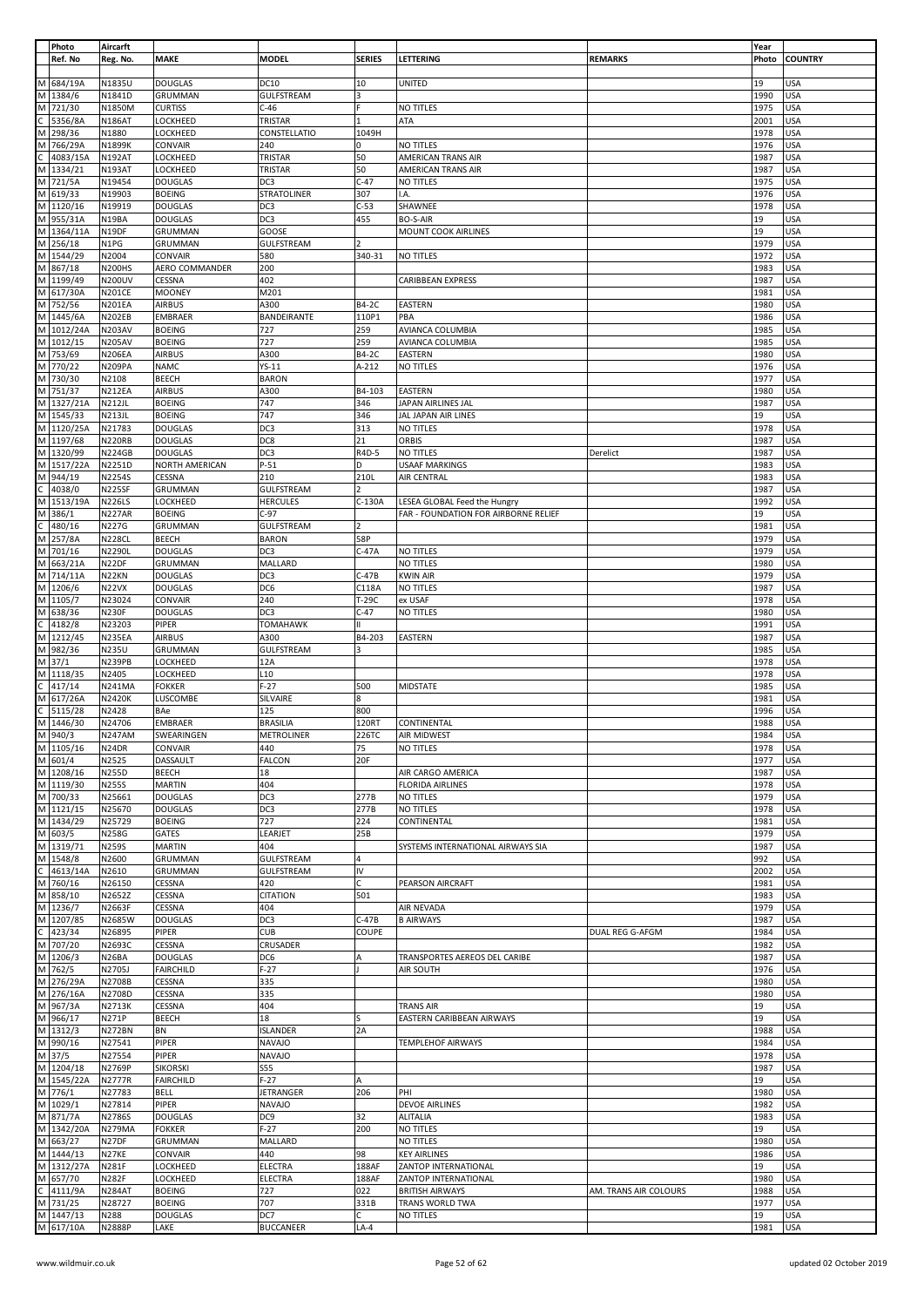|              | Photo                 | Aircarft               |                         |                                |                |                                      |                       | Year         |                          |
|--------------|-----------------------|------------------------|-------------------------|--------------------------------|----------------|--------------------------------------|-----------------------|--------------|--------------------------|
|              | Ref. No               | Reg. No.               | <b>MAKE</b>             | <b>MODEL</b>                   | <b>SERIES</b>  | LETTERING                            | <b>REMARKS</b>        | Photo        | <b>COUNTRY</b>           |
|              |                       |                        |                         |                                |                |                                      |                       |              |                          |
|              | M 684/19A             | N1835U                 | <b>DOUGLAS</b>          | <b>DC10</b>                    | 10             | <b>UNITED</b>                        |                       | 19           | <b>USA</b>               |
| M            | 1384/6                | N1841D                 | <b>GRUMMAN</b>          | GULFSTREAM                     | 3              |                                      |                       | 1990         | <b>USA</b>               |
|              | M 721/30              | N1850M                 | <b>CURTISS</b>          | $C-46$                         |                | NO TITLES                            |                       | 1975         | <b>USA</b>               |
|              | 5356/8A               | <b>N186AT</b>          | LOCKHEED                | TRISTAR                        |                | ATA                                  |                       | 2001         | <b>USA</b>               |
| M            | 298/36                | N1880                  | LOCKHEED                | CONSTELLATIO                   | 1049H          |                                      |                       | 1978         | <b>USA</b>               |
| M            | 766/29A               | N1899K                 | CONVAIR                 | 240                            | 0              | NO TITLES                            |                       | 1976         | <b>USA</b>               |
|              | 4083/15A              | <b>N192AT</b>          | LOCKHEED                | TRISTAR                        | 50             | AMERICAN TRANS AIR                   |                       | 1987         | <b>USA</b>               |
| M            | 1334/21               | <b>N193AT</b>          | LOCKHEED                | TRISTAR                        | 50             | AMERICAN TRANS AIR                   |                       | 1987         | <b>USA</b>               |
|              | M 721/5A              | N19454                 | <b>DOUGLAS</b>          | DC3                            | $C-47$         | NO TITLES                            |                       | 1975         | <b>USA</b>               |
| M            | 619/33                | N19903                 | <b>BOEING</b>           | STRATOLINER                    | 307            | I.A.                                 |                       | 1976         | USA                      |
| M            | 1120/16               | N19919                 | <b>DOUGLAS</b>          | DC3                            | $C-53$         | SHAWNEE                              |                       | 1978         | <b>USA</b>               |
| M            | 955/31A               | N19BA                  | <b>DOUGLAS</b>          | DC3                            | 455            | <b>BO-S-AIR</b>                      |                       | 19           | <b>USA</b>               |
| M            | 1364/11A              | N19DF                  | GRUMMAN                 | GOOSE                          |                | MOUNT COOK AIRLINES                  |                       | 19           | USA                      |
| M            | 256/18<br>M 1544/29   | N1PG<br>N2004          | GRUMMAN<br>CONVAIR      | GULFSTREAM<br>580              | 340-31         | NO TITLES                            |                       | 1979<br>1972 | <b>USA</b><br><b>USA</b> |
| M            | 867/18                | <b>N200HS</b>          | AERO COMMANDER          | 200                            |                |                                      |                       | 1983         | <b>USA</b>               |
|              | M 1199/49             | <b>N200UV</b>          | CESSNA                  | 402                            |                | CARIBBEAN EXPRESS                    |                       | 1987         | <b>USA</b>               |
|              | M 617/30A             | <b>N201CE</b>          | <b>MOONEY</b>           | M201                           |                |                                      |                       | 1981         | <b>USA</b>               |
| M            | 752/56                | <b>N201EA</b>          | <b>AIRBUS</b>           | A300                           | B4-2C          | EASTERN                              |                       | 1980         | <b>USA</b>               |
|              | M 1445/6A             | <b>N202EB</b>          | <b>EMBRAER</b>          | BANDEIRANTE                    | 110P1          | PBA                                  |                       | 1986         | <b>USA</b>               |
| M            | 1012/24A              | <b>N203AV</b>          | <b>BOEING</b>           | 727                            | 259            | AVIANCA COLUMBIA                     |                       | 1985         | <b>USA</b>               |
| M            | 1012/15               | <b>N205AV</b>          | <b>BOEING</b>           | 727                            | 259            | AVIANCA COLUMBIA                     |                       | 1985         | <b>USA</b>               |
| M            | 753/69                | <b>N206EA</b>          | <b>AIRBUS</b>           | A300                           | B4-2C          | EASTERN                              |                       | 1980         | <b>USA</b>               |
| M            | 770/22                | <b>N209PA</b>          | <b>NAMC</b>             | $YS-11$                        | A-212          | NO TITLES                            |                       | 1976         | <b>USA</b>               |
|              | M 730/30              | N2108                  | <b>BEECH</b>            | <b>BARON</b>                   |                |                                      |                       | 1977         | <b>USA</b>               |
|              | M 751/37              | <b>N212EA</b>          | <b>AIRBUS</b>           | A300                           | B4-103         | EASTERN                              |                       | 1980         | <b>USA</b>               |
| M            | 1327/21A              | <b>N212JL</b>          | <b>BOEING</b>           | 747                            | 346            | JAPAN AIRLINES JAL                   |                       | 1987         | <b>USA</b>               |
|              | M 1545/33             | <b>N213JL</b>          | <b>BOEING</b>           | 747                            | 346            | JAL JAPAN AIR LINES                  |                       | 19           | <b>USA</b>               |
|              | M 1120/25A            | N21783                 | <b>DOUGLAS</b>          | DC3                            | 313            | NO TITLES                            |                       | 1978         | <b>USA</b>               |
| M            | 1197/68               | <b>N220RB</b>          | <b>DOUGLAS</b>          | DC8                            | 21             | ORBIS                                |                       | 1987         | <b>USA</b>               |
|              | M 1320/99             | <b>N224GB</b>          | <b>DOUGLAS</b>          | DC3                            | R4D-5          | NO TITLES                            | Derelict              | 1987         | <b>USA</b>               |
|              | M 1517/22A            | N2251D                 | NORTH AMERICAN          | $P-51$                         | D              | <b>USAAF MARKINGS</b>                |                       | 1983         | <b>USA</b>               |
| M            | 944/19                | N2254S                 | CESSNA                  | 210                            | 210L           | AIR CENTRAL                          |                       | 1983         | <b>USA</b>               |
| C            | 4038/0                | <b>N225SF</b>          | GRUMMAN                 | GULFSTREAM                     | $\overline{2}$ |                                      |                       | 1987         | <b>USA</b>               |
| М            | 1513/19A              | <b>N226LS</b>          | LOCKHEED                | <b>HERCULES</b>                | $C-130A$       | LESEA GLOBAL Feed the Hungry         |                       | 1992         | <b>USA</b>               |
| M            | 386/1                 | <b>N227AR</b>          | <b>BOEING</b>           | $C-97$                         |                | FAR - FOUNDATION FOR AIRBORNE RELIEF |                       | 19           | <b>USA</b>               |
| С            | 480/16                | N227G                  | GRUMMAN                 | GULFSTREAM                     |                |                                      |                       | 1981         | <b>USA</b>               |
| M            | 257/8A                | <b>N228CL</b>          | <b>BEECH</b>            | <b>BARON</b>                   | 58P            |                                      |                       | 1979         | <b>USA</b>               |
| M            | 701/16                | N2290L                 | <b>DOUGLAS</b>          | DC3                            | $C-47A$        | NO TITLES                            |                       | 1979         | <b>USA</b>               |
| М            | 663/21A               | N22DF                  | GRUMMAN                 | MALLARD                        |                | NO TITLES                            |                       | 1980         | <b>USA</b>               |
| M            | 714/11A               | N22KN                  | <b>DOUGLAS</b>          | DC3                            | $C-47B$        | <b>KWIN AIR</b>                      |                       | 1979         | <b>USA</b>               |
|              | M 1206/6              | N22VX                  | <b>DOUGLAS</b>          | DC6                            | C118A          | NO TITLES                            |                       | 1987         | <b>USA</b>               |
|              | M 1105/7              | N23024                 | CONVAIR                 | 240                            | T-29C          | ex USAF                              |                       | 1978         | <b>USA</b>               |
| M            | 638/36<br>4182/8      | <b>N230F</b><br>N23203 | <b>DOUGLAS</b><br>PIPER | DC3<br><b>TOMAHAWK</b>         | $C-47$         | NO TITLES                            |                       | 1980<br>1991 | <b>USA</b><br><b>USA</b> |
| M            | 1212/45               | <b>N235EA</b>          | <b>AIRBUS</b>           | A300                           | B4-203         | EASTERN                              |                       | 1987         | <b>USA</b>               |
| М            | 982/36                | N235U                  | GRUMMAN                 | <b>GULFSTREAM</b>              | 3              |                                      |                       | 1985         | <b>USA</b>               |
| М            | 37/1                  | <b>N239PB</b>          | LOCKHEED                | 12A                            |                |                                      |                       | 1978         | <b>USA</b>               |
|              | M 1118/35             | N2405                  | LOCKHEED                | L10                            |                |                                      |                       | 1978         | <b>USA</b>               |
| C            | 417/14                | <b>N241MA</b>          | <b>FOKKER</b>           | $F-27$                         | 500            | MIDSTATE                             |                       | 1985         | <b>USA</b>               |
| М            | 617/26A               | <b>N2420K</b>          | LUSCOMBE                | SILVAIRE                       | 8              |                                      |                       | 1981         | <b>USA</b>               |
|              | 5115/28               | N2428                  | BAe                     | 125                            | 800            |                                      |                       | 1996         | <b>USA</b>               |
|              | M 1446/30             | N24706                 | <b>EMBRAER</b>          | <b>BRASILIA</b>                | 120RT          | CONTINENTAL                          |                       | 1988         | <b>USA</b>               |
|              | M 940/3               | <b>N247AM</b>          | SWEARINGEN              | <b>METROLINER</b>              | 226TC          | <b>AIR MIDWEST</b>                   |                       | 1984         | <b>USA</b>               |
|              | M 1105/16             | N24DR                  | CONVAIR                 | 440                            | 75             | <b>NO TITLES</b>                     |                       | 1978         | <b>USA</b>               |
|              | M 601/4               | N2525                  | DASSAULT                | <b>FALCON</b>                  | 20F            |                                      |                       | 1977         | <b>USA</b>               |
|              | M 1208/16             | N255D                  | <b>BEECH</b>            | 18                             |                | AIR CARGO AMERICA                    |                       | 1987         | <b>USA</b>               |
|              | M 1119/30             | <b>N255S</b>           | <b>MARTIN</b>           | 404                            |                | <b>FLORIDA AIRLINES</b>              |                       | 1978         | <b>USA</b>               |
|              | M 700/33<br>M 1121/15 | N25661                 | <b>DOUGLAS</b>          | DC3                            | 277B           | NO TITLES                            |                       | 1979         | <b>USA</b>               |
|              | M 1434/29             | N25670                 | <b>DOUGLAS</b>          | DC3                            | 277B           | NO TITLES                            |                       | 1978         | <b>USA</b><br><b>USA</b> |
|              | M 603/5               | N25729<br>N258G        | <b>BOEING</b>           | 727<br>LEARJET                 | 224<br>25B     | CONTINENTAL                          |                       | 1981<br>1979 | <b>USA</b>               |
|              | M 1319/71             | <b>N259S</b>           | GATES<br><b>MARTIN</b>  | 404                            |                | SYSTEMS INTERNATIONAL AIRWAYS SIA    |                       | 1987         | <b>USA</b>               |
|              | M 1548/8              | N2600                  | GRUMMAN                 | <b>GULFSTREAM</b>              | 4              |                                      |                       | 992          | <b>USA</b>               |
| С            | 4613/14A              | N2610                  | GRUMMAN                 | GULFSTREAM                     | IV             |                                      |                       | 2002         | <b>USA</b>               |
| M            | 760/16                | N26150                 | CESSNA                  | 420                            | C              | PEARSON AIRCRAFT                     |                       | 1981         | <b>USA</b>               |
|              | M 858/10              | N2652Z                 | CESSNA                  | <b>CITATION</b>                | 501            |                                      |                       | 1983         | <b>USA</b>               |
|              | M 1236/7              | N2663F                 | CESSNA                  | 404                            |                | AIR NEVADA                           |                       | 1979         | <b>USA</b>               |
|              | M 1207/85             | N2685W                 | <b>DOUGLAS</b>          | DC3                            | $C-47B$        | <b>B AIRWAYS</b>                     |                       | 1987         | <b>USA</b>               |
| $\mathsf{C}$ | 423/34                | N26895                 | <b>PIPER</b>            | <b>CUB</b>                     | COUPE          |                                      | DUAL REG G-AFGM       | 1984         | <b>USA</b>               |
|              | M 707/20              | N2693C                 | CESSNA                  | CRUSADER                       |                |                                      |                       | 1982         | <b>USA</b>               |
|              | M 1206/3              | N <sub>26</sub> BA     | <b>DOUGLAS</b>          | DC6                            |                | TRANSPORTES AEREOS DEL CARIBE        |                       | 1987         | <b>USA</b>               |
|              | M 762/5               | N2705J                 | <b>FAIRCHILD</b>        | $F-27$                         |                | AIR SOUTH                            |                       | 1976         | <b>USA</b>               |
|              | M 276/29A             | N2708B                 | CESSNA                  | 335                            |                |                                      |                       | 1980         | <b>USA</b>               |
|              | M 276/16A             | N2708D                 | CESSNA                  | 335                            |                |                                      |                       | 1980         | <b>USA</b>               |
|              | M 967/3A              | N2713K                 | CESSNA                  | 404                            |                | <b>TRANS AIR</b>                     |                       | 19           | <b>USA</b>               |
|              | M 966/17              | N271P                  | <b>BEECH</b>            | 18                             |                | EASTERN CARIBBEAN AIRWAYS            |                       | 19           | <b>USA</b>               |
|              | M 1312/3<br>M 990/16  | <b>N272BN</b>          | BN                      | <b>ISLANDER</b>                | 2A             |                                      |                       | 1988         | <b>USA</b><br><b>USA</b> |
|              | M 37/5                | N27541<br>N27554       | PIPER<br>PIPER          | <b>NAVAJO</b><br><b>NAVAJO</b> |                | <b>TEMPLEHOF AIRWAYS</b>             |                       | 1984<br>1978 | <b>USA</b>               |
|              | M 1204/18             | N2769P                 | <b>SIKORSKI</b>         | S55                            |                |                                      |                       | 1987         | <b>USA</b>               |
|              | M 1545/22A            | N2777R                 | <b>FAIRCHILD</b>        | $F-27$                         | Α              |                                      |                       | 19           | <b>USA</b>               |
|              | M 776/1               | N27783                 | <b>BELL</b>             | JETRANGER                      | 206            | PHI                                  |                       | 1980         | <b>USA</b>               |
|              | M 1029/1              | N27814                 | PIPER                   | <b>NAVAJO</b>                  |                | <b>DEVOE AIRLINES</b>                |                       | 1982         | <b>USA</b>               |
|              | M 871/7A              | N2786S                 | <b>DOUGLAS</b>          | DC9                            | 32             | <b>ALITALIA</b>                      |                       | 1983         | <b>USA</b>               |
|              | M 1342/20A            | <b>N279MA</b>          | <b>FOKKER</b>           | $F-27$                         | 200            | NO TITLES                            |                       | 19           | <b>USA</b>               |
|              | M 663/27              | N27DF                  | <b>GRUMMAN</b>          | MALLARD                        |                | NO TITLES                            |                       | 1980         | <b>USA</b>               |
|              | M 1444/13             | N27KE                  | CONVAIR                 | 440                            | 98             | <b>KEY AIRLINES</b>                  |                       | 1986         | <b>USA</b>               |
|              | M 1312/27A            | N281F                  | LOCKHEED                | ELECTRA                        | 188AF          | ZANTOP INTERNATIONAL                 |                       | 19           | <b>USA</b>               |
|              | M 657/70              | <b>N282F</b>           | LOCKHEED                | <b>ELECTRA</b>                 | 188AF          | ZANTOP INTERNATIONAL                 |                       | 1980         | <b>USA</b>               |
|              | 4111/9A               | <b>N284AT</b>          | <b>BOEING</b>           | 727                            | 022            | <b>BRITISH AIRWAYS</b>               | AM. TRANS AIR COLOURS | 1988         | <b>USA</b>               |
|              | M 731/25              | N28727                 | <b>BOEING</b>           | 707                            | 331B           | TRANS WORLD TWA                      |                       | 1977         | <b>USA</b>               |
|              | M 1447/13             | N288                   | <b>DOUGLAS</b>          | DC7                            | C              | NO TITLES                            |                       | 19           | <b>USA</b>               |
|              | M 617/10A             | N2888P                 | LAKE                    | <b>BUCCANEER</b>               | $LA-4$         |                                      |                       | 1981         | USA                      |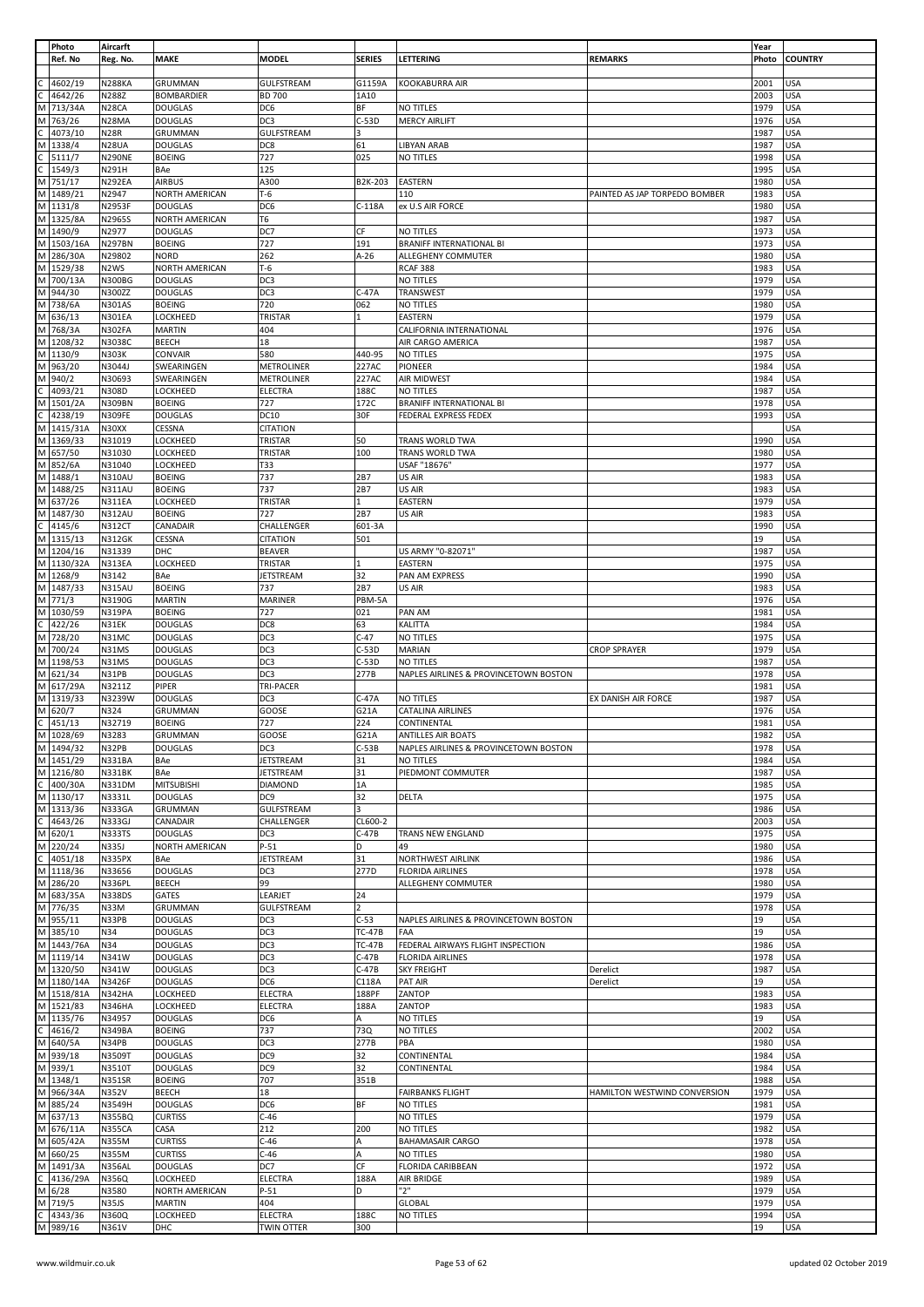|              | Photo                   | Aircarft                       |                                  |                                     |                               |                                               |                               | Year         |                          |
|--------------|-------------------------|--------------------------------|----------------------------------|-------------------------------------|-------------------------------|-----------------------------------------------|-------------------------------|--------------|--------------------------|
|              | Ref. No                 | Reg. No.                       | <b>MAKE</b>                      | <b>MODEL</b>                        | <b>SERIES</b>                 | LETTERING                                     | <b>REMARKS</b>                | Photo        | <b>COUNTRY</b>           |
|              | 4602/19                 | <b>N288KA</b>                  | GRUMMAN                          | <b>GULFSTREAM</b>                   | G1159A                        | KOOKABURRA AIR                                |                               | 2001         | <b>USA</b>               |
| C.           | 4642/26                 | N288Z                          | <b>BOMBARDIER</b>                | <b>BD 700</b>                       | 1A10                          |                                               |                               | 2003         | <b>USA</b>               |
|              | M 713/34A               | N <sub>28</sub> CA             | <b>DOUGLAS</b>                   | DC6                                 | ΒF                            | NO TITLES                                     |                               | 1979         | <b>USA</b>               |
| M            | 763/26                  | N28MA                          | <b>DOUGLAS</b>                   | DC3                                 | $C-53D$                       | <b>MERCY AIRLIFT</b>                          |                               | 1976         | <b>USA</b>               |
| C            | 4073/10                 | <b>N28R</b>                    | GRUMMAN                          | <b>GULFSTREAM</b>                   | 3                             |                                               |                               | 1987         | <b>USA</b>               |
|              | M 1338/4                | N <sub>28UA</sub>              | <b>DOUGLAS</b>                   | DC8                                 | 61                            | <b>LIBYAN ARAB</b>                            |                               | 1987         | <b>USA</b>               |
|              | 5111/7                  | <b>N290NE</b>                  | <b>BOEING</b>                    | 727                                 | 025                           | <b>NO TITLES</b>                              |                               | 1998         | <b>USA</b>               |
| С            | 1549/3                  | N291H                          | <b>BAe</b>                       | 125                                 |                               |                                               |                               | 1995         | <b>USA</b>               |
|              | M 751/17                | <b>N292EA</b>                  | <b>AIRBUS</b>                    | A300                                | B2K-203                       | <b>EASTERN</b>                                |                               | 1980         | <b>USA</b>               |
|              | M 1489/21               | N2947                          | NORTH AMERICAN                   | $T-6$                               |                               | 110                                           | PAINTED AS JAP TORPEDO BOMBER | 1983         | <b>USA</b>               |
|              | M 1131/8                | N2953F                         | <b>DOUGLAS</b>                   | DC6                                 | C-118A                        | ex U.S AIR FORCE                              |                               | 1980         | <b>USA</b>               |
|              | M 1325/8A<br>M 1490/9   | N2965S<br>N2977                | NORTH AMERICAN<br><b>DOUGLAS</b> | T6<br>DC7                           | СF                            | NO TITLES                                     |                               | 1987<br>1973 | <b>USA</b><br><b>USA</b> |
|              | M 1503/16A              | <b>N297BN</b>                  | <b>BOEING</b>                    | 727                                 | 191                           | <b>BRANIFF INTERNATIONAL BI</b>               |                               | 1973         | <b>USA</b>               |
|              | M 286/30A               | N29802                         | <b>NORD</b>                      | 262                                 | A-26                          | ALLEGHENY COMMUTER                            |                               | 1980         | <b>USA</b>               |
|              | M 1529/38               | N <sub>2</sub> WS              | NORTH AMERICAN                   | $T-6$                               |                               | RCAF 388                                      |                               | 1983         | <b>USA</b>               |
|              | M 700/13A               | <b>N300BG</b>                  | <b>DOUGLAS</b>                   | DC3                                 |                               | NO TITLES                                     |                               | 1979         | <b>USA</b>               |
|              | M 944/30                | N300ZZ                         | <b>DOUGLAS</b>                   | DC3                                 | $C-47A$                       | TRANSWEST                                     |                               | 1979         | <b>USA</b>               |
|              | M 738/6A                | <b>N301AS</b>                  | <b>BOEING</b>                    | 720                                 | 062                           | NO TITLES                                     |                               | 1980         | <b>USA</b>               |
|              | M 636/13                | <b>N301EA</b>                  | LOCKHEED                         | TRISTAR                             |                               | EASTERN                                       |                               | 1979         | <b>USA</b>               |
|              | M 768/3A                | <b>N302FA</b>                  | <b>MARTIN</b>                    | 404                                 |                               | CALIFORNIA INTERNATIONAL                      |                               | 1976         | <b>USA</b>               |
|              | M 1208/32               | N3038C                         | <b>BEECH</b>                     | 18                                  |                               | AIR CARGO AMERICA                             |                               | 1987         | <b>USA</b>               |
|              | M 1130/9                | <b>N303K</b>                   | CONVAIR                          | 580                                 | 440-95                        | NO TITLES                                     |                               | 1975         | <b>USA</b>               |
|              | M 963/20                | N3044J                         | SWEARINGEN                       | <b>METROLINER</b>                   | 227AC                         | PIONEER                                       |                               | 1984         | <b>USA</b>               |
| $\mathsf{C}$ | M 940/2<br>4093/21      | N30693<br>N308D                | SWEARINGEN<br>LOCKHEED           | <b>METROLINER</b><br><b>ELECTRA</b> | 227AC<br>188C                 | AIR MIDWEST<br>NO TITLES                      |                               | 1984<br>1987 | <b>USA</b><br><b>USA</b> |
| M            | 1501/2A                 | <b>N309BN</b>                  | <b>BOEING</b>                    | 727                                 | 172C                          | <b>BRANIFF INTERNATIONAL BI</b>               |                               | 1978         | <b>USA</b>               |
| C            | 4238/19                 | <b>N309FE</b>                  | <b>DOUGLAS</b>                   | DC10                                | 30F                           | FEDERAL EXPRESS FEDEX                         |                               | 1993         | <b>USA</b>               |
|              | M 1415/31A              | N30XX                          | CESSNA                           | <b>CITATION</b>                     |                               |                                               |                               |              | <b>USA</b>               |
|              | M 1369/33               | N31019                         | LOCKHEED                         | TRISTAR                             | 50                            | TRANS WORLD TWA                               |                               | 1990         | <b>USA</b>               |
|              | M 657/50                | N31030                         | LOCKHEED                         | TRISTAR                             | 100                           | TRANS WORLD TWA                               |                               | 1980         | <b>USA</b>               |
|              | M 852/6A                | N31040                         | LOCKHEED                         | T33                                 |                               | USAF "18676"                                  |                               | 1977         | <b>USA</b>               |
|              | M 1488/1                | <b>N310AU</b>                  | <b>BOEING</b>                    | 737                                 | 2B7                           | US AIR                                        |                               | 1983         | <b>USA</b>               |
|              | M 1488/25               | <b>N311AU</b>                  | <b>BOEING</b>                    | 737                                 | 2B7                           | US AIR                                        |                               | 1983         | <b>USA</b>               |
|              | M 637/26                | <b>N311EA</b>                  | LOCKHEED                         | TRISTAR                             |                               | EASTERN                                       |                               | 1979         | <b>USA</b>               |
| C            | M 1487/30<br>4145/6     | N312AU<br><b>N312CT</b>        | <b>BOEING</b><br>CANADAIR        | 727<br>CHALLENGER                   | 2B7<br>601-3A                 | US AIR                                        |                               | 1983<br>1990 | <b>USA</b><br><b>USA</b> |
|              | M 1315/13               | <b>N312GK</b>                  | <b>CESSNA</b>                    | <b>CITATION</b>                     | 501                           |                                               |                               | 19           | <b>USA</b>               |
|              | M 1204/16               | N31339                         | DHC                              | <b>BEAVER</b>                       |                               | US ARMY "0-82071"                             |                               | 1987         | <b>USA</b>               |
|              | M 1130/32A              | N313EA                         | LOCKHEED                         | TRISTAR                             |                               | EASTERN                                       |                               | 1975         | <b>USA</b>               |
|              | M 1268/9                | N3142                          | BAe                              | <b>JETSTREAM</b>                    | 32                            | PAN AM EXPRESS                                |                               | 1990         | <b>USA</b>               |
|              | M 1487/33               | N315AU                         | <b>BOEING</b>                    | 737                                 | 2B7                           | US AIR                                        |                               | 1983         | <b>USA</b>               |
|              | M 771/3                 | N3190G                         | <b>MARTIN</b>                    | MARINER                             | PBM-5A                        |                                               |                               | 1976         | <b>USA</b>               |
|              | M 1030/59               | <b>N319PA</b>                  | <b>BOEING</b>                    | 727                                 | 021                           | PAN AM                                        |                               | 1981         | <b>USA</b>               |
| C            | 422/26                  | N31EK                          | <b>DOUGLAS</b>                   | DC8                                 | 63                            | <b>KALITTA</b>                                |                               | 1984         | <b>USA</b>               |
|              | M 728/20                | N31MC                          | <b>DOUGLAS</b>                   | DC3                                 | $C-47$                        | NO TITLES                                     |                               | 1975         | <b>USA</b>               |
|              | M 700/24                | N31MS                          | <b>DOUGLAS</b>                   | DC3                                 | C-53D                         | MARIAN                                        | <b>CROP SPRAYER</b>           | 1979         | <b>USA</b>               |
|              | M 1198/53<br>M 621/34   | N31MS<br>N31PB                 | <b>DOUGLAS</b>                   | DC3<br>DC3                          | $C-53D$<br>277B               | NO TITLES                                     |                               | 1987<br>1978 | <b>USA</b><br><b>USA</b> |
|              | M 617/29A               | N3211Z                         | <b>DOUGLAS</b><br>PIPER          | TRI-PACER                           |                               | NAPLES AIRLINES & PROVINCETOWN BOSTON         |                               | 1981         | <b>USA</b>               |
|              | M 1319/33               | N3239W                         | <b>DOUGLAS</b>                   | DC3                                 | C-47A                         | NO TITLES                                     | EX DANISH AIR FORCE           | 1987         | <b>USA</b>               |
|              | M 620/7                 | N324                           | GRUMMAN                          | GOOSE                               | G21A                          | <b>CATALINA AIRLINES</b>                      |                               | 1976         | <b>USA</b>               |
| $\mathsf C$  | 451/13                  | N32719                         | <b>BOEING</b>                    | 727                                 | 224                           | CONTINENTAL                                   |                               | 1981         | <b>USA</b>               |
|              | M 1028/69               | N3283                          | GRUMMAN                          | GOOSE                               | G21A                          | <b>ANTILLES AIR BOATS</b>                     |                               | 1982         | USA                      |
|              | M 1494/32               | N32PB                          | <b>DOUGLAS</b>                   | DC3                                 | $C-53B$                       | NAPLES AIRLINES & PROVINCETOWN BOSTON         |                               | 1978         | <b>USA</b>               |
|              | M 1451/29               | N331BA                         | <b>BAe</b>                       | <b>JETSTREAM</b>                    | 31                            | <b>NO TITLES</b>                              |                               | 1984         | <b>USA</b>               |
|              | M 1216/80               | <b>N331BK</b>                  | BAe                              | <b>JETSTREAM</b>                    | 31                            | PIEDMONT COMMUTER                             |                               | 1987         | <b>USA</b>               |
| C            | 400/30A                 | <b>N331DM</b>                  | <b>MITSUBISHI</b>                | <b>DIAMOND</b>                      | 1A                            |                                               |                               | 1985         | <b>USA</b>               |
|              | M 1130/17               | N3331L                         | <b>DOUGLAS</b>                   | DC <sub>9</sub>                     | 32<br>$\overline{\mathbf{z}}$ | DELTA                                         |                               | 1975         | <b>USA</b>               |
| C            | M 1313/36<br>4643/26    | <b>N333GA</b><br><b>N333GJ</b> | <b>GRUMMAN</b><br>CANADAIR       | <b>GULFSTREAM</b><br>CHALLENGER     | CL600-2                       |                                               |                               | 1986<br>2003 | <b>USA</b><br><b>USA</b> |
|              | M 620/1                 | <b>N333TS</b>                  | <b>DOUGLAS</b>                   | DC3                                 | $C-47B$                       | TRANS NEW ENGLAND                             |                               | 1975         | <b>USA</b>               |
|              | M 220/24                | N335J                          | <b>NORTH AMERICAN</b>            | $P-51$                              | D                             | 49                                            |                               | 1980         | <b>USA</b>               |
| C            | 4051/18                 | <b>N335PX</b>                  | BAe                              | <b>JETSTREAM</b>                    | 31                            | NORTHWEST AIRLINK                             |                               | 1986         | <b>USA</b>               |
|              | M 1118/36               | N33656                         | <b>DOUGLAS</b>                   | DC3                                 | 277D                          | <b>FLORIDA AIRLINES</b>                       |                               | 1978         | <b>USA</b>               |
|              | M 286/20                | N336PL                         | <b>BEECH</b>                     | 99                                  |                               | ALLEGHENY COMMUTER                            |                               | 1980         | <b>USA</b>               |
|              | M 683/35A               | <b>N338DS</b>                  | <b>GATES</b>                     | LEARJET                             | 24                            |                                               |                               | 1979         | <b>USA</b>               |
|              | M 776/35                | N33M                           | <b>GRUMMAN</b>                   | GULFSTREAM                          |                               |                                               |                               | 1978         | <b>USA</b>               |
|              | M 955/11                | N33PB                          | <b>DOUGLAS</b>                   | DC3                                 | $C-53$                        | NAPLES AIRLINES & PROVINCETOWN BOSTON         |                               | 19           | <b>USA</b>               |
|              | M 385/10                | N34                            | <b>DOUGLAS</b>                   | DC3                                 | <b>TC-47B</b>                 | FAA                                           |                               | 19           | <b>USA</b>               |
|              | M 1443/76A<br>M 1119/14 | N34                            | <b>DOUGLAS</b>                   | DC3                                 | <b>TC-47B</b>                 | FEDERAL AIRWAYS FLIGHT INSPECTION             |                               | 1986         | <b>USA</b>               |
|              | M 1320/50               | N341W<br>N341W                 | <b>DOUGLAS</b><br><b>DOUGLAS</b> | DC3<br>DC3                          | C-47B<br>C-47B                | <b>FLORIDA AIRLINES</b><br><b>SKY FREIGHT</b> | Derelict                      | 1978<br>1987 | <b>USA</b><br><b>USA</b> |
|              | M 1180/14A              | N3426F                         | <b>DOUGLAS</b>                   | DC6                                 | C118A                         | PAT AIR                                       | Derelict                      | 19           | <b>USA</b>               |
|              | M 1518/81A              | <b>N342HA</b>                  | <b>LOCKHEED</b>                  | <b>ELECTRA</b>                      | 188PF                         | ZANTOP                                        |                               | 1983         | <b>USA</b>               |
|              | M 1521/83               | <b>N346HA</b>                  | LOCKHEED                         | <b>ELECTRA</b>                      | 188A                          | ZANTOP                                        |                               | 1983         | <b>USA</b>               |
|              | M 1135/76               | N34957                         | <b>DOUGLAS</b>                   | DC6                                 | A                             | NO TITLES                                     |                               | 19           | <b>USA</b>               |
| C            | 4616/2                  | N349BA                         | <b>BOEING</b>                    | 737                                 | 73Q                           | NO TITLES                                     |                               | 2002         | <b>USA</b>               |
|              | M 640/5A                | N34PB                          | <b>DOUGLAS</b>                   | DC3                                 | 277B                          | PBA                                           |                               | 1980         | USA                      |
|              | M 939/18                | N3509T                         | <b>DOUGLAS</b>                   | DC <sub>9</sub>                     | 32                            | CONTINENTAL                                   |                               | 1984         | <b>USA</b>               |
|              | M 939/1                 | N3510T                         | <b>DOUGLAS</b>                   | DC <sub>9</sub>                     | 32                            | CONTINENTAL                                   |                               | 1984         | <b>USA</b>               |
|              | M 1348/1<br>M 966/34A   | <b>N351SR</b>                  | <b>BOEING</b>                    | 707                                 | 351B                          |                                               |                               | 1988         | <b>USA</b>               |
|              | M 885/24                | N352V<br>N3549H                | <b>BEECH</b><br><b>DOUGLAS</b>   | 18<br>DC6                           | ΒF                            | <b>FAIRBANKS FLIGHT</b><br>NO TITLES          | HAMILTON WESTWIND CONVERSION  | 1979<br>1981 | <b>USA</b><br><b>USA</b> |
|              | M 637/13                | <b>N355BQ</b>                  | <b>CURTISS</b>                   | $C-46$                              |                               | NO TITLES                                     |                               | 1979         | <b>USA</b>               |
|              | M 676/11A               | <b>N355CA</b>                  | CASA                             | 212                                 | 200                           | NO TITLES                                     |                               | 1982         | <b>USA</b>               |
|              | M 605/42A               | N355M                          | <b>CURTISS</b>                   | $C-46$                              | А                             | <b>BAHAMASAIR CARGO</b>                       |                               | 1978         | <b>USA</b>               |
|              | M 660/25                | <b>N355M</b>                   | <b>CURTISS</b>                   | $C-46$                              | Α                             | NO TITLES                                     |                               | 1980         | <b>USA</b>               |
|              | M 1491/3A               | <b>N356AL</b>                  | <b>DOUGLAS</b>                   | DC7                                 | CF                            | <b>FLORIDA CARIBBEAN</b>                      |                               | 1972         | USA                      |
| C            | 4136/29A                | N356Q                          | LOCKHEED                         | <b>ELECTRA</b>                      | 188A                          | AIR BRIDGE                                    |                               | 1989         | <b>USA</b>               |
|              | M 6/28                  | N3580                          | NORTH AMERICAN                   | $P-51$                              | D                             | "2"                                           |                               | 1979         | <b>USA</b>               |
|              | M 719/5                 | <b>N35JS</b>                   | <b>MARTIN</b>                    | 404                                 |                               | <b>GLOBAL</b>                                 |                               | 1979         | <b>USA</b>               |
|              | 4343/36                 | N360Q                          | LOCKHEED                         | <b>ELECTRA</b>                      | 188C                          | NO TITLES                                     |                               | 1994         | <b>USA</b>               |
|              | M 989/16                | N361V                          | DHC                              | <b>TWIN OTTER</b>                   | 300                           |                                               |                               | 19           | <b>USA</b>               |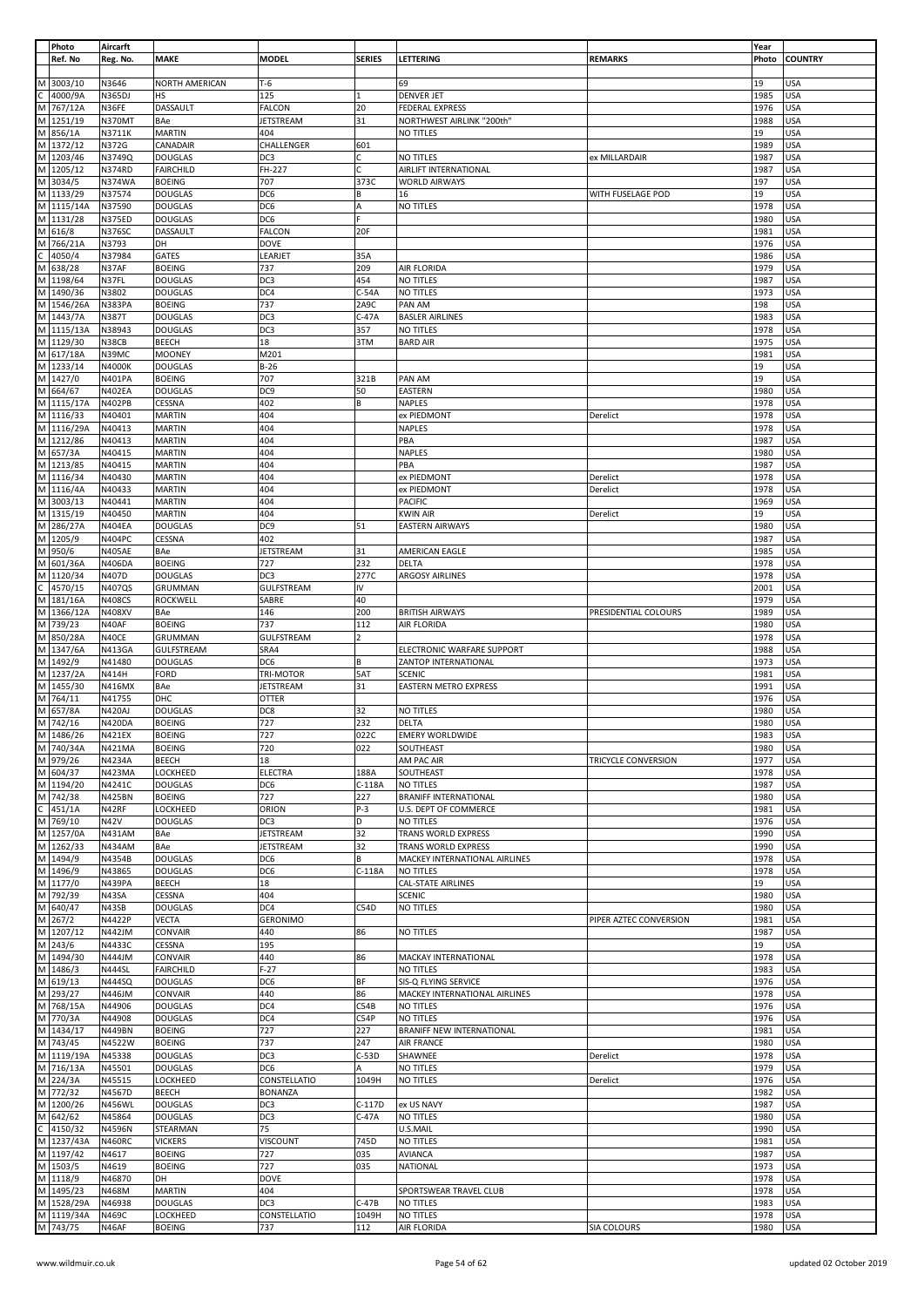|                | Photo                             | Aircarft      |                  |                   |                |                               |                        | Year  |                |
|----------------|-----------------------------------|---------------|------------------|-------------------|----------------|-------------------------------|------------------------|-------|----------------|
|                | Ref. No                           | Reg. No.      | <b>MAKE</b>      | <b>MODEL</b>      | <b>SERIES</b>  | LETTERING                     | <b>REMARKS</b>         | Photo | <b>COUNTRY</b> |
|                |                                   |               |                  |                   |                |                               |                        |       |                |
|                | M 3003/10                         | N3646         | NORTH AMERICAN   | $T-6$             |                | 69                            |                        | 19    | USA            |
|                | $\frac{(1.4000)}{M}$ 767/12A      | N365DJ        | HS               | 125               | 11             | DENVER JET                    |                        | 1985  | <b>USA</b>     |
|                |                                   | N36FE         | DASSAULT         | <b>FALCON</b>     | 20             |                               |                        | 1976  | <b>USA</b>     |
|                |                                   |               |                  |                   |                | <b>FEDERAL EXPRESS</b>        |                        |       |                |
|                | M 1251/19                         | N370MT        | BAe              | JETSTREAM         | 31             | NORTHWEST AIRLINK "200th"     |                        | 1988  | <b>USA</b>     |
|                | M 856/1A                          | N3711K        | <b>MARTIN</b>    | 404               |                | NO TITLES                     |                        | 19    | USA            |
|                | M 1372/12                         | N372G         | CANADAIR         | CHALLENGER        | 601            |                               |                        | 1989  | <b>USA</b>     |
|                | M 1203/46                         | N3749Q        | <b>DOUGLAS</b>   | DC3               | Ċ              | NO TITLES                     | ex MILLARDAIR          | 1987  | <b>USA</b>     |
|                | M 1205/12                         | N374RD        | <b>FAIRCHILD</b> | FH-227            | C              | AIRLIFT INTERNATIONAL         |                        | 1987  | USA            |
|                | M 3034/5                          |               |                  |                   |                |                               |                        |       |                |
|                |                                   | N374WA        | <b>BOEING</b>    | 707               | 373C           | <b>WORLD AIRWAYS</b>          |                        | 197   | <b>USA</b>     |
|                | M 1133/29                         | N37574        | <b>DOUGLAS</b>   | DC6               | B              | 16                            | WITH FUSELAGE POD      | 19    | <b>USA</b>     |
|                | M 1115/14A                        | N37590        | <b>DOUGLAS</b>   | DC6               | A              | NO TITLES                     |                        | 1978  | USA            |
|                | M 1131/28                         | <b>N375ED</b> | <b>DOUGLAS</b>   | DC6               |                |                               |                        | 1980  | USA            |
|                | M 616/8                           | <b>N376SC</b> | DASSAULT         | <b>FALCON</b>     | 20F            |                               |                        | 1981  | <b>USA</b>     |
|                |                                   |               | DH               | DOVE              |                |                               |                        | 1976  | USA            |
|                | M 766/21A<br>C 4050/4<br>M 638/28 | N3793         |                  |                   |                |                               |                        |       |                |
|                |                                   | N37984        | GATES            | LEARJET           | 35A            |                               |                        | 1986  | <b>USA</b>     |
|                |                                   | N37AF         | <b>BOEING</b>    | 737               | 209            | AIR FLORIDA                   |                        | 1979  | <b>USA</b>     |
|                | M 1198/64                         | N37FL         | <b>DOUGLAS</b>   | DC3               | 454            | NO TITLES                     |                        | 1987  | <b>USA</b>     |
|                | M 1490/36                         | N3802         | <b>DOUGLAS</b>   | DC4               | $C-54A$        | NO TITLES                     |                        | 1973  | <b>USA</b>     |
|                | M 1546/26A                        |               |                  | 737               | 2A9C           |                               |                        |       | <b>USA</b>     |
|                |                                   | <b>N383PA</b> | <b>BOEING</b>    |                   |                | PAN AM                        |                        | 198   |                |
|                | M 1443/7A                         | N387T         | <b>DOUGLAS</b>   | DC3               | $C-47A$        | <b>BASLER AIRLINES</b>        |                        | 1983  | <b>USA</b>     |
|                | M 1115/13A                        | N38943        | <b>DOUGLAS</b>   | DC3               | 357            | NO TITLES                     |                        | 1978  | <b>USA</b>     |
|                | M 1129/30                         | N38CB         | <b>BEECH</b>     | 18                | 3TM            | <b>BARD AIR</b>               |                        | 1975  | USA            |
|                | M 617/18A                         | N39MC         | <b>MOONEY</b>    | M201              |                |                               |                        | 1981  | <b>USA</b>     |
|                | M 1233/14                         | N4000K        | <b>DOUGLAS</b>   | $B-26$            |                |                               |                        | 19    | <b>USA</b>     |
|                | M 1427/0                          |               |                  |                   |                |                               |                        |       |                |
|                |                                   | N401PA        | <b>BOEING</b>    | 707               | 321B           | PAN AM                        |                        | 19    | <b>USA</b>     |
|                | M 664/67                          | N402EA        | <b>DOUGLAS</b>   | DC9               | 50             | EASTERN                       |                        | 1980  | <b>USA</b>     |
|                | M 1115/17A                        | <b>N402PB</b> | CESSNA           | 402               | В              | NAPLES                        |                        | 1978  | <b>USA</b>     |
|                | M 1116/33                         | N40401        | <b>MARTIN</b>    | 404               |                | ex PIEDMONT                   | Derelict               | 1978  | USA            |
|                | M 1116/29A                        | N40413        | <b>MARTIN</b>    | 404               |                | <b>NAPLES</b>                 |                        | 1978  | USA            |
|                |                                   |               |                  |                   |                |                               |                        |       |                |
|                | M 1212/86                         | N40413        | <b>MARTIN</b>    | 404               |                | PBA                           |                        | 1987  | USA            |
|                | M 657/3A                          | N40415        | <b>MARTIN</b>    | 404               |                | <b>NAPLES</b>                 |                        | 1980  | <b>USA</b>     |
|                | M 1213/85                         | N40415        | <b>MARTIN</b>    | 404               |                | PBA                           |                        | 1987  | <b>USA</b>     |
|                | M 1116/34                         | N40430        | <b>MARTIN</b>    | 404               |                | ex PIEDMONT                   | Derelict               | 1978  | USA            |
|                | M 1116/4A                         | N40433        | <b>MARTIN</b>    | 404               |                |                               |                        | 1978  | <b>USA</b>     |
|                |                                   |               |                  |                   |                | ex PIEDMONT                   | Derelict               |       |                |
|                | M 3003/13                         | N40441        | <b>MARTIN</b>    | 404               |                | <b>PACIFIC</b>                |                        | 1969  | <b>USA</b>     |
|                | M 1315/19                         | N40450        | <b>MARTIN</b>    | 404               |                | KWIN AIR                      | Derelict               | 19    | USA            |
|                | M 286/27A                         | <b>N404EA</b> | <b>DOUGLAS</b>   | DC9               | 51             | <b>EASTERN AIRWAYS</b>        |                        | 1980  | <b>USA</b>     |
|                | M 1205/9                          | N404PC        | CESSNA           | 402               |                |                               |                        | 1987  | <b>USA</b>     |
|                | M 950/6                           | <b>N405AE</b> | BAe              | <b>JETSTREAM</b>  | 31             | AMERICAN EAGLE                |                        | 1985  | USA            |
|                | M 601/36A                         |               |                  |                   |                |                               |                        |       |                |
|                |                                   | <b>N406DA</b> | <b>BOEING</b>    | 727               | 232            | DELTA                         |                        | 1978  | USA            |
|                | M 1120/34                         | N407D         | <b>DOUGLAS</b>   | DC3               | 277C           | ARGOSY AIRLINES               |                        | 1978  | <b>USA</b>     |
|                | $\frac{1}{\sqrt{1.31}}$ M 181/16A | N407QS        | GRUMMAN          | <b>GULFSTREAM</b> | IV             |                               |                        | 2001  | USA            |
|                |                                   | <b>N408CS</b> | <b>ROCKWELL</b>  | SABRE             | 40             |                               |                        | 1979  | USA            |
|                | M 1366/12A                        | N408XV        | BAe              | 146               | 200            | <b>BRITISH AIRWAYS</b>        | PRESIDENTIAL COLOURS   | 1989  | <b>USA</b>     |
|                | M 739/23                          | N40AF         | <b>BOEING</b>    | 737               | 112            | AIR FLORIDA                   |                        | 1980  | USA            |
|                |                                   |               |                  |                   |                |                               |                        |       |                |
|                | M 850/28A                         | N40CE         | <b>GRUMMAN</b>   | GULFSTREAM        | $\overline{2}$ |                               |                        | 1978  | <b>USA</b>     |
|                |                                   |               |                  |                   |                |                               |                        |       |                |
|                | M 1347/6A                         | N413GA        | GULFSTREAM       | SRA4              |                | ELECTRONIC WARFARE SUPPORT    |                        | 1988  | <b>USA</b>     |
|                |                                   | N41480        | <b>DOUGLAS</b>   | DC6               | B              | ZANTOP INTERNATIONAL          |                        | 1973  | USA            |
|                | $M$ 1492/9                        |               |                  |                   |                |                               |                        |       |                |
|                | M 1237/2A                         | N414H         | <b>FORD</b>      | <b>TRI-MOTOR</b>  | 5AT            | <b>SCENIC</b>                 |                        | 1981  | <b>USA</b>     |
|                |                                   | N416MX        | BAe              | <b>JETSTREAM</b>  | 31             | <b>EASTERN METRO EXPRESS</b>  |                        | 1991  | USA            |
|                | M 1455/30<br>M 764/11             | N41755        | DHC              | <b>OTTER</b>      |                |                               |                        | 1976  | USA            |
|                | M 657/8A                          | <b>N420AJ</b> | <b>DOUGLAS</b>   | DC8               | 32             | NO TITLES                     |                        | 1980  | <b>USA</b>     |
|                | M 742/16                          | <b>N420DA</b> | <b>BOEING</b>    | 727               | 232            | DELTA                         |                        | 1980  | <b>USA</b>     |
|                |                                   | N421EX        | <b>BOEING</b>    | 727               | 022C           | <b>EMERY WORLDWIDE</b>        |                        | 1983  | <b>USA</b>     |
|                | M 1486/26                         |               |                  |                   |                | SOUTHEAST                     |                        |       |                |
|                | M 740/34A                         | N421MA        | <b>BOEING</b>    | 720               | 022            |                               |                        | 1980  | <b>USA</b>     |
|                | M 979/26                          | N4234A        | <b>BEECH</b>     | 18                |                | AM PAC AIR                    | TRICYCLE CONVERSION    | 1977  | <b>USA</b>     |
|                | $M \overline{604/37}$             | <b>N423MA</b> | LOCKHEED         | ELECTRA           | 188A           | SOUTHEAST                     |                        | 1978  | USA            |
|                | M 1194/20                         | N4241C        | <b>DOUGLAS</b>   | DC6               | $C-118A$       | NO TITLES                     |                        | 1987  | USA            |
|                | M 742/38                          | <b>N425BN</b> | <b>BOEING</b>    | 727               | 227            | <b>BRANIFF INTERNATIONAL</b>  |                        | 1980  | USA            |
|                |                                   | N42RF         | LOCKHEED         | ORION             | $P-3$          | U.S. DEPT OF COMMERCE         |                        | 1981  | <b>USA</b>     |
|                |                                   |               |                  |                   | D              |                               |                        |       |                |
|                | $\frac{C}{M}$ 451/1A<br>M 769/10  | N42V          | <b>DOUGLAS</b>   | DC3               |                | NO TITLES                     |                        | 1976  | USA            |
|                | M 1257/0A                         | N431AM        | BAe              | <b>JETSTREAM</b>  | 32             | TRANS WORLD EXPRESS           |                        | 1990  | USA            |
|                | M 1262/33                         | <b>N434AM</b> | BAe              | <b>JETSTREAM</b>  | 32             | <b>TRANS WORLD EXPRESS</b>    |                        | 1990  | USA            |
|                | M 1494/9                          | N4354B        | <b>DOUGLAS</b>   | DC <sub>6</sub>   | В              | MACKEY INTERNATIONAL AIRLINES |                        | 1978  | USA            |
|                | M 1496/9                          | N43865        | <b>DOUGLAS</b>   | DC6               | $C-118A$       | NO TITLES                     |                        | 1978  | USA            |
|                | M 1177/0                          | <b>N439PA</b> | BEECH            | 18                |                | CAL-STATE AIRLINES            |                        | 19    | USA            |
|                |                                   | N43SA         | CESSNA           | 404               |                | <b>SCENIC</b>                 |                        | 1980  | USA            |
|                | M 792/39                          |               |                  |                   |                |                               |                        |       |                |
|                | M 640/47                          | N43SB         | <b>DOUGLAS</b>   | DC4               | C54D           | NO TITLES                     |                        | 1980  | USA            |
|                | M 267/2                           | N4422P        | <b>VECTA</b>     | <b>GERONIMO</b>   |                |                               | PIPER AZTEC CONVERSION | 1981  | <b>USA</b>     |
|                | M 1207/12                         | <b>N442JM</b> | CONVAIR          | 440               | 86             | NO TITLES                     |                        | 1987  | <b>USA</b>     |
|                | M 243/6                           | N4433C        | CESSNA           | 195               |                |                               |                        | 19    | <b>USA</b>     |
|                |                                   | N444JM        | CONVAIR          | 440               | 86             | MACKAY INTERNATIONAL          |                        | 1978  | <b>USA</b>     |
|                | M 1494/30                         |               |                  |                   |                |                               |                        |       |                |
|                | M 1486/3                          | <b>N444SL</b> | <b>FAIRCHILD</b> | $F-27$            |                | NO TITLES                     |                        | 1983  | USA            |
|                | M 619/13                          | N444SQ        | <b>DOUGLAS</b>   | DC <sub>6</sub>   | ΒF             | SIS-Q FLYING SERVICE          |                        | 1976  | <b>USA</b>     |
|                | M 293/27                          | N446JM        | CONVAIR          | 440               | 86             | MACKEY INTERNATIONAL AIRLINES |                        | 1978  | USA            |
|                | M 768/15A                         | N44906        | <b>DOUGLAS</b>   | DC4               | C54B           | NO TITLES                     |                        | 1976  | USA            |
|                | M 770/3A                          | N44908        | <b>DOUGLAS</b>   | DC4               | C54P           | NO TITLES                     |                        | 1976  | <b>USA</b>     |
|                |                                   |               |                  |                   | 227            |                               |                        |       |                |
|                | M 1434/17                         | <b>N449BN</b> | <b>BOEING</b>    | 727               |                | BRANIFF NEW INTERNATIONAL     |                        | 1981  | <b>USA</b>     |
|                | M 743/45                          | N4522W        | <b>BOEING</b>    | 737               | 247            | <b>AIR FRANCE</b>             |                        | 1980  | USA            |
|                | M 1119/19A                        | N45338        | <b>DOUGLAS</b>   | DC3               | $C-53D$        | SHAWNEE                       | Derelict               | 1978  | <b>USA</b>     |
|                | M 716/13A                         | N45501        | <b>DOUGLAS</b>   | DC <sub>6</sub>   | А              | NO TITLES                     |                        | 1979  | USA            |
|                | M 224/3A                          | N45515        | LOCKHEED         | CONSTELLATIO      | 1049H          | NO TITLES                     | Derelict               | 1976  | USA            |
|                | M 772/32                          | N4567D        | <b>BEECH</b>     | <b>BONANZA</b>    |                |                               |                        | 1982  | USA            |
|                |                                   |               |                  |                   |                |                               |                        |       |                |
|                | M 1200/26                         | <b>N456WL</b> | <b>DOUGLAS</b>   | DC3               | C-117D         | ex US NAVY                    |                        | 1987  | USA            |
|                | M 642/62                          | N45864        | <b>DOUGLAS</b>   | DC3               | C-47A          | NO TITLES                     |                        | 1980  | <b>USA</b>     |
| $\overline{c}$ | 4150/32                           | N4596N        | STEARMAN         | 75                |                | U.S.MAIL                      |                        | 1990  | USA            |
|                | M 1237/43A                        | <b>N460RC</b> | <b>VICKERS</b>   | VISCOUNT          | 745D           | NO TITLES                     |                        | 1981  | USA            |
|                | M 1197/42                         | N4617         | <b>BOEING</b>    | 727               | 035            | <b>AVIANCA</b>                |                        | 1987  | USA            |
|                |                                   |               |                  |                   |                |                               |                        |       |                |
|                | M 1503/5                          | N4619         | <b>BOEING</b>    | 727               | 035            | NATIONAL                      |                        | 1973  | USA            |
|                | M 1118/9                          | N46870        | DH               | <b>DOVE</b>       |                |                               |                        | 1978  | USA            |
|                | M 1495/23                         | N468M         | <b>MARTIN</b>    | 404               |                | SPORTSWEAR TRAVEL CLUB        |                        | 1978  | USA            |
|                | M 1528/29A                        | N46938        | <b>DOUGLAS</b>   | DC <sub>3</sub>   | $C-47B$        | NO TITLES                     |                        | 1983  | USA            |
|                | M 1119/34A<br>M 743/75            | N469C         | LOCKHEED         | CONSTELLATIO      | 1049H          | NO TITLES                     |                        | 1978  | <b>USA</b>     |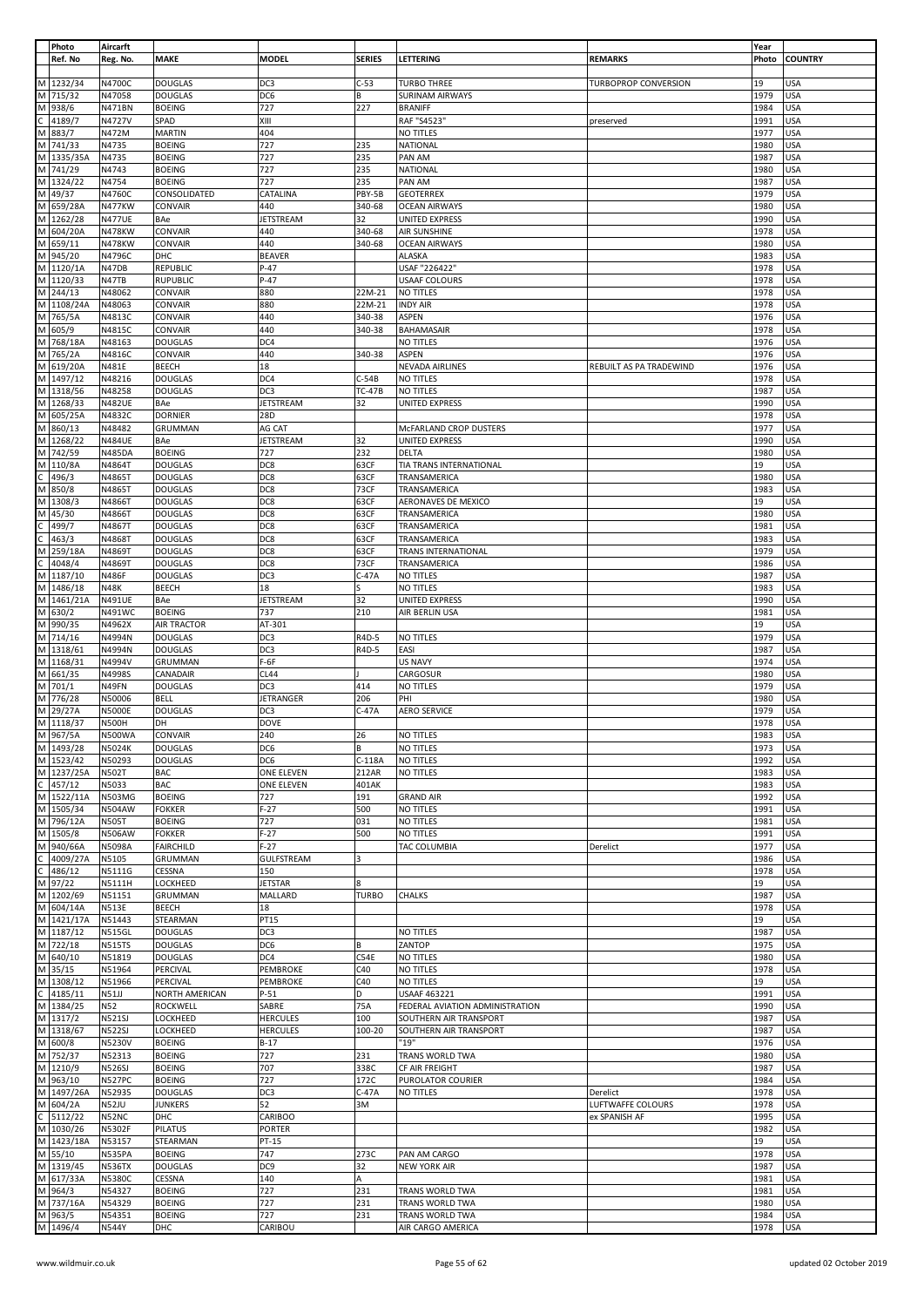|                | Photo                                                              | Aircarft                      |                                   |                   |               |                                   |                             | Year         |                   |
|----------------|--------------------------------------------------------------------|-------------------------------|-----------------------------------|-------------------|---------------|-----------------------------------|-----------------------------|--------------|-------------------|
|                | Ref. No                                                            | Reg. No.                      | <b>MAKE</b>                       | <b>MODEL</b>      | <b>SERIES</b> | LETTERING                         | <b>REMARKS</b>              | Photo        | <b>COUNTRY</b>    |
|                |                                                                    |                               |                                   |                   |               |                                   |                             |              |                   |
|                | M 1232/34                                                          | N4700C                        | <b>DOUGLAS</b>                    | DC3               | $C-53$        | <b>TURBO THREE</b>                | <b>TURBOPROP CONVERSION</b> | 19           | USA               |
|                | M 715/32                                                           | N47058                        | <b>DOUGLAS</b>                    | DC6               | В             | <b>SURINAM AIRWAYS</b>            |                             | 1979         | <b>USA</b>        |
|                | M 938/6                                                            | <b>N471BN</b>                 | <b>BOEING</b>                     | 727               | 227           | <b>BRANIFF</b>                    |                             | 1984         | <b>USA</b>        |
|                | $\frac{1}{\text{C}}$ 4189/<br>M 883/7<br>4189/7                    | N4727V                        | SPAD                              | XIII              |               | RAF "S4523"                       | preserved                   | 1991         | <b>USA</b>        |
|                |                                                                    | N472M                         | <b>MARTIN</b>                     | 404               |               | <b>NO TITLES</b>                  |                             | 1977         | <b>USA</b>        |
|                | M 741/33                                                           | N4735                         | <b>BOEING</b>                     | 727               | 235           | NATIONAL                          |                             | 1980         | <b>USA</b>        |
|                | M 1335/35A                                                         | N4735                         | <b>BOEING</b>                     | 727               | 235           | PAN AM                            |                             | 1987         | <b>USA</b>        |
|                | M 741/29                                                           | N4743                         | <b>BOEING</b>                     | 727               | 235           | NATIONAL                          |                             | 1980         | USA               |
|                | M 1324/22                                                          | N4754                         | <b>BOEING</b>                     | 727               | 235           | PAN AM                            |                             | 1987         | <b>USA</b>        |
|                | M 49/37                                                            | N4760C                        | CONSOLIDATED                      | CATALINA          | PBY-5B        | <b>GEOTERREX</b>                  |                             | 1979         | <b>USA</b>        |
|                | M 659/28A                                                          | <b>N477KW</b>                 | CONVAIR                           | 440               | 340-68        | <b>OCEAN AIRWAYS</b>              |                             | 1980         | <b>USA</b>        |
|                | M 1262/28                                                          | <b>N477UE</b>                 | BAe                               | JETSTREAM         | 32            | UNITED EXPRESS                    |                             | 1990         | <b>USA</b>        |
|                | M 604/20A                                                          | <b>N478KW</b>                 | <b>CONVAIR</b>                    | 440               | 340-68        | AIR SUNSHINE                      |                             | 1978         | <b>USA</b>        |
|                | M 659/11<br>M 945/20                                               | <b>N478KW</b>                 | CONVAIR                           | 440               | 340-68        | <b>OCEAN AIRWAYS</b>              |                             | 1980         | USA               |
|                | M 1120/1A                                                          | N4796C                        | DHC                               | <b>BEAVER</b>     |               | <b>ALASKA</b>                     |                             | 1983         | <b>USA</b>        |
|                | M 1120/33                                                          | N47DB                         | REPUBLIC                          | $P-47$<br>$P-47$  |               | USAF "226422"                     |                             | 1978         | <b>USA</b>        |
|                | M 244/13                                                           | N47TB<br>N48062               | <b>RUPUBLIC</b><br>CONVAIR        | 880               | 22M-21        | <b>USAAF COLOURS</b><br>NO TITLES |                             | 1978<br>1978 | USA<br>USA        |
|                | M 1108/24A                                                         | N48063                        | CONVAIR                           | 880               | 22M-21        | <b>INDY AIR</b>                   |                             | 1978         | USA               |
|                | M 765/5A                                                           | N4813C                        | CONVAIR                           | 440               | 340-38        | ASPEN                             |                             | 1976         | USA               |
|                | M 605/9                                                            | N4815C                        | CONVAIR                           | 440               | 340-38        | BAHAMASAIR                        |                             | 1978         | USA               |
|                | M 768/18A                                                          | N48163                        | <b>DOUGLAS</b>                    | DC4               |               | NO TITLES                         |                             | 1976         | <b>USA</b>        |
|                | M 765/2A                                                           | N4816C                        | CONVAIR                           | 440               | 340-38        | ASPEN                             |                             | 1976         | USA               |
|                | M 619/20A                                                          | N481E                         | <b>BEECH</b>                      | 18                |               | NEVADA AIRLINES                   | REBUILT AS PA TRADEWIND     | 1976         | <b>USA</b>        |
|                | M 1497/12                                                          | N48216                        | <b>DOUGLAS</b>                    | DC4               | $C-54B$       | <b>NO TITLES</b>                  |                             | 1978         | USA               |
|                | M 1318/56                                                          | N48258                        | <b>DOUGLAS</b>                    | DC3               | <b>TC-47B</b> | NO TITLES                         |                             | 1987         | USA               |
|                | M 1268/33                                                          | <b>N482UE</b>                 | BAe                               | <b>JETSTREAM</b>  | 32            | UNITED EXPRESS                    |                             | 1990         | <b>USA</b>        |
|                | M 605/25A                                                          | N4832C                        | <b>DORNIER</b>                    | 28D               |               |                                   |                             | 1978         | USA               |
|                | M 860/13                                                           | N48482                        | GRUMMAN                           | AG CAT            |               | McFARLAND CROP DUSTERS            |                             | 1977         | USA               |
|                | M 1268/22                                                          | <b>N484UE</b>                 | BAe                               | <b>JETSTREAM</b>  | 32            | <b>UNITED EXPRESS</b>             |                             | 1990         | <b>USA</b>        |
|                | M 742/59                                                           | <b>N485DA</b>                 | <b>BOEING</b>                     | 727               | 232           | DELTA                             |                             | 1980         | <b>USA</b>        |
|                | M 110/8A                                                           | N4864T                        | <b>DOUGLAS</b>                    | DC8               | 63CF          | TIA TRANS INTERNATIONAL           |                             | 19           | <b>USA</b>        |
|                | $rac{12}{\text{C}}$ 496/3<br>M 850/8                               | N4865T                        | <b>DOUGLAS</b>                    | DC8               | 63CF          | TRANSAMERICA                      |                             | 1980         | <b>USA</b>        |
|                |                                                                    | N4865T                        | <b>DOUGLAS</b>                    | DC8               | 73CF          | TRANSAMERICA                      |                             | 1983         | <b>USA</b>        |
|                | M 1308/3                                                           | N4866T                        | <b>DOUGLAS</b>                    | DC8               | 63CF          | AERONAVES DE MEXICO               |                             | 19           | USA               |
|                | M 45/30                                                            | N4866T                        | <b>DOUGLAS</b>                    | DC8               | 63CF          | TRANSAMERICA                      |                             | 1980         | USA               |
|                |                                                                    | N4867T                        | <b>DOUGLAS</b>                    | DC8               | 63CF          | TRANSAMERICA                      |                             | 1981         | <b>USA</b>        |
|                |                                                                    | N4868T                        | <b>DOUGLAS</b>                    | DC8               | 63CF          | TRANSAMERICA                      |                             | 1983         | <b>USA</b>        |
|                | $\frac{(2 \times 499)}{2 \times 463/3}$<br>M 259/18A               | N4869T                        | <b>DOUGLAS</b>                    | DC8               | 63CF          | TRANS INTERNATIONAL               |                             | 1979         | USA               |
| $\overline{c}$ | 4048/4                                                             | N4869T                        | <b>DOUGLAS</b>                    | DC8               | 73CF          | TRANSAMERICA                      |                             | 1986         | USA               |
|                | M 1187/10                                                          | N486F                         | <b>DOUGLAS</b>                    | DC3               | $C-47A$       | NO TITLES                         |                             | 1987         | <b>USA</b>        |
|                | M 1486/18                                                          | <b>N48K</b>                   | BEECH                             | 18                |               | NO TITLES                         |                             | 1983         | USA               |
|                | M 1461/21A                                                         | <b>N491UE</b>                 | BAe                               | <b>JETSTREAM</b>  | 32            | UNITED EXPRESS                    |                             | 1990         | USA               |
|                | M 630/2                                                            | N491WC                        | <b>BOEING</b>                     | 737               | 210           | AIR BERLIN USA                    |                             | 1981         | <b>USA</b>        |
|                | M 990/35                                                           | N4962X                        | <b>AIR TRACTOR</b>                | AT-301            |               |                                   |                             | 19           | <b>USA</b>        |
|                | M 714/16                                                           | N4994N                        | <b>DOUGLAS</b>                    | DC3               | R4D-5         | NO TITLES                         |                             | 1979         | USA               |
|                | M 1318/61                                                          | N4994N                        | <b>DOUGLAS</b>                    | DC3               | R4D-5         | EASI                              |                             | 1987         | <b>USA</b>        |
|                | M 1168/31                                                          | N4994V                        | <b>GRUMMAN</b>                    | F-6F              |               | <b>US NAVY</b>                    |                             | 1974         | USA               |
|                | M 661/35                                                           | N4998S                        | CANADAIR                          | <b>CL44</b>       |               | CARGOSUR                          |                             | 1980         | USA               |
|                | M 701/1                                                            | N49FN                         | <b>DOUGLAS</b>                    | DC3               | 414           | NO TITLES                         |                             | 1979         | <b>USA</b>        |
|                | M 776/28                                                           | N50006                        | <b>BELL</b>                       | JETRANGER         | 206           | PHI                               |                             | 1980         | USA               |
|                | M 29/27A                                                           | <b>N5000E</b>                 | <b>DOUGLAS</b>                    | DC <sub>3</sub>   | $C-47A$       | <b>AERO SERVICE</b>               |                             | 1979         | USA               |
|                | M 1118/37                                                          | <b>N500H</b>                  | DH                                | <b>DOVE</b>       |               |                                   |                             | 1978         | <b>USA</b>        |
|                | M 967/5A                                                           | <b>N500WA</b>                 | <b>CONVAIR</b>                    | 240               | 26            | <b>NO TITLES</b>                  |                             | 1983         | <b>USA</b>        |
|                | M 1493/28<br>$M$ 1523/42                                           | N5024K                        | <b>DOUGLAS</b>                    | DC6               | l B           | NO TITLES                         |                             | 1973         | <b>USA</b>        |
|                |                                                                    | N50293                        | <b>DOUGLAS</b>                    | DC6               | $C-118A$      | NO TITLES                         |                             | 1992         | <b>USA</b>        |
|                | M 1237/25A                                                         | <b>N502T</b>                  | <b>BAC</b>                        | ONE ELEVEN        | 212AR         | <b>NO TITLES</b>                  |                             | 1983         | <b>USA</b>        |
|                | $\frac{124}{1522/114}$                                             | N5033                         | <b>BAC</b>                        | ONE ELEVEN        | 401AK         |                                   |                             | 1983         | <b>USA</b>        |
|                | M 1505/34                                                          | <b>N503MG</b>                 | <b>BOEING</b>                     | 727               | 191           | <b>GRAND AIR</b>                  |                             | 1992         | USA               |
|                | M 796/12A                                                          | <b>N504AW</b><br><b>N505T</b> | <b>FOKKER</b><br><b>BOEING</b>    | $F-27$<br>727     | 500<br>031    | NO TITLES<br><b>NO TITLES</b>     |                             | 1991<br>1981 | USA<br><b>USA</b> |
|                | M 1505/8                                                           |                               |                                   | $F-27$            | 500           |                                   |                             |              | <b>USA</b>        |
|                | M 940/66A                                                          | <b>N506AW</b><br>N5098A       | <b>FOKKER</b><br><b>FAIRCHILD</b> | $F-27$            |               | NO TITLES<br>TAC COLUMBIA         | Derelict                    | 1991<br>1977 | <b>USA</b>        |
|                | 4009/27A                                                           | N5105                         | <b>GRUMMAN</b>                    | <b>GULFSTREAM</b> | 3             |                                   |                             | 1986         | USA               |
|                | $rac{1}{\frac{1}{2}}$<br>C 4009/2<br>C 486/12<br>M 97/22<br>486/12 | N5111G                        | CESSNA                            | 150               |               |                                   |                             | 1978         | USA               |
|                |                                                                    | N5111H                        | LOCKHEED                          | <b>JETSTAR</b>    | 8             |                                   |                             | 19           | <b>USA</b>        |
|                | M 1202/69                                                          | N51151                        | GRUMMAN                           | MALLARD           | <b>TURBO</b>  | CHALKS                            |                             | 1987         | USA               |
|                | M 604/14A                                                          | <b>N513E</b>                  | <b>BEECH</b>                      | 18                |               |                                   |                             | 1978         | <b>USA</b>        |
|                | M 1421/17A                                                         | N51443                        | STEARMAN                          | <b>PT15</b>       |               |                                   |                             | 19           | <b>USA</b>        |
|                | M 1187/12                                                          | <b>N515GL</b>                 | <b>DOUGLAS</b>                    | DC3               |               | NO TITLES                         |                             | 1987         | USA               |
|                | M 722/18                                                           | <b>N515TS</b>                 | <b>DOUGLAS</b>                    | DC6               | B             | ZANTOP                            |                             | 1975         | <b>USA</b>        |
|                | M 640/10                                                           | N51819                        | <b>DOUGLAS</b>                    | DC4               | C54E          | NO TITLES                         |                             | 1980         | <b>USA</b>        |
|                | M 35/15                                                            | N51964                        | PERCIVAL                          | PEMBROKE          | C40           | NO TITLES                         |                             | 1978         | USA               |
|                | M 1308/12                                                          | N51966                        | PERCIVAL                          | PEMBROKE          | C40           | NO TITLES                         |                             | 19           | USA               |
|                | $\frac{C}{M}$ 4185/11<br>M 1384/25                                 | N51JJ                         | NORTH AMERICAN                    | $P-51$            | D             | USAAF 463221                      |                             | 1991         | <b>USA</b>        |
|                |                                                                    | N52                           | ROCKWELL                          | SABRE             | 75A           | FEDERAL AVIATION ADMINISTRATION   |                             | 1990         | USA               |
|                | M 1317/2                                                           | <b>N521SJ</b>                 | LOCKHEED                          | <b>HERCULES</b>   | 100           | SOUTHERN AIR TRANSPORT            |                             | 1987         | <b>USA</b>        |
|                | M 1318/67                                                          | <b>N522SJ</b>                 | LOCKHEED                          | <b>HERCULES</b>   | 100-20        | SOUTHERN AIR TRANSPORT            |                             | 1987         | USA               |
|                | M 600/8                                                            | N5230V                        | <b>BOEING</b>                     | $B-17$            |               | "19"                              |                             | 1976         | USA               |
|                | M 752/37                                                           | N52313                        | <b>BOEING</b>                     | 727               | 231           | TRANS WORLD TWA                   |                             | 1980         | <b>USA</b>        |
|                | M 1210/9                                                           | <b>N526SJ</b>                 | <b>BOEING</b>                     | 707               | 338C          | CF AIR FREIGHT                    |                             | 1987         | USA               |
|                | M 963/10                                                           | <b>N527PC</b>                 | <b>BOEING</b>                     | 727               | 172C          | PUROLATOR COURIER                 |                             | 1984         | USA               |
|                | M 1497/26A                                                         | N52935                        | <b>DOUGLAS</b>                    | DC3               | C-47A         | NO TITLES                         | Derelict                    | 1978         | <b>USA</b>        |
|                | M 604/2A                                                           | N52JU                         | <b>JUNKERS</b>                    | 52                | ЗM            |                                   | LUFTWAFFE COLOURS           | 1978         | USA               |
|                | $\frac{1}{\text{C}}$ 5112/22<br>M 1030/26                          | N52NC                         | DHC                               | CARIBOO           |               |                                   | ex SPANISH AF               | 1995         | USA               |
|                |                                                                    | N5302F                        | <b>PILATUS</b>                    | <b>PORTER</b>     |               |                                   |                             | 1982         | <b>USA</b>        |
|                | M 1423/18A                                                         | N53157                        | STEARMAN                          | PT-15             |               |                                   |                             | 19           | USA               |
|                | M 55/10                                                            | <b>N535PA</b>                 | <b>BOEING</b>                     | 747               | 273C          | PAN AM CARGO                      |                             | 1978         | USA               |
|                | M 1319/45                                                          | <b>N536TX</b>                 | <b>DOUGLAS</b>                    | DC <sub>9</sub>   | 32            | <b>NEW YORK AIR</b>               |                             | 1987         | USA               |
|                | M 617/33A                                                          | N5380C                        | CESSNA                            | 140               | A             |                                   |                             | 1981         | <b>USA</b>        |
|                | M 964/3                                                            | N54327                        | <b>BOEING</b>                     | 727               | 231           | TRANS WORLD TWA                   |                             | 1981         | <b>USA</b>        |
|                | M 737/16A                                                          | N54329                        | <b>BOEING</b>                     | 727               | 231           | TRANS WORLD TWA                   |                             | 1980         | USA               |
|                | M 963/5                                                            | N54351                        | <b>BOEING</b>                     | 727               | 231           | TRANS WORLD TWA                   |                             | 1984         | <b>USA</b>        |
|                | M 1496/4                                                           | <b>N544Y</b>                  | DHC                               | CARIBOU           |               | AIR CARGO AMERICA                 |                             | 1978         | <b>USA</b>        |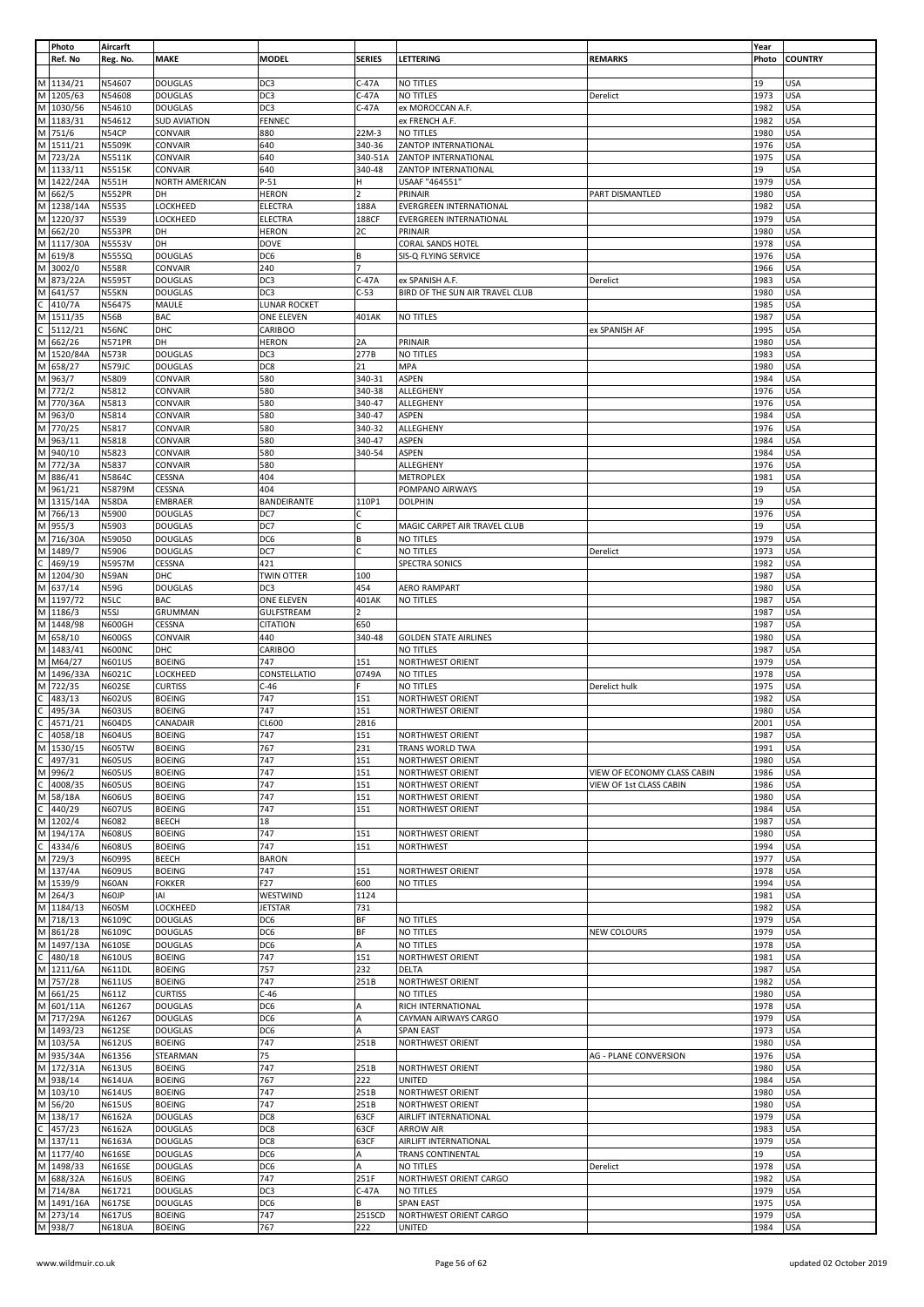|              | Photo               | Aircarft                       |                                |                     |                |                                         |                             | Year         |                          |
|--------------|---------------------|--------------------------------|--------------------------------|---------------------|----------------|-----------------------------------------|-----------------------------|--------------|--------------------------|
|              | Ref. No             | Reg. No.                       | <b>MAKE</b>                    | <b>MODEL</b>        | <b>SERIES</b>  | LETTERING                               | <b>REMARKS</b>              | Photo        | <b>COUNTRY</b>           |
|              |                     |                                |                                |                     |                |                                         |                             |              |                          |
|              | M 1134/21           | N54607                         | <b>DOUGLAS</b>                 | DC3                 | $C-47A$        | NO TITLES                               |                             | 19           | USA                      |
|              | M 1205/63           | N54608                         | <b>DOUGLAS</b>                 | DC3                 | $C-47A$        | NO TITLES                               | Derelict                    | 1973         | <b>USA</b>               |
|              | M 1030/56           | N54610                         | <b>DOUGLAS</b>                 | DC3                 | $C-47A$        |                                         |                             | 1982         | <b>USA</b>               |
|              |                     |                                |                                |                     |                | ex MOROCCAN A.F.                        |                             |              |                          |
| M            | 1183/31             | N54612                         | <b>SUD AVIATION</b>            | FENNEC              |                | ex FRENCH A.F.                          |                             | 1982         | USA                      |
| M            | 751/6               | N54CP                          | CONVAIR                        | 880                 | 22M-3          | NO TITLES                               |                             | 1980         | <b>USA</b>               |
|              | M 1511/21           | <b>N5509K</b>                  | CONVAIR                        | 640                 | 340-36         | ZANTOP INTERNATIONAL                    |                             | 1976         | <b>USA</b>               |
|              | M 723/2A            | N5511K                         | CONVAIR                        | 640                 | 340-51A        | ZANTOP INTERNATIONAL                    |                             | 1975         | <b>USA</b>               |
|              | M 1133/11           | N5515K                         | CONVAIR                        | 640                 | 340-48         | ZANTOP INTERNATIONAL                    |                             | 19           | USA                      |
|              |                     |                                |                                |                     |                |                                         |                             |              |                          |
|              | M 1422/24A          | <b>N551H</b>                   | NORTH AMERICAN                 | $P-51$              | н              | USAAF "464551"                          |                             | 1979         | <b>USA</b>               |
| M            | 662/5               | <b>N552PR</b>                  | DH                             | <b>HERON</b>        | $\overline{2}$ | PRINAIR                                 | PART DISMANTLED             | 1980         | <b>USA</b>               |
|              | M 1238/14A          | N5535                          | LOCKHEED                       | ELECTRA             | 188A           | <b>EVERGREEN INTERNATIONAL</b>          |                             | 1982         | USA                      |
|              | M 1220/37           | N5539                          | LOCKHEED                       | ELECTRA             | 188CF          | EVERGREEN INTERNATIONAL                 |                             | 1979         | USA                      |
| M            | 662/20              | <b>N553PR</b>                  | DH                             | <b>HERON</b>        | 2C             | PRINAIR                                 |                             | 1980         | USA                      |
|              | M 1117/30A          | <b>N5553V</b>                  | DH                             | <b>DOVE</b>         |                | CORAL SANDS HOTEL                       |                             | 1978         | <b>USA</b>               |
|              |                     |                                |                                |                     |                |                                         |                             |              |                          |
| M            | 619/8               | <b>N555SQ</b>                  | <b>DOUGLAS</b>                 | DC6                 | В              | SIS-Q FLYING SERVICE                    |                             | 1976         | USA                      |
| M            | 3002/0              | <b>N558R</b>                   | CONVAIR                        | 240                 | $\overline{7}$ |                                         |                             | 1966         | <b>USA</b>               |
| M            | 873/22A             | <b>N5595T</b>                  | <b>DOUGLAS</b>                 | DC3                 | $C-47A$        | ex SPANISH A.F.                         | Derelict                    | 1983         | <b>USA</b>               |
| M            | 641/57              | N55KN                          | <b>DOUGLAS</b>                 | DC3                 | $C-53$         | BIRD OF THE SUN AIR TRAVEL CLUB         |                             | 1980         | USA                      |
| C.           | 410/7A              | N5647S                         | MAULE                          | <b>LUNAR ROCKET</b> |                |                                         |                             | 1985         | <b>USA</b>               |
|              |                     |                                |                                |                     |                |                                         |                             |              |                          |
| М            | 1511/35             | <b>N56B</b>                    | <b>BAC</b>                     | ONE ELEVEN          | 401AK          | NO TITLES                               |                             | 1987         | USA                      |
|              | 5112/21             | N56NC                          | DHC                            | CARIBOO             |                |                                         | ex SPANISH AF               | 1995         | USA                      |
| M            | 662/26              | <b>N571PR</b>                  | DH                             | <b>HERON</b>        | 2A             | PRINAIR                                 |                             | 1980         | <b>USA</b>               |
|              | M 1520/84A          | <b>N573R</b>                   | <b>DOUGLAS</b>                 | DC3                 | 277B           | NO TITLES                               |                             | 1983         | <b>USA</b>               |
| M            | 658/27              | <b>N579JC</b>                  | <b>DOUGLAS</b>                 | DC8                 | 21             | MPA                                     |                             | 1980         | <b>USA</b>               |
| M            | 963/7               | N5809                          | CONVAIR                        | 580                 | 340-31         | ASPEN                                   |                             | 1984         | <b>USA</b>               |
|              | M 772/2             |                                |                                |                     |                | ALLEGHENY                               |                             |              |                          |
|              |                     | N5812                          | CONVAIR                        | 580                 | 340-38         |                                         |                             | 1976         | <b>USA</b>               |
| M            | 770/36A             | N5813                          | CONVAIR                        | 580                 | 340-47         | ALLEGHENY                               |                             | 1976         | USA                      |
|              | M 963/0             | N5814                          | <b>CONVAIR</b>                 | 580                 | 340-47         | ASPEN                                   |                             | 1984         | <b>USA</b>               |
| M            | 770/25              | N5817                          | CONVAIR                        | 580                 | 340-32         | ALLEGHENY                               |                             | 1976         | USA                      |
| M            | 963/11              | N5818                          | CONVAIR                        | 580                 | 340-47         | ASPEN                                   |                             | 1984         | USA                      |
|              |                     |                                |                                |                     |                |                                         |                             |              |                          |
| M            | 940/10              | N5823                          | CONVAIR                        | 580                 | 340-54         | ASPEN                                   |                             | 1984         | <b>USA</b>               |
| М            | 772/3A              | N5837                          | CONVAIR                        | 580                 |                | ALLEGHENY                               |                             | 1976         | USA                      |
| M            | 886/41              | N5864C                         | CESSNA                         | 404                 |                | <b>METROPLEX</b>                        |                             | 1981         | <b>USA</b>               |
| М            | 961/21              | N5879M                         | CESSNA                         | 404                 |                | POMPANO AIRWAYS                         |                             | 19           | <b>USA</b>               |
|              |                     |                                |                                |                     |                |                                         |                             |              |                          |
| М            | 1315/14A            | N58DA                          | <b>EMBRAER</b>                 | BANDEIRANTE         | 110P1          | <b>DOLPHIN</b>                          |                             | 19           | <b>USA</b>               |
|              | M 766/13            | N5900                          | <b>DOUGLAS</b>                 | DC7                 | с              |                                         |                             | 1976         | <b>USA</b>               |
| M            | 955/3               | N5903                          | <b>DOUGLAS</b>                 | DC7                 | C              | MAGIC CARPET AIR TRAVEL CLUB            |                             | 19           | <b>USA</b>               |
| M            | 716/30A             | N59050                         | <b>DOUGLAS</b>                 | DC6                 | В              | NO TITLES                               |                             | 1979         | <b>USA</b>               |
|              | M   1489/7          | N5906                          | <b>DOUGLAS</b>                 | DC7                 | с              | NO TITLES                               | Derelict                    | 1973         | <b>USA</b>               |
| C            | 469/19              | N5957M                         | CESSNA                         | 421                 |                | SPECTRA SONICS                          |                             | 1982         | <b>USA</b>               |
|              |                     |                                |                                |                     |                |                                         |                             | 1987         |                          |
| M            | 1204/30             | N59AN                          | DHC                            | TWIN OTTER          | 100            |                                         |                             |              | <b>USA</b>               |
| M            | 637/14              | <b>N59G</b>                    | <b>DOUGLAS</b>                 | DC3                 | 454            | AERO RAMPART                            |                             | 1980         | <b>USA</b>               |
| M            | 1197/72             | N5LC                           | <b>BAC</b>                     | ONE ELEVEN          | 401AK          | NO TITLES                               |                             | 1987         | USA                      |
|              | M 1186/3            | N <sub>5SJ</sub>               | GRUMMAN                        | <b>GULFSTREAM</b>   | $\overline{2}$ |                                         |                             | 1987         | <b>USA</b>               |
| M            | 1448/98             | <b>N600GH</b>                  | CESSNA                         | <b>CITATION</b>     | 650            |                                         |                             | 1987         | USA                      |
|              |                     |                                |                                |                     |                |                                         |                             |              |                          |
| M            | 658/10              | <b>N600GS</b>                  | CONVAIR                        | 440                 | 340-48         | <b>GOLDEN STATE AIRLINES</b>            |                             | 1980         | USA                      |
|              | M 1483/41           | N600NC                         | DHC                            | CARIBOO             |                | NO TITLES                               |                             | 1987         | <b>USA</b>               |
|              | M M64/27            | <b>N601US</b>                  | <b>BOEING</b>                  | 747                 | 151            | NORTHWEST ORIENT                        |                             | 1979         | <b>USA</b>               |
| M            | 1496/33A            | N6021C                         | LOCKHEED                       | CONSTELLATIO        | 0749A          | NO TITLES                               |                             | 1978         | USA                      |
|              | M 722/35            |                                | <b>CURTISS</b>                 | $C-46$              |                | NO TITLES                               |                             | 1975         | <b>USA</b>               |
|              |                     | <b>N602SE</b>                  |                                |                     |                |                                         | Derelict hulk               |              |                          |
|              | 483/13              | <b>N602US</b>                  | <b>BOEING</b>                  | 747                 | 151            | <b>NORTHWEST ORIENT</b>                 |                             | 1982         | USA                      |
|              | 495/3A              | <b>N603US</b>                  | <b>BOEING</b>                  | 747                 | 151            | NORTHWEST ORIENT                        |                             | 1980         | USA                      |
| C.           | 4571/21             | <b>N604DS</b>                  | CANADAIR                       | CL600               | 2B16           |                                         |                             | 2001         | <b>USA</b>               |
| C            | 4058/18             | <b>N604US</b>                  | <b>BOEING</b>                  | 747                 | 151            | <b>NORTHWEST ORIENT</b>                 |                             | 1987         | <b>USA</b>               |
|              | M 1530/15           | <b>N605TW</b>                  | <b>BOEING</b>                  | 767                 | 231            | TRANS WORLD TWA                         |                             | 1991         | <b>USA</b>               |
|              |                     |                                |                                |                     |                |                                         |                             |              |                          |
| C            | 497/31              | <b>N605US</b>                  | <b>BOEING</b>                  | 747                 | 151            | NORTHWEST ORIENT                        |                             | 1980         | <b>USA</b>               |
| M            | 996/2               | <b>N605US</b>                  | <b>BOEING</b>                  | 747                 | 151            | NORTHWEST ORIENT                        | VIEW OF ECONOMY CLASS CABIN | 1986         | USA                      |
| C            | 4008/35             | <b>N605US</b>                  | <b>BOEING</b>                  | 747                 | 151            | <b>NORTHWEST ORIENT</b>                 | VIEW OF 1st CLASS CABIN     | 1986         | USA                      |
|              | M 58/18A            | <b>N606US</b>                  | <b>BOEING</b>                  | 747                 | 151            | NORTHWEST ORIENT                        |                             | 1980         | <b>USA</b>               |
|              | 440/29              | <b>N607US</b>                  | <b>BOEING</b>                  | 747                 | 151            | <b>NORTHWEST ORIENT</b>                 |                             | 1984         | USA                      |
|              | M 1202/4            | N6082                          | <b>BEECH</b>                   | 18                  |                |                                         |                             | 1987         | USA                      |
|              |                     |                                |                                |                     |                |                                         |                             |              |                          |
|              | M 194/17A           | <b>N608US</b>                  | <b>BOEING</b>                  | 747                 | 151            | NORTHWEST ORIENT                        |                             | 1980         | <b>USA</b>               |
| C            | 4334/6              | <b>N608US</b>                  | <b>BOEING</b>                  | 747                 | 151            | <b>NORTHWEST</b>                        |                             | 1994         | <b>USA</b>               |
|              | M 729/3             | N6099S                         | <b>BEECH</b>                   | <b>BARON</b>        |                |                                         |                             | 1977         | USA                      |
|              | M 137/4A            | <b>N609US</b>                  | <b>BOEING</b>                  | 747                 | 151            | <b>NORTHWEST ORIENT</b>                 |                             | 1978         | USA                      |
| M            | 1539/9              | N60AN                          | <b>FOKKER</b>                  | F27                 | 600            | NO TITLES                               |                             | 1994         | USA                      |
|              | M 264/3             | N60JP                          | IAI                            | WESTWIND            | 1124           |                                         |                             | 1981         | USA                      |
|              |                     |                                |                                |                     |                |                                         |                             |              |                          |
|              | M 1184/13           | N60SM                          | LOCKHEED                       | JETSTAR             | 731            |                                         |                             | 1982         | USA                      |
|              | M 718/13            | N6109C                         | <b>DOUGLAS</b>                 | DC6                 | ΒF             | NO TITLES                               |                             | 1979         | <b>USA</b>               |
|              | M 861/28            | N6109C                         | <b>DOUGLAS</b>                 | DC <sub>6</sub>     | ΒF             | NO TITLES                               | <b>NEW COLOURS</b>          | 1979         | <b>USA</b>               |
| M            | 1497/13A            | <b>N610SE</b>                  | <b>DOUGLAS</b>                 | DC6                 | А              | NO TITLES                               |                             | 1978         | USA                      |
| C            | 480/18              | <b>N610US</b>                  | <b>BOEING</b>                  | 747                 | 151            | NORTHWEST ORIENT                        |                             | 1981         | <b>USA</b>               |
|              |                     |                                | <b>BOEING</b>                  |                     | 232            | DELTA                                   |                             |              |                          |
|              | M 1211/6A           |                                |                                | 757                 |                |                                         |                             | 1987         | USA                      |
|              |                     | <b>N611DL</b>                  |                                |                     |                |                                         |                             |              |                          |
|              | M 757/28            | <b>N611US</b>                  | <b>BOEING</b>                  | 747                 | 251B           | NORTHWEST ORIENT                        |                             | 1982         | USA                      |
|              | M 661/25            | N611Z                          | <b>CURTISS</b>                 | $C-46$              |                | NO TITLES                               |                             | 1980         | <b>USA</b>               |
|              | M 601/11A           | N61267                         | <b>DOUGLAS</b>                 | DC6                 | Α              | RICH INTERNATIONAL                      |                             | 1978         | USA                      |
|              | M 717/29A           | N61267                         | <b>DOUGLAS</b>                 | DC6                 | A              | CAYMAN AIRWAYS CARGO                    |                             | 1979         | <b>USA</b>               |
|              |                     |                                |                                |                     |                |                                         |                             |              |                          |
|              | M 1493/23           | <b>N612SE</b>                  | <b>DOUGLAS</b>                 | DC6                 | Α              | <b>SPAN EAST</b>                        |                             | 1973         | <b>USA</b>               |
|              | M 103/5A            | <b>N612US</b>                  | <b>BOEING</b>                  | 747                 | 251B           | NORTHWEST ORIENT                        |                             | 1980         | <b>USA</b>               |
| M            | 935/34A             | N61356                         | STEARMAN                       | 75                  |                |                                         | AG - PLANE CONVERSION       | 1976         | USA                      |
|              | M 172/31A           | <b>N613US</b>                  | <b>BOEING</b>                  | 747                 | 251B           | NORTHWEST ORIENT                        |                             | 1980         | <b>USA</b>               |
|              | M 938/14            | <b>N614UA</b>                  | <b>BOEING</b>                  | 767                 | 222            | <b>UNITED</b>                           |                             | 1984         | USA                      |
|              |                     |                                |                                |                     |                |                                         |                             |              |                          |
|              | M 103/10            | <b>N614US</b>                  | <b>BOEING</b>                  | 747                 | 251B           | NORTHWEST ORIENT                        |                             | 1980         | USA                      |
|              | M 56/20             | <b>N615US</b>                  | <b>BOEING</b>                  | 747                 | 251B           | NORTHWEST ORIENT                        |                             | 1980         | <b>USA</b>               |
|              | M 138/17            | N6162A                         | <b>DOUGLAS</b>                 | DC8                 | 63CF           | AIRLIFT INTERNATIONAL                   |                             | 1979         | USA                      |
| $\mathsf{C}$ | 457/23              | N6162A                         | <b>DOUGLAS</b>                 | DC8                 | 63CF           | <b>ARROW AIR</b>                        |                             | 1983         | <b>USA</b>               |
|              |                     |                                |                                |                     |                |                                         |                             |              |                          |
|              | M 137/11            | N6163A                         | <b>DOUGLAS</b>                 | DC8                 | 63CF           | AIRLIFT INTERNATIONAL                   |                             | 1979         | <b>USA</b>               |
|              | M 1177/40           | <b>N616SE</b>                  | <b>DOUGLAS</b>                 | DC6                 | A              | <b>TRANS CONTINENTAL</b>                |                             | 19           | USA                      |
|              | M 1498/33           | <b>N616SE</b>                  | <b>DOUGLAS</b>                 | DC6                 | A              | NO TITLES                               | Derelict                    | 1978         | <b>USA</b>               |
|              | M 688/32A           | <b>N616US</b>                  | <b>BOEING</b>                  | 747                 | 251F           | NORTHWEST ORIENT CARGO                  |                             | 1982         | USA                      |
|              | M 714/8A            | N61721                         | <b>DOUGLAS</b>                 | DC3                 | $C-47A$        | NO TITLES                               |                             | 1979         | USA                      |
|              |                     |                                |                                |                     |                |                                         |                             |              |                          |
|              | M 1491/16A          | <b>N617SE</b>                  | <b>DOUGLAS</b>                 | DC6                 | В              | <b>SPAN EAST</b>                        |                             | 1975         | <b>USA</b>               |
|              | M 273/14<br>M 938/7 | <b>N617US</b><br><b>N618UA</b> | <b>BOEING</b><br><b>BOEING</b> | 747<br>767          | 251SCD<br>222  | NORTHWEST ORIENT CARGO<br><b>UNITED</b> |                             | 1979<br>1984 | <b>USA</b><br><b>USA</b> |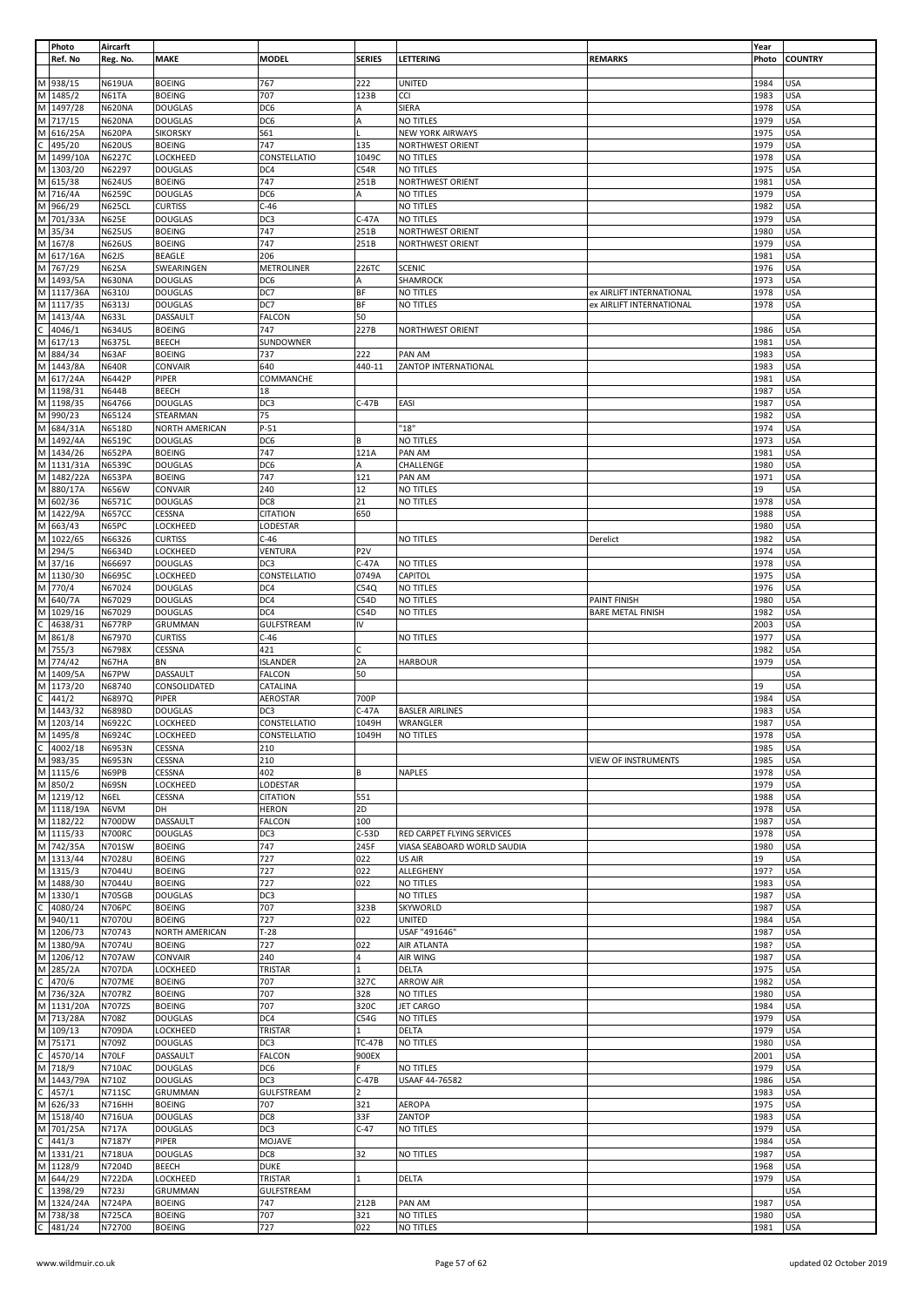| Photo                                                                            | Aircarft      |                 |                   |                 |                             |                          | Year  |                |
|----------------------------------------------------------------------------------|---------------|-----------------|-------------------|-----------------|-----------------------------|--------------------------|-------|----------------|
| Ref. No                                                                          | Reg. No.      | <b>MAKE</b>     | <b>MODEL</b>      | <b>SERIES</b>   | LETTERING                   | <b>REMARKS</b>           | Photo | <b>COUNTRY</b> |
|                                                                                  |               |                 |                   |                 |                             |                          |       |                |
| M 938/15                                                                         | <b>N619UA</b> | <b>BOEING</b>   | 767               | 222             | <b>UNITED</b>               |                          | 1984  | USA            |
|                                                                                  |               |                 |                   |                 |                             |                          |       |                |
| M 1485/2                                                                         | N61TA         | <b>BOEING</b>   | 707               | 123B            | CCI                         |                          | 1983  | <b>USA</b>     |
| M 1497/28                                                                        | <b>N620NA</b> | <b>DOUGLAS</b>  | DC6               | А               | SIERA                       |                          | 1978  | <b>USA</b>     |
| M 717/15                                                                         | <b>N620NA</b> | <b>DOUGLAS</b>  | DC6               | A               | NO TITLES                   |                          | 1979  | USA            |
|                                                                                  | <b>N620PA</b> | <b>SIKORSKY</b> | S61               |                 | <b>NEW YORK AIRWAYS</b>     |                          | 1975  | USA            |
| M 616/25A<br>C 495/20<br>M 1499/10A                                              | <b>N620US</b> | <b>BOEING</b>   | 747               | 135             | <b>NORTHWEST ORIENT</b>     |                          | 1979  | <b>USA</b>     |
|                                                                                  | N6227C        | LOCKHEED        | CONSTELLATIO      | 1049C           | NO TITLES                   |                          | 1978  | <b>USA</b>     |
|                                                                                  |               |                 |                   |                 |                             |                          |       |                |
| M 1303/20                                                                        | N62297        | <b>DOUGLAS</b>  | DC4               | C54R            | NO TITLES                   |                          | 1975  | USA            |
| M 615/38                                                                         | <b>N624US</b> | <b>BOEING</b>   | 747               | 251B            | <b>NORTHWEST ORIENT</b>     |                          | 1981  | <b>USA</b>     |
| M 716/4A                                                                         | N6259C        | <b>DOUGLAS</b>  | DC6               | Α               | NO TITLES                   |                          | 1979  | <b>USA</b>     |
| M 966/29                                                                         | N625CL        | <b>CURTISS</b>  | $C-46$            |                 | NO TITLES                   |                          | 1982  | USA            |
|                                                                                  |               |                 |                   |                 |                             |                          |       |                |
| M 701/33A                                                                        | <b>N625E</b>  | <b>DOUGLAS</b>  | DC3               | $C-47A$         | <b>NO TITLES</b>            |                          | 1979  | USA            |
| M 35/34                                                                          | <b>N625US</b> | <b>BOEING</b>   | 747               | 251B            | <b>NORTHWEST ORIENT</b>     |                          | 1980  | <b>USA</b>     |
| M 167/8                                                                          | <b>N626US</b> | <b>BOEING</b>   | 747               | 251B            | <b>NORTHWEST ORIENT</b>     |                          | 1979  | USA            |
| M 617/16A                                                                        | N62JS         | BEAGLE          | 206               |                 |                             |                          | 1981  | <b>USA</b>     |
|                                                                                  |               |                 |                   |                 |                             |                          |       |                |
| M 767/29                                                                         | N62SA         | SWEARINGEN      | <b>METROLINER</b> | 226TC           | <b>SCENIC</b>               |                          | 1976  | <b>USA</b>     |
| M 1493/5A                                                                        | <b>N630NA</b> | <b>DOUGLAS</b>  | DC6               | A               | SHAMROCK                    |                          | 1973  | USA            |
| M 1117/36A                                                                       | N6310J        | <b>DOUGLAS</b>  | DC7               | ΒF              | NO TITLES                   | ex AIRLIFT INTERNATIONAL | 1978  | <b>USA</b>     |
| M 1117/35                                                                        | N6313J        | <b>DOUGLAS</b>  | DC7               | BF              | NO TITLES                   | ex AIRLIFT INTERNATIONAL | 1978  | <b>USA</b>     |
| M 1413/4A                                                                        |               |                 |                   | 50              |                             |                          |       |                |
|                                                                                  | N633L         | DASSAULT        | <b>FALCON</b>     |                 |                             |                          |       | <b>USA</b>     |
| $rac{113}{\text{C}}$ 4046/1<br>M 617/13                                          | <b>N634US</b> | <b>BOEING</b>   | 747               | 227B            | <b>NORTHWEST ORIENT</b>     |                          | 1986  | <b>USA</b>     |
|                                                                                  | N6375L        | BEECH           | SUNDOWNER         |                 |                             |                          | 1981  | USA            |
| M 884/34                                                                         | N63AF         | <b>BOEING</b>   | 737               | 222             | PAN AM                      |                          | 1983  | <b>USA</b>     |
| M 1443/8A                                                                        | <b>N640R</b>  | CONVAIR         | 640               | 440-11          | ZANTOP INTERNATIONAL        |                          | 1983  | <b>USA</b>     |
| M 617/24A                                                                        |               |                 | COMMANCHE         |                 |                             |                          |       |                |
|                                                                                  | N6442P        | PIPER           |                   |                 |                             |                          | 1981  | <b>USA</b>     |
| M 1198/31                                                                        | <b>N644B</b>  | BEECH           | 18                |                 |                             |                          | 1987  | <b>USA</b>     |
| M 1198/35                                                                        | N64766        | <b>DOUGLAS</b>  | DC3               | $C-47B$         | EASI                        |                          | 1987  | USA            |
| M 990/23                                                                         | N65124        | STEARMAN        | 75                |                 |                             |                          | 1982  | USA            |
| M 684/31A                                                                        | N6518D        | NORTH AMERICAN  | $P-51$            |                 | "18"                        |                          | 1974  | <b>USA</b>     |
|                                                                                  |               |                 |                   |                 |                             |                          |       |                |
| M 1492/4A                                                                        | N6519C        | <b>DOUGLAS</b>  | DC6               | B               | NO TITLES                   |                          | 1973  | USA            |
| M 1434/26                                                                        | <b>N652PA</b> | <b>BOEING</b>   | 747               | 121A            | PAN AM                      |                          | 1981  | <b>USA</b>     |
| M 1131/31A                                                                       | N6539C        | <b>DOUGLAS</b>  | DC6               | Α               | CHALLENGE                   |                          | 1980  | <b>USA</b>     |
| M 1482/22A                                                                       | <b>N653PA</b> | <b>BOEING</b>   | 747               | 121             | PAN AM                      |                          | 1971  | <b>USA</b>     |
|                                                                                  |               |                 |                   |                 |                             |                          |       |                |
| M 880/17A                                                                        | N656W         | CONVAIR         | 240               | 12              | NO TITLES                   |                          | 19    | USA            |
| M 602/36                                                                         | N6571C        | <b>DOUGLAS</b>  | DC8               | 21              | NO TITLES                   |                          | 1978  | <b>USA</b>     |
| M 1422/9A                                                                        | <b>N657CC</b> | CESSNA          | <b>CITATION</b>   | 650             |                             |                          | 1988  | USA            |
| M 663/43                                                                         | N65PC         | LOCKHEED        | LODESTAR          |                 |                             |                          | 1980  | <b>USA</b>     |
| M 1022/65                                                                        |               |                 |                   |                 |                             |                          |       |                |
|                                                                                  | N66326        | <b>CURTISS</b>  | $C-46$            |                 | NO TITLES                   | Derelict                 | 1982  | <b>USA</b>     |
| M 294/5                                                                          | N6634D        | <b>LOCKHEED</b> | VENTURA           | P <sub>2V</sub> |                             |                          | 1974  | USA            |
| M 37/16                                                                          | N66697        | <b>DOUGLAS</b>  | DC <sub>3</sub>   | $C-47A$         | NO TITLES                   |                          | 1978  | USA            |
| M 1130/30                                                                        | N6695C        | LOCKHEED        | CONSTELLATIO      | 0749A           | CAPITOL                     |                          | 1975  | <b>USA</b>     |
| M 770/4                                                                          |               |                 |                   |                 |                             |                          |       |                |
|                                                                                  | N67024        | <b>DOUGLAS</b>  | DC4               | C54Q            | NO TITLES                   |                          | 1976  | USA            |
| M 640/7A                                                                         | N67029        | <b>DOUGLAS</b>  | DC4               | C54D            | NO TITLES                   | PAINT FINISH             | 1980  | USA            |
| M 1029/16                                                                        | N67029        | <b>DOUGLAS</b>  | DC4               | C54D            | NO TITLES                   | <b>BARE METAL FINISH</b> | 1982  | <b>USA</b>     |
| $rac{1625}{C}$<br>M 861/8<br>4638/31                                             | <b>N677RP</b> | GRUMMAN         | <b>GULFSTREAM</b> | IV              |                             |                          | 2003  | USA            |
|                                                                                  | N67970        | <b>CURTISS</b>  | $C-46$            |                 | NO TITLES                   |                          | 1977  | <b>USA</b>     |
|                                                                                  |               |                 |                   |                 |                             |                          |       |                |
| M 755/3                                                                          | N6798X        | CESSNA          | 421               | C               |                             |                          | 1982  | <b>USA</b>     |
| M 774/42                                                                         | N67HA         | BN              | <b>ISLANDER</b>   | 2A              | <b>HARBOUR</b>              |                          | 1979  | USA            |
| M 1409/5A                                                                        | N67PW         | DASSAULT        | <b>FALCON</b>     | 50              |                             |                          |       | <b>USA</b>     |
|                                                                                  | N68740        | CONSOLIDATED    | CATALINA          |                 |                             |                          | 19    | USA            |
| M 1173/20<br>C 441/2<br>M 1443/32                                                |               |                 |                   |                 |                             |                          |       |                |
|                                                                                  | N6897Q        | PIPER           | AEROSTAR          | 700P            |                             |                          | 1984  | <b>USA</b>     |
|                                                                                  | N6898D        | <b>DOUGLAS</b>  | DC3               | $C-47A$         | <b>BASLER AIRLINES</b>      |                          | 1983  | <b>USA</b>     |
| M 1203/14                                                                        | N6922C        | LOCKHEED        | CONSTELLATIO      | 1049H           | WRANGLER                    |                          | 1987  | <b>USA</b>     |
| M 1495/8                                                                         | N6924C        | LOCKHEED        | CONSTELLATIO      | 1049H           | NO TITLES                   |                          | 1978  | <b>USA</b>     |
| 4002/18                                                                          | N6953N        | CESSNA          | 210               |                 |                             |                          | 1985  | <b>USA</b>     |
| $\begin{array}{ c c c }\n\hline\nC & 4002/13 \\ \hline\nM & 983/35\n\end{array}$ |               |                 |                   |                 |                             |                          |       |                |
|                                                                                  | N6953N        | <b>CESSNA</b>   | 210               |                 |                             | VIEW OF INSTRUMENTS      |       | <b>USA</b>     |
| $M$ 1115/6                                                                       | N69PB         | CESSNA          | 402               | B               | <b>NAPLES</b>               |                          | 1985  |                |
| M 850/2                                                                          | N69SN         | LOCKHEED        |                   |                 |                             |                          | 1978  | USA            |
| M 1219/12                                                                        | N6EL          |                 | LODESTAR          |                 |                             |                          | 1979  | <b>USA</b>     |
| M 1118/19A                                                                       |               |                 |                   |                 |                             |                          |       |                |
|                                                                                  |               | CESSNA          | <b>CITATION</b>   | 551             |                             |                          | 1988  | <b>USA</b>     |
|                                                                                  | N6VM          | DH              | <b>HERON</b>      | 2D              |                             |                          | 1978  | <b>USA</b>     |
| M 1182/22                                                                        | N700DW        | DASSAULT        | <b>FALCON</b>     | 100             |                             |                          | 1987  | USA            |
| M 1115/33                                                                        | N700RC        | <b>DOUGLAS</b>  | DC3               | $C-53D$         | RED CARPET FLYING SERVICES  |                          | 1978  | USA            |
| M 742/35A                                                                        | N701SW        | <b>BOEING</b>   | 747               | 245F            | VIASA SEABOARD WORLD SAUDIA |                          | 1980  | <b>USA</b>     |
| M 1313/44                                                                        | N7028U        | <b>BOEING</b>   | 727               | 022             | US AIR                      |                          | 19    | <b>USA</b>     |
|                                                                                  |               |                 |                   |                 |                             |                          |       |                |
| M 1315/3                                                                         | N7044U        | <b>BOEING</b>   | 727               | 022             | ALLEGHENY                   |                          | 197?  | <b>USA</b>     |
| M 1488/30                                                                        | N7044U        | <b>BOEING</b>   | 727               | 022             | NO TITLES                   |                          | 1983  | <b>USA</b>     |
|                                                                                  | <b>N705GB</b> | <b>DOUGLAS</b>  | DC3               |                 | NO TITLES                   |                          | 1987  | USA            |
| 4080/24                                                                          | <b>N706PC</b> | <b>BOEING</b>   | 707               | 323B            | SKYWORLD                    |                          | 1987  | USA            |
|                                                                                  | N7070U        | <b>BOEING</b>   | 727               | 022             | <b>UNITED</b>               |                          | 1984  | <b>USA</b>     |
| M 1330/1<br>C 4080/24<br>M 940/11                                                |               |                 |                   |                 |                             |                          |       |                |
| M 1206/73                                                                        | N70743        | NORTH AMERICAN  | $T-28$            |                 | USAF "491646"               |                          | 1987  | USA            |
| M 1380/9A                                                                        | N7074U        | <b>BOEING</b>   | 727               | 022             | AIR ATLANTA                 |                          | 198?  | <b>USA</b>     |
| M 1206/12                                                                        | <b>N707AW</b> | CONVAIR         | 240               | 4               | AIR WING                    |                          | 1987  | <b>USA</b>     |
| M 285/2A                                                                         | <b>N707DA</b> | LOCKHEED        | TRISTAR           | 1               | DELTA                       |                          | 1975  | USA            |
|                                                                                  | <b>N707ME</b> | <b>BOEING</b>   | 707               | 327C            | <b>ARROW AIR</b>            |                          | 1982  | USA            |
|                                                                                  |               |                 |                   |                 |                             |                          |       |                |
| $\frac{1}{\text{C}}$ 470/6<br>M 736/32A                                          | N707RZ        | <b>BOEING</b>   | 707               | 328             | NO TITLES                   |                          | 1980  | USA            |
| M 1131/20A                                                                       | N707ZS        | <b>BOEING</b>   | 707               | 320C            | <b>JET CARGO</b>            |                          | 1984  | USA            |
| M 713/28A                                                                        | N708Z         | <b>DOUGLAS</b>  | DC4               | C54G            | NO TITLES                   |                          | 1979  | <b>USA</b>     |
| M 109/13                                                                         | <b>N709DA</b> | <b>LOCKHEED</b> | <b>TRISTAR</b>    | 1               | DELTA                       |                          | 1979  | USA            |
| M 75171                                                                          | N709Z         | <b>DOUGLAS</b>  | DC3               | <b>TC-47B</b>   | NO TITLES                   |                          | 1980  | USA            |
|                                                                                  |               |                 |                   |                 |                             |                          |       |                |
| 4570/14                                                                          | N70LF         | DASSAULT        | <b>FALCON</b>     | 900EX           |                             |                          | 2001  | <b>USA</b>     |
| $\frac{C}{M}$ 4570/                                                              | <b>N710AC</b> | <b>DOUGLAS</b>  | DC <sub>6</sub>   | F               | NO TITLES                   |                          | 1979  | <b>USA</b>     |
| M 1443/79A                                                                       | N710Z         | <b>DOUGLAS</b>  | DC3               | $C-47B$         | USAAF 44-76582              |                          | 1986  | USA            |
|                                                                                  | <b>N711SC</b> | <b>GRUMMAN</b>  | <b>GULFSTREAM</b> | 2               |                             |                          | 1983  | USA            |
|                                                                                  | <b>N716HH</b> | <b>BOEING</b>   | 707               | 321             | <b>AEROPA</b>               |                          | 1975  | <b>USA</b>     |
| $\frac{1}{\text{C}}$ 457/1<br>M 626/33                                           |               | <b>DOUGLAS</b>  | DC8               | 33F             | ZANTOP                      |                          |       | <b>USA</b>     |
| M 1518/40                                                                        | <b>N716UA</b> |                 |                   |                 |                             |                          | 1983  |                |
| M 701/25A                                                                        | <b>N717A</b>  | <b>DOUGLAS</b>  | DC3               | $C-47$          | <b>NO TITLES</b>            |                          | 1979  | USA            |
|                                                                                  | N7187Y        | PIPER           | MOJAVE            |                 |                             |                          | 1984  | USA            |
| $\frac{1}{\text{C}}$ 441/3<br>M 1331/21                                          | <b>N718UA</b> | <b>DOUGLAS</b>  | DC8               | 32              | NO TITLES                   |                          | 1987  | USA            |
|                                                                                  |               |                 |                   |                 |                             |                          |       |                |
| M 1128/9                                                                         | N7204D        | <b>BEECH</b>    | <b>DUKE</b>       |                 |                             |                          | 1968  | USA            |
| M 644/29                                                                         | N722DA        | LOCKHEED        | TRISTAR           | 1               | DELTA                       |                          | 1979  | USA            |
|                                                                                  | N723J         | GRUMMAN         | <b>GULFSTREAM</b> |                 |                             |                          |       | USA            |
| $\frac{1398/29}{M}$<br>M 1324/24A                                                | <b>N724PA</b> | <b>BOEING</b>   | 747               | 212B            | PAN AM                      |                          | 1987  | USA            |
| M 738/38                                                                         | <b>N725CA</b> | <b>BOEING</b>   | 707               | 321             | NO TITLES                   |                          | 1980  | <b>USA</b>     |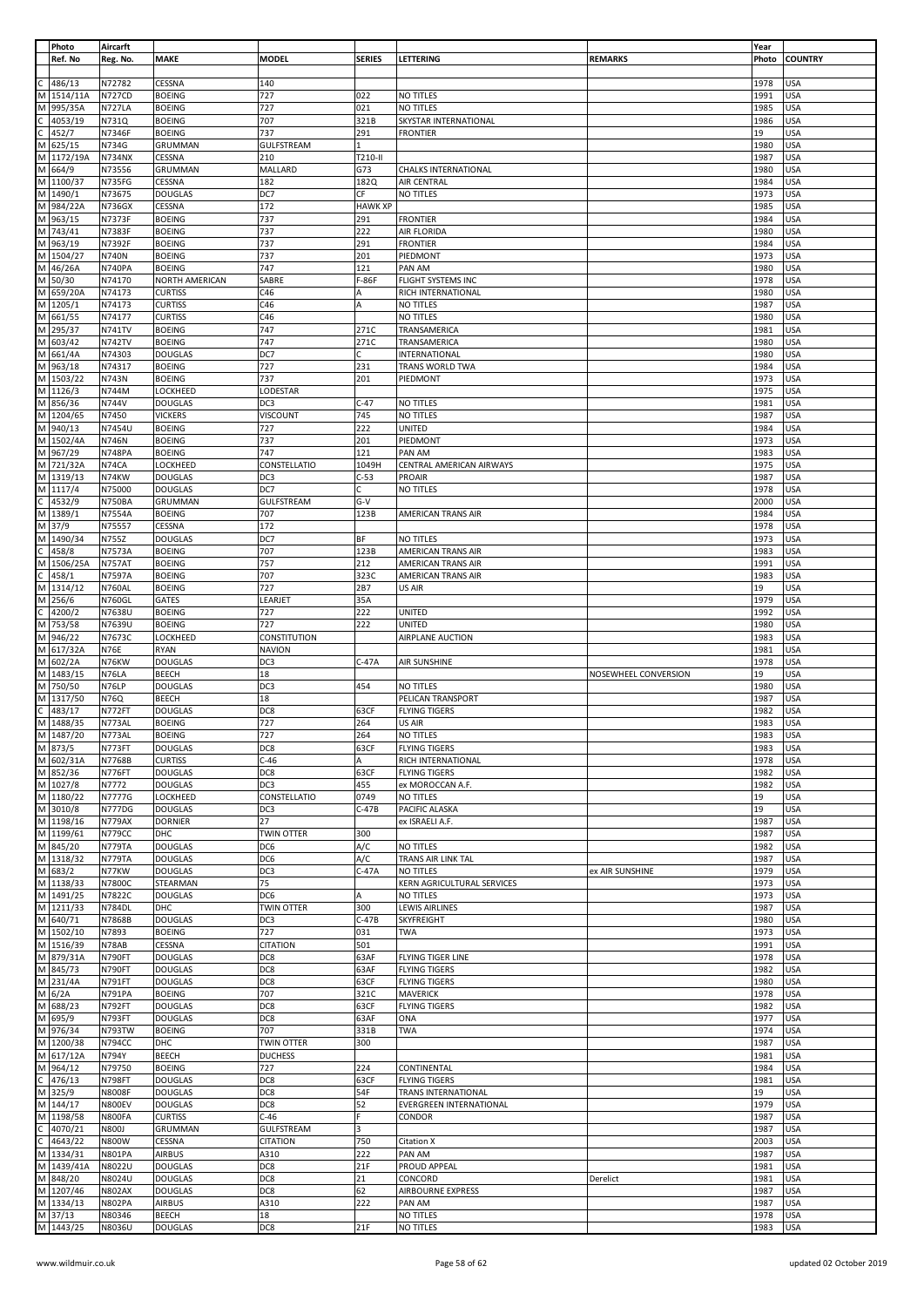|              | Photo                  | Aircarft                |                                  |                             |                |                                   |                      | Year         |                          |
|--------------|------------------------|-------------------------|----------------------------------|-----------------------------|----------------|-----------------------------------|----------------------|--------------|--------------------------|
|              | Ref. No                | Reg. No.                | <b>MAKE</b>                      | <b>MODEL</b>                | <b>SERIES</b>  | LETTERING                         | <b>REMARKS</b>       | Photo        | <b>COUNTRY</b>           |
|              |                        |                         |                                  |                             |                |                                   |                      |              |                          |
| м            | 486/13                 | N72782<br><b>N727CD</b> | CESSNA<br><b>BOEING</b>          | 140<br>727                  | 022            | NO TITLES                         |                      | 1978<br>1991 | <b>USA</b><br><b>USA</b> |
| M            | 1514/11A<br>995/35A    | <b>N727LA</b>           | <b>BOEING</b>                    | 727                         | 021            | NO TITLES                         |                      | 1985         | <b>USA</b>               |
|              | 4053/19                | N731Q                   | <b>BOEING</b>                    | 707                         | 321B           | SKYSTAR INTERNATIONAL             |                      | 1986         | <b>USA</b>               |
| C.           | 452/7                  | N7346F                  | <b>BOEING</b>                    | 737                         | 291            | <b>FRONTIER</b>                   |                      | 19           | USA                      |
| M            | 625/15                 | N734G                   | GRUMMAN                          | <b>GULFSTREAM</b>           | 1              |                                   |                      | 1980         | <b>USA</b>               |
| M            | 1172/19A               | <b>N734NX</b>           | CESSNA                           | 210                         | T210-II        |                                   |                      | 1987         | <b>USA</b>               |
| M            | 664/9                  | N73556                  | <b>GRUMMAN</b>                   | MALLARD                     | G73            | CHALKS INTERNATIONAL              |                      | 1980         | <b>USA</b>               |
|              | M 1100/37              | <b>N735FG</b>           | CESSNA                           | 182                         | 182Q           | AIR CENTRAL                       |                      | 1984         | <b>USA</b>               |
| M            | 1490/1                 | N73675                  | <b>DOUGLAS</b>                   | DC7                         | СF             | NO TITLES                         |                      | 1973         | <b>USA</b>               |
| M            | 984/22A                | <b>N736GX</b>           | CESSNA                           | 172                         | <b>HAWK XP</b> |                                   |                      | 1985         | <b>USA</b>               |
| M            | 963/15                 | N7373F                  | <b>BOEING</b>                    | 737                         | 291            | <b>FRONTIER</b>                   |                      | 1984         | USA                      |
| M            | 743/41                 | N7383F                  | <b>BOEING</b>                    | 737                         | 222            | AIR FLORIDA                       |                      | 1980         | <b>USA</b>               |
| M            | 963/19                 | N7392F                  | <b>BOEING</b>                    | 737                         | 291            | <b>FRONTIER</b>                   |                      | 1984         | USA                      |
| M            | 1504/27                | <b>N740N</b>            | <b>BOEING</b>                    | 737                         | 201            | PIEDMONT                          |                      | 1973         | USA                      |
|              | M 46/26A               | N740PA                  | <b>BOEING</b>                    | 747                         | 121            | PAN AM                            |                      | 1980         | <b>USA</b>               |
|              | M 50/30                | N74170                  | NORTH AMERICAN                   | SABRE                       | F-86F          | FLIGHT SYSTEMS INC                |                      | 1978         | <b>USA</b>               |
| M            | 659/20A                | N74173                  | <b>CURTISS</b>                   | C46                         |                | RICH INTERNATIONAL                |                      | 1980         | <b>USA</b>               |
|              | M 1205/1               | N74173                  | <b>CURTISS</b>                   | C46                         | Α              | NO TITLES                         |                      | 1987         | USA                      |
|              | M 661/55               | N74177                  | <b>CURTISS</b>                   | C46                         |                | NO TITLES                         |                      | 1980         | USA                      |
| M            | 295/37                 | <b>N741TV</b>           | <b>BOEING</b>                    | 747                         | 271C           | TRANSAMERICA                      |                      | 1981         | USA                      |
|              | M 603/42               | <b>N742TV</b>           | <b>BOEING</b>                    | 747                         | 271C           | TRANSAMERICA                      |                      | 1980         | <b>USA</b>               |
|              | M 661/4A               | N74303                  | <b>DOUGLAS</b>                   | DC7                         | C.             | INTERNATIONAL                     |                      | 1980         | <b>USA</b>               |
| M            | 963/18                 | N74317                  | <b>BOEING</b>                    | 727                         | 231            | TRANS WORLD TWA                   |                      | 1984         | <b>USA</b>               |
| M            | 1503/22                | <b>N743N</b>            | <b>BOEING</b>                    | 737                         | 201            | PIEDMONT                          |                      | 1973         | <b>USA</b>               |
| M            | 1126/3                 | N744M                   | LOCKHEED                         | LODESTAR                    |                |                                   |                      | 1975         | USA                      |
| M            | 856/36                 | <b>N744V</b>            | <b>DOUGLAS</b>                   | DC3                         | $C-47$         | NO TITLES                         |                      | 1981         | USA                      |
|              | M 1204/65              | N7450                   | <b>VICKERS</b>                   | VISCOUNT                    | 745            | <b>NO TITLES</b>                  |                      | 1987         | USA                      |
| M            | 940/13                 | N7454U                  | <b>BOEING</b>                    | 727                         | 222            | <b>UNITED</b>                     |                      | 1984         | <b>USA</b>               |
|              | M 1502/4A              | N746N                   | <b>BOEING</b>                    | 737                         | 201            | PIEDMONT                          |                      | 1973         | <b>USA</b>               |
|              | M 967/29               | <b>N748PA</b>           | <b>BOEING</b>                    | 747                         | 121            | PAN AM                            |                      | 1983         | <b>USA</b>               |
| M            | 721/32A                | N74CA                   | LOCKHEED                         | CONSTELLATIO                | 1049H          | CENTRAL AMERICAN AIRWAYS          |                      | 1975         | <b>USA</b>               |
|              | M 1319/13              | N74KW                   | <b>DOUGLAS</b>                   | DC3                         | $C-53$         | PROAIR                            |                      | 1987         | <b>USA</b>               |
|              | M 1117/4               | N75000                  | <b>DOUGLAS</b>                   | DC7                         | C              | NO TITLES                         |                      | 1978         | USA                      |
| $\mathsf{C}$ | 4532/9                 | <b>N750BA</b>           | GRUMMAN                          | <b>GULFSTREAM</b>           | $G-V$          |                                   |                      | 2000         | <b>USA</b>               |
|              | M 1389/1               | <b>N7554A</b>           | <b>BOEING</b>                    | 707                         | 123B           | AMERICAN TRANS AIR                |                      | 1984         | USA                      |
| M            | 37/9                   | N75557                  | CESSNA                           | 172                         |                |                                   |                      | 1978         | USA                      |
| M<br>C.      | 1490/34                | N755Z                   | <b>DOUGLAS</b>                   | DC7                         | ВF             | NO TITLES                         |                      | 1973         | <b>USA</b>               |
|              | 458/8                  | N7573A                  | <b>BOEING</b>                    | 707                         | 123B           | AMERICAN TRANS AIR                |                      | 1983         | <b>USA</b>               |
| M<br>C       | 1506/25A               | <b>N757AT</b>           | <b>BOEING</b>                    | 757                         | 212            | AMERICAN TRANS AIR                |                      | 1991         | USA                      |
|              | 458/1                  | N7597A                  | <b>BOEING</b>                    | 707                         | 323C           | AMERICAN TRANS AIR                |                      | 1983         | <b>USA</b>               |
| М            | 1314/12                | <b>N760AL</b>           | <b>BOEING</b>                    | 727                         | 2B7            | US AIR                            |                      | 19           | USA                      |
| M            | 256/6                  | <b>N760GL</b>           | GATES                            | LEARJET                     | 35A            |                                   |                      | 1979         | <b>USA</b>               |
| C            | 4200/2                 | N7638U                  | <b>BOEING</b>                    | 727                         | 222            | <b>UNITED</b>                     |                      | 1992         | <b>USA</b>               |
| M            | M 753/58<br>946/22     | N7639U<br>N7673C        | <b>BOEING</b><br>LOCKHEED        | 727<br>CONSTITUTION         | 222            | <b>UNITED</b><br>AIRPLANE AUCTION |                      | 1980<br>1983 | <b>USA</b><br><b>USA</b> |
|              | M 617/32A              | <b>N76E</b>             | <b>RYAN</b>                      | <b>NAVION</b>               |                |                                   |                      | 1981         | <b>USA</b>               |
|              | M 602/2A               | N76KW                   | <b>DOUGLAS</b>                   | DC3                         | $C-47A$        | AIR SUNSHINE                      |                      | 1978         | <b>USA</b>               |
| M            | 1483/15                | N76LA                   | <b>BEECH</b>                     | 18                          |                |                                   | NOSEWHEEL CONVERSION | 19           | <b>USA</b>               |
|              | M 750/50               | N76LP                   | <b>DOUGLAS</b>                   | DC3                         | 454            | NO TITLES                         |                      | 1980         | <b>USA</b>               |
|              | M 1317/50              | N76Q                    | <b>BEECH</b>                     | 18                          |                | PELICAN TRANSPORT                 |                      | 1987         | USA                      |
| C            | 483/17                 | N772FT                  | <b>DOUGLAS</b>                   | DC8                         | 63CF           | <b>FLYING TIGERS</b>              |                      | 1982         | USA                      |
| M            | 1488/35                | N773AL                  | <b>BOEING</b>                    | 727                         | 264            | US AIR                            |                      | 1983         | <b>USA</b>               |
|              | M 1487/20              | N773AL                  | <b>BOEING</b>                    | 727                         | 264            | NO TITLES                         |                      | 1983         | <b>USA</b>               |
|              | M 873/5                | N773FT                  | <b>DOUGLAS</b>                   | DC8                         | 63CF           | <b>FLYING TIGERS</b>              |                      | 1983         | <b>USA</b>               |
|              | M 602/31A              | N7768B                  | <b>CURTISS</b>                   | $C-46$                      | А              | RICH INTERNATIONAL                |                      | 1978         | <b>USA</b>               |
|              | M 852/36               | <b>N776FT</b>           | <b>DOUGLAS</b>                   | DC8                         | 63CF           | <b>FLYING TIGERS</b>              |                      | 1982         | <b>USA</b>               |
|              | M 1027/8               | N7772                   | <b>DOUGLAS</b>                   | DC3                         | 455            | ex MOROCCAN A.F.                  |                      | 1982         | <b>USA</b>               |
|              | M 1180/22              | N7777G                  | LOCKHEED                         | CONSTELLATIO                | 0749           | NO TITLES                         |                      | 19           | <b>USA</b>               |
|              | M 3010/8               | <b>N777DG</b>           | <b>DOUGLAS</b>                   | DC3                         | $C-47B$        | PACIFIC ALASKA                    |                      | 19           | <b>USA</b>               |
|              | M 1198/16              | <b>N779AX</b>           | <b>DORNIER</b>                   | 27                          |                | ex ISRAELI A.F.                   |                      | 1987         | <b>USA</b>               |
|              | M 1199/61              | <b>N779CC</b>           | DHC                              | <b>TWIN OTTER</b>           | 300            |                                   |                      | 1987         | <b>USA</b>               |
|              | M 845/20               | <b>N779TA</b>           | <b>DOUGLAS</b>                   | DC6                         | A/C            | NO TITLES                         |                      | 1982         | <b>USA</b>               |
|              | M 1318/32              | <b>N779TA</b>           | <b>DOUGLAS</b>                   | DC6                         | A/C            | TRANS AIR LINK TAL                |                      | 1987         | <b>USA</b>               |
|              | M 683/2                | N77KW                   | <b>DOUGLAS</b>                   | DC3                         | $C-47A$        | NO TITLES                         | ex AIR SUNSHINE      | 1979         | USA                      |
|              | M 1138/33              | N7800C                  |                                  |                             |                |                                   |                      |              | <b>USA</b>               |
|              |                        |                         | STEARMAN                         | 75                          |                | KERN AGRICULTURAL SERVICES        |                      | 1973         |                          |
|              | M 1491/25              | N7822C                  | <b>DOUGLAS</b>                   | DC6                         | А              | NO TITLES                         |                      | 1973         | USA                      |
|              | M 1211/33              | <b>N784DL</b>           | DHC                              | <b>TWIN OTTER</b>           | 300            | <b>LEWIS AIRLINES</b>             |                      | 1987         | USA                      |
|              | M 640/71               | N7868B                  | <b>DOUGLAS</b>                   | DC3                         | $C-47B$        | SKYFREIGHT                        |                      | 1980         | <b>USA</b>               |
|              | M 1502/10              | N7893                   | <b>BOEING</b>                    | 727                         | 031            | TWA                               |                      | 1973         | <b>USA</b>               |
|              | M 1516/39              | N78AB                   | CESSNA                           | <b>CITATION</b>             | 501            |                                   |                      | 1991         | <b>USA</b>               |
|              | M 879/31A              | N790FT                  | <b>DOUGLAS</b>                   | DC8                         | 63AF           | FLYING TIGER LINE                 |                      | 1978         | <b>USA</b>               |
|              | M 845/73               | N790FT                  | <b>DOUGLAS</b>                   | DC8                         | 63AF           | <b>FLYING TIGERS</b>              |                      | 1982         | USA                      |
| M            | 231/4A                 | N791FT                  | <b>DOUGLAS</b>                   | DC8                         | 63CF           | <b>FLYING TIGERS</b>              |                      | 1980         | <b>USA</b>               |
|              | $M$ 6/2A               | <b>N791PA</b>           | <b>BOEING</b>                    | 707                         | 321C           | <b>MAVERICK</b>                   |                      | 1978         | <b>USA</b>               |
|              | M 688/23               | N792FT                  | <b>DOUGLAS</b>                   | DC8                         | 63CF           | <b>FLYING TIGERS</b>              |                      | 1982         | USA                      |
|              | M 695/9                | N793FT                  | <b>DOUGLAS</b>                   | DC8                         | 63AF           | ONA                               |                      | 1977         | <b>USA</b>               |
|              | M 976/34               | <b>N793TW</b>           | <b>BOEING</b>                    | 707                         | 331B           | <b>TWA</b>                        |                      | 1974         | <b>USA</b>               |
|              | M 1200/38              | <b>N794CC</b>           | DHC                              | TWIN OTTER                  | 300            |                                   |                      | 1987         | USA                      |
|              | M 617/12A              | <b>N794Y</b>            | <b>BEECH</b>                     | <b>DUCHESS</b>              |                |                                   |                      | 1981         | <b>USA</b>               |
|              | M 964/12               | N79750                  | <b>BOEING</b>                    | 727                         | 224            | CONTINENTAL                       |                      | 1984         | <b>USA</b>               |
|              | 476/13                 | <b>N798FT</b>           | <b>DOUGLAS</b>                   | DC8                         | 63CF           | <b>FLYING TIGERS</b>              |                      | 1981         | <b>USA</b>               |
|              | M 325/9                | <b>N8008F</b>           | <b>DOUGLAS</b>                   | DC8                         | 54F            | TRANS INTERNATIONAL               |                      | 19           | <b>USA</b>               |
|              | M 144/17               | <b>N800EV</b>           | <b>DOUGLAS</b>                   | DC8                         | 52             | EVERGREEN INTERNATIONAL           |                      | 1979         | <b>USA</b>               |
| C            | M 1198/58<br>4070/21   | <b>N800FA</b><br>N800J  | <b>CURTISS</b><br><b>GRUMMAN</b> | $C-46$<br><b>GULFSTREAM</b> | 3              | CONDOR                            |                      | 1987<br>1987 | <b>USA</b><br><b>USA</b> |
| С            | 4643/22                | N800W                   | CESSNA                           | <b>CITATION</b>             | 750            | Citation X                        |                      | 2003         | <b>USA</b>               |
| M            | 1334/31                | <b>N801PA</b>           | <b>AIRBUS</b>                    | A310                        | 222            | PAN AM                            |                      | 1987         | USA                      |
|              |                        | N8022U                  | <b>DOUGLAS</b>                   | DC8                         | 21F            | PROUD APPEAL                      |                      | 1981         | USA                      |
|              | M 1439/41A<br>M 848/20 | N8024U                  | <b>DOUGLAS</b>                   | DC8                         | 21             | CONCORD                           | Derelict             | 1981         | USA                      |
|              | M 1207/46              | <b>N802AX</b>           | <b>DOUGLAS</b>                   | DC8                         | 62             | <b>AIRBOURNE EXPRESS</b>          |                      | 1987         | <b>USA</b>               |
|              | M 1334/13              | <b>N802PA</b>           | <b>AIRBUS</b>                    | A310                        | 222            | PAN AM                            |                      | 1987         | <b>USA</b>               |
|              | M 37/13<br>M 1443/25   | N80346                  | <b>BEECH</b>                     | 18                          |                | NO TITLES                         |                      | 1978         | <b>USA</b>               |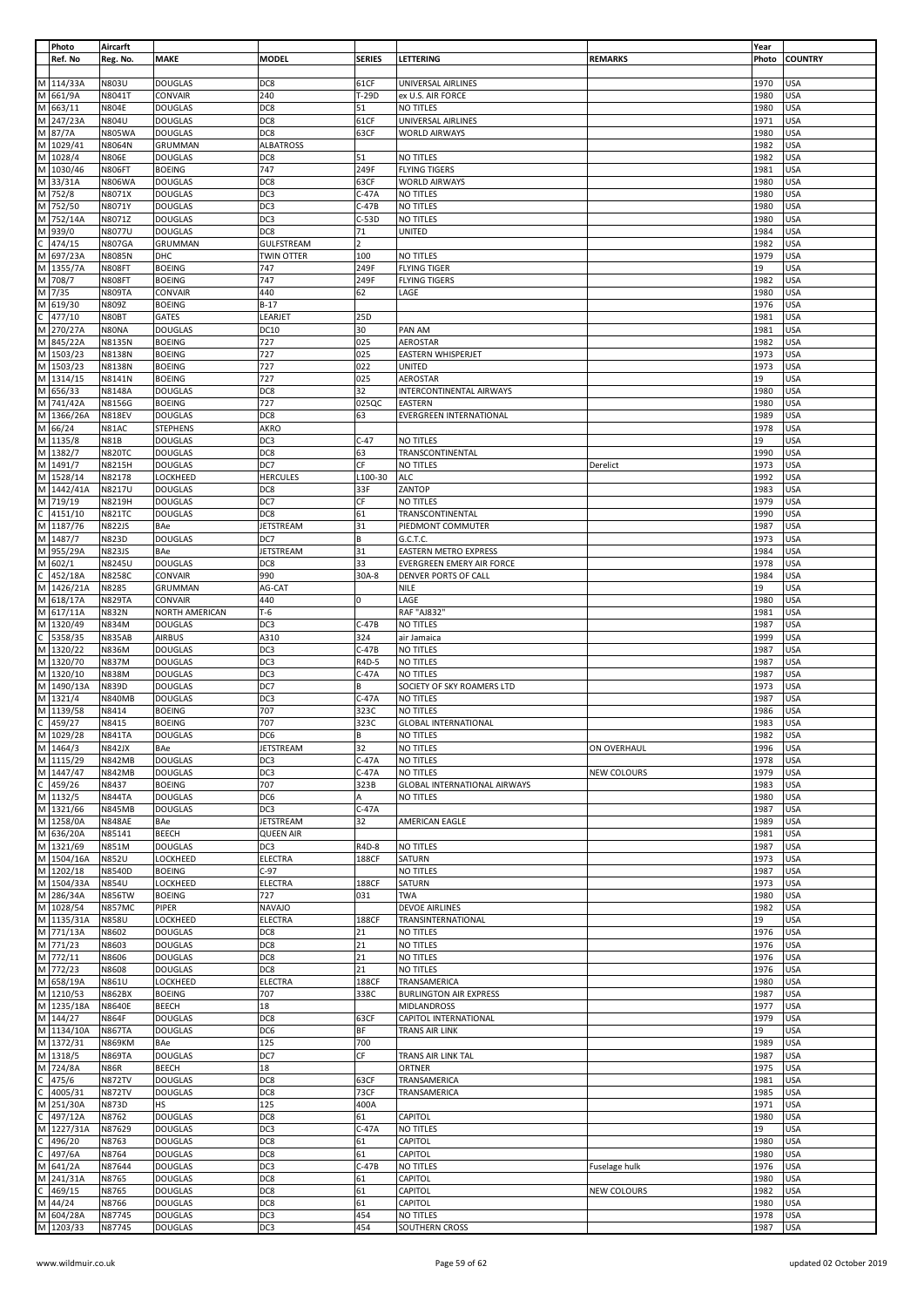| Photo<br>Ref. No                                          | Aircarft<br>Reg. No.           | <b>MAKE</b>                      | <b>MODEL</b>                    | <b>SERIES</b>  | LETTERING                                   | <b>REMARKS</b> | Year<br>Photo | <b>COUNTRY</b>           |
|-----------------------------------------------------------|--------------------------------|----------------------------------|---------------------------------|----------------|---------------------------------------------|----------------|---------------|--------------------------|
| M 114/33A                                                 | N803U                          | <b>DOUGLAS</b>                   | DC8                             | 61CF           | UNIVERSAL AIRLINES                          |                | 1970          | <b>USA</b>               |
| M 661/9A                                                  | N8041T                         | CONVAIR                          | 240                             | T-29D          | ex U.S. AIR FORCE                           |                | 1980          | <b>USA</b>               |
| M 663/11                                                  | <b>N804E</b>                   | <b>DOUGLAS</b>                   | DC8                             | 51             | NO TITLES                                   |                | 1980          | <b>USA</b>               |
| M 247/23A                                                 | N804U                          | <b>DOUGLAS</b>                   | DC8                             | 61CF           | UNIVERSAL AIRLINES                          |                | 1971          | <b>USA</b>               |
| M 87/7A                                                   | <b>N805WA</b>                  | <b>DOUGLAS</b>                   | DC8                             | 63CF           | <b>WORLD AIRWAYS</b>                        |                | 1980          | <b>USA</b>               |
| M 1029/41                                                 | N8064N                         | GRUMMAN                          | <b>ALBATROSS</b>                |                |                                             |                | 1982          | <b>USA</b>               |
| M 1028/4<br>M 1030/46                                     | <b>N806E</b><br><b>N806FT</b>  | <b>DOUGLAS</b><br><b>BOEING</b>  | DC8<br>747                      | 51<br>249F     | NO TITLES<br><b>FLYING TIGERS</b>           |                | 1982<br>1981  | <b>USA</b><br><b>USA</b> |
| M 33/31A                                                  | <b>N806WA</b>                  | <b>DOUGLAS</b>                   | DC8                             | 63CF           | <b>WORLD AIRWAYS</b>                        |                | 1980          | <b>USA</b>               |
| M 752/8                                                   | N8071X                         | <b>DOUGLAS</b>                   | DC <sub>3</sub>                 | C-47A          | NO TITLES                                   |                | 1980          | <b>USA</b>               |
| M 752/50                                                  | N8071Y                         | <b>DOUGLAS</b>                   | DC3                             | C-47B          | NO TITLES                                   |                | 1980          | <b>USA</b>               |
| M 752/14A                                                 | N8071Z                         | <b>DOUGLAS</b>                   | DC3                             | $C-53D$        | NO TITLES                                   |                | 1980          | <b>USA</b>               |
| M 939/0                                                   | N8077U                         | <b>DOUGLAS</b>                   | DC8                             | 71             | <b>UNITED</b>                               |                | 1984          | <b>USA</b>               |
| $\frac{1}{\text{C}}$ 474/15<br>M 697/23A                  | <b>N807GA</b>                  | GRUMMAN                          | GULFSTREAM                      | $\overline{2}$ |                                             |                | 1982          | <b>USA</b>               |
| M 1355/7A                                                 | N8085N                         | DHC                              | <b>TWIN OTTER</b>               | 100            | NO TITLES                                   |                | 1979          | <b>USA</b>               |
| M 708/7                                                   | <b>N808FT</b>                  | <b>BOEING</b><br><b>BOEING</b>   | 747<br>747                      | 249F<br>249F   | <b>FLYING TIGER</b><br><b>FLYING TIGERS</b> |                | 19<br>1982    | <b>USA</b><br><b>USA</b> |
| M 7/35                                                    | <b>N808FT</b><br><b>N809TA</b> | CONVAIR                          | 440                             | 62             | LAGE                                        |                | 1980          | <b>USA</b>               |
| M 619/30                                                  | N809Z                          | <b>BOEING</b>                    | $B-17$                          |                |                                             |                | 1976          | <b>USA</b>               |
| $\frac{1}{\text{C}}$ 477/10<br>M 270/27A                  | N80BT                          | GATES                            | LEARJET                         | 25D            |                                             |                | 1981          | <b>USA</b>               |
|                                                           | N80NA                          | <b>DOUGLAS</b>                   | DC10                            | 30             | PAN AM                                      |                | 1981          | <b>USA</b>               |
| M 845/22A                                                 | N8135N                         | <b>BOEING</b>                    | 727                             | 025            | AEROSTAR                                    |                | 1982          | <b>USA</b>               |
| M 1503/23                                                 | N8138N                         | <b>BOEING</b>                    | 727                             | 025            | EASTERN WHISPERJET                          |                | 1973          | <b>USA</b>               |
| M 1503/23                                                 | N8138N                         | <b>BOEING</b>                    | 727                             | 022            | UNITED                                      |                | 1973          | <b>USA</b>               |
| M 1314/15<br>M 656/33                                     | N8141N<br>N8148A               | <b>BOEING</b><br><b>DOUGLAS</b>  | 727<br>DC8                      | 025<br>32      | AEROSTAR                                    |                | 19<br>1980    | <b>USA</b><br><b>USA</b> |
| M 741/42A                                                 | N8156G                         | <b>BOEING</b>                    | 727                             | 025QC          | INTERCONTINENTAL AIRWAYS<br>EASTERN         |                | 1980          | <b>USA</b>               |
| M 1366/26A                                                | <b>N818EV</b>                  | <b>DOUGLAS</b>                   | DC8                             | 63             | EVERGREEN INTERNATIONAL                     |                | 1989          | <b>USA</b>               |
| M 66/24                                                   | N81AC                          | <b>STEPHENS</b>                  | <b>AKRO</b>                     |                |                                             |                | 1978          | <b>USA</b>               |
| M 1135/8                                                  | <b>N81B</b>                    | <b>DOUGLAS</b>                   | DC3                             | $C-47$         | NO TITLES                                   |                | 19            | <b>USA</b>               |
| M 1382/7                                                  | <b>N820TC</b>                  | <b>DOUGLAS</b>                   | DC8                             | 63             | TRANSCONTINENTAL                            |                | 1990          | <b>USA</b>               |
| M 1491/7                                                  | N8215H                         | <b>DOUGLAS</b>                   | DC7                             | CF             | NO TITLES                                   | Derelict       | 1973          | <b>USA</b>               |
| M 1528/14<br>M 1442/41A                                   | N82178                         | LOCKHEED                         | <b>HERCULES</b>                 | L100-30        | <b>ALC</b>                                  |                | 1992          | <b>USA</b>               |
| M 719/19                                                  | N8217U<br>N8219H               | <b>DOUGLAS</b><br><b>DOUGLAS</b> | DC8<br>DC7                      | 33F<br>СF      | ZANTOP<br>NO TITLES                         |                | 1983<br>1979  | <b>USA</b><br><b>USA</b> |
|                                                           | <b>N821TC</b>                  | <b>DOUGLAS</b>                   | DC8                             | 61             | TRANSCONTINENTAL                            |                | 1990          | <b>USA</b>               |
| $\frac{C}{M}$ 4151/10<br>M 1187/76                        | <b>N822JS</b>                  | BAe                              | <b>JETSTREAM</b>                | 31             | PIEDMONT COMMUTER                           |                | 1987          | <b>USA</b>               |
| M 1487/7                                                  | N823D                          | <b>DOUGLAS</b>                   | DC7                             | В              | G.C.T.C.                                    |                | 1973          | <b>USA</b>               |
| M 955/29A                                                 | <b>N823JS</b>                  | BAe                              | <b>JETSTREAM</b>                | 31             | <b>EASTERN METRO EXPRESS</b>                |                | 1984          | <b>USA</b>               |
| M 602/1                                                   | N8245U                         | <b>DOUGLAS</b>                   | DC8                             | 33             | EVERGREEN EMERY AIR FORCE                   |                | 1978          | <b>USA</b>               |
| $\frac{1}{\text{C}}$ 452/18A<br>M 1426/21A                | <b>N8258C</b>                  | CONVAIR                          | 990                             | 30A-8          | DENVER PORTS OF CALL                        |                | 1984          | <b>USA</b>               |
| M 618/17A                                                 | N8285                          | GRUMMAN                          | AG-CAT                          |                | NILE                                        |                | 19            | <b>USA</b>               |
| M 617/11A                                                 | <b>N829TA</b><br>N832N         | CONVAIR<br>NORTH AMERICAN        | 440<br>$T-6$                    | 0              | LAGE<br>RAF "AJ832"                         |                | 1980<br>1981  | <b>USA</b><br><b>USA</b> |
|                                                           | N834M                          | <b>DOUGLAS</b>                   | DC3                             | $C-47B$        | NO TITLES                                   |                | 1987          | <b>USA</b>               |
|                                                           | <b>N835AB</b>                  | <b>AIRBUS</b>                    | A310                            | 324            | air Jamaica                                 |                | 1999          | <b>USA</b>               |
| M 1320/49<br>C 5358/35<br>M 1320/22                       | N836M                          | <b>DOUGLAS</b>                   | DC3                             | $C-47B$        | NO TITLES                                   |                | 1987          | <b>USA</b>               |
| M 1320/70                                                 | N837M                          | <b>DOUGLAS</b>                   | DC3                             | R4D-5          | NO TITLES                                   |                | 1987          | <b>USA</b>               |
| M 1320/10                                                 | N838M                          | <b>DOUGLAS</b>                   | DC3                             | C-47A          | NO TITLES                                   |                | 1987          | <b>USA</b>               |
| M 1490/13A                                                | N839D                          | <b>DOUGLAS</b>                   | DC7                             | В              | SOCIETY OF SKY ROAMERS LTD                  |                | 1973          | <b>USA</b>               |
| M 1321/4<br>M 1139/58                                     | <b>N840MB</b><br>N8414         | <b>DOUGLAS</b><br><b>BOEING</b>  | DC3<br>707                      | C-47A<br>323C  | NO TITLES<br>NO TITLES                      |                | 1987<br>1986  | USA<br><b>USA</b>        |
|                                                           | N8415                          | <b>BOEING</b>                    | 707                             | 323C           | <b>GLOBAL INTERNATIONAL</b>                 |                | 1983          | <b>USA</b>               |
| $\frac{1}{\text{C}}$ 459/27<br>M 1029/28                  | <b>N841TA</b>                  | <b>DOUGLAS</b>                   | DC <sub>6</sub>                 | В              | NO TITLES                                   |                | 1982          | USA                      |
| M 1464/3<br>M 1115/29                                     | <b>N842JX</b>                  | BAe                              | <b>JETSTREAM</b>                | 32             | NO TITLES                                   | ON OVERHAUL    | 1996          | <b>USA</b>               |
|                                                           | <b>N842MB</b>                  | <b>DOUGLAS</b>                   | DC <sub>3</sub>                 | $C-47A$        | NO TITLES                                   |                | 1978          | <b>USA</b>               |
| $M$ 1447/47                                               | <b>N842MB</b>                  | <b>DOUGLAS</b>                   | DC3                             | C-47A          | NO TITLES                                   | NEW COLOURS    | 1979          | <b>USA</b>               |
|                                                           | N8437                          | <b>BOEING</b>                    | 707                             | 323B           | <b>GLOBAL INTERNATIONAL AIRWAYS</b>         |                | 1983          | <b>USA</b>               |
| $\frac{(1477)^{47}}{1432/5}$ M 1132/5<br>M 1321/66        | <b>N844TA</b>                  | <b>DOUGLAS</b><br><b>DOUGLAS</b> | DC6                             | A              | NO TITLES                                   |                | 1980          | <b>USA</b>               |
| M 1258/0A                                                 | <b>N845MB</b><br><b>N848AE</b> | BAe                              | DC3<br><b>JETSTREAM</b>         | $C-47A$<br>32  | AMERICAN EAGLE                              |                | 1987<br>1989  | <b>USA</b><br><b>USA</b> |
| M 636/20A                                                 | N85141                         | <b>BEECH</b>                     | <b>QUEEN AIR</b>                |                |                                             |                | 1981          | <b>USA</b>               |
| M 1321/69                                                 | N851M                          | <b>DOUGLAS</b>                   | DC <sub>3</sub>                 | R4D-8          | NO TITLES                                   |                | 1987          | <b>USA</b>               |
| M 1504/16A                                                | N852U                          | LOCKHEED                         | <b>ELECTRA</b>                  | 188CF          | SATURN                                      |                | 1973          | <b>USA</b>               |
| M 1202/18                                                 | N8540D                         | <b>BOEING</b>                    | $C-97$                          |                | NO TITLES                                   |                | 1987          | <b>USA</b>               |
| M 1504/33A                                                | N854U                          | LOCKHEED                         | ELECTRA                         | 188CF          | SATURN                                      |                | 1973          | <b>USA</b>               |
| M 286/34A<br>M 1028/54                                    | <b>N856TW</b>                  | <b>BOEING</b>                    | 727                             | 031            | TWA                                         |                | 1980          | <b>USA</b>               |
| M 1135/31A                                                | <b>N857MC</b><br><b>N858U</b>  | PIPER<br>LOCKHEED                | <b>NAVAJO</b><br><b>ELECTRA</b> | 188CF          | <b>DEVOE AIRLINES</b><br>TRANSINTERNATIONAL |                | 1982<br>19    | <b>USA</b><br><b>USA</b> |
| M 771/13A                                                 | N8602                          | <b>DOUGLAS</b>                   | DC8                             | 21             | NO TITLES                                   |                | 1976          | <b>USA</b>               |
| M 771/23                                                  | N8603                          | <b>DOUGLAS</b>                   | DC8                             | 21             | NO TITLES                                   |                | 1976          | <b>USA</b>               |
| M 772/11                                                  | N8606                          | <b>DOUGLAS</b>                   | DC8                             | 21             | NO TITLES                                   |                | 1976          | <b>USA</b>               |
| M 772/23                                                  | N8608                          | <b>DOUGLAS</b>                   | DC8                             | 21             | NO TITLES                                   |                | 1976          | <b>USA</b>               |
| M 658/19A                                                 | N861U                          | LOCKHEED                         | <b>ELECTRA</b>                  | 188CF          | TRANSAMERICA                                |                | 1980          | <b>USA</b>               |
| M 1210/53<br>M 1235/18A                                   | <b>N862BX</b>                  | <b>BOEING</b>                    | 707                             | 338C           | <b>BURLINGTON AIR EXPRESS</b>               |                | 1987          | <b>USA</b>               |
| M 144/27                                                  | <b>N8640E</b><br>N864F         | <b>BEECH</b><br><b>DOUGLAS</b>   | 18<br>DC8                       | 63CF           | <b>MIDLANDROSS</b><br>CAPITOL INTERNATIONAL |                | 1977<br>1979  | USA<br><b>USA</b>        |
| M 1134/10A                                                | <b>N867TA</b>                  | <b>DOUGLAS</b>                   | DC6                             | ΒF             | TRANS AIR LINK                              |                | 19            | <b>USA</b>               |
| M 1372/31                                                 | <b>N869KM</b>                  | BAe                              | 125                             | 700            |                                             |                | 1989          | <b>USA</b>               |
| M 1318/5                                                  | <b>N869TA</b>                  | <b>DOUGLAS</b>                   | DC7                             | СF             | TRANS AIR LINK TAL                          |                | 1987          | <b>USA</b>               |
| M 724/8A                                                  | <b>N86R</b>                    | BEECH                            | 18                              |                | ORTNER                                      |                | 1975          | <b>USA</b>               |
|                                                           | <b>N872TV</b>                  | <b>DOUGLAS</b>                   | DC8                             | 63CF           | TRANSAMERICA                                |                | 1981          | <b>USA</b>               |
| C 475/6<br>C 475/6<br>C 4005/31<br>M 251/30A<br>C 497/12A | <b>N872TV</b>                  | <b>DOUGLAS</b>                   | DC8                             | 73CF           | TRANSAMERICA                                |                | 1985          | <b>USA</b>               |
|                                                           | N873D                          | HS<br><b>DOUGLAS</b>             | 125<br>DC8                      | 400A<br>61     | CAPITOL                                     |                | 1971<br>1980  | <b>USA</b><br><b>USA</b> |
| M 1227/31A                                                | N8762<br>N87629                | <b>DOUGLAS</b>                   | DC3                             | C-47A          | NO TITLES                                   |                | 19            | <b>USA</b>               |
|                                                           | N8763                          | <b>DOUGLAS</b>                   | DC8                             | 61             | CAPITOL                                     |                | 1980          | <b>USA</b>               |
| C 496/20<br>C 497/6A<br>M 641/2A                          | N8764                          | <b>DOUGLAS</b>                   | DC8                             | 61             | CAPITOL                                     |                | 1980          | <b>USA</b>               |
|                                                           | N87644                         | <b>DOUGLAS</b>                   | DC3                             | C-47B          | NO TITLES                                   | Fuselage hulk  | 1976          | <b>USA</b>               |
| M 241/31A<br>C 469/15<br>M 44/24                          | N8765                          | <b>DOUGLAS</b>                   | DC8                             | 61             | CAPITOL                                     |                | 1980          | <b>USA</b>               |
|                                                           | N8765                          | <b>DOUGLAS</b>                   | DC8                             | 61             | CAPITOL                                     | NEW COLOURS    | 1982          | <b>USA</b>               |
| M 604/28A                                                 | N8766                          | <b>DOUGLAS</b>                   | DC8                             | 61             | CAPITOL                                     |                | 1980          | <b>USA</b>               |
| M 1203/33                                                 | N87745<br>N87745               | <b>DOUGLAS</b><br><b>DOUGLAS</b> | DC3<br>DC3                      | 454<br>454     | NO TITLES<br>SOUTHERN CROSS                 |                | 1978<br>1987  | <b>USA</b><br>USA        |
|                                                           |                                |                                  |                                 |                |                                             |                |               |                          |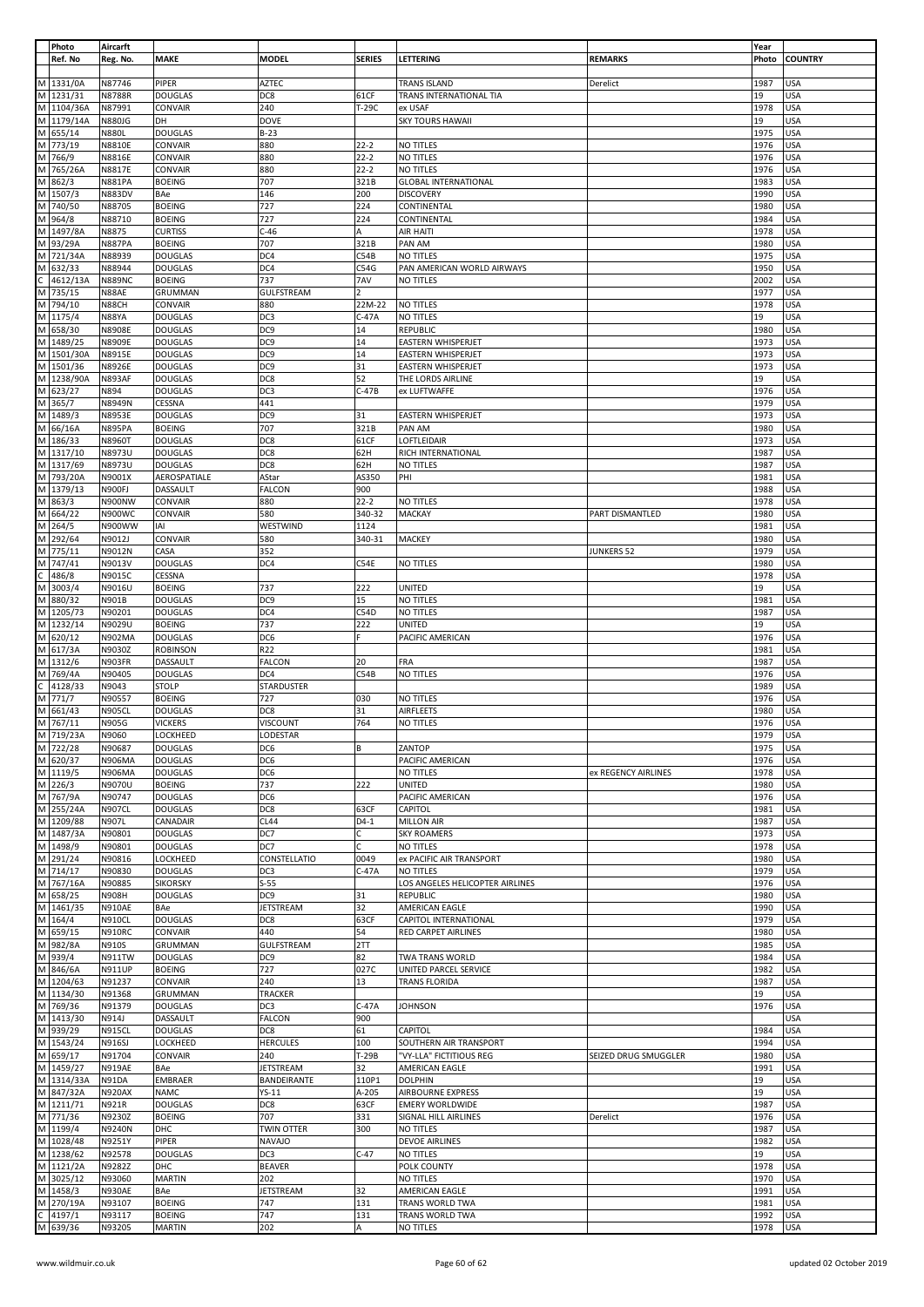|                | Photo                                  | Aircarft         |                                |                   |               |                                 |                      | Year         |                          |
|----------------|----------------------------------------|------------------|--------------------------------|-------------------|---------------|---------------------------------|----------------------|--------------|--------------------------|
|                | Ref. No                                | Reg. No.         | <b>MAKE</b>                    | <b>MODEL</b>      | <b>SERIES</b> | LETTERING                       | <b>REMARKS</b>       | Photo        | <b>COUNTRY</b>           |
|                |                                        |                  |                                |                   |               |                                 |                      |              |                          |
|                | M 1331/0A                              | N87746           | PIPER                          | AZTEC             |               | TRANS ISLAND                    | Derelict             | 1987         | <b>USA</b>               |
|                | M 1231/31                              | <b>N8788R</b>    | <b>DOUGLAS</b>                 | DC8               | 61CF          | TRANS INTERNATIONAL TIA         |                      | 19           | <b>USA</b>               |
|                | M 1104/36A                             | N87991           |                                | 240               |               |                                 |                      | 1978         | <b>USA</b>               |
|                |                                        |                  | CONVAIR                        |                   | T-29C         | ex USAF                         |                      |              |                          |
|                | M 1179/14A                             | <b>N880JG</b>    | DH                             | <b>DOVE</b>       |               | <b>SKY TOURS HAWAII</b>         |                      | 19           | USA                      |
|                | M 655/14                               | <b>N880L</b>     | <b>DOUGLAS</b>                 | $B-23$            |               |                                 |                      | 1975         | USA                      |
|                | M 773/19                               | N8810E           | CONVAIR                        | 880               | $22 - 2$      | NO TITLES                       |                      | 1976         | <b>USA</b>               |
|                | M 766/9                                | N8816E           | CONVAIR                        | 880               | $22 - 2$      | NO TITLES                       |                      | 1976         | <b>USA</b>               |
|                | M 765/26A                              | N8817E           | CONVAIR                        | 880               | $22 - 2$      | NO TITLES                       |                      | 1976         | USA                      |
|                | M 862/3                                |                  |                                |                   |               |                                 |                      |              |                          |
|                |                                        | <b>N881PA</b>    | <b>BOEING</b>                  | 707               | 321B          | <b>GLOBAL INTERNATIONAL</b>     |                      | 1983         | <b>USA</b>               |
|                | M 1507/3                               | <b>N883DV</b>    | BAe                            | 146               | 200           | <b>DISCOVERY</b>                |                      | 1990         | <b>USA</b>               |
|                | M 740/50                               | N88705           | <b>BOEING</b>                  | 727               | 224           | CONTINENTAL                     |                      | 1980         | USA                      |
|                | M 964/8                                | N88710           | <b>BOEING</b>                  | 727               | 224           | CONTINENTAL                     |                      | 1984         | USA                      |
|                | M 1497/8A                              | N8875            | <b>CURTISS</b>                 | $C-46$            | A             | AIR HAITI                       |                      | 1978         | <b>USA</b>               |
|                | M 93/29A                               | <b>N887PA</b>    |                                | 707               | 321B          | PAN AM                          |                      | 1980         | USA                      |
|                |                                        |                  | <b>BOEING</b>                  |                   |               |                                 |                      |              |                          |
|                | M 721/34A                              | N88939           | <b>DOUGLAS</b>                 | DC4               | C54B          | NO TITLES                       |                      | 1975         | USA                      |
|                | M 632/33                               | N88944           | <b>DOUGLAS</b>                 | DC4               | C54G          | PAN AMERICAN WORLD AIRWAYS      |                      | 1950         | <b>USA</b>               |
|                | $\frac{C}{M}$ 4612/1<br>4612/13A       | <b>N889NC</b>    | <b>BOEING</b>                  | 737               | 7AV           | NO TITLES                       |                      | 2002         | USA                      |
|                |                                        | N88AE            | GRUMMAN                        | <b>GULFSTREAM</b> |               |                                 |                      | 1977         | <b>USA</b>               |
|                | M 794/10                               | N88CH            | CONVAIR                        | 880               | 22M-22        | <b>NO TITLES</b>                |                      | 1978         | <b>USA</b>               |
|                | M 1175/4                               |                  |                                |                   |               |                                 |                      | 19           | <b>USA</b>               |
|                |                                        | <b>N88YA</b>     | <b>DOUGLAS</b>                 | DC3               | $C-47A$       | <b>NO TITLES</b>                |                      |              |                          |
|                | M 658/30                               | N8908E           | <b>DOUGLAS</b>                 | DC9               | 14            | REPUBLIC                        |                      | 1980         | <b>USA</b>               |
|                | M 1489/25                              | N8909E           | <b>DOUGLAS</b>                 | DC <sub>9</sub>   | 14            | EASTERN WHISPERJET              |                      | 1973         | USA                      |
|                | M 1501/30A                             | N8915E           | <b>DOUGLAS</b>                 | DC9               | 14            | EASTERN WHISPERJET              |                      | 1973         | <b>USA</b>               |
|                | M 1501/36                              | N8926E           | <b>DOUGLAS</b>                 | DC <sub>9</sub>   | 31            | EASTERN WHISPERJET              |                      | 1973         | <b>USA</b>               |
|                | M 1238/90A                             | <b>N893AF</b>    | <b>DOUGLAS</b>                 | DC8               | 52            | THE LORDS AIRLINE               |                      | 19           | <b>USA</b>               |
|                | M 623/27                               |                  |                                |                   |               |                                 |                      |              |                          |
|                |                                        | N894             | <b>DOUGLAS</b>                 | DC3               | $C-47B$       | ex LUFTWAFFE                    |                      | 1976         | <b>USA</b>               |
|                | M 365/7                                | N8949N           | CESSNA                         | 441               |               |                                 |                      | 1979         | <b>USA</b>               |
|                | M 1489/3                               | N8953E           | <b>DOUGLAS</b>                 | DC <sub>9</sub>   | 31            | EASTERN WHISPERJET              |                      | 1973         | USA                      |
|                | M 66/16A                               | <b>N895PA</b>    | <b>BOEING</b>                  | 707               | 321B          | PAN AM                          |                      | 1980         | USA                      |
|                | M 186/33                               | N8960T           | <b>DOUGLAS</b>                 | DC8               | 61CF          | LOFTLEIDAIR                     |                      | 1973         | USA                      |
|                | M 1317/10                              |                  |                                |                   |               |                                 |                      |              |                          |
|                |                                        | N8973U           | <b>DOUGLAS</b>                 | DC8               | 62H           | RICH INTERNATIONAL              |                      | 1987         | <b>USA</b>               |
|                | M 1317/69                              | N8973U           | <b>DOUGLAS</b>                 | DC8               | 62H           | NO TITLES                       |                      | 1987         | <b>USA</b>               |
|                | M 793/20A                              | N9001X           | AEROSPATIALE                   | AStar             | AS350         | PHI                             |                      | 1981         | USA                      |
|                | M 1379/13                              | N900FJ           | DASSAULT                       | <b>FALCON</b>     | 900           |                                 |                      | 1988         | USA                      |
|                | M 863/3                                | N900NW           | CONVAIR                        | 880               | $22 - 2$      | NO TITLES                       |                      | 1978         | <b>USA</b>               |
|                |                                        |                  |                                |                   |               |                                 |                      |              |                          |
|                | M 664/22                               | <b>N900WC</b>    | CONVAIR                        | 580               | 340-32        | MACKAY                          | PART DISMANTLED      | 1980         | USA                      |
|                | M 264/5                                | N900WW           | IAI                            | WESTWIND          | 1124          |                                 |                      | 1981         | USA                      |
|                | M 292/64                               | N9012J           | CONVAIR                        | 580               | 340-31        | MACKEY                          |                      | 1980         | <b>USA</b>               |
|                | M 775/11                               | N9012N           | CASA                           | 352               |               |                                 | <b>JUNKERS 52</b>    | 1979         | USA                      |
|                | M 747/41                               | N9013V           | <b>DOUGLAS</b>                 | DC4               | C54E          | NO TITLES                       |                      | 1980         | USA                      |
|                |                                        | N9015C           |                                |                   |               |                                 |                      | 1978         | USA                      |
|                | $\frac{1}{\sqrt{2}}$ 486/8<br>M 3003/4 |                  | CESSNA                         |                   |               |                                 |                      |              |                          |
|                |                                        | N9016U           | <b>BOEING</b>                  | 737               | 222           | <b>UNITED</b>                   |                      | 19           | USA                      |
|                | M 880/32                               | N901B            | <b>DOUGLAS</b>                 | DC9               | 15            | NO TITLES                       |                      | 1981         | USA                      |
|                | M 1205/73                              | N90201           | <b>DOUGLAS</b>                 | DC4               | C54D          | NO TITLES                       |                      | 1987         | <b>USA</b>               |
|                | M 1232/14                              | N9029U           | <b>BOEING</b>                  | 737               | 222           | <b>UNITED</b>                   |                      | 19           | USA                      |
|                |                                        |                  |                                |                   |               |                                 |                      |              |                          |
|                | M 620/12                               | <b>N902MA</b>    | <b>DOUGLAS</b>                 | DC6               |               | PACIFIC AMERICAN                |                      | 1976         | <b>USA</b>               |
|                | M 617/3A                               | N9030Z           | <b>ROBINSON</b>                | R22               |               |                                 |                      | 1981         | USA                      |
|                | M 1312/6                               | N903FR           | DASSAULT                       | <b>FALCON</b>     | 20            | FRA                             |                      | 1987         | USA                      |
|                | M 769/4A                               | N90405           | <b>DOUGLAS</b>                 | DC4               | C54B          | NO TITLES                       |                      | 1976         | <b>USA</b>               |
|                | 4128/33                                | N9043            | <b>STOLP</b>                   | STARDUSTER        |               |                                 |                      | 1989         | USA                      |
|                |                                        |                  |                                |                   | 030           |                                 |                      |              |                          |
|                |                                        |                  |                                |                   |               | NO TITLES                       |                      |              | USA                      |
|                | $\frac{C}{M}$ 4128/                    | N90557           | <b>BOEING</b>                  | 727               |               |                                 |                      | 1976         |                          |
|                | M 661/43                               | <b>N905CL</b>    | <b>DOUGLAS</b>                 | DC8               | 31            | <b>AIRFLEETS</b>                |                      | 1980         | <b>USA</b>               |
|                | M 767/11                               | N905G            | <b>VICKERS</b>                 | <b>VISCOUNT</b>   | 764           | NO TITLES                       |                      | 1976         | <b>USA</b>               |
|                |                                        |                  |                                |                   |               |                                 |                      | 1979         | USA                      |
|                | M 719/23A                              | N9060            | LOCKHEED                       | LODESTAR          |               |                                 |                      |              |                          |
|                | M 722/28                               | N90687           | <b>DOUGLAS</b>                 | DC6               | B             | ZANTOP                          |                      | 1975         | <b>USA</b>               |
|                | $\overline{M}$ 620/37                  | <b>N906MA</b>    | <b>DOUGLAS</b>                 | DC6               |               | PACIFIC AMERICAN                |                      | 1976         | <b>USA</b>               |
|                | $M$ 1119/5                             | <b>N906MA</b>    | <b>DOUGLAS</b>                 | DC6               |               | NO TITLES                       | ex REGENCY AIRLINES  | 1978         | USA                      |
|                | M 226/3                                | N9070U           | <b>BOEING</b>                  | 737               | 222           | <b>UNITED</b>                   |                      | 1980         | USA                      |
|                |                                        | N90747           | <b>DOUGLAS</b>                 | DC <sub>6</sub>   |               | PACIFIC AMERICAN                |                      | 1976         | USA                      |
|                | M 767/9A                               |                  |                                |                   |               |                                 |                      |              |                          |
|                | M 255/24A                              | <b>N907CL</b>    | <b>DOUGLAS</b>                 | DC8               | 63CF          | <b>CAPITOL</b>                  |                      | 1981         | <b>USA</b>               |
|                | M 1209/88                              | N907L            | CANADAIR                       | <b>CL44</b>       | $D4-1$        | <b>MILLON AIR</b>               |                      | 1987         | USA                      |
|                | M 1487/3A                              | N90801           | <b>DOUGLAS</b>                 | DC7               | с             | <b>SKY ROAMERS</b>              |                      | 1973         | USA                      |
|                | M 1498/9                               | N90801           | <b>DOUGLAS</b>                 | DC7               | C             | NO TITLES                       |                      | 1978         | USA                      |
|                | M 291/24                               | N90816           | <b>LOCKHEED</b>                | CONSTELLATIO      | 0049          | ex PACIFIC AIR TRANSPORT        |                      | 1980         | USA                      |
|                |                                        | N90830           | <b>DOUGLAS</b>                 | DC3               | C-47A         | NO TITLES                       |                      | 1979         | USA                      |
|                | M 714/17                               |                  |                                |                   |               |                                 |                      |              |                          |
|                | M 767/16A                              | N90885           | <b>SIKORSKY</b>                | $S-55$            |               | LOS ANGELES HELICOPTER AIRLINES |                      | 1976         | USA                      |
|                | M 658/25                               | N908H            | <b>DOUGLAS</b>                 | DC <sub>9</sub>   | 31            | <b>REPUBLIC</b>                 |                      | 1980         | USA                      |
|                | M 1461/35                              | <b>N910AE</b>    | BAe                            | <b>JETSTREAM</b>  | 32            | AMERICAN EAGLE                  |                      | 1990         | USA                      |
|                | M 164/4                                | <b>N910CL</b>    | <b>DOUGLAS</b>                 | DC8               | 63CF          | CAPITOL INTERNATIONAL           |                      | 1979         | <b>USA</b>               |
|                | M 659/15                               | <b>N910RC</b>    | CONVAIR                        | 440               | 54            | RED CARPET AIRLINES             |                      | 1980         | USA                      |
|                |                                        |                  |                                |                   |               |                                 |                      |              |                          |
|                | M 982/8A                               | N910S            | GRUMMAN                        | GULFSTREAM        | 2TT           |                                 |                      | 1985         | USA                      |
|                | M 939/4                                | <b>N911TW</b>    | <b>DOUGLAS</b>                 | DC <sub>9</sub>   | 82            | TWA TRANS WORLD                 |                      | 1984         | <b>USA</b>               |
|                | M 846/6A                               | <b>N911UP</b>    | <b>BOEING</b>                  | 727               | 027C          | UNITED PARCEL SERVICE           |                      | 1982         | USA                      |
|                | M 1204/63                              | N91237           | <b>CONVAIR</b>                 | 240               | 13            | TRANS FLORIDA                   |                      | 1987         | <b>USA</b>               |
|                | M 1134/30                              | N91368           | <b>GRUMMAN</b>                 | <b>TRACKER</b>    |               |                                 |                      | 19           | USA                      |
|                | M 769/36                               | N91379           | <b>DOUGLAS</b>                 | DC3               | $C-47A$       | <b>JOHNSON</b>                  |                      | 1976         | USA                      |
|                |                                        |                  |                                |                   |               |                                 |                      |              |                          |
|                | M 1413/30                              | N914J            | DASSAULT                       | <b>FALCON</b>     | 900           |                                 |                      |              | USA                      |
|                | M 939/29                               | <b>N915CL</b>    | <b>DOUGLAS</b>                 | DC8               | 61            | CAPITOL                         |                      | 1984         | <b>USA</b>               |
|                | M 1543/24                              | <b>N916SJ</b>    | LOCKHEED                       | <b>HERCULES</b>   | 100           | SOUTHERN AIR TRANSPORT          |                      | 1994         | USA                      |
|                | M 659/17                               | N91704           | CONVAIR                        | 240               | T-29B         | "VY-LLA" FICTITIOUS REG         | SEIZED DRUG SMUGGLER | 1980         | <b>USA</b>               |
|                | M 1459/27                              | <b>N919AE</b>    | BAe                            | JETSTREAM         | 32            | AMERICAN EAGLE                  |                      | 1991         | <b>USA</b>               |
|                |                                        | N91DA            | EMBRAER                        | BANDEIRANTE       | 110P1         | <b>DOLPHIN</b>                  |                      | 19           | <b>USA</b>               |
|                | M 1314/33A                             |                  |                                |                   |               |                                 |                      |              |                          |
|                | M 847/32A                              | <b>N920AX</b>    | <b>NAMC</b>                    | $YS-11$           | A-205         | <b>AIRBOURNE EXPRESS</b>        |                      | 19           | <b>USA</b>               |
|                | M 1211/71                              | N921R            | <b>DOUGLAS</b>                 | DC8               | 63CF          | <b>EMERY WORLDWIDE</b>          |                      | 1987         | <b>USA</b>               |
|                | M 771/36                               | N9230Z           | <b>BOEING</b>                  | 707               | 331           | SIGNAL HILL AIRLINES            | Derelict             | 1976         | <b>USA</b>               |
|                | M 1199/4                               | <b>N9240N</b>    | DHC                            | <b>TWIN OTTER</b> | 300           | NO TITLES                       |                      | 1987         | USA                      |
|                | M 1028/48                              | N9251Y           | PIPER                          | <b>NAVAJO</b>     |               | <b>DEVOE AIRLINES</b>           |                      | 1982         | <b>USA</b>               |
|                |                                        |                  |                                |                   |               |                                 |                      |              |                          |
|                | M 1238/62                              | N92578           | <b>DOUGLAS</b>                 | DC3               | $C-47$        | NO TITLES                       |                      | 19           | USA                      |
|                | M 1121/2A                              | N9282Z           | DHC                            | <b>BEAVER</b>     |               | POLK COUNTY                     |                      | 1978         | USA                      |
|                | M 3025/12                              | N93060           | <b>MARTIN</b>                  | 202               |               | NO TITLES                       |                      | 1970         | USA                      |
|                | M 1458/3                               | N930AE           | BAe                            | JETSTREAM         | 32            | AMERICAN EAGLE                  |                      | 1991         | USA                      |
|                |                                        |                  |                                |                   |               |                                 |                      |              |                          |
|                | M 270/19A                              | N93107           | <b>BOEING</b>                  | 747               | 131           | TRANS WORLD TWA                 |                      | 1981         | USA                      |
| $\overline{c}$ | 4197/1<br>M 639/36                     | N93117<br>N93205 | <b>BOEING</b><br><b>MARTIN</b> | 747<br>202        | 131<br>A      | TRANS WORLD TWA<br>NO TITLES    |                      | 1992<br>1978 | <b>USA</b><br><b>USA</b> |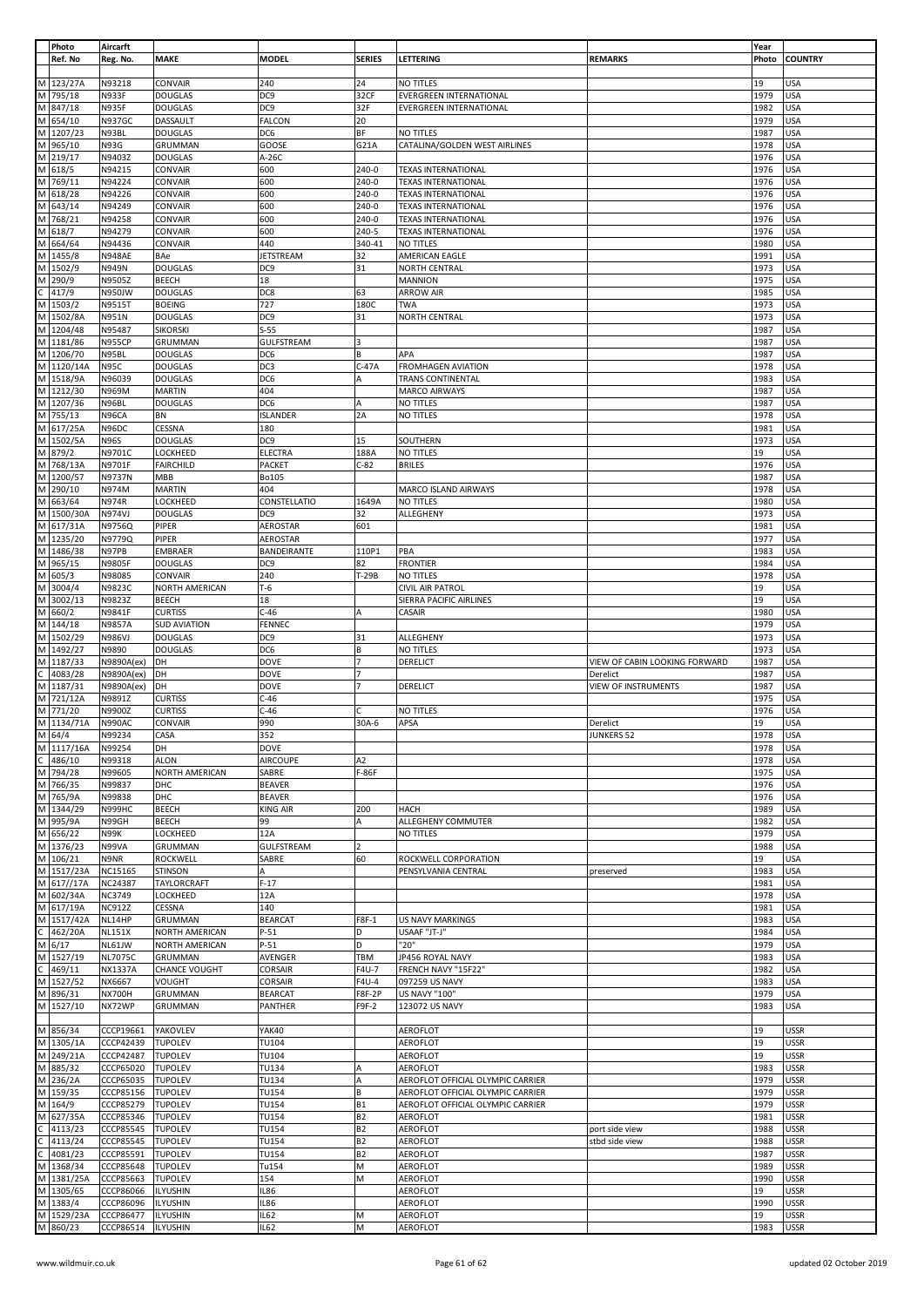|        | Photo               | Aircarft                 |                                  |                           |                        |                                                          |                                           | Year         |                   |
|--------|---------------------|--------------------------|----------------------------------|---------------------------|------------------------|----------------------------------------------------------|-------------------------------------------|--------------|-------------------|
|        | Ref. No             | Reg. No.                 | <b>MAKE</b>                      | <b>MODEL</b>              | <b>SERIES</b>          | LETTERING                                                | <b>REMARKS</b>                            | Photo        | <b>COUNTRY</b>    |
|        |                     |                          |                                  |                           |                        |                                                          |                                           |              |                   |
|        | M 123/27A           | N93218                   | CONVAIR                          | 240                       | 24                     | NO TITLES                                                |                                           | 19           | <b>USA</b>        |
| M      | 795/18              | <b>N933F</b>             | <b>DOUGLAS</b>                   | DC9                       | 32CF                   | EVERGREEN INTERNATIONAL                                  |                                           | 1979         | <b>USA</b>        |
|        | M 847/18            | <b>N935F</b>             | <b>DOUGLAS</b>                   | DC9                       | 32F                    | <b>EVERGREEN INTERNATIONAL</b>                           |                                           | 1982         | <b>USA</b>        |
|        | M 654/10            | <b>N937GC</b>            | DASSAULT                         | FALCON                    | 20                     |                                                          |                                           | 1979         | USA               |
| M      | 1207/23             | N93BL                    | <b>DOUGLAS</b>                   | DC6                       | ΒF                     | NO TITLES                                                |                                           | 1987         | <b>USA</b>        |
|        | M 965/10            | <b>N93G</b>              | <b>GRUMMAN</b>                   | GOOSE                     | G21A                   | CATALINA/GOLDEN WEST AIRLINES                            |                                           | 1978         | <b>USA</b>        |
| M      | M 219/17            | N9403Z                   | <b>DOUGLAS</b>                   | A-26C                     |                        |                                                          |                                           | 1976<br>1976 | USA<br>USA        |
|        | 618/5               | N94215                   | CONVAIR                          | 600                       | 240-0                  | <b>TEXAS INTERNATIONAL</b>                               |                                           |              | <b>USA</b>        |
| M      | M 769/11            | N94224                   | CONVAIR                          | 600<br>600                | 240-0<br>240-0         | <b>TEXAS INTERNATIONAL</b><br><b>TEXAS INTERNATIONAL</b> |                                           | 1976<br>1976 | USA               |
| M      | 618/28              | N94226                   | CONVAIR                          |                           |                        | <b>TEXAS INTERNATIONAL</b>                               |                                           | 1976         | USA               |
|        | 643/14<br>M 768/21  | N94249<br>N94258         | CONVAIR<br>CONVAIR               | 600<br>600                | 240-0<br>240-0         | <b>TEXAS INTERNATIONAL</b>                               |                                           | 1976         | USA               |
| M      | 618/7               | N94279                   | CONVAIR                          | 600                       | 240-5                  | <b>TEXAS INTERNATIONAL</b>                               |                                           | 1976         | USA               |
| M      | 664/64              | N94436                   | CONVAIR                          | 440                       | 340-41                 | NO TITLES                                                |                                           | 1980         | USA               |
|        | M 1455/8            | <b>N948AE</b>            | BAe                              | JETSTREAM                 | 32                     | AMERICAN EAGLE                                           |                                           | 1991         | <b>USA</b>        |
| M      | 1502/9              | <b>N949N</b>             | <b>DOUGLAS</b>                   | DC <sub>9</sub>           | 31                     | NORTH CENTRAL                                            |                                           | 1973         | <b>USA</b>        |
| M      | 290/9               | N9505Z                   | <b>BEECH</b>                     | 18                        |                        | <b>MANNION</b>                                           |                                           | 1975         | <b>USA</b>        |
|        | 417/9               | <b>N950JW</b>            | <b>DOUGLAS</b>                   | DC8                       | 63                     | <b>ARROW AIR</b>                                         |                                           | 1985         | <b>USA</b>        |
| M      | 1503/2              | N9515T                   | <b>BOEING</b>                    | 727                       | 180C                   | <b>TWA</b>                                               |                                           | 1973         | USA               |
| M      | 1502/8A             | N951N                    | <b>DOUGLAS</b>                   | DC <sub>9</sub>           | 31                     | <b>NORTH CENTRAL</b>                                     |                                           | 1973         | <b>USA</b>        |
| M      | 1204/48             | N95487                   | <b>SIKORSKI</b>                  | $S-55$                    |                        |                                                          |                                           | 1987         | USA               |
|        | M 1181/86           | <b>N955CP</b>            | GRUMMAN                          | <b>GULFSTREAM</b>         | 3                      |                                                          |                                           | 1987         | <b>USA</b>        |
| M      | 1206/70             | N95BL                    | <b>DOUGLAS</b>                   | DC6                       | В                      | APA                                                      |                                           | 1987         | USA               |
| M      | 1120/14A            | <b>N95C</b>              | <b>DOUGLAS</b>                   | DC3                       | $C-47A$                | <b>FROMHAGEN AVIATION</b>                                |                                           | 1978         | USA               |
|        | M 1518/9A           | N96039                   | <b>DOUGLAS</b>                   | DC6                       | A                      | <b>TRANS CONTINENTAL</b>                                 |                                           | 1983         | <b>USA</b>        |
|        | M 1212/30           | N969M                    | <b>MARTIN</b>                    | 404                       |                        | MARCO AIRWAYS                                            |                                           | 1987         | <b>USA</b>        |
| M      | 1207/36             | N96BL                    | <b>DOUGLAS</b>                   | DC6                       |                        | NO TITLES                                                |                                           | 1987         | USA               |
|        | M 755/13            | N96CA                    | BN                               | ISLANDER                  | 2A                     | NO TITLES                                                |                                           | 1978         | <b>USA</b>        |
|        | M 617/25A           | N96DC                    | CESSNA                           | 180                       |                        |                                                          |                                           | 1981         | <b>USA</b>        |
| M      | 1502/5A             | <b>N96S</b>              | <b>DOUGLAS</b>                   | DC9                       | 15                     | SOUTHERN                                                 |                                           | 1973         | <b>USA</b>        |
|        | M 879/2             | N9701C                   | LOCKHEED                         | ELECTRA                   | 188A                   | NO TITLES                                                |                                           | 19           | <b>USA</b>        |
|        | M 768/13A           | N9701F                   | <b>FAIRCHILD</b>                 | PACKET                    | $C-82$                 | <b>BRILES</b>                                            |                                           | 1976         | <b>USA</b>        |
| M      | 1200/57             | N9737N                   | MBB                              | Bo105                     |                        |                                                          |                                           | 1987         | <b>USA</b>        |
| M      | 290/10              | N974M                    | <b>MARTIN</b>                    | 404                       |                        | MARCO ISLAND AIRWAYS                                     |                                           | 1978         | <b>USA</b>        |
| M      | 663/64              | <b>N974R</b>             | LOCKHEED                         | CONSTELLATIO              | 1649A                  | NO TITLES                                                |                                           | 1980         | USA               |
| M      | 1500/30A            | <b>N974VJ</b>            | <b>DOUGLAS</b>                   | DC9                       | 32                     | ALLEGHENY                                                |                                           | 1973         | USA               |
| M      | 617/31A             | N9756Q                   | PIPER                            | AEROSTAR                  | 601                    |                                                          |                                           | 1981         | <b>USA</b>        |
| M      | 1235/20             | N9779Q                   | PIPER                            | AEROSTAR                  |                        |                                                          |                                           | 1977         | USA               |
|        | M 1486/38           | N97PB                    | EMBRAER                          | BANDEIRANTE               | 110P1                  | PBA                                                      |                                           | 1983         | <b>USA</b>        |
| M      | 965/15              | N9805F                   | <b>DOUGLAS</b>                   | DC <sub>9</sub>           | 82                     | <b>FRONTIER</b>                                          |                                           | 1984         | <b>USA</b>        |
| M      | 605/3               | N98085                   | CONVAIR                          | 240                       | T-29B                  | NO TITLES                                                |                                           | 1978         | <b>USA</b>        |
| M      | 3004/4              | N9823C                   | NORTH AMERICAN                   | T-6                       |                        | <b>CIVIL AIR PATROL</b>                                  |                                           | 19           | USA               |
| M      | 3002/13             | N9823Z                   | <b>BEECH</b>                     | 18                        |                        | SIERRA PACIFIC AIRLINES                                  |                                           | 19           | USA               |
| M      | 660/2               | N9841F                   | <b>CURTISS</b>                   | $C-46$                    |                        | CASAIR                                                   |                                           | 1980         | <b>USA</b>        |
|        | M 144/18            | <b>N9857A</b>            | <b>SUD AVIATION</b>              | FENNEC                    |                        |                                                          |                                           | 1979         | <b>USA</b>        |
| M      | M 1502/29           | <b>N986VJ</b>            | <b>DOUGLAS</b><br><b>DOUGLAS</b> | DC9                       | 31                     | ALLEGHENY                                                |                                           | 1973<br>1973 | USA<br><b>USA</b> |
| M      | 1492/27<br>1187/33  | N9890                    |                                  | DC6<br><b>DOVE</b>        | В<br>$\overline{7}$    | NO TITLES<br>DERELICT                                    |                                           | 1987         | <b>USA</b>        |
|        | 4083/28             | N9890A(ex)<br>N9890A(ex) | DH<br>DH                         | <b>DOVE</b>               |                        |                                                          | VIEW OF CABIN LOOKING FORWARD<br>Derelict | 1987         | USA               |
| M      | 1187/31             | N9890A(ex)               | DH                               | <b>DOVE</b>               | $\overline{7}$         | DERELICT                                                 | <b>VIEW OF INSTRUMENTS</b>                | 1987         | <b>USA</b>        |
|        | M 721/12A           | N9891Z                   | <b>CURTISS</b>                   | $C-46$                    |                        |                                                          |                                           | 1975         | USA               |
|        | M 771/20            | N9900Z                   | <b>CURTISS</b>                   | $C-46$                    |                        | NO TITLES                                                |                                           | 1976         | USA               |
|        | M 1134/71A          | N990AC                   | CONVAIR                          | 990                       | 30A-6                  | APSA                                                     | Derelict                                  | 19           | <b>USA</b>        |
|        | M 64/4              | N99234                   | CASA                             | 352                       |                        |                                                          | <b>JUNKERS 52</b>                         | 1978         | <b>USA</b>        |
|        | M 1117/16A          | N99254                   | DH                               | DOVE                      |                        |                                                          |                                           | 1978         | <b>USA</b>        |
| C      | 486/10              | N99318                   | <b>ALON</b>                      | AIRCOUPE                  | A2                     |                                                          |                                           | 1978         | <b>USA</b>        |
|        | M 794/28            | N99605                   | NORTH AMERICAN                   | SABRE                     | F-86F                  |                                                          |                                           | 1975         | <b>USA</b>        |
| M      | 766/35              | N99837                   | DHC                              | <b>BEAVER</b>             |                        |                                                          |                                           | 1976         | <b>USA</b>        |
|        | M 765/9A            | N99838                   | DHC                              | <b>BEAVER</b>             |                        |                                                          |                                           | 1976         | <b>USA</b>        |
|        | M 1344/29           | N999HC                   | <b>BEECH</b>                     | <b>KING AIR</b>           | 200                    | <b>HACH</b>                                              |                                           | 1989         | USA               |
| M      | 995/9A              | N99GH                    | <b>BEECH</b>                     | 99                        | A                      | ALLEGHENY COMMUTER                                       |                                           | 1982         | <b>USA</b>        |
| M      | 656/22              | <b>N99K</b>              | LOCKHEED                         | 12A                       |                        | <b>NO TITLES</b>                                         |                                           | 1979         | <b>USA</b>        |
|        | M 1376/23           | N99VA                    | <b>GRUMMAN</b>                   | GULFSTREAM                | $\overline{2}$         |                                                          |                                           | 1988         | <b>USA</b>        |
|        | M 106/21            | N9NR                     | ROCKWELL                         | SABRE                     | 60                     | ROCKWELL CORPORATION                                     |                                           | 19           | <b>USA</b>        |
|        | M 1517/23A          | NC15165                  | <b>STINSON</b>                   | A                         |                        | PENSYLVANIA CENTRAL                                      | preserved                                 | 1983         | <b>USA</b>        |
|        | M 617//17A          | <b>NC24387</b>           | TAYLORCRAFT                      | $F-17$                    |                        |                                                          |                                           | 1981         | <b>USA</b>        |
|        | M 602/34A           | <b>NC3749</b>            | LOCKHEED                         | 12A                       |                        |                                                          |                                           | 1978         | <b>USA</b>        |
|        | M 617/19A           | <b>NC912Z</b>            | CESSNA                           | 140                       |                        |                                                          |                                           | 1981         | <b>USA</b>        |
| M      | 1517/42A            | NL14HP                   | GRUMMAN                          | <b>BEARCAT</b>            | F8F-1                  | <b>US NAVY MARKINGS</b>                                  |                                           | 1983         | <b>USA</b>        |
| C      | 462/20A             | <b>NL151X</b>            | <b>NORTH AMERICAN</b>            | $P-51$                    | D                      | USAAF "JT-J"                                             |                                           | 1984         | <b>USA</b>        |
|        | M 6/17              | NL61JW                   | NORTH AMERICAN                   | $P-51$                    | D                      | "20"                                                     |                                           | 1979         | <b>USA</b>        |
| M      | 1527/19             | <b>NL7075C</b>           | GRUMMAN                          | AVENGER                   | TBM                    | JP456 ROYAL NAVY                                         |                                           | 1983         | USA               |
| Ċ      | 469/11              | <b>NX1337A</b>           | <b>CHANCE VOUGHT</b>             | CORSAIR                   | F4U-7                  | FRENCH NAVY "15F22"                                      |                                           | 1982         | USA               |
| M<br>M | 1527/52             | NX6667<br><b>NX700H</b>  | VOUGHT<br>GRUMMAN                | CORSAIR<br><b>BEARCAT</b> | F4U-4<br><b>F8F-2P</b> | 097259 US NAVY<br>US NAVY "100"                          |                                           | 1983<br>1979 | USA<br><b>USA</b> |
|        | 896/31<br>M 1527/10 | NX72WP                   | GRUMMAN                          | PANTHER                   | F9F-2                  | 123072 US NAVY                                           |                                           | 1983         | <b>USA</b>        |
|        |                     |                          |                                  |                           |                        |                                                          |                                           |              |                   |
|        | M 856/34            | CCCP19661                | YAKOVLEV                         | YAK40                     |                        | AEROFLOT                                                 |                                           | 19           | <b>USSR</b>       |
|        | M 1305/1A           | CCCP42439                | <b>TUPOLEV</b>                   | <b>TU104</b>              |                        | AEROFLOT                                                 |                                           | 19           | <b>USSR</b>       |
| M      | 249/21A             | CCCP42487                | <b>TUPOLEV</b>                   | TU104                     |                        | AEROFLOT                                                 |                                           | 19           | <b>USSR</b>       |
|        | M 885/32            | CCCP65020                | <b>TUPOLEV</b>                   | TU134                     | А                      | AEROFLOT                                                 |                                           | 1983         | <b>USSR</b>       |
|        | M 236/2A            | CCCP65035                | <b>TUPOLEV</b>                   | TU134                     | А                      | AEROFLOT OFFICIAL OLYMPIC CARRIER                        |                                           | 1979         | <b>USSR</b>       |
| M      | 159/35              | CCCP85156                | <b>TUPOLEV</b>                   | <b>TU154</b>              | B                      | AEROFLOT OFFICIAL OLYMPIC CARRIER                        |                                           | 1979         | <b>USSR</b>       |
|        | M 164/9             | CCCP85279                | <b>TUPOLEV</b>                   | <b>TU154</b>              | <b>B1</b>              | AEROFLOT OFFICIAL OLYMPIC CARRIER                        |                                           | 1979         | <b>USSR</b>       |
| M      | 627/35A             | CCCP85346                | <b>TUPOLEV</b>                   | TU154                     | <b>B2</b>              | AEROFLOT                                                 |                                           | 1981         | <b>USSR</b>       |
| C      | 4113/23             | CCCP85545                | <b>TUPOLEV</b>                   | TU154                     | <b>B2</b>              | AEROFLOT                                                 | port side view                            | 1988         | <b>USSR</b>       |
| С      | 4113/24             | CCCP85545                | <b>TUPOLEV</b>                   | <b>TU154</b>              | <b>B2</b>              | AEROFLOT                                                 | stbd side view                            | 1988         | <b>USSR</b>       |
|        | 4081/23             | CCCP85591                | <b>TUPOLEV</b>                   | TU154                     | <b>B2</b>              | AEROFLOT                                                 |                                           | 1987         | ussr              |
| M      | 1368/34             | CCCP85648                | <b>TUPOLEV</b>                   | Tu154                     | М                      | AEROFLOT                                                 |                                           | 1989         | <b>USSR</b>       |
|        | M 1381/25A          | CCCP85663                | <b>TUPOLEV</b>                   | 154                       | M                      | AEROFLOT                                                 |                                           | 1990         | <b>USSR</b>       |
|        | M 1305/65           | CCCP86066                | <b>ILYUSHIN</b>                  | <b>IL86</b>               |                        | <b>AEROFLOT</b>                                          |                                           | 19           | <b>USSR</b>       |
|        | M 1383/4            | CCCP86096                | <b>ILYUSHIN</b>                  | <b>IL86</b>               |                        | AEROFLOT                                                 |                                           | 1990         | <b>USSR</b>       |
|        | M 1529/23A          | CCCP86477                | <b>ILYUSHIN</b>                  | IL62                      | М                      | AEROFLOT                                                 |                                           | 19           | <b>USSR</b>       |
|        | M 860/23            | CCCP86514                | ILYUSHIN                         | <b>IL62</b>               | M                      | AEROFLOT                                                 |                                           | 1983         | <b>USSR</b>       |